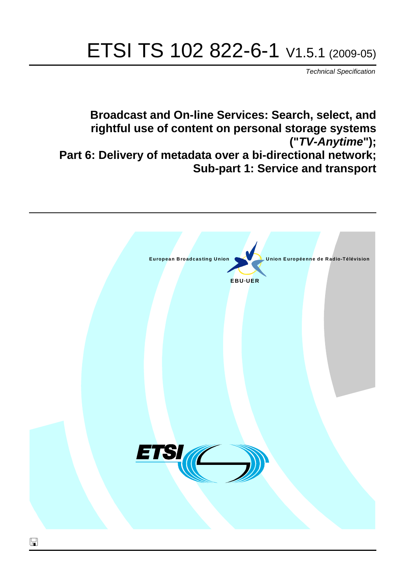# ETSI TS 102 822-6-1 V1.5.1 (2009-05)

*Technical Specification*

**Broadcast and On-line Services: Search, select, and rightful use of content on personal storage systems ("***TV-Anytime***"); Part 6: Delivery of metadata over a bi-directional network; Sub-part 1: Service and transport**

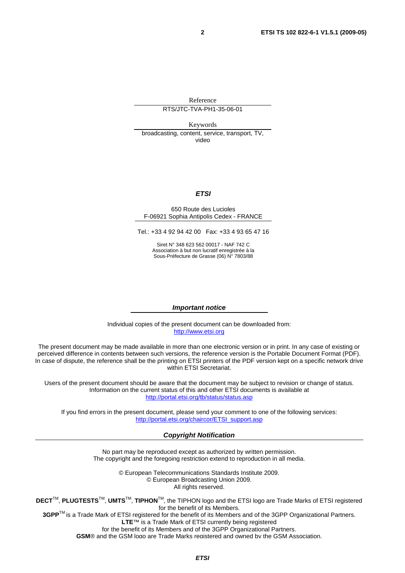Reference RTS/JTC-TVA-PH1-35-06-01

Keywords

broadcasting, content, service, transport, TV, video

#### *ETSI*

#### 650 Route des Lucioles F-06921 Sophia Antipolis Cedex - FRANCE

Tel.: +33 4 92 94 42 00 Fax: +33 4 93 65 47 16

[Siret N° 348 62](http://www.etsi.org/)3 562 00017 - NAF 742 C Association à but non lucratif enregistrée à la Sous-Préfecture de Grasse (06) N° 7803/88

#### *Important notice*

Individual copies of the present document can be downloaded from: [http://www.etsi.org](http://portal.etsi.org/chaircor/ETSI_support.asp)

The present document may be made available in more than one electronic version or in print. In any case of existing or perceived difference in contents between such versions, the reference version is the Portable Document Format (PDF). In case of dispute, the reference shall be the printing on ETSI printers of the PDF version kept on a specific network drive within ETSI Secretariat.

Users of the present document should be aware that the document may be subject to revision or change of status. Information on the current status of this and other ETSI documents is available at http://portal.etsi.org/tb/status/status.asp

If you find errors in the present document, please send your comment to one of the following services: http://portal.etsi.org/chaircor/ETSI\_support.asp

#### *Copyright Notification*

No part may be reproduced except as authorized by written permission. The copyright and the foregoing restriction extend to reproduction in all media.

> © European Telecommunications Standards Institute 2009. © European Broadcasting Union 2009. All rights reserved.

**DECT**TM, **PLUGTESTS**TM, **UMTS**TM, **TIPHON**TM, the TIPHON logo and the ETSI logo are Trade Marks of ETSI registered for the benefit of its Members. **3GPP**TM is a Trade Mark of ETSI registered for the benefit of its Members and of the 3GPP Organizational Partners.

**LTE**™ is a Trade Mark of ETSI currently being registered

for the benefit of its Members and of the 3GPP Organizational Partners.

**GSM**® and the GSM logo are Trade Marks registered and owned by the GSM Association.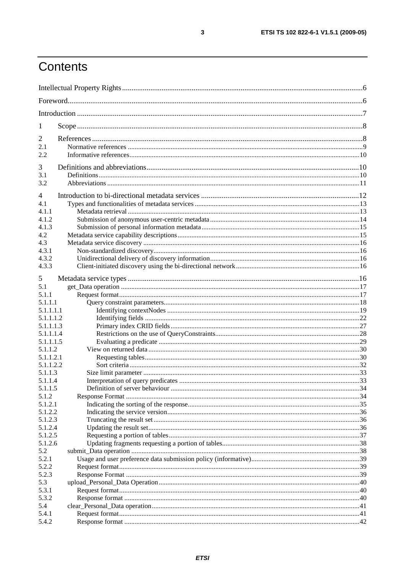# Contents

| 1              |  |  |
|----------------|--|--|
| $\overline{2}$ |  |  |
| 2.1            |  |  |
| 2.2            |  |  |
|                |  |  |
| 3              |  |  |
| 3.1            |  |  |
| 3.2            |  |  |
| 4              |  |  |
| 4.1            |  |  |
| 4.1.1          |  |  |
| 4.1.2          |  |  |
| 4.1.3          |  |  |
| 4.2            |  |  |
| 4.3            |  |  |
| 4.3.1          |  |  |
| 4.3.2          |  |  |
| 4.3.3          |  |  |
| 5              |  |  |
| 5.1            |  |  |
| 5.1.1          |  |  |
| 5.1.1.1        |  |  |
| 5.1.1.1.1      |  |  |
| 5.1.1.1.2      |  |  |
| 5.1.1.1.3      |  |  |
| 5.1.1.1.4      |  |  |
| 5.1.1.1.5      |  |  |
| 5.1.1.2        |  |  |
| 5.1.1.2.1      |  |  |
| 5.1.1.2.2      |  |  |
| 5.1.1.3        |  |  |
| 5.1.1.4        |  |  |
| 5.1.1.5        |  |  |
| 5.1.2          |  |  |
| 5.1.2.1        |  |  |
| 5.1.2.2        |  |  |
| 5.1.2.3        |  |  |
| 5.1.2.4        |  |  |
| 5.1.2.5        |  |  |
| 5.1.2.6<br>5.2 |  |  |
| 5.2.1          |  |  |
| 5.2.2          |  |  |
| 5.2.3          |  |  |
| 5.3            |  |  |
| 5.3.1          |  |  |
| 5.3.2          |  |  |
| 5.4            |  |  |
| 5.4.1          |  |  |
| 5.4.2          |  |  |
|                |  |  |

 $\mathbf{3}$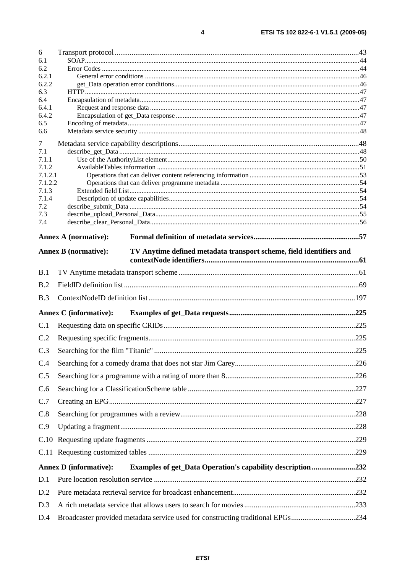| 6              |                                                                                                    |  |  |
|----------------|----------------------------------------------------------------------------------------------------|--|--|
| 6.1            |                                                                                                    |  |  |
| 6.2<br>6.2.1   |                                                                                                    |  |  |
| 6.2.2          |                                                                                                    |  |  |
| 6.3            |                                                                                                    |  |  |
| 6.4            |                                                                                                    |  |  |
| 6.4.1<br>6.4.2 |                                                                                                    |  |  |
| 6.5            |                                                                                                    |  |  |
| 6.6            |                                                                                                    |  |  |
| 7              |                                                                                                    |  |  |
| 7.1            |                                                                                                    |  |  |
| 7.1.1<br>7.1.2 |                                                                                                    |  |  |
| 7.1.2.1        |                                                                                                    |  |  |
| 7.1.2.2        |                                                                                                    |  |  |
| 7.1.3<br>7.1.4 |                                                                                                    |  |  |
| 7.2            |                                                                                                    |  |  |
| 7.3            |                                                                                                    |  |  |
| 7.4            |                                                                                                    |  |  |
|                | <b>Annex A (normative):</b>                                                                        |  |  |
|                | <b>Annex B</b> (normative):<br>TV Anytime defined metadata transport scheme, field identifiers and |  |  |
|                |                                                                                                    |  |  |
| B.1            |                                                                                                    |  |  |
| B.2            |                                                                                                    |  |  |
| B.3            |                                                                                                    |  |  |
|                | <b>Annex C</b> (informative):                                                                      |  |  |
| C.1            |                                                                                                    |  |  |
| C.2            |                                                                                                    |  |  |
| C.3            |                                                                                                    |  |  |
| C.4            |                                                                                                    |  |  |
| C.5            |                                                                                                    |  |  |
| C.6            |                                                                                                    |  |  |
| C.7            |                                                                                                    |  |  |
| C.8            |                                                                                                    |  |  |
| C.9            |                                                                                                    |  |  |
| C.10           |                                                                                                    |  |  |
|                |                                                                                                    |  |  |
|                | <b>Annex D</b> (informative):<br><b>Examples of get_Data Operation's capability description232</b> |  |  |
| D.1            |                                                                                                    |  |  |
| D.2            |                                                                                                    |  |  |
| D.3            |                                                                                                    |  |  |
| D.4            | Broadcaster provided metadata service used for constructing traditional EPGs234                    |  |  |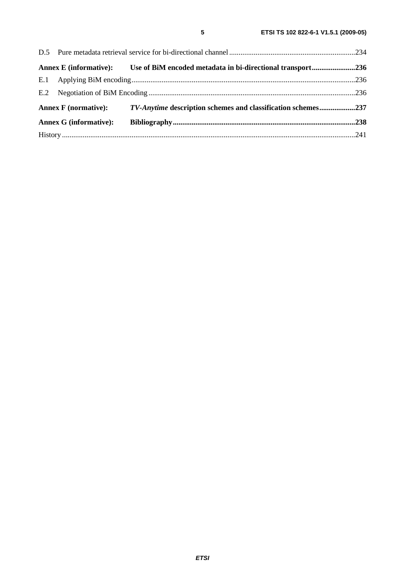|                               |  | Annex E (informative): Use of BiM encoded metadata in bi-directional transport236 |  |
|-------------------------------|--|-----------------------------------------------------------------------------------|--|
|                               |  |                                                                                   |  |
|                               |  |                                                                                   |  |
| <b>Annex F</b> (normative):   |  | TV-Anytime description schemes and classification schemes237                      |  |
| <b>Annex G (informative):</b> |  |                                                                                   |  |
|                               |  |                                                                                   |  |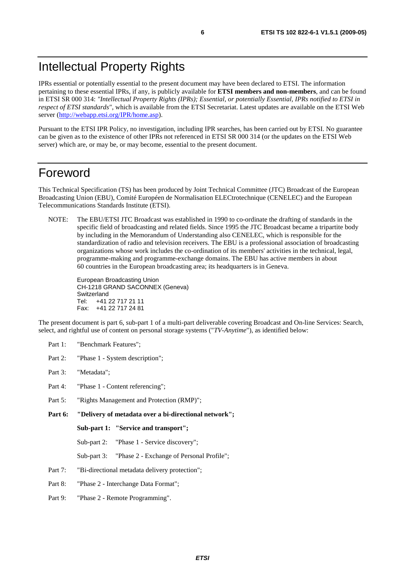# Intellectual Property Rights

IPRs essential or potentially essential to the present document may have been declared to ETSI. The information pertaining to these essential IPRs, if any, is publicly available for **ETSI members and non-members**, and can be found in ETSI SR 000 314: *"Intellectual Property Rights (IPRs); Essential, or potentially Essential, IPRs notified to ETSI in respect of ETSI standards"*, which is available from the ETSI Secretariat. Latest updates are available on the ETSI Web serv[er \(http://webapp.etsi.org/IPR/home.a](http://webapp.etsi.org/IPR/home.asp)sp).

Pursuant to the ETSI IPR Policy, no investigation, including IPR searches, has been carried out by ETSI. No guarantee can be given as to the existence of other IPRs not referenced in ETSI SR 000 314 (or the updates on the ETSI Web server) which are, or may be, or may become, essential to the present document.

# Foreword

This Technical Specification (TS) has been produced by Joint Technical Committee (JTC) Broadcast of the European Broadcasting Union (EBU), Comité Européen de Normalisation ELECtrotechnique (CENELEC) and the European Telecommunications Standards Institute (ETSI).

NOTE: The EBU/ETSI JTC Broadcast was established in 1990 to co-ordinate the drafting of standards in the specific field of broadcasting and related fields. Since 1995 the JTC Broadcast became a tripartite body by including in the Memorandum of Understanding also CENELEC, which is responsible for the standardization of radio and television receivers. The EBU is a professional association of broadcasting organizations whose work includes the co-ordination of its members' activities in the technical, legal, programme-making and programme-exchange domains. The EBU has active members in about 60 countries in the European broadcasting area; its headquarters is in Geneva.

European Broadcasting Union CH-1218 GRAND SACONNEX (Geneva) Switzerland Tel: +41 22 717 21 11 Fax: +41 22 717 24 81

The present document is part 6, sub-part 1 of a multi-part deliverable covering Broadcast and On-line Services: Search, select, and rightful use of content on personal storage systems ("*TV-Anytime*"), as identified below:

- Part 1: "Benchmark Features";
- Part 2: "Phase 1 System description";
- Part 3: "Metadata";
- Part 4: "Phase 1 Content referencing":
- Part 5: "Rights Management and Protection (RMP)";
- **Part 6: "Delivery of metadata over a bi-directional network";**

**Sub-part 1: "Service and transport";** 

Sub-part 2: "Phase 1 - Service discovery";

- Sub-part 3: "Phase 2 Exchange of Personal Profile";
- Part 7: "Bi-directional metadata delivery protection";
- Part 8: "Phase 2 Interchange Data Format";
- Part 9: "Phase 2 Remote Programming".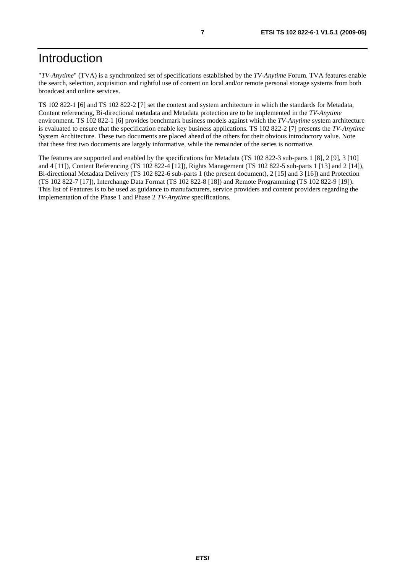# Introduction

"*TV-Anytime*" (TVA) is a synchronized set of specifications established by the *TV-Anytime* Forum. TVA features enable the search, selection, acquisition and rightful use of content on local and/or remote personal storage systems from both broadcast and online services.

TS 102 822-1 [6] and TS 102 822-2 [7] set the context and system architecture in which the standards for Metadata, Content referencing, Bi-directional metadata and Metadata protection are to be implemented in the *TV-Anytime* environment. TS 102 822-1 [6] provides benchmark business models against which the *TV-Anytime* system architecture is evaluated to ensure that the specification enable key business applications. TS 102 822-2 [7] presents the *TV-Anytime* System Architecture. These two documents are placed ahead of the others for their obvious introductory value. Note that these first two documents are largely informative, while the remainder of the series is normative.

The features are supported and enabled by the specifications for Metadata (TS 102 822-3 sub-parts 1 [8], 2 [9], 3 [10] and 4 [11]), Content Referencing (TS 102 822-4 [12]), Rights Management (TS 102 822-5 sub-parts 1 [13] and 2 [14]), Bi-directional Metadata Delivery (TS 102 822-6 sub-parts 1 (the present document), 2 [15] and 3 [16]) and Protection (TS 102 822-7 [17]), Interchange Data Format (TS 102 822-8 [18]) and Remote Programming (TS 102 822-9 [19]). This list of Features is to be used as guidance to manufacturers, service providers and content providers regarding the implementation of the Phase 1 and Phase 2 *TV-Anytime* specifications.

*ETSI*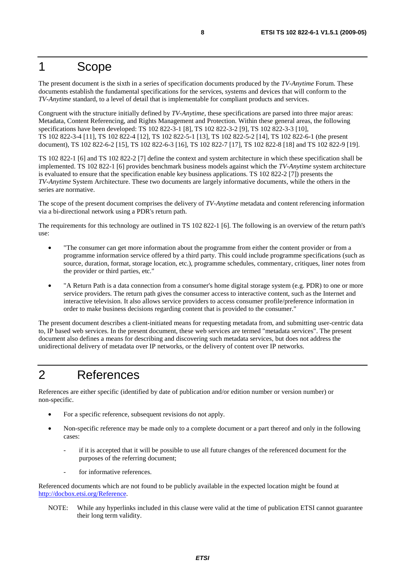# 1 Scope

The present document is the sixth in a series of specification documents produced by the *TV-Anytime* Forum. These documents establish the fundamental specifications for the services, systems and devices that will conform to the *TV-Anytime* standard, to a level of detail that is implementable for compliant products and services.

Congruent with the structure initially defined by *TV-Anytime*, these specifications are parsed into three major areas: Metadata, Content Referencing, and Rights Management and Protection. Within these general areas, the following specifications have been developed: TS 102 822-3-1 [8], TS 102 822-3-2 [9], TS 102 822-3-3 [10], TS 102 822-3-4 [11], TS 102 822-4 [12], TS 102 822-5-1 [13], TS 102 822-5-2 [14], TS 102 822-6-1 (the present document), TS 102 822-6-2 [15], TS 102 822-6-3 [16], TS 102 822-7 [17], TS 102 822-8 [18] and TS 102 822-9 [19].

TS 102 822-1 [6] and TS 102 822-2 [7] define the context and system architecture in which these specification shall be implemented. TS 102 822-1 [6] provides benchmark business models against which the *TV-Anytime* system architecture is evaluated to ensure that the specification enable key business applications. TS 102 822-2 [7]) presents the *TV-Anytime* System Architecture. These two documents are largely informative documents, while the others in the series are normative.

The scope of the present document comprises the delivery of *TV-Anytime* metadata and content referencing information via a bi-directional network using a PDR's return path.

The requirements for this technology are outlined in TS 102 822-1 [6]. The following is an overview of the return path's use:

- "The consumer can get more information about the programme from either the content provider or from a programme information service offered by a third party. This could include programme specifications (such as source, duration, format, storage location, etc.), programme schedules, commentary, critiques, liner notes from the provider or third parties, etc."
- "A Return Path is a data connection from a consumer's home digital storage system (e.g. PDR) to one or more service providers. The return path gives the consumer access to interactive content, such as the Internet and interactive television. It also allows service providers to access consumer profile/preference information in order to make business decisions regarding content that is provided to the consumer."

The present document describes a client-initiated means for requesting metadata from, and submitting user-centric data to, IP based web services. In the present document, these web services are termed "metadata services". The present document also defines a means for describing and discovering such metadata services, but does not address the unidirectional delivery of metadata over IP networks, or the delivery of content over IP networks.

# 2 References

References are either specific (identified by date of publication and/or edition number or version number) or non-specific.

- For a specific reference, subsequent revisions do not apply.
- Non-specific reference may be made only to a complete document or a part thereof and only in the following cases:
	- if it is accepted that it will be possible to use all future changes of the referenced document for the purposes of the referring document;
	- for informative references.

Referenced documents which are not found to be publicly available in the expected location might be found at [http://docbox.etsi.o](http://docbox.etsi.org/Reference)rg/Reference.

NOTE: While any hyperlinks included in this clause were valid at the time of publication ETSI cannot guarantee their long term validity.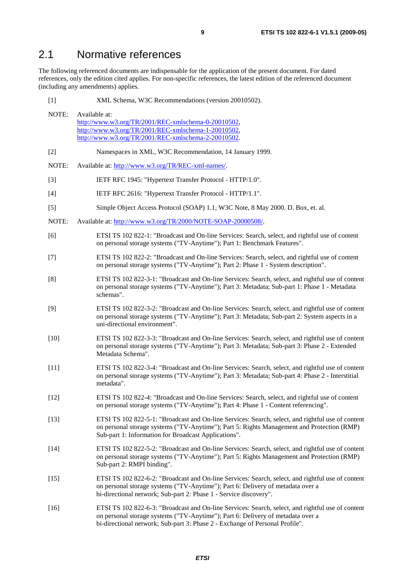# 2.1 Normative references

The following referenced documents are indispensable for the application of the present document. For dated references, only the edition cited applies. For non-specific references, the latest edition of the referenced document (including any amendments) applies.

| $[1]$  | XML Schema, W3C Recommendations (version 20010502).                                                                                                                                                                                                                  |
|--------|----------------------------------------------------------------------------------------------------------------------------------------------------------------------------------------------------------------------------------------------------------------------|
| NOTE:  | Available at:<br>http://www.w3.org/TR/2001/REC-xmlschema-0-20010502,<br>http://www.w3.org/TR/2001/REC-xmlschema-1-20010502,<br>http://www.w3.org/TR/2001/REC-xmlschema-2-20010502.                                                                                   |
| $[2]$  | Namespaces in XML, W3C Recommendation, 14 January 1999.                                                                                                                                                                                                              |
| NOTE:  | Available at: http://www.w3.org/TR/REC-xml-names/.                                                                                                                                                                                                                   |
| $[3]$  | IETF RFC 1945: "Hypertext Transfer Protocol - HTTP/1.0".                                                                                                                                                                                                             |
| $[4]$  | IETF RFC 2616: "Hypertext Transfer Protocol - HTTP/1.1".                                                                                                                                                                                                             |
| $[5]$  | Simple Object Access Protocol (SOAP) 1.1, W3C Note, 8 May 2000. D. Box, et. al.                                                                                                                                                                                      |
| NOTE:  | Available at: http://www.w3.org/TR/2000/NOTE-SOAP-20000508/.                                                                                                                                                                                                         |
| [6]    | ETSI TS 102 822-1: "Broadcast and On-line Services: Search, select, and rightful use of content<br>on personal storage systems ("TV-Anytime"); Part 1: Benchmark Features".                                                                                          |
| $[7]$  | ETSI TS 102 822-2: "Broadcast and On-line Services: Search, select, and rightful use of content<br>on personal storage systems ("TV-Anytime"); Part 2: Phase 1 - System description".                                                                                |
| [8]    | ETSI TS 102 822-3-1: "Broadcast and On-line Services: Search, select, and rightful use of content<br>on personal storage systems ("TV-Anytime"); Part 3: Metadata; Sub-part 1: Phase 1 - Metadata<br>schemas".                                                       |
| [9]    | ETSI TS 102 822-3-2: "Broadcast and On-line Services: Search, select, and rightful use of content<br>on personal storage systems ("TV-Anytime"); Part 3: Metadata; Sub-part 2: System aspects in a<br>uni-directional environment".                                  |
| $[10]$ | ETSI TS 102 822-3-3: "Broadcast and On-line Services: Search, select, and rightful use of content<br>on personal storage systems ("TV-Anytime"); Part 3: Metadata; Sub-part 3: Phase 2 - Extended<br>Metadata Schema".                                               |
| $[11]$ | ETSI TS 102 822-3-4: "Broadcast and On-line Services: Search, select, and rightful use of content<br>on personal storage systems ("TV-Anytime"); Part 3: Metadata; Sub-part 4: Phase 2 - Interstitial<br>metadata".                                                  |
| $[12]$ | ETSI TS 102 822-4: "Broadcast and On-line Services: Search, select, and rightful use of content<br>on personal storage systems ("TV-Anytime"); Part 4: Phase 1 - Content referencing".                                                                               |
| $[13]$ | ETSI TS 102 822-5-1: "Broadcast and On-line Services: Search, select, and rightful use of content<br>on personal storage systems ("TV-Anytime"); Part 5: Rights Management and Protection (RMP)<br>Sub-part 1: Information for Broadcast Applications".              |
| $[14]$ | ETSI TS 102 822-5-2: "Broadcast and On-line Services: Search, select, and rightful use of content<br>on personal storage systems ("TV-Anytime"); Part 5: Rights Management and Protection (RMP)<br>Sub-part 2: RMPI binding".                                        |
| $[15]$ | ETSI TS 102 822-6-2: "Broadcast and On-line Services: Search, select, and rightful use of content<br>on personal storage systems ("TV-Anytime"); Part 6: Delivery of metadata over a<br>bi-directional network; Sub-part 2: Phase 1 - Service discovery".            |
| $[16]$ | ETSI TS 102 822-6-3: "Broadcast and On-line Services: Search, select, and rightful use of content<br>on personal storage systems ("TV-Anytime"); Part 6: Delivery of metadata over a<br>bi-directional network; Sub-part 3: Phase 2 - Exchange of Personal Profile". |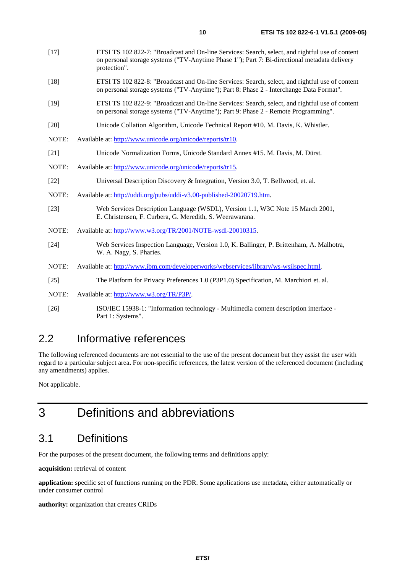- [18] ETSI TS 102 822-8: "Broadcast and On-line Services: Search, select, and rightful use of content on personal storage systems ("TV-Anytime"); Part 8: Phase 2 - Interchange Data Format".
- [19] ETSI TS 102 822-9: "Broadcast and On-line Services: Search, select, and rightful use of content on personal storage systems ("TV-Anytime"); Part 9: Phase 2 - Remote Programming".
- [20] Unicode Collation Algorithm, Unicode Technical Report #10. M. Davis, K. Whistler.
- NOTE: [Available at: http://www.unicode.org/unicode](http://www.unicode.org/unicode/reports/tr10)/reports/tr10.
- [21] Unicode Normalization Forms, Unicode Standard Annex #15. M. Davis, M. Dürst.
- NOTE: Available at: http://www.unicode.org/unicode/reports/tr15.
- [22] [Universal Description Discovery & In](http://www.unicode.org/unicode/reports/tr15)tegration, Version 3.0, T. Bellwood, et. al.
- NOTE: Available at: http://uddi.org/pubs/uddi-v3.00-published-20020719.htm.
- [23] Web Services Description Language (WSDL), Version 1.1, W3C Note 15 March 2001, [E. Christensen, F. Curbera, G. Meredith, S. Weeraw](http://uddi.org/pubs/uddi-v3.00-published-20020719.htm)arana.
- NOTE: Available at: http://www.w3.org/TR/2001/NOTE-wsdl-20010315.
- [24] Web Services Inspection Language, Version 1.0, K. Ballinger, P. Brittenham, A. Malhotra, W. A. Nagy, S. Pharies.
- NOTE: [Available at: http://www.ibm.com/developerworks/w](http://www.w3.org/TR/2001/NOTE-wsdl-20010315)ebservices/library/ws-wsilspec.html.
- [25] The Platform for Privacy Preferences 1.0 (P3P1.0) Specification, M. Marchiori et. al.
- NOTE: Available at: http://www.w3.org/TR/P3P/.
- [26] ISO/IEC 15938-1: "Information technology Multimedia content description interface [Part 1: Systems".](http://www.ibm.com/developerworks/webservices/library/ws-wsilspec.html)

# 2.2 Informative references

The followin[g referenced documents are n](http://www.w3.org/TR/P3P/)ot essential to the use of the present document but they assist the user with regard to a particular subject area**.** For non-specific references, the latest version of the referenced document (including any amendments) applies.

Not applicable.

# 3 Definitions and abbreviations

# 3.1 Definitions

For the purposes of the present document, the following terms and definitions apply:

**acquisition:** retrieval of content

**application:** specific set of functions running on the PDR. Some applications use metadata, either automatically or under consumer control

**authority:** organization that creates CRIDs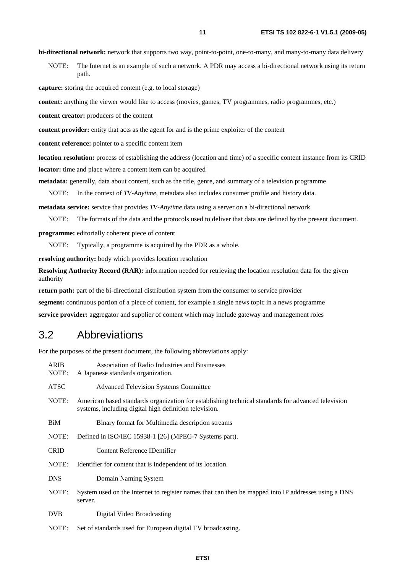**bi-directional network:** network that supports two way, point-to-point, one-to-many, and many-to-many data delivery

NOTE: The Internet is an example of such a network. A PDR may access a bi-directional network using its return path.

**capture:** storing the acquired content (e.g. to local storage)

**content:** anything the viewer would like to access (movies, games, TV programmes, radio programmes, etc.)

**content creator:** producers of the content

**content provider:** entity that acts as the agent for and is the prime exploiter of the content

**content reference:** pointer to a specific content item

**location resolution:** process of establishing the address (location and time) of a specific content instance from its CRID **locator:** time and place where a content item can be acquired

**metadata:** generally, data about content, such as the title, genre, and summary of a television programme

NOTE: In the context of *TV-Anytime*, metadata also includes consumer profile and history data.

**metadata service:** service that provides *TV-Anytime* data using a server on a bi-directional network

NOTE: The formats of the data and the protocols used to deliver that data are defined by the present document.

**programme:** editorially coherent piece of content

NOTE: Typically, a programme is acquired by the PDR as a whole.

**resolving authority:** body which provides location resolution

**Resolving Authority Record (RAR):** information needed for retrieving the location resolution data for the given authority

**return path:** part of the bi-directional distribution system from the consumer to service provider

**segment:** continuous portion of a piece of content, for example a single news topic in a news programme

**service provider:** aggregator and supplier of content which may include gateway and management roles

### 3.2 Abbreviations

For the purposes of the present document, the following abbreviations apply:

| <b>ARIB</b><br>NOTE: | Association of Radio Industries and Businesses<br>A Japanese standards organization.                                                                         |
|----------------------|--------------------------------------------------------------------------------------------------------------------------------------------------------------|
| <b>ATSC</b>          | <b>Advanced Television Systems Committee</b>                                                                                                                 |
| NOTE:                | American based standards organization for establishing technical standards for advanced television<br>systems, including digital high definition television. |
| BiM                  | Binary format for Multimedia description streams                                                                                                             |
| NOTE:                | Defined in ISO/IEC 15938-1 [26] (MPEG-7 Systems part).                                                                                                       |
| <b>CRID</b>          | Content Reference IDentifier                                                                                                                                 |
| NOTE:                | Identifier for content that is independent of its location.                                                                                                  |
| <b>DNS</b>           | Domain Naming System                                                                                                                                         |
| NOTE:                | System used on the Internet to register names that can then be mapped into IP addresses using a DNS<br>server.                                               |
| <b>DVB</b>           | Digital Video Broadcasting                                                                                                                                   |
| NOTE:                | Set of standards used for European digital TV broadcasting.                                                                                                  |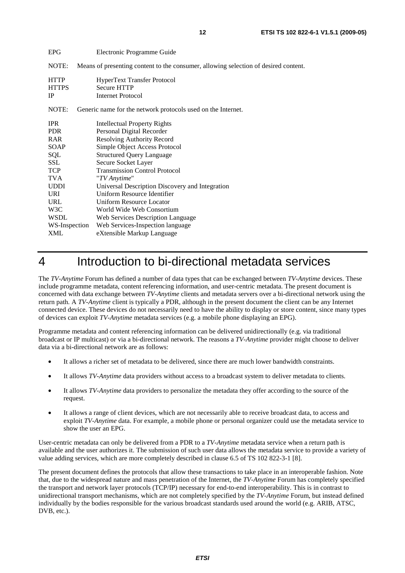| <b>EPG</b>                               | Electronic Programme Guide                                                           |
|------------------------------------------|--------------------------------------------------------------------------------------|
| NOTE:                                    | Means of presenting content to the consumer, allowing selection of desired content.  |
| <b>HTTP</b><br><b>HTTPS</b><br><b>IP</b> | <b>HyperText Transfer Protocol</b><br><b>Secure HTTP</b><br><b>Internet Protocol</b> |
| NOTE:                                    | Generic name for the network protocols used on the Internet.                         |
| <b>IPR</b>                               | <b>Intellectual Property Rights</b>                                                  |
| <b>PDR</b>                               | Personal Digital Recorder                                                            |
| <b>RAR</b>                               | <b>Resolving Authority Record</b>                                                    |
| SOAP                                     | Simple Object Access Protocol                                                        |
| SQL                                      | <b>Structured Query Language</b>                                                     |
| SSL                                      | Secure Socket Layer                                                                  |
| <b>TCP</b>                               | <b>Transmission Control Protocol</b>                                                 |
| <b>TVA</b>                               | "TV Anytime"                                                                         |
| <b>UDDI</b>                              | Universal Description Discovery and Integration                                      |
| URI                                      | Uniform Resource Identifier                                                          |
| URL                                      | Uniform Resource Locator                                                             |
| W3C                                      | World Wide Web Consortium                                                            |
| WSDL                                     | Web Services Description Language                                                    |
| WS-Inspection                            | Web Services-Inspection language                                                     |
| XML                                      | eXtensible Markup Language                                                           |

# 4 Introduction to bi-directional metadata services

The *TV-Anytime* Forum has defined a number of data types that can be exchanged between *TV-Anytime* devices. These include programme metadata, content referencing information, and user-centric metadata. The present document is concerned with data exchange between *TV-Anytime* clients and metadata servers over a bi-directional network using the return path. A *TV-Anytime* client is typically a PDR, although in the present document the client can be any Internet connected device. These devices do not necessarily need to have the ability to display or store content, since many types of devices can exploit *TV-Anytime* metadata services (e.g. a mobile phone displaying an EPG).

Programme metadata and content referencing information can be delivered unidirectionally (e.g. via traditional broadcast or IP multicast) or via a bi-directional network. The reasons a *TV-Anytime* provider might choose to deliver data via a bi-directional network are as follows:

- It allows a richer set of metadata to be delivered, since there are much lower bandwidth constraints.
- It allows *TV-Anytime* data providers without access to a broadcast system to deliver metadata to clients.
- It allows *TV-Anytime* data providers to personalize the metadata they offer according to the source of the request.
- It allows a range of client devices, which are not necessarily able to receive broadcast data, to access and exploit *TV-Anytime* data. For example, a mobile phone or personal organizer could use the metadata service to show the user an EPG.

User-centric metadata can only be delivered from a PDR to a *TV-Anytime* metadata service when a return path is available and the user authorizes it. The submission of such user data allows the metadata service to provide a variety of value adding services, which are more completely described in clause 6.5 of TS 102 822-3-1 [8].

The present document defines the protocols that allow these transactions to take place in an interoperable fashion. Note that, due to the widespread nature and mass penetration of the Internet, the *TV-Anytime* Forum has completely specified the transport and network layer protocols (TCP/IP) necessary for end-to-end interoperability. This is in contrast to unidirectional transport mechanisms, which are not completely specified by the *TV-Anytime* Forum, but instead defined individually by the bodies responsible for the various broadcast standards used around the world (e.g. ARIB, ATSC, DVB, etc.).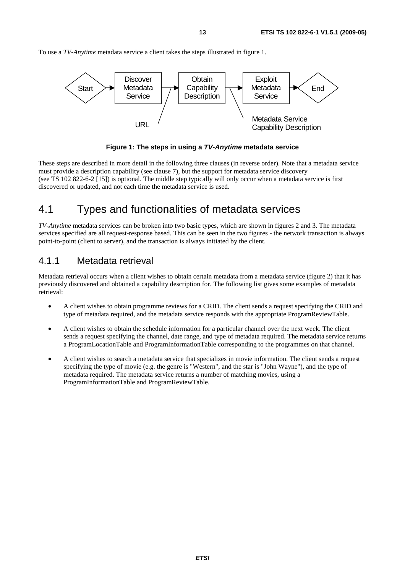To use a *TV-Anytime* metadata service a client takes the steps illustrated in figure 1.



**Figure 1: The steps in using a** *TV-Anytime* **metadata service** 

These steps are described in more detail in the following three clauses (in reverse order). Note that a metadata service must provide a description capability (see clause 7), but the support for metadata service discovery (see TS 102 822-6-2 [15]) is optional. The middle step typically will only occur when a metadata service is first discovered or updated, and not each time the metadata service is used.

# 4.1 Types and functionalities of metadata services

*TV-Anytime* metadata services can be broken into two basic types, which are shown in figures 2 and 3. The metadata services specified are all request-response based. This can be seen in the two figures - the network transaction is always point-to-point (client to server), and the transaction is always initiated by the client.

# 4.1.1 Metadata retrieval

Metadata retrieval occurs when a client wishes to obtain certain metadata from a metadata service (figure 2) that it has previously discovered and obtained a capability description for. The following list gives some examples of metadata retrieval:

- A client wishes to obtain programme reviews for a CRID. The client sends a request specifying the CRID and type of metadata required, and the metadata service responds with the appropriate ProgramReviewTable.
- A client wishes to obtain the schedule information for a particular channel over the next week. The client sends a request specifying the channel, date range, and type of metadata required. The metadata service returns a ProgramLocationTable and ProgramInformationTable corresponding to the programmes on that channel.
- A client wishes to search a metadata service that specializes in movie information. The client sends a request specifying the type of movie (e.g. the genre is "Western", and the star is "John Wayne"), and the type of metadata required. The metadata service returns a number of matching movies, using a ProgramInformationTable and ProgramReviewTable.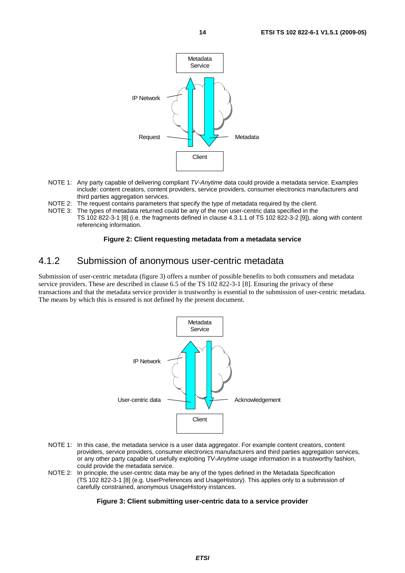



- NOTE 1: Any party capable of delivering compliant *TV-Anytime* data could provide a metadata service. Examples include: content creators, content providers, service providers, consumer electronics manufacturers and third parties aggregation services.
- NOTE 2: The request contains parameters that specify the type of metadata required by the client.
- NOTE 3: The types of metadata returned could be any of the non user-centric data specified in the TS 102 822-3-1 [8] (i.e. the fragments defined in clause 4.3.1.1 of TS 102 822-3-2 [9]), along with content referencing information.

#### **Figure 2: Client requesting metadata from a metadata service**

### 4.1.2 Submission of anonymous user-centric metadata

Submission of user-centric metadata (figure 3) offers a number of possible benefits to both consumers and metadata service providers. These are described in clause 6.5 of the TS 102 822-3-1 [8]. Ensuring the privacy of these transactions and that the metadata service provider is trustworthy is essential to the submission of user-centric metadata. The means by which this is ensured is not defined by the present document.



- NOTE 1: In this case, the metadata service is a user data aggregator. For example content creators, content providers, service providers, consumer electronics manufacturers and third parties aggregation services, or any other party capable of usefully exploiting *TV-Anytime* usage information in a trustworthy fashion, could provide the metadata service.
- NOTE 2: In principle, the user-centric data may be any of the types defined in the Metadata Specification (TS 102 822-3-1 [8] (e.g. UserPreferences and UsageHistory). This applies only to a submission of carefully constrained, anonymous UsageHistory instances.

#### **Figure 3: Client submitting user-centric data to a service provider**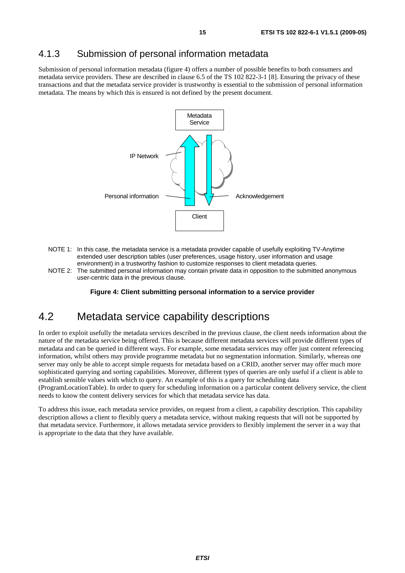# 4.1.3 Submission of personal information metadata

Submission of personal information metadata (figure 4) offers a number of possible benefits to both consumers and metadata service providers. These are described in clause 6.5 of the TS 102 822-3-1 [8]. Ensuring the privacy of these transactions and that the metadata service provider is trustworthy is essential to the submission of personal information metadata. The means by which this is ensured is not defined by the present document.



- NOTE 1: In this case, the metadata service is a metadata provider capable of usefully exploiting TV-Anytime extended user description tables (user preferences, usage history, user information and usage environment) in a trustworthy fashion to customize responses to client metadata queries.
- NOTE 2: The submitted personal information may contain private data in opposition to the submitted anonymous user-centric data in the previous clause.

**Figure 4: Client submitting personal information to a service provider** 

# 4.2 Metadata service capability descriptions

In order to exploit usefully the metadata services described in the previous clause, the client needs information about the nature of the metadata service being offered. This is because different metadata services will provide different types of metadata and can be queried in different ways. For example, some metadata services may offer just content referencing information, whilst others may provide programme metadata but no segmentation information. Similarly, whereas one server may only be able to accept simple requests for metadata based on a CRID, another server may offer much more sophisticated querying and sorting capabilities. Moreover, different types of queries are only useful if a client is able to establish sensible values with which to query. An example of this is a query for scheduling data

(ProgramLocationTable). In order to query for scheduling information on a particular content delivery service, the client needs to know the content delivery services for which that metadata service has data.

To address this issue, each metadata service provides, on request from a client, a capability description. This capability description allows a client to flexibly query a metadata service, without making requests that will not be supported by that metadata service. Furthermore, it allows metadata service providers to flexibly implement the server in a way that is appropriate to the data that they have available.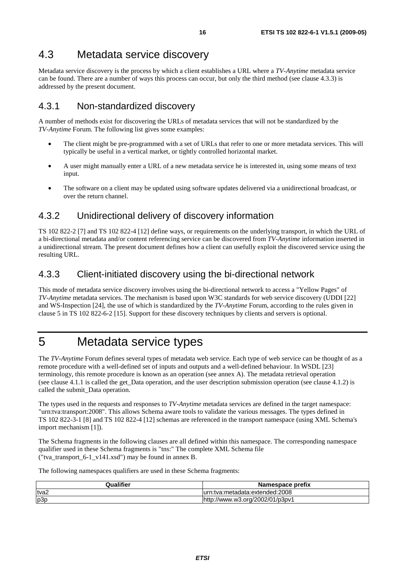# 4.3 Metadata service discovery

Metadata service discovery is the process by which a client establishes a URL where a *TV-Anytime* metadata service can be found. There are a number of ways this process can occur, but only the third method (see clause 4.3.3) is addressed by the present document.

# 4.3.1 Non-standardized discovery

A number of methods exist for discovering the URLs of metadata services that will not be standardized by the *TV-Anytime* Forum. The following list gives some examples:

- The client might be pre-programmed with a set of URLs that refer to one or more metadata services. This will typically be useful in a vertical market, or tightly controlled horizontal market.
- A user might manually enter a URL of a new metadata service he is interested in, using some means of text input.
- The software on a client may be updated using software updates delivered via a unidirectional broadcast, or over the return channel.

# 4.3.2 Unidirectional delivery of discovery information

TS 102 822-2 [7] and TS 102 822-4 [12] define ways, or requirements on the underlying transport, in which the URL of a bi-directional metadata and/or content referencing service can be discovered from *TV-Anytime* information inserted in a unidirectional stream. The present document defines how a client can usefully exploit the discovered service using the resulting URL.

# 4.3.3 Client-initiated discovery using the bi-directional network

This mode of metadata service discovery involves using the bi-directional network to access a "Yellow Pages" of *TV-Anytime* metadata services. The mechanism is based upon W3C standards for web service discovery (UDDI [22] and WS-Inspection [24], the use of which is standardized by the *TV-Anytime* Forum, according to the rules given in clause 5 in TS 102 822-6-2 [15]. Support for these discovery techniques by clients and servers is optional.

# 5 Metadata service types

The *TV-Anytime* Forum defines several types of metadata web service. Each type of web service can be thought of as a remote procedure with a well-defined set of inputs and outputs and a well-defined behaviour. In WSDL [23] terminology, this remote procedure is known as an operation (see annex A). The metadata retrieval operation (see clause 4.1.1 is called the get\_Data operation, and the user description submission operation (see clause 4.1.2) is called the submit\_Data operation.

The types used in the requests and responses to *TV-Anytime* metadata services are defined in the target namespace: "urn:tva:transport:2008". This allows Schema aware tools to validate the various messages. The types defined in TS 102 822-3-1 [8] and TS 102 822-4 [12] schemas are referenced in the transport namespace (using XML Schema's import mechanism [1]).

The Schema fragments in the following clauses are all defined within this namespace. The corresponding namespace qualifier used in these Schema fragments is "tns:" The complete XML Schema file ("tva\_transport\_6-1\_v141.xsd") may be found in annex B.

The following namespaces qualifiers are used in these Schema fragments:

| <b>Qualifier</b> | Namespace prefix                    |
|------------------|-------------------------------------|
| tva2             | ::tva:metadata:extended:2008        |
| p3p              | //www.w3.org/2002/01/p3pv1<br>http: |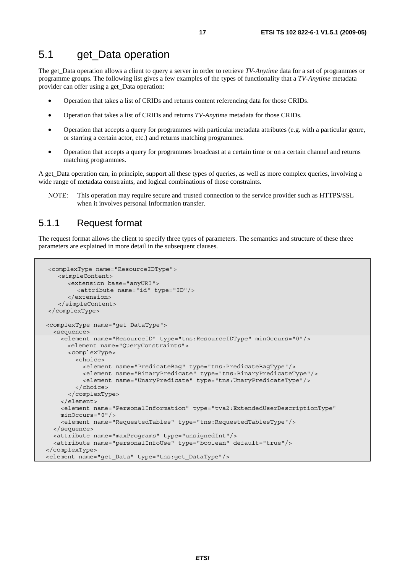The get\_Data operation allows a client to query a server in order to retrieve *TV-Anytime* data for a set of programmes or programme groups. The following list gives a few examples of the types of functionality that a *TV-Anytime* metadata provider can offer using a get\_Data operation:

- Operation that takes a list of CRIDs and returns content referencing data for those CRIDs.
- Operation that takes a list of CRIDs and returns *TV-Anytime* metadata for those CRIDs.
- Operation that accepts a query for programmes with particular metadata attributes (e.g. with a particular genre, or starring a certain actor, etc.) and returns matching programmes.
- Operation that accepts a query for programmes broadcast at a certain time or on a certain channel and returns matching programmes.

A get\_Data operation can, in principle, support all these types of queries, as well as more complex queries, involving a wide range of metadata constraints, and logical combinations of those constraints.

NOTE: This operation may require secure and trusted connection to the service provider such as HTTPS/SSL when it involves personal Information transfer.

# 5.1.1 Request format

The request format allows the client to specify three types of parameters. The semantics and structure of these three parameters are explained in more detail in the subsequent clauses.

```
<complexType name="ResourceIDType"> 
    <simpleContent> 
      <extension base="anyURI"> 
          <attribute name="id" type="ID"/> 
       </extension> 
    </simpleContent> 
</complexType> 
 <complexType name="get_DataType"> 
   <sequence> 
     <element name="ResourceID" type="tns:ResourceIDType" minOccurs="0"/> 
       <element name="QueryConstraints"> 
       <complexType> 
         <choice> 
           <element name="PredicateBag" type="tns:PredicateBagType"/> 
           <element name="BinaryPredicate" type="tns:BinaryPredicateType"/> 
           <element name="UnaryPredicate" type="tns:UnaryPredicateType"/> 
         </choice> 
       </complexType> 
     </element> 
     <element name="PersonalInformation" type="tva2:ExtendedUserDescriptionType" 
     minOccurs="0"/> 
     <element name="RequestedTables" type="tns:RequestedTablesType"/> 
   </sequence> 
   <attribute name="maxPrograms" type="unsignedInt"/> 
   <attribute name="personalInfoUse" type="boolean" default="true"/> 
</complexType> 
<element name="get_Data" type="tns:get_DataType"/>
```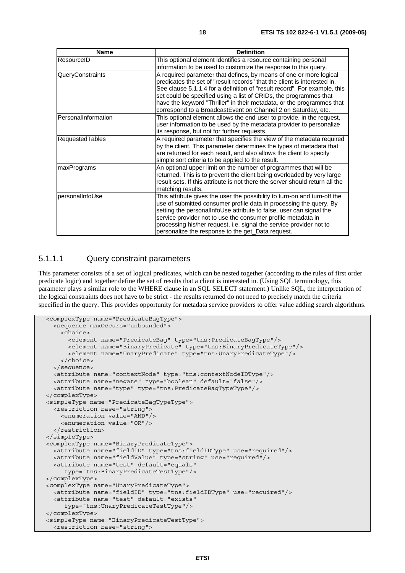| <b>Name</b>         | <b>Definition</b>                                                                                                                                                                                                                                                                                                                                                                                                                          |
|---------------------|--------------------------------------------------------------------------------------------------------------------------------------------------------------------------------------------------------------------------------------------------------------------------------------------------------------------------------------------------------------------------------------------------------------------------------------------|
| ResourceID          | This optional element identifies a resource containing personal<br>information to be used to customize the response to this query.                                                                                                                                                                                                                                                                                                         |
| QueryConstraints    | A required parameter that defines, by means of one or more logical<br>predicates the set of "result records" that the client is interested in.<br>See clause 5.1.1.4 for a definition of "result record". For example, this<br>set could be specified using a list of CRIDs, the programmes that<br>have the keyword "Thriller" in their metadata, or the programmes that<br>correspond to a BroadcastEvent on Channel 2 on Saturday, etc. |
| PersonalInformation | This optional element allows the end-user to provide, in the request,<br>user information to be used by the metadata provider to personalize<br>its response, but not for further requests.                                                                                                                                                                                                                                                |
| RequestedTables     | A required parameter that specifies the view of the metadata required<br>by the client. This parameter determines the types of metadata that<br>are returned for each result, and also allows the client to specify<br>simple sort criteria to be applied to the result.                                                                                                                                                                   |
| maxPrograms         | An optional upper limit on the number of programmes that will be<br>returned. This is to prevent the client being overloaded by very large<br>result sets. If this attribute is not there the server should return all the<br>matching results.                                                                                                                                                                                            |
| personalInfoUse     | This attribute gives the user the possibility to turn-on and turn-off the<br>use of submitted consumer profile data in processing the query. By<br>setting the personalInfoUse attribute to false, user can signal the<br>service provider not to use the consumer profile metadata in<br>processing his/her request, i.e. signal the service provider not to<br>personalize the response to the get_Data request.                         |

### 5.1.1.1 Query constraint parameters

This parameter consists of a set of logical predicates, which can be nested together (according to the rules of first order predicate logic) and together define the set of results that a client is interested in. (Using SQL terminology, this parameter plays a similar role to the WHERE clause in an SQL SELECT statement.) Unlike SQL, the interpretation of the logical constraints does not have to be strict - the results returned do not need to precisely match the criteria specified in the query. This provides opportunity for metadata service providers to offer value adding search algorithms.

```
 <complexType name="PredicateBagType"> 
   <sequence maxOccurs="unbounded"> 
     <choice> 
       <element name="PredicateBag" type="tns:PredicateBagType"/> 
       <element name="BinaryPredicate" type="tns:BinaryPredicateType"/> 
       <element name="UnaryPredicate" type="tns:UnaryPredicateType"/> 
     </choice> 
   </sequence> 
   <attribute name="contextNode" type="tns:contextNodeIDType"/> 
   <attribute name="negate" type="boolean" default="false"/> 
   <attribute name="type" type="tns:PredicateBagTypeType"/> 
 </complexType> 
 <simpleType name="PredicateBagTypeType"> 
   <restriction base="string"> 
     <enumeration value="AND"/> 
     <enumeration value="OR"/> 
   </restriction> 
 </simpleType> 
 <complexType name="BinaryPredicateType"> 
   <attribute name="fieldID" type="tns:fieldIDType" use="required"/> 
   <attribute name="fieldValue" type="string" use="required"/> 
   <attribute name="test" default="equals" 
      type="tns:BinaryPredicateTestType"/> 
 </complexType> 
 <complexType name="UnaryPredicateType"> 
   <attribute name="fieldID" type="tns:fieldIDType" use="required"/> 
   <attribute name="test" default="exists" 
      type="tns:UnaryPredicateTestType"/> 
 </complexType> 
 <simpleType name="BinaryPredicateTestType"> 
   <restriction base="string">
```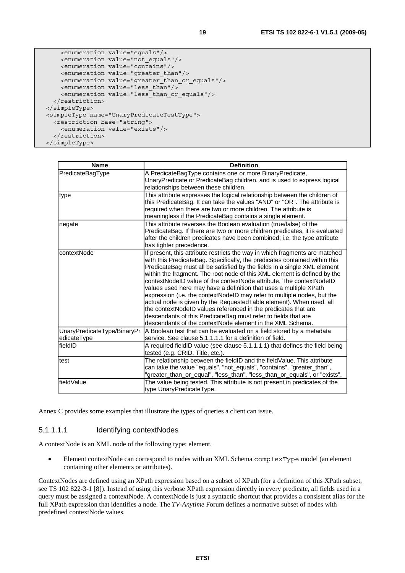```
 <enumeration value="equals"/> 
     <enumeration value="not_equals"/> 
     <enumeration value="contains"/> 
     <enumeration value="greater_than"/> 
     <enumeration value="greater_than_or_equals"/> 
     <enumeration value="less_than"/> 
     <enumeration value="less_than_or_equals"/> 
   </restriction> 
 </simpleType> 
 <simpleType name="UnaryPredicateTestType"> 
   <restriction base="string"> 
     <enumeration value="exists"/> 
   </restriction>
```

| <b>Name</b>                 | <b>Definition</b>                                                                                                                               |
|-----------------------------|-------------------------------------------------------------------------------------------------------------------------------------------------|
| PredicateBagType            | A PredicateBagType contains one or more BinaryPredicate,<br>UnaryPredicate or PredicateBag children, and is used to express logical             |
|                             | relationships between these children.                                                                                                           |
| type                        | This attribute expresses the logical relationship between the children of                                                                       |
|                             | this PredicateBag. It can take the values "AND" or "OR". The attribute is<br>required when there are two or more children. The attribute is     |
|                             | meaningless if the PredicateBag contains a single element.                                                                                      |
| negate                      | This attribute reverses the Boolean evaluation (true/false) of the                                                                              |
|                             | PredicateBag. If there are two or more children predicates, it is evaluated                                                                     |
|                             | after the children predicates have been combined; i.e. the type attribute<br>has tighter precedence.                                            |
| contextNode                 | If present, this attribute restricts the way in which fragments are matched                                                                     |
|                             | with this PredicateBag. Specifically, the predicates contained within this                                                                      |
|                             | PredicateBag must all be satisfied by the fields in a single XML element                                                                        |
|                             | within the fragment. The root node of this XML element is defined by the<br>contextNodeID value of the contextNode attribute. The contextNodeID |
|                             | values used here may have a definition that uses a multiple XPath                                                                               |
|                             | expression (i.e. the contextNodeID may refer to multiple nodes, but the                                                                         |
|                             | actual node is given by the Requested Table element). When used, all                                                                            |
|                             | the contextNodeID values referenced in the predicates that are                                                                                  |
|                             | descendants of this PredicateBag must refer to fields that are                                                                                  |
|                             | descendants of the contextNode element in the XML Schema.                                                                                       |
| UnaryPredicateType/BinaryPr | A Boolean test that can be evaluated on a field stored by a metadata                                                                            |
| edicateType                 | service. See clause 5.1.1.1.1 for a definition of field.                                                                                        |
| fieldID                     | A required fieldID value (see clause 5.1.1.1.1) that defines the field being<br>tested (e.g. CRID, Title, etc.).                                |
| test                        | The relationship between the fieldID and the fieldValue. This attribute                                                                         |
|                             | can take the value "equals", "not_equals", "contains", "greater_than",                                                                          |
|                             | "greater_than_or_equal", "less_than", "less_than_or_equals", or "exists".                                                                       |
| fieldValue                  | The value being tested. This attribute is not present in predicates of the                                                                      |
|                             | type UnaryPredicateType.                                                                                                                        |

Annex C provides some examples that illustrate the types of queries a client can issue.

#### 5.1.1.1.1 Identifying contextNodes

A contextNode is an XML node of the following type: element.

• Element contextNode can correspond to nodes with an XML Schema complexType model (an element containing other elements or attributes).

ContextNodes are defined using an XPath expression based on a subset of XPath (for a definition of this XPath subset, see TS 102 822-3-1 [8]). Instead of using this verbose XPath expression directly in every predicate, all fields used in a query must be assigned a contextNode. A contextNode is just a syntactic shortcut that provides a consistent alias for the full XPath expression that identifies a node. The *TV-Anytime* Forum defines a normative subset of nodes with predefined contextNode values.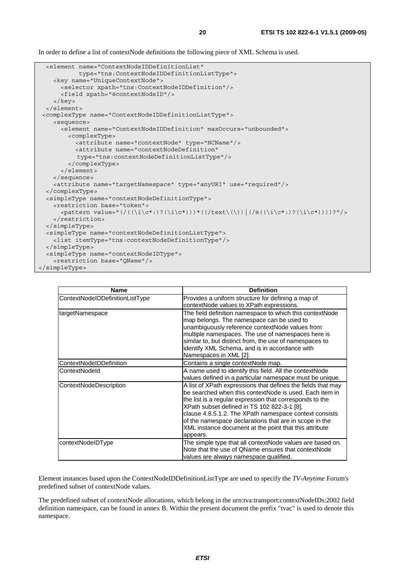In order to define a list of contextNode definitions the following piece of XML Schema is used.

```
 <element name="ContextNodeIDDefinitionList" 
            type="tns:ContextNodeIDDefinitionListType"> 
     <key name="UniqueContextNode"> 
       <selector xpath="tns:ContextNodeIDDefinition"/> 
       <field xpath="@contextNodeID"/> 
     </key> 
   </element> 
 <complexType name="ContextNodeIDDefinitionListType"> 
     <sequence> 
       <element name="ContextNodeIDDefinition" maxOccurs="unbounded"> 
         <complexType> 
           <attribute name="contextNode" type="NCName"/> 
           <attribute name="contextNodeDefinition" 
            type="tns:contextNodeDefinitionListType"/> 
         </complexType> 
       </element> 
     </sequence> 
     <attribute name="targetNamespace" type="anyURI" use="required"/> 
  </complexType> 
   <simpleType name="contextNodeDefinitionType"> 
     <restriction base="token"> 
      \langle <pattern value="(/(\langle i\cdot\rangle)?(\i\c*:)?(\i\c*)))*((/text\(\))|(/@((\i\c*:)?(\i\c*))))?"/>
     </restriction> 
  </simpleType> 
   <simpleType name="contextNodeDefinitionListType"> 
     <list itemType="tns:contextNodeDefinitionType"/> 
   </simpleType> 
   <simpleType name="contextNodeIDType"> 
     <restriction base="QName"/> 
</simpleType>
```

| <b>Name</b>                     | <b>Definition</b>                                                                                                                                                                                                                                                                                                                                                                                                            |
|---------------------------------|------------------------------------------------------------------------------------------------------------------------------------------------------------------------------------------------------------------------------------------------------------------------------------------------------------------------------------------------------------------------------------------------------------------------------|
| ContextNodeIDDefinitionListType | Provides a uniform structure for defining a map of<br>contextNode values to XPath expressions.                                                                                                                                                                                                                                                                                                                               |
| targetNamespace                 | The field definition namespace to which this contextNode<br>map belongs. The namespace can be used to<br>unambiguously reference contextNode values from<br>multiple namespaces. The use of namespaces here is<br>similar to, but distinct from, the use of namespaces to<br>identify XML Schema, and is in accordance with<br>Namespaces in XML [2].                                                                        |
| ContextNodeIDDefinition         | Contains a single contextNode map.                                                                                                                                                                                                                                                                                                                                                                                           |
| ContextNodeld                   | A name used to identify this field. All the contextNode<br>values defined in a particular namespace must be unique.                                                                                                                                                                                                                                                                                                          |
| <b>ContextNodeDescription</b>   | A list of XPath expressions that defines the fields that may<br>be searched when this contextNode is used. Each item in<br>the list is a regular expression that corresponds to the<br>XPath subset defined in TS 102 822-3-1 [8],<br>clause 4.8.5.1.2. The XPath namespace context consists<br>of the namespace declarations that are in scope in the<br>XML instance document at the point that this attribute<br>appears. |
| contextNodeIDType               | The simple type that all contextNode values are based on.<br>Note that the use of QName ensures that contextNode<br>values are always namespace qualified.                                                                                                                                                                                                                                                                   |

Element instances based upon the ContextNodeIDDefinitionListType are used to specify the *TV-Anytime* Forum's predefined subset of contextNode values.

The predefined subset of contextNode allocations, which belong in the urn:tva:transport:contextNodeIDs:2002 field definition namespace, can be found in annex B. Within the present document the prefix "tvac" is used to denote this namespace.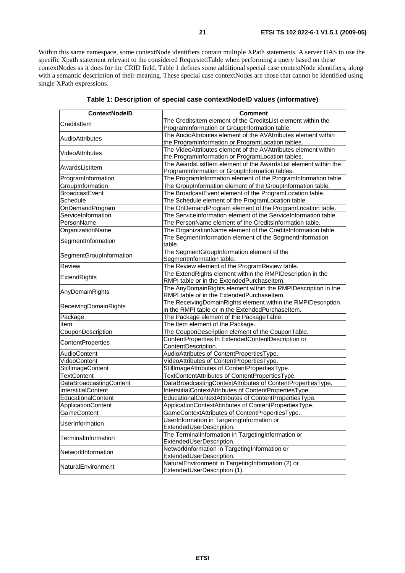Within this same namespace, some contextNode identifiers contain multiple XPath statements. A server HAS to use the specific Xpath statement relevant to the considered RequestedTable when performing a query based on these contextNodes as it does for the CRID field. Table 1 defines some additional special case contextNode identifiers, along with a semantic description of their meaning. These special case contextNodes are those that cannot be identified using single XPath expressions.

| <b>ContextNodelD</b>      | Comment                                                         |
|---------------------------|-----------------------------------------------------------------|
| CreditsItem               | The CreditsItem element of the CreditsList element within the   |
|                           | ProgramInformation or GroupInformation table.                   |
| <b>AudioAttributes</b>    | The AudioAttributes element of the AVAtrributes element within  |
|                           | the ProgramInformation or ProgramLocation tables.               |
| VideoAttributes           | The VideoAttributes element of the AVAtrributes element within  |
|                           | the ProgramInformation or ProgramLocation tables.               |
| AwardsListItem            | The AwardsListItem element of the AwardsList element within the |
|                           | ProgramInformation or GroupInformation tables.                  |
| ProgramInformation        | The ProgramInformation element of the ProgramInformation table. |
| GroupInformation          | The GroupInformation element of the GroupInformation table.     |
| BroadcastEvent            | The BroadcastEvent element of the ProgramLocation table.        |
| Schedule                  | The Schedule element of the ProgramLocation table.              |
| OnDemandProgram           | The OnDemandProgram element of the ProgramLocation table.       |
| ServiceInformation        | The ServiceInformation element of the ServiceInformation table. |
| PersonName                | The PersonName element of the CreditsInformation table.         |
| OrganizationName          | The OrganizationName element of the CreditsInformation table.   |
| SegmentInformation        | The SegmentInformation element of the SegmentInformation        |
|                           | table.                                                          |
| SegmentGroupInformation   | The SegmentGroupInformation element of the                      |
|                           | SegmentInformation table.                                       |
| <b>Review</b>             | The Review element of the ProgramReview table.                  |
| ExtendRights              | The ExtendRights element within the RMPIDescription in the      |
|                           | RMPI table or in the ExtendedPurchaseItem.                      |
| AnyDomainRights           | The AnyDomainRights element within the RMPIDescription in the   |
|                           | RMPI table or in the ExtendedPurchaseItem.                      |
| ReceivingDomainRights     | The ReceivingDomainRights element within the RMPIDescription    |
|                           | in the RMPI table or in the ExtendedPurchaseItem.               |
| Package                   | The Package element of the PackageTable.                        |
| Item                      | The Item element of the Package.                                |
| CouponDescription         | The CouponDescription element of the CouponTable.               |
| ContentProperties         | ContentProperties In ExtendedContentDescription or              |
|                           | ContentDescription.                                             |
| AudioContent              | AudioAttributes of ContentPropertiesType.                       |
| VideoContent              | VideoAttributes of ContentPropertiesType.                       |
| StillImageContent         | StillImageAttributes of ContentPropertiesType.                  |
| <b>TextContent</b>        | TextContentAttributes of ContentPropertiesType.                 |
| DataBroadcastingContent   | DataBroadcastingContextAttributes of ContentPropertiesType.     |
| InterstitialContent       | InterstitialContextAttributes of ContentPropertiesType.         |
| EducationalContent        | EducationalContextAttributes of ContentPropertiesType.          |
| <b>ApplicationContent</b> | ApplicationContextAttributes of ContentPropertiesType.          |
| GameContent               | GameContextAttributes of ContentPropertiesType.                 |
| <b>UserInformation</b>    | UserInformation in TargetingInformation or                      |
|                           | ExtendedUserDescription.                                        |
| TerminalInformation       | The TerminalInformation in TargetingInformation or              |
|                           | ExtendedUserDescription.                                        |
| NetworkInformation        | NetworkInformation in TargetingInformation or                   |
|                           | ExtendedUserDescription.                                        |
| NaturalEnvironment        | NaturalEnvironment in TargetingInformation (2) or               |
|                           | ExtendedUserDescription (1).                                    |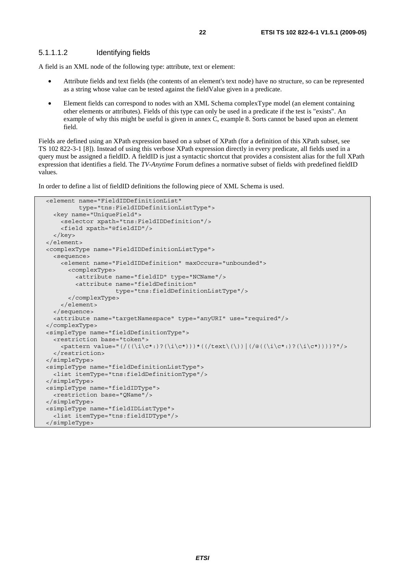#### 5.1.1.1.2 Identifying fields

A field is an XML node of the following type: attribute, text or element:

- Attribute fields and text fields (the contents of an element's text node) have no structure, so can be represented as a string whose value can be tested against the fieldValue given in a predicate.
- Element fields can correspond to nodes with an XML Schema complexType model (an element containing other elements or attributes). Fields of this type can only be used in a predicate if the test is "exists". An example of why this might be useful is given in annex C, example 8. Sorts cannot be based upon an element field.

Fields are defined using an XPath expression based on a subset of XPath (for a definition of this XPath subset, see TS 102 822-3-1 [8]). Instead of using this verbose XPath expression directly in every predicate, all fields used in a query must be assigned a fieldID. A fieldID is just a syntactic shortcut that provides a consistent alias for the full XPath expression that identifies a field. The *TV-Anytime* Forum defines a normative subset of fields with predefined fieldID values.

In order to define a list of fieldID definitions the following piece of XML Schema is used.

```
 <element name="FieldIDDefinitionList" 
          type="tns:FieldIDDefinitionListType"> 
   <key name="UniqueField"> 
     <selector xpath="tns:FieldIDDefinition"/> 
     <field xpath="@fieldID"/> 
   </key> 
 </element> 
 <complexType name="FieldIDDefinitionListType"> 
   <sequence> 
     <element name="FieldIDDefinition" maxOccurs="unbounded"> 
       <complexType> 
         <attribute name="fieldID" type="NCName"/> 
         <attribute name="fieldDefinition" 
                     type="tns:fieldDefinitionListType"/> 
       </complexType> 
     </element> 
   </sequence> 
   <attribute name="targetNamespace" type="anyURI" use="required"/> 
 </complexType> 
 <simpleType name="fieldDefinitionType"> 
   <restriction base="token"> 
     <pattern value="(/((\i\c*:)?(\i\c*)))*((/text\(\))|(/@((\i\c*:)?(\i\c*))))?"/> 
  </restriction>
 </simpleType> 
 <simpleType name="fieldDefinitionListType"> 
   <list itemType="tns:fieldDefinitionType"/> 
 </simpleType> 
 <simpleType name="fieldIDType"> 
   <restriction base="QName"/> 
 </simpleType> 
 <simpleType name="fieldIDListType"> 
   <list itemType="tns:fieldIDType"/> 
 </simpleType>
```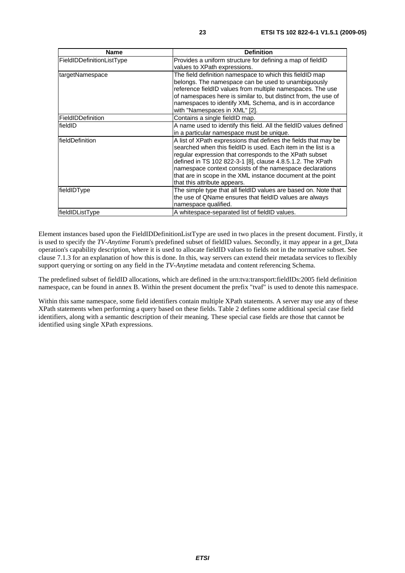| <b>Name</b>               | <b>Definition</b>                                                                                                                                                                                                                                                                                                                                                                                                     |
|---------------------------|-----------------------------------------------------------------------------------------------------------------------------------------------------------------------------------------------------------------------------------------------------------------------------------------------------------------------------------------------------------------------------------------------------------------------|
| FieldIDDefinitionListType | Provides a uniform structure for defining a map of fieldID<br>values to XPath expressions.                                                                                                                                                                                                                                                                                                                            |
| targetNamespace           | The field definition namespace to which this fieldID map<br>belongs. The namespace can be used to unambiguously<br>reference fieldID values from multiple namespaces. The use<br>of namespaces here is similar to, but distinct from, the use of<br>namespaces to identify XML Schema, and is in accordance<br>with "Namespaces in XML" [2].                                                                          |
| FieldIDDefinition         | Contains a single fieldID map.                                                                                                                                                                                                                                                                                                                                                                                        |
| fieldID                   | A name used to identify this field. All the fieldID values defined<br>in a particular namespace must be unique.                                                                                                                                                                                                                                                                                                       |
| <b>fieldDefinition</b>    | A list of XPath expressions that defines the fields that may be<br>searched when this fieldID is used. Each item in the list is a<br>regular expression that corresponds to the XPath subset<br>defined in TS 102 822-3-1 [8], clause 4.8.5.1.2. The XPath<br>namespace context consists of the namespace declarations<br>that are in scope in the XML instance document at the point<br>that this attribute appears. |
| fieldIDType               | The simple type that all fieldID values are based on. Note that<br>the use of QName ensures that fieldID values are always<br>namespace qualified.                                                                                                                                                                                                                                                                    |
| fieldIDListType           | A whitespace-separated list of fieldID values.                                                                                                                                                                                                                                                                                                                                                                        |

Element instances based upon the FieldIDDefinitionListType are used in two places in the present document. Firstly, it is used to specify the *TV-Anytime* Forum's predefined subset of fieldID values. Secondly, it may appear in a get\_Data operation's capability description, where it is used to allocate fieldID values to fields not in the normative subset. See clause 7.1.3 for an explanation of how this is done. In this, way servers can extend their metadata services to flexibly support querying or sorting on any field in the *TV-Anytime* metadata and content referencing Schema.

The predefined subset of fieldID allocations, which are defined in the urn:tva:transport:fieldIDs:2005 field definition namespace, can be found in annex B. Within the present document the prefix "tvaf" is used to denote this namespace.

Within this same namespace, some field identifiers contain multiple XPath statements. A server may use any of these XPath statements when performing a query based on these fields. Table 2 defines some additional special case field identifiers, along with a semantic description of their meaning. These special case fields are those that cannot be identified using single XPath expressions.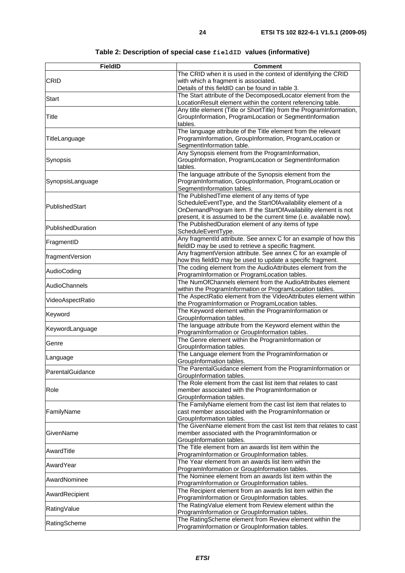| <b>FieldID</b>    | <b>Comment</b>                                                                                                                                                                                                                                           |
|-------------------|----------------------------------------------------------------------------------------------------------------------------------------------------------------------------------------------------------------------------------------------------------|
| <b>CRID</b>       | The CRID when it is used in the context of identifying the CRID<br>with which a fragment is associated.<br>Details of this fieldID can be found in table 3.                                                                                              |
| <b>Start</b>      | The Start attribute of the DecomposedLocator element from the<br>LocationResult element within the content referencing table.                                                                                                                            |
| Title             | Any title element (Title or ShortTitle) from the ProgramInformation,<br>GroupInformation, ProgramLocation or SegmentInformation<br>tables.                                                                                                               |
| TitleLanguage     | The language attribute of the Title element from the relevant<br>ProgramInformation, GroupInformation, ProgramLocation or<br>SegmentInformation table.                                                                                                   |
| Synopsis          | Any Synopsis element from the ProgramInformation,<br>GroupInformation, ProgramLocation or SegmentInformation<br>tables.                                                                                                                                  |
| SynopsisLanguage  | The language attribute of the Synopsis element from the<br>ProgramInformation, GroupInformation, ProgramLocation or<br>SegmentInformation tables.                                                                                                        |
| PublishedStart    | The Published Time element of any items of type<br>ScheduleEventType, and the StartOfAvailability element of a<br>OnDemandProgram item. If the StartOfAvailability element is not<br>present, it is assumed to be the current time (i.e. available now). |
| PublishedDuration | The PublishedDuration element of any items of type<br>ScheduleEventType.                                                                                                                                                                                 |
| FragmentID        | Any fragmentId attribute. See annex C for an example of how this<br>fieldID may be used to retrieve a specific fragment.                                                                                                                                 |
| fragmentVersion   | Any fragmentVersion attribute. See annex C for an example of<br>how this fieldID may be used to update a specific fragment.                                                                                                                              |
| AudioCoding       | The coding element from the AudioAttributes element from the<br>ProgramInformation or ProgramLocation tables.                                                                                                                                            |
| AudioChannels     | The NumOfChannels element from the AudioAttributes element<br>within the ProgramInformation or ProgramLocation tables.                                                                                                                                   |
| VideoAspectRatio  | The AspectRatio element from the VideoAttributes element within<br>the ProgramInformation or ProgramLocation tables.                                                                                                                                     |
| Keyword           | The Keyword element within the ProgramInformation or<br>GroupInformation tables.                                                                                                                                                                         |
| KeywordLanguage   | The language attribute from the Keyword element within the<br>ProgramInformation or GroupInformation tables.                                                                                                                                             |
| Genre             | The Genre element within the ProgramInformation or<br>GroupInformation tables.                                                                                                                                                                           |
| Language          | The Language element from the ProgramInformation or<br>GroupInformation tables.                                                                                                                                                                          |
| ParentalGuidance  | The ParentalGuidance element from the ProgramInformation or<br>GroupInformation tables.                                                                                                                                                                  |
| Role              | The Role element from the cast list item that relates to cast<br>member associated with the ProgramInformation or<br>GroupInformation tables.                                                                                                            |
| FamilyName        | The FamilyName element from the cast list item that relates to<br>cast member associated with the ProgramInformation or<br>GroupInformation tables.                                                                                                      |
| GivenName         | The GivenName element from the cast list item that relates to cast<br>member associated with the ProgramInformation or<br>GroupInformation tables.                                                                                                       |
| AwardTitle        | The Title element from an awards list item within the<br>ProgramInformation or GroupInformation tables.                                                                                                                                                  |
| AwardYear         | The Year element from an awards list item within the<br>ProgramInformation or GroupInformation tables.                                                                                                                                                   |
| AwardNominee      | The Nominee element from an awards list item within the<br>ProgramInformation or GroupInformation tables.                                                                                                                                                |
| AwardRecipient    | The Recipient element from an awards list item within the<br>ProgramInformation or GroupInformation tables.                                                                                                                                              |
| RatingValue       | The RatingValue element from Review element within the<br>ProgramInformation or GroupInformation tables.                                                                                                                                                 |
| RatingScheme      | The RatingScheme element from Review element within the<br>ProgramInformation or GroupInformation tables.                                                                                                                                                |

### **Table 2: Description of special case fieldID values (informative)**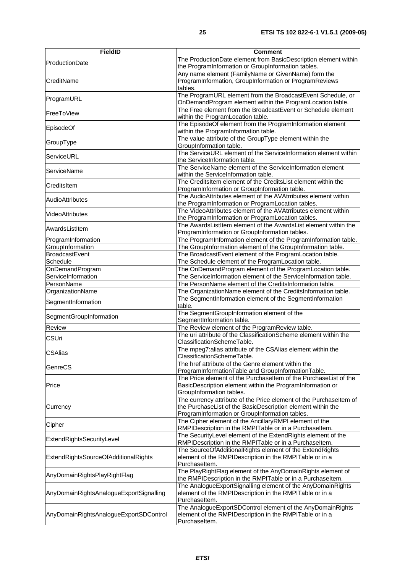| <b>FieldID</b>                          | <b>Comment</b>                                                                                                                                                                      |
|-----------------------------------------|-------------------------------------------------------------------------------------------------------------------------------------------------------------------------------------|
| <b>ProductionDate</b>                   | The ProductionDate element from BasicDescription element within<br>the ProgramInformation or GroupInformation tables.                                                               |
| CreditName                              | Any name element (FamilyName or GivenName) form the<br>ProgramInformation, GroupInformation or ProgramReviews<br>tables.                                                            |
| ProgramURL                              | The ProgramURL element from the BroadcastEvent Schedule, or<br>OnDemandProgram element within the ProgramLocation table.                                                            |
| FreeToView                              | The Free element from the BroadcastEvent or Schedule element<br>within the ProgramLocation table.                                                                                   |
| EpisodeOf                               | The EpisodeOf element from the ProgramInformation element<br>within the ProgramInformation table.                                                                                   |
| GroupType                               | The value attribute of the GroupType element within the<br>GroupInformation table.                                                                                                  |
| ServiceURL                              | The ServiceURL element of the ServiceInformation element within<br>the ServiceInformation table.                                                                                    |
| ServiceName                             | The ServiceName element of the ServiceInformation element<br>within the ServiceInformation table.                                                                                   |
| CreditsItem                             | The CreditsItem element of the CreditsList element within the<br>ProgramInformation or GroupInformation table.                                                                      |
| <b>AudioAttributes</b>                  | The AudioAttributes element of the AVAtrributes element within<br>the ProgramInformation or ProgramLocation tables.                                                                 |
| VideoAttributes                         | The VideoAttributes element of the AVAtrributes element within<br>the ProgramInformation or ProgramLocation tables.                                                                 |
| AwardsListItem                          | The AwardsListItem element of the AwardsList element within the<br>ProgramInformation or GroupInformation tables.                                                                   |
| ProgramInformation                      | The ProgramInformation element of the ProgramInformation table.                                                                                                                     |
| GroupInformation                        | The GroupInformation element of the GroupInformation table.                                                                                                                         |
| <b>BroadcastEvent</b>                   | The BroadcastEvent element of the ProgramLocation table.                                                                                                                            |
| Schedule                                | The Schedule element of the ProgramLocation table.                                                                                                                                  |
| OnDemandProgram                         | The OnDemandProgram element of the ProgramLocation table.                                                                                                                           |
| ServiceInformation                      | The ServiceInformation element of the ServiceInformation table.                                                                                                                     |
| PersonName                              | The PersonName element of the CreditsInformation table.                                                                                                                             |
| OrganizationName                        | The OrganizationName element of the CreditsInformation table.                                                                                                                       |
| SegmentInformation                      | The SegmentInformation element of the SegmentInformation<br>table.                                                                                                                  |
| SegmentGroupInformation                 | The SegmentGroupInformation element of the<br>SegmentInformation table.                                                                                                             |
| Review                                  | The Review element of the ProgramReview table.                                                                                                                                      |
| <b>CSUri</b>                            | The uri attribute of the ClassificationScheme element within the<br>ClassificationSchemeTable.                                                                                      |
| <b>CSAlias</b>                          | The mpeg7:alias attribute of the CSAlias element within the<br>ClassificationSchemeTable.                                                                                           |
| GenreCS                                 | The href attribute of the Genre element within the<br>ProgramInformationTable and GroupInformationTable.                                                                            |
| Price                                   | The Price element of the Purchaseltem of the PurchaseList of the<br>BasicDescription element within the ProgramInformation or<br>GroupInformation tables.                           |
| Currency                                | The currency attribute of the Price element of the Purchaseltem of<br>the PurchaseList of the BasicDescription element within the<br>ProgramInformation or GroupInformation tables. |
| Cipher                                  | The Cipher element of the AncillaryRMPI element of the<br>RMPIDescription in the RMPITable or in a Purchaseltem.                                                                    |
| ExtendRightsSecurityLevel               | The SecurityLevel element of the ExtendRights element of the<br>RMPIDescription in the RMPITable or in a Purchaseltem.                                                              |
| ExtendRightsSourceOfAdditionalRights    | The SourceOfAdditionalRights element of the ExtendRights<br>element of the RMPIDescription in the RMPITable or in a<br>Purchaseltem.                                                |
| AnyDomainRightsPlayRightFlag            | The PlayRightFlag element of the AnyDomainRights element of<br>the RMPIDescription in the RMPITable or in a Purchaseltem.                                                           |
| AnyDomainRightsAnalogueExportSignalling | The AnalogueExportSignalling element of the AnyDomainRights<br>element of the RMPIDescription in the RMPITable or in a<br>Purchaseltem.                                             |
| AnyDomainRightsAnalogueExportSDControl  | The AnalogueExportSDControl element of the AnyDomainRights<br>element of the RMPIDescription in the RMPITable or in a<br>Purchaseltem.                                              |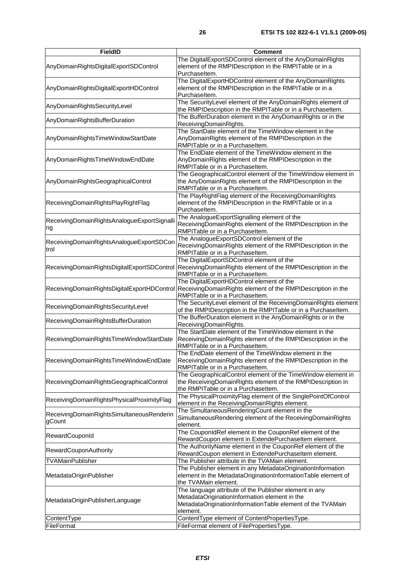| <b>FieldID</b>                                      | <b>Comment</b>                                                                                                                                                                    |
|-----------------------------------------------------|-----------------------------------------------------------------------------------------------------------------------------------------------------------------------------------|
| AnyDomainRightsDigitalExportSDControl               | The DigitalExportSDControl element of the AnyDomainRights<br>element of the RMPIDescription in the RMPITable or in a<br>Purchaseltem.                                             |
| AnyDomainRightsDigitalExportHDControl               | The DigitalExportHDControl element of the AnyDomainRights<br>element of the RMPIDescription in the RMPITable or in a<br>Purchaseltem.                                             |
| AnyDomainRightsSecurityLevel                        | The SecurityLevel element of the AnyDomainRights element of<br>the RMPIDescription in the RMPITable or in a PurchaseItem.                                                         |
| AnyDomainRightsBufferDuration                       | The BufferDuration element in the AnyDomainRights or in the<br>ReceivingDomainRights.                                                                                             |
| AnyDomainRightsTimeWindowStartDate                  | The StartDate element of the TimeWindow element in the<br>AnyDomainRights element of the RMPIDescription in the<br>RMPITable or in a Purchaseltem.                                |
| AnyDomainRightsTimeWindowEndDate                    | The EndDate element of the TimeWindow element in the<br>AnyDomainRights element of the RMPIDescription in the<br>RMPITable or in a Purchaseltem.                                  |
| AnyDomainRightsGeographicalControl                  | The GeographicalControl element of the TimeWindow element in<br>the AnyDomainRights element of the RMPIDescription in the<br>RMPITable or in a Purchaseltem.                      |
| ReceivingDomainRightsPlayRightFlag                  | The PlayRightFlag element of the ReceivingDomainRights<br>element of the RMPIDescription in the RMPITable or in a<br>Purchaseltem.                                                |
| ReceivingDomainRightsAnalogueExportSignalli<br>ng   | The AnalogueExportSignalling element of the<br>ReceivingDomainRights element of the RMPIDescription in the<br>RMPITable or in a Purchaseltem.                                     |
| ReceivingDomainRightsAnalogueExportSDCon<br>trol    | The AnalogueExportSDControl element of the<br>ReceivingDomainRights element of the RMPIDescription in the<br>RMPITable or in a Purchaseltem.                                      |
| ReceivingDomainRightsDigitalExportSDControl         | The DigitalExportSDControl element of the<br>ReceivingDomainRights element of the RMPIDescription in the<br>RMPITable or in a Purchaseltem.                                       |
| ReceivingDomainRightsDigitalExportHDControl         | The DigitalExportHDControl element of the<br>ReceivingDomainRights element of the RMPIDescription in the<br>RMPITable or in a Purchaseltem.                                       |
| ReceivingDomainRightsSecurityLevel                  | The SecurityLevel element of the ReceivingDomainRights element<br>of the RMPIDescription in the RMPITable or in a Purchaseltem.                                                   |
| ReceivingDomainRightsBufferDuration                 | The BufferDuration element in the AnyDomainRights or in the<br>ReceivingDomainRights.                                                                                             |
| ReceivingDomainRightsTimeWindowStartDate            | The StartDate element of the TimeWindow element in the<br>ReceivingDomainRights element of the RMPIDescription in the<br>RMPITable or in a Purchaseltem.                          |
| ReceivingDomainRightsTimeWindowEndDate              | The EndDate element of the TimeWindow element in the<br>ReceivingDomainRights element of the RMPIDescription in the<br>RMPITable or in a Purchaseltem.                            |
| ReceivingDomainRightsGeographicalControl            | The GeographicalControl element of the TimeWindow element in<br>the ReceivingDomainRights element of the RMPIDescription in<br>the RMPITable or in a Purchaseltem.                |
| ReceivingDomainRightsPhysicalProximityFlag          | The PhysicalProximityFlag element of the SinglePointOfControl<br>element in the ReceivingDomainRights element.                                                                    |
| ReceivingDomainRightsSimultaneousRenderin<br>gCount | The SimultaneousRenderingCount element in the<br>SimultaneousRendering element of the ReceivingDomainRights<br>element.                                                           |
| RewardCouponId                                      | The CouponIdRef element in the CouponRef element of the<br>RewardCoupon element in ExtendePurchaseItem element.                                                                   |
| RewardCouponAuthority                               | The AuthorityName element in the CouponRef element of the<br>RewardCoupon element in ExtendePurchaseltem element.                                                                 |
| TVAMainPublisher                                    | The Publisher attribute in the TVAMain element.                                                                                                                                   |
| MetadataOriginPublisher                             | The Publisher element in any MetadataOriginationInformation<br>element in the MetadataOriginationInformationTable element of<br>the TVAMain element.                              |
| MetadataOriginPublisherLanguage                     | The language attribute of the Publisher element in any<br>MetadataOriginationInformation element in the<br>MetadataOriginationInformationTable element of the TVAMain<br>element. |
| ContentType                                         | ContentType element of ContentPropertiesType.                                                                                                                                     |
| FileFormat                                          | FileFormat element of FilePropertiesType.                                                                                                                                         |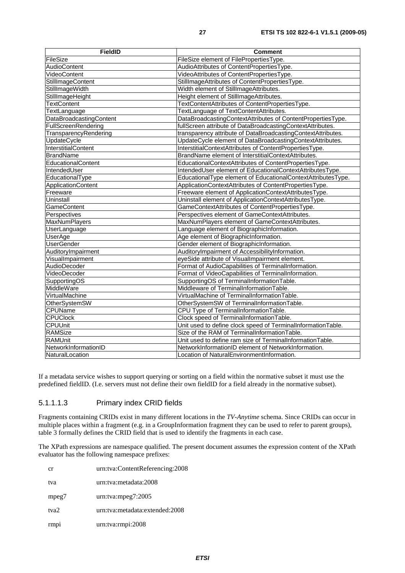| <b>FieldID</b>             | Comment                                                      |
|----------------------------|--------------------------------------------------------------|
| FileSize                   | FileSize element of FilePropertiesType.                      |
| AudioContent               | AudioAttributes of ContentPropertiesType.                    |
| VideoContent               | VideoAttributes of ContentPropertiesType.                    |
| <b>StillImageContent</b>   | StillImageAttributes of ContentPropertiesType.               |
| StillImageWidth            | Width element of StillImageAttributes.                       |
| StillImageHeight           | Height element of StillImageAttributes.                      |
| <b>TextContent</b>         | TextContentAttributes of ContentPropertiesType.              |
| TextLanguage               | TextLanguage of TextContentAttributes.                       |
| DataBroadcastingContent    | DataBroadcastingContextAttributes of ContentPropertiesType.  |
| FullScreenRendering        | fullScreen attribute of DataBroadcastingContextAttributes.   |
| TransparencyRendering      | transparency attribute of DataBroadcastingContextAttributes. |
| UpdateCycle                | UpdateCycle element of DataBroadcastingContextAttributes.    |
| <b>InterstitialContent</b> | InterstitialContextAttributes of ContentPropertiesType.      |
| <b>BrandName</b>           | BrandName element of InterstitialContextAttributes.          |
| EducationalContent         | EducationalContextAttributes of ContentPropertiesType.       |
| IntendedUser               | IntendedUser element of EducationalContextAttributesType.    |
| EducationalType            | EducationalType element of EducationalContextAttributesType. |
| ApplicationContent         | ApplicationContextAttributes of ContentPropertiesType.       |
| Freeware                   | Freeware element of ApplicationContextAttributesType.        |
| Uninstall                  | Uninstall element of ApplicationContextAttributesType.       |
| <b>GameContent</b>         | GameContextAttributes of ContentPropertiesType.              |
| Perspectives               | Perspectives element of GameContextAttributes.               |
| <b>MaxNumPlayers</b>       | MaxNumPlayers element of GameContextAttributes.              |
| UserLanguage               | Language element of BiographicInformation.                   |
| <b>UserAge</b>             | Age element of BiographicInformation.                        |
| <b>UserGender</b>          | Gender element of BiographicInformation.                     |
| AuditoryImpairment         | AuditoryImpairment of AccessibilityInformation.              |
| VisualImpairment           | eyeSide attribute of VisualImpairment element.               |
| AudioDecoder               | Format of AudioCapabilities of TerminalInformation.          |
| VideoDecoder               | Format of VideoCapabilities of TerminalInformation.          |
| SupportingOS               | SupportingOS of TerminalInformationTable.                    |
| MiddleWare                 | Middleware of TerminalInformationTable.                      |
| VirtualMachine             | VirtualMachine of TerminalInformationTable.                  |
| <b>OtherSystemSW</b>       | OtherSystemSW of TerminalInformationTable.                   |
| CPUName                    | CPU Type of TerminalInformationTable.                        |
| <b>CPUClock</b>            | Clock speed of TerminalInformationTable.                     |
| <b>CPUUnit</b>             | Unit used to define clock speed of TerminalInformationTable. |
| RAMSize                    | Size of the RAM of TerminalInformationTable.                 |
| <b>RAMUnit</b>             | Unit used to define ram size of TerminalInformationTable.    |
| NetworkInformationID       | NetworkInformationID element of NetworkInformation.          |
| NaturalLocation            | Location of NaturalEnvironmentInformation.                   |

If a metadata service wishes to support querying or sorting on a field within the normative subset it must use the predefined fieldID. (I.e. servers must not define their own fieldID for a field already in the normative subset).

#### 5.1.1.1.3 Primary index CRID fields

Fragments containing CRIDs exist in many different locations in the *TV-Anytime* schema. Since CRIDs can occur in multiple places within a fragment (e.g. in a GroupInformation fragment they can be used to refer to parent groups), table 3 formally defines the CRID field that is used to identify the fragments in each case.

The XPath expressions are namespace qualified. The present document assumes the expression content of the XPath evaluator has the following namespace prefixes:

| cr               | urn:tva:ContentReferencing:2008 |
|------------------|---------------------------------|
| tva              | urn:tva:metadata:2008           |
| mpeg7            | $urn:$ tva: $mpeg7:2005$        |
| tva <sub>2</sub> | urn:tva:metadata:extended:2008  |
| rmp <sub>1</sub> | urn:tva:rmpi:2008               |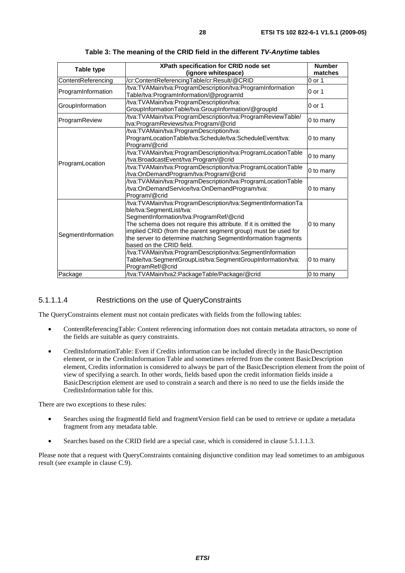| Table type         | XPath specification for CRID node set<br>(ignore whitespace)                                                                                                                                                                                                                                                                                                          | <b>Number</b><br>matches |
|--------------------|-----------------------------------------------------------------------------------------------------------------------------------------------------------------------------------------------------------------------------------------------------------------------------------------------------------------------------------------------------------------------|--------------------------|
| ContentReferencing | /cr:ContentReferencingTable/cr:Result/@CRID                                                                                                                                                                                                                                                                                                                           | $0$ or 1                 |
| ProgramInformation | /tva:TVAMain/tva:ProgramDescription/tva:ProgramInformation<br>Table/tva:ProgramInformation/@programId                                                                                                                                                                                                                                                                 | 0 or 1                   |
| GroupInformation   | /tva:TVAMain/tva:ProgramDescription/tva:<br>GroupInformationTable/tva:GroupInformation/@groupId                                                                                                                                                                                                                                                                       | 0 or 1                   |
| ProgramReview      | /tva:TVAMain/tva:ProgramDescription/tva:ProgramReviewTable/<br>tva:ProgramReviews/tva:Program/@crid                                                                                                                                                                                                                                                                   | 0 to many                |
| ProgramLocation    | /tva:TVAMain/tva:ProgramDescription/tva:<br>ProgramLocationTable/tva:Schedule/tva:ScheduleEvent/tva:<br>Program/@crid                                                                                                                                                                                                                                                 | 0 to many                |
|                    | /tva:TVAMain/tva:ProgramDescription/tva:ProgramLocationTable<br>/tva:BroadcastEvent/tva:Program/@crid                                                                                                                                                                                                                                                                 | 0 to many                |
|                    | /tva:TVAMain/tva:ProgramDescription/tva:ProgramLocationTable<br>/tva:OnDemandProgram/tva:Program/@crid                                                                                                                                                                                                                                                                | 0 to many                |
|                    | /tva:TVAMain/tva:ProgramDescription/tva:ProgramLocationTable<br>/tva:OnDemandService/tva:OnDemandProgram/tva:<br>Program/@crid                                                                                                                                                                                                                                        | 0 to many                |
| SegmentInformation | /tva:TVAMain/tva:ProgramDescription/tva:SegmentInformationTa<br>ble/tva:SegmentList/tva:<br>SegmentInformation/tva:ProgramRef/@crid<br>The schema does not require this attribute. If it is omitted the<br>implied CRID (from the parent segment group) must be used for<br>the server to determine matching SegmentInformation fragments<br>based on the CRID field. | 0 to many                |
|                    | /tva:TVAMain/tva:ProgramDescription/tva:SegmentInformation<br>Table/tva:SegmentGroupList/tva:SegmentGroupInformation/tva:<br>ProgramRef/@crid                                                                                                                                                                                                                         | 0 to many                |
| Package            | /tva:TVAMain/tva2:PackageTable/Package/@crid                                                                                                                                                                                                                                                                                                                          | 0 to many                |

**Table 3: The meaning of the CRID field in the different** *TV-Anytime* **tables** 

### 5.1.1.1.4 Restrictions on the use of QueryConstraints

The QueryConstraints element must not contain predicates with fields from the following tables:

- ContentReferencingTable: Content referencing information does not contain metadata attractors, so none of the fields are suitable as query constraints.
- CreditsInformationTable: Even if Credits information can be included directly in the BasicDescription element, or in the CreditsInformation Table and sometimes referred from the content BasicDescription element, Credits information is considered to always be part of the BasicDescription element from the point of view of specifying a search. In other words, fields based upon the credit information fields inside a BasicDescription element are used to constrain a search and there is no need to use the fields inside the CreditsInformation table for this.

There are two exceptions to these rules:

- Searches using the fragmentId field and fragmentVersion field can be used to retrieve or update a metadata fragment from any metadata table.
- Searches based on the CRID field are a special case, which is considered in clause 5.1.1.1.3.

Please note that a request with QueryConstraints containing disjunctive condition may lead sometimes to an ambiguous result (see example in clause C.9).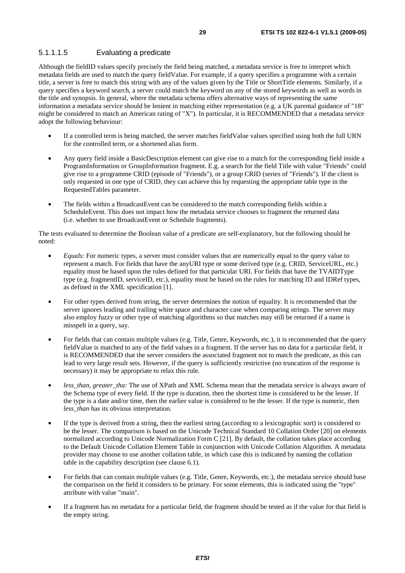### 5.1.1.1.5 Evaluating a predicate

Although the fieldID values specify precisely the field being matched, a metadata service is free to interpret which metadata fields are used to match the query fieldValue. For example, if a query specifies a programme with a certain title, a server is free to match this string with any of the values given by the Title or ShortTitle elements. Similarly, if a query specifies a keyword search, a server could match the keyword on any of the stored keywords as well as words in the title and synopsis. In general, where the metadata schema offers alternative ways of representing the same information a metadata service should be lenient in matching either representation (e.g. a UK parental guidance of "18" might be considered to match an American rating of "X"). In particular, it is RECOMMENDED that a metadata service adopt the following behaviour:

- If a controlled term is being matched, the server matches fieldValue values specified using both the full URN for the controlled term, or a shortened alias form.
- Any query field inside a BasicDescription element can give rise to a match for the corresponding field inside a ProgramInformation or GroupInformation fragment. E.g. a search for the field Title with value "Friends" could give rise to a programme CRID (episode of "Friends"), or a group CRID (series of "Friends"). If the client is only requested in one type of CRID, they can achieve this by requesting the appropriate table type in the RequestedTables parameter.
- The fields within a BroadcastEvent can be considered to the match corresponding fields within a ScheduleEvent. This does not impact how the metadata service chooses to fragment the returned data (i.e. whether to use BroadcastEvent or Schedule fragments).

The tests evaluated to determine the Boolean value of a predicate are self-explanatory, but the following should be noted:

- *Equals*: For numeric types, a server must consider values that are numerically equal to the query value to represent a match. For fields that have the anyURI type or some derived type (e.g. CRID, ServiceURL, etc.) equality must be based upon the rules defined for that particular URI. For fields that have the TVAIDType type (e.g. fragmentID, serviceID, etc.), equality must be based on the rules for matching ID and IDRef types, as defined in the XML specification [1].
- For other types derived from string, the server determines the notion of equality. It is recommended that the server ignores leading and trailing white space and character case when comparing strings. The server may also employ fuzzy or other type of matching algorithms so that matches may still be returned if a name is misspelt in a query, say.
- For fields that can contain multiple values (e.g. Title, Genre, Keywords, etc.), it is recommended that the query fieldValue is matched to any of the field values in a fragment. If the server has no data for a particular field, it is RECOMMENDED that the server considers the associated fragment not to match the predicate, as this can lead to very large result sets. However, if the query is sufficiently restrictive (no truncation of the response is necessary) it may be appropriate to relax this rule.
- less than, greater tha: The use of XPath and XML Schema mean that the metadata service is always aware of the Schema type of every field. If the type is duration, then the shortest time is considered to be the lesser. If the type is a date and/or time, then the earlier value is considered to be the lesser. If the type is numeric, then *less*\_*than* has its obvious interpretation.
- If the type is derived from a string, then the earliest string (according to a lexicographic sort) is considered to be the lesser. The comparison is based on the Unicode Technical Standard 10 Collation Order [20] on elements normalized according to Unicode Normalization Form C [21]. By default, the collation takes place according to the Default Unicode Collation Element Table in conjunction with Unicode Collation Algorithm. A metadata provider may choose to use another collation table, in which case this is indicated by naming the collation table in the capability description (see clause 6.1).
- For fields that can contain multiple values (e.g. Title, Genre, Keywords, etc.), the metadata service should base the comparison on the field it considers to be primary. For some elements, this is indicated using the "type" attribute with value "main".
- If a fragment has no metadata for a particular field, the fragment should be tested as if the value for that field is the empty string.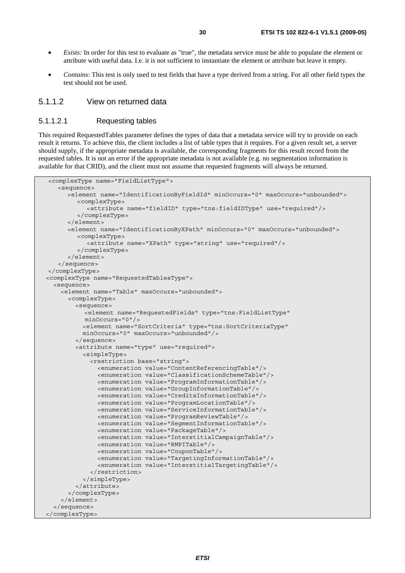- *Exists:* In order for this test to evaluate as "true", the metadata service must be able to populate the element or attribute with useful data. I.e. it is not sufficient to instantiate the element or attribute but leave it empty.
- *Contains*: This test is only used to test fields that have a type derived from a string. For all other field types the test should not be used.

### 5.1.1.2 View on returned data

#### 5.1.1.2.1 Requesting tables

This required RequestedTables parameter defines the types of data that a metadata service will try to provide on each result it returns. To achieve this, the client includes a list of table types that it requires. For a given result set, a server should supply, if the appropriate metadata is available, the corresponding fragments for this result record from the requested tables. It is not an error if the appropriate metadata is not available (e.g. no segmentation information is available for that CRID), and the client must not assume that requested fragments will always be returned.

```
<complexType name="FieldListType"> 
    <sequence> 
       <element name="IdentificationByFieldId" minOccurs="0" maxOccurs="unbounded"> 
          <complexType> 
            <attribute name="fieldID" type="tns:fieldIDType" use="required"/> 
          </complexType> 
       </element> 
       <element name="IdentificationByXPath" minOccurs="0" maxOccurs="unbounded"> 
          <complexType> 
            <attribute name="XPath" type="string" use="required"/> 
          </complexType> 
       </element> 
    </sequence> 
</complexType> 
 <complexType name="RequestedTablesType"> 
   <sequence> 
     <element name="Table" maxOccurs="unbounded"> 
       <complexType> 
         <sequence> 
            <element name="RequestedFields" type="tns:FieldListType" 
            minOccurs="0"/> 
           <element name="SortCriteria" type="tns:SortCriteriaType" 
           minOccurs="0" maxOccurs="unbounded"/> 
         </sequence> 
         <attribute name="type" use="required"> 
           <simpleType> 
             <restriction base="string"> 
                <enumeration value="ContentReferencingTable"/> 
                <enumeration value="ClassificationSchemeTable"/> 
                <enumeration value="ProgramInformationTable"/> 
                <enumeration value="GroupInformationTable"/> 
                <enumeration value="CreditsInformationTable"/> 
                <enumeration value="ProgramLocationTable"/> 
                <enumeration value="ServiceInformationTable"/> 
                <enumeration value="ProgramReviewTable"/> 
                <enumeration value="SegmentInformationTable"/> 
                <enumeration value="PackageTable"/> 
                <enumeration value="InterstitialCampaignTable"/> 
                <enumeration value="RMPITable"/> 
                <enumeration value="CouponTable"/> 
                <enumeration value="TargetingInformationTable"/> 
                <enumeration value="InterstitialTargetingTable"/> 
             </restriction> 
           </simpleType> 
         </attribute> 
       </complexType> 
     </element> 
   </sequence> 
 </complexType>
```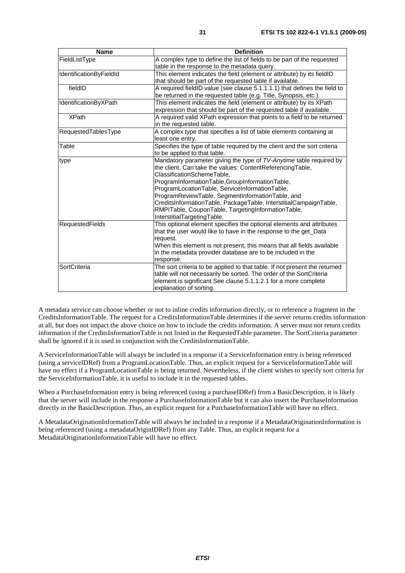| <b>Name</b>                    | <b>Definition</b>                                                          |
|--------------------------------|----------------------------------------------------------------------------|
| FieldListType                  | A complex type to define the list of fields to be part of the requested    |
|                                | table in the response to the metadata query.                               |
| <b>IdentificationByFieldId</b> | This element indicates the field (element or attribute) by its fieldID     |
|                                | that should be part of the requested table if available.                   |
| fieldID                        | A required fieldID value (see clause 5.1.1.1.1) that defines the field to  |
|                                | be returned in the requested table (e.g. Title, Synopsis, etc.).           |
| IdentificationByXPath          | This element indicates the field (element or attribute) by its XPath       |
|                                | expression that should be part of the requested table if available.        |
| <b>XPath</b>                   | A required valid XPath expression that points to a field to be returned    |
|                                | in the requested table.                                                    |
| RequestedTablesType            | A complex type that specifies a list of table elements containing at       |
|                                | least one entry.                                                           |
| Table                          | Specifies the type of table required by the client and the sort criteria   |
|                                | to be applied to that table.                                               |
| type                           | Mandatory parameter giving the type of TV-Anytime table required by        |
|                                | the client. Can take the values: ContentReferencingTable,                  |
|                                | ClassificationSchemeTable,                                                 |
|                                | ProgramInformationTable,GroupInformationTable,                             |
|                                | ProgramLocationTable, ServiceInformationTable,                             |
|                                | ProgramReviewTable, SegmentInformationTable, and                           |
|                                | CreditsInformationTable, PackageTable, InterstitialCampaignTable,          |
|                                | RMPITable, CouponTable, TargetingInformationTable,                         |
|                                | InterstitialTargetingTable.                                                |
| <b>RequestedFields</b>         | This optional element specifies the optional elements and attributes       |
|                                | that the user would like to have in the response to the get_Data           |
|                                | request.                                                                   |
|                                | When this element is not present, this means that all fields available     |
|                                | in the metadata provider database are to be included in the                |
|                                | response.                                                                  |
| SortCriteria                   | The sort criteria to be applied to that table. If not present the returned |
|                                | table will not necessarily be sorted. The order of the SortCriteria        |
|                                | element is significant See clause 5.1.1.2.1 for a more complete            |
|                                | explanation of sorting.                                                    |

A metadata service can choose whether or not to inline credits information directly, or to reference a fragment in the CreditsInformationTable. The request for a CreditsInformationTable determines if the server returns credits information at all, but does not impact the above choice on how to include the credits information. A server must not return credits information if the CreditsInformationTable is not listed in the RequestedTable parameter. The SortCriteria parameter shall be ignored if it is used in conjunction with the CreditsInformationTable.

A ServiceInformationTable will always be included in a response if a ServiceInformation entry is being referenced (using a serviceIDRef) from a ProgramLocationTable. Thus, an explicit request for a ServiceInformationTable will have no effect if a ProgramLocationTable is being returned. Nevertheless, if the client wishes to specify sort criteria for the ServiceInformationTable, it is useful to include it in the requested tables.

When a PurchaseInformation entry is being referenced (using a purchaseIDRef) from a BasicDescription, it is likely that the server will include in the response a PurchaseInformationTable but it can also insert the PurchaseInformation directly in the BasicDescription. Thus, an explicit request for a PurchaseInformationTable will have no effect.

A MetadataOriginationInformationTable will always be included in a response if a MetadataOriginationInformation is being referenced (using a metadataOriginIDRef) from any Table. Thus, an explicit request for a MetadataOriginationInformationTable will have no effect.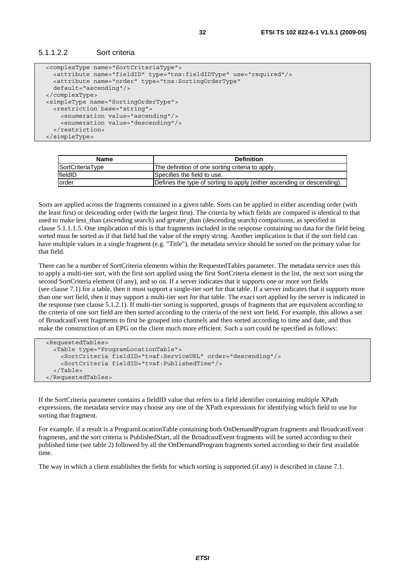```
 <complexType name="SortCriteriaType"> 
   <attribute name="fieldID" type="tns:fieldIDType" use="required"/> 
   <attribute name="order" type="tns:SortingOrderType" 
   default="ascending"/> 
 </complexType> 
 <simpleType name="SortingOrderType"> 
   <restriction base="string"> 
     <enumeration value="ascending"/> 
     <enumeration value="descending"/> 
   </restriction> 
 </simpleType>
```

| <b>Name</b>      | <b>Definition</b>                                                      |
|------------------|------------------------------------------------------------------------|
| SortCriteriaType | The definition of one sorting criteria to apply.                       |
| fieldID          | Specifies the field to use.                                            |
| lorder           | Defines the type of sorting to apply (either ascending or descending). |

Sorts are applied across the fragments contained in a given table. Sorts can be applied in either ascending order (with the least first) or descending order (with the largest first). The criteria by which fields are compared is identical to that used to make less\_than (ascending search) and greater\_than (descending search) comparisons, as specified in clause 5.1.1.1.5. One implication of this is that fragments included in the response containing no data for the field being sorted must be sorted as if that field had the value of the empty string. Another implication is that if the sort field can have multiple values in a single fragment (e.g. "Title"), the metadata service should be sorted on the primary value for that field.

There can be a number of SortCriteria elements within the RequestedTables parameter. The metadata service uses this to apply a multi-tier sort, with the first sort applied using the first SortCriteria element in the list, the next sort using the second SortCriteria element (if any), and so on. If a server indicates that it supports one or more sort fields (see clause 7.1) for a table, then it must support a single-tier sort for that table. If a server indicates that it supports more than one sort field, then it may support a multi-tier sort for that table. The exact sort applied by the server is indicated in the response (see clause 5.1.2.1). If multi-tier sorting is supported, groups of fragments that are equivalent according to the criteria of one sort field are then sorted according to the criteria of the next sort field. For example, this allows a set of BroadcastEvent fragments to first be grouped into channels and then sorted according to time and date, and thus make the construction of an EPG on the client much more efficient. Such a sort could be specified as follows:

```
 <RequestedTables> 
   <Table type="ProgramLocationTable"> 
     <SortCriteria fieldID="tvaf:ServiceURL" order="descending"/> 
     <SortCriteria fieldID="tvaf:PublishedTime"/> 
   </Table> 
 </RequestedTables>
```
If the SortCriteria parameter contains a fieldID value that refers to a field identifier containing multiple XPath expressions, the metadata service may choose any one of the XPath expressions for identifying which field to use for sorting that fragment.

For example, if a result is a ProgramLocationTable containing both OnDemandProgram fragments and BroadcastEvent fragments, and the sort criteria is PublishedStart, all the BroadcastEvent fragments will be sorted according to their published time (see table 2) followed by all the OnDemandProgram fragments sorted according to their first available time.

The way in which a client establishes the fields for which sorting is supported (if any) is described in clause 7.1.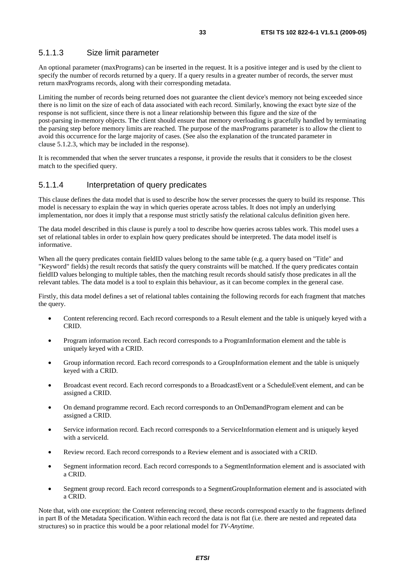### 5.1.1.3 Size limit parameter

An optional parameter (maxPrograms) can be inserted in the request. It is a positive integer and is used by the client to specify the number of records returned by a query. If a query results in a greater number of records, the server must return maxPrograms records, along with their corresponding metadata.

Limiting the number of records being returned does not guarantee the client device's memory not being exceeded since there is no limit on the size of each of data associated with each record. Similarly, knowing the exact byte size of the response is not sufficient, since there is not a linear relationship between this figure and the size of the post-parsing in-memory objects. The client should ensure that memory overloading is gracefully handled by terminating the parsing step before memory limits are reached. The purpose of the maxPrograms parameter is to allow the client to avoid this occurrence for the large majority of cases. (See also the explanation of the truncated parameter in clause 5.1.2.3, which may be included in the response).

It is recommended that when the server truncates a response, it provide the results that it considers to be the closest match to the specified query.

### 5.1.1.4 Interpretation of query predicates

This clause defines the data model that is used to describe how the server processes the query to build its response. This model is necessary to explain the way in which queries operate across tables. It does not imply an underlying implementation, nor does it imply that a response must strictly satisfy the relational calculus definition given here.

The data model described in this clause is purely a tool to describe how queries across tables work. This model uses a set of relational tables in order to explain how query predicates should be interpreted. The data model itself is informative.

When all the query predicates contain fieldID values belong to the same table (e.g. a query based on "Title" and "Keyword" fields) the result records that satisfy the query constraints will be matched. If the query predicates contain fieldID values belonging to multiple tables, then the matching result records should satisfy those predicates in all the relevant tables. The data model is a tool to explain this behaviour, as it can become complex in the general case.

Firstly, this data model defines a set of relational tables containing the following records for each fragment that matches the query.

- Content referencing record. Each record corresponds to a Result element and the table is uniquely keyed with a CRID.
- Program information record. Each record corresponds to a ProgramInformation element and the table is uniquely keyed with a CRID.
- Group information record. Each record corresponds to a GroupInformation element and the table is uniquely keyed with a CRID.
- Broadcast event record. Each record corresponds to a BroadcastEvent or a ScheduleEvent element, and can be assigned a CRID.
- On demand programme record. Each record corresponds to an OnDemandProgram element and can be assigned a CRID.
- Service information record. Each record corresponds to a ServiceInformation element and is uniquely keyed with a serviceId.
- Review record. Each record corresponds to a Review element and is associated with a CRID.
- Segment information record. Each record corresponds to a SegmentInformation element and is associated with a CRID.
- Segment group record. Each record corresponds to a SegmentGroupInformation element and is associated with a CRID.

Note that, with one exception: the Content referencing record, these records correspond exactly to the fragments defined in part B of the Metadata Specification. Within each record the data is not flat (i.e. there are nested and repeated data structures) so in practice this would be a poor relational model for *TV-Anytime*.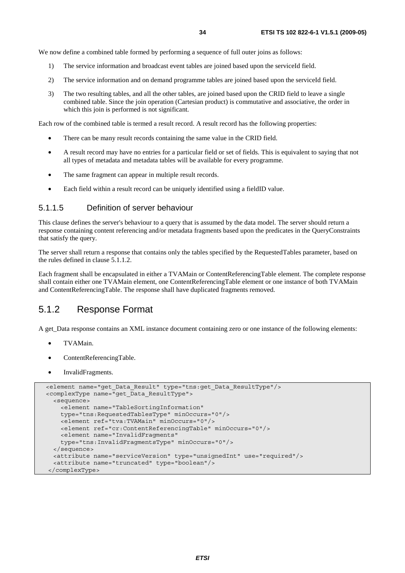We now define a combined table formed by performing a sequence of full outer joins as follows:

- 1) The service information and broadcast event tables are joined based upon the serviceId field.
- 2) The service information and on demand programme tables are joined based upon the serviceId field.
- 3) The two resulting tables, and all the other tables, are joined based upon the CRID field to leave a single combined table. Since the join operation (Cartesian product) is commutative and associative, the order in which this join is performed is not significant.

Each row of the combined table is termed a result record. A result record has the following properties:

- There can be many result records containing the same value in the CRID field.
- A result record may have no entries for a particular field or set of fields. This is equivalent to saying that not all types of metadata and metadata tables will be available for every programme.
- The same fragment can appear in multiple result records.
- Each field within a result record can be uniquely identified using a fieldID value.

### 5.1.1.5 Definition of server behaviour

This clause defines the server's behaviour to a query that is assumed by the data model. The server should return a response containing content referencing and/or metadata fragments based upon the predicates in the QueryConstraints that satisfy the query.

The server shall return a response that contains only the tables specified by the RequestedTables parameter, based on the rules defined in clause 5.1.1.2.

Each fragment shall be encapsulated in either a TVAMain or ContentReferencingTable element. The complete response shall contain either one TVAMain element, one ContentReferencingTable element or one instance of both TVAMain and ContentReferencingTable. The response shall have duplicated fragments removed.

### 5.1.2 Response Format

A get\_Data response contains an XML instance document containing zero or one instance of the following elements:

- TVAMain.
- ContentReferencingTable.
- InvalidFragments.

```
 <element name="get_Data_Result" type="tns:get_Data_ResultType"/> 
 <complexType name="get_Data_ResultType"> 
   <sequence> 
     <element name="TableSortingInformation" 
     type="tns:RequestedTablesType" minOccurs="0"/> 
     <element ref="tva:TVAMain" minOccurs="0"/> 
     <element ref="cr:ContentReferencingTable" minOccurs="0"/> 
     <element name="InvalidFragments" 
     type="tns:InvalidFragmentsType" minOccurs="0"/> 
  </sequence> 
   <attribute name="serviceVersion" type="unsignedInt" use="required"/> 
   <attribute name="truncated" type="boolean"/> 
 </complexType>
```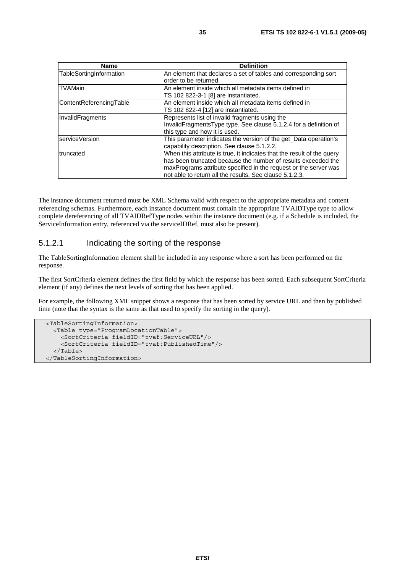| <b>Name</b>             | <b>Definition</b>                                                      |
|-------------------------|------------------------------------------------------------------------|
| TableSortingInformation | An element that declares a set of tables and corresponding sort        |
|                         | order to be returned.                                                  |
| <b>TVAMain</b>          | An element inside which all metadata items defined in                  |
|                         | TS 102 822-3-1 [8] are instantiated.                                   |
| ContentReferencingTable | An element inside which all metadata items defined in                  |
|                         | TS 102 822-4 [12] are instantiated.                                    |
| InvalidFragments        | Represents list of invalid fragments using the                         |
|                         | InvalidFragmentsType type. See clause 5.1.2.4 for a definition of      |
|                         | this type and how it is used.                                          |
| serviceVersion          | This parameter indicates the version of the get_Data operation's       |
|                         | capability description. See clause 5.1.2.2.                            |
| truncated               | When this attribute is true, it indicates that the result of the query |
|                         | lhas been truncated because the number of results exceeded the         |
|                         | maxPrograms attribute specified in the request or the server was       |
|                         | not able to return all the results. See clause 5.1.2.3.                |

The instance document returned must be XML Schema valid with respect to the appropriate metadata and content referencing schemas. Furthermore, each instance document must contain the appropriate TVAIDType type to allow complete dereferencing of all TVAIDRefType nodes within the instance document (e.g. if a Schedule is included, the ServiceInformation entry, referenced via the serviceIDRef, must also be present).

### 5.1.2.1 Indicating the sorting of the response

The TableSortingInformation element shall be included in any response where a sort has been performed on the response.

The first SortCriteria element defines the first field by which the response has been sorted. Each subsequent SortCriteria element (if any) defines the next levels of sorting that has been applied.

For example, the following XML snippet shows a response that has been sorted by service URL and then by published time (note that the syntax is the same as that used to specify the sorting in the query).

```
 <TableSortingInformation> 
  <Table type="ProgramLocationTable"> 
     <SortCriteria fieldID="tvaf:ServiceURL"/> 
     <SortCriteria fieldID="tvaf:PublishedTime"/> 
   </Table> 
 </TableSortingInformation>
```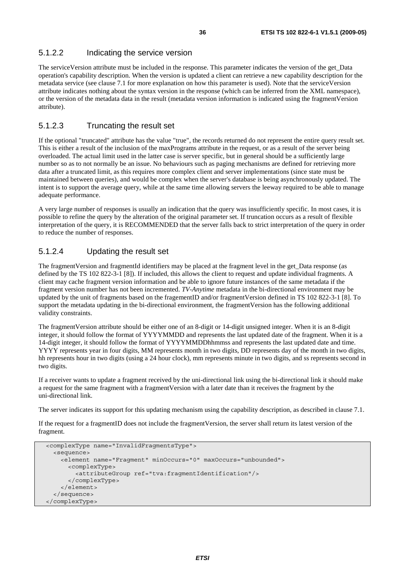### 5.1.2.2 Indicating the service version

The serviceVersion attribute must be included in the response. This parameter indicates the version of the get\_Data operation's capability description. When the version is updated a client can retrieve a new capability description for the metadata service (see clause 7.1 for more explanation on how this parameter is used). Note that the serviceVersion attribute indicates nothing about the syntax version in the response (which can be inferred from the XML namespace), or the version of the metadata data in the result (metadata version information is indicated using the fragmentVersion attribute).

### 5.1.2.3 Truncating the result set

If the optional "truncated" attribute has the value "true", the records returned do not represent the entire query result set. This is either a result of the inclusion of the maxPrograms attribute in the request, or as a result of the server being overloaded. The actual limit used in the latter case is server specific, but in general should be a sufficiently large number so as to not normally be an issue. No behaviours such as paging mechanisms are defined for retrieving more data after a truncated limit, as this requires more complex client and server implementations (since state must be maintained between queries), and would be complex when the server's database is being asynchronously updated. The intent is to support the average query, while at the same time allowing servers the leeway required to be able to manage adequate performance.

A very large number of responses is usually an indication that the query was insufficiently specific. In most cases, it is possible to refine the query by the alteration of the original parameter set. If truncation occurs as a result of flexible interpretation of the query, it is RECOMMENDED that the server falls back to strict interpretation of the query in order to reduce the number of responses.

### 5.1.2.4 Updating the result set

The fragmentVersion and fragmentId identifiers may be placed at the fragment level in the get\_Data response (as defined by the TS 102 822-3-1 [8]). If included, this allows the client to request and update individual fragments. A client may cache fragment version information and be able to ignore future instances of the same metadata if the fragment version number has not been incremented. *TV-Anytime* metadata in the bi-directional environment may be updated by the unit of fragments based on the fragementID and/or fragmentVersion defined in TS 102 822-3-1 [8]. To support the metadata updating in the bi-directional environment, the fragmentVersion has the following additional validity constraints.

The fragmentVersion attribute should be either one of an 8-digit or 14-digit unsigned integer. When it is an 8-digit integer, it should follow the format of YYYYMMDD and represents the last updated date of the fragment. When it is a 14-digit integer, it should follow the format of YYYYMMDDhhmmss and represents the last updated date and time. YYYY represents year in four digits, MM represents month in two digits, DD represents day of the month in two digits, hh represents hour in two digits (using a 24 hour clock), mm represents minute in two digits, and ss represents second in two digits.

If a receiver wants to update a fragment received by the uni-directional link using the bi-directional link it should make a request for the same fragment with a fragmentVersion with a later date than it receives the fragment by the uni-directional link.

The server indicates its support for this updating mechanism using the capability description, as described in clause 7.1.

If the request for a fragmentID does not include the fragmentVersion, the server shall return its latest version of the fragment.

```
 <complexType name="InvalidFragmentsType"> 
   <sequence> 
     <element name="Fragment" minOccurs="0" maxOccurs="unbounded"> 
       <complexType> 
         <attributeGroup ref="tva:fragmentIdentification"/> 
       </complexType> 
     </element> 
   </sequence> 
 </complexType>
```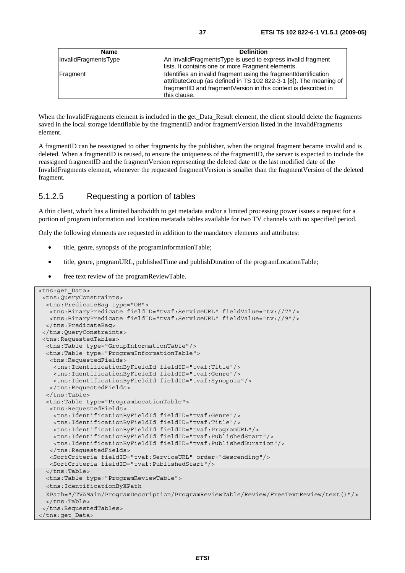| <b>Name</b>          | <b>Definition</b>                                                 |
|----------------------|-------------------------------------------------------------------|
| InvalidFragmentsType | An InvalidFragmentsType is used to express invalid fragment       |
|                      | lists. It contains one or more Fragment elements.                 |
| Fragment             | Identifies an invalid fragment using the fragment dentification   |
|                      | attributeGroup (as defined in TS 102 822-3-1 [8]). The meaning of |
|                      | fragmentID and fragmentVersion in this context is described in    |
|                      | this clause.                                                      |

When the InvalidFragments element is included in the get Data Result element, the client should delete the fragments saved in the local storage identifiable by the fragmentID and/or fragmentVersion listed in the InvalidFragments element.

A fragmentID can be reassigned to other fragments by the publisher, when the original fragment became invalid and is deleted. When a fragmentID is reused, to ensure the uniqueness of the fragmentID, the server is expected to include the reassigned fragmentID and the fragmentVersion representing the deleted date or the last modified date of the InvalidFragments element, whenever the requested fragmentVersion is smaller than the fragmentVersion of the deleted fragment.

#### 5.1.2.5 Requesting a portion of tables

A thin client, which has a limited bandwidth to get metadata and/or a limited processing power issues a request for a portion of program information and location metatada tables available for two TV channels with no specified period.

Only the following elements are requested in addition to the mandatory elements and attributes:

- title, genre, synopsis of the programInformationTable;
- title, genre, programURL, publishedTime and publishDuration of the programLocationTable;
- free text review of the programReviewTable.

```
<tns:get_Data> 
  <tns:QueryConstraints> 
   <tns:PredicateBag type="OR"> 
   <tns:BinaryPredicate fieldID="tvaf:ServiceURL" fieldValue="tv://7"/> 
   <tns:BinaryPredicate fieldID="tvaf:ServiceURL" fieldValue="tv://9"/> 
  </tns:PredicateBag> 
  </tns:QueryConstraints> 
  <tns:RequestedTables> 
  <tns:Table type="GroupInformationTable"/> 
  <tns:Table type="ProgramInformationTable"> 
   <tns:RequestedFields> 
     <tns:IdentificationByFieldId fieldID="tvaf:Title"/> 
     <tns:IdentificationByFieldId fieldID="tvaf:Genre"/> 
     <tns:IdentificationByFieldId fieldID="tvaf:Synopsis"/> 
   </tns:RequestedFields> 
   </tns:Table> 
  <tns:Table type="ProgramLocationTable"> 
   <tns:RequestedFields> 
     <tns:IdentificationByFieldId fieldID="tvaf:Genre"/> 
     <tns:IdentificationByFieldId fieldID="tvaf:Title"/> 
     <tns:IdentificationByFieldId fieldID="tvaf:ProgramURL"/> 
     <tns:IdentificationByFieldId fieldID="tvaf:PublishedStart"/> 
     <tns:IdentificationByFieldId fieldID="tvaf:PublishedDuration"/> 
   </tns:RequestedFields> 
   <SortCriteria fieldID="tvaf:ServiceURL" order="descending"/> 
   <SortCriteria fieldID="tvaf:PublishedStart"/> 
   </tns:Table> 
  <tns:Table type="ProgramReviewTable"> 
   <tns:IdentificationByXPath 
  XPath="/TVAMain/ProgramDescription/ProgramReviewTable/Review/FreeTextReview/text()"/> 
  </tns:Table> 
  </tns:RequestedTables> 
</tns:get_Data>
```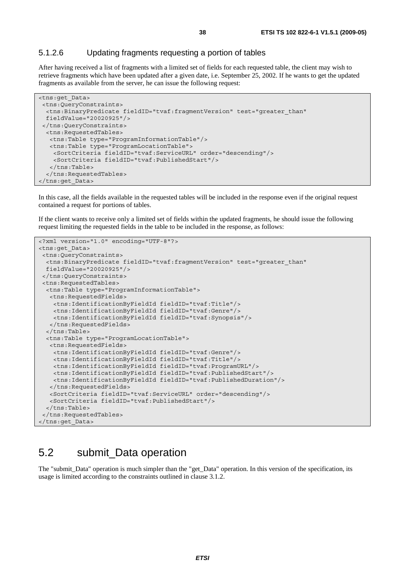#### 5.1.2.6 Updating fragments requesting a portion of tables

After having received a list of fragments with a limited set of fields for each requested table, the client may wish to retrieve fragments which have been updated after a given date, i.e. September 25, 2002. If he wants to get the updated fragments as available from the server, he can issue the following request:

```
<tns:get_Data> 
  <tns:QueryConstraints> 
  <tns:BinaryPredicate fieldID="tvaf:fragmentVersion" test="greater_than" 
  fieldValue="20020925"/> 
  </tns:QueryConstraints> 
  <tns:RequestedTables> 
   <tns:Table type="ProgramInformationTable"/> 
    <tns:Table type="ProgramLocationTable"> 
     <SortCriteria fieldID="tvaf:ServiceURL" order="descending"/> 
     <SortCriteria fieldID="tvaf:PublishedStart"/> 
    </tns:Table> 
   </tns:RequestedTables> 
</tns:get_Data>
```
In this case, all the fields available in the requested tables will be included in the response even if the original request contained a request for portions of tables.

If the client wants to receive only a limited set of fields within the updated fragments, he should issue the following request limiting the requested fields in the table to be included in the response, as follows:

```
<?xml version="1.0" encoding="UTF-8"?> 
<tns:get_Data> 
  <tns:QueryConstraints> 
  <tns:BinaryPredicate fieldID="tvaf:fragmentVersion" test="greater_than" 
  fieldValue="20020925"/> 
  </tns:QueryConstraints> 
  <tns:RequestedTables> 
  <tns:Table type="ProgramInformationTable"> 
   <tns:RequestedFields> 
     <tns:IdentificationByFieldId fieldID="tvaf:Title"/> 
     <tns:IdentificationByFieldId fieldID="tvaf:Genre"/> 
    <tns:IdentificationByFieldId fieldID="tvaf:Synopsis"/> 
   </tns:RequestedFields> 
   </tns:Table> 
  <tns:Table type="ProgramLocationTable"> 
   <tns:RequestedFields> 
     <tns:IdentificationByFieldId fieldID="tvaf:Genre"/> 
     <tns:IdentificationByFieldId fieldID="tvaf:Title"/> 
     <tns:IdentificationByFieldId fieldID="tvaf:ProgramURL"/> 
     <tns:IdentificationByFieldId fieldID="tvaf:PublishedStart"/> 
    <tns:IdentificationByFieldId fieldID="tvaf:PublishedDuration"/> 
   </tns:RequestedFields> 
   <SortCriteria fieldID="tvaf:ServiceURL" order="descending"/> 
   <SortCriteria fieldID="tvaf:PublishedStart"/> 
   </tns:Table> 
  </tns:RequestedTables> 
</tns:get_Data>
```
### 5.2 submit\_Data operation

The "submit\_Data" operation is much simpler than the "get\_Data" operation. In this version of the specification, its usage is limited according to the constraints outlined in clause 3.1.2.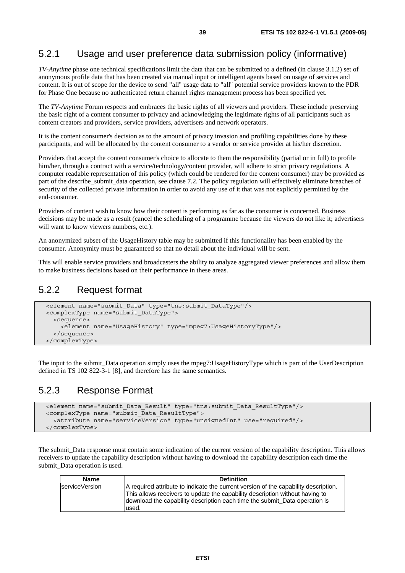### 5.2.1 Usage and user preference data submission policy (informative)

*TV-Anytime* phase one technical specifications limit the data that can be submitted to a defined (in clause 3.1.2) set of anonymous profile data that has been created via manual input or intelligent agents based on usage of services and content. It is out of scope for the device to send "all" usage data to "all" potential service providers known to the PDR for Phase One because no authenticated return channel rights management process has been specified yet.

The *TV-Anytime* Forum respects and embraces the basic rights of all viewers and providers. These include preserving the basic right of a content consumer to privacy and acknowledging the legitimate rights of all participants such as content creators and providers, service providers, advertisers and network operators.

It is the content consumer's decision as to the amount of privacy invasion and profiling capabilities done by these participants, and will be allocated by the content consumer to a vendor or service provider at his/her discretion.

Providers that accept the content consumer's choice to allocate to them the responsibility (partial or in full) to profile him/her, through a contract with a service/technology/content provider, will adhere to strict privacy regulations. A computer readable representation of this policy (which could be rendered for the content consumer) may be provided as part of the describe submit data operation, see clause 7.2. The policy regulation will effectively eliminate breaches of security of the collected private information in order to avoid any use of it that was not explicitly permitted by the end-consumer.

Providers of content wish to know how their content is performing as far as the consumer is concerned. Business decisions may be made as a result (cancel the scheduling of a programme because the viewers do not like it; advertisers will want to know viewers numbers, etc.).

An anonymized subset of the UsageHistory table may be submitted if this functionality has been enabled by the consumer. Anonymity must be guaranteed so that no detail about the individual will be sent.

This will enable service providers and broadcasters the ability to analyze aggregated viewer preferences and allow them to make business decisions based on their performance in these areas.

### 5.2.2 Request format

```
 <element name="submit_Data" type="tns:submit_DataType"/> 
 <complexType name="submit_DataType"> 
   <sequence> 
     <element name="UsageHistory" type="mpeg7:UsageHistoryType"/> 
   </sequence> 
 </complexType>
```
The input to the submit\_Data operation simply uses the mpeg7:UsageHistoryType which is part of the UserDescription defined in TS 102 822-3-1 [8], and therefore has the same semantics.

### 5.2.3 Response Format

```
 <element name="submit_Data_Result" type="tns:submit_Data_ResultType"/> 
 <complexType name="submit_Data_ResultType"> 
   <attribute name="serviceVersion" type="unsignedInt" use="required"/> 
 </complexType>
```
The submit\_Data response must contain some indication of the current version of the capability description. This allows receivers to update the capability description without having to download the capability description each time the submit Data operation is used.

| <b>Name</b>    | <b>Definition</b>                                                                                                                                                                                                                                          |
|----------------|------------------------------------------------------------------------------------------------------------------------------------------------------------------------------------------------------------------------------------------------------------|
| serviceVersion | A required attribute to indicate the current version of the capability description.<br>This allows receivers to update the capability description without having to<br>download the capability description each time the submit Data operation is<br>used. |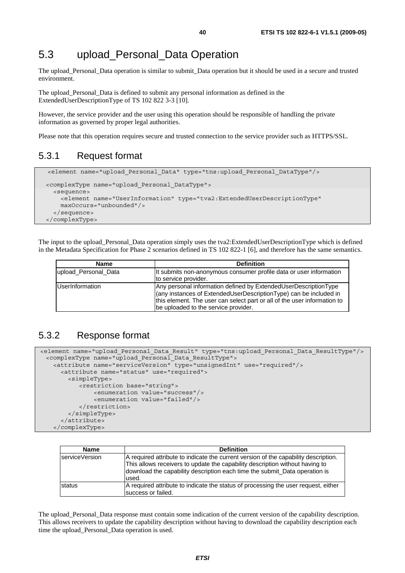## 5.3 upload\_Personal\_Data Operation

The upload\_Personal\_Data operation is similar to submit\_Data operation but it should be used in a secure and trusted environment.

The upload\_Personal\_Data is defined to submit any personal information as defined in the ExtendedUserDescriptionType of TS 102 822 3-3 [10].

However, the service provider and the user using this operation should be responsible of handling the private information as governed by proper legal authorities.

Please note that this operation requires secure and trusted connection to the service provider such as HTTPS/SSL.

### 5.3.1 Request format

```
 <element name="upload_Personal_Data" type="tns:upload_Personal_DataType"/>
 <complexType name="upload_Personal_DataType"> 
  <sequence> 
     <element name="UserInformation" type="tva2:ExtendedUserDescriptionType" 
     maxOccurs="unbounded"/> 
   </sequence> 
 </complexType>
```
The input to the upload\_Personal\_Data operation simply uses the tva2:ExtendedUserDescriptionType which is defined in the Metadata Specification for Phase 2 scenarios defined in TS 102 822-1 [6], and therefore has the same semantics.

| <b>Name</b>            | <b>Definition</b>                                                                                                                                                                                                                                        |
|------------------------|----------------------------------------------------------------------------------------------------------------------------------------------------------------------------------------------------------------------------------------------------------|
| upload Personal Data   | It submits non-anonymous consumer profile data or user information<br>to service provider.                                                                                                                                                               |
| <b>UserInformation</b> | Any personal information defined by ExtendedUserDescriptionType<br>(any instances of ExtendedUserDescriptionType) can be included in<br>this element. The user can select part or all of the user information to<br>be uploaded to the service provider. |

### 5.3.2 Response format

```
<element name="upload_Personal_Data_Result" type="tns:upload_Personal_Data_ResultType"/> 
  <complexType name="upload_Personal_Data_ResultType"> 
    <attribute name="serviceVersion" type="unsignedInt" use="required"/> 
       <attribute name="status" use="required"> 
         <simpleType> 
            <restriction base="string"> 
                <enumeration value="success"/> 
                <enumeration value="failed"/> 
            </restriction> 
         </simpleType> 
       </attribute> 
    </complexType>
```

| <b>Name</b>    | <b>Definition</b>                                                                                                                                                                                                                                           |
|----------------|-------------------------------------------------------------------------------------------------------------------------------------------------------------------------------------------------------------------------------------------------------------|
| serviceVersion | A required attribute to indicate the current version of the capability description.<br>This allows receivers to update the capability description without having to<br>download the capability description each time the submit_Data operation is<br>lused. |
| <b>status</b>  | A required attribute to indicate the status of processing the user request, either<br>success or failed.                                                                                                                                                    |

The upload\_Personal\_Data response must contain some indication of the current version of the capability description. This allows receivers to update the capability description without having to download the capability description each time the upload\_Personal\_Data operation is used.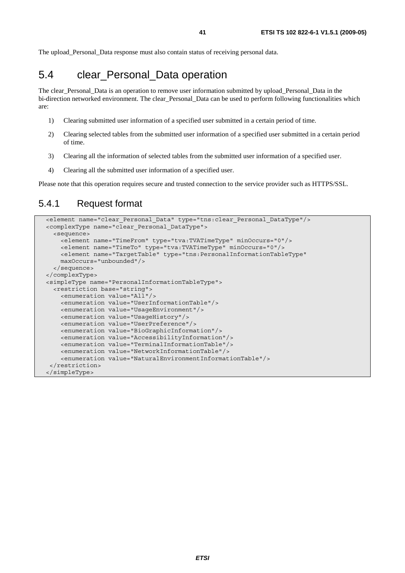The upload\_Personal\_Data response must also contain status of receiving personal data.

## 5.4 clear\_Personal\_Data operation

The clear\_Personal\_Data is an operation to remove user information submitted by upload\_Personal\_Data in the bi-direction networked environment. The clear\_Personal\_Data can be used to perform following functionalities which are:

- 1) Clearing submitted user information of a specified user submitted in a certain period of time.
- 2) Clearing selected tables from the submitted user information of a specified user submitted in a certain period of time.
- 3) Clearing all the information of selected tables from the submitted user information of a specified user.
- 4) Clearing all the submitted user information of a specified user.

Please note that this operation requires secure and trusted connection to the service provider such as HTTPS/SSL.

### 5.4.1 Request format

```
 <element name="clear_Personal_Data" type="tns:clear_Personal_DataType"/> 
 <complexType name="clear_Personal_DataType"> 
   <sequence> 
     <element name="TimeFrom" type="tva:TVATimeType" minOccurs="0"/> 
     <element name="TimeTo" type="tva:TVATimeType" minOccurs="0"/> 
     <element name="TargetTable" type="tns:PersonalInformationTableType" 
     maxOccurs="unbounded"/> 
  </sequence> 
 </complexType> 
 <simpleType name="PersonalInformationTableType"> 
  <restriction base="string"> 
     <enumeration value="All"/> 
     <enumeration value="UserInformationTable"/> 
     <enumeration value="UsageEnvironment"/> 
     <enumeration value="UsageHistory"/> 
     <enumeration value="UserPreference"/> 
     <enumeration value="BioGraphicInformation"/> 
     <enumeration value="AccessibilityInformation"/> 
     <enumeration value="TerminalInformationTable"/> 
     <enumeration value="NetworkInformationTable"/> 
     <enumeration value="NaturalEnvironmentInformationTable"/> 
 </restriction> 
 </simpleType>
```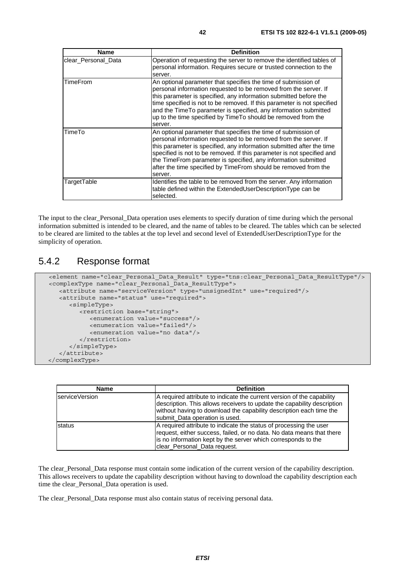| <b>Name</b>         | <b>Definition</b>                                                                                                                                                                                                                                                                                                                                                                                                                     |
|---------------------|---------------------------------------------------------------------------------------------------------------------------------------------------------------------------------------------------------------------------------------------------------------------------------------------------------------------------------------------------------------------------------------------------------------------------------------|
| clear_Personal_Data | Operation of requesting the server to remove the identified tables of<br>personal information. Requires secure or trusted connection to the<br>server.                                                                                                                                                                                                                                                                                |
| TimeFrom            | An optional parameter that specifies the time of submission of<br>personal information requested to be removed from the server. If<br>this parameter is specified, any information submitted before the<br>time specified is not to be removed. If this parameter is not specified<br>and the TimeTo parameter is specified, any information submitted<br>up to the time specified by TimeTo should be removed from the<br>server.    |
| TimeTo              | An optional parameter that specifies the time of submission of<br>personal information requested to be removed from the server. If<br>this parameter is specified, any information submitted after the time<br>specified is not to be removed. If this parameter is not specified and<br>the TimeFrom parameter is specified, any information submitted<br>after the time specified by TimeFrom should be removed from the<br>server. |
| TargetTable         | Identifies the table to be removed from the server. Any information<br>table defined within the ExtendedUserDescriptionType can be<br>selected.                                                                                                                                                                                                                                                                                       |

The input to the clear\_Personal\_Data operation uses elements to specify duration of time during which the personal information submitted is intended to be cleared, and the name of tables to be cleared. The tables which can be selected to be cleared are limited to the tables at the top level and second level of ExtendedUserDescriptionType for the simplicity of operation.

### 5.4.2 Response format

```
 <element name="clear_Personal_Data_Result" type="tns:clear_Personal_Data_ResultType"/> 
 <complexType name="clear_Personal_Data_ResultType"> 
    <attribute name="serviceVersion" type="unsignedInt" use="required"/> 
    <attribute name="status" use="required"> 
       <simpleType> 
          <restriction base="string"> 
             <enumeration value="success"/> 
             <enumeration value="failed"/> 
             <enumeration value="no data"/> 
          </restriction> 
       </simpleType> 
    </attribute> 
 </complexType>
```

| <b>Name</b>    | <b>Definition</b>                                                                                                                                                                                                                                          |
|----------------|------------------------------------------------------------------------------------------------------------------------------------------------------------------------------------------------------------------------------------------------------------|
| serviceVersion | A required attribute to indicate the current version of the capability<br>description. This allows receivers to update the capability description<br>without having to download the capability description each time the<br>submit_Data operation is used. |
| status         | A required attribute to indicate the status of processing the user<br>request, either success, failed, or no data. No data means that there<br>is no information kept by the server which corresponds to the<br>clear Personal Data request.               |

The clear\_Personal\_Data response must contain some indication of the current version of the capability description. This allows receivers to update the capability description without having to download the capability description each time the clear\_Personal\_Data operation is used.

The clear\_Personal\_Data response must also contain status of receiving personal data.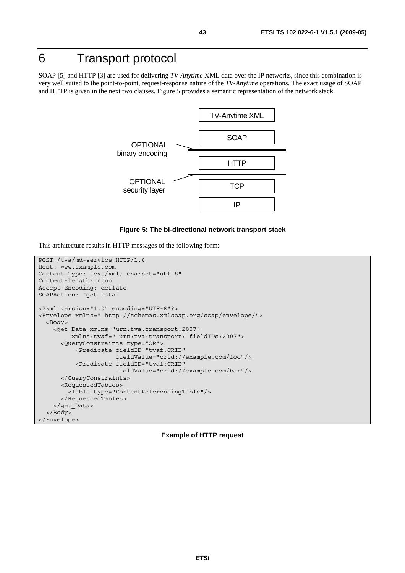# 6 Transport protocol

SOAP [5] and HTTP [3] are used for delivering *TV-Anytime* XML data over the IP networks, since this combination is very well suited to the point-to-point, request-response nature of the *TV-Anytime* operations. The exact usage of SOAP and HTTP is given in the next two clauses. Figure 5 provides a semantic representation of the network stack.



#### **Figure 5: The bi-directional network transport stack**

This architecture results in HTTP messages of the following form:

```
POST /tva/md-service HTTP/1.0 
Host: www.example.com 
Content-Type: text/xml; charset="utf-8" 
Content-Length: nnnn 
Accept-Encoding: deflate 
SOAPAction: "get_Data" 
<?xml version="1.0" encoding="UTF-8"?> 
<Envelope xmlns=" http://schemas.xmlsoap.org/soap/envelope/"> 
   <Body> 
     <get_Data xmlns="urn:tva:transport:2007" 
          xmlns:tvaf=" urn:tva:transport: fieldIDs:2007"> 
       <QueryConstraints type="OR"> 
           <Predicate fieldID="tvaf:CRID" 
                       fieldValue="crid://example.com/foo"/> 
           <Predicate fieldID="tvaf:CRID" 
                       fieldValue="crid://example.com/bar"/> 
       </QueryConstraints> 
       <RequestedTables> 
         <Table type="ContentReferencingTable"/> 
       </RequestedTables> 
     </get_Data> 
   </Body> 
</Envelope>
```
#### **Example of HTTP request**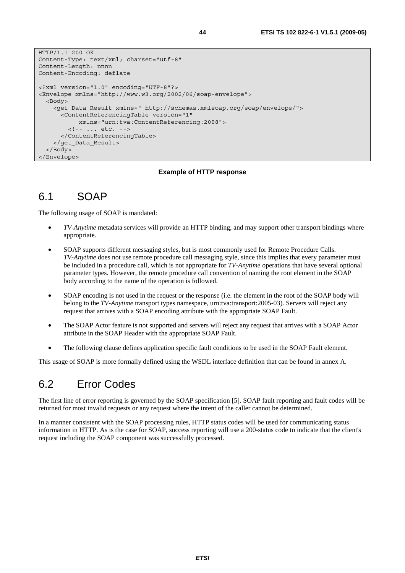```
HTTP/1.1 200 OK 
Content-Type: text/xml; charset="utf-8" 
Content-Length: nnnn 
Content-Encoding: deflate 
<?xml version="1.0" encoding="UTF-8"?> 
<Envelope xmlns="http://www.w3.org/2002/06/soap-envelope"> 
   <Body> 
     <get_Data_Result xmlns=" http://schemas.xmlsoap.org/soap/envelope/"> 
       <ContentReferencingTable version="1" 
            xmlns="urn:tva:ContentReferencing:2008"> 
         <!-- ... etc. --> 
       </ContentReferencingTable> 
     </get_Data_Result> 
   </Body> 
</Envelope>
```
#### **Example of HTTP response**

### 6.1 SOAP

The following usage of SOAP is mandated:

- *TV-Anytime* metadata services will provide an HTTP binding, and may support other transport bindings where appropriate.
- SOAP supports different messaging styles, but is most commonly used for Remote Procedure Calls. *TV-Anytime* does not use remote procedure call messaging style, since this implies that every parameter must be included in a procedure call, which is not appropriate for *TV-Anytime* operations that have several optional parameter types. However, the remote procedure call convention of naming the root element in the SOAP body according to the name of the operation is followed.
- SOAP encoding is not used in the request or the response (i.e. the element in the root of the SOAP body will belong to the *TV-Anytime* transport types namespace, urn:tva:transport:2005-03). Servers will reject any request that arrives with a SOAP encoding attribute with the appropriate SOAP Fault.
- The SOAP Actor feature is not supported and servers will reject any request that arrives with a SOAP Actor attribute in the SOAP Header with the appropriate SOAP Fault.
- The following clause defines application specific fault conditions to be used in the SOAP Fault element.

This usage of SOAP is more formally defined using the WSDL interface definition that can be found in annex A.

### 6.2 Error Codes

The first line of error reporting is governed by the SOAP specification [5]. SOAP fault reporting and fault codes will be returned for most invalid requests or any request where the intent of the caller cannot be determined.

In a manner consistent with the SOAP processing rules, HTTP status codes will be used for communicating status information in HTTP. As is the case for SOAP, success reporting will use a 200-status code to indicate that the client's request including the SOAP component was successfully processed.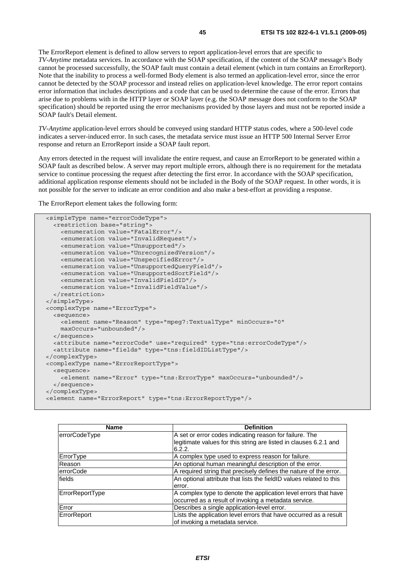The ErrorReport element is defined to allow servers to report application-level errors that are specific to *TV-Anytime* metadata services. In accordance with the SOAP specification, if the content of the SOAP message's Body cannot be processed successfully, the SOAP fault must contain a detail element (which in turn contains an ErrorReport). Note that the inability to process a well-formed Body element is also termed an application-level error, since the error cannot be detected by the SOAP processor and instead relies on application-level knowledge. The error report contains error information that includes descriptions and a code that can be used to determine the cause of the error. Errors that arise due to problems with in the HTTP layer or SOAP layer (e.g. the SOAP message does not conform to the SOAP specification) should be reported using the error mechanisms provided by those layers and must not be reported inside a SOAP fault's Detail element.

*TV-Anytime* application-level errors should be conveyed using standard HTTP status codes, where a 500-level code indicates a server-induced error. In such cases, the metadata service must issue an HTTP 500 Internal Server Error response and return an ErrorReport inside a SOAP fault report.

Any errors detected in the request will invalidate the entire request, and cause an ErrorReport to be generated within a SOAP fault as described below. A server may report multiple errors, although there is no requirement for the metadata service to continue processing the request after detecting the first error. In accordance with the SOAP specification, additional application response elements should not be included in the Body of the SOAP request. In other words, it is not possible for the server to indicate an error condition and also make a best-effort at providing a response.

The ErrorReport element takes the following form:

```
 <simpleType name="errorCodeType"> 
   <restriction base="string"> 
     <enumeration value="FatalError"/> 
     <enumeration value="InvalidRequest"/> 
     <enumeration value="Unsupported"/> 
     <enumeration value="UnrecognizedVersion"/> 
     <enumeration value="UnspecifiedError"/> 
     <enumeration value="UnsupportedQueryField"/> 
     <enumeration value="UnsupportedSortField"/> 
     <enumeration value="InvalidFieldID"/> 
     <enumeration value="InvalidFieldValue"/> 
   </restriction> 
 </simpleType> 
 <complexType name="ErrorType"> 
   <sequence> 
     <element name="Reason" type="mpeg7:TextualType" minOccurs="0" 
     maxOccurs="unbounded"/> 
   </sequence> 
   <attribute name="errorCode" use="required" type="tns:errorCodeType"/> 
   <attribute name="fields" type="tns:fieldIDListType"/> 
</complexType> 
 <complexType name="ErrorReportType"> 
   <sequence> 
     <element name="Error" type="tns:ErrorType" maxOccurs="unbounded"/> 
   </sequence> 
 </complexType> 
 <element name="ErrorReport" type="tns:ErrorReportType"/>
```

| <b>Name</b>      | <b>Definition</b>                                                           |  |
|------------------|-----------------------------------------------------------------------------|--|
| errorCodeType    | A set or error codes indicating reason for failure. The                     |  |
|                  | legitimate values for this string are listed in clauses 6.2.1 and<br>6.2.2. |  |
| ErrorType        | A complex type used to express reason for failure.                          |  |
| Reason           | An optional human meaningful description of the error.                      |  |
| <b>errorCode</b> | A required string that precisely defines the nature of the error.           |  |
| fields           | An optional attribute that lists the fieldID values related to this         |  |
|                  | error.                                                                      |  |
| ErrorReportType  | A complex type to denote the application level errors that have             |  |
|                  | occurred as a result of invoking a metadata service.                        |  |
| Error            | Describes a single application-level error.                                 |  |
| ErrorReport      | Lists the application level errors that have occurred as a result           |  |
|                  | of invoking a metadata service.                                             |  |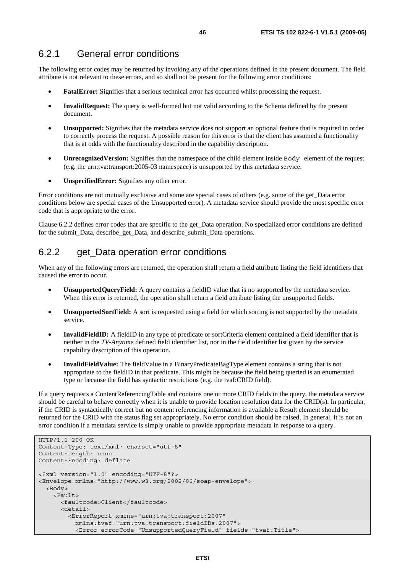The following error codes may be returned by invoking any of the operations defined in the present document. The field attribute is not relevant to these errors, and so shall not be present for the following error conditions:

- **FatalError:** Signifies that a serious technical error has occurred whilst processing the request.
- **InvalidRequest:** The query is well-formed but not valid according to the Schema defined by the present document.
- **Unsupported:** Signifies that the metadata service does not support an optional feature that is required in order to correctly process the request. A possible reason for this error is that the client has assumed a functionality that is at odds with the functionality described in the capability description.
- **UnrecognizedVersion:** Signifies that the namespace of the child element inside Body element of the request (e.g. the urn:tva:transport:2005-03 namespace) is unsupported by this metadata service.
- **UnspecifiedError:** Signifies any other error.

Error conditions are not mutually exclusive and some are special cases of others (e.g. some of the get\_Data error conditions below are special cases of the Unsupported error). A metadata service should provide the most specific error code that is appropriate to the error.

Clause 6.2.2 defines error codes that are specific to the get\_Data operation. No specialized error conditions are defined for the submit\_Data, describe\_get\_Data, and describe\_submit\_Data operations.

### 6.2.2 get\_Data operation error conditions

When any of the following errors are returned, the operation shall return a field attribute listing the field identifiers that caused the error to occur.

- **UnsupportedQueryField:** A query contains a fieldID value that is no supported by the metadata service. When this error is returned, the operation shall return a field attribute listing the unsupported fields.
- **UnsupportedSortField:** A sort is requested using a field for which sorting is not supported by the metadata service.
- **InvalidFieldID:** A fieldID in any type of predicate or sortCriteria element contained a field identifier that is neither in the *TV-Anytime* defined field identifier list, nor in the field identifier list given by the service capability description of this operation.
- **InvalidFieldValue:** The fieldValue in a BinaryPredicateBagType element contains a string that is not appropriate to the fieldID in that predicate. This might be because the field being queried is an enumerated type or because the field has syntactic restrictions (e.g. the tvaf:CRID field).

If a query requests a ContentReferencingTable and contains one or more CRID fields in the query, the metadata service should be careful to behave correctly when it is unable to provide location resolution data for the CRID(s). In particular, if the CRID is syntactically correct but no content referencing information is available a Result element should be returned for the CRID with the status flag set appropriately. No error condition should be raised. In general, it is not an error condition if a metadata service is simply unable to provide appropriate metadata in response to a query.

```
HTTP/1.1 200 OK 
Content-Type: text/xml; charset="utf-8" 
Content-Length: nnnn 
Content-Encoding: deflate 
<?xml version="1.0" encoding="UTF-8"?> 
<Envelope xmlns="http://www.w3.org/2002/06/soap-envelope"> 
   <Body> 
     <Fault> 
       <faultcode>Client</faultcode> 
       <detail> 
         <ErrorReport xmlns="urn:tva:transport:2007" 
           xmlns:tvaf="urn:tva:transport:fieldIDs:2007"> 
           <Error errorCode="UnsupportedQueryField" fields="tvaf:Title">
```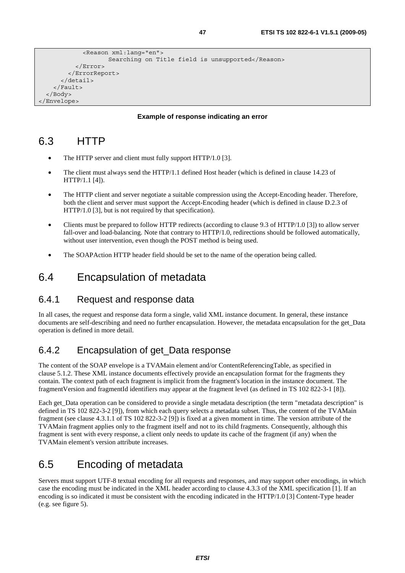```
 <Reason xml:lang="en"> 
                     Searching on Title field is unsupported</Reason>
            </Error> 
          </ErrorReport> 
       </detail> 
     </Fault> 
   </Body> 
</Envelope>
```
#### **Example of response indicating an error**

## 6.3 HTTP

- The HTTP server and client must fully support HTTP/1.0 [3].
- The client must always send the HTTP/1.1 defined Host header (which is defined in clause 14.23 of HTTP/1.1 [4]).
- The HTTP client and server negotiate a suitable compression using the Accept-Encoding header. Therefore, both the client and server must support the Accept-Encoding header (which is defined in clause D.2.3 of HTTP/1.0 [3], but is not required by that specification).
- Clients must be prepared to follow HTTP redirects (according to clause 9.3 of HTTP/1.0 [3]) to allow server fall-over and load-balancing. Note that contrary to HTTP/1.0, redirections should be followed automatically, without user intervention, even though the POST method is being used.
- The SOAPAction HTTP header field should be set to the name of the operation being called.

## 6.4 Encapsulation of metadata

### 6.4.1 Request and response data

In all cases, the request and response data form a single, valid XML instance document. In general, these instance documents are self-describing and need no further encapsulation. However, the metadata encapsulation for the get\_Data operation is defined in more detail.

### 6.4.2 Encapsulation of get\_Data response

The content of the SOAP envelope is a TVAMain element and/or ContentReferencingTable, as specified in clause 5.1.2. These XML instance documents effectively provide an encapsulation format for the fragments they contain. The context path of each fragment is implicit from the fragment's location in the instance document. The fragmentVersion and fragmentId identifiers may appear at the fragment level (as defined in TS 102 822-3-1 [8]).

Each get Data operation can be considered to provide a single metadata description (the term "metadata description" is defined in TS 102 822-3-2 [9]), from which each query selects a metadata subset. Thus, the content of the TVAMain fragment (see clause 4.3.1.1 of TS 102 822-3-2 [9]) is fixed at a given moment in time. The version attribute of the TVAMain fragment applies only to the fragment itself and not to its child fragments. Consequently, although this fragment is sent with every response, a client only needs to update its cache of the fragment (if any) when the TVAMain element's version attribute increases.

# 6.5 Encoding of metadata

Servers must support UTF-8 textual encoding for all requests and responses, and may support other encodings, in which case the encoding must be indicated in the XML header according to clause 4.3.3 of the XML specification [1]. If an encoding is so indicated it must be consistent with the encoding indicated in the HTTP/1.0 [3] Content-Type header (e.g. see figure 5).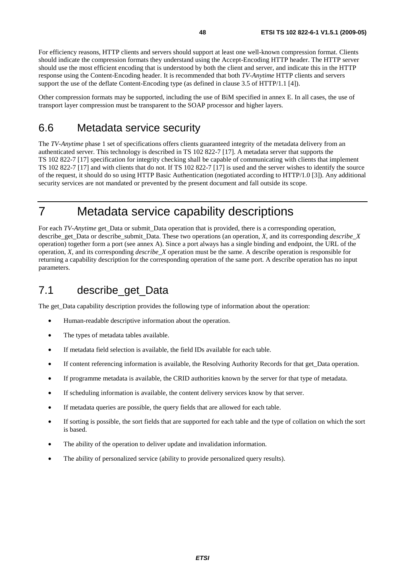For efficiency reasons, HTTP clients and servers should support at least one well-known compression format. Clients should indicate the compression formats they understand using the Accept-Encoding HTTP header. The HTTP server should use the most efficient encoding that is understood by both the client and server, and indicate this in the HTTP response using the Content-Encoding header. It is recommended that both *TV-Anytime* HTTP clients and servers support the use of the deflate Content-Encoding type (as defined in clause 3.5 of HTTP/1.1 [4]).

Other compression formats may be supported, including the use of BiM specified in annex E. In all cases, the use of transport layer compression must be transparent to the SOAP processor and higher layers.

## 6.6 Metadata service security

The *TV-Anytime* phase 1 set of specifications offers clients guaranteed integrity of the metadata delivery from an authenticated server. This technology is described in TS 102 822-7 [17]. A metadata server that supports the TS 102 822-7 [17] specification for integrity checking shall be capable of communicating with clients that implement TS 102 822-7 [17] and with clients that do not. If TS 102 822-7 [17] is used and the server wishes to identify the source of the request, it should do so using HTTP Basic Authentication (negotiated according to HTTP/1.0 [3]). Any additional security services are not mandated or prevented by the present document and fall outside its scope.

# 7 Metadata service capability descriptions

For each *TV-Anytime* get Data or submit Data operation that is provided, there is a corresponding operation, describe\_get\_Data or describe\_submit\_Data. These two operations (an operation, *X*, and its corresponding *describe*\_*X* operation) together form a port (see annex A). Since a port always has a single binding and endpoint, the URL of the operation, *X*, and its corresponding *describe\_X* operation must be the same. A describe operation is responsible for returning a capability description for the corresponding operation of the same port. A describe operation has no input parameters.

# 7.1 describe\_get\_Data

The get\_Data capability description provides the following type of information about the operation:

- Human-readable descriptive information about the operation.
- The types of metadata tables available.
- If metadata field selection is available, the field IDs available for each table.
- If content referencing information is available, the Resolving Authority Records for that get\_Data operation.
- If programme metadata is available, the CRID authorities known by the server for that type of metadata.
- If scheduling information is available, the content delivery services know by that server.
- If metadata queries are possible, the query fields that are allowed for each table.
- If sorting is possible, the sort fields that are supported for each table and the type of collation on which the sort is based.
- The ability of the operation to deliver update and invalidation information.
- The ability of personalized service (ability to provide personalized query results).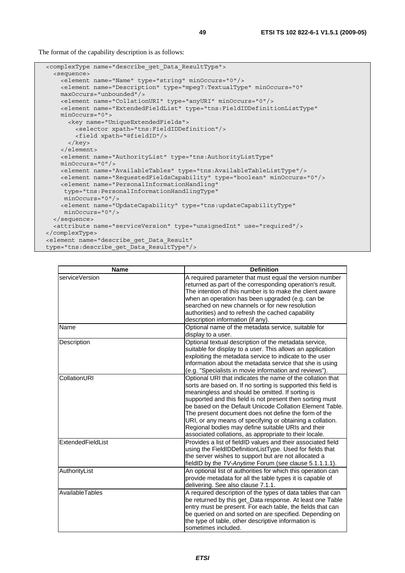The format of the capability description is as follows:

```
 <complexType name="describe_get_Data_ResultType"> 
   <sequence> 
    <element name="Name" type="string" minOccurs="0"/> 
     <element name="Description" type="mpeg7:TextualType" minOccurs="0" 
    maxOccurs="unbounded"/> 
    <element name="CollationURI" type="anyURI" minOccurs="0"/> 
     <element name="ExtendedFieldList" type="tns:FieldIDDefinitionListType" 
    minOccurs="0"> 
       <key name="UniqueExtendedFields"> 
         <selector xpath="tns:FieldIDDefinition"/> 
         <field xpath="@fieldID"/> 
       </key> 
     </element> 
     <element name="AuthorityList" type="tns:AuthorityListType" 
    minOccurs="0"/> 
    <element name="AvailableTables" type="tns:AvailableTableListType"/> 
    <element name="RequestedFieldsCapability" type="boolean" minOccurs="0"/> 
    <element name="PersonalInformationHandling" 
     type="tns:PersonalInformationHandlingType" 
      minOccurs="0"/> 
     <element name="UpdateCapability" type="tns:updateCapabilityType" 
     minOccurs="0"/> 
   </sequence> 
   <attribute name="serviceVersion" type="unsignedInt" use="required"/> 
</complexType> 
 <element name="describe_get_Data_Result" 
 type="tns:describe_get_Data_ResultType"/>
```

| <b>Name</b>       | <b>Definition</b>                                                                                                                                                                                                                                                                                                                                                                                                                                                                                                                            |
|-------------------|----------------------------------------------------------------------------------------------------------------------------------------------------------------------------------------------------------------------------------------------------------------------------------------------------------------------------------------------------------------------------------------------------------------------------------------------------------------------------------------------------------------------------------------------|
| serviceVersion    | A required parameter that must equal the version number<br>returned as part of the corresponding operation's result.<br>The intention of this number is to make the client aware<br>when an operation has been upgraded (e.g. can be<br>searched on new channels or for new resolution<br>authorities) and to refresh the cached capability<br>description information (if any).                                                                                                                                                             |
| Name              | Optional name of the metadata service, suitable for<br>display to a user.                                                                                                                                                                                                                                                                                                                                                                                                                                                                    |
| Description       | Optional textual description of the metadata service,<br>suitable for display to a user. This allows an application<br>exploiting the metadata service to indicate to the user<br>information about the metadata service that she is using<br>(e.g. "Specialists in movie information and reviews").                                                                                                                                                                                                                                         |
| CollationURI      | Optional URI that indicates the name of the collation that<br>sorts are based on. If no sorting is supported this field is<br>meaningless and should be omitted. If sorting is<br>supported and this field is not present then sorting must<br>be based on the Default Unicode Collation Element Table.<br>The present document does not define the form of the<br>URI, or any means of specifying or obtaining a collation.<br>Regional bodies may define suitable URIs and their<br>associated collations, as appropriate to their locale. |
| ExtendedFieldList | Provides a list of fieldID values and their associated field<br>using the FieldIDDefinitionListType. Used for fields that<br>the server wishes to support but are not allocated a<br>fieldID by the TV-Anytime Forum (see clause 5.1.1.1.1).                                                                                                                                                                                                                                                                                                 |
| AuthorityList     | An optional list of authorities for which this operation can<br>provide metadata for all the table types it is capable of<br>delivering. See also clause 7.1.1.                                                                                                                                                                                                                                                                                                                                                                              |
| AvailableTables   | A required description of the types of data tables that can<br>be returned by this get_Data response. At least one Table<br>entry must be present. For each table, the fields that can<br>be queried on and sorted on are specified. Depending on<br>the type of table, other descriptive information is<br>sometimes included.                                                                                                                                                                                                              |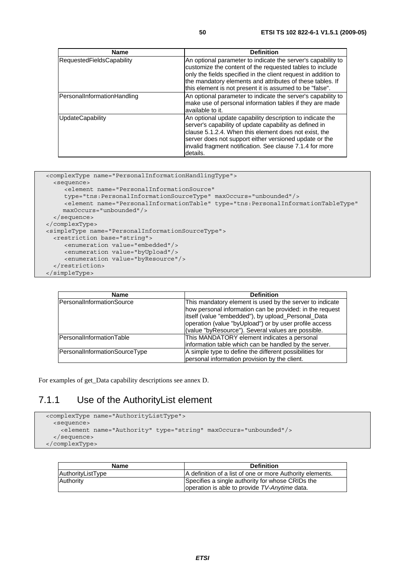| <b>Name</b>                      | <b>Definition</b>                                                                                                                                                                                                                                                                                                   |
|----------------------------------|---------------------------------------------------------------------------------------------------------------------------------------------------------------------------------------------------------------------------------------------------------------------------------------------------------------------|
| <b>RequestedFieldsCapability</b> | An optional parameter to indicate the server's capability to<br>customize the content of the requested tables to include<br>only the fields specified in the client request in addition to<br>the mandatory elements and attributes of these tables. If<br>this element is not present it is assumed to be "false". |
| PersonalInformationHandling      | An optional parameter to indicate the server's capability to<br>make use of personal information tables if they are made<br>available to it.                                                                                                                                                                        |
| UpdateCapability                 | An optional update capability description to indicate the<br>server's capability of update capability as defined in<br>clause 5.1.2.4. When this element does not exist, the<br>server does not support either versioned update or the<br>invalid fragment notification. See clause 7.1.4 for more<br>details.      |

```
 <complexType name="PersonalInformationHandlingType"> 
    <sequence> 
       <element name="PersonalInformationSource" 
       type="tns:PersonalInformationSourceType" maxOccurs="unbounded"/> 
      <element name="PersonalInformationTable" type="tns:PersonalInformationTableType"
       maxOccurs="unbounded"/> 
    </sequence> 
  </complexType> 
  <simpleType name="PersonalInformationSourceType"> 
    <restriction base="string"> 
 <enumeration value="embedded"/> 
 <enumeration value="byUpload"/> 
        <enumeration value="byResource"/> 
    </restriction> 
  </simpleType>
```

| Name                          | <b>Definition</b>                                                                                                                                                                                                                                                                          |  |
|-------------------------------|--------------------------------------------------------------------------------------------------------------------------------------------------------------------------------------------------------------------------------------------------------------------------------------------|--|
| PersonalInformationSource     | This mandatory element is used by the server to indicate<br>how personal information can be provided: in the request<br>itself (value "embedded"), by upload_Personal_Data<br>operation (value "byUpload") or by user profile access<br>(value "byResource"). Several values are possible. |  |
| PersonalInformationTable      | This MANDATORY element indicates a personal<br>information table which can be handled by the server.                                                                                                                                                                                       |  |
| PersonalInformationSourceType | A simple type to define the different possibilities for<br>personal information provision by the client.                                                                                                                                                                                   |  |

For examples of get\_Data capability descriptions see annex D.

### 7.1.1 Use of the AuthorityList element

```
 <complexType name="AuthorityListType"> 
   <sequence> 
     <element name="Authority" type="string" maxOccurs="unbounded"/> 
   </sequence> 
 </complexType>
```

| Name              | <b>Definition</b>                                                                                 |
|-------------------|---------------------------------------------------------------------------------------------------|
| AuthorityListType | A definition of a list of one or more Authority elements.                                         |
| Authority         | Specifies a single authority for whose CRIDs the<br>operation is able to provide TV-Anytime data. |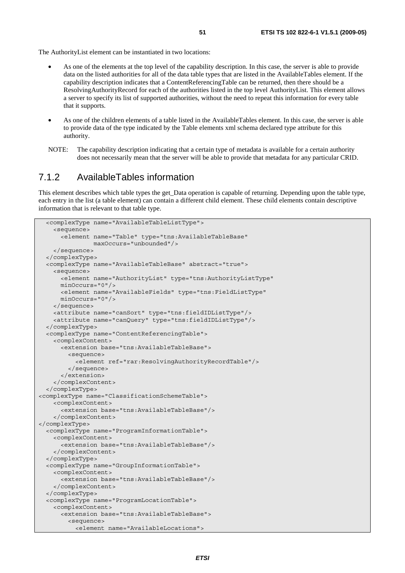- As one of the elements at the top level of the capability description. In this case, the server is able to provide data on the listed authorities for all of the data table types that are listed in the AvailableTables element. If the capability description indicates that a ContentReferencingTable can be returned, then there should be a ResolvingAuthorityRecord for each of the authorities listed in the top level AuthorityList. This element allows a server to specify its list of supported authorities, without the need to repeat this information for every table that it supports.
- As one of the children elements of a table listed in the AvailableTables element. In this case, the server is able to provide data of the type indicated by the Table elements xml schema declared type attribute for this authority.
- NOTE: The capability description indicating that a certain type of metadata is available for a certain authority does not necessarily mean that the server will be able to provide that metadata for any particular CRID.

#### 7.1.2 AvailableTables information

This element describes which table types the get Data operation is capable of returning. Depending upon the table type, each entry in the list (a table element) can contain a different child element. These child elements contain descriptive information that is relevant to that table type.

```
 <complexType name="AvailableTableListType"> 
     <sequence> 
       <element name="Table" type="tns:AvailableTableBase" 
                 maxOccurs="unbounded"/> 
     </sequence> 
   </complexType> 
   <complexType name="AvailableTableBase" abstract="true"> 
     <sequence> 
       <element name="AuthorityList" type="tns:AuthorityListType" 
       minOccurs="0"/> 
       <element name="AvailableFields" type="tns:FieldListType" 
       minOccurs="0"/> 
     </sequence> 
     <attribute name="canSort" type="tns:fieldIDListType"/> 
     <attribute name="canQuery" type="tns:fieldIDListType"/> 
   </complexType> 
   <complexType name="ContentReferencingTable"> 
     <complexContent> 
       <extension base="tns:AvailableTableBase"> 
         <sequence> 
           <element ref="rar:ResolvingAuthorityRecordTable"/> 
         </sequence> 
       </extension> 
     </complexContent> 
   </complexType> 
<complexType name="ClassificationSchemeTable"> 
     <complexContent> 
       <extension base="tns:AvailableTableBase"/> 
     </complexContent> 
</complexType> 
   <complexType name="ProgramInformationTable"> 
     <complexContent> 
       <extension base="tns:AvailableTableBase"/> 
     </complexContent> 
   </complexType> 
   <complexType name="GroupInformationTable"> 
     <complexContent> 
       <extension base="tns:AvailableTableBase"/> 
     </complexContent> 
   </complexType> 
   <complexType name="ProgramLocationTable"> 
     <complexContent> 
       <extension base="tns:AvailableTableBase"> 
         <sequence> 
           <element name="AvailableLocations">
```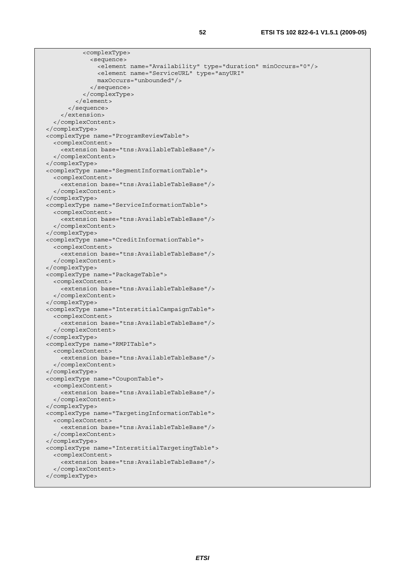| <complextype></complextype>                                             |  |
|-------------------------------------------------------------------------|--|
| <sequence></sequence>                                                   |  |
| <element minoccurs="0" name="Availability" type="duration"></element>   |  |
| <element <="" name="ServiceURL" td="" type="anyURI"><td></td></element> |  |
| maxOccurs="unbounded"/>                                                 |  |
|                                                                         |  |
|                                                                         |  |
| $\langle$ element>                                                      |  |
|                                                                         |  |
|                                                                         |  |
|                                                                         |  |
|                                                                         |  |
| <complextype name="ProgramReviewTable"></complextype>                   |  |
| <complexcontent></complexcontent>                                       |  |
| <extension base="tns:AvailableTableBase"></extension>                   |  |
|                                                                         |  |
|                                                                         |  |
| <complextype name="SegmentInformationTable"></complextype>              |  |
| <complexcontent></complexcontent>                                       |  |
| <extension base="tns:AvailableTableBase"></extension>                   |  |
|                                                                         |  |
|                                                                         |  |
| <complextype name="ServiceInformationTable"></complextype>              |  |
| <complexcontent></complexcontent>                                       |  |
| <extension base="tns:AvailableTableBase"></extension>                   |  |
|                                                                         |  |
|                                                                         |  |
| <complextype name="CreditInformationTable"></complextype>               |  |
| <complexcontent></complexcontent>                                       |  |
| <extension base="tns:AvailableTableBase"></extension>                   |  |
|                                                                         |  |
|                                                                         |  |
| <complextype name="PackageTable"></complextype>                         |  |
| <complexcontent></complexcontent>                                       |  |
| <extension base="tns:AvailableTableBase"></extension>                   |  |
|                                                                         |  |
|                                                                         |  |
| <complextype name="InterstitialCampaignTable"></complextype>            |  |
| <complexcontent></complexcontent>                                       |  |
| <extension base="tns:AvailableTableBase"></extension><br>               |  |
|                                                                         |  |
| <complextype name="RMPITable"></complextype>                            |  |
| <complexcontent></complexcontent>                                       |  |
| <extension base="tns:AvailableTableBase"></extension>                   |  |
|                                                                         |  |
|                                                                         |  |
| <complextype name="CouponTable"></complextype>                          |  |
| <complexcontent></complexcontent>                                       |  |
| <extension base="tns:AvailableTableBase"></extension>                   |  |
|                                                                         |  |
|                                                                         |  |
| <complextype name="TargetingInformationTable"></complextype>            |  |
| <complexcontent></complexcontent>                                       |  |
| <extension base="tns:AvailableTableBase"></extension>                   |  |
|                                                                         |  |
|                                                                         |  |
| <complextype name="InterstitialTargetingTable"></complextype>           |  |
| <complexcontent></complexcontent>                                       |  |
| <extension base="tns:AvailableTableBase"></extension>                   |  |
|                                                                         |  |
|                                                                         |  |
|                                                                         |  |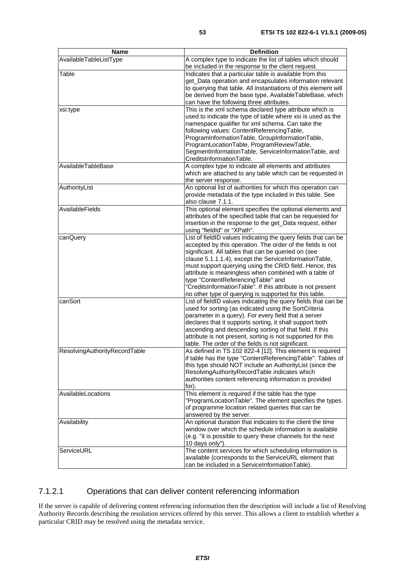| <b>Name</b>                   | <b>Definition</b>                                                                                             |
|-------------------------------|---------------------------------------------------------------------------------------------------------------|
| AvailableTableListType        | A complex type to indicate the list of tables which should                                                    |
|                               | be included in the response to the client request.                                                            |
| Table                         | Indicates that a particular table is available from this                                                      |
|                               | get_Data operation and encapsulates information relevant                                                      |
|                               | to querying that table. All instantiations of this element will                                               |
|                               | be derived from the base type, AvailableTableBase, which                                                      |
|                               | can have the following three attributes.                                                                      |
| xsi:type                      | This is the xml schema declared type attribute which is                                                       |
|                               | used to indicate the type of table where xsi is used as the                                                   |
|                               | namespace qualifier for xml schema. Can take the                                                              |
|                               | following values: ContentReferencingTable,                                                                    |
|                               | ProgramInformationTable, GroupInformationTable,                                                               |
|                               | ProgramLocationTable, ProgramReviewTable,                                                                     |
|                               | SegmentInformationTable, ServiceInformationTable, and                                                         |
|                               | CreditsInformationTable.                                                                                      |
| AvailableTableBase            | A complex type to indicate all elements and attributes                                                        |
|                               | which are attached to any table which can be requested in                                                     |
|                               | the server response.                                                                                          |
| AuthorityList                 | An optional list of authorities for which this operation can                                                  |
|                               | provide metadata of the type included in this table. See                                                      |
|                               | also clause 7.1.1.                                                                                            |
| AvailableFields               | This optional element specifies the optional elements and                                                     |
|                               | attributes of the specified table that can be requested for                                                   |
|                               | insertion in the response to the get_Data request, either                                                     |
|                               | using "fieldId" or "XPath".                                                                                   |
| canQuery                      | List of fieldID values indicating the query fields that can be                                                |
|                               | accepted by this operation. The order of the fields is not                                                    |
|                               | significant. All tables that can be queried on (see                                                           |
|                               | clause 5.1.1.1.4), except the ServiceInformationTable,                                                        |
|                               | must support querying using the CRID field. Hence, this                                                       |
|                               | attribute is meaningless when combined with a table of                                                        |
|                               | type "ContentReferencingTable" and                                                                            |
|                               | 'CreditsInformationTable". If this attribute is not present                                                   |
|                               | no other type of querying is supported for this table.                                                        |
| canSort                       | List of fieldID values indicating the query fields that can be                                                |
|                               | used for sorting (as indicated using the SortCriteria<br>parameter in a query). For every field that a server |
|                               | declares that it supports sorting, it shall support both                                                      |
|                               | ascending and descending sorting of that field. If this                                                       |
|                               | attribute is not present, sorting is not supported for this                                                   |
|                               | table. The order of the fields is not significant.                                                            |
| ResolvingAuthorityRecordTable | As defined in TS 102 822-4 [12]. This element is required                                                     |
|                               | if table has the type "ContentReferencingTable". Tables of                                                    |
|                               | this type should NOT include an AuthorityList (since the                                                      |
|                               | ResolvingAuthorityRecordTable indicates which                                                                 |
|                               | authorities content referencing information is provided                                                       |
|                               | for).                                                                                                         |
| AvailableLocations            | This element is required if the table has the type                                                            |
|                               | "ProgramLocationTable". The element specifies the types                                                       |
|                               | of programme location related queries that can be                                                             |
|                               | answered by the server.                                                                                       |
| Availability                  | An optional duration that indicates to the client the time                                                    |
|                               | window over which the schedule information is available                                                       |
|                               | (e.g. "it is possible to query these channels for the next                                                    |
|                               | 10 days only").                                                                                               |
| ServiceURL                    | The content services for which scheduling information is                                                      |
|                               | available (corresponds to the ServiceURL element that                                                         |
|                               | can be included in a ServiceInformationTable).                                                                |

#### 7.1.2.1 Operations that can deliver content referencing information

If the server is capable of delivering content referencing information then the description will include a list of Resolving Authority Records describing the resolution services offered by this server. This allows a client to establish whether a particular CRID may be resolved using the metadata service.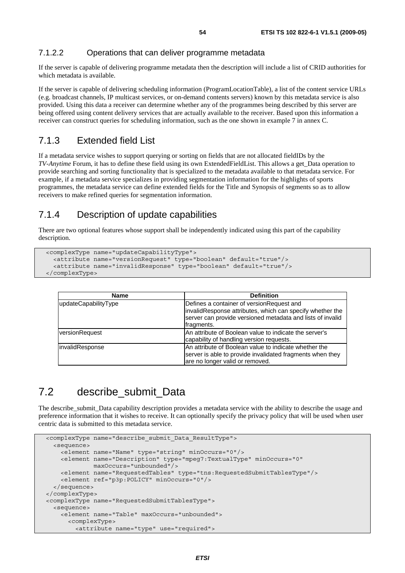#### 7.1.2.2 Operations that can deliver programme metadata

If the server is capable of delivering programme metadata then the description will include a list of CRID authorities for which metadata is available.

If the server is capable of delivering scheduling information (ProgramLocationTable), a list of the content service URLs (e.g. broadcast channels, IP multicast services, or on-demand contents servers) known by this metadata service is also provided. Using this data a receiver can determine whether any of the programmes being described by this server are being offered using content delivery services that are actually available to the receiver. Based upon this information a receiver can construct queries for scheduling information, such as the one shown in example 7 in annex C.

#### 7.1.3 Extended field List

If a metadata service wishes to support querying or sorting on fields that are not allocated fieldIDs by the *TV-Anytime* Forum, it has to define these field using its own ExtendedFieldList. This allows a get\_Data operation to provide searching and sorting functionality that is specialized to the metadata available to that metadata service. For example, if a metadata service specializes in providing segmentation information for the highlights of sports programmes, the metadata service can define extended fields for the Title and Synopsis of segments so as to allow receivers to make refined queries for segmentation information.

### 7.1.4 Description of update capabilities

There are two optional features whose support shall be independently indicated using this part of the capability description.

```
 <complexType name="updateCapabilityType"> 
   <attribute name="versionRequest" type="boolean" default="true"/> 
   <attribute name="invalidResponse" type="boolean" default="true"/> 
 </complexType>
```

| <b>Name</b>          | <b>Definition</b>                                                                                                                                                                   |
|----------------------|-------------------------------------------------------------------------------------------------------------------------------------------------------------------------------------|
| updateCapabilityType | Defines a container of version Request and<br>invalidResponse attributes, which can specify whether the<br>server can provide versioned metadata and lists of invalid<br>fragments. |
| versionRequest       | An attribute of Boolean value to indicate the server's<br>capability of handling version requests.                                                                                  |
| invalidResponse      | An attribute of Boolean value to indicate whether the<br>server is able to provide invalidated fragments when they<br>are no longer valid or removed.                               |

## 7.2 describe submit Data

The describe submit. Data capability description provides a metadata service with the ability to describe the usage and preference information that it wishes to receive. It can optionally specify the privacy policy that will be used when user centric data is submitted to this metadata service.

```
 <complexType name="describe_submit_Data_ResultType"> 
   <sequence> 
     <element name="Name" type="string" minOccurs="0"/> 
     <element name="Description" type="mpeg7:TextualType" minOccurs="0" 
              maxOccurs="unbounded"/> 
     <element name="RequestedTables" type="tns:RequestedSubmitTablesType"/> 
     <element ref="p3p:POLICY" minOccurs="0"/> 
   </sequence> 
 </complexType> 
 <complexType name="RequestedSubmitTablesType"> 
   <sequence> 
     <element name="Table" maxOccurs="unbounded"> 
       <complexType> 
         <attribute name="type" use="required">
```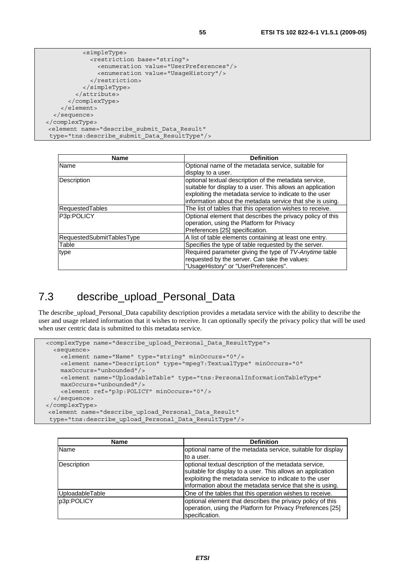```
 <simpleType> 
              <restriction base="string"> 
                <enumeration value="UserPreferences"/> 
                <enumeration value="UsageHistory"/> 
              </restriction> 
            </simpleType> 
         </attribute> 
       </complexType> 
     </element> 
   </sequence> 
</complexType> 
 <element name="describe_submit_Data_Result" 
 type="tns:describe_submit_Data_ResultType"/>
```

| Name                      | <b>Definition</b>                                          |
|---------------------------|------------------------------------------------------------|
| Name                      | Optional name of the metadata service, suitable for        |
|                           | display to a user.                                         |
| Description               | optional textual description of the metadata service,      |
|                           | suitable for display to a user. This allows an application |
|                           | exploiting the metadata service to indicate to the user    |
|                           | information about the metadata service that she is using.  |
| RequestedTables           | The list of tables that this operation wishes to receive.  |
| P3p:POLICY                | Optional element that describes the privacy policy of this |
|                           | operation, using the Platform for Privacy                  |
|                           | Preferences [25] specification.                            |
| RequestedSubmitTablesType | A list of table elements containing at least one entry.    |
| Table                     | Specifies the type of table requested by the server.       |
| type                      | Required parameter giving the type of TV-Anytime table     |
|                           | requested by the server. Can take the values:              |
|                           | "UsageHistory" or "UserPreferences".                       |

# 7.3 describe\_upload\_Personal\_Data

The describe upload Personal Data capability description provides a metadata service with the ability to describe the user and usage related information that it wishes to receive. It can optionally specify the privacy policy that will be used when user centric data is submitted to this metadata service.

```
 <complexType name="describe_upload_Personal_Data_ResultType"> 
   <sequence> 
     <element name="Name" type="string" minOccurs="0"/> 
     <element name="Description" type="mpeg7:TextualType" minOccurs="0" 
    maxOccurs="unbounded"/> 
     <element name="UploadableTable" type="tns:PersonalInformationTableType" 
    maxOccurs="unbounded"/> 
     <element ref="p3p:POLICY" minOccurs="0"/> 
   </sequence> 
</complexType> 
 <element name="describe_upload_Personal_Data_Result" 
  type="tns:describe_upload_Personal_Data_ResultType"/>
```

| <b>Name</b>     | <b>Definition</b>                                                                                                                                                                                                                           |
|-----------------|---------------------------------------------------------------------------------------------------------------------------------------------------------------------------------------------------------------------------------------------|
| Name            | optional name of the metadata service, suitable for display                                                                                                                                                                                 |
|                 | to a user.                                                                                                                                                                                                                                  |
| Description     | optional textual description of the metadata service,<br>suitable for display to a user. This allows an application<br>exploiting the metadata service to indicate to the user<br>information about the metadata service that she is using. |
| UploadableTable | One of the tables that this operation wishes to receive.                                                                                                                                                                                    |
| p3p:POLICY      | optional element that describes the privacy policy of this<br>operation, using the Platform for Privacy Preferences [25]<br>specification.                                                                                                  |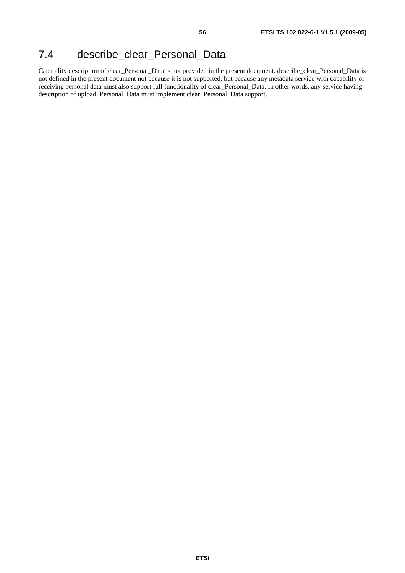# 7.4 describe\_clear\_Personal\_Data

Capability description of clear\_Personal\_Data is not provided in the present document. describe\_clear\_Personal\_Data is not defined in the present document not because it is not supported, but because any metadata service with capability of receiving personal data must also support full functionality of clear\_Personal\_Data. In other words, any service having description of upload\_Personal\_Data must implement clear\_Personal\_Data support.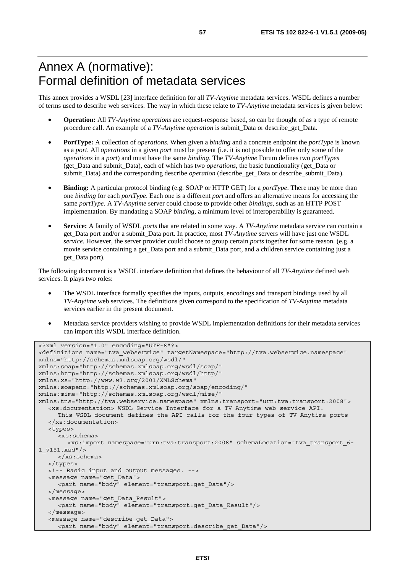# Annex A (normative): Formal definition of metadata services

This annex provides a WSDL [23] interface definition for all *TV-Anytime* metadata services. WSDL defines a number of terms used to describe web services. The way in which these relate to *TV-Anytime* metadata services is given below:

- **Operation:** All *TV-Anytime operations* are request-response based, so can be thought of as a type of remote procedure call. An example of a *TV-Anytime operation* is submit*\_*Data or describe*\_*get*\_*Data.
- **PortType:** A collection of *operations*. When given a *binding* and a concrete endpoint the *portType* is known as a *port*. All *operations* in a given *port* must be present (i.e. it is not possible to offer only some of the *operations* in a *port*) and must have the same *binding*. The *TV-Anytime* Forum defines two *portTypes* (get*\_*Data and submit*\_*Data), each of which has two *operations*, the basic functionality (get*\_*Data or submit*\_*Data) and the corresponding describe *operation* (describe\_get*\_*Data or describe\_submit*\_*Data).
- **Binding:** A particular protocol binding (e.g. SOAP or HTTP GET) for a *portType*. There may be more than one *binding* for each *portType*. Each one is a different *port* and offers an alternative means for accessing the same *portType*. A *TV-Anytime* server could choose to provide other *bindings*, such as an HTTP POST implementation. By mandating a SOAP *binding*, a minimum level of interoperability is guaranteed.
- **Service:** A family of WSDL *ports* that are related in some way. A *TV-Anytime* metadata service can contain a get\_Data port and/or a submit\_Data port. In practice, most *TV-Anytime* servers will have just one WSDL *service*. However, the server provider could choose to group certain *ports* together for some reason. (e.g. a movie service containing a get\_Data port and a submit\_Data port, and a children service containing just a get\_Data port).

The following document is a WSDL interface definition that defines the behaviour of all *TV-Anytime* defined web services. It plays two roles:

- The WSDL interface formally specifies the inputs, outputs, encodings and transport bindings used by all *TV-Anytime* web services. The definitions given correspond to the specification of *TV-Anytime* metadata services earlier in the present document.
- Metadata service providers wishing to provide WSDL implementation definitions for their metadata services can import this WSDL interface definition.

```
<?xml version="1.0" encoding="UTF-8"?> 
<definitions name="tva_webservice" targetNamespace="http://tva.webservice.namespace" 
xmlns="http://schemas.xmlsoap.org/wsdl/" 
xmlns:soap="http://schemas.xmlsoap.org/wsdl/soap/" 
xmlns:http="http://schemas.xmlsoap.org/wsdl/http/" 
xmlns:xs="http://www.w3.org/2001/XMLSchema" 
xmlns:soapenc="http://schemas.xmlsoap.org/soap/encoding/" 
xmlns:mime="http://schemas.xmlsoap.org/wsdl/mime/" 
xmlns:tns="http://tva.webservice.namespace" xmlns:transport="urn:tva:transport:2008"> 
    <xs:documentation> WSDL Service Interface for a TV Anytime web service API. 
      This WSDL document defines the API calls for the four types of TV Anytime ports 
   </xs:documentation> 
   <types> 
      <xs:schema> 
         <xs:import namespace="urn:tva:transport:2008" schemaLocation="tva_transport_6-
1_v151.xsd"/> 
      </xs:schema> 
   </types> 
   <!-- Basic input and output messages. --> 
   <message name="get_Data"> 
      <part name="body" element="transport:get_Data"/> 
   </message> 
   <message name="get_Data_Result"> 
      <part name="body" element="transport:get_Data_Result"/> 
   </message> 
    <message name="describe_get_Data"> 
      <part name="body" element="transport:describe_get_Data"/>
```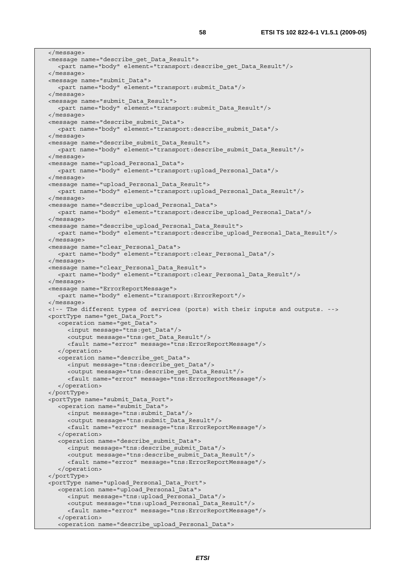</message> <message name="describe\_get\_Data\_Result"> <part name="body" element="transport:describe\_get\_Data\_Result"/> </message> <message name="submit\_Data"> <part name="body" element="transport:submit\_Data"/> </message> <message name="submit\_Data\_Result"> <part name="body" element="transport:submit\_Data\_Result"/> </message> <message name="describe\_submit\_Data"> <part name="body" element="transport:describe\_submit\_Data"/> </message> <message name="describe\_submit\_Data\_Result"> <part name="body" element="transport:describe\_submit\_Data\_Result"/> </message> <message name="upload\_Personal\_Data"> <part name="body" element="transport:upload\_Personal\_Data"/> </message> <message name="upload\_Personal\_Data\_Result"> <part name="body" element="transport:upload\_Personal\_Data\_Result"/> </message> <message name="describe\_upload\_Personal\_Data"> <part name="body" element="transport:describe\_upload\_Personal\_Data"/> </message> <message name="describe\_upload\_Personal\_Data\_Result"> <part name="body" element="transport:describe\_upload\_Personal\_Data\_Result"/> </message> <message name="clear\_Personal\_Data"> <part name="body" element="transport:clear\_Personal\_Data"/> </message> <message name="clear\_Personal\_Data\_Result"> <part name="body" element="transport:clear\_Personal\_Data\_Result"/> </message> <message name="ErrorReportMessage"> <part name="body" element="transport:ErrorReport"/> </message> <!-- The different types of services (ports) with their inputs and outputs. --> <portType name="get\_Data\_Port"> <operation name="get\_Data"> <input message="tns:get\_Data"/> <output message="tns:get\_Data\_Result"/> <fault name="error" message="tns:ErrorReportMessage"/> </operation> <operation name="describe\_get\_Data"> <input message="tns:describe\_get\_Data"/> <output message="tns:describe\_get\_Data\_Result"/> <fault name="error" message="tns:ErrorReportMessage"/> </operation> </portType> <portType name="submit\_Data\_Port"> <operation name="submit\_Data"> <input message="tns:submit\_Data"/> <output message="tns:submit\_Data\_Result"/> <fault name="error" message="tns:ErrorReportMessage"/> </operation> <operation name="describe\_submit\_Data"> <input message="tns:describe\_submit\_Data"/> <output message="tns:describe\_submit\_Data\_Result"/> <fault name="error" message="tns:ErrorReportMessage"/> </operation> </portType> <portType name="upload\_Personal\_Data\_Port"> <operation name="upload\_Personal\_Data"> <input message="tns:upload\_Personal\_Data"/> <output message="tns:upload\_Personal\_Data\_Result"/> <fault name="error" message="tns:ErrorReportMessage"/> </operation> <operation name="describe\_upload\_Personal\_Data">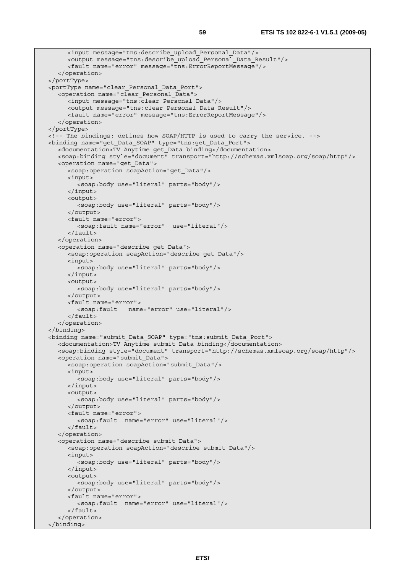```
 <input message="tns:describe_upload_Personal_Data"/> 
      <output message="tns:describe_upload_Personal_Data_Result"/> 
      <fault name="error" message="tns:ErrorReportMessage"/> 
    </operation> 
 </portType> 
 <portType name="clear_Personal_Data_Port"> 
    <operation name="clear_Personal_Data"> 
      <input message="tns:clear_Personal_Data"/> 
      <output message="tns:clear_Personal_Data_Result"/> 
      <fault name="error" message="tns:ErrorReportMessage"/> 
    </operation> 
 </portType> 
 <!-- The bindings: defines how SOAP/HTTP is used to carry the service. --> 
 <binding name="get_Data_SOAP" type="tns:get_Data_Port"> 
   <documentation>TV Anytime get_Data binding</documentation> 
   <soap:binding style="document" transport="http://schemas.xmlsoap.org/soap/http"/> 
    <operation name="get_Data"> 
      <soap:operation soapAction="get_Data"/> 
      <input> 
         <soap:body use="literal" parts="body"/> 
      </input> 
      <output> 
         <soap:body use="literal" parts="body"/> 
      </output> 
      <fault name="error"> 
         <soap:fault name="error" use="literal"/> 
      </fault> 
    </operation> 
    <operation name="describe_get_Data"> 
      <soap:operation soapAction="describe_get_Data"/> 
      <input> 
         <soap:body use="literal" parts="body"/> 
      </input> 
      <output> 
         <soap:body use="literal" parts="body"/> 
      </output> 
      <fault name="error"> 
         <soap:fault name="error" use="literal"/> 
      </fault> 
    </operation> 
 </binding> 
 <binding name="submit_Data_SOAP" type="tns:submit_Data_Port"> 
   <documentation>TV Anytime submit_Data binding</documentation> 
    <soap:binding style="document" transport="http://schemas.xmlsoap.org/soap/http"/> 
    <operation name="submit_Data"> 
      <soap:operation soapAction="submit_Data"/> 
      <input> 
         <soap:body use="literal" parts="body"/> 
      </input> 
      <output> 
         <soap:body use="literal" parts="body"/> 
      </output> 
      <fault name="error"> 
         <soap:fault name="error" use="literal"/> 
      </fault> 
    </operation> 
    <operation name="describe_submit_Data"> 
      <soap:operation soapAction="describe_submit_Data"/> 
      <input> 
         <soap:body use="literal" parts="body"/> 
      </input> 
      <output> 
         <soap:body use="literal" parts="body"/> 
      </output> 
      <fault name="error"> 
         <soap:fault name="error" use="literal"/> 
      </fault> 
    </operation> 
 </binding>
```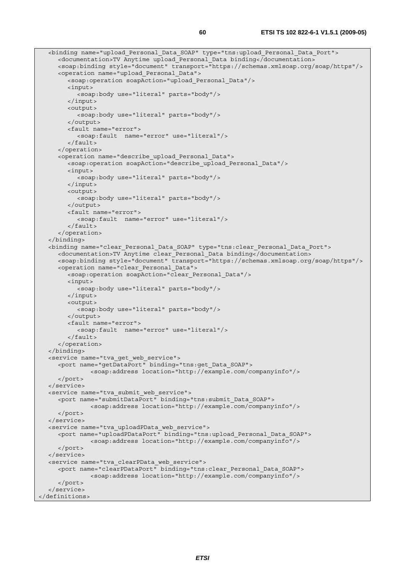```
 <binding name="upload_Personal_Data_SOAP" type="tns:upload_Personal_Data_Port"> 
      <documentation>TV Anytime upload_Personal_Data binding</documentation> 
      <soap:binding style="document" transport="https://schemas.xmlsoap.org/soap/https"/> 
      <operation name="upload_Personal_Data"> 
         <soap:operation soapAction="upload_Personal_Data"/> 
         <input> 
            <soap:body use="literal" parts="body"/> 
         </input> 
         <output> 
            <soap:body use="literal" parts="body"/> 
         </output> 
         <fault name="error"> 
            <soap:fault name="error" use="literal"/> 
         </fault> 
      </operation> 
      <operation name="describe_upload_Personal_Data"> 
         <soap:operation soapAction="describe_upload_Personal_Data"/> 
         <input> 
            <soap:body use="literal" parts="body"/> 
         </input> 
         <output> 
            <soap:body use="literal" parts="body"/> 
         </output> 
         <fault name="error"> 
            <soap:fault name="error" use="literal"/> 
         </fault> 
      </operation> 
   </binding> 
   <binding name="clear_Personal_Data_SOAP" type="tns:clear_Personal_Data_Port"> 
      <documentation>TV Anytime clear_Personal_Data binding</documentation> 
      <soap:binding style="document" transport="https://schemas.xmlsoap.org/soap/https"/> 
      <operation name="clear_Personal_Data"> 
         <soap:operation soapAction="clear_Personal_Data"/> 
         <input> 
           <soap:body use="literal" parts="body"/> 
         </input> 
         <output> 
            <soap:body use="literal" parts="body"/> 
         </output> 
         <fault name="error"> 
            <soap:fault name="error" use="literal"/> 
         </fault> 
      </operation> 
   </binding> 
   <service name="tva_get_web_service"> 
      <port name="getDataPort" binding="tns:get_Data_SOAP"> 
                <soap:address location="http://example.com/companyinfo"/> 
      </port> 
   </service> 
   <service name="tva_submit_web_service"> 
      <port name="submitDataPort" binding="tns:submit_Data_SOAP"> 
                <soap:address location="http://example.com/companyinfo"/> 
      </port> 
   </service> 
   <service name="tva_uploadPData_web_service"> 
      <port name="uploadPDataPort" binding="tns:upload_Personal_Data_SOAP"> 
                <soap:address location="http://example.com/companyinfo"/> 
      </port> 
   </service> 
   <service name="tva_clearPData_web_service"> 
      <port name="clearPDataPort" binding="tns:clear_Personal_Data_SOAP"> 
                <soap:address location="http://example.com/companyinfo"/> 
      </port> 
   </service> 
</definitions>
```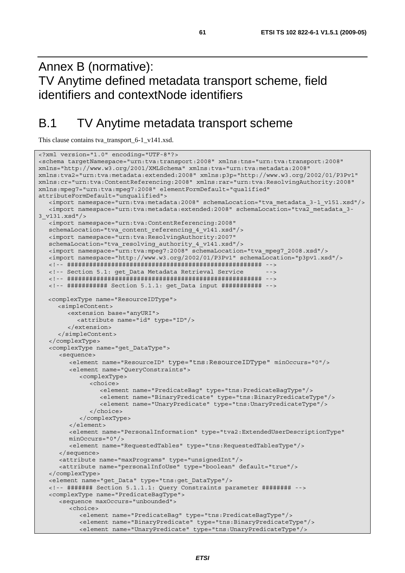# Annex B (normative): TV Anytime defined metadata transport scheme, field identifiers and contextNode identifiers

# B.1 TV Anytime metadata transport scheme

This clause contains tva\_transport\_6-1\_v141.xsd.

```
<?xml version="1.0" encoding="UTF-8"?> 
<schema targetNamespace="urn:tva:transport:2008" xmlns:tns="urn:tva:transport:2008" 
xmlns="http://www.w3.org/2001/XMLSchema" xmlns:tva="urn:tva:metadata:2008" 
xmlns:tva2="urn:tva:metadata:extended:2008" xmlns:p3p="http://www.w3.org/2002/01/P3Pv1" 
xmlns:cr="urn:tva:ContentReferencing:2008" xmlns:rar="urn:tva:ResolvingAuthority:2008" 
xmlns:mpeg7="urn:tva:mpeg7:2008" elementFormDefault="qualified" 
attributeFormDefault="unqualified"> 
    <import namespace="urn:tva:metadata:2008" schemaLocation="tva_metadata_3-1_v151.xsd"/> 
    <import namespace="urn:tva:metadata:extended:2008" schemaLocation="tva2_metadata_3-
3_v131.xsd"/> 
   <import namespace="urn:tva:ContentReferencing:2008" 
   schemaLocation="tva_content_referencing_4_v141.xsd"/> 
    <import namespace="urn:tva:ResolvingAuthority:2007" 
    schemaLocation="tva_resolving_authority_4_v141.xsd"/> 
   <import namespace="urn:tva:mpeg7:2008" schemaLocation="tva_mpeg7_2008.xsd"/> 
   <import namespace="http://www.w3.org/2002/01/P3Pv1" schemaLocation="p3pv1.xsd"/> 
   <!-- ##################################################### --> 
   <!-- Section 5.1: get_Data Metadata Retrieval Service --> 
   <!-- ##################################################### --> 
   <!-- ########### Section 5.1.1: get_Data input ########### --> 
  <complexType name="ResourceIDType"> 
      <simpleContent> 
         <extension base="anyURI"> 
            <attribute name="id" type="ID"/> 
         </extension> 
      </simpleContent> 
    </complexType> 
    <complexType name="get_DataType"> 
       <sequence> 
         <element name="ResourceID" type="tns:ResourceIDType" minOccurs="0"/> 
         <element name="QueryConstraints"> 
            <complexType> 
               <choice> 
                  <element name="PredicateBag" type="tns:PredicateBagType"/> 
                  <element name="BinaryPredicate" type="tns:BinaryPredicateType"/> 
                  <element name="UnaryPredicate" type="tns:UnaryPredicateType"/> 
               </choice> 
            </complexType> 
         </element> 
         <element name="PersonalInformation" type="tva2:ExtendedUserDescriptionType" 
         minOccurs="0"/> 
         <element name="RequestedTables" type="tns:RequestedTablesType"/> 
      </sequence> 
      <attribute name="maxPrograms" type="unsignedInt"/> 
      <attribute name="personalInfoUse" type="boolean" default="true"/> 
    </complexType> 
    <element name="get_Data" type="tns:get_DataType"/> 
    <!-- ####### Section 5.1.1.1: Query Constraints parameter ######## --> 
    <complexType name="PredicateBagType"> 
      <sequence maxOccurs="unbounded"> 
         <choice> 
            <element name="PredicateBag" type="tns:PredicateBagType"/> 
            <element name="BinaryPredicate" type="tns:BinaryPredicateType"/> 
            <element name="UnaryPredicate" type="tns:UnaryPredicateType"/>
```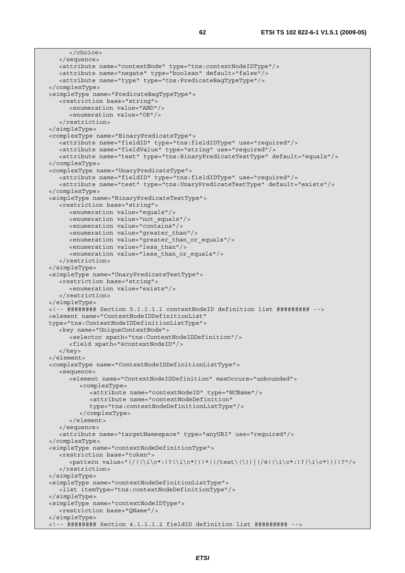```
 </choice> 
   </sequence> 
   <attribute name="contextNode" type="tns:contextNodeIDType"/> 
   <attribute name="negate" type="boolean" default="false"/> 
    <attribute name="type" type="tns:PredicateBagTypeType"/> 
 </complexType> 
 <simpleType name="PredicateBagTypeType"> 
   <restriction base="string"> 
      <enumeration value="AND"/> 
       <enumeration value="OR"/> 
    </restriction> 
 </simpleType> 
 <complexType name="BinaryPredicateType"> 
   <attribute name="fieldID" type="tns:fieldIDType" use="required"/> 
   <attribute name="fieldValue" type="string" use="required"/> 
    <attribute name="test" type="tns:BinaryPredicateTestType" default="equals"/> 
 </complexType> 
 <complexType name="UnaryPredicateType"> 
    <attribute name="fieldID" type="tns:fieldIDType" use="required"/> 
   <attribute name="test" type="tns:UnaryPredicateTestType" default="exists"/> 
 </complexType> 
 <simpleType name="BinaryPredicateTestType"> 
   <restriction base="string"> 
      <enumeration value="equals"/> 
      <enumeration value="not_equals"/> 
      <enumeration value="contains"/> 
      <enumeration value="greater_than"/> 
       <enumeration value="greater_than_or_equals"/> 
      <enumeration value="less_than"/> 
      <enumeration value="less_than_or_equals"/> 
    </restriction> 
 </simpleType> 
 <simpleType name="UnaryPredicateTestType"> 
   <restriction base="string"> 
      <enumeration value="exists"/> 
    </restriction> 
 </simpleType> 
 <!-- ######## Section 5.1.1.1.1 contextNodeID definition list ######### --> 
 <element name="ContextNodeIDDefinitionList" 
 type="tns:ContextNodeIDDefinitionListType"> 
    <key name="UniqueContextNode"> 
      <selector xpath="tns:ContextNodeIDDefinition"/> 
       <field xpath="@contextNodeID"/> 
    </key> 
 </element> 
 <complexType name="ContextNodeIDDefinitionListType"> 
    <sequence> 
       <element name="ContextNodeIDDefinition" maxOccurs="unbounded"> 
          <complexType> 
             <attribute name="contextNodeID" type="NCName"/> 
            <attribute name="contextNodeDefinition" 
            type="tns:contextNodeDefinitionListType"/> 
          </complexType> 
       </element> 
   </sequence> 
    <attribute name="targetNamespace" type="anyURI" use="required"/> 
 </complexType> 
 <simpleType name="contextNodeDefinitionType"> 
    <restriction base="token"> 
      \langle <pattern value="(/((\i\c*:)?(\i\c*)))*((/text\(\))|(/@((\i\c*:)?(\i\c*))))?"/>
    </restriction> 
 </simpleType> 
 <simpleType name="contextNodeDefinitionListType"> 
   <list itemType="tns:contextNodeDefinitionType"/> 
 </simpleType> 
 <simpleType name="contextNodeIDType"> 
    <restriction base="QName"/> 
 </simpleType> 
 <!-- ######## Section 4.1.1.1.2 fieldID definition list ######### -->
```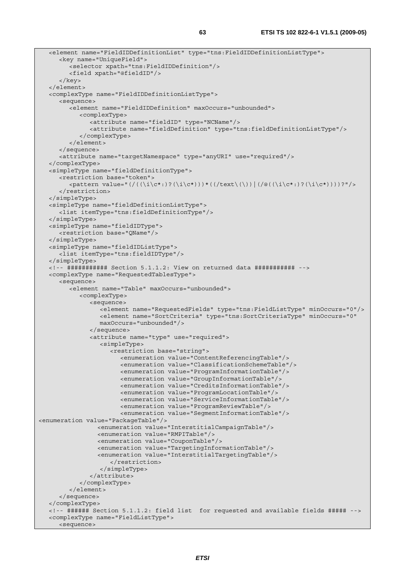```
 <element name="FieldIDDefinitionList" type="tns:FieldIDDefinitionListType"> 
      <key name="UniqueField"> 
         <selector xpath="tns:FieldIDDefinition"/> 
         <field xpath="@fieldID"/> 
       </key> 
   </element> 
   <complexType name="FieldIDDefinitionListType"> 
      <sequence> 
         <element name="FieldIDDefinition" maxOccurs="unbounded"> 
            <complexType> 
               <attribute name="fieldID" type="NCName"/> 
               <attribute name="fieldDefinition" type="tns:fieldDefinitionListType"/> 
            </complexType> 
         </element> 
      </sequence> 
      <attribute name="targetNamespace" type="anyURI" use="required"/> 
   </complexType> 
   <simpleType name="fieldDefinitionType"> 
      <restriction base="token"> 
         <pattern value="(/((\i\c*:)?(\i\c*)))*((/text\(\))|(/@((\i\c*:)?(\i\c*))))?"/> 
      </restriction> 
   </simpleType> 
   <simpleType name="fieldDefinitionListType"> 
      <list itemType="tns:fieldDefinitionType"/> 
   </simpleType> 
   <simpleType name="fieldIDType"> 
      <restriction base="QName"/> 
   </simpleType> 
   <simpleType name="fieldIDListType"> 
      <list itemType="tns:fieldIDType"/> 
   </simpleType> 
   <!-- ########### Section 5.1.1.2: View on returned data ########### --> 
   <complexType name="RequestedTablesType"> 
      <sequence> 
         <element name="Table" maxOccurs="unbounded"> 
            <complexType> 
               <sequence> 
                  <element name="RequestedFields" type="tns:FieldListType" minOccurs="0"/> 
                  <element name="SortCriteria" type="tns:SortCriteriaType" minOccurs="0" 
                  maxOccurs="unbounded"/> 
               </sequence> 
               <attribute name="type" use="required"> 
                  <simpleType> 
                     <restriction base="string"> 
                        <enumeration value="ContentReferencingTable"/> 
                        <enumeration value="ClassificationSchemeTable"/> 
                        <enumeration value="ProgramInformationTable"/> 
                        <enumeration value="GroupInformationTable"/> 
                        <enumeration value="CreditsInformationTable"/> 
                        <enumeration value="ProgramLocationTable"/> 
                        <enumeration value="ServiceInformationTable"/> 
                        <enumeration value="ProgramReviewTable"/> 
                        <enumeration value="SegmentInformationTable"/> 
<enumeration value="PackageTable"/> 
                  <enumeration value="InterstitialCampaignTable"/> 
                  <enumeration value="RMPITable"/> 
                  <enumeration value="CouponTable"/> 
                  <enumeration value="TargetingInformationTable"/> 
                  <enumeration value="InterstitialTargetingTable"/> 
                     </restriction> 
                  </simpleType> 
               </attribute> 
            </complexType> 
         </element> 
      </sequence> 
   </complexType> 
   <!-- ###### Section 5.1.1.2: field list for requested and available fields ##### --> 
   <complexType name="FieldListType"> 
      <sequence>
```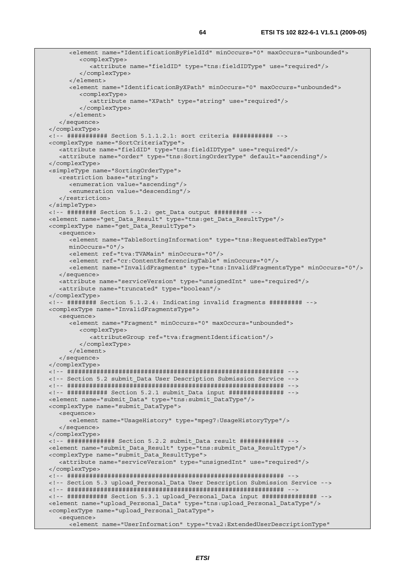```
 <element name="IdentificationByFieldId" minOccurs="0" maxOccurs="unbounded"> 
         <complexType> 
            <attribute name="fieldID" type="tns:fieldIDType" use="required"/> 
         </complexType> 
       </element> 
       <element name="IdentificationByXPath" minOccurs="0" maxOccurs="unbounded"> 
         <complexType> 
            <attribute name="XPath" type="string" use="required"/> 
         </complexType> 
       </element> 
   </sequence> 
 </complexType> 
 <!-- ########### Section 5.1.1.2.1: sort criteria ########### --> 
 <complexType name="SortCriteriaType"> 
   <attribute name="fieldID" type="tns:fieldIDType" use="required"/> 
    <attribute name="order" type="tns:SortingOrderType" default="ascending"/> 
 </complexType> 
 <simpleType name="SortingOrderType"> 
   <restriction base="string"> 
      <enumeration value="ascending"/> 
      <enumeration value="descending"/> 
    </restriction> 
 </simpleType> 
 <!-- ######## Section 5.1.2: get_Data output ######### --> 
 <element name="get_Data_Result" type="tns:get_Data_ResultType"/> 
 <complexType name="get_Data_ResultType"> 
   <sequence> 
       <element name="TableSortingInformation" type="tns:RequestedTablesType" 
      minOccurs="0"/> 
      <element ref="tva:TVAMain" minOccurs="0"/> 
      <element ref="cr:ContentReferencingTable" minOccurs="0"/> 
       <element name="InvalidFragments" type="tns:InvalidFragmentsType" minOccurs="0"/> 
   </sequence> 
   <attribute name="serviceVersion" type="unsignedInt" use="required"/> 
   <attribute name="truncated" type="boolean"/> 
 </complexType> 
 <!-- ######## Section 5.1.2.4: Indicating invalid fragments ######### --> 
 <complexType name="InvalidFragmentsType"> 
    <sequence> 
      <element name="Fragment" minOccurs="0" maxOccurs="unbounded"> 
         <complexType> 
            <attributeGroup ref="tva:fragmentIdentification"/> 
         </complexType> 
       </element> 
   </sequence> 
 </complexType> 
 <!-- ########################################################### --> 
 <!-- Section 5.2 submit_Data User Description Submission Service --> 
 <!-- ########################################################### --> 
 <!-- ########### Section 5.2.1 submit_Data input ############### --> 
 <element name="submit_Data" type="tns:submit_DataType"/> 
 <complexType name="submit_DataType"> 
   <sequence> 
       <element name="UsageHistory" type="mpeg7:UsageHistoryType"/> 
    </sequence> 
 </complexType> 
 <!-- ############# Section 5.2.2 submit_Data result ############ --> 
 <element name="submit_Data_Result" type="tns:submit_Data_ResultType"/> 
 <complexType name="submit_Data_ResultType"> 
    <attribute name="serviceVersion" type="unsignedInt" use="required"/> 
 </complexType> 
 <!-- ########################################################### --> 
 <!-- Section 5.3 upload_Personal_Data User Description Submission Service --> 
 <!-- ########################################################### --> 
 <!-- ########### Section 5.3.1 upload_Personal_Data input ############### --> 
 <element name="upload_Personal_Data" type="tns:upload_Personal_DataType"/> 
 <complexType name="upload_Personal_DataType"> 
    <sequence> 
       <element name="UserInformation" type="tva2:ExtendedUserDescriptionType"
```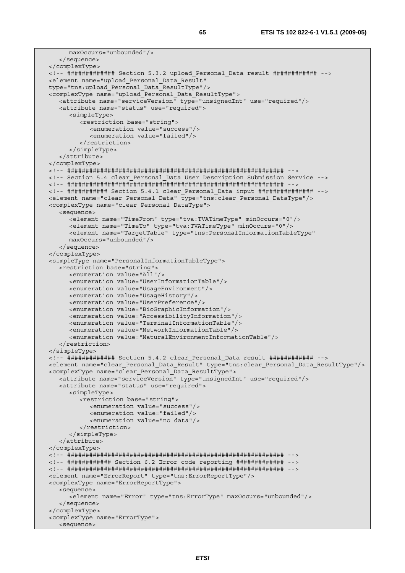```
 maxOccurs="unbounded"/> 
    </sequence> 
 </complexType> 
 <!-- ############# Section 5.3.2 upload_Personal_Data result ############ --> 
 <element name="upload_Personal_Data_Result" 
 type="tns:upload_Personal_Data_ResultType"/> 
 <complexType name="upload_Personal_Data_ResultType"> 
   <attribute name="serviceVersion" type="unsignedInt" use="required"/> 
   <attribute name="status" use="required"> 
      <simpleType> 
          <restriction base="string"> 
            <enumeration value="success"/> 
             <enumeration value="failed"/> 
          </restriction> 
       </simpleType> 
    </attribute> 
 </complexType> 
 <!-- ########################################################### --> 
 <!-- Section 5.4 clear_Personal_Data User Description Submission Service --> 
 <!-- ########################################################### --> 
 <!-- ########### Section 5.4.1 clear_Personal_Data input ############### --> 
 <element name="clear_Personal_Data" type="tns:clear_Personal_DataType"/> 
 <complexType name="clear_Personal_DataType"> 
   <sequence> 
       <element name="TimeFrom" type="tva:TVATimeType" minOccurs="0"/> 
       <element name="TimeTo" type="tva:TVATimeType" minOccurs="0"/> 
       <element name="TargetTable" type="tns:PersonalInformationTableType" 
       maxOccurs="unbounded"/> 
   </sequence> 
 </complexType> 
 <simpleType name="PersonalInformationTableType"> 
   <restriction base="string"> 
      <enumeration value="All"/> 
       <enumeration value="UserInformationTable"/> 
      <enumeration value="UsageEnvironment"/> 
      <enumeration value="UsageHistory"/> 
      <enumeration value="UserPreference"/> 
      <enumeration value="BioGraphicInformation"/> 
       <enumeration value="AccessibilityInformation"/> 
      <enumeration value="TerminalInformationTable"/> 
       <enumeration value="NetworkInformationTable"/> 
       <enumeration value="NaturalEnvironmentInformationTable"/> 
    </restriction> 
 </simpleType> 
 <!-- ############# Section 5.4.2 clear_Personal_Data result ############ --> 
 <element name="clear_Personal_Data_Result" type="tns:clear_Personal_Data_ResultType"/> 
 <complexType name="clear_Personal_Data_ResultType"> 
   <attribute name="serviceVersion" type="unsignedInt" use="required"/> 
   <attribute name="status" use="required"> 
       <simpleType> 
          <restriction base="string"> 
             <enumeration value="success"/> 
            <enumeration value="failed"/> 
             <enumeration value="no data"/> 
          </restriction> 
       </simpleType> 
   </attribute> 
 </complexType> 
 <!-- ########################################################### --> 
 <!-- ############ Section 6.2 Error code reporting ############# --> 
 <!-- ########################################################### --> 
 <element name="ErrorReport" type="tns:ErrorReportType"/> 
 <complexType name="ErrorReportType"> 
   <sequence> 
       <element name="Error" type="tns:ErrorType" maxOccurs="unbounded"/> 
    </sequence> 
 </complexType> 
 <complexType name="ErrorType"> 
   <sequence>
```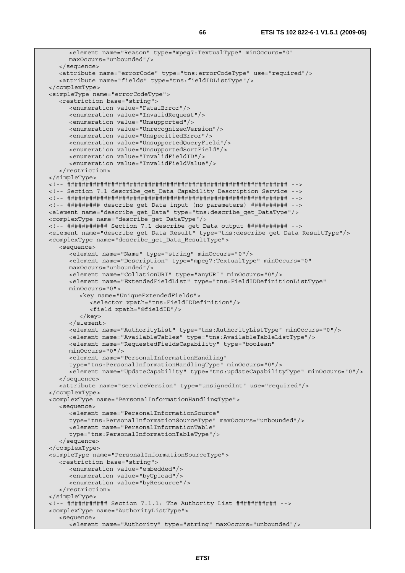```
 <element name="Reason" type="mpeg7:TextualType" minOccurs="0" 
      maxOccurs="unbounded"/> 
   </sequence> 
   <attribute name="errorCode" type="tns:errorCodeType" use="required"/> 
    <attribute name="fields" type="tns:fieldIDListType"/> 
 </complexType> 
 <simpleType name="errorCodeType"> 
    <restriction base="string"> 
      <enumeration value="FatalError"/> 
      <enumeration value="InvalidRequest"/> 
      <enumeration value="Unsupported"/> 
       <enumeration value="UnrecognizedVersion"/> 
      <enumeration value="UnspecifiedError"/> 
      <enumeration value="UnsupportedQueryField"/> 
      <enumeration value="UnsupportedSortField"/> 
      <enumeration value="InvalidFieldID"/> 
       <enumeration value="InvalidFieldValue"/> 
    </restriction> 
 </simpleType> 
 <!-- ############################################################ --> 
 <!-- Section 7.1 describe_get_Data Capability Description Service --> 
 <!-- ############################################################ --> 
 <!-- ######### describe_get_Data input (no parameters) ########## --> 
 <element name="describe_get_Data" type="tns:describe_get_DataType"/> 
 <complexType name="describe_get_DataType"/> 
 <!-- ########### Section 7.1 describe_get_Data output ########### --> 
 <element name="describe_get_Data_Result" type="tns:describe_get_Data_ResultType"/> 
 <complexType name="describe_get_Data_ResultType"> 
    <sequence> 
       <element name="Name" type="string" minOccurs="0"/> 
       <element name="Description" type="mpeg7:TextualType" minOccurs="0" 
      maxOccurs="unbounded"/> 
      <element name="CollationURI" type="anyURI" minOccurs="0"/> 
       <element name="ExtendedFieldList" type="tns:FieldIDDefinitionListType" 
      minOccurs="0"> 
          <key name="UniqueExtendedFields"> 
            <selector xpath="tns:FieldIDDefinition"/> 
            <field xpath="@fieldID"/> 
          </key> 
       </element> 
       <element name="AuthorityList" type="tns:AuthorityListType" minOccurs="0"/> 
      <element name="AvailableTables" type="tns:AvailableTableListType"/> 
       <element name="RequestedFieldsCapability" type="boolean" 
      minOccurs="0"/> 
       <element name="PersonalInformationHandling" 
      type="tns:PersonalInformationHandlingType" minOccurs="0"/> 
       <element name="UpdateCapability" type="tns:updateCapabilityType" minOccurs="0"/> 
    </sequence> 
    <attribute name="serviceVersion" type="unsignedInt" use="required"/> 
 </complexType> 
 <complexType name="PersonalInformationHandlingType"> 
    <sequence> 
      <element name="PersonalInformationSource" 
      type="tns:PersonalInformationSourceType" maxOccurs="unbounded"/> 
       <element name="PersonalInformationTable" 
       type="tns:PersonalInformationTableType"/> 
   </sequence> 
 </complexType> 
 <simpleType name="PersonalInformationSourceType"> 
    <restriction base="string"> 
       <enumeration value="embedded"/> 
      <enumeration value="byUpload"/> 
      <enumeration value="byResource"/> 
    </restriction> 
 </simpleType> 
 <!-- ########### Section 7.1.1: The Authority List ########### --> 
 <complexType name="AuthorityListType"> 
    <sequence> 
     <element name="Authority" type="string" maxOccurs="unbounded"/>
```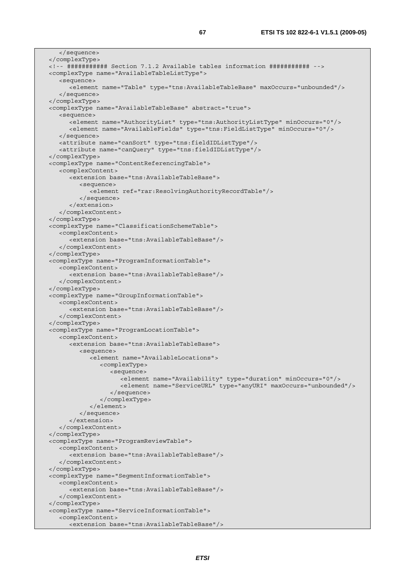</sequence> </complexType> <!-- ########### Section 7.1.2 Available tables information ########### --> <complexType name="AvailableTableListType"> <sequence> <element name="Table" type="tns:AvailableTableBase" maxOccurs="unbounded"/> </sequence> </complexType> <complexType name="AvailableTableBase" abstract="true"> <sequence> <element name="AuthorityList" type="tns:AuthorityListType" minOccurs="0"/> <element name="AvailableFields" type="tns:FieldListType" minOccurs="0"/> </sequence> <attribute name="canSort" type="tns:fieldIDListType"/> <attribute name="canQuery" type="tns:fieldIDListType"/> </complexType> <complexType name="ContentReferencingTable"> <complexContent> <extension base="tns:AvailableTableBase"> <sequence> <element ref="rar:ResolvingAuthorityRecordTable"/> </sequence> </extension> </complexContent> </complexType> <complexType name="ClassificationSchemeTable"> <complexContent> <extension base="tns:AvailableTableBase"/> </complexContent> </complexType> <complexType name="ProgramInformationTable"> <complexContent> <extension base="tns:AvailableTableBase"/> </complexContent> </complexType> <complexType name="GroupInformationTable"> <complexContent> <extension base="tns:AvailableTableBase"/> </complexContent> </complexType> <complexType name="ProgramLocationTable"> <complexContent> <extension base="tns:AvailableTableBase"> <sequence> <element name="AvailableLocations"> <complexType> <sequence> <element name="Availability" type="duration" minOccurs="0"/> <element name="ServiceURL" type="anyURI" maxOccurs="unbounded"/> </sequence> </complexType> </element> </sequence> </extension> </complexContent> </complexType> <complexType name="ProgramReviewTable"> <complexContent> <extension base="tns:AvailableTableBase"/> </complexContent> </complexType> <complexType name="SegmentInformationTable"> <complexContent> <extension base="tns:AvailableTableBase"/> </complexContent> </complexType> <complexType name="ServiceInformationTable"> <complexContent> <extension base="tns:AvailableTableBase"/>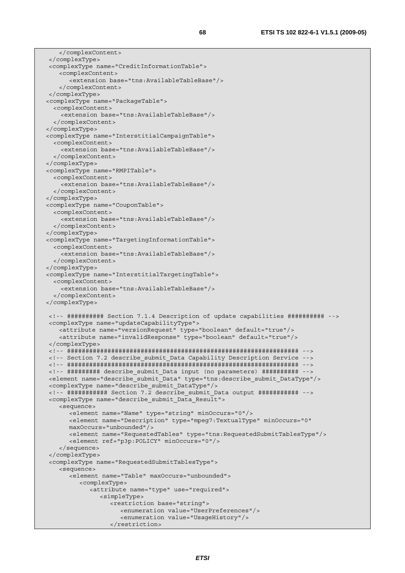</complexContent> </complexType> <complexType name="CreditInformationTable"> <complexContent> <extension base="tns:AvailableTableBase"/> </complexContent> </complexType> <complexType name="PackageTable"> <complexContent> <extension base="tns:AvailableTableBase"/> </complexContent> </complexType> <complexType name="InterstitialCampaignTable"> <complexContent> <extension base="tns:AvailableTableBase"/> </complexContent> </complexType> <complexType name="RMPITable"> <complexContent> <extension base="tns:AvailableTableBase"/> </complexContent> </complexType> <complexType name="CouponTable"> <complexContent> <extension base="tns:AvailableTableBase"/> </complexContent> </complexType> <complexType name="TargetingInformationTable"> <complexContent> <extension base="tns:AvailableTableBase"/> </complexContent> </complexType> <complexType name="InterstitialTargetingTable"> <complexContent> <extension base="tns:AvailableTableBase"/> </complexContent> </complexType> <!-- ########## Section 7.1.4 Description of update capabilities ########## --> <complexType name="updateCapabilityType"> <attribute name="versionRequest" type="boolean" default="true"/> <attribute name="invalidResponse" type="boolean" default="true"/> </complexType> <!-- ############################################################### --> <!-- Section 7.2 describe\_submit\_Data Capability Description Service --> <!-- ############################################################### --> <!-- ######### describe\_submit\_Data input (no parameters) ########## --> <element name="describe\_submit\_Data" type="tns:describe\_submit\_DataType"/> <complexType name="describe\_submit\_DataType"/> <!-- ########### Section 7.2 describe\_submit\_Data output ########### --> <complexType name="describe\_submit\_Data\_Result"> <sequence> <element name="Name" type="string" minOccurs="0"/> <element name="Description" type="mpeg7:TextualType" minOccurs="0" maxOccurs="unbounded"/> <element name="RequestedTables" type="tns:RequestedSubmitTablesType"/> <element ref="p3p:POLICY" minOccurs="0"/> </sequence> </complexType> <complexType name="RequestedSubmitTablesType"> <sequence> <element name="Table" maxOccurs="unbounded"> <complexType> <attribute name="type" use="required"> <simpleType> <restriction base="string"> <enumeration value="UserPreferences"/> <enumeration value="UsageHistory"/> </restriction>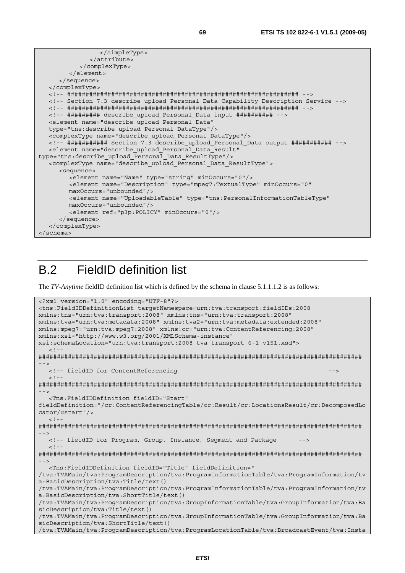```
 </simpleType> 
               </attribute> 
            </complexType> 
        \geq/element>
      </sequence> 
   </complexType> 
   <!-- ############################################################### --> 
   <!-- Section 7.3 describe_upload_Personal_Data Capability Description Service --> 
   <!-- ############################################################### --> 
   <!-- ######### describe_upload_Personal_Data input ########## --> 
   <element name="describe_upload_Personal_Data" 
   type="tns:describe_upload_Personal_DataType"/> 
   <complexType name="describe_upload_Personal_DataType"/> 
   <!-- ########### Section 7.3 describe_upload_Personal_Data output ########### --> 
   <element name="describe_upload_Personal_Data_Result" 
type="tns:describe_upload_Personal_Data_ResultType"/> 
   <complexType name="describe_upload_Personal_Data_ResultType"> 
      <sequence> 
         <element name="Name" type="string" minOccurs="0"/> 
         <element name="Description" type="mpeg7:TextualType" minOccurs="0" 
         maxOccurs="unbounded"/> 
         <element name="UploadableTable" type="tns:PersonalInformationTableType" 
         maxOccurs="unbounded"/> 
         <element ref="p3p:POLICY" minOccurs="0"/> 
      </sequence> 
   </complexType> 
</schema>
```
# B.2 FieldID definition list

The *TV-Anytime* fieldID definition list which is defined by the schema in clause 5.1.1.1.2 is as follows:

```
<?xml version="1.0" encoding="UTF-8"?> 
<tns:FieldIDDefinitionList targetNamespace=urn:tva:transport:fieldIDs:2008 
xmlns:tns="urn:tva:transport:2008" xmlns:tns="urn:tva:transport:2008" 
xmlns:tva="urn:tva:metadata:2008" xmlns:tva2="urn:tva:metadata:extended:2008" 
xmlns:mpeg7="urn:tva:mpeg7:2008" xmlns:cr="urn:tva:ContentReferencing:2008" 
xmlns:xsi="http://www.w3.org/2001/XMLSchema-instance" 
xsi:schemaLocation="urn:tva:transport:2008 tva_transport_6-1_v151.xsd"> 
  \leq ! -######################################################################################## 
 --> 
   <!-- fieldID for ContentReferencing --> 
  <! --
######################################################################################## 
--> 
   <Tns:FieldIDDefinition fieldID="Start" 
fieldDefinition="/cr:ContentReferencingTable/cr:Result/cr:LocationsResult/cr:DecomposedLo
cator/@start"/> 
  \geq 1 -######################################################################################## 
--> 
  <!-- fieldID for Program, Group, Instance, Segment and Package
  \leq ! -
######################################################################################## 
--> 
   <Tns:FieldIDDefinition fieldID="Title" fieldDefinition=" 
/tva:TVAMain/tva:ProgramDescription/tva:ProgramInformationTable/tva:ProgramInformation/tv
a:BasicDescription/tva:Title/text() 
/tva:TVAMain/tva:ProgramDescription/tva:ProgramInformationTable/tva:ProgramInformation/tv
a:BasicDescription/tva:ShortTitle/text() 
/tva:TVAMain/tva:ProgramDescription/tva:GroupInformationTable/tva:GroupInformation/tva:Ba
sicDescription/tva:Title/text() 
/tva:TVAMain/tva:ProgramDescription/tva:GroupInformationTable/tva:GroupInformation/tva:Ba
sicDescription/tva:ShortTitle/text() 
/tva:TVAMain/tva:ProgramDescription/tva:ProgramLocationTable/tva:BroadcastEvent/tva:Insta
```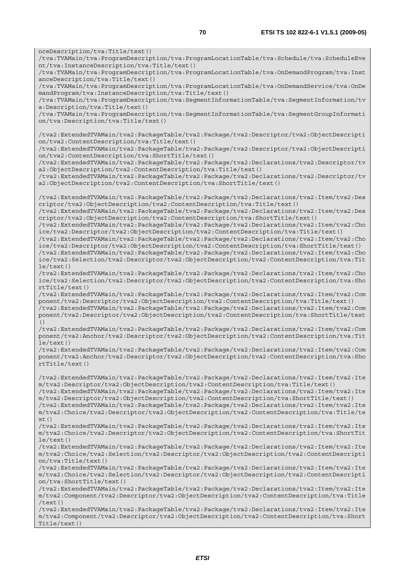nceDescription/tva:Title/text() /tva:TVAMain/tva:ProgramDescription/tva:ProgramLocationTable/tva:Schedule/tva:ScheduleEve nt/tva:InstanceDescription/tva:Title/text() /tva:TVAMain/tva:ProgramDescription/tva:ProgramLocationTable/tva:OnDemandProgram/tva:Inst anceDescription/tva:Title/text() /tva:TVAMain/tva:ProgramDescription/tva:ProgramLocationTable/tva:OnDemandService/tva:OnDe mandProgram/tva:InstanceDescription/tva:Title/text() /tva:TVAMain/tva:ProgramDescription/tva:SegmentInformationTable/tva:SegmentInformation/tv a:Description/tva:Title/text() /tva:TVAMain/tva:ProgramDescription/tva:SegmentInformationTable/tva:SegmentGroupInformati on/tva:Description/tva:Title/text() /tva2:ExtendedTVAMain/tva2:PackageTable/tva2:Package/tva2:Descriptor/tva2:ObjectDescripti on/tva2:ContentDescription/tva:Title/text() /tva2:ExtendedTVAMain/tva2:PackageTable/tva2:Package/tva2:Descriptor/tva2:ObjectDescripti on/tva2:ContentDescription/tva:ShortTitle/text() /tva2:ExtendedTVAMain/tva2:PackageTable/tva2:Package/tva2:Declarations/tva2:Descriptor/tv a2:ObjectDescription/tva2:ContentDescription/tva:Title/text() /tva2:ExtendedTVAMain/tva2:PackageTable/tva2:Package/tva2:Declarations/tva2:Descriptor/tv a2:ObjectDescription/tva2:ContentDescription/tva:ShortTitle/text() /tva2:ExtendedTVAMain/tva2:PackageTable/tva2:Package/tva2:Declarations/tva2:Item/tva2:Des criptor/tva2:ObjectDescription/tva2:ContentDescription/tva:Title/text() /tva2:ExtendedTVAMain/tva2:PackageTable/tva2:Package/tva2:Declarations/tva2:Item/tva2:Des criptor/tva2:ObjectDescription/tva2:ContentDescription/tva:ShortTitle/text() /tva2:ExtendedTVAMain/tva2:PackageTable/tva2:Package/tva2:Declarations/tva2:Item/tva2:Cho ice/tva2:Descriptor/tva2:ObjectDescription/tva2:ContentDescription/tva:Title/text() /tva2:ExtendedTVAMain/tva2:PackageTable/tva2:Package/tva2:Declarations/tva2:Item/tva2:Cho ice/tva2:Descriptor/tva2:ObjectDescription/tva2:ContentDescription/tva:ShortTitle/text() /tva2:ExtendedTVAMain/tva2:PackageTable/tva2:Package/tva2:Declarations/tva2:Item/tva2:Cho ice/tva2:Selection/tva2:Descriptor/tva2:ObjectDescription/tva2:ContentDescription/tva:Tit le/text() /tva2:ExtendedTVAMain/tva2:PackageTable/tva2:Package/tva2:Declarations/tva2:Item/tva2:Cho ice/tva2:Selection/tva2:Descriptor/tva2:ObjectDescription/tva2:ContentDescription/tva:Sho rtTitle/text() /tva2:ExtendedTVAMain/tva2:PackageTable/tva2:Package/tva2:Declarations/tva2:Item/tva2:Com ponent/tva2:Descriptor/tva2:ObjectDescription/tva2:ContentDescription/tva:Title/text() /tva2:ExtendedTVAMain/tva2:PackageTable/tva2:Package/tva2:Declarations/tva2:Item/tva2:Com ponent/tva2:Descriptor/tva2:ObjectDescription/tva2:ContentDescription/tva:ShortTitle/text /tva2:ExtendedTVAMain/tva2:PackageTable/tva2:Package/tva2:Declarations/tva2:Item/tva2:Com ponent/tva2:Anchor/tva2:Descriptor/tva2:ObjectDescription/tva2:ContentDescription/tva:Tit le/text() /tva2:ExtendedTVAMain/tva2:PackageTable/tva2:Package/tva2:Declarations/tva2:Item/tva2:Com ponent/tva2:Anchor/tva2:Descriptor/tva2:ObjectDescription/tva2:ContentDescription/tva:Sho rtTitle/text() /tva2:ExtendedTVAMain/tva2:PackageTable/tva2:Package/tva2:Declarations/tva2:Item/tva2:Ite m/tva2:Descriptor/tva2:ObjectDescription/tva2:ContentDescription/tva:Title/text() /tva2:ExtendedTVAMain/tva2:PackageTable/tva2:Package/tva2:Declarations/tva2:Item/tva2:Ite m/tva2:Descriptor/tva2:ObjectDescription/tva2:ContentDescription/tva:ShortTitle/text() /tva2:ExtendedTVAMain/tva2:PackageTable/tva2:Package/tva2:Declarations/tva2:Item/tva2:Ite m/tva2:Choice/tva2:Descriptor/tva2:ObjectDescription/tva2:ContentDescription/tva:Title/te  $xt()$ /tva2:ExtendedTVAMain/tva2:PackageTable/tva2:Package/tva2:Declarations/tva2:Item/tva2:Ite m/tva2:Choice/tva2:Descriptor/tva2:ObjectDescription/tva2:ContentDescription/tva:ShortTit le/text() /tva2:ExtendedTVAMain/tva2:PackageTable/tva2:Package/tva2:Declarations/tva2:Item/tva2:Ite m/tva2:Choice/tva2:Selection/tva2:Descriptor/tva2:ObjectDescription/tva2:ContentDescripti  $on/tva \cdot Title/text()$ /tva2:ExtendedTVAMain/tva2:PackageTable/tva2:Package/tva2:Declarations/tva2:Item/tva2:Ite m/tva2:Choice/tva2:Selection/tva2:Descriptor/tva2:ObjectDescription/tva2:ContentDescripti on/tva:ShortTitle/text() /tva2:ExtendedTVAMain/tva2:PackageTable/tva2:Package/tva2:Declarations/tva2:Item/tva2:Ite m/tva2:Component/tva2:Descriptor/tva2:ObjectDescription/tva2:ContentDescription/tva:Title /text()

()

/tva2:ExtendedTVAMain/tva2:PackageTable/tva2:Package/tva2:Declarations/tva2:Item/tva2:Ite m/tva2:Component/tva2:Descriptor/tva2:ObjectDescription/tva2:ContentDescription/tva:Short Title/text()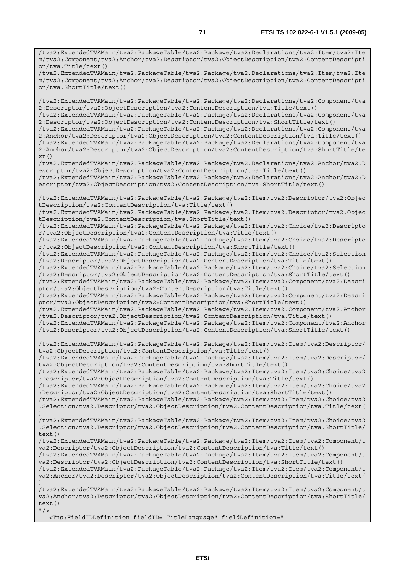/tva2:ExtendedTVAMain/tva2:PackageTable/tva2:Package/tva2:Declarations/tva2:Item/tva2:Ite m/tva2:Component/tva2:Anchor/tva2:Descriptor/tva2:ObjectDescription/tva2:ContentDescripti on/tva:Title/text()

/tva2:ExtendedTVAMain/tva2:PackageTable/tva2:Package/tva2:Declarations/tva2:Item/tva2:Ite m/tva2:Component/tva2:Anchor/tva2:Descriptor/tva2:ObjectDescription/tva2:ContentDescripti on/tva:ShortTitle/text()

/tva2:ExtendedTVAMain/tva2:PackageTable/tva2:Package/tva2:Declarations/tva2:Component/tva 2:Descriptor/tva2:ObjectDescription/tva2:ContentDescription/tva:Title/text() /tva2:ExtendedTVAMain/tva2:PackageTable/tva2:Package/tva2:Declarations/tva2:Component/tva

2:Descriptor/tva2:ObjectDescription/tva2:ContentDescription/tva:ShortTitle/text()

/tva2:ExtendedTVAMain/tva2:PackageTable/tva2:Package/tva2:Declarations/tva2:Component/tva 2:Anchor/tva2:Descriptor/tva2:ObjectDescription/tva2:ContentDescription/tva:Title/text() /tva2:ExtendedTVAMain/tva2:PackageTable/tva2:Package/tva2:Declarations/tva2:Component/tva

2:Anchor/tva2:Descriptor/tva2:ObjectDescription/tva2:ContentDescription/tva:ShortTitle/te xt()

/tva2:ExtendedTVAMain/tva2:PackageTable/tva2:Package/tva2:Declarations/tva2:Anchor/tva2:D escriptor/tva2:ObjectDescription/tva2:ContentDescription/tva:Title/text() /tva2:ExtendedTVAMain/tva2:PackageTable/tva2:Package/tva2:Declarations/tva2:Anchor/tva2:D

escriptor/tva2:ObjectDescription/tva2:ContentDescription/tva:ShortTitle/text()

/tva2:ExtendedTVAMain/tva2:PackageTable/tva2:Package/tva2:Item/tva2:Descriptor/tva2:Objec tDescription/tva2:ContentDescription/tva:Title/text()

/tva2:ExtendedTVAMain/tva2:PackageTable/tva2:Package/tva2:Item/tva2:Descriptor/tva2:Objec tDescription/tva2:ContentDescription/tva:ShortTitle/text()

/tva2:ExtendedTVAMain/tva2:PackageTable/tva2:Package/tva2:Item/tva2:Choice/tva2:Descripto r/tva2:ObjectDescription/tva2:ContentDescription/tva:Title/text()

/tva2:ExtendedTVAMain/tva2:PackageTable/tva2:Package/tva2:Item/tva2:Choice/tva2:Descripto r/tva2:ObjectDescription/tva2:ContentDescription/tva:ShortTitle/text()

/tva2:ExtendedTVAMain/tva2:PackageTable/tva2:Package/tva2:Item/tva2:Choice/tva2:Selection /tva2:Descriptor/tva2:ObjectDescription/tva2:ContentDescription/tva:Title/text()

/tva2:ExtendedTVAMain/tva2:PackageTable/tva2:Package/tva2:Item/tva2:Choice/tva2:Selection /tva2:Descriptor/tva2:ObjectDescription/tva2:ContentDescription/tva:ShortTitle/text() /tva2:ExtendedTVAMain/tva2:PackageTable/tva2:Package/tva2:Item/tva2:Component/tva2:Descri ptor/tva2:ObjectDescription/tva2:ContentDescription/tva:Title/text()

/tva2:ExtendedTVAMain/tva2:PackageTable/tva2:Package/tva2:Item/tva2:Component/tva2:Descri ptor/tva2:ObjectDescription/tva2:ContentDescription/tva:ShortTitle/text()

/tva2:ExtendedTVAMain/tva2:PackageTable/tva2:Package/tva2:Item/tva2:Component/tva2:Anchor /tva2:Descriptor/tva2:ObjectDescription/tva2:ContentDescription/tva:Title/text()

/tva2:ExtendedTVAMain/tva2:PackageTable/tva2:Package/tva2:Item/tva2:Component/tva2:Anchor /tva2:Descriptor/tva2:ObjectDescription/tva2:ContentDescription/tva:ShortTitle/text()

/tva2:ExtendedTVAMain/tva2:PackageTable/tva2:Package/tva2:Item/tva2:Item/tva2:Descriptor/ tva2:ObjectDescription/tva2:ContentDescription/tva:Title/text()

/tva2:ExtendedTVAMain/tva2:PackageTable/tva2:Package/tva2:Item/tva2:Item/tva2:Descriptor/ tva2:ObjectDescription/tva2:ContentDescription/tva:ShortTitle/text()

/tva2:ExtendedTVAMain/tva2:PackageTable/tva2:Package/tva2:Item/tva2:Item/tva2:Choice/tva2 :Descriptor/tva2:ObjectDescription/tva2:ContentDescription/tva:Title/text()

/tva2:ExtendedTVAMain/tva2:PackageTable/tva2:Package/tva2:Item/tva2:Item/tva2:Choice/tva2 :Descriptor/tva2:ObjectDescription/tva2:ContentDescription/tva:ShortTitle/text()

/tva2:ExtendedTVAMain/tva2:PackageTable/tva2:Package/tva2:Item/tva2:Item/tva2:Choice/tva2 :Selection/tva2:Descriptor/tva2:ObjectDescription/tva2:ContentDescription/tva:Title/text( )

/tva2:ExtendedTVAMain/tva2:PackageTable/tva2:Package/tva2:Item/tva2:Item/tva2:Choice/tva2 :Selection/tva2:Descriptor/tva2:ObjectDescription/tva2:ContentDescription/tva:ShortTitle/ text()

/tva2:ExtendedTVAMain/tva2:PackageTable/tva2:Package/tva2:Item/tva2:Item/tva2:Component/t va2:Descriptor/tva2:ObjectDescription/tva2:ContentDescription/tva:Title/text()

/tva2:ExtendedTVAMain/tva2:PackageTable/tva2:Package/tva2:Item/tva2:Item/tva2:Component/t va2:Descriptor/tva2:ObjectDescription/tva2:ContentDescription/tva:ShortTitle/text()

/tva2:ExtendedTVAMain/tva2:PackageTable/tva2:Package/tva2:Item/tva2:Item/tva2:Component/t va2:Anchor/tva2:Descriptor/tva2:ObjectDescription/tva2:ContentDescription/tva:Title/text( )

/tva2:ExtendedTVAMain/tva2:PackageTable/tva2:Package/tva2:Item/tva2:Item/tva2:Component/t va2:Anchor/tva2:Descriptor/tva2:ObjectDescription/tva2:ContentDescription/tva:ShortTitle/ text()  $''$ />

<Tns:FieldIDDefinition fieldID="TitleLanguage" fieldDefinition="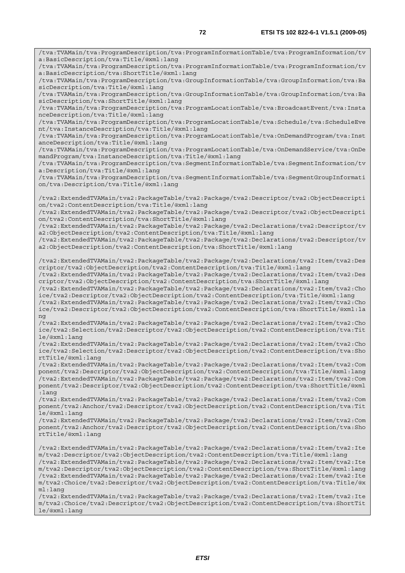/tva:TVAMain/tva:ProgramDescription/tva:ProgramInformationTable/tva:ProgramInformation/tv a:BasicDescription/tva:Title/@xml:lang /tva:TVAMain/tva:ProgramDescription/tva:ProgramInformationTable/tva:ProgramInformation/tv a:BasicDescription/tva:ShortTitle/@xml:lang /tva:TVAMain/tva:ProgramDescription/tva:GroupInformationTable/tva:GroupInformation/tva:Ba sicDescription/tva:Title/@xml:lang /tva:TVAMain/tva:ProgramDescription/tva:GroupInformationTable/tva:GroupInformation/tva:Ba sicDescription/tva:ShortTitle/@xml:lang /tva:TVAMain/tva:ProgramDescription/tva:ProgramLocationTable/tva:BroadcastEvent/tva:Insta nceDescription/tva:Title/@xml:lang /tva:TVAMain/tva:ProgramDescription/tva:ProgramLocationTable/tva:Schedule/tva:ScheduleEve nt/tva:InstanceDescription/tva:Title/@xml:lang /tva:TVAMain/tva:ProgramDescription/tva:ProgramLocationTable/tva:OnDemandProgram/tva:Inst anceDescription/tva:Title/@xml:lang /tva:TVAMain/tva:ProgramDescription/tva:ProgramLocationTable/tva:OnDemandService/tva:OnDe mandProgram/tva:InstanceDescription/tva:Title/@xml:lang /tva:TVAMain/tva:ProgramDescription/tva:SegmentInformationTable/tva:SegmentInformation/tv a:Description/tva:Title/@xml:lang /tva:TVAMain/tva:ProgramDescription/tva:SegmentInformationTable/tva:SegmentGroupInformati on/tva:Description/tva:Title/@xml:lang /tva2:ExtendedTVAMain/tva2:PackageTable/tva2:Package/tva2:Descriptor/tva2:ObjectDescripti on/tva2:ContentDescription/tva:Title/@xml:lang /tva2:ExtendedTVAMain/tva2:PackageTable/tva2:Package/tva2:Descriptor/tva2:ObjectDescripti on/tva2:ContentDescription/tva:ShortTitle/@xml:lang /tva2:ExtendedTVAMain/tva2:PackageTable/tva2:Package/tva2:Declarations/tva2:Descriptor/tv a2:ObjectDescription/tva2:ContentDescription/tva:Title/@xml:lang /tva2:ExtendedTVAMain/tva2:PackageTable/tva2:Package/tva2:Declarations/tva2:Descriptor/tv a2:ObjectDescription/tva2:ContentDescription/tva:ShortTitle/@xml:lang /tva2:ExtendedTVAMain/tva2:PackageTable/tva2:Package/tva2:Declarations/tva2:Item/tva2:Des criptor/tva2:ObjectDescription/tva2:ContentDescription/tva:Title/@xml:lang /tva2:ExtendedTVAMain/tva2:PackageTable/tva2:Package/tva2:Declarations/tva2:Item/tva2:Des criptor/tva2:ObjectDescription/tva2:ContentDescription/tva:ShortTitle/@xml:lang /tva2:ExtendedTVAMain/tva2:PackageTable/tva2:Package/tva2:Declarations/tva2:Item/tva2:Cho ice/tva2:Descriptor/tva2:ObjectDescription/tva2:ContentDescription/tva:Title/@xml:lang /tva2:ExtendedTVAMain/tva2:PackageTable/tva2:Package/tva2:Declarations/tva2:Item/tva2:Cho ice/tva2:Descriptor/tva2:ObjectDescription/tva2:ContentDescription/tva:ShortTitle/@xml:la ng /tva2:ExtendedTVAMain/tva2:PackageTable/tva2:Package/tva2:Declarations/tva2:Item/tva2:Cho ice/tva2:Selection/tva2:Descriptor/tva2:ObjectDescription/tva2:ContentDescription/tva:Tit le/@xml:lang /tva2:ExtendedTVAMain/tva2:PackageTable/tva2:Package/tva2:Declarations/tva2:Item/tva2:Cho ice/tva2:Selection/tva2:Descriptor/tva2:ObjectDescription/tva2:ContentDescription/tva:Sho rtTitle/@xml:lang /tva2:ExtendedTVAMain/tva2:PackageTable/tva2:Package/tva2:Declarations/tva2:Item/tva2:Com ponent/tva2:Descriptor/tva2:ObjectDescription/tva2:ContentDescription/tva:Title/@xml:lang /tva2:ExtendedTVAMain/tva2:PackageTable/tva2:Package/tva2:Declarations/tva2:Item/tva2:Com ponent/tva2:Descriptor/tva2:ObjectDescription/tva2:ContentDescription/tva:ShortTitle/@xml :lang /tva2:ExtendedTVAMain/tva2:PackageTable/tva2:Package/tva2:Declarations/tva2:Item/tva2:Com ponent/tva2:Anchor/tva2:Descriptor/tva2:ObjectDescription/tva2:ContentDescription/tva:Tit le/@xml:lang /tva2:ExtendedTVAMain/tva2:PackageTable/tva2:Package/tva2:Declarations/tva2:Item/tva2:Com ponent/tva2:Anchor/tva2:Descriptor/tva2:ObjectDescription/tva2:ContentDescription/tva:Sho rtTitle/@xml:lang /tva2:ExtendedTVAMain/tva2:PackageTable/tva2:Package/tva2:Declarations/tva2:Item/tva2:Ite m/tva2:Descriptor/tva2:ObjectDescription/tva2:ContentDescription/tva:Title/@xml:lang /tva2:ExtendedTVAMain/tva2:PackageTable/tva2:Package/tva2:Declarations/tva2:Item/tva2:Ite m/tva2:Descriptor/tva2:ObjectDescription/tva2:ContentDescription/tva:ShortTitle/@xml:lang /tva2:ExtendedTVAMain/tva2:PackageTable/tva2:Package/tva2:Declarations/tva2:Item/tva2:Ite m/tva2:Choice/tva2:Descriptor/tva2:ObjectDescription/tva2:ContentDescription/tva:Title/@x ml:lang /tva2:ExtendedTVAMain/tva2:PackageTable/tva2:Package/tva2:Declarations/tva2:Item/tva2:Ite m/tva2:Choice/tva2:Descriptor/tva2:ObjectDescription/tva2:ContentDescription/tva:ShortTit

le/@xml:lang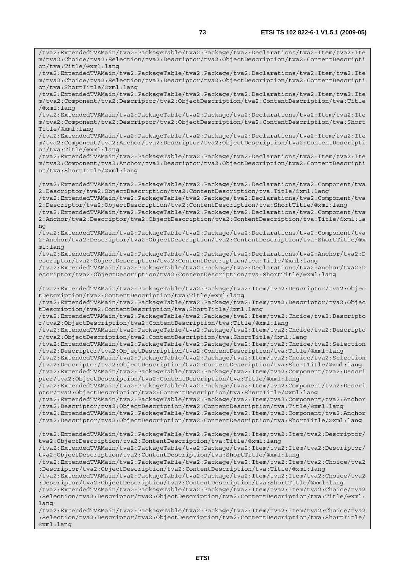/tva2:ExtendedTVAMain/tva2:PackageTable/tva2:Package/tva2:Declarations/tva2:Item/tva2:Ite m/tva2:Choice/tva2:Selection/tva2:Descriptor/tva2:ObjectDescription/tva2:ContentDescripti

/tva2:ExtendedTVAMain/tva2:PackageTable/tva2:Package/tva2:Declarations/tva2:Item/tva2:Ite

on/tva:Title/@xml:lang

*ETSI*  m/tva2:Choice/tva2:Selection/tva2:Descriptor/tva2:ObjectDescription/tva2:ContentDescripti on/tva:ShortTitle/@xml:lang /tva2:ExtendedTVAMain/tva2:PackageTable/tva2:Package/tva2:Declarations/tva2:Item/tva2:Ite m/tva2:Component/tva2:Descriptor/tva2:ObjectDescription/tva2:ContentDescription/tva:Title /@xml:lang /tva2:ExtendedTVAMain/tva2:PackageTable/tva2:Package/tva2:Declarations/tva2:Item/tva2:Ite m/tva2:Component/tva2:Descriptor/tva2:ObjectDescription/tva2:ContentDescription/tva:Short Title/@xml:lang /tva2:ExtendedTVAMain/tva2:PackageTable/tva2:Package/tva2:Declarations/tva2:Item/tva2:Ite m/tva2:Component/tva2:Anchor/tva2:Descriptor/tva2:ObjectDescription/tva2:ContentDescripti on/tva:Title/@xml:lang /tva2:ExtendedTVAMain/tva2:PackageTable/tva2:Package/tva2:Declarations/tva2:Item/tva2:Ite m/tva2:Component/tva2:Anchor/tva2:Descriptor/tva2:ObjectDescription/tva2:ContentDescripti on/tva:ShortTitle/@xml:lang /tva2:ExtendedTVAMain/tva2:PackageTable/tva2:Package/tva2:Declarations/tva2:Component/tva 2:Descriptor/tva2:ObjectDescription/tva2:ContentDescription/tva:Title/@xml:lang /tva2:ExtendedTVAMain/tva2:PackageTable/tva2:Package/tva2:Declarations/tva2:Component/tva 2:Descriptor/tva2:ObjectDescription/tva2:ContentDescription/tva:ShortTitle/@xml:lang /tva2:ExtendedTVAMain/tva2:PackageTable/tva2:Package/tva2:Declarations/tva2:Component/tva 2:Anchor/tva2:Descriptor/tva2:ObjectDescription/tva2:ContentDescription/tva:Title/@xml:la ng /tva2:ExtendedTVAMain/tva2:PackageTable/tva2:Package/tva2:Declarations/tva2:Component/tva 2:Anchor/tva2:Descriptor/tva2:ObjectDescription/tva2:ContentDescription/tva:ShortTitle/@x ml:lang /tva2:ExtendedTVAMain/tva2:PackageTable/tva2:Package/tva2:Declarations/tva2:Anchor/tva2:D escriptor/tva2:ObjectDescription/tva2:ContentDescription/tva:Title/@xml:lang /tva2:ExtendedTVAMain/tva2:PackageTable/tva2:Package/tva2:Declarations/tva2:Anchor/tva2:D escriptor/tva2:ObjectDescription/tva2:ContentDescription/tva:ShortTitle/@xml:lang /tva2:ExtendedTVAMain/tva2:PackageTable/tva2:Package/tva2:Item/tva2:Descriptor/tva2:Objec tDescription/tva2:ContentDescription/tva:Title/@xml:lang /tva2:ExtendedTVAMain/tva2:PackageTable/tva2:Package/tva2:Item/tva2:Descriptor/tva2:Objec tDescription/tva2:ContentDescription/tva:ShortTitle/@xml:lang /tva2:ExtendedTVAMain/tva2:PackageTable/tva2:Package/tva2:Item/tva2:Choice/tva2:Descripto r/tva2:ObjectDescription/tva2:ContentDescription/tva:Title/@xml:lang /tva2:ExtendedTVAMain/tva2:PackageTable/tva2:Package/tva2:Item/tva2:Choice/tva2:Descripto r/tva2:ObjectDescription/tva2:ContentDescription/tva:ShortTitle/@xml:lang /tva2:ExtendedTVAMain/tva2:PackageTable/tva2:Package/tva2:Item/tva2:Choice/tva2:Selection /tva2:Descriptor/tva2:ObjectDescription/tva2:ContentDescription/tva:Title/@xml:lang /tva2:ExtendedTVAMain/tva2:PackageTable/tva2:Package/tva2:Item/tva2:Choice/tva2:Selection /tva2:Descriptor/tva2:ObjectDescription/tva2:ContentDescription/tva:ShortTitle/@xml:lang /tva2:ExtendedTVAMain/tva2:PackageTable/tva2:Package/tva2:Item/tva2:Component/tva2:Descri ptor/tva2:ObjectDescription/tva2:ContentDescription/tva:Title/@xml:lang /tva2:ExtendedTVAMain/tva2:PackageTable/tva2:Package/tva2:Item/tva2:Component/tva2:Descri ptor/tva2:ObjectDescription/tva2:ContentDescription/tva:ShortTitle/@xml:lang /tva2:ExtendedTVAMain/tva2:PackageTable/tva2:Package/tva2:Item/tva2:Component/tva2:Anchor /tva2:Descriptor/tva2:ObjectDescription/tva2:ContentDescription/tva:Title/@xml:lang /tva2:ExtendedTVAMain/tva2:PackageTable/tva2:Package/tva2:Item/tva2:Component/tva2:Anchor /tva2:Descriptor/tva2:ObjectDescription/tva2:ContentDescription/tva:ShortTitle/@xml:lang /tva2:ExtendedTVAMain/tva2:PackageTable/tva2:Package/tva2:Item/tva2:Item/tva2:Descriptor/ tva2:ObjectDescription/tva2:ContentDescription/tva:Title/@xml:lang /tva2:ExtendedTVAMain/tva2:PackageTable/tva2:Package/tva2:Item/tva2:Item/tva2:Descriptor/ tva2:ObjectDescription/tva2:ContentDescription/tva:ShortTitle/@xml:lang /tva2:ExtendedTVAMain/tva2:PackageTable/tva2:Package/tva2:Item/tva2:Item/tva2:Choice/tva2 :Descriptor/tva2:ObjectDescription/tva2:ContentDescription/tva:Title/@xml:lang /tva2:ExtendedTVAMain/tva2:PackageTable/tva2:Package/tva2:Item/tva2:Item/tva2:Choice/tva2 :Descriptor/tva2:ObjectDescription/tva2:ContentDescription/tva:ShortTitle/@xml:lang /tva2:ExtendedTVAMain/tva2:PackageTable/tva2:Package/tva2:Item/tva2:Item/tva2:Choice/tva2 :Selection/tva2:Descriptor/tva2:ObjectDescription/tva2:ContentDescription/tva:Title/@xml: lang /tva2:ExtendedTVAMain/tva2:PackageTable/tva2:Package/tva2:Item/tva2:Item/tva2:Choice/tva2 :Selection/tva2:Descriptor/tva2:ObjectDescription/tva2:ContentDescription/tva:ShortTitle/ @xml:lang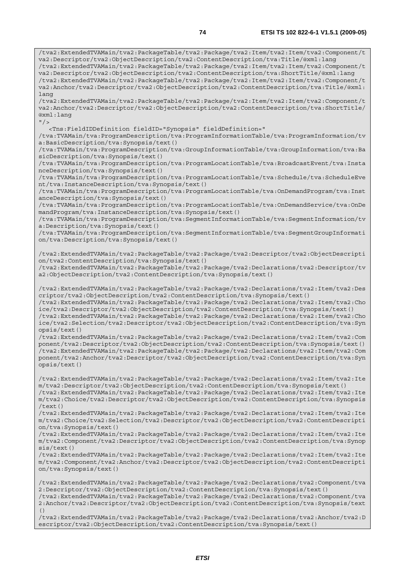/tva2:ExtendedTVAMain/tva2:PackageTable/tva2:Package/tva2:Item/tva2:Item/tva2:Component/t va2:Descriptor/tva2:ObjectDescription/tva2:ContentDescription/tva:Title/@xml:lang /tva2:ExtendedTVAMain/tva2:PackageTable/tva2:Package/tva2:Item/tva2:Item/tva2:Component/t va2:Descriptor/tva2:ObjectDescription/tva2:ContentDescription/tva:ShortTitle/@xml:lang /tva2:ExtendedTVAMain/tva2:PackageTable/tva2:Package/tva2:Item/tva2:Item/tva2:Component/t va2:Anchor/tva2:Descriptor/tva2:ObjectDescription/tva2:ContentDescription/tva:Title/@xml: lang /tva2:ExtendedTVAMain/tva2:PackageTable/tva2:Package/tva2:Item/tva2:Item/tva2:Component/t va2:Anchor/tva2:Descriptor/tva2:ObjectDescription/tva2:ContentDescription/tva:ShortTitle/ @xml:lang  $"$ /> <Tns:FieldIDDefinition fieldID="Synopsis" fieldDefinition=" /tva:TVAMain/tva:ProgramDescription/tva:ProgramInformationTable/tva:ProgramInformation/tv a:BasicDescription/tva:Synopsis/text() /tva:TVAMain/tva:ProgramDescription/tva:GroupInformationTable/tva:GroupInformation/tva:Ba sicDescription/tva:Synopsis/text() /tva:TVAMain/tva:ProgramDescription/tva:ProgramLocationTable/tva:BroadcastEvent/tva:Insta nceDescription/tva:Synopsis/text() /tva:TVAMain/tva:ProgramDescription/tva:ProgramLocationTable/tva:Schedule/tva:ScheduleEve nt/tva:InstanceDescription/tva:Synopsis/text() /tva:TVAMain/tva:ProgramDescription/tva:ProgramLocationTable/tva:OnDemandProgram/tva:Inst anceDescription/tva:Synopsis/text() /tva:TVAMain/tva:ProgramDescription/tva:ProgramLocationTable/tva:OnDemandService/tva:OnDe mandProgram/tva:InstanceDescription/tva:Synopsis/text() /tva:TVAMain/tva:ProgramDescription/tva:SegmentInformationTable/tva:SegmentInformation/tv a:Description/tva:Synopsis/text() /tva:TVAMain/tva:ProgramDescription/tva:SegmentInformationTable/tva:SegmentGroupInformati on/tva:Description/tva:Synopsis/text() /tva2:ExtendedTVAMain/tva2:PackageTable/tva2:Package/tva2:Descriptor/tva2:ObjectDescripti on/tva2:ContentDescription/tva:Synopsis/text() /tva2:ExtendedTVAMain/tva2:PackageTable/tva2:Package/tva2:Declarations/tva2:Descriptor/tv a2:ObjectDescription/tva2:ContentDescription/tva:Synopsis/text() /tva2:ExtendedTVAMain/tva2:PackageTable/tva2:Package/tva2:Declarations/tva2:Item/tva2:Des criptor/tva2:ObjectDescription/tva2:ContentDescription/tva:Synopsis/text() /tva2:ExtendedTVAMain/tva2:PackageTable/tva2:Package/tva2:Declarations/tva2:Item/tva2:Cho ice/tva2:Descriptor/tva2:ObjectDescription/tva2:ContentDescription/tva:Synopsis/text() /tva2:ExtendedTVAMain/tva2:PackageTable/tva2:Package/tva2:Declarations/tva2:Item/tva2:Cho ice/tva2:Selection/tva2:Descriptor/tva2:ObjectDescription/tva2:ContentDescription/tva:Syn opsis/text() /tva2:ExtendedTVAMain/tva2:PackageTable/tva2:Package/tva2:Declarations/tva2:Item/tva2:Com ponent/tva2:Descriptor/tva2:ObjectDescription/tva2:ContentDescription/tva:Synopsis/text() /tva2:ExtendedTVAMain/tva2:PackageTable/tva2:Package/tva2:Declarations/tva2:Item/tva2:Com ponent/tva2:Anchor/tva2:Descriptor/tva2:ObjectDescription/tva2:ContentDescription/tva:Syn opsis/text() /tva2:ExtendedTVAMain/tva2:PackageTable/tva2:Package/tva2:Declarations/tva2:Item/tva2:Ite m/tva2:Descriptor/tva2:ObjectDescription/tva2:ContentDescription/tva:Synopsis/text() /tva2:ExtendedTVAMain/tva2:PackageTable/tva2:Package/tva2:Declarations/tva2:Item/tva2:Ite m/tva2:Choice/tva2:Descriptor/tva2:ObjectDescription/tva2:ContentDescription/tva:Synopsis /text() /tva2:ExtendedTVAMain/tva2:PackageTable/tva2:Package/tva2:Declarations/tva2:Item/tva2:Ite m/tva2:Choice/tva2:Selection/tva2:Descriptor/tva2:ObjectDescription/tva2:ContentDescripti on/tva:Synopsis/text() /tva2:ExtendedTVAMain/tva2:PackageTable/tva2:Package/tva2:Declarations/tva2:Item/tva2:Ite m/tva2:Component/tva2:Descriptor/tva2:ObjectDescription/tva2:ContentDescription/tva:Synop sis/text() /tva2:ExtendedTVAMain/tva2:PackageTable/tva2:Package/tva2:Declarations/tva2:Item/tva2:Ite m/tva2:Component/tva2:Anchor/tva2:Descriptor/tva2:ObjectDescription/tva2:ContentDescripti on/tva:Synopsis/text() /tva2:ExtendedTVAMain/tva2:PackageTable/tva2:Package/tva2:Declarations/tva2:Component/tva 2:Descriptor/tva2:ObjectDescription/tva2:ContentDescription/tva:Synopsis/text() /tva2:ExtendedTVAMain/tva2:PackageTable/tva2:Package/tva2:Declarations/tva2:Component/tva

2:Anchor/tva2:Descriptor/tva2:ObjectDescription/tva2:ContentDescription/tva:Synopsis/text  $($ )

/tva2:ExtendedTVAMain/tva2:PackageTable/tva2:Package/tva2:Declarations/tva2:Anchor/tva2:D escriptor/tva2:ObjectDescription/tva2:ContentDescription/tva:Synopsis/text()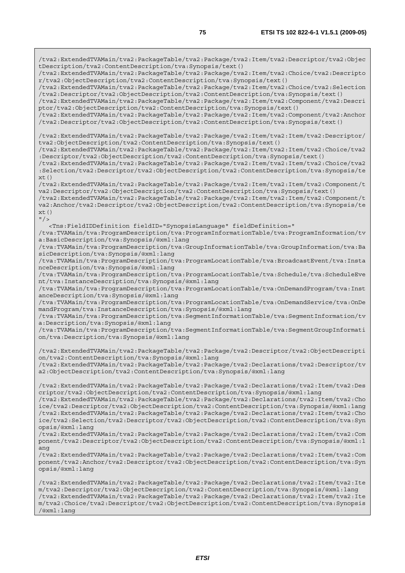/tva2:ExtendedTVAMain/tva2:PackageTable/tva2:Package/tva2:Item/tva2:Descriptor/tva2:Objec tDescription/tva2:ContentDescription/tva:Synopsis/text() /tva2:ExtendedTVAMain/tva2:PackageTable/tva2:Package/tva2:Item/tva2:Choice/tva2:Descripto r/tva2:ObjectDescription/tva2:ContentDescription/tva:Synopsis/text() /tva2:ExtendedTVAMain/tva2:PackageTable/tva2:Package/tva2:Item/tva2:Choice/tva2:Selection /tva2:Descriptor/tva2:ObjectDescription/tva2:ContentDescription/tva:Synopsis/text() /tva2:ExtendedTVAMain/tva2:PackageTable/tva2:Package/tva2:Item/tva2:Component/tva2:Descri ptor/tva2:ObjectDescription/tva2:ContentDescription/tva:Synopsis/text() /tva2:ExtendedTVAMain/tva2:PackageTable/tva2:Package/tva2:Item/tva2:Component/tva2:Anchor /tva2:Descriptor/tva2:ObjectDescription/tva2:ContentDescription/tva:Synopsis/text() /tva2:ExtendedTVAMain/tva2:PackageTable/tva2:Package/tva2:Item/tva2:Item/tva2:Descriptor/ tva2:ObjectDescription/tva2:ContentDescription/tva:Synopsis/text() /tva2:ExtendedTVAMain/tva2:PackageTable/tva2:Package/tva2:Item/tva2:Item/tva2:Choice/tva2 :Descriptor/tva2:ObjectDescription/tva2:ContentDescription/tva:Synopsis/text() /tva2:ExtendedTVAMain/tva2:PackageTable/tva2:Package/tva2:Item/tva2:Item/tva2:Choice/tva2 :Selection/tva2:Descriptor/tva2:ObjectDescription/tva2:ContentDescription/tva:Synopsis/te  $xt()$ /tva2:ExtendedTVAMain/tva2:PackageTable/tva2:Package/tva2:Item/tva2:Item/tva2:Component/t va2:Descriptor/tva2:ObjectDescription/tva2:ContentDescription/tva:Synopsis/text() /tva2:ExtendedTVAMain/tva2:PackageTable/tva2:Package/tva2:Item/tva2:Item/tva2:Component/t va2:Anchor/tva2:Descriptor/tva2:ObjectDescription/tva2:ContentDescription/tva:Synopsis/te  $xt()$  $"$  /> <Tns:FieldIDDefinition fieldID="SynopsisLanguage" fieldDefinition=" /tva:TVAMain/tva:ProgramDescription/tva:ProgramInformationTable/tva:ProgramInformation/tv a:BasicDescription/tva:Synopsis/@xml:lang /tva:TVAMain/tva:ProgramDescription/tva:GroupInformationTable/tva:GroupInformation/tva:Ba sicDescription/tva:Synopsis/@xml:lang /tva:TVAMain/tva:ProgramDescription/tva:ProgramLocationTable/tva:BroadcastEvent/tva:Insta nceDescription/tva:Synopsis/@xml:lang /tva:TVAMain/tva:ProgramDescription/tva:ProgramLocationTable/tva:Schedule/tva:ScheduleEve nt/tva:InstanceDescription/tva:Synopsis/@xml:lang /tva:TVAMain/tva:ProgramDescription/tva:ProgramLocationTable/tva:OnDemandProgram/tva:Inst anceDescription/tva:Synopsis/@xml:lang /tva:TVAMain/tva:ProgramDescription/tva:ProgramLocationTable/tva:OnDemandService/tva:OnDe mandProgram/tva:InstanceDescription/tva:Synopsis/@xml:lang /tva:TVAMain/tva:ProgramDescription/tva:SegmentInformationTable/tva:SegmentInformation/tv a:Description/tva:Synopsis/@xml:lang /tva:TVAMain/tva:ProgramDescription/tva:SegmentInformationTable/tva:SegmentGroupInformati on/tva:Description/tva:Synopsis/@xml:lang /tva2:ExtendedTVAMain/tva2:PackageTable/tva2:Package/tva2:Descriptor/tva2:ObjectDescripti on/tva2:ContentDescription/tva:Synopsis/@xml:lang /tva2:ExtendedTVAMain/tva2:PackageTable/tva2:Package/tva2:Declarations/tva2:Descriptor/tv a2:ObjectDescription/tva2:ContentDescription/tva:Synopsis/@xml:lang /tva2:ExtendedTVAMain/tva2:PackageTable/tva2:Package/tva2:Declarations/tva2:Item/tva2:Des criptor/tva2:ObjectDescription/tva2:ContentDescription/tva:Synopsis/@xml:lang /tva2:ExtendedTVAMain/tva2:PackageTable/tva2:Package/tva2:Declarations/tva2:Item/tva2:Cho ice/tva2:Descriptor/tva2:ObjectDescription/tva2:ContentDescription/tva:Synopsis/@xml:lang /tva2:ExtendedTVAMain/tva2:PackageTable/tva2:Package/tva2:Declarations/tva2:Item/tva2:Cho ice/tva2:Selection/tva2:Descriptor/tva2:ObjectDescription/tva2:ContentDescription/tva:Syn opsis/@xml:lang /tva2:ExtendedTVAMain/tva2:PackageTable/tva2:Package/tva2:Declarations/tva2:Item/tva2:Com ponent/tva2:Descriptor/tva2:ObjectDescription/tva2:ContentDescription/tva:Synopsis/@xml:l ang /tva2:ExtendedTVAMain/tva2:PackageTable/tva2:Package/tva2:Declarations/tva2:Item/tva2:Com ponent/tva2:Anchor/tva2:Descriptor/tva2:ObjectDescription/tva2:ContentDescription/tva:Syn opsis/@xml:lang /tva2:ExtendedTVAMain/tva2:PackageTable/tva2:Package/tva2:Declarations/tva2:Item/tva2:Ite m/tva2:Descriptor/tva2:ObjectDescription/tva2:ContentDescription/tva:Synopsis/@xml:lang /tva2:ExtendedTVAMain/tva2:PackageTable/tva2:Package/tva2:Declarations/tva2:Item/tva2:Ite m/tva2:Choice/tva2:Descriptor/tva2:ObjectDescription/tva2:ContentDescription/tva:Synopsis /@xml:lang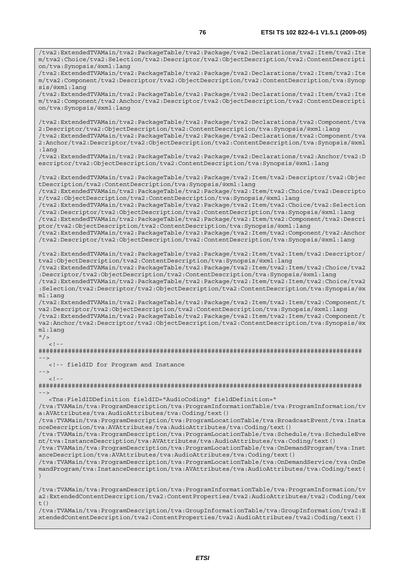/tva2:ExtendedTVAMain/tva2:PackageTable/tva2:Package/tva2:Declarations/tva2:Item/tva2:Ite m/tva2:Choice/tva2:Selection/tva2:Descriptor/tva2:ObjectDescription/tva2:ContentDescripti on/tva:Synopsis/@xml:lang /tva2:ExtendedTVAMain/tva2:PackageTable/tva2:Package/tva2:Declarations/tva2:Item/tva2:Ite m/tva2:Component/tva2:Descriptor/tva2:ObjectDescription/tva2:ContentDescription/tva:Synop sis/@xml:lang /tva2:ExtendedTVAMain/tva2:PackageTable/tva2:Package/tva2:Declarations/tva2:Item/tva2:Ite m/tva2:Component/tva2:Anchor/tva2:Descriptor/tva2:ObjectDescription/tva2:ContentDescripti on/tva:Synopsis/@xml:lang /tva2:ExtendedTVAMain/tva2:PackageTable/tva2:Package/tva2:Declarations/tva2:Component/tva 2:Descriptor/tva2:ObjectDescription/tva2:ContentDescription/tva:Synopsis/@xml:lang /tva2:ExtendedTVAMain/tva2:PackageTable/tva2:Package/tva2:Declarations/tva2:Component/tva 2:Anchor/tva2:Descriptor/tva2:ObjectDescription/tva2:ContentDescription/tva:Synopsis/@xml :lang /tva2:ExtendedTVAMain/tva2:PackageTable/tva2:Package/tva2:Declarations/tva2:Anchor/tva2:D escriptor/tva2:ObjectDescription/tva2:ContentDescription/tva:Synopsis/@xml:lang /tva2:ExtendedTVAMain/tva2:PackageTable/tva2:Package/tva2:Item/tva2:Descriptor/tva2:Objec tDescription/tva2:ContentDescription/tva:Synopsis/@xml:lang /tva2:ExtendedTVAMain/tva2:PackageTable/tva2:Package/tva2:Item/tva2:Choice/tva2:Descripto r/tva2:ObjectDescription/tva2:ContentDescription/tva:Synopsis/@xml:lang /tva2:ExtendedTVAMain/tva2:PackageTable/tva2:Package/tva2:Item/tva2:Choice/tva2:Selection /tva2:Descriptor/tva2:ObjectDescription/tva2:ContentDescription/tva:Synopsis/@xml:lang /tva2:ExtendedTVAMain/tva2:PackageTable/tva2:Package/tva2:Item/tva2:Component/tva2:Descri ptor/tva2:ObjectDescription/tva2:ContentDescription/tva:Synopsis/@xml:lang /tva2:ExtendedTVAMain/tva2:PackageTable/tva2:Package/tva2:Item/tva2:Component/tva2:Anchor /tva2:Descriptor/tva2:ObjectDescription/tva2:ContentDescription/tva:Synopsis/@xml:lang /tva2:ExtendedTVAMain/tva2:PackageTable/tva2:Package/tva2:Item/tva2:Item/tva2:Descriptor/ tva2:ObjectDescription/tva2:ContentDescription/tva:Synopsis/@xml:lang /tva2:ExtendedTVAMain/tva2:PackageTable/tva2:Package/tva2:Item/tva2:Item/tva2:Choice/tva2 :Descriptor/tva2:ObjectDescription/tva2:ContentDescription/tva:Synopsis/@xml:lang /tva2:ExtendedTVAMain/tva2:PackageTable/tva2:Package/tva2:Item/tva2:Item/tva2:Choice/tva2 :Selection/tva2:Descriptor/tva2:ObjectDescription/tva2:ContentDescription/tva:Synopsis/@x ml:lang /tva2:ExtendedTVAMain/tva2:PackageTable/tva2:Package/tva2:Item/tva2:Item/tva2:Component/t va2:Descriptor/tva2:ObjectDescription/tva2:ContentDescription/tva:Synopsis/@xml:lang /tva2:ExtendedTVAMain/tva2:PackageTable/tva2:Package/tva2:Item/tva2:Item/tva2:Component/t va2:Anchor/tva2:Descriptor/tva2:ObjectDescription/tva2:ContentDescription/tva:Synopsis/@x ml:lang  $"$  />  $\lt$  ! ######################################################################################## --> <!-- fieldID for Program and Instance -->  $\lt$  !  $-$ ######################################################################################## --> <Tns:FieldIDDefinition fieldID="AudioCoding" fieldDefinition=" /tva:TVAMain/tva:ProgramDescription/tva:ProgramInformationTable/tva:ProgramInformation/tv a:AVAttributes/tva:AudioAttributes/tva:Coding/text() /tva:TVAMain/tva:ProgramDescription/tva:ProgramLocationTable/tva:BroadcastEvent/tva:Insta nceDescription/tva:AVAttributes/tva:AudioAttributes/tva:Coding/text() /tva:TVAMain/tva:ProgramDescription/tva:ProgramLocationTable/tva:Schedule/tva:ScheduleEve nt/tva:InstanceDescription/tva:AVAttributes/tva:AudioAttributes/tva:Coding/text() /tva:TVAMain/tva:ProgramDescription/tva:ProgramLocationTable/tva:OnDemandProgram/tva:Inst anceDescription/tva:AVAttributes/tva:AudioAttributes/tva:Coding/text() /tva:TVAMain/tva:ProgramDescription/tva:ProgramLocationTable/tva:OnDemandService/tva:OnDe mandProgram/tva:InstanceDescription/tva:AVAttributes/tva:AudioAttributes/tva:Coding/text( ) /tva:TVAMain/tva:ProgramDescription/tva:ProgramInformationTable/tva:ProgramInformation/tv a2:ExtendedContentDescription/tva2:ContentProperties/tva2:AudioAttributes/tva2:Coding/tex t $($ )

/tva:TVAMain/tva:ProgramDescription/tva:GroupInformationTable/tva:GroupInformation/tva2:E xtendedContentDescription/tva2:ContentProperties/tva2:AudioAttributes/tva2:Coding/text()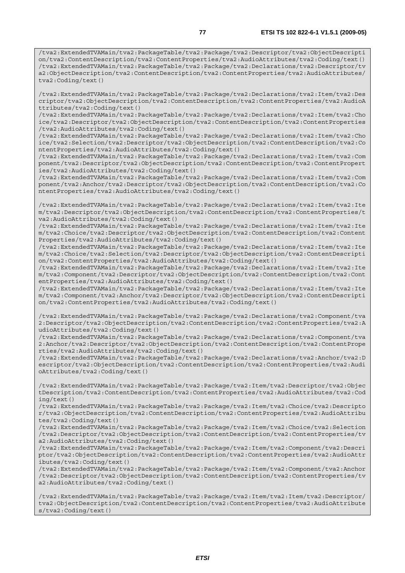/tva2:ExtendedTVAMain/tva2:PackageTable/tva2:Package/tva2:Descriptor/tva2:ObjectDescripti on/tva2:ContentDescription/tva2:ContentProperties/tva2:AudioAttributes/tva2:Coding/text() /tva2:ExtendedTVAMain/tva2:PackageTable/tva2:Package/tva2:Declarations/tva2:Descriptor/tv a2:ObjectDescription/tva2:ContentDescription/tva2:ContentProperties/tva2:AudioAttributes/ tva2:Coding/text()

/tva2:ExtendedTVAMain/tva2:PackageTable/tva2:Package/tva2:Declarations/tva2:Item/tva2:Des criptor/tva2:ObjectDescription/tva2:ContentDescription/tva2:ContentProperties/tva2:AudioA ttributes/tva2:Coding/text()

/tva2:ExtendedTVAMain/tva2:PackageTable/tva2:Package/tva2:Declarations/tva2:Item/tva2:Cho ice/tva2:Descriptor/tva2:ObjectDescription/tva2:ContentDescription/tva2:ContentProperties /tva2:AudioAttributes/tva2:Coding/text()

/tva2:ExtendedTVAMain/tva2:PackageTable/tva2:Package/tva2:Declarations/tva2:Item/tva2:Cho ice/tva2:Selection/tva2:Descriptor/tva2:ObjectDescription/tva2:ContentDescription/tva2:Co ntentProperties/tva2:AudioAttributes/tva2:Coding/text()

/tva2:ExtendedTVAMain/tva2:PackageTable/tva2:Package/tva2:Declarations/tva2:Item/tva2:Com ponent/tva2:Descriptor/tva2:ObjectDescription/tva2:ContentDescription/tva2:ContentPropert ies/tva2:AudioAttributes/tva2:Coding/text()

/tva2:ExtendedTVAMain/tva2:PackageTable/tva2:Package/tva2:Declarations/tva2:Item/tva2:Com ponent/tva2:Anchor/tva2:Descriptor/tva2:ObjectDescription/tva2:ContentDescription/tva2:Co ntentProperties/tva2:AudioAttributes/tva2:Coding/text()

/tva2:ExtendedTVAMain/tva2:PackageTable/tva2:Package/tva2:Declarations/tva2:Item/tva2:Ite m/tva2:Descriptor/tva2:ObjectDescription/tva2:ContentDescription/tva2:ContentProperties/t va2:AudioAttributes/tva2:Coding/text()

/tva2:ExtendedTVAMain/tva2:PackageTable/tva2:Package/tva2:Declarations/tva2:Item/tva2:Ite m/tva2:Choice/tva2:Descriptor/tva2:ObjectDescription/tva2:ContentDescription/tva2:Content Properties/tva2:AudioAttributes/tva2:Coding/text()

/tva2:ExtendedTVAMain/tva2:PackageTable/tva2:Package/tva2:Declarations/tva2:Item/tva2:Ite m/tva2:Choice/tva2:Selection/tva2:Descriptor/tva2:ObjectDescription/tva2:ContentDescripti on/tva2:ContentProperties/tva2:AudioAttributes/tva2:Coding/text()

/tva2:ExtendedTVAMain/tva2:PackageTable/tva2:Package/tva2:Declarations/tva2:Item/tva2:Ite m/tva2:Component/tva2:Descriptor/tva2:ObjectDescription/tva2:ContentDescription/tva2:Cont entProperties/tva2:AudioAttributes/tva2:Coding/text()

/tva2:ExtendedTVAMain/tva2:PackageTable/tva2:Package/tva2:Declarations/tva2:Item/tva2:Ite m/tva2:Component/tva2:Anchor/tva2:Descriptor/tva2:ObjectDescription/tva2:ContentDescripti on/tva2:ContentProperties/tva2:AudioAttributes/tva2:Coding/text()

/tva2:ExtendedTVAMain/tva2:PackageTable/tva2:Package/tva2:Declarations/tva2:Component/tva 2:Descriptor/tva2:ObjectDescription/tva2:ContentDescription/tva2:ContentProperties/tva2:A udioAttributes/tva2:Coding/text()

/tva2:ExtendedTVAMain/tva2:PackageTable/tva2:Package/tva2:Declarations/tva2:Component/tva 2:Anchor/tva2:Descriptor/tva2:ObjectDescription/tva2:ContentDescription/tva2:ContentPrope rties/tva2:AudioAttributes/tva2:Coding/text()

/tva2:ExtendedTVAMain/tva2:PackageTable/tva2:Package/tva2:Declarations/tva2:Anchor/tva2:D escriptor/tva2:ObjectDescription/tva2:ContentDescription/tva2:ContentProperties/tva2:Audi oAttributes/tva2:Coding/text()

/tva2:ExtendedTVAMain/tva2:PackageTable/tva2:Package/tva2:Item/tva2:Descriptor/tva2:Objec tDescription/tva2:ContentDescription/tva2:ContentProperties/tva2:AudioAttributes/tva2:Cod ing/text()

/tva2:ExtendedTVAMain/tva2:PackageTable/tva2:Package/tva2:Item/tva2:Choice/tva2:Descripto r/tva2:ObjectDescription/tva2:ContentDescription/tva2:ContentProperties/tva2:AudioAttribu tes/tva2:Coding/text()

/tva2:ExtendedTVAMain/tva2:PackageTable/tva2:Package/tva2:Item/tva2:Choice/tva2:Selection /tva2:Descriptor/tva2:ObjectDescription/tva2:ContentDescription/tva2:ContentProperties/tv a2:AudioAttributes/tva2:Coding/text()

/tva2:ExtendedTVAMain/tva2:PackageTable/tva2:Package/tva2:Item/tva2:Component/tva2:Descri ptor/tva2:ObjectDescription/tva2:ContentDescription/tva2:ContentProperties/tva2:AudioAttr ibutes/tva2:Coding/text()

/tva2:ExtendedTVAMain/tva2:PackageTable/tva2:Package/tva2:Item/tva2:Component/tva2:Anchor /tva2:Descriptor/tva2:ObjectDescription/tva2:ContentDescription/tva2:ContentProperties/tv a2:AudioAttributes/tva2:Coding/text()

/tva2:ExtendedTVAMain/tva2:PackageTable/tva2:Package/tva2:Item/tva2:Item/tva2:Descriptor/ tva2:ObjectDescription/tva2:ContentDescription/tva2:ContentProperties/tva2:AudioAttribute s/tva2:Coding/text()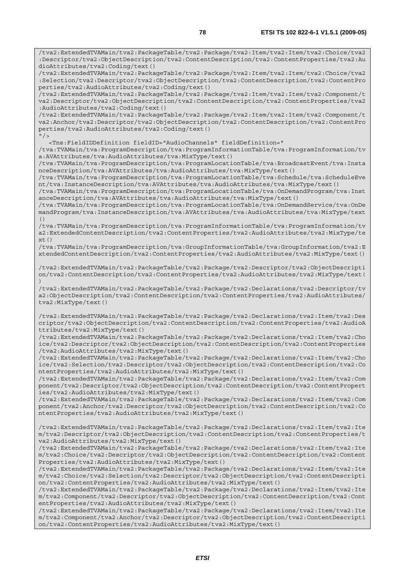/tva2:ExtendedTVAMain/tva2:PackageTable/tva2:Package/tva2:Item/tva2:Item/tva2:Choice/tva2 :Descriptor/tva2:ObjectDescription/tva2:ContentDescription/tva2:ContentProperties/tva2:Au dioAttributes/tva2:Coding/text() /tva2:ExtendedTVAMain/tva2:PackageTable/tva2:Package/tva2:Item/tva2:Item/tva2:Choice/tva2 :Selection/tva2:Descriptor/tva2:ObjectDescription/tva2:ContentDescription/tva2:ContentPro perties/tva2:AudioAttributes/tva2:Coding/text() /tva2:ExtendedTVAMain/tva2:PackageTable/tva2:Package/tva2:Item/tva2:Item/tva2:Component/t

va2:Descriptor/tva2:ObjectDescription/tva2:ContentDescription/tva2:ContentProperties/tva2 :AudioAttributes/tva2:Coding/text() /tva2:ExtendedTVAMain/tva2:PackageTable/tva2:Package/tva2:Item/tva2:Item/tva2:Component/t

va2:Anchor/tva2:Descriptor/tva2:ObjectDescription/tva2:ContentDescription/tva2:ContentPro perties/tva2:AudioAttributes/tva2:Coding/text()  $"$  / >

<Tns:FieldIDDefinition fieldID="AudioChannels" fieldDefinition="

/tva:TVAMain/tva:ProgramDescription/tva:ProgramInformationTable/tva:ProgramInformation/tv a:AVAttributes/tva:AudioAttributes/tva:MixType/text()

/tva:TVAMain/tva:ProgramDescription/tva:ProgramLocationTable/tva:BroadcastEvent/tva:Insta nceDescription/tva:AVAttributes/tva:AudioAttributes/tva:MixType/text()

/tva:TVAMain/tva:ProgramDescription/tva:ProgramLocationTable/tva:Schedule/tva:ScheduleEve nt/tva:InstanceDescription/tva:AVAttributes/tva:AudioAttributes/tva:MixType/text()

/tva:TVAMain/tva:ProgramDescription/tva:ProgramLocationTable/tva:OnDemandProgram/tva:Inst anceDescription/tva:AVAttributes/tva:AudioAttributes/tva:MixType/text()

/tva:TVAMain/tva:ProgramDescription/tva:ProgramLocationTable/tva:OnDemandService/tva:OnDe mandProgram/tva:InstanceDescription/tva:AVAttributes/tva:AudioAttributes/tva:MixType/text ()

/tva:TVAMain/tva:ProgramDescription/tva:ProgramInformationTable/tva:ProgramInformation/tv a2:ExtendedContentDescription/tva2:ContentProperties/tva2:AudioAttributes/tva2:MixType/te  $xt()$ 

/tva:TVAMain/tva:ProgramDescription/tva:GroupInformationTable/tva:GroupInformation/tva2:E xtendedContentDescription/tva2:ContentProperties/tva2:AudioAttributes/tva2:MixType/text()

/tva2:ExtendedTVAMain/tva2:PackageTable/tva2:Package/tva2:Descriptor/tva2:ObjectDescripti on/tva2:ContentDescription/tva2:ContentProperties/tva2:AudioAttributes/tva2:MixType/text( )

/tva2:ExtendedTVAMain/tva2:PackageTable/tva2:Package/tva2:Declarations/tva2:Descriptor/tv a2:ObjectDescription/tva2:ContentDescription/tva2:ContentProperties/tva2:AudioAttributes/ tva2:MixType/text()

/tva2:ExtendedTVAMain/tva2:PackageTable/tva2:Package/tva2:Declarations/tva2:Item/tva2:Des criptor/tva2:ObjectDescription/tva2:ContentDescription/tva2:ContentProperties/tva2:AudioA ttributes/tva2:MixType/text()

/tva2:ExtendedTVAMain/tva2:PackageTable/tva2:Package/tva2:Declarations/tva2:Item/tva2:Cho ice/tva2:Descriptor/tva2:ObjectDescription/tva2:ContentDescription/tva2:ContentProperties /tva2:AudioAttributes/tva2:MixType/text()

/tva2:ExtendedTVAMain/tva2:PackageTable/tva2:Package/tva2:Declarations/tva2:Item/tva2:Cho ice/tva2:Selection/tva2:Descriptor/tva2:ObjectDescription/tva2:ContentDescription/tva2:Co ntentProperties/tva2:AudioAttributes/tva2:MixType/text()

/tva2:ExtendedTVAMain/tva2:PackageTable/tva2:Package/tva2:Declarations/tva2:Item/tva2:Com ponent/tva2:Descriptor/tva2:ObjectDescription/tva2:ContentDescription/tva2:ContentPropert ies/tva2:AudioAttributes/tva2:MixType/text()

/tva2:ExtendedTVAMain/tva2:PackageTable/tva2:Package/tva2:Declarations/tva2:Item/tva2:Com ponent/tva2:Anchor/tva2:Descriptor/tva2:ObjectDescription/tva2:ContentDescription/tva2:Co ntentProperties/tva2:AudioAttributes/tva2:MixType/text()

/tva2:ExtendedTVAMain/tva2:PackageTable/tva2:Package/tva2:Declarations/tva2:Item/tva2:Ite m/tva2:Descriptor/tva2:ObjectDescription/tva2:ContentDescription/tva2:ContentProperties/t va2:AudioAttributes/tva2:MixType/text()

/tva2:ExtendedTVAMain/tva2:PackageTable/tva2:Package/tva2:Declarations/tva2:Item/tva2:Ite m/tva2:Choice/tva2:Descriptor/tva2:ObjectDescription/tva2:ContentDescription/tva2:Content Properties/tva2:AudioAttributes/tva2:MixType/text()

/tva2:ExtendedTVAMain/tva2:PackageTable/tva2:Package/tva2:Declarations/tva2:Item/tva2:Ite m/tva2:Choice/tva2:Selection/tva2:Descriptor/tva2:ObjectDescription/tva2:ContentDescripti on/tva2:ContentProperties/tva2:AudioAttributes/tva2:MixType/text()

/tva2:ExtendedTVAMain/tva2:PackageTable/tva2:Package/tva2:Declarations/tva2:Item/tva2:Ite m/tva2:Component/tva2:Descriptor/tva2:ObjectDescription/tva2:ContentDescription/tva2:Cont entProperties/tva2:AudioAttributes/tva2:MixType/text()

/tva2:ExtendedTVAMain/tva2:PackageTable/tva2:Package/tva2:Declarations/tva2:Item/tva2:Ite m/tva2:Component/tva2:Anchor/tva2:Descriptor/tva2:ObjectDescription/tva2:ContentDescripti on/tva2:ContentProperties/tva2:AudioAttributes/tva2:MixType/text()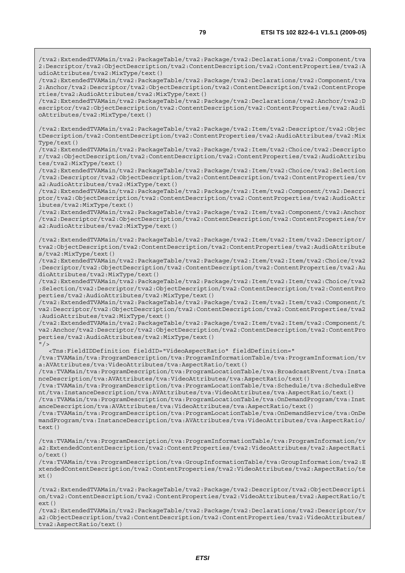/tva2:ExtendedTVAMain/tva2:PackageTable/tva2:Package/tva2:Declarations/tva2:Component/tva 2:Anchor/tva2:Descriptor/tva2:ObjectDescription/tva2:ContentDescription/tva2:ContentPrope rties/tva2:AudioAttributes/tva2:MixType/text()

/tva2:ExtendedTVAMain/tva2:PackageTable/tva2:Package/tva2:Declarations/tva2:Anchor/tva2:D escriptor/tva2:ObjectDescription/tva2:ContentDescription/tva2:ContentProperties/tva2:Audi oAttributes/tva2:MixType/text()

/tva2:ExtendedTVAMain/tva2:PackageTable/tva2:Package/tva2:Item/tva2:Descriptor/tva2:Objec tDescription/tva2:ContentDescription/tva2:ContentProperties/tva2:AudioAttributes/tva2:Mix Type/text()

/tva2:ExtendedTVAMain/tva2:PackageTable/tva2:Package/tva2:Item/tva2:Choice/tva2:Descripto r/tva2:ObjectDescription/tva2:ContentDescription/tva2:ContentProperties/tva2:AudioAttribu tes/tva2:MixType/text()

/tva2:ExtendedTVAMain/tva2:PackageTable/tva2:Package/tva2:Item/tva2:Choice/tva2:Selection /tva2:Descriptor/tva2:ObjectDescription/tva2:ContentDescription/tva2:ContentProperties/tv a2:AudioAttributes/tva2:MixType/text()

/tva2:ExtendedTVAMain/tva2:PackageTable/tva2:Package/tva2:Item/tva2:Component/tva2:Descri ptor/tva2:ObjectDescription/tva2:ContentDescription/tva2:ContentProperties/tva2:AudioAttr ibutes/tva2:MixType/text()

/tva2:ExtendedTVAMain/tva2:PackageTable/tva2:Package/tva2:Item/tva2:Component/tva2:Anchor /tva2:Descriptor/tva2:ObjectDescription/tva2:ContentDescription/tva2:ContentProperties/tv a2:AudioAttributes/tva2:MixType/text()

/tva2:ExtendedTVAMain/tva2:PackageTable/tva2:Package/tva2:Item/tva2:Item/tva2:Descriptor/ tva2:ObjectDescription/tva2:ContentDescription/tva2:ContentProperties/tva2:AudioAttribute s/tva2:MixType/text()

/tva2:ExtendedTVAMain/tva2:PackageTable/tva2:Package/tva2:Item/tva2:Item/tva2:Choice/tva2 :Descriptor/tva2:ObjectDescription/tva2:ContentDescription/tva2:ContentProperties/tva2:Au dioAttributes/tva2:MixType/text()

/tva2:ExtendedTVAMain/tva2:PackageTable/tva2:Package/tva2:Item/tva2:Item/tva2:Choice/tva2 :Selection/tva2:Descriptor/tva2:ObjectDescription/tva2:ContentDescription/tva2:ContentPro perties/tva2:AudioAttributes/tva2:MixType/text()

/tva2:ExtendedTVAMain/tva2:PackageTable/tva2:Package/tva2:Item/tva2:Item/tva2:Component/t va2:Descriptor/tva2:ObjectDescription/tva2:ContentDescription/tva2:ContentProperties/tva2 :AudioAttributes/tva2:MixType/text()

/tva2:ExtendedTVAMain/tva2:PackageTable/tva2:Package/tva2:Item/tva2:Item/tva2:Component/t va2:Anchor/tva2:Descriptor/tva2:ObjectDescription/tva2:ContentDescription/tva2:ContentPro perties/tva2:AudioAttributes/tva2:MixType/text()  $"$  / >

<Tns:FieldIDDefinition fieldID="VideoAspectRatio" fieldDefinition="

/tva:TVAMain/tva:ProgramDescription/tva:ProgramInformationTable/tva:ProgramInformation/tv a:AVAttributes/tva:VideoAttributes/tva:AspectRatio/text()

/tva:TVAMain/tva:ProgramDescription/tva:ProgramLocationTable/tva:BroadcastEvent/tva:Insta nceDescription/tva:AVAttributes/tva:VideoAttributes/tva:AspectRatio/text()

/tva:TVAMain/tva:ProgramDescription/tva:ProgramLocationTable/tva:Schedule/tva:ScheduleEve nt/tva:InstanceDescription/tva:AVAttributes/tva:VideoAttributes/tva:AspectRatio/text()

/tva:TVAMain/tva:ProgramDescription/tva:ProgramLocationTable/tva:OnDemandProgram/tva:Inst anceDescription/tva:AVAttributes/tva:VideoAttributes/tva:AspectRatio/text()

/tva:TVAMain/tva:ProgramDescription/tva:ProgramLocationTable/tva:OnDemandService/tva:OnDe mandProgram/tva:InstanceDescription/tva:AVAttributes/tva:VideoAttributes/tva:AspectRatio/ text()

/tva:TVAMain/tva:ProgramDescription/tva:ProgramInformationTable/tva:ProgramInformation/tv a2:ExtendedContentDescription/tva2:ContentProperties/tva2:VideoAttributes/tva2:AspectRati  $o$ /text $()$ 

/tva:TVAMain/tva:ProgramDescription/tva:GroupInformationTable/tva:GroupInformation/tva2:E xtendedContentDescription/tva2:ContentProperties/tva2:VideoAttributes/tva2:AspectRatio/te  $xt()$ 

/tva2:ExtendedTVAMain/tva2:PackageTable/tva2:Package/tva2:Descriptor/tva2:ObjectDescripti on/tva2:ContentDescription/tva2:ContentProperties/tva2:VideoAttributes/tva2:AspectRatio/t ext()

/tva2:ExtendedTVAMain/tva2:PackageTable/tva2:Package/tva2:Declarations/tva2:Descriptor/tv a2:ObjectDescription/tva2:ContentDescription/tva2:ContentProperties/tva2:VideoAttributes/ tva2:AspectRatio/text()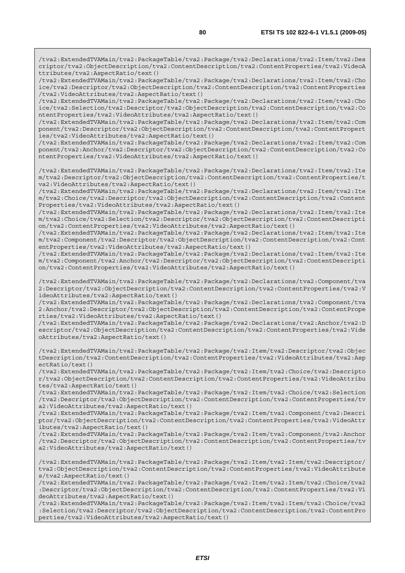/tva2:ExtendedTVAMain/tva2:PackageTable/tva2:Package/tva2:Declarations/tva2:Item/tva2:Des criptor/tva2:ObjectDescription/tva2:ContentDescription/tva2:ContentProperties/tva2:VideoA ttributes/tva2:AspectRatio/text()

/tva2:ExtendedTVAMain/tva2:PackageTable/tva2:Package/tva2:Declarations/tva2:Item/tva2:Cho ice/tva2:Descriptor/tva2:ObjectDescription/tva2:ContentDescription/tva2:ContentProperties /tva2:VideoAttributes/tva2:AspectRatio/text()

/tva2:ExtendedTVAMain/tva2:PackageTable/tva2:Package/tva2:Declarations/tva2:Item/tva2:Cho ice/tva2:Selection/tva2:Descriptor/tva2:ObjectDescription/tva2:ContentDescription/tva2:Co ntentProperties/tva2:VideoAttributes/tva2:AspectRatio/text()

/tva2:ExtendedTVAMain/tva2:PackageTable/tva2:Package/tva2:Declarations/tva2:Item/tva2:Com ponent/tva2:Descriptor/tva2:ObjectDescription/tva2:ContentDescription/tva2:ContentPropert ies/tva2:VideoAttributes/tva2:AspectRatio/text()

/tva2:ExtendedTVAMain/tva2:PackageTable/tva2:Package/tva2:Declarations/tva2:Item/tva2:Com ponent/tva2:Anchor/tva2:Descriptor/tva2:ObjectDescription/tva2:ContentDescription/tva2:Co ntentProperties/tva2:VideoAttributes/tva2:AspectRatio/text()

/tva2:ExtendedTVAMain/tva2:PackageTable/tva2:Package/tva2:Declarations/tva2:Item/tva2:Ite m/tva2:Descriptor/tva2:ObjectDescription/tva2:ContentDescription/tva2:ContentProperties/t va2:VideoAttributes/tva2:AspectRatio/text()

/tva2:ExtendedTVAMain/tva2:PackageTable/tva2:Package/tva2:Declarations/tva2:Item/tva2:Ite m/tva2:Choice/tva2:Descriptor/tva2:ObjectDescription/tva2:ContentDescription/tva2:Content Properties/tva2:VideoAttributes/tva2:AspectRatio/text()

/tva2:ExtendedTVAMain/tva2:PackageTable/tva2:Package/tva2:Declarations/tva2:Item/tva2:Ite m/tva2:Choice/tva2:Selection/tva2:Descriptor/tva2:ObjectDescription/tva2:ContentDescripti on/tva2:ContentProperties/tva2:VideoAttributes/tva2:AspectRatio/text()

/tva2:ExtendedTVAMain/tva2:PackageTable/tva2:Package/tva2:Declarations/tva2:Item/tva2:Ite m/tva2:Component/tva2:Descriptor/tva2:ObjectDescription/tva2:ContentDescription/tva2:Cont entProperties/tva2:VideoAttributes/tva2:AspectRatio/text()

/tva2:ExtendedTVAMain/tva2:PackageTable/tva2:Package/tva2:Declarations/tva2:Item/tva2:Ite m/tva2:Component/tva2:Anchor/tva2:Descriptor/tva2:ObjectDescription/tva2:ContentDescripti on/tva2:ContentProperties/tva2:VideoAttributes/tva2:AspectRatio/text()

/tva2:ExtendedTVAMain/tva2:PackageTable/tva2:Package/tva2:Declarations/tva2:Component/tva 2:Descriptor/tva2:ObjectDescription/tva2:ContentDescription/tva2:ContentProperties/tva2:V ideoAttributes/tva2:AspectRatio/text()

/tva2:ExtendedTVAMain/tva2:PackageTable/tva2:Package/tva2:Declarations/tva2:Component/tva 2:Anchor/tva2:Descriptor/tva2:ObjectDescription/tva2:ContentDescription/tva2:ContentPrope rties/tva2:VideoAttributes/tva2:AspectRatio/text()

/tva2:ExtendedTVAMain/tva2:PackageTable/tva2:Package/tva2:Declarations/tva2:Anchor/tva2:D escriptor/tva2:ObjectDescription/tva2:ContentDescription/tva2:ContentProperties/tva2:Vide oAttributes/tva2:AspectRatio/text()

/tva2:ExtendedTVAMain/tva2:PackageTable/tva2:Package/tva2:Item/tva2:Descriptor/tva2:Objec tDescription/tva2:ContentDescription/tva2:ContentProperties/tva2:VideoAttributes/tva2:Asp ectRatio/text()

/tva2:ExtendedTVAMain/tva2:PackageTable/tva2:Package/tva2:Item/tva2:Choice/tva2:Descripto r/tva2:ObjectDescription/tva2:ContentDescription/tva2:ContentProperties/tva2:VideoAttribu tes/tva2:AspectRatio/text()

/tva2:ExtendedTVAMain/tva2:PackageTable/tva2:Package/tva2:Item/tva2:Choice/tva2:Selection /tva2:Descriptor/tva2:ObjectDescription/tva2:ContentDescription/tva2:ContentProperties/tv a2:VideoAttributes/tva2:AspectRatio/text()

/tva2:ExtendedTVAMain/tva2:PackageTable/tva2:Package/tva2:Item/tva2:Component/tva2:Descri ptor/tva2:ObjectDescription/tva2:ContentDescription/tva2:ContentProperties/tva2:VideoAttr ibutes/tva2:AspectRatio/text()

/tva2:ExtendedTVAMain/tva2:PackageTable/tva2:Package/tva2:Item/tva2:Component/tva2:Anchor /tva2:Descriptor/tva2:ObjectDescription/tva2:ContentDescription/tva2:ContentProperties/tv a2:VideoAttributes/tva2:AspectRatio/text()

/tva2:ExtendedTVAMain/tva2:PackageTable/tva2:Package/tva2:Item/tva2:Item/tva2:Descriptor/ tva2:ObjectDescription/tva2:ContentDescription/tva2:ContentProperties/tva2:VideoAttribute s/tva2:AspectRatio/text()

/tva2:ExtendedTVAMain/tva2:PackageTable/tva2:Package/tva2:Item/tva2:Item/tva2:Choice/tva2 :Descriptor/tva2:ObjectDescription/tva2:ContentDescription/tva2:ContentProperties/tva2:Vi deoAttributes/tva2:AspectRatio/text()

/tva2:ExtendedTVAMain/tva2:PackageTable/tva2:Package/tva2:Item/tva2:Item/tva2:Choice/tva2 :Selection/tva2:Descriptor/tva2:ObjectDescription/tva2:ContentDescription/tva2:ContentPro perties/tva2:VideoAttributes/tva2:AspectRatio/text()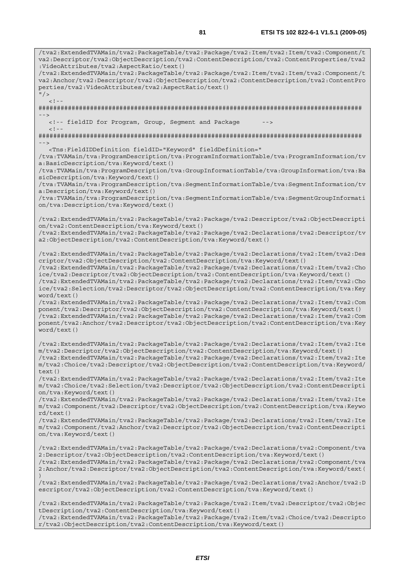/tva2:ExtendedTVAMain/tva2:PackageTable/tva2:Package/tva2:Item/tva2:Item/tva2:Component/t va2:Descriptor/tva2:ObjectDescription/tva2:ContentDescription/tva2:ContentProperties/tva2 :VideoAttributes/tva2:AspectRatio/text() /tva2:ExtendedTVAMain/tva2:PackageTable/tva2:Package/tva2:Item/tva2:Item/tva2:Component/t va2:Anchor/tva2:Descriptor/tva2:ObjectDescription/tva2:ContentDescription/tva2:ContentPro perties/tva2:VideoAttributes/tva2:AspectRatio/text()  $''$  /  $>$  $\lt$  ! -######################################################################################## --> <!-- fieldID for Program, Group, Segment and Package  $< ! - -$ ######################################################################################## --> <Tns:FieldIDDefinition fieldID="Keyword" fieldDefinition=" /tva:TVAMain/tva:ProgramDescription/tva:ProgramInformationTable/tva:ProgramInformation/tv a:BasicDescription/tva:Keyword/text() /tva:TVAMain/tva:ProgramDescription/tva:GroupInformationTable/tva:GroupInformation/tva:Ba sicDescription/tva:Keyword/text() /tva:TVAMain/tva:ProgramDescription/tva:SegmentInformationTable/tva:SegmentInformation/tv a:Description/tva:Keyword/text() /tva:TVAMain/tva:ProgramDescription/tva:SegmentInformationTable/tva:SegmentGroupInformati on/tva:Description/tva:Keyword/text() /tva2:ExtendedTVAMain/tva2:PackageTable/tva2:Package/tva2:Descriptor/tva2:ObjectDescripti on/tva2:ContentDescription/tva:Keyword/text() /tva2:ExtendedTVAMain/tva2:PackageTable/tva2:Package/tva2:Declarations/tva2:Descriptor/tv a2:ObjectDescription/tva2:ContentDescription/tva:Keyword/text() /tva2:ExtendedTVAMain/tva2:PackageTable/tva2:Package/tva2:Declarations/tva2:Item/tva2:Des criptor/tva2:ObjectDescription/tva2:ContentDescription/tva:Keyword/text() /tva2:ExtendedTVAMain/tva2:PackageTable/tva2:Package/tva2:Declarations/tva2:Item/tva2:Cho ice/tva2:Descriptor/tva2:ObjectDescription/tva2:ContentDescription/tva:Keyword/text() /tva2:ExtendedTVAMain/tva2:PackageTable/tva2:Package/tva2:Declarations/tva2:Item/tva2:Cho ice/tva2:Selection/tva2:Descriptor/tva2:ObjectDescription/tva2:ContentDescription/tva:Key word/text() /tva2:ExtendedTVAMain/tva2:PackageTable/tva2:Package/tva2:Declarations/tva2:Item/tva2:Com ponent/tva2:Descriptor/tva2:ObjectDescription/tva2:ContentDescription/tva:Keyword/text() /tva2:ExtendedTVAMain/tva2:PackageTable/tva2:Package/tva2:Declarations/tva2:Item/tva2:Com ponent/tva2:Anchor/tva2:Descriptor/tva2:ObjectDescription/tva2:ContentDescription/tva:Key word/text() /tva2:ExtendedTVAMain/tva2:PackageTable/tva2:Package/tva2:Declarations/tva2:Item/tva2:Ite m/tva2:Descriptor/tva2:ObjectDescription/tva2:ContentDescription/tva:Keyword/text() /tva2:ExtendedTVAMain/tva2:PackageTable/tva2:Package/tva2:Declarations/tva2:Item/tva2:Ite m/tva2:Choice/tva2:Descriptor/tva2:ObjectDescription/tva2:ContentDescription/tva:Keyword/ text() /tva2:ExtendedTVAMain/tva2:PackageTable/tva2:Package/tva2:Declarations/tva2:Item/tva2:Ite m/tva2:Choice/tva2:Selection/tva2:Descriptor/tva2:ObjectDescription/tva2:ContentDescripti on/tva:Keyword/text() /tva2:ExtendedTVAMain/tva2:PackageTable/tva2:Package/tva2:Declarations/tva2:Item/tva2:Ite m/tva2:Component/tva2:Descriptor/tva2:ObjectDescription/tva2:ContentDescription/tva:Keywo rd/text() /tva2:ExtendedTVAMain/tva2:PackageTable/tva2:Package/tva2:Declarations/tva2:Item/tva2:Ite m/tva2:Component/tva2:Anchor/tva2:Descriptor/tva2:ObjectDescription/tva2:ContentDescripti on/tva:Keyword/text() /tva2:ExtendedTVAMain/tva2:PackageTable/tva2:Package/tva2:Declarations/tva2:Component/tva 2:Descriptor/tva2:ObjectDescription/tva2:ContentDescription/tva:Keyword/text() /tva2:ExtendedTVAMain/tva2:PackageTable/tva2:Package/tva2:Declarations/tva2:Component/tva 2:Anchor/tva2:Descriptor/tva2:ObjectDescription/tva2:ContentDescription/tva:Keyword/text( ) /tva2:ExtendedTVAMain/tva2:PackageTable/tva2:Package/tva2:Declarations/tva2:Anchor/tva2:D escriptor/tva2:ObjectDescription/tva2:ContentDescription/tva:Keyword/text() /tva2:ExtendedTVAMain/tva2:PackageTable/tva2:Package/tva2:Item/tva2:Descriptor/tva2:Objec tDescription/tva2:ContentDescription/tva:Keyword/text()

/tva2:ExtendedTVAMain/tva2:PackageTable/tva2:Package/tva2:Item/tva2:Choice/tva2:Descripto r/tva2:ObjectDescription/tva2:ContentDescription/tva:Keyword/text()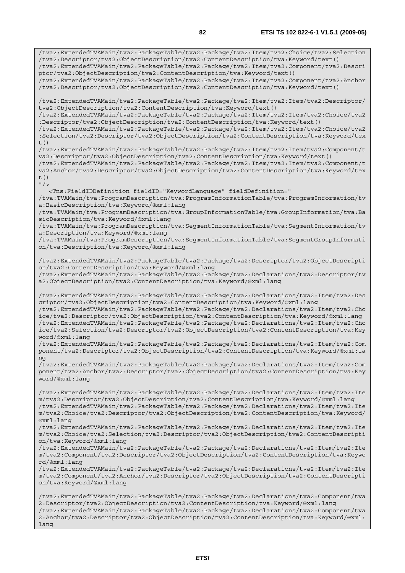/tva2:ExtendedTVAMain/tva2:PackageTable/tva2:Package/tva2:Item/tva2:Choice/tva2:Selection /tva2:Descriptor/tva2:ObjectDescription/tva2:ContentDescription/tva:Keyword/text() /tva2:ExtendedTVAMain/tva2:PackageTable/tva2:Package/tva2:Item/tva2:Component/tva2:Descri ptor/tva2:ObjectDescription/tva2:ContentDescription/tva:Keyword/text() /tva2:ExtendedTVAMain/tva2:PackageTable/tva2:Package/tva2:Item/tva2:Component/tva2:Anchor /tva2:Descriptor/tva2:ObjectDescription/tva2:ContentDescription/tva:Keyword/text() /tva2:ExtendedTVAMain/tva2:PackageTable/tva2:Package/tva2:Item/tva2:Item/tva2:Descriptor/ tva2:ObjectDescription/tva2:ContentDescription/tva:Keyword/text() /tva2:ExtendedTVAMain/tva2:PackageTable/tva2:Package/tva2:Item/tva2:Item/tva2:Choice/tva2 :Descriptor/tva2:ObjectDescription/tva2:ContentDescription/tva:Keyword/text() /tva2:ExtendedTVAMain/tva2:PackageTable/tva2:Package/tva2:Item/tva2:Item/tva2:Choice/tva2 :Selection/tva2:Descriptor/tva2:ObjectDescription/tva2:ContentDescription/tva:Keyword/tex  $t($ ) /tva2:ExtendedTVAMain/tva2:PackageTable/tva2:Package/tva2:Item/tva2:Item/tva2:Component/t va2:Descriptor/tva2:ObjectDescription/tva2:ContentDescription/tva:Keyword/text() /tva2:ExtendedTVAMain/tva2:PackageTable/tva2:Package/tva2:Item/tva2:Item/tva2:Component/t va2:Anchor/tva2:Descriptor/tva2:ObjectDescription/tva2:ContentDescription/tva:Keyword/tex  $t($ )  $''$  / > <Tns:FieldIDDefinition fieldID="KeywordLanguage" fieldDefinition=" /tva:TVAMain/tva:ProgramDescription/tva:ProgramInformationTable/tva:ProgramInformation/tv a:BasicDescription/tva:Keyword/@xml:lang /tva:TVAMain/tva:ProgramDescription/tva:GroupInformationTable/tva:GroupInformation/tva:Ba sicDescription/tva:Keyword/@xml:lang /tva:TVAMain/tva:ProgramDescription/tva:SegmentInformationTable/tva:SegmentInformation/tv a:Description/tva:Keyword/@xml:lang /tva:TVAMain/tva:ProgramDescription/tva:SegmentInformationTable/tva:SegmentGroupInformati on/tva:Description/tva:Keyword/@xml:lang /tva2:ExtendedTVAMain/tva2:PackageTable/tva2:Package/tva2:Descriptor/tva2:ObjectDescripti on/tva2:ContentDescription/tva:Keyword/@xml:lang /tva2:ExtendedTVAMain/tva2:PackageTable/tva2:Package/tva2:Declarations/tva2:Descriptor/tv a2:ObjectDescription/tva2:ContentDescription/tva:Keyword/@xml:lang /tva2:ExtendedTVAMain/tva2:PackageTable/tva2:Package/tva2:Declarations/tva2:Item/tva2:Des criptor/tva2:ObjectDescription/tva2:ContentDescription/tva:Keyword/@xml:lang /tva2:ExtendedTVAMain/tva2:PackageTable/tva2:Package/tva2:Declarations/tva2:Item/tva2:Cho ice/tva2:Descriptor/tva2:ObjectDescription/tva2:ContentDescription/tva:Keyword/@xml:lang /tva2:ExtendedTVAMain/tva2:PackageTable/tva2:Package/tva2:Declarations/tva2:Item/tva2:Cho ice/tva2:Selection/tva2:Descriptor/tva2:ObjectDescription/tva2:ContentDescription/tva:Key word/@xml:lang /tva2:ExtendedTVAMain/tva2:PackageTable/tva2:Package/tva2:Declarations/tva2:Item/tva2:Com ponent/tva2:Descriptor/tva2:ObjectDescription/tva2:ContentDescription/tva:Keyword/@xml:la ng /tva2:ExtendedTVAMain/tva2:PackageTable/tva2:Package/tva2:Declarations/tva2:Item/tva2:Com ponent/tva2:Anchor/tva2:Descriptor/tva2:ObjectDescription/tva2:ContentDescription/tva:Key word/@xml:lang /tva2:ExtendedTVAMain/tva2:PackageTable/tva2:Package/tva2:Declarations/tva2:Item/tva2:Ite m/tva2:Descriptor/tva2:ObjectDescription/tva2:ContentDescription/tva:Keyword/@xml:lang /tva2:ExtendedTVAMain/tva2:PackageTable/tva2:Package/tva2:Declarations/tva2:Item/tva2:Ite m/tva2:Choice/tva2:Descriptor/tva2:ObjectDescription/tva2:ContentDescription/tva:Keyword/ @xml:lang /tva2:ExtendedTVAMain/tva2:PackageTable/tva2:Package/tva2:Declarations/tva2:Item/tva2:Ite m/tva2:Choice/tva2:Selection/tva2:Descriptor/tva2:ObjectDescription/tva2:ContentDescripti on/tva:Keyword/@xml:lang /tva2:ExtendedTVAMain/tva2:PackageTable/tva2:Package/tva2:Declarations/tva2:Item/tva2:Ite m/tva2:Component/tva2:Descriptor/tva2:ObjectDescription/tva2:ContentDescription/tva:Keywo rd/@xml:lang /tva2:ExtendedTVAMain/tva2:PackageTable/tva2:Package/tva2:Declarations/tva2:Item/tva2:Ite m/tva2:Component/tva2:Anchor/tva2:Descriptor/tva2:ObjectDescription/tva2:ContentDescripti on/tva:Keyword/@xml:lang /tva2:ExtendedTVAMain/tva2:PackageTable/tva2:Package/tva2:Declarations/tva2:Component/tva

2:Descriptor/tva2:ObjectDescription/tva2:ContentDescription/tva:Keyword/@xml:lang /tva2:ExtendedTVAMain/tva2:PackageTable/tva2:Package/tva2:Declarations/tva2:Component/tva 2:Anchor/tva2:Descriptor/tva2:ObjectDescription/tva2:ContentDescription/tva:Keyword/@xml: lang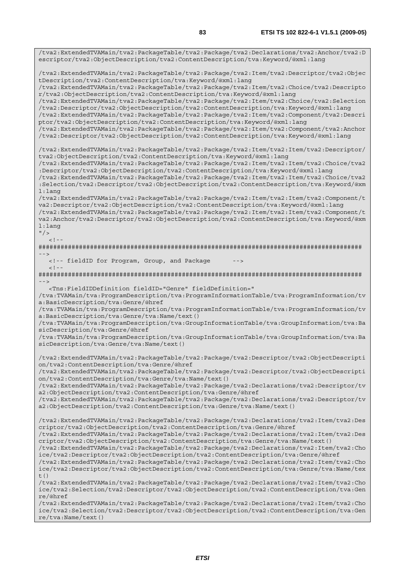/tva2:ExtendedTVAMain/tva2:PackageTable/tva2:Package/tva2:Declarations/tva2:Anchor/tva2:D escriptor/tva2:ObjectDescription/tva2:ContentDescription/tva:Keyword/@xml:lang /tva2:ExtendedTVAMain/tva2:PackageTable/tva2:Package/tva2:Item/tva2:Descriptor/tva2:Objec tDescription/tva2:ContentDescription/tva:Keyword/@xml:lang /tva2:ExtendedTVAMain/tva2:PackageTable/tva2:Package/tva2:Item/tva2:Choice/tva2:Descripto r/tva2:ObjectDescription/tva2:ContentDescription/tva:Keyword/@xml:lang /tva2:ExtendedTVAMain/tva2:PackageTable/tva2:Package/tva2:Item/tva2:Choice/tva2:Selection /tva2:Descriptor/tva2:ObjectDescription/tva2:ContentDescription/tva:Keyword/@xml:lang /tva2:ExtendedTVAMain/tva2:PackageTable/tva2:Package/tva2:Item/tva2:Component/tva2:Descri ptor/tva2:ObjectDescription/tva2:ContentDescription/tva:Keyword/@xml:lang /tva2:ExtendedTVAMain/tva2:PackageTable/tva2:Package/tva2:Item/tva2:Component/tva2:Anchor /tva2:Descriptor/tva2:ObjectDescription/tva2:ContentDescription/tva:Keyword/@xml:lang /tva2:ExtendedTVAMain/tva2:PackageTable/tva2:Package/tva2:Item/tva2:Item/tva2:Descriptor/ tva2:ObjectDescription/tva2:ContentDescription/tva:Keyword/@xml:lang /tva2:ExtendedTVAMain/tva2:PackageTable/tva2:Package/tva2:Item/tva2:Item/tva2:Choice/tva2 :Descriptor/tva2:ObjectDescription/tva2:ContentDescription/tva:Keyword/@xml:lang /tva2:ExtendedTVAMain/tva2:PackageTable/tva2:Package/tva2:Item/tva2:Item/tva2:Choice/tva2 :Selection/tva2:Descriptor/tva2:ObjectDescription/tva2:ContentDescription/tva:Keyword/@xm l:lang /tva2:ExtendedTVAMain/tva2:PackageTable/tva2:Package/tva2:Item/tva2:Item/tva2:Component/t va2:Descriptor/tva2:ObjectDescription/tva2:ContentDescription/tva:Keyword/@xml:lang /tva2:ExtendedTVAMain/tva2:PackageTable/tva2:Package/tva2:Item/tva2:Item/tva2:Component/t va2:Anchor/tva2:Descriptor/tva2:ObjectDescription/tva2:ContentDescription/tva:Keyword/@xm l:lang  $"$  />  $\geq$   $\vert$   $\vert$ ######################################################################################## --> <!-- fieldID for Program, Group, and Package -->  $\geq$   $\frac{1}{2}$ ######################################################################################## --> <Tns:FieldIDDefinition fieldID="Genre" fieldDefinition=" /tva:TVAMain/tva:ProgramDescription/tva:ProgramInformationTable/tva:ProgramInformation/tv a:BasicDescription/tva:Genre/@href /tva:TVAMain/tva:ProgramDescription/tva:ProgramInformationTable/tva:ProgramInformation/tv a:BasicDescription/tva:Genre/tva:Name/text() /tva:TVAMain/tva:ProgramDescription/tva:GroupInformationTable/tva:GroupInformation/tva:Ba sicDescription/tva:Genre/@href /tva:TVAMain/tva:ProgramDescription/tva:GroupInformationTable/tva:GroupInformation/tva:Ba sicDescription/tva:Genre/tva:Name/text() /tva2:ExtendedTVAMain/tva2:PackageTable/tva2:Package/tva2:Descriptor/tva2:ObjectDescripti on/tva2:ContentDescription/tva:Genre/@href /tva2:ExtendedTVAMain/tva2:PackageTable/tva2:Package/tva2:Descriptor/tva2:ObjectDescripti on/tva2:ContentDescription/tva:Genre/tva:Name/text() /tva2:ExtendedTVAMain/tva2:PackageTable/tva2:Package/tva2:Declarations/tva2:Descriptor/tv a2:ObjectDescription/tva2:ContentDescription/tva:Genre/@href /tva2:ExtendedTVAMain/tva2:PackageTable/tva2:Package/tva2:Declarations/tva2:Descriptor/tv a2:ObjectDescription/tva2:ContentDescription/tva:Genre/tva:Name/text() /tva2:ExtendedTVAMain/tva2:PackageTable/tva2:Package/tva2:Declarations/tva2:Item/tva2:Des criptor/tva2:ObjectDescription/tva2:ContentDescription/tva:Genre/@href /tva2:ExtendedTVAMain/tva2:PackageTable/tva2:Package/tva2:Declarations/tva2:Item/tva2:Des criptor/tva2:ObjectDescription/tva2:ContentDescription/tva:Genre/tva:Name/text() /tva2:ExtendedTVAMain/tva2:PackageTable/tva2:Package/tva2:Declarations/tva2:Item/tva2:Cho ice/tva2:Descriptor/tva2:ObjectDescription/tva2:ContentDescription/tva:Genre/@href /tva2:ExtendedTVAMain/tva2:PackageTable/tva2:Package/tva2:Declarations/tva2:Item/tva2:Cho ice/tva2:Descriptor/tva2:ObjectDescription/tva2:ContentDescription/tva:Genre/tva:Name/tex t() /tva2:ExtendedTVAMain/tva2:PackageTable/tva2:Package/tva2:Declarations/tva2:Item/tva2:Cho ice/tva2:Selection/tva2:Descriptor/tva2:ObjectDescription/tva2:ContentDescription/tva:Gen re/@href /tva2:ExtendedTVAMain/tva2:PackageTable/tva2:Package/tva2:Declarations/tva2:Item/tva2:Cho ice/tva2:Selection/tva2:Descriptor/tva2:ObjectDescription/tva2:ContentDescription/tva:Gen re/tva:Name/text()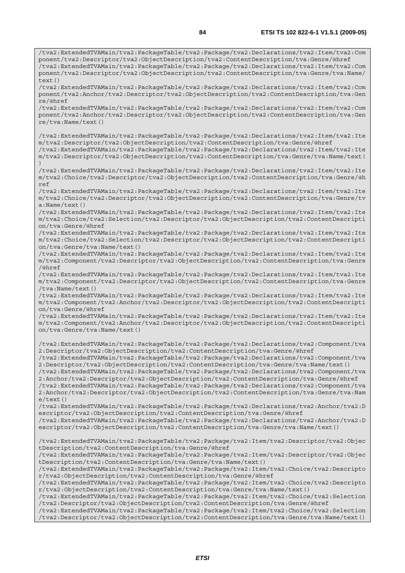/tva2:ExtendedTVAMain/tva2:PackageTable/tva2:Package/tva2:Declarations/tva2:Item/tva2:Com ponent/tva2:Descriptor/tva2:ObjectDescription/tva2:ContentDescription/tva:Genre/@href /tva2:ExtendedTVAMain/tva2:PackageTable/tva2:Package/tva2:Declarations/tva2:Item/tva2:Com

ponent/tva2:Descriptor/tva2:ObjectDescription/tva2:ContentDescription/tva:Genre/tva:Name/  $text()$ /tva2:ExtendedTVAMain/tva2:PackageTable/tva2:Package/tva2:Declarations/tva2:Item/tva2:Com ponent/tva2:Anchor/tva2:Descriptor/tva2:ObjectDescription/tva2:ContentDescription/tva:Gen re/@href /tva2:ExtendedTVAMain/tva2:PackageTable/tva2:Package/tva2:Declarations/tva2:Item/tva2:Com ponent/tva2:Anchor/tva2:Descriptor/tva2:ObjectDescription/tva2:ContentDescription/tva:Gen re/tva:Name/text() /tva2:ExtendedTVAMain/tva2:PackageTable/tva2:Package/tva2:Declarations/tva2:Item/tva2:Ite m/tva2:Descriptor/tva2:ObjectDescription/tva2:ContentDescription/tva:Genre/@href /tva2:ExtendedTVAMain/tva2:PackageTable/tva2:Package/tva2:Declarations/tva2:Item/tva2:Ite m/tva2:Descriptor/tva2:ObjectDescription/tva2:ContentDescription/tva:Genre/tva:Name/text( ) /tva2:ExtendedTVAMain/tva2:PackageTable/tva2:Package/tva2:Declarations/tva2:Item/tva2:Ite m/tva2:Choice/tva2:Descriptor/tva2:ObjectDescription/tva2:ContentDescription/tva:Genre/@h ref /tva2:ExtendedTVAMain/tva2:PackageTable/tva2:Package/tva2:Declarations/tva2:Item/tva2:Ite m/tva2:Choice/tva2:Descriptor/tva2:ObjectDescription/tva2:ContentDescription/tva:Genre/tv a:Name/text() /tva2:ExtendedTVAMain/tva2:PackageTable/tva2:Package/tva2:Declarations/tva2:Item/tva2:Ite m/tva2:Choice/tva2:Selection/tva2:Descriptor/tva2:ObjectDescription/tva2:ContentDescripti on/tva:Genre/@href /tva2:ExtendedTVAMain/tva2:PackageTable/tva2:Package/tva2:Declarations/tva2:Item/tva2:Ite m/tva2:Choice/tva2:Selection/tva2:Descriptor/tva2:ObjectDescription/tva2:ContentDescripti on/tva:Genre/tva:Name/text() /tva2:ExtendedTVAMain/tva2:PackageTable/tva2:Package/tva2:Declarations/tva2:Item/tva2:Ite m/tva2:Component/tva2:Descriptor/tva2:ObjectDescription/tva2:ContentDescription/tva:Genre /@href /tva2:ExtendedTVAMain/tva2:PackageTable/tva2:Package/tva2:Declarations/tva2:Item/tva2:Ite m/tva2:Component/tva2:Descriptor/tva2:ObjectDescription/tva2:ContentDescription/tva:Genre /tva:Name/text() /tva2:ExtendedTVAMain/tva2:PackageTable/tva2:Package/tva2:Declarations/tva2:Item/tva2:Ite m/tva2:Component/tva2:Anchor/tva2:Descriptor/tva2:ObjectDescription/tva2:ContentDescripti on/tva:Genre/@href /tva2:ExtendedTVAMain/tva2:PackageTable/tva2:Package/tva2:Declarations/tva2:Item/tva2:Ite m/tva2:Component/tva2:Anchor/tva2:Descriptor/tva2:ObjectDescription/tva2:ContentDescripti on/tva:Genre/tva:Name/text() /tva2:ExtendedTVAMain/tva2:PackageTable/tva2:Package/tva2:Declarations/tva2:Component/tva 2:Descriptor/tva2:ObjectDescription/tva2:ContentDescription/tva:Genre/@href /tva2:ExtendedTVAMain/tva2:PackageTable/tva2:Package/tva2:Declarations/tva2:Component/tva 2:Descriptor/tva2:ObjectDescription/tva2:ContentDescription/tva:Genre/tva:Name/text() /tva2:ExtendedTVAMain/tva2:PackageTable/tva2:Package/tva2:Declarations/tva2:Component/tva 2:Anchor/tva2:Descriptor/tva2:ObjectDescription/tva2:ContentDescription/tva:Genre/@href /tva2:ExtendedTVAMain/tva2:PackageTable/tva2:Package/tva2:Declarations/tva2:Component/tva 2:Anchor/tva2:Descriptor/tva2:ObjectDescription/tva2:ContentDescription/tva:Genre/tva:Nam e/text() /tva2:ExtendedTVAMain/tva2:PackageTable/tva2:Package/tva2:Declarations/tva2:Anchor/tva2:D escriptor/tva2:ObjectDescription/tva2:ContentDescription/tva:Genre/@href /tva2:ExtendedTVAMain/tva2:PackageTable/tva2:Package/tva2:Declarations/tva2:Anchor/tva2:D escriptor/tva2:ObjectDescription/tva2:ContentDescription/tva:Genre/tva:Name/text() /tva2:ExtendedTVAMain/tva2:PackageTable/tva2:Package/tva2:Item/tva2:Descriptor/tva2:Objec tDescription/tva2:ContentDescription/tva:Genre/@href /tva2:ExtendedTVAMain/tva2:PackageTable/tva2:Package/tva2:Item/tva2:Descriptor/tva2:Objec tDescription/tva2:ContentDescription/tva:Genre/tva:Name/text() /tva2:ExtendedTVAMain/tva2:PackageTable/tva2:Package/tva2:Item/tva2:Choice/tva2:Descripto r/tva2:ObjectDescription/tva2:ContentDescription/tva:Genre/@href /tva2:ExtendedTVAMain/tva2:PackageTable/tva2:Package/tva2:Item/tva2:Choice/tva2:Descripto r/tva2:ObjectDescription/tva2:ContentDescription/tva:Genre/tva:Name/text() /tva2:ExtendedTVAMain/tva2:PackageTable/tva2:Package/tva2:Item/tva2:Choice/tva2:Selection /tva2:Descriptor/tva2:ObjectDescription/tva2:ContentDescription/tva:Genre/@href /tva2:ExtendedTVAMain/tva2:PackageTable/tva2:Package/tva2:Item/tva2:Choice/tva2:Selection /tva2:Descriptor/tva2:ObjectDescription/tva2:ContentDescription/tva:Genre/tva:Name/text()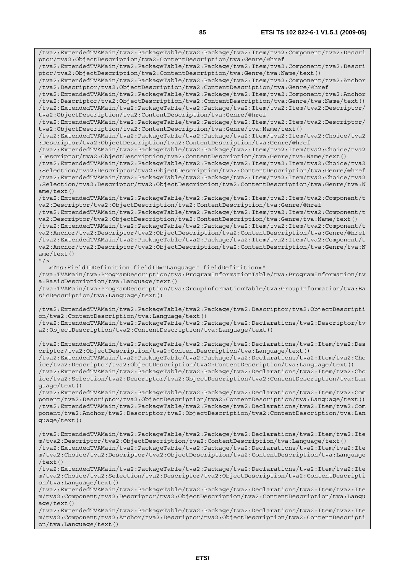/tva2:ExtendedTVAMain/tva2:PackageTable/tva2:Package/tva2:Item/tva2:Component/tva2:Descri ptor/tva2:ObjectDescription/tva2:ContentDescription/tva:Genre/@href /tva2:ExtendedTVAMain/tva2:PackageTable/tva2:Package/tva2:Item/tva2:Component/tva2:Descri ptor/tva2:ObjectDescription/tva2:ContentDescription/tva:Genre/tva:Name/text() /tva2:ExtendedTVAMain/tva2:PackageTable/tva2:Package/tva2:Item/tva2:Component/tva2:Anchor /tva2:Descriptor/tva2:ObjectDescription/tva2:ContentDescription/tva:Genre/@href /tva2:ExtendedTVAMain/tva2:PackageTable/tva2:Package/tva2:Item/tva2:Component/tva2:Anchor /tva2:Descriptor/tva2:ObjectDescription/tva2:ContentDescription/tva:Genre/tva:Name/text() /tva2:ExtendedTVAMain/tva2:PackageTable/tva2:Package/tva2:Item/tva2:Item/tva2:Descriptor/ tva2:ObjectDescription/tva2:ContentDescription/tva:Genre/@href /tva2:ExtendedTVAMain/tva2:PackageTable/tva2:Package/tva2:Item/tva2:Item/tva2:Descriptor/ tva2:ObjectDescription/tva2:ContentDescription/tva:Genre/tva:Name/text() /tva2:ExtendedTVAMain/tva2:PackageTable/tva2:Package/tva2:Item/tva2:Item/tva2:Choice/tva2 :Descriptor/tva2:ObjectDescription/tva2:ContentDescription/tva:Genre/@href /tva2:ExtendedTVAMain/tva2:PackageTable/tva2:Package/tva2:Item/tva2:Item/tva2:Choice/tva2 :Descriptor/tva2:ObjectDescription/tva2:ContentDescription/tva:Genre/tva:Name/text() /tva2:ExtendedTVAMain/tva2:PackageTable/tva2:Package/tva2:Item/tva2:Item/tva2:Choice/tva2 :Selection/tva2:Descriptor/tva2:ObjectDescription/tva2:ContentDescription/tva:Genre/@href /tva2:ExtendedTVAMain/tva2:PackageTable/tva2:Package/tva2:Item/tva2:Item/tva2:Choice/tva2 :Selection/tva2:Descriptor/tva2:ObjectDescription/tva2:ContentDescription/tva:Genre/tva:N ame/text() /tva2:ExtendedTVAMain/tva2:PackageTable/tva2:Package/tva2:Item/tva2:Item/tva2:Component/t va2:Descriptor/tva2:ObjectDescription/tva2:ContentDescription/tva:Genre/@href /tva2:ExtendedTVAMain/tva2:PackageTable/tva2:Package/tva2:Item/tva2:Item/tva2:Component/t va2:Descriptor/tva2:ObjectDescription/tva2:ContentDescription/tva:Genre/tva:Name/text() /tva2:ExtendedTVAMain/tva2:PackageTable/tva2:Package/tva2:Item/tva2:Item/tva2:Component/t va2:Anchor/tva2:Descriptor/tva2:ObjectDescription/tva2:ContentDescription/tva:Genre/@href /tva2:ExtendedTVAMain/tva2:PackageTable/tva2:Package/tva2:Item/tva2:Item/tva2:Component/t va2:Anchor/tva2:Descriptor/tva2:ObjectDescription/tva2:ContentDescription/tva:Genre/tva:N ame/text()  $"$  /> <Tns:FieldIDDefinition fieldID="Language" fieldDefinition=" /tva:TVAMain/tva:ProgramDescription/tva:ProgramInformationTable/tva:ProgramInformation/tv a:BasicDescription/tva:Language/text() /tva:TVAMain/tva:ProgramDescription/tva:GroupInformationTable/tva:GroupInformation/tva:Ba sicDescription/tva:Language/text() /tva2:ExtendedTVAMain/tva2:PackageTable/tva2:Package/tva2:Descriptor/tva2:ObjectDescripti on/tva2:ContentDescription/tva:Language/text() /tva2:ExtendedTVAMain/tva2:PackageTable/tva2:Package/tva2:Declarations/tva2:Descriptor/tv a2:ObjectDescription/tva2:ContentDescription/tva:Language/text() /tva2:ExtendedTVAMain/tva2:PackageTable/tva2:Package/tva2:Declarations/tva2:Item/tva2:Des criptor/tva2:ObjectDescription/tva2:ContentDescription/tva:Language/text() /tva2:ExtendedTVAMain/tva2:PackageTable/tva2:Package/tva2:Declarations/tva2:Item/tva2:Cho ice/tva2:Descriptor/tva2:ObjectDescription/tva2:ContentDescription/tva:Language/text() /tva2:ExtendedTVAMain/tva2:PackageTable/tva2:Package/tva2:Declarations/tva2:Item/tva2:Cho ice/tva2:Selection/tva2:Descriptor/tva2:ObjectDescription/tva2:ContentDescription/tva:Lan guage/text() /tva2:ExtendedTVAMain/tva2:PackageTable/tva2:Package/tva2:Declarations/tva2:Item/tva2:Com ponent/tva2:Descriptor/tva2:ObjectDescription/tva2:ContentDescription/tva:Language/text() /tva2:ExtendedTVAMain/tva2:PackageTable/tva2:Package/tva2:Declarations/tva2:Item/tva2:Com ponent/tva2:Anchor/tva2:Descriptor/tva2:ObjectDescription/tva2:ContentDescription/tva:Lan guage/text() /tva2:ExtendedTVAMain/tva2:PackageTable/tva2:Package/tva2:Declarations/tva2:Item/tva2:Ite m/tva2:Descriptor/tva2:ObjectDescription/tva2:ContentDescription/tva:Language/text() /tva2:ExtendedTVAMain/tva2:PackageTable/tva2:Package/tva2:Declarations/tva2:Item/tva2:Ite m/tva2:Choice/tva2:Descriptor/tva2:ObjectDescription/tva2:ContentDescription/tva:Language /text() /tva2:ExtendedTVAMain/tva2:PackageTable/tva2:Package/tva2:Declarations/tva2:Item/tva2:Ite m/tva2:Choice/tva2:Selection/tva2:Descriptor/tva2:ObjectDescription/tva2:ContentDescripti on/tva:Language/text() /tva2:ExtendedTVAMain/tva2:PackageTable/tva2:Package/tva2:Declarations/tva2:Item/tva2:Ite m/tva2:Component/tva2:Descriptor/tva2:ObjectDescription/tva2:ContentDescription/tva:Langu age/text()

/tva2:ExtendedTVAMain/tva2:PackageTable/tva2:Package/tva2:Declarations/tva2:Item/tva2:Ite m/tva2:Component/tva2:Anchor/tva2:Descriptor/tva2:ObjectDescription/tva2:ContentDescripti on/tva:Language/text()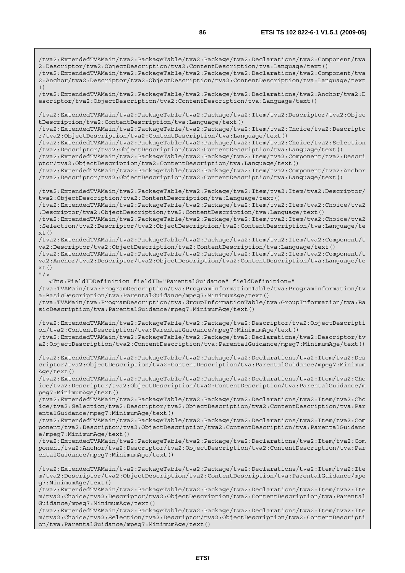/tva2:ExtendedTVAMain/tva2:PackageTable/tva2:Package/tva2:Declarations/tva2:Component/tva 2:Descriptor/tva2:ObjectDescription/tva2:ContentDescription/tva:Language/text() /tva2:ExtendedTVAMain/tva2:PackageTable/tva2:Package/tva2:Declarations/tva2:Component/tva 2:Anchor/tva2:Descriptor/tva2:ObjectDescription/tva2:ContentDescription/tva:Language/text  $( )$ /tva2:ExtendedTVAMain/tva2:PackageTable/tva2:Package/tva2:Declarations/tva2:Anchor/tva2:D escriptor/tva2:ObjectDescription/tva2:ContentDescription/tva:Language/text() /tva2:ExtendedTVAMain/tva2:PackageTable/tva2:Package/tva2:Item/tva2:Descriptor/tva2:Objec tDescription/tva2:ContentDescription/tva:Language/text() /tva2:ExtendedTVAMain/tva2:PackageTable/tva2:Package/tva2:Item/tva2:Choice/tva2:Descripto r/tva2:ObjectDescription/tva2:ContentDescription/tva:Language/text() /tva2:ExtendedTVAMain/tva2:PackageTable/tva2:Package/tva2:Item/tva2:Choice/tva2:Selection /tva2:Descriptor/tva2:ObjectDescription/tva2:ContentDescription/tva:Language/text() /tva2:ExtendedTVAMain/tva2:PackageTable/tva2:Package/tva2:Item/tva2:Component/tva2:Descri ptor/tva2:ObjectDescription/tva2:ContentDescription/tva:Language/text() /tva2:ExtendedTVAMain/tva2:PackageTable/tva2:Package/tva2:Item/tva2:Component/tva2:Anchor /tva2:Descriptor/tva2:ObjectDescription/tva2:ContentDescription/tva:Language/text() /tva2:ExtendedTVAMain/tva2:PackageTable/tva2:Package/tva2:Item/tva2:Item/tva2:Descriptor/ tva2:ObjectDescription/tva2:ContentDescription/tva:Language/text() /tva2:ExtendedTVAMain/tva2:PackageTable/tva2:Package/tva2:Item/tva2:Item/tva2:Choice/tva2 :Descriptor/tva2:ObjectDescription/tva2:ContentDescription/tva:Language/text() /tva2:ExtendedTVAMain/tva2:PackageTable/tva2:Package/tva2:Item/tva2:Item/tva2:Choice/tva2 :Selection/tva2:Descriptor/tva2:ObjectDescription/tva2:ContentDescription/tva:Language/te  $xt()$ /tva2:ExtendedTVAMain/tva2:PackageTable/tva2:Package/tva2:Item/tva2:Item/tva2:Component/t va2:Descriptor/tva2:ObjectDescription/tva2:ContentDescription/tva:Language/text() /tva2:ExtendedTVAMain/tva2:PackageTable/tva2:Package/tva2:Item/tva2:Item/tva2:Component/t va2:Anchor/tva2:Descriptor/tva2:ObjectDescription/tva2:ContentDescription/tva:Language/te  $xt()$  $''$  / > <Tns:FieldIDDefinition fieldID="ParentalGuidance" fieldDefinition=" /tva:TVAMain/tva:ProgramDescription/tva:ProgramInformationTable/tva:ProgramInformation/tv a:BasicDescription/tva:ParentalGuidance/mpeg7:MinimumAge/text() /tva:TVAMain/tva:ProgramDescription/tva:GroupInformationTable/tva:GroupInformation/tva:Ba sicDescription/tva:ParentalGuidance/mpeg7:MinimumAge/text() /tva2:ExtendedTVAMain/tva2:PackageTable/tva2:Package/tva2:Descriptor/tva2:ObjectDescripti on/tva2:ContentDescription/tva:ParentalGuidance/mpeg7:MinimumAge/text() /tva2:ExtendedTVAMain/tva2:PackageTable/tva2:Package/tva2:Declarations/tva2:Descriptor/tv a2:ObjectDescription/tva2:ContentDescription/tva:ParentalGuidance/mpeg7:MinimumAge/text() /tva2:ExtendedTVAMain/tva2:PackageTable/tva2:Package/tva2:Declarations/tva2:Item/tva2:Des criptor/tva2:ObjectDescription/tva2:ContentDescription/tva:ParentalGuidance/mpeg7:Minimum Age/text() /tva2:ExtendedTVAMain/tva2:PackageTable/tva2:Package/tva2:Declarations/tva2:Item/tva2:Cho ice/tva2:Descriptor/tva2:ObjectDescription/tva2:ContentDescription/tva:ParentalGuidance/m peg7:MinimumAge/text() /tva2:ExtendedTVAMain/tva2:PackageTable/tva2:Package/tva2:Declarations/tva2:Item/tva2:Cho ice/tva2:Selection/tva2:Descriptor/tva2:ObjectDescription/tva2:ContentDescription/tva:Par entalGuidance/mpeg7:MinimumAge/text() /tva2:ExtendedTVAMain/tva2:PackageTable/tva2:Package/tva2:Declarations/tva2:Item/tva2:Com ponent/tva2:Descriptor/tva2:ObjectDescription/tva2:ContentDescription/tva:ParentalGuidanc e/mpeg7:MinimumAge/text() /tva2:ExtendedTVAMain/tva2:PackageTable/tva2:Package/tva2:Declarations/tva2:Item/tva2:Com ponent/tva2:Anchor/tva2:Descriptor/tva2:ObjectDescription/tva2:ContentDescription/tva:Par entalGuidance/mpeg7:MinimumAge/text() /tva2:ExtendedTVAMain/tva2:PackageTable/tva2:Package/tva2:Declarations/tva2:Item/tva2:Ite m/tva2:Descriptor/tva2:ObjectDescription/tva2:ContentDescription/tva:ParentalGuidance/mpe g7:MinimumAge/text()

/tva2:ExtendedTVAMain/tva2:PackageTable/tva2:Package/tva2:Declarations/tva2:Item/tva2:Ite m/tva2:Choice/tva2:Descriptor/tva2:ObjectDescription/tva2:ContentDescription/tva:Parental Guidance/mpeg7:MinimumAge/text()

/tva2:ExtendedTVAMain/tva2:PackageTable/tva2:Package/tva2:Declarations/tva2:Item/tva2:Ite m/tva2:Choice/tva2:Selection/tva2:Descriptor/tva2:ObjectDescription/tva2:ContentDescripti on/tva:ParentalGuidance/mpeg7:MinimumAge/text()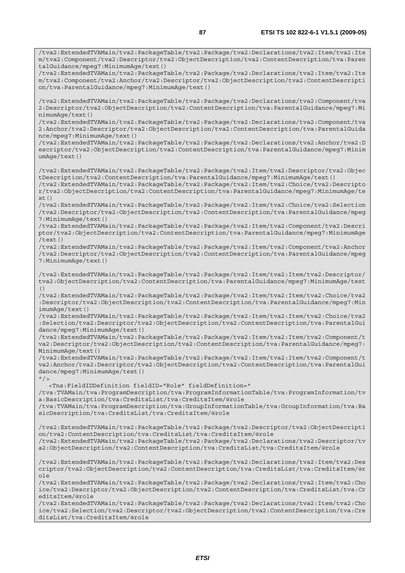/tva2:ExtendedTVAMain/tva2:PackageTable/tva2:Package/tva2:Declarations/tva2:Item/tva2:Ite m/tva2:Component/tva2:Descriptor/tva2:ObjectDescription/tva2:ContentDescription/tva:Paren talGuidance/mpeg7:MinimumAge/text() /tva2:ExtendedTVAMain/tva2:PackageTable/tva2:Package/tva2:Declarations/tva2:Item/tva2:Ite m/tva2:Component/tva2:Anchor/tva2:Descriptor/tva2:ObjectDescription/tva2:ContentDescripti on/tva:ParentalGuidance/mpeg7:MinimumAge/text() /tva2:ExtendedTVAMain/tva2:PackageTable/tva2:Package/tva2:Declarations/tva2:Component/tva 2:Descriptor/tva2:ObjectDescription/tva2:ContentDescription/tva:ParentalGuidance/mpeg7:Mi nimumAge/text() /tva2:ExtendedTVAMain/tva2:PackageTable/tva2:Package/tva2:Declarations/tva2:Component/tva 2:Anchor/tva2:Descriptor/tva2:ObjectDescription/tva2:ContentDescription/tva:ParentalGuida nce/mpeg7:MinimumAge/text() /tva2:ExtendedTVAMain/tva2:PackageTable/tva2:Package/tva2:Declarations/tva2:Anchor/tva2:D escriptor/tva2:ObjectDescription/tva2:ContentDescription/tva:ParentalGuidance/mpeg7:Minim umAge/text() /tva2:ExtendedTVAMain/tva2:PackageTable/tva2:Package/tva2:Item/tva2:Descriptor/tva2:Objec tDescription/tva2:ContentDescription/tva:ParentalGuidance/mpeg7:MinimumAge/text() /tva2:ExtendedTVAMain/tva2:PackageTable/tva2:Package/tva2:Item/tva2:Choice/tva2:Descripto r/tva2:ObjectDescription/tva2:ContentDescription/tva:ParentalGuidance/mpeg7:MinimumAge/te xt() /tva2:ExtendedTVAMain/tva2:PackageTable/tva2:Package/tva2:Item/tva2:Choice/tva2:Selection /tva2:Descriptor/tva2:ObjectDescription/tva2:ContentDescription/tva:ParentalGuidance/mpeg 7:MinimumAge/text() /tva2:ExtendedTVAMain/tva2:PackageTable/tva2:Package/tva2:Item/tva2:Component/tva2:Descri ptor/tva2:ObjectDescription/tva2:ContentDescription/tva:ParentalGuidance/mpeg7:MinimumAge /text() /tva2:ExtendedTVAMain/tva2:PackageTable/tva2:Package/tva2:Item/tva2:Component/tva2:Anchor /tva2:Descriptor/tva2:ObjectDescription/tva2:ContentDescription/tva:ParentalGuidance/mpeg 7:MinimumAge/text() /tva2:ExtendedTVAMain/tva2:PackageTable/tva2:Package/tva2:Item/tva2:Item/tva2:Descriptor/ tva2:ObjectDescription/tva2:ContentDescription/tva:ParentalGuidance/mpeg7:MinimumAge/text () /tva2:ExtendedTVAMain/tva2:PackageTable/tva2:Package/tva2:Item/tva2:Item/tva2:Choice/tva2 :Descriptor/tva2:ObjectDescription/tva2:ContentDescription/tva:ParentalGuidance/mpeg7:Min imumAge/text() /tva2:ExtendedTVAMain/tva2:PackageTable/tva2:Package/tva2:Item/tva2:Item/tva2:Choice/tva2 :Selection/tva2:Descriptor/tva2:ObjectDescription/tva2:ContentDescription/tva:ParentalGui dance/mpeg7:MinimumAge/text() /tva2:ExtendedTVAMain/tva2:PackageTable/tva2:Package/tva2:Item/tva2:Item/tva2:Component/t va2:Descriptor/tva2:ObjectDescription/tva2:ContentDescription/tva:ParentalGuidance/mpeg7: MinimumAge/text() /tva2:ExtendedTVAMain/tva2:PackageTable/tva2:Package/tva2:Item/tva2:Item/tva2:Component/t va2:Anchor/tva2:Descriptor/tva2:ObjectDescription/tva2:ContentDescription/tva:ParentalGui dance/mpeg7:MinimumAge/text()  $''$  / > <Tns:FieldIDDefinition fieldID="Role" fieldDefinition=" /tva:TVAMain/tva:ProgramDescription/tva:ProgramInformationTable/tva:ProgramInformation/tv a:BasicDescription/tva:CreditsList/tva:CreditsItem/@role /tva:TVAMain/tva:ProgramDescription/tva:GroupInformationTable/tva:GroupInformation/tva:Ba sicDescription/tva:CreditsList/tva:CreditsItem/@role /tva2:ExtendedTVAMain/tva2:PackageTable/tva2:Package/tva2:Descriptor/tva2:ObjectDescripti on/tva2:ContentDescription/tva:CreditsList/tva:CreditsItem/@role /tva2:ExtendedTVAMain/tva2:PackageTable/tva2:Package/tva2:Declarations/tva2:Descriptor/tv a2:ObjectDescription/tva2:ContentDescription/tva:CreditsList/tva:CreditsItem/@role /tva2:ExtendedTVAMain/tva2:PackageTable/tva2:Package/tva2:Declarations/tva2:Item/tva2:Des criptor/tva2:ObjectDescription/tva2:ContentDescription/tva:CreditsList/tva:CreditsItem/@r ole /tva2:ExtendedTVAMain/tva2:PackageTable/tva2:Package/tva2:Declarations/tva2:Item/tva2:Cho ice/tva2:Descriptor/tva2:ObjectDescription/tva2:ContentDescription/tva:CreditsList/tva:Cr editsItem/@role

/tva2:ExtendedTVAMain/tva2:PackageTable/tva2:Package/tva2:Declarations/tva2:Item/tva2:Cho ice/tva2:Selection/tva2:Descriptor/tva2:ObjectDescription/tva2:ContentDescription/tva:Cre ditsList/tva:CreditsItem/@role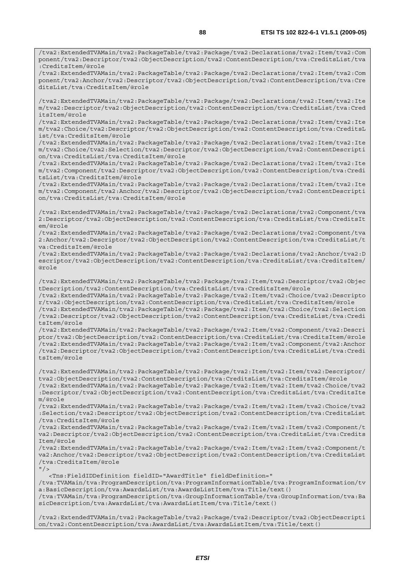/tva2:ExtendedTVAMain/tva2:PackageTable/tva2:Package/tva2:Declarations/tva2:Item/tva2:Com ponent/tva2:Descriptor/tva2:ObjectDescription/tva2:ContentDescription/tva:CreditsList/tva :CreditsItem/@role

/tva2:ExtendedTVAMain/tva2:PackageTable/tva2:Package/tva2:Declarations/tva2:Item/tva2:Com ponent/tva2:Anchor/tva2:Descriptor/tva2:ObjectDescription/tva2:ContentDescription/tva:Cre ditsList/tva:CreditsItem/@role

/tva2:ExtendedTVAMain/tva2:PackageTable/tva2:Package/tva2:Declarations/tva2:Item/tva2:Ite m/tva2:Descriptor/tva2:ObjectDescription/tva2:ContentDescription/tva:CreditsList/tva:Cred itsItem/@role

/tva2:ExtendedTVAMain/tva2:PackageTable/tva2:Package/tva2:Declarations/tva2:Item/tva2:Ite m/tva2:Choice/tva2:Descriptor/tva2:ObjectDescription/tva2:ContentDescription/tva:CreditsL ist/tva:CreditsItem/@role

/tva2:ExtendedTVAMain/tva2:PackageTable/tva2:Package/tva2:Declarations/tva2:Item/tva2:Ite m/tva2:Choice/tva2:Selection/tva2:Descriptor/tva2:ObjectDescription/tva2:ContentDescripti on/tva:CreditsList/tva:CreditsItem/@role

/tva2:ExtendedTVAMain/tva2:PackageTable/tva2:Package/tva2:Declarations/tva2:Item/tva2:Ite m/tva2:Component/tva2:Descriptor/tva2:ObjectDescription/tva2:ContentDescription/tva:Credi tsList/tva:CreditsItem/@role

/tva2:ExtendedTVAMain/tva2:PackageTable/tva2:Package/tva2:Declarations/tva2:Item/tva2:Ite m/tva2:Component/tva2:Anchor/tva2:Descriptor/tva2:ObjectDescription/tva2:ContentDescripti on/tva:CreditsList/tva:CreditsItem/@role

/tva2:ExtendedTVAMain/tva2:PackageTable/tva2:Package/tva2:Declarations/tva2:Component/tva 2:Descriptor/tva2:ObjectDescription/tva2:ContentDescription/tva:CreditsList/tva:CreditsIt em/@role

/tva2:ExtendedTVAMain/tva2:PackageTable/tva2:Package/tva2:Declarations/tva2:Component/tva 2:Anchor/tva2:Descriptor/tva2:ObjectDescription/tva2:ContentDescription/tva:CreditsList/t va:CreditsItem/@role

/tva2:ExtendedTVAMain/tva2:PackageTable/tva2:Package/tva2:Declarations/tva2:Anchor/tva2:D escriptor/tva2:ObjectDescription/tva2:ContentDescription/tva:CreditsList/tva:CreditsItem/ @role

/tva2:ExtendedTVAMain/tva2:PackageTable/tva2:Package/tva2:Item/tva2:Descriptor/tva2:Objec tDescription/tva2:ContentDescription/tva:CreditsList/tva:CreditsItem/@role

/tva2:ExtendedTVAMain/tva2:PackageTable/tva2:Package/tva2:Item/tva2:Choice/tva2:Descripto r/tva2:ObjectDescription/tva2:ContentDescription/tva:CreditsList/tva:CreditsItem/@role /tva2:ExtendedTVAMain/tva2:PackageTable/tva2:Package/tva2:Item/tva2:Choice/tva2:Selection /tva2:Descriptor/tva2:ObjectDescription/tva2:ContentDescription/tva:CreditsList/tva:Credi tsItem/@role

/tva2:ExtendedTVAMain/tva2:PackageTable/tva2:Package/tva2:Item/tva2:Component/tva2:Descri ptor/tva2:ObjectDescription/tva2:ContentDescription/tva:CreditsList/tva:CreditsItem/@role /tva2:ExtendedTVAMain/tva2:PackageTable/tva2:Package/tva2:Item/tva2:Component/tva2:Anchor /tva2:Descriptor/tva2:ObjectDescription/tva2:ContentDescription/tva:CreditsList/tva:Credi tsItem/@role

/tva2:ExtendedTVAMain/tva2:PackageTable/tva2:Package/tva2:Item/tva2:Item/tva2:Descriptor/ tva2:ObjectDescription/tva2:ContentDescription/tva:CreditsList/tva:CreditsItem/@role /tva2:ExtendedTVAMain/tva2:PackageTable/tva2:Package/tva2:Item/tva2:Item/tva2:Choice/tva2 :Descriptor/tva2:ObjectDescription/tva2:ContentDescription/tva:CreditsList/tva:CreditsIte m/@role

/tva2:ExtendedTVAMain/tva2:PackageTable/tva2:Package/tva2:Item/tva2:Item/tva2:Choice/tva2 :Selection/tva2:Descriptor/tva2:ObjectDescription/tva2:ContentDescription/tva:CreditsList /tva:CreditsItem/@role

/tva2:ExtendedTVAMain/tva2:PackageTable/tva2:Package/tva2:Item/tva2:Item/tva2:Component/t va2:Descriptor/tva2:ObjectDescription/tva2:ContentDescription/tva:CreditsList/tva:Credits Item/@role

/tva2:ExtendedTVAMain/tva2:PackageTable/tva2:Package/tva2:Item/tva2:Item/tva2:Component/t va2:Anchor/tva2:Descriptor/tva2:ObjectDescription/tva2:ContentDescription/tva:CreditsList /tva:CreditsItem/@role

 $"$  />

 <Tns:FieldIDDefinition fieldID="AwardTitle" fieldDefinition=" /tva:TVAMain/tva:ProgramDescription/tva:ProgramInformationTable/tva:ProgramInformation/tv a:BasicDescription/tva:AwardsList/tva:AwardsListItem/tva:Title/text() /tva:TVAMain/tva:ProgramDescription/tva:GroupInformationTable/tva:GroupInformation/tva:Ba sicDescription/tva:AwardsList/tva:AwardsListItem/tva:Title/text()

/tva2:ExtendedTVAMain/tva2:PackageTable/tva2:Package/tva2:Descriptor/tva2:ObjectDescripti on/tva2:ContentDescription/tva:AwardsList/tva:AwardsListItem/tva:Title/text()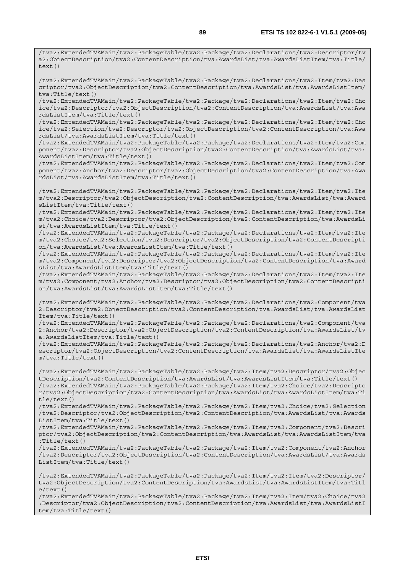/tva2:ExtendedTVAMain/tva2:PackageTable/tva2:Package/tva2:Declarations/tva2:Item/tva2:Des criptor/tva2:ObjectDescription/tva2:ContentDescription/tva:AwardsList/tva:AwardsListItem/ tva:Title/text()

/tva2:ExtendedTVAMain/tva2:PackageTable/tva2:Package/tva2:Declarations/tva2:Item/tva2:Cho ice/tva2:Descriptor/tva2:ObjectDescription/tva2:ContentDescription/tva:AwardsList/tva:Awa rdsListItem/tva:Title/text()

/tva2:ExtendedTVAMain/tva2:PackageTable/tva2:Package/tva2:Declarations/tva2:Item/tva2:Cho ice/tva2:Selection/tva2:Descriptor/tva2:ObjectDescription/tva2:ContentDescription/tva:Awa rdsList/tva:AwardsListItem/tva:Title/text()

/tva2:ExtendedTVAMain/tva2:PackageTable/tva2:Package/tva2:Declarations/tva2:Item/tva2:Com ponent/tva2:Descriptor/tva2:ObjectDescription/tva2:ContentDescription/tva:AwardsList/tva: AwardsListItem/tva:Title/text()

/tva2:ExtendedTVAMain/tva2:PackageTable/tva2:Package/tva2:Declarations/tva2:Item/tva2:Com ponent/tva2:Anchor/tva2:Descriptor/tva2:ObjectDescription/tva2:ContentDescription/tva:Awa rdsList/tva:AwardsListItem/tva:Title/text()

/tva2:ExtendedTVAMain/tva2:PackageTable/tva2:Package/tva2:Declarations/tva2:Item/tva2:Ite m/tva2:Descriptor/tva2:ObjectDescription/tva2:ContentDescription/tva:AwardsList/tva:Award sListItem/tva:Title/text()

/tva2:ExtendedTVAMain/tva2:PackageTable/tva2:Package/tva2:Declarations/tva2:Item/tva2:Ite m/tva2:Choice/tva2:Descriptor/tva2:ObjectDescription/tva2:ContentDescription/tva:AwardsLi st/tva:AwardsListItem/tva:Title/text()

/tva2:ExtendedTVAMain/tva2:PackageTable/tva2:Package/tva2:Declarations/tva2:Item/tva2:Ite m/tva2:Choice/tva2:Selection/tva2:Descriptor/tva2:ObjectDescription/tva2:ContentDescripti on/tva:AwardsList/tva:AwardsListItem/tva:Title/text()

/tva2:ExtendedTVAMain/tva2:PackageTable/tva2:Package/tva2:Declarations/tva2:Item/tva2:Ite m/tva2:Component/tva2:Descriptor/tva2:ObjectDescription/tva2:ContentDescription/tva:Award sList/tva:AwardsListItem/tva:Title/text()

/tva2:ExtendedTVAMain/tva2:PackageTable/tva2:Package/tva2:Declarations/tva2:Item/tva2:Ite m/tva2:Component/tva2:Anchor/tva2:Descriptor/tva2:ObjectDescription/tva2:ContentDescripti on/tva:AwardsList/tva:AwardsListItem/tva:Title/text()

/tva2:ExtendedTVAMain/tva2:PackageTable/tva2:Package/tva2:Declarations/tva2:Component/tva 2:Descriptor/tva2:ObjectDescription/tva2:ContentDescription/tva:AwardsList/tva:AwardsList Item/tva:Title/text()

/tva2:ExtendedTVAMain/tva2:PackageTable/tva2:Package/tva2:Declarations/tva2:Component/tva 2:Anchor/tva2:Descriptor/tva2:ObjectDescription/tva2:ContentDescription/tva:AwardsList/tv a:AwardsListItem/tva:Title/text()

/tva2:ExtendedTVAMain/tva2:PackageTable/tva2:Package/tva2:Declarations/tva2:Anchor/tva2:D escriptor/tva2:ObjectDescription/tva2:ContentDescription/tva:AwardsList/tva:AwardsListIte m/tva:Title/text()

/tva2:ExtendedTVAMain/tva2:PackageTable/tva2:Package/tva2:Item/tva2:Descriptor/tva2:Objec tDescription/tva2:ContentDescription/tva:AwardsList/tva:AwardsListItem/tva:Title/text() /tva2:ExtendedTVAMain/tva2:PackageTable/tva2:Package/tva2:Item/tva2:Choice/tva2:Descripto r/tva2:ObjectDescription/tva2:ContentDescription/tva:AwardsList/tva:AwardsListItem/tva:Ti tle/text()

/tva2:ExtendedTVAMain/tva2:PackageTable/tva2:Package/tva2:Item/tva2:Choice/tva2:Selection /tva2:Descriptor/tva2:ObjectDescription/tva2:ContentDescription/tva:AwardsList/tva:Awards ListItem/tva:Title/text()

/tva2:ExtendedTVAMain/tva2:PackageTable/tva2:Package/tva2:Item/tva2:Component/tva2:Descri ptor/tva2:ObjectDescription/tva2:ContentDescription/tva:AwardsList/tva:AwardsListItem/tva :Title/text()

/tva2:ExtendedTVAMain/tva2:PackageTable/tva2:Package/tva2:Item/tva2:Component/tva2:Anchor /tva2:Descriptor/tva2:ObjectDescription/tva2:ContentDescription/tva:AwardsList/tva:Awards ListItem/tva:Title/text()

/tva2:ExtendedTVAMain/tva2:PackageTable/tva2:Package/tva2:Item/tva2:Item/tva2:Descriptor/ tva2:ObjectDescription/tva2:ContentDescription/tva:AwardsList/tva:AwardsListItem/tva:Titl  $e$ /text()

/tva2:ExtendedTVAMain/tva2:PackageTable/tva2:Package/tva2:Item/tva2:Item/tva2:Choice/tva2 :Descriptor/tva2:ObjectDescription/tva2:ContentDescription/tva:AwardsList/tva:AwardsListI tem/tva:Title/text()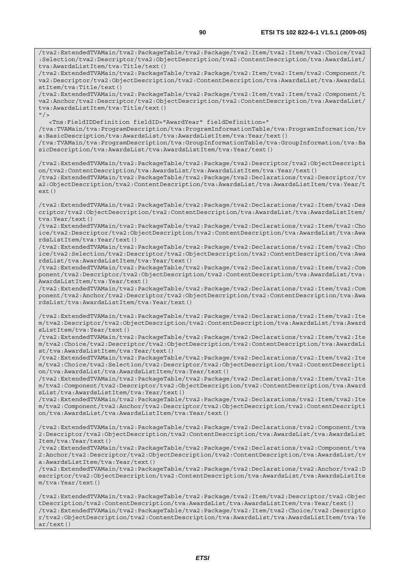/tva2:ExtendedTVAMain/tva2:PackageTable/tva2:Package/tva2:Item/tva2:Item/tva2:Choice/tva2 :Selection/tva2:Descriptor/tva2:ObjectDescription/tva2:ContentDescription/tva:AwardsList/ tva:AwardsListItem/tva:Title/text() /tva2:ExtendedTVAMain/tva2:PackageTable/tva2:Package/tva2:Item/tva2:Item/tva2:Component/t va2:Descriptor/tva2:ObjectDescription/tva2:ContentDescription/tva:AwardsList/tva:AwardsLi stItem/tva:Title/text() /tva2:ExtendedTVAMain/tva2:PackageTable/tva2:Package/tva2:Item/tva2:Item/tva2:Component/t va2:Anchor/tva2:Descriptor/tva2:ObjectDescription/tva2:ContentDescription/tva:AwardsList/ tva:AwardsListItem/tva:Title/text()  $''$  / > <Tns:FieldIDDefinition fieldID="AwardYear" fieldDefinition=" /tva:TVAMain/tva:ProgramDescription/tva:ProgramInformationTable/tva:ProgramInformation/tv a:BasicDescription/tva:AwardsList/tva:AwardsListItem/tva:Year/text() /tva:TVAMain/tva:ProgramDescription/tva:GroupInformationTable/tva:GroupInformation/tva:Ba sicDescription/tva:AwardsList/tva:AwardsListItem/tva:Year/text() /tva2:ExtendedTVAMain/tva2:PackageTable/tva2:Package/tva2:Descriptor/tva2:ObjectDescripti on/tva2:ContentDescription/tva:AwardsList/tva:AwardsListItem/tva:Year/text() /tva2:ExtendedTVAMain/tva2:PackageTable/tva2:Package/tva2:Declarations/tva2:Descriptor/tv a2:ObjectDescription/tva2:ContentDescription/tva:AwardsList/tva:AwardsListItem/tva:Year/t ext() /tva2:ExtendedTVAMain/tva2:PackageTable/tva2:Package/tva2:Declarations/tva2:Item/tva2:Des criptor/tva2:ObjectDescription/tva2:ContentDescription/tva:AwardsList/tva:AwardsListItem/ tva:Year/text() /tva2:ExtendedTVAMain/tva2:PackageTable/tva2:Package/tva2:Declarations/tva2:Item/tva2:Cho ice/tva2:Descriptor/tva2:ObjectDescription/tva2:ContentDescription/tva:AwardsList/tva:Awa rdsListItem/tva:Year/text() /tva2:ExtendedTVAMain/tva2:PackageTable/tva2:Package/tva2:Declarations/tva2:Item/tva2:Cho ice/tva2:Selection/tva2:Descriptor/tva2:ObjectDescription/tva2:ContentDescription/tva:Awa rdsList/tva:AwardsListItem/tva:Year/text() /tva2:ExtendedTVAMain/tva2:PackageTable/tva2:Package/tva2:Declarations/tva2:Item/tva2:Com ponent/tva2:Descriptor/tva2:ObjectDescription/tva2:ContentDescription/tva:AwardsList/tva: AwardsListItem/tva:Year/text() /tva2:ExtendedTVAMain/tva2:PackageTable/tva2:Package/tva2:Declarations/tva2:Item/tva2:Com ponent/tva2:Anchor/tva2:Descriptor/tva2:ObjectDescription/tva2:ContentDescription/tva:Awa rdsList/tva:AwardsListItem/tva:Year/text() /tva2:ExtendedTVAMain/tva2:PackageTable/tva2:Package/tva2:Declarations/tva2:Item/tva2:Ite m/tva2:Descriptor/tva2:ObjectDescription/tva2:ContentDescription/tva:AwardsList/tva:Award sListItem/tva:Year/text() /tva2:ExtendedTVAMain/tva2:PackageTable/tva2:Package/tva2:Declarations/tva2:Item/tva2:Ite m/tva2:Choice/tva2:Descriptor/tva2:ObjectDescription/tva2:ContentDescription/tva:AwardsLi st/tva:AwardsListItem/tva:Year/text() /tva2:ExtendedTVAMain/tva2:PackageTable/tva2:Package/tva2:Declarations/tva2:Item/tva2:Ite m/tva2:Choice/tva2:Selection/tva2:Descriptor/tva2:ObjectDescription/tva2:ContentDescripti on/tva:AwardsList/tva:AwardsListItem/tva:Year/text() /tva2:ExtendedTVAMain/tva2:PackageTable/tva2:Package/tva2:Declarations/tva2:Item/tva2:Ite m/tva2:Component/tva2:Descriptor/tva2:ObjectDescription/tva2:ContentDescription/tva:Award sList/tva:AwardsListItem/tva:Year/text() /tva2:ExtendedTVAMain/tva2:PackageTable/tva2:Package/tva2:Declarations/tva2:Item/tva2:Ite m/tva2:Component/tva2:Anchor/tva2:Descriptor/tva2:ObjectDescription/tva2:ContentDescripti on/tva:AwardsList/tva:AwardsListItem/tva:Year/text() /tva2:ExtendedTVAMain/tva2:PackageTable/tva2:Package/tva2:Declarations/tva2:Component/tva 2:Descriptor/tva2:ObjectDescription/tva2:ContentDescription/tva:AwardsList/tva:AwardsList Item/tva:Year/text() /tva2:ExtendedTVAMain/tva2:PackageTable/tva2:Package/tva2:Declarations/tva2:Component/tva 2:Anchor/tva2:Descriptor/tva2:ObjectDescription/tva2:ContentDescription/tva:AwardsList/tv a:AwardsListItem/tva:Year/text() /tva2:ExtendedTVAMain/tva2:PackageTable/tva2:Package/tva2:Declarations/tva2:Anchor/tva2:D escriptor/tva2:ObjectDescription/tva2:ContentDescription/tva:AwardsList/tva:AwardsListIte m/tva:Year/text() /tva2:ExtendedTVAMain/tva2:PackageTable/tva2:Package/tva2:Item/tva2:Descriptor/tva2:Objec tDescription/tva2:ContentDescription/tva:AwardsList/tva:AwardsListItem/tva:Year/text() /tva2:ExtendedTVAMain/tva2:PackageTable/tva2:Package/tva2:Item/tva2:Choice/tva2:Descripto

r/tva2:ObjectDescription/tva2:ContentDescription/tva:AwardsList/tva:AwardsListItem/tva:Ye ar/text()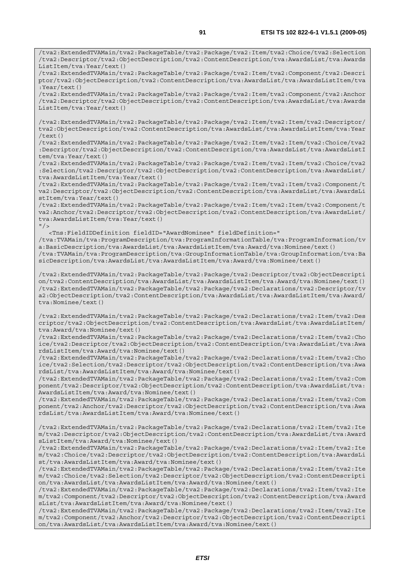/tva2:ExtendedTVAMain/tva2:PackageTable/tva2:Package/tva2:Item/tva2:Choice/tva2:Selection /tva2:Descriptor/tva2:ObjectDescription/tva2:ContentDescription/tva:AwardsList/tva:Awards ListItem/tva:Year/text()

/tva2:ExtendedTVAMain/tva2:PackageTable/tva2:Package/tva2:Item/tva2:Component/tva2:Descri ptor/tva2:ObjectDescription/tva2:ContentDescription/tva:AwardsList/tva:AwardsListItem/tva :Year/text()

/tva2:ExtendedTVAMain/tva2:PackageTable/tva2:Package/tva2:Item/tva2:Component/tva2:Anchor /tva2:Descriptor/tva2:ObjectDescription/tva2:ContentDescription/tva:AwardsList/tva:Awards ListItem/tva:Year/text()

/tva2:ExtendedTVAMain/tva2:PackageTable/tva2:Package/tva2:Item/tva2:Item/tva2:Descriptor/ tva2:ObjectDescription/tva2:ContentDescription/tva:AwardsList/tva:AwardsListItem/tva:Year /text()

/tva2:ExtendedTVAMain/tva2:PackageTable/tva2:Package/tva2:Item/tva2:Item/tva2:Choice/tva2 :Descriptor/tva2:ObjectDescription/tva2:ContentDescription/tva:AwardsList/tva:AwardsListI tem/tva:Year/text()

/tva2:ExtendedTVAMain/tva2:PackageTable/tva2:Package/tva2:Item/tva2:Item/tva2:Choice/tva2 :Selection/tva2:Descriptor/tva2:ObjectDescription/tva2:ContentDescription/tva:AwardsList/ tva:AwardsListItem/tva:Year/text()

/tva2:ExtendedTVAMain/tva2:PackageTable/tva2:Package/tva2:Item/tva2:Item/tva2:Component/t va2:Descriptor/tva2:ObjectDescription/tva2:ContentDescription/tva:AwardsList/tva:AwardsLi stItem/tva:Year/text()

/tva2:ExtendedTVAMain/tva2:PackageTable/tva2:Package/tva2:Item/tva2:Item/tva2:Component/t va2:Anchor/tva2:Descriptor/tva2:ObjectDescription/tva2:ContentDescription/tva:AwardsList/ tva:AwardsListItem/tva:Year/text()  $"$  / >

 <Tns:FieldIDDefinition fieldID="AwardNominee" fieldDefinition=" /tva:TVAMain/tva:ProgramDescription/tva:ProgramInformationTable/tva:ProgramInformation/tv a:BasicDescription/tva:AwardsList/tva:AwardsListItem/tva:Award/tva:Nominee/text() /tva:TVAMain/tva:ProgramDescription/tva:GroupInformationTable/tva:GroupInformation/tva:Ba sicDescription/tva:AwardsList/tva:AwardsListItem/tva:Award/tva:Nominee/text()

/tva2:ExtendedTVAMain/tva2:PackageTable/tva2:Package/tva2:Descriptor/tva2:ObjectDescripti on/tva2:ContentDescription/tva:AwardsList/tva:AwardsListItem/tva:Award/tva:Nominee/text() /tva2:ExtendedTVAMain/tva2:PackageTable/tva2:Package/tva2:Declarations/tva2:Descriptor/tv a2:ObjectDescription/tva2:ContentDescription/tva:AwardsList/tva:AwardsListItem/tva:Award/ tva:Nominee/text()

/tva2:ExtendedTVAMain/tva2:PackageTable/tva2:Package/tva2:Declarations/tva2:Item/tva2:Des criptor/tva2:ObjectDescription/tva2:ContentDescription/tva:AwardsList/tva:AwardsListItem/ tva:Award/tva:Nominee/text()

/tva2:ExtendedTVAMain/tva2:PackageTable/tva2:Package/tva2:Declarations/tva2:Item/tva2:Cho ice/tva2:Descriptor/tva2:ObjectDescription/tva2:ContentDescription/tva:AwardsList/tva:Awa rdsListItem/tva:Award/tva:Nominee/text()

/tva2:ExtendedTVAMain/tva2:PackageTable/tva2:Package/tva2:Declarations/tva2:Item/tva2:Cho ice/tva2:Selection/tva2:Descriptor/tva2:ObjectDescription/tva2:ContentDescription/tva:Awa rdsList/tva:AwardsListItem/tva:Award/tva:Nominee/text()

/tva2:ExtendedTVAMain/tva2:PackageTable/tva2:Package/tva2:Declarations/tva2:Item/tva2:Com ponent/tva2:Descriptor/tva2:ObjectDescription/tva2:ContentDescription/tva:AwardsList/tva: AwardsListItem/tva:Award/tva:Nominee/text()

/tva2:ExtendedTVAMain/tva2:PackageTable/tva2:Package/tva2:Declarations/tva2:Item/tva2:Com ponent/tva2:Anchor/tva2:Descriptor/tva2:ObjectDescription/tva2:ContentDescription/tva:Awa rdsList/tva:AwardsListItem/tva:Award/tva:Nominee/text()

/tva2:ExtendedTVAMain/tva2:PackageTable/tva2:Package/tva2:Declarations/tva2:Item/tva2:Ite m/tva2:Descriptor/tva2:ObjectDescription/tva2:ContentDescription/tva:AwardsList/tva:Award sListItem/tva:Award/tva:Nominee/text()

/tva2:ExtendedTVAMain/tva2:PackageTable/tva2:Package/tva2:Declarations/tva2:Item/tva2:Ite m/tva2:Choice/tva2:Descriptor/tva2:ObjectDescription/tva2:ContentDescription/tva:AwardsLi st/tva:AwardsListItem/tva:Award/tva:Nominee/text()

/tva2:ExtendedTVAMain/tva2:PackageTable/tva2:Package/tva2:Declarations/tva2:Item/tva2:Ite m/tva2:Choice/tva2:Selection/tva2:Descriptor/tva2:ObjectDescription/tva2:ContentDescripti on/tva:AwardsList/tva:AwardsListItem/tva:Award/tva:Nominee/text()

/tva2:ExtendedTVAMain/tva2:PackageTable/tva2:Package/tva2:Declarations/tva2:Item/tva2:Ite m/tva2:Component/tva2:Descriptor/tva2:ObjectDescription/tva2:ContentDescription/tva:Award sList/tva:AwardsListItem/tva:Award/tva:Nominee/text()

/tva2:ExtendedTVAMain/tva2:PackageTable/tva2:Package/tva2:Declarations/tva2:Item/tva2:Ite m/tva2:Component/tva2:Anchor/tva2:Descriptor/tva2:ObjectDescription/tva2:ContentDescripti on/tva:AwardsList/tva:AwardsListItem/tva:Award/tva:Nominee/text()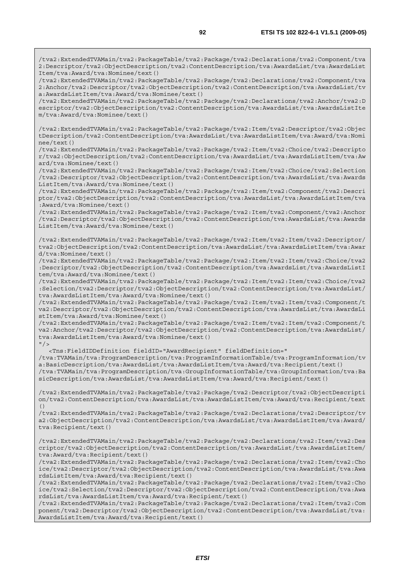/tva2:ExtendedTVAMain/tva2:PackageTable/tva2:Package/tva2:Declarations/tva2:Component/tva 2:Anchor/tva2:Descriptor/tva2:ObjectDescription/tva2:ContentDescription/tva:AwardsList/tv a:AwardsListItem/tva:Award/tva:Nominee/text()

/tva2:ExtendedTVAMain/tva2:PackageTable/tva2:Package/tva2:Declarations/tva2:Anchor/tva2:D escriptor/tva2:ObjectDescription/tva2:ContentDescription/tva:AwardsList/tva:AwardsListIte m/tva:Award/tva:Nominee/text()

/tva2:ExtendedTVAMain/tva2:PackageTable/tva2:Package/tva2:Item/tva2:Descriptor/tva2:Objec tDescription/tva2:ContentDescription/tva:AwardsList/tva:AwardsListItem/tva:Award/tva:Nomi nee/text()

/tva2:ExtendedTVAMain/tva2:PackageTable/tva2:Package/tva2:Item/tva2:Choice/tva2:Descripto r/tva2:ObjectDescription/tva2:ContentDescription/tva:AwardsList/tva:AwardsListItem/tva:Aw ard/tva:Nominee/text()

/tva2:ExtendedTVAMain/tva2:PackageTable/tva2:Package/tva2:Item/tva2:Choice/tva2:Selection /tva2:Descriptor/tva2:ObjectDescription/tva2:ContentDescription/tva:AwardsList/tva:Awards ListItem/tva:Award/tva:Nominee/text()

/tva2:ExtendedTVAMain/tva2:PackageTable/tva2:Package/tva2:Item/tva2:Component/tva2:Descri ptor/tva2:ObjectDescription/tva2:ContentDescription/tva:AwardsList/tva:AwardsListItem/tva :Award/tva:Nominee/text()

/tva2:ExtendedTVAMain/tva2:PackageTable/tva2:Package/tva2:Item/tva2:Component/tva2:Anchor /tva2:Descriptor/tva2:ObjectDescription/tva2:ContentDescription/tva:AwardsList/tva:Awards ListItem/tva:Award/tva:Nominee/text()

/tva2:ExtendedTVAMain/tva2:PackageTable/tva2:Package/tva2:Item/tva2:Item/tva2:Descriptor/ tva2:ObjectDescription/tva2:ContentDescription/tva:AwardsList/tva:AwardsListItem/tva:Awar d/tva:Nominee/text()

/tva2:ExtendedTVAMain/tva2:PackageTable/tva2:Package/tva2:Item/tva2:Item/tva2:Choice/tva2 :Descriptor/tva2:ObjectDescription/tva2:ContentDescription/tva:AwardsList/tva:AwardsListI tem/tva:Award/tva:Nominee/text()

/tva2:ExtendedTVAMain/tva2:PackageTable/tva2:Package/tva2:Item/tva2:Item/tva2:Choice/tva2 :Selection/tva2:Descriptor/tva2:ObjectDescription/tva2:ContentDescription/tva:AwardsList/ tva:AwardsListItem/tva:Award/tva:Nominee/text()

/tva2:ExtendedTVAMain/tva2:PackageTable/tva2:Package/tva2:Item/tva2:Item/tva2:Component/t va2:Descriptor/tva2:ObjectDescription/tva2:ContentDescription/tva:AwardsList/tva:AwardsLi stItem/tva:Award/tva:Nominee/text()

/tva2:ExtendedTVAMain/tva2:PackageTable/tva2:Package/tva2:Item/tva2:Item/tva2:Component/t va2:Anchor/tva2:Descriptor/tva2:ObjectDescription/tva2:ContentDescription/tva:AwardsList/ tva:AwardsListItem/tva:Award/tva:Nominee/text()  $"$ />

<Tns:FieldIDDefinition fieldID="AwardRecipient" fieldDefinition="

/tva:TVAMain/tva:ProgramDescription/tva:ProgramInformationTable/tva:ProgramInformation/tv a:BasicDescription/tva:AwardsList/tva:AwardsListItem/tva:Award/tva:Recipient/text() /tva:TVAMain/tva:ProgramDescription/tva:GroupInformationTable/tva:GroupInformation/tva:Ba sicDescription/tva:AwardsList/tva:AwardsListItem/tva:Award/tva:Recipient/text()

/tva2:ExtendedTVAMain/tva2:PackageTable/tva2:Package/tva2:Descriptor/tva2:ObjectDescripti on/tva2:ContentDescription/tva:AwardsList/tva:AwardsListItem/tva:Award/tva:Recipient/text ()

/tva2:ExtendedTVAMain/tva2:PackageTable/tva2:Package/tva2:Declarations/tva2:Descriptor/tv a2:ObjectDescription/tva2:ContentDescription/tva:AwardsList/tva:AwardsListItem/tva:Award/ tva:Recipient/text()

/tva2:ExtendedTVAMain/tva2:PackageTable/tva2:Package/tva2:Declarations/tva2:Item/tva2:Des criptor/tva2:ObjectDescription/tva2:ContentDescription/tva:AwardsList/tva:AwardsListItem/ tva:Award/tva:Recipient/text()

/tva2:ExtendedTVAMain/tva2:PackageTable/tva2:Package/tva2:Declarations/tva2:Item/tva2:Cho ice/tva2:Descriptor/tva2:ObjectDescription/tva2:ContentDescription/tva:AwardsList/tva:Awa rdsListItem/tva:Award/tva:Recipient/text()

/tva2:ExtendedTVAMain/tva2:PackageTable/tva2:Package/tva2:Declarations/tva2:Item/tva2:Cho ice/tva2:Selection/tva2:Descriptor/tva2:ObjectDescription/tva2:ContentDescription/tva:Awa rdsList/tva:AwardsListItem/tva:Award/tva:Recipient/text()

/tva2:ExtendedTVAMain/tva2:PackageTable/tva2:Package/tva2:Declarations/tva2:Item/tva2:Com ponent/tva2:Descriptor/tva2:ObjectDescription/tva2:ContentDescription/tva:AwardsList/tva: AwardsListItem/tva:Award/tva:Recipient/text()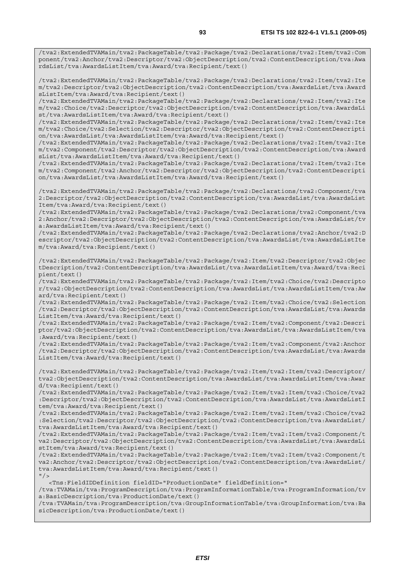/tva2:ExtendedTVAMain/tva2:PackageTable/tva2:Package/tva2:Declarations/tva2:Item/tva2:Com ponent/tva2:Anchor/tva2:Descriptor/tva2:ObjectDescription/tva2:ContentDescription/tva:Awa rdsList/tva:AwardsListItem/tva:Award/tva:Recipient/text()

/tva2:ExtendedTVAMain/tva2:PackageTable/tva2:Package/tva2:Declarations/tva2:Item/tva2:Ite m/tva2:Descriptor/tva2:ObjectDescription/tva2:ContentDescription/tva:AwardsList/tva:Award sListItem/tva:Award/tva:Recipient/text()

/tva2:ExtendedTVAMain/tva2:PackageTable/tva2:Package/tva2:Declarations/tva2:Item/tva2:Ite m/tva2:Choice/tva2:Descriptor/tva2:ObjectDescription/tva2:ContentDescription/tva:AwardsLi st/tva:AwardsListItem/tva:Award/tva:Recipient/text()

/tva2:ExtendedTVAMain/tva2:PackageTable/tva2:Package/tva2:Declarations/tva2:Item/tva2:Ite m/tva2:Choice/tva2:Selection/tva2:Descriptor/tva2:ObjectDescription/tva2:ContentDescripti on/tva:AwardsList/tva:AwardsListItem/tva:Award/tva:Recipient/text()

/tva2:ExtendedTVAMain/tva2:PackageTable/tva2:Package/tva2:Declarations/tva2:Item/tva2:Ite m/tva2:Component/tva2:Descriptor/tva2:ObjectDescription/tva2:ContentDescription/tva:Award sList/tva:AwardsListItem/tva:Award/tva:Recipient/text()

/tva2:ExtendedTVAMain/tva2:PackageTable/tva2:Package/tva2:Declarations/tva2:Item/tva2:Ite m/tva2:Component/tva2:Anchor/tva2:Descriptor/tva2:ObjectDescription/tva2:ContentDescripti on/tva:AwardsList/tva:AwardsListItem/tva:Award/tva:Recipient/text()

/tva2:ExtendedTVAMain/tva2:PackageTable/tva2:Package/tva2:Declarations/tva2:Component/tva 2:Descriptor/tva2:ObjectDescription/tva2:ContentDescription/tva:AwardsList/tva:AwardsList Item/tva:Award/tva:Recipient/text()

/tva2:ExtendedTVAMain/tva2:PackageTable/tva2:Package/tva2:Declarations/tva2:Component/tva 2:Anchor/tva2:Descriptor/tva2:ObjectDescription/tva2:ContentDescription/tva:AwardsList/tv a:AwardsListItem/tva:Award/tva:Recipient/text()

/tva2:ExtendedTVAMain/tva2:PackageTable/tva2:Package/tva2:Declarations/tva2:Anchor/tva2:D escriptor/tva2:ObjectDescription/tva2:ContentDescription/tva:AwardsList/tva:AwardsListIte m/tva:Award/tva:Recipient/text()

/tva2:ExtendedTVAMain/tva2:PackageTable/tva2:Package/tva2:Item/tva2:Descriptor/tva2:Objec tDescription/tva2:ContentDescription/tva:AwardsList/tva:AwardsListItem/tva:Award/tva:Reci pient/text()

/tva2:ExtendedTVAMain/tva2:PackageTable/tva2:Package/tva2:Item/tva2:Choice/tva2:Descripto r/tva2:ObjectDescription/tva2:ContentDescription/tva:AwardsList/tva:AwardsListItem/tva:Aw ard/tva:Recipient/text()

/tva2:ExtendedTVAMain/tva2:PackageTable/tva2:Package/tva2:Item/tva2:Choice/tva2:Selection /tva2:Descriptor/tva2:ObjectDescription/tva2:ContentDescription/tva:AwardsList/tva:Awards ListItem/tva:Award/tva:Recipient/text()

/tva2:ExtendedTVAMain/tva2:PackageTable/tva2:Package/tva2:Item/tva2:Component/tva2:Descri ptor/tva2:ObjectDescription/tva2:ContentDescription/tva:AwardsList/tva:AwardsListItem/tva :Award/tva:Recipient/text()

/tva2:ExtendedTVAMain/tva2:PackageTable/tva2:Package/tva2:Item/tva2:Component/tva2:Anchor /tva2:Descriptor/tva2:ObjectDescription/tva2:ContentDescription/tva:AwardsList/tva:Awards ListItem/tva:Award/tva:Recipient/text()

/tva2:ExtendedTVAMain/tva2:PackageTable/tva2:Package/tva2:Item/tva2:Item/tva2:Descriptor/ tva2:ObjectDescription/tva2:ContentDescription/tva:AwardsList/tva:AwardsListItem/tva:Awar d/tva:Recipient/text()

/tva2:ExtendedTVAMain/tva2:PackageTable/tva2:Package/tva2:Item/tva2:Item/tva2:Choice/tva2 :Descriptor/tva2:ObjectDescription/tva2:ContentDescription/tva:AwardsList/tva:AwardsListI tem/tva:Award/tva:Recipient/text()

/tva2:ExtendedTVAMain/tva2:PackageTable/tva2:Package/tva2:Item/tva2:Item/tva2:Choice/tva2 :Selection/tva2:Descriptor/tva2:ObjectDescription/tva2:ContentDescription/tva:AwardsList/ tva:AwardsListItem/tva:Award/tva:Recipient/text()

/tva2:ExtendedTVAMain/tva2:PackageTable/tva2:Package/tva2:Item/tva2:Item/tva2:Component/t va2:Descriptor/tva2:ObjectDescription/tva2:ContentDescription/tva:AwardsList/tva:AwardsLi stItem/tva:Award/tva:Recipient/text()

/tva2:ExtendedTVAMain/tva2:PackageTable/tva2:Package/tva2:Item/tva2:Item/tva2:Component/t va2:Anchor/tva2:Descriptor/tva2:ObjectDescription/tva2:ContentDescription/tva:AwardsList/ tva:AwardsListItem/tva:Award/tva:Recipient/text()  $"$  />

<Tns:FieldIDDefinition fieldID="ProductionDate" fieldDefinition="

/tva:TVAMain/tva:ProgramDescription/tva:ProgramInformationTable/tva:ProgramInformation/tv a:BasicDescription/tva:ProductionDate/text()

/tva:TVAMain/tva:ProgramDescription/tva:GroupInformationTable/tva:GroupInformation/tva:Ba sicDescription/tva:ProductionDate/text()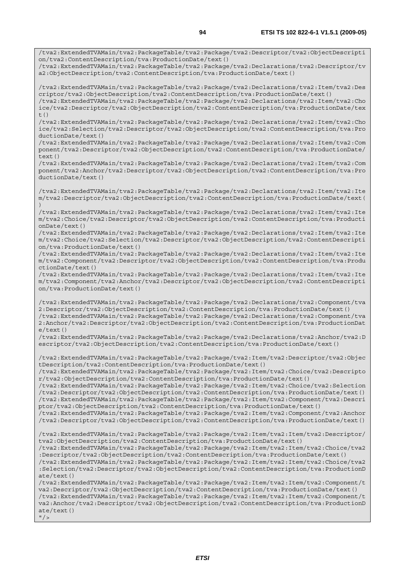/tva2:ExtendedTVAMain/tva2:PackageTable/tva2:Package/tva2:Descriptor/tva2:ObjectDescripti

on/tva2:ContentDescription/tva:ProductionDate/text() /tva2:ExtendedTVAMain/tva2:PackageTable/tva2:Package/tva2:Declarations/tva2:Descriptor/tv a2:ObjectDescription/tva2:ContentDescription/tva:ProductionDate/text() /tva2:ExtendedTVAMain/tva2:PackageTable/tva2:Package/tva2:Declarations/tva2:Item/tva2:Des criptor/tva2:ObjectDescription/tva2:ContentDescription/tva:ProductionDate/text() /tva2:ExtendedTVAMain/tva2:PackageTable/tva2:Package/tva2:Declarations/tva2:Item/tva2:Cho ice/tva2:Descriptor/tva2:ObjectDescription/tva2:ContentDescription/tva:ProductionDate/tex  $t($ ) /tva2:ExtendedTVAMain/tva2:PackageTable/tva2:Package/tva2:Declarations/tva2:Item/tva2:Cho ice/tva2:Selection/tva2:Descriptor/tva2:ObjectDescription/tva2:ContentDescription/tva:Pro ductionDate/text() /tva2:ExtendedTVAMain/tva2:PackageTable/tva2:Package/tva2:Declarations/tva2:Item/tva2:Com ponent/tva2:Descriptor/tva2:ObjectDescription/tva2:ContentDescription/tva:ProductionDate/ text() /tva2:ExtendedTVAMain/tva2:PackageTable/tva2:Package/tva2:Declarations/tva2:Item/tva2:Com ponent/tva2:Anchor/tva2:Descriptor/tva2:ObjectDescription/tva2:ContentDescription/tva:Pro ductionDate/text() /tva2:ExtendedTVAMain/tva2:PackageTable/tva2:Package/tva2:Declarations/tva2:Item/tva2:Ite m/tva2:Descriptor/tva2:ObjectDescription/tva2:ContentDescription/tva:ProductionDate/text( ) /tva2:ExtendedTVAMain/tva2:PackageTable/tva2:Package/tva2:Declarations/tva2:Item/tva2:Ite m/tva2:Choice/tva2:Descriptor/tva2:ObjectDescription/tva2:ContentDescription/tva:Producti onDate/text() /tva2:ExtendedTVAMain/tva2:PackageTable/tva2:Package/tva2:Declarations/tva2:Item/tva2:Ite m/tva2:Choice/tva2:Selection/tva2:Descriptor/tva2:ObjectDescription/tva2:ContentDescripti on/tva:ProductionDate/text() /tva2:ExtendedTVAMain/tva2:PackageTable/tva2:Package/tva2:Declarations/tva2:Item/tva2:Ite m/tva2:Component/tva2:Descriptor/tva2:ObjectDescription/tva2:ContentDescription/tva:Produ ctionDate/text() /tva2:ExtendedTVAMain/tva2:PackageTable/tva2:Package/tva2:Declarations/tva2:Item/tva2:Ite m/tva2:Component/tva2:Anchor/tva2:Descriptor/tva2:ObjectDescription/tva2:ContentDescripti on/tva:ProductionDate/text() /tva2:ExtendedTVAMain/tva2:PackageTable/tva2:Package/tva2:Declarations/tva2:Component/tva 2:Descriptor/tva2:ObjectDescription/tva2:ContentDescription/tva:ProductionDate/text() /tva2:ExtendedTVAMain/tva2:PackageTable/tva2:Package/tva2:Declarations/tva2:Component/tva 2:Anchor/tva2:Descriptor/tva2:ObjectDescription/tva2:ContentDescription/tva:ProductionDat e/text() /tva2:ExtendedTVAMain/tva2:PackageTable/tva2:Package/tva2:Declarations/tva2:Anchor/tva2:D escriptor/tva2:ObjectDescription/tva2:ContentDescription/tva:ProductionDate/text() /tva2:ExtendedTVAMain/tva2:PackageTable/tva2:Package/tva2:Item/tva2:Descriptor/tva2:Objec tDescription/tva2:ContentDescription/tva:ProductionDate/text() /tva2:ExtendedTVAMain/tva2:PackageTable/tva2:Package/tva2:Item/tva2:Choice/tva2:Descripto r/tva2:ObjectDescription/tva2:ContentDescription/tva:ProductionDate/text() /tva2:ExtendedTVAMain/tva2:PackageTable/tva2:Package/tva2:Item/tva2:Choice/tva2:Selection /tva2:Descriptor/tva2:ObjectDescription/tva2:ContentDescription/tva:ProductionDate/text() /tva2:ExtendedTVAMain/tva2:PackageTable/tva2:Package/tva2:Item/tva2:Component/tva2:Descri ptor/tva2:ObjectDescription/tva2:ContentDescription/tva:ProductionDate/text() /tva2:ExtendedTVAMain/tva2:PackageTable/tva2:Package/tva2:Item/tva2:Component/tva2:Anchor /tva2:Descriptor/tva2:ObjectDescription/tva2:ContentDescription/tva:ProductionDate/text() /tva2:ExtendedTVAMain/tva2:PackageTable/tva2:Package/tva2:Item/tva2:Item/tva2:Descriptor/ tva2:ObjectDescription/tva2:ContentDescription/tva:ProductionDate/text() /tva2:ExtendedTVAMain/tva2:PackageTable/tva2:Package/tva2:Item/tva2:Item/tva2:Choice/tva2 :Descriptor/tva2:ObjectDescription/tva2:ContentDescription/tva:ProductionDate/text() /tva2:ExtendedTVAMain/tva2:PackageTable/tva2:Package/tva2:Item/tva2:Item/tva2:Choice/tva2 :Selection/tva2:Descriptor/tva2:ObjectDescription/tva2:ContentDescription/tva:ProductionD ate/text() /tva2:ExtendedTVAMain/tva2:PackageTable/tva2:Package/tva2:Item/tva2:Item/tva2:Component/t va2:Descriptor/tva2:ObjectDescription/tva2:ContentDescription/tva:ProductionDate/text() /tva2:ExtendedTVAMain/tva2:PackageTable/tva2:Package/tva2:Item/tva2:Item/tva2:Component/t va2:Anchor/tva2:Descriptor/tva2:ObjectDescription/tva2:ContentDescription/tva:ProductionD ate/text()  $''$  / >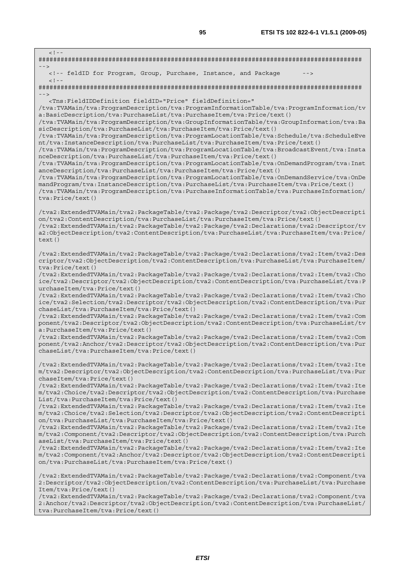| $<$ ! --                                                                                                                                                                                                                                                                                                                                                                                                                                                                                                                                                                                                                                                                                                                                                                                                                                                                                                                                                                                                                                                                                                                                                                                                                             |
|--------------------------------------------------------------------------------------------------------------------------------------------------------------------------------------------------------------------------------------------------------------------------------------------------------------------------------------------------------------------------------------------------------------------------------------------------------------------------------------------------------------------------------------------------------------------------------------------------------------------------------------------------------------------------------------------------------------------------------------------------------------------------------------------------------------------------------------------------------------------------------------------------------------------------------------------------------------------------------------------------------------------------------------------------------------------------------------------------------------------------------------------------------------------------------------------------------------------------------------|
| $--$<br><!-- feldID for Program, Group, Purchase, Instance, and Package<br> $--$<br>$<$ ! --                                                                                                                                                                                                                                                                                                                                                                                                                                                                                                                                                                                                                                                                                                                                                                                                                                                                                                                                                                                                                                                                                                                                         |
|                                                                                                                                                                                                                                                                                                                                                                                                                                                                                                                                                                                                                                                                                                                                                                                                                                                                                                                                                                                                                                                                                                                                                                                                                                      |
| $--$<br><Tns:FieldIDDefinition fieldID="Price" fieldDefinition="<br>tva:TVAMain/tva:ProgramDescription/tva:ProgramInformationTable/tva:ProgramInformation/tv/<br>a:BasicDescription/tva:PurchaseList/tva:PurchaseItem/tva:Price/text()<br>/tva:TVAMain/tva:ProgramDescription/tva:GroupInformationTable/tva:GroupInformation/tva:Ba<br>sicDescription/tva:PurchaseList/tva:PurchaseItem/tva:Price/text()<br>/tva:TVAMain/tva:ProgramDescription/tva:ProgramLocationTable/tva:Schedule/tva:ScheduleEve<br>nt/tva:InstanceDescription/tva:PurchaseList/tva:PurchaseItem/tva:Price/text()<br>/tva:TVAMain/tva:ProgramDescription/tva:ProgramLocationTable/tva:BroadcastEvent/tva:Insta<br>nceDescription/tva:PurchaseList/tva:PurchaseItem/tva:Price/text()<br>/tva:TVAMain/tva:ProgramDescription/tva:ProgramLocationTable/tva:OnDemandProgram/tva:Inst<br>anceDescription/tva:PurchaseList/tva:PurchaseItem/tva:Price/text()<br>/tva:TVAMain/tva:ProgramDescription/tva:ProgramLocationTable/tva:OnDemandService/tva:OnDe<br>mandProgram/tva:InstanceDescription/tva:PurchaseList/tva:PurchaseItem/tva:Price/text()<br>/tva:TVAMain/tva:ProgramDescription/tva:PurchaseInformationTable/tva:PurchaseInformation/<br>tva: Price/text() |
| /tva2:ExtendedTVAMain/tva2:PackageTable/tva2:Package/tva2:Descriptor/tva2:ObjectDescripti<br>on/tva2:ContentDescription/tva:PurchaseList/tva:PurchaseItem/tva:Price/text()<br>/tva2:ExtendedTVAMain/tva2:PackageTable/tva2:Package/tva2:Declarations/tva2:Descriptor/tv<br>a2:ObjectDescription/tva2:ContentDescription/tva:PurchaseList/tva:PurchaseItem/tva:Price/<br>text()                                                                                                                                                                                                                                                                                                                                                                                                                                                                                                                                                                                                                                                                                                                                                                                                                                                       |
| tva2:ExtendedTVAMain/tva2:PackageTable/tva2:Package/tva2:Declarations/tva2:Item/tva2:Des/<br>criptor/tva2:ObjectDescription/tva2:ContentDescription/tva:PurchaseList/tva:PurchaseItem/<br>tva: Price/text()<br>tva2:ExtendedTVAMain/tva2:PackageTable/tva2:Package/tva2:Declarations/tva2:Item/tva2:Cho/<br>ice/tva2:Descriptor/tva2:ObjectDescription/tva2:ContentDescription/tva:PurchaseList/tva:P<br>urchaseItem/tva:Price/text()<br>tva2:ExtendedTVAMain/tva2:PackageTable/tva2:Package/tva2:Declarations/tva2:Item/tva2:Cho/<br>ice/tva2:Selection/tva2:Descriptor/tva2:ObjectDescription/tva2:ContentDescription/tva:Pur<br>chaseList/tva:PurchaseItem/tva:Price/text()<br>/tva2:ExtendedTVAMain/tva2:PackageTable/tva2:Package/tva2:Declarations/tva2:Item/tva2:Com                                                                                                                                                                                                                                                                                                                                                                                                                                                          |
| ponent/tva2:Descriptor/tva2:ObjectDescription/tva2:ContentDescription/tva:PurchaseList/tv<br>a: PurchaseItem/tva: Price/text()<br>/tva2:ExtendedTVAMain/tva2:PackageTable/tva2:Package/tva2:Declarations/tva2:Item/tva2:Com<br>ponent/tva2:Anchor/tva2:Descriptor/tva2:ObjectDescription/tva2:ContentDescription/tva:Pur<br>chaseList/tva:PurchaseItem/tva:Price/text()                                                                                                                                                                                                                                                                                                                                                                                                                                                                                                                                                                                                                                                                                                                                                                                                                                                              |
| /tva2:ExtendedTVAMain/tva2:PackageTable/tva2:Package/tva2:Declarations/tva2:Item/tva2:Ite<br>m/tva2:Descriptor/tva2:ObjectDescription/tva2:ContentDescription/tva:PurchaseList/tva:Pur<br>chaseItem/tva:Price/text()<br>tva2:ExtendedTVAMain/tva2:PackageTable/tva2:Package/tva2:Declarations/tva2:Item/tva2:Ite/<br>m/tva2:Choice/tva2:Descriptor/tva2:ObjectDescription/tva2:ContentDescription/tva:Purchase<br>List/tva:PurchaseItem/tva:Price/text()<br>/tva2:ExtendedTVAMain/tva2:PackageTable/tva2:Package/tva2:Declarations/tva2:Item/tva2:Ite<br>m/tva2:Choice/tva2:Selection/tva2:Descriptor/tva2:ObjectDescription/tva2:ContentDescripti                                                                                                                                                                                                                                                                                                                                                                                                                                                                                                                                                                                   |
| on/tva:PurchaseList/tva:PurchaseItem/tva:Price/text()<br>/tva2:ExtendedTVAMain/tva2:PackageTable/tva2:Package/tva2:Declarations/tva2:Item/tva2:Ite<br>m/tva2:Component/tva2:Descriptor/tva2:ObjectDescription/tva2:ContentDescription/tva:Purch<br>aseList/tva: PurchaseItem/tva: Price/text()<br>/tva2:ExtendedTVAMain/tva2:PackageTable/tva2:Package/tva2:Declarations/tva2:Item/tva2:Ite<br>m/tva2:Component/tva2:Anchor/tva2:Descriptor/tva2:ObjectDescription/tva2:ContentDescripti<br>on/tva:PurchaseList/tva:PurchaseItem/tva:Price/text()                                                                                                                                                                                                                                                                                                                                                                                                                                                                                                                                                                                                                                                                                    |
| /tva2:ExtendedTVAMain/tva2:PackageTable/tva2:Package/tva2:Declarations/tva2:Component/tva<br>2:Descriptor/tva2:ObjectDescription/tva2:ContentDescription/tva:PurchaseList/tva:Purchase<br>Item/tva:Price/text()<br>/tva2:ExtendedTVAMain/tva2:PackageTable/tva2:Package/tva2:Declarations/tva2:Component/tva                                                                                                                                                                                                                                                                                                                                                                                                                                                                                                                                                                                                                                                                                                                                                                                                                                                                                                                         |
|                                                                                                                                                                                                                                                                                                                                                                                                                                                                                                                                                                                                                                                                                                                                                                                                                                                                                                                                                                                                                                                                                                                                                                                                                                      |

2:Anchor/tva2:Descriptor/tva2:ObjectDescription/tva2:ContentDescription/tva:PurchaseList/ tva:PurchaseItem/tva:Price/text()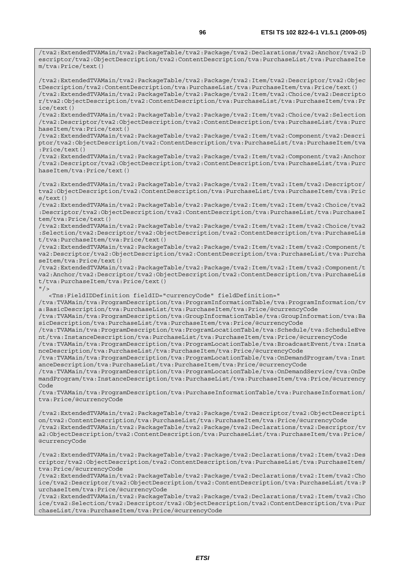/tva2:ExtendedTVAMain/tva2:PackageTable/tva2:Package/tva2:Declarations/tva2:Anchor/tva2:D escriptor/tva2:ObjectDescription/tva2:ContentDescription/tva:PurchaseList/tva:PurchaseIte m/tva:Price/text()

/tva2:ExtendedTVAMain/tva2:PackageTable/tva2:Package/tva2:Item/tva2:Descriptor/tva2:Objec tDescription/tva2:ContentDescription/tva:PurchaseList/tva:PurchaseItem/tva:Price/text() /tva2:ExtendedTVAMain/tva2:PackageTable/tva2:Package/tva2:Item/tva2:Choice/tva2:Descripto r/tva2:ObjectDescription/tva2:ContentDescription/tva:PurchaseList/tva:PurchaseItem/tva:Pr ice/text()

/tva2:ExtendedTVAMain/tva2:PackageTable/tva2:Package/tva2:Item/tva2:Choice/tva2:Selection /tva2:Descriptor/tva2:ObjectDescription/tva2:ContentDescription/tva:PurchaseList/tva:Purc haseItem/tva:Price/text()

/tva2:ExtendedTVAMain/tva2:PackageTable/tva2:Package/tva2:Item/tva2:Component/tva2:Descri ptor/tva2:ObjectDescription/tva2:ContentDescription/tva:PurchaseList/tva:PurchaseItem/tva :Price/text()

/tva2:ExtendedTVAMain/tva2:PackageTable/tva2:Package/tva2:Item/tva2:Component/tva2:Anchor /tva2:Descriptor/tva2:ObjectDescription/tva2:ContentDescription/tva:PurchaseList/tva:Purc haseItem/tva:Price/text()

/tva2:ExtendedTVAMain/tva2:PackageTable/tva2:Package/tva2:Item/tva2:Item/tva2:Descriptor/ tva2:ObjectDescription/tva2:ContentDescription/tva:PurchaseList/tva:PurchaseItem/tva:Pric e/text()

/tva2:ExtendedTVAMain/tva2:PackageTable/tva2:Package/tva2:Item/tva2:Item/tva2:Choice/tva2 :Descriptor/tva2:ObjectDescription/tva2:ContentDescription/tva:PurchaseList/tva:PurchaseI tem/tva:Price/text()

/tva2:ExtendedTVAMain/tva2:PackageTable/tva2:Package/tva2:Item/tva2:Item/tva2:Choice/tva2 :Selection/tva2:Descriptor/tva2:ObjectDescription/tva2:ContentDescription/tva:PurchaseLis t/tva:PurchaseItem/tva:Price/text()

/tva2:ExtendedTVAMain/tva2:PackageTable/tva2:Package/tva2:Item/tva2:Item/tva2:Component/t va2:Descriptor/tva2:ObjectDescription/tva2:ContentDescription/tva:PurchaseList/tva:Purcha seItem/tva:Price/text()

/tva2:ExtendedTVAMain/tva2:PackageTable/tva2:Package/tva2:Item/tva2:Item/tva2:Component/t va2:Anchor/tva2:Descriptor/tva2:ObjectDescription/tva2:ContentDescription/tva:PurchaseLis t/tva:PurchaseItem/tva:Price/text()

 $"$  />

<Tns:FieldIDDefinition fieldID="currencyCode" fieldDefinition="

/tva:TVAMain/tva:ProgramDescription/tva:ProgramInformationTable/tva:ProgramInformation/tv a:BasicDescription/tva:PurchaseList/tva:PurchaseItem/tva:Price/@currencyCode

/tva:TVAMain/tva:ProgramDescription/tva:GroupInformationTable/tva:GroupInformation/tva:Ba sicDescription/tva:PurchaseList/tva:PurchaseItem/tva:Price/@currencyCode

/tva:TVAMain/tva:ProgramDescription/tva:ProgramLocationTable/tva:Schedule/tva:ScheduleEve nt/tva:InstanceDescription/tva:PurchaseList/tva:PurchaseItem/tva:Price/@currencyCode

/tva:TVAMain/tva:ProgramDescription/tva:ProgramLocationTable/tva:BroadcastEvent/tva:Insta nceDescription/tva:PurchaseList/tva:PurchaseItem/tva:Price/@currencyCode

/tva:TVAMain/tva:ProgramDescription/tva:ProgramLocationTable/tva:OnDemandProgram/tva:Inst anceDescription/tva:PurchaseList/tva:PurchaseItem/tva:Price/@currencyCode

/tva:TVAMain/tva:ProgramDescription/tva:ProgramLocationTable/tva:OnDemandService/tva:OnDe mandProgram/tva:InstanceDescription/tva:PurchaseList/tva:PurchaseItem/tva:Price/@currency Code

/tva:TVAMain/tva:ProgramDescription/tva:PurchaseInformationTable/tva:PurchaseInformation/ tva:Price/@currencyCode

/tva2:ExtendedTVAMain/tva2:PackageTable/tva2:Package/tva2:Descriptor/tva2:ObjectDescripti on/tva2:ContentDescription/tva:PurchaseList/tva:PurchaseItem/tva:Price/@currencyCode /tva2:ExtendedTVAMain/tva2:PackageTable/tva2:Package/tva2:Declarations/tva2:Descriptor/tv a2:ObjectDescription/tva2:ContentDescription/tva:PurchaseList/tva:PurchaseItem/tva:Price/ @currencyCode

/tva2:ExtendedTVAMain/tva2:PackageTable/tva2:Package/tva2:Declarations/tva2:Item/tva2:Des criptor/tva2:ObjectDescription/tva2:ContentDescription/tva:PurchaseList/tva:PurchaseItem/ tva:Price/@currencyCode

/tva2:ExtendedTVAMain/tva2:PackageTable/tva2:Package/tva2:Declarations/tva2:Item/tva2:Cho ice/tva2:Descriptor/tva2:ObjectDescription/tva2:ContentDescription/tva:PurchaseList/tva:P urchaseItem/tva:Price/@currencyCode

/tva2:ExtendedTVAMain/tva2:PackageTable/tva2:Package/tva2:Declarations/tva2:Item/tva2:Cho ice/tva2:Selection/tva2:Descriptor/tva2:ObjectDescription/tva2:ContentDescription/tva:Pur chaseList/tva:PurchaseItem/tva:Price/@currencyCode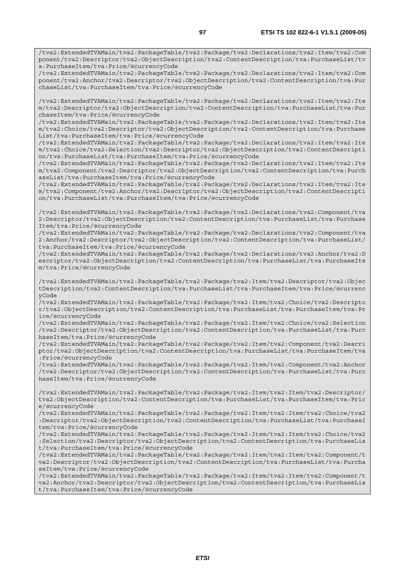/tva2:ExtendedTVAMain/tva2:PackageTable/tva2:Package/tva2:Declarations/tva2:Item/tva2:Com ponent/tva2:Descriptor/tva2:ObjectDescription/tva2:ContentDescription/tva:PurchaseList/tv a:PurchaseItem/tva:Price/@currencyCode

/tva2:ExtendedTVAMain/tva2:PackageTable/tva2:Package/tva2:Declarations/tva2:Item/tva2:Com ponent/tva2:Anchor/tva2:Descriptor/tva2:ObjectDescription/tva2:ContentDescription/tva:Pur chaseList/tva:PurchaseItem/tva:Price/@currencyCode

/tva2:ExtendedTVAMain/tva2:PackageTable/tva2:Package/tva2:Declarations/tva2:Item/tva2:Ite m/tva2:Descriptor/tva2:ObjectDescription/tva2:ContentDescription/tva:PurchaseList/tva:Pur chaseItem/tva:Price/@currencyCode

/tva2:ExtendedTVAMain/tva2:PackageTable/tva2:Package/tva2:Declarations/tva2:Item/tva2:Ite m/tva2:Choice/tva2:Descriptor/tva2:ObjectDescription/tva2:ContentDescription/tva:Purchase List/tva:PurchaseItem/tva:Price/@currencyCode

/tva2:ExtendedTVAMain/tva2:PackageTable/tva2:Package/tva2:Declarations/tva2:Item/tva2:Ite m/tva2:Choice/tva2:Selection/tva2:Descriptor/tva2:ObjectDescription/tva2:ContentDescripti on/tva:PurchaseList/tva:PurchaseItem/tva:Price/@currencyCode

/tva2:ExtendedTVAMain/tva2:PackageTable/tva2:Package/tva2:Declarations/tva2:Item/tva2:Ite m/tva2:Component/tva2:Descriptor/tva2:ObjectDescription/tva2:ContentDescription/tva:Purch aseList/tva:PurchaseItem/tva:Price/@currencyCode

/tva2:ExtendedTVAMain/tva2:PackageTable/tva2:Package/tva2:Declarations/tva2:Item/tva2:Ite m/tva2:Component/tva2:Anchor/tva2:Descriptor/tva2:ObjectDescription/tva2:ContentDescripti on/tva:PurchaseList/tva:PurchaseItem/tva:Price/@currencyCode

/tva2:ExtendedTVAMain/tva2:PackageTable/tva2:Package/tva2:Declarations/tva2:Component/tva 2:Descriptor/tva2:ObjectDescription/tva2:ContentDescription/tva:PurchaseList/tva:Purchase Item/tva:Price/@currencyCode

/tva2:ExtendedTVAMain/tva2:PackageTable/tva2:Package/tva2:Declarations/tva2:Component/tva 2:Anchor/tva2:Descriptor/tva2:ObjectDescription/tva2:ContentDescription/tva:PurchaseList/ tva:PurchaseItem/tva:Price/@currencyCode

/tva2:ExtendedTVAMain/tva2:PackageTable/tva2:Package/tva2:Declarations/tva2:Anchor/tva2:D escriptor/tva2:ObjectDescription/tva2:ContentDescription/tva:PurchaseList/tva:PurchaseIte m/tva:Price/@currencyCode

/tva2:ExtendedTVAMain/tva2:PackageTable/tva2:Package/tva2:Item/tva2:Descriptor/tva2:Objec tDescription/tva2:ContentDescription/tva:PurchaseList/tva:PurchaseItem/tva:Price/@currenc yCode

/tva2:ExtendedTVAMain/tva2:PackageTable/tva2:Package/tva2:Item/tva2:Choice/tva2:Descripto r/tva2:ObjectDescription/tva2:ContentDescription/tva:PurchaseList/tva:PurchaseItem/tva:Pr ice/@currencyCode

/tva2:ExtendedTVAMain/tva2:PackageTable/tva2:Package/tva2:Item/tva2:Choice/tva2:Selection /tva2:Descriptor/tva2:ObjectDescription/tva2:ContentDescription/tva:PurchaseList/tva:Purc haseItem/tva:Price/@currencyCode

/tva2:ExtendedTVAMain/tva2:PackageTable/tva2:Package/tva2:Item/tva2:Component/tva2:Descri ptor/tva2:ObjectDescription/tva2:ContentDescription/tva:PurchaseList/tva:PurchaseItem/tva :Price/@currencyCode

/tva2:ExtendedTVAMain/tva2:PackageTable/tva2:Package/tva2:Item/tva2:Component/tva2:Anchor /tva2:Descriptor/tva2:ObjectDescription/tva2:ContentDescription/tva:PurchaseList/tva:Purc haseItem/tva:Price/@currencyCode

/tva2:ExtendedTVAMain/tva2:PackageTable/tva2:Package/tva2:Item/tva2:Item/tva2:Descriptor/ tva2:ObjectDescription/tva2:ContentDescription/tva:PurchaseList/tva:PurchaseItem/tva:Pric e/@currencyCode

/tva2:ExtendedTVAMain/tva2:PackageTable/tva2:Package/tva2:Item/tva2:Item/tva2:Choice/tva2 :Descriptor/tva2:ObjectDescription/tva2:ContentDescription/tva:PurchaseList/tva:PurchaseI tem/tva:Price/@currencyCode

/tva2:ExtendedTVAMain/tva2:PackageTable/tva2:Package/tva2:Item/tva2:Item/tva2:Choice/tva2 :Selection/tva2:Descriptor/tva2:ObjectDescription/tva2:ContentDescription/tva:PurchaseLis t/tva:PurchaseItem/tva:Price/@currencyCode

/tva2:ExtendedTVAMain/tva2:PackageTable/tva2:Package/tva2:Item/tva2:Item/tva2:Component/t va2:Descriptor/tva2:ObjectDescription/tva2:ContentDescription/tva:PurchaseList/tva:Purcha seItem/tva:Price/@currencyCode

/tva2:ExtendedTVAMain/tva2:PackageTable/tva2:Package/tva2:Item/tva2:Item/tva2:Component/t va2:Anchor/tva2:Descriptor/tva2:ObjectDescription/tva2:ContentDescription/tva:PurchaseLis t/tva:PurchaseItem/tva:Price/@currencyCode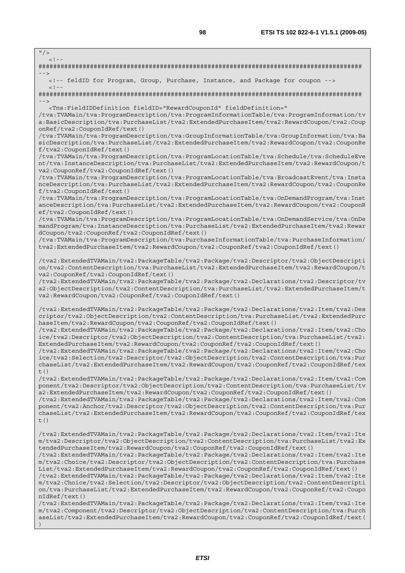$"$  / >

 $\leq$   $\perp$ ######################################################################################## --> <!-- feldID for Program, Group, Purchase, Instance, and Package for coupon -->  $<$ ! --######################################################################################## --> <Tns:FieldIDDefinition fieldID="RewardCouponId" fieldDefinition=" /tva:TVAMain/tva:ProgramDescription/tva:ProgramInformationTable/tva:ProgramInformation/tv a:BasicDescription/tva:PurchaseList/tva2:ExtendedPurchaseItem/tva2:RewardCoupon/tva2:Coup onRef/tva2:CouponIdRef/text() /tva:TVAMain/tva:ProgramDescription/tva:GroupInformationTable/tva:GroupInformation/tva:Ba sicDescription/tva:PurchaseList/tva2:ExtendedPurchaseItem/tva2:RewardCoupon/tva2:CouponRe f/tva2:CouponIdRef/text() /tva:TVAMain/tva:ProgramDescription/tva:ProgramLocationTable/tva:Schedule/tva:ScheduleEve nt/tva:InstanceDescription/tva:PurchaseList/tva2:ExtendedPurchaseItem/tva2:RewardCoupon/t va2:CouponRef/tva2:CouponIdRef/text() /tva:TVAMain/tva:ProgramDescription/tva:ProgramLocationTable/tva:BroadcastEvent/tva:Insta nceDescription/tva:PurchaseList/tva2:ExtendedPurchaseItem/tva2:RewardCoupon/tva2:CouponRe f/tva2:CouponIdRef/text() /tva:TVAMain/tva:ProgramDescription/tva:ProgramLocationTable/tva:OnDemandProgram/tva:Inst anceDescription/tva:PurchaseList/tva2:ExtendedPurchaseItem/tva2:RewardCoupon/tva2:CouponR ef/tva2:CouponIdRef/text() /tva:TVAMain/tva:ProgramDescription/tva:ProgramLocationTable/tva:OnDemandService/tva:OnDe mandProgram/tva:InstanceDescription/tva:PurchaseList/tva2:ExtendedPurchaseItem/tva2:Rewar dCoupon/tva2:CouponRef/tva2:CouponIdRef/text() /tva:TVAMain/tva:ProgramDescription/tva:PurchaseInformationTable/tva:PurchaseInformation/ tva2:ExtendedPurchaseItem/tva2:RewardCoupon/tva2:CouponRef/tva2:CouponIdRef/text() /tva2:ExtendedTVAMain/tva2:PackageTable/tva2:Package/tva2:Descriptor/tva2:ObjectDescripti on/tva2:ContentDescription/tva:PurchaseList/tva2:ExtendedPurchaseItem/tva2:RewardCoupon/t va2:CouponRef/tva2:CouponIdRef/text() /tva2:ExtendedTVAMain/tva2:PackageTable/tva2:Package/tva2:Declarations/tva2:Descriptor/tv a2:ObjectDescription/tva2:ContentDescription/tva:PurchaseList/tva2:ExtendedPurchaseItem/t va2:RewardCoupon/tva2:CouponRef/tva2:CouponIdRef/text() /tva2:ExtendedTVAMain/tva2:PackageTable/tva2:Package/tva2:Declarations/tva2:Item/tva2:Des criptor/tva2:ObjectDescription/tva2:ContentDescription/tva:PurchaseList/tva2:ExtendedPurc haseItem/tva2:RewardCoupon/tva2:CouponRef/tva2:CouponIdRef/text() /tva2:ExtendedTVAMain/tva2:PackageTable/tva2:Package/tva2:Declarations/tva2:Item/tva2:Cho ice/tva2:Descriptor/tva2:ObjectDescription/tva2:ContentDescription/tva:PurchaseList/tva2: ExtendedPurchaseItem/tva2:RewardCoupon/tva2:CouponRef/tva2:CouponIdRef/text() /tva2:ExtendedTVAMain/tva2:PackageTable/tva2:Package/tva2:Declarations/tva2:Item/tva2:Cho ice/tva2:Selection/tva2:Descriptor/tva2:ObjectDescription/tva2:ContentDescription/tva:Pur chaseList/tva2:ExtendedPurchaseItem/tva2:RewardCoupon/tva2:CouponRef/tva2:CouponIdRef/tex  $t()$ /tva2:ExtendedTVAMain/tva2:PackageTable/tva2:Package/tva2:Declarations/tva2:Item/tva2:Com ponent/tva2:Descriptor/tva2:ObjectDescription/tva2:ContentDescription/tva:PurchaseList/tv a2:ExtendedPurchaseItem/tva2:RewardCoupon/tva2:CouponRef/tva2:CouponIdRef/text() /tva2:ExtendedTVAMain/tva2:PackageTable/tva2:Package/tva2:Declarations/tva2:Item/tva2:Com ponent/tva2:Anchor/tva2:Descriptor/tva2:ObjectDescription/tva2:ContentDescription/tva:Pur chaseList/tva2:ExtendedPurchaseItem/tva2:RewardCoupon/tva2:CouponRef/tva2:CouponIdRef/tex  $t($ ) /tva2:ExtendedTVAMain/tva2:PackageTable/tva2:Package/tva2:Declarations/tva2:Item/tva2:Ite m/tva2:Descriptor/tva2:ObjectDescription/tva2:ContentDescription/tva:PurchaseList/tva2:Ex tendedPurchaseItem/tva2:RewardCoupon/tva2:CouponRef/tva2:CouponIdRef/text() /tva2:ExtendedTVAMain/tva2:PackageTable/tva2:Package/tva2:Declarations/tva2:Item/tva2:Ite m/tva2:Choice/tva2:Descriptor/tva2:ObjectDescription/tva2:ContentDescription/tva:Purchase List/tva2:ExtendedPurchaseItem/tva2:RewardCoupon/tva2:CouponRef/tva2:CouponIdRef/text() /tva2:ExtendedTVAMain/tva2:PackageTable/tva2:Package/tva2:Declarations/tva2:Item/tva2:Ite m/tva2:Choice/tva2:Selection/tva2:Descriptor/tva2:ObjectDescription/tva2:ContentDescripti on/tva:PurchaseList/tva2:ExtendedPurchaseItem/tva2:RewardCoupon/tva2:CouponRef/tva2:Coupo nIdRef/text() /tva2:ExtendedTVAMain/tva2:PackageTable/tva2:Package/tva2:Declarations/tva2:Item/tva2:Ite m/tva2:Component/tva2:Descriptor/tva2:ObjectDescription/tva2:ContentDescription/tva:Purch aseList/tva2:ExtendedPurchaseItem/tva2:RewardCoupon/tva2:CouponRef/tva2:CouponIdRef/text( )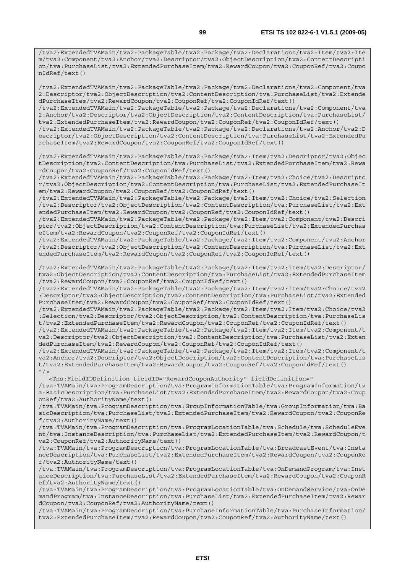/tva2:ExtendedTVAMain/tva2:PackageTable/tva2:Package/tva2:Declarations/tva2:Item/tva2:Ite m/tva2:Component/tva2:Anchor/tva2:Descriptor/tva2:ObjectDescription/tva2:ContentDescripti on/tva:PurchaseList/tva2:ExtendedPurchaseItem/tva2:RewardCoupon/tva2:CouponRef/tva2:Coupo nIdRef/text()

/tva2:ExtendedTVAMain/tva2:PackageTable/tva2:Package/tva2:Declarations/tva2:Component/tva 2:Descriptor/tva2:ObjectDescription/tva2:ContentDescription/tva:PurchaseList/tva2:Extende dPurchaseItem/tva2:RewardCoupon/tva2:CouponRef/tva2:CouponIdRef/text()

/tva2:ExtendedTVAMain/tva2:PackageTable/tva2:Package/tva2:Declarations/tva2:Component/tva 2:Anchor/tva2:Descriptor/tva2:ObjectDescription/tva2:ContentDescription/tva:PurchaseList/ tva2:ExtendedPurchaseItem/tva2:RewardCoupon/tva2:CouponRef/tva2:CouponIdRef/text()

/tva2:ExtendedTVAMain/tva2:PackageTable/tva2:Package/tva2:Declarations/tva2:Anchor/tva2:D escriptor/tva2:ObjectDescription/tva2:ContentDescription/tva:PurchaseList/tva2:ExtendedPu rchaseItem/tva2:RewardCoupon/tva2:CouponRef/tva2:CouponIdRef/text()

/tva2:ExtendedTVAMain/tva2:PackageTable/tva2:Package/tva2:Item/tva2:Descriptor/tva2:Objec tDescription/tva2:ContentDescription/tva:PurchaseList/tva2:ExtendedPurchaseItem/tva2:Rewa rdCoupon/tva2:CouponRef/tva2:CouponIdRef/text()

/tva2:ExtendedTVAMain/tva2:PackageTable/tva2:Package/tva2:Item/tva2:Choice/tva2:Descripto r/tva2:ObjectDescription/tva2:ContentDescription/tva:PurchaseList/tva2:ExtendedPurchaseIt em/tva2:RewardCoupon/tva2:CouponRef/tva2:CouponIdRef/text()

/tva2:ExtendedTVAMain/tva2:PackageTable/tva2:Package/tva2:Item/tva2:Choice/tva2:Selection /tva2:Descriptor/tva2:ObjectDescription/tva2:ContentDescription/tva:PurchaseList/tva2:Ext endedPurchaseItem/tva2:RewardCoupon/tva2:CouponRef/tva2:CouponIdRef/text()

/tva2:ExtendedTVAMain/tva2:PackageTable/tva2:Package/tva2:Item/tva2:Component/tva2:Descri ptor/tva2:ObjectDescription/tva2:ContentDescription/tva:PurchaseList/tva2:ExtendedPurchas eItem/tva2:RewardCoupon/tva2:CouponRef/tva2:CouponIdRef/text()

/tva2:ExtendedTVAMain/tva2:PackageTable/tva2:Package/tva2:Item/tva2:Component/tva2:Anchor /tva2:Descriptor/tva2:ObjectDescription/tva2:ContentDescription/tva:PurchaseList/tva2:Ext endedPurchaseItem/tva2:RewardCoupon/tva2:CouponRef/tva2:CouponIdRef/text()

/tva2:ExtendedTVAMain/tva2:PackageTable/tva2:Package/tva2:Item/tva2:Item/tva2:Descriptor/ tva2:ObjectDescription/tva2:ContentDescription/tva:PurchaseList/tva2:ExtendedPurchaseItem /tva2:RewardCoupon/tva2:CouponRef/tva2:CouponIdRef/text()

/tva2:ExtendedTVAMain/tva2:PackageTable/tva2:Package/tva2:Item/tva2:Item/tva2:Choice/tva2 :Descriptor/tva2:ObjectDescription/tva2:ContentDescription/tva:PurchaseList/tva2:Extended PurchaseItem/tva2:RewardCoupon/tva2:CouponRef/tva2:CouponIdRef/text()

/tva2:ExtendedTVAMain/tva2:PackageTable/tva2:Package/tva2:Item/tva2:Item/tva2:Choice/tva2 :Selection/tva2:Descriptor/tva2:ObjectDescription/tva2:ContentDescription/tva:PurchaseLis t/tva2:ExtendedPurchaseItem/tva2:RewardCoupon/tva2:CouponRef/tva2:CouponIdRef/text()

/tva2:ExtendedTVAMain/tva2:PackageTable/tva2:Package/tva2:Item/tva2:Item/tva2:Component/t va2:Descriptor/tva2:ObjectDescription/tva2:ContentDescription/tva:PurchaseList/tva2:Exten dedPurchaseItem/tva2:RewardCoupon/tva2:CouponRef/tva2:CouponIdRef/text()

/tva2:ExtendedTVAMain/tva2:PackageTable/tva2:Package/tva2:Item/tva2:Item/tva2:Component/t va2:Anchor/tva2:Descriptor/tva2:ObjectDescription/tva2:ContentDescription/tva:PurchaseLis t/tva2:ExtendedPurchaseItem/tva2:RewardCoupon/tva2:CouponRef/tva2:CouponIdRef/text()  $"$  />

 <Tns:FieldIDDefinition fieldID="RewardCouponAuthority" fieldDefinition=" /tva:TVAMain/tva:ProgramDescription/tva:ProgramInformationTable/tva:ProgramInformation/tv a:BasicDescription/tva:PurchaseList/tva2:ExtendedPurchaseItem/tva2:RewardCoupon/tva2:Coup onRef/tva2:AuthorityName/text()

/tva:TVAMain/tva:ProgramDescription/tva:GroupInformationTable/tva:GroupInformation/tva:Ba sicDescription/tva:PurchaseList/tva2:ExtendedPurchaseItem/tva2:RewardCoupon/tva2:CouponRe f/tva2:AuthorityName/text()

/tva:TVAMain/tva:ProgramDescription/tva:ProgramLocationTable/tva:Schedule/tva:ScheduleEve nt/tva:InstanceDescription/tva:PurchaseList/tva2:ExtendedPurchaseItem/tva2:RewardCoupon/t va2:CouponRef/tva2:AuthorityName/text()

/tva:TVAMain/tva:ProgramDescription/tva:ProgramLocationTable/tva:BroadcastEvent/tva:Insta nceDescription/tva:PurchaseList/tva2:ExtendedPurchaseItem/tva2:RewardCoupon/tva2:CouponRe f/tva2:AuthorityName/text()

/tva:TVAMain/tva:ProgramDescription/tva:ProgramLocationTable/tva:OnDemandProgram/tva:Inst anceDescription/tva:PurchaseList/tva2:ExtendedPurchaseItem/tva2:RewardCoupon/tva2:CouponR ef/tva2:AuthorityName/text()

/tva:TVAMain/tva:ProgramDescription/tva:ProgramLocationTable/tva:OnDemandService/tva:OnDe mandProgram/tva:InstanceDescription/tva:PurchaseList/tva2:ExtendedPurchaseItem/tva2:Rewar dCoupon/tva2:CouponRef/tva2:AuthorityName/text()

/tva:TVAMain/tva:ProgramDescription/tva:PurchaseInformationTable/tva:PurchaseInformation/ tva2:ExtendedPurchaseItem/tva2:RewardCoupon/tva2:CouponRef/tva2:AuthorityName/text()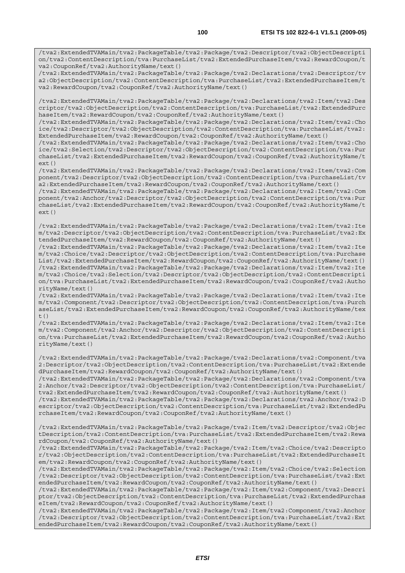/tva2:ExtendedTVAMain/tva2:PackageTable/tva2:Package/tva2:Descriptor/tva2:ObjectDescripti on/tva2:ContentDescription/tva:PurchaseList/tva2:ExtendedPurchaseItem/tva2:RewardCoupon/t va2:CouponRef/tva2:AuthorityName/text()

/tva2:ExtendedTVAMain/tva2:PackageTable/tva2:Package/tva2:Declarations/tva2:Descriptor/tv a2:ObjectDescription/tva2:ContentDescription/tva:PurchaseList/tva2:ExtendedPurchaseItem/t va2:RewardCoupon/tva2:CouponRef/tva2:AuthorityName/text()

/tva2:ExtendedTVAMain/tva2:PackageTable/tva2:Package/tva2:Declarations/tva2:Item/tva2:Des criptor/tva2:ObjectDescription/tva2:ContentDescription/tva:PurchaseList/tva2:ExtendedPurc haseItem/tva2:RewardCoupon/tva2:CouponRef/tva2:AuthorityName/text()

/tva2:ExtendedTVAMain/tva2:PackageTable/tva2:Package/tva2:Declarations/tva2:Item/tva2:Cho ice/tva2:Descriptor/tva2:ObjectDescription/tva2:ContentDescription/tva:PurchaseList/tva2: ExtendedPurchaseItem/tva2:RewardCoupon/tva2:CouponRef/tva2:AuthorityName/text()

/tva2:ExtendedTVAMain/tva2:PackageTable/tva2:Package/tva2:Declarations/tva2:Item/tva2:Cho ice/tva2:Selection/tva2:Descriptor/tva2:ObjectDescription/tva2:ContentDescription/tva:Pur chaseList/tva2:ExtendedPurchaseItem/tva2:RewardCoupon/tva2:CouponRef/tva2:AuthorityName/t  $ext()$ 

/tva2:ExtendedTVAMain/tva2:PackageTable/tva2:Package/tva2:Declarations/tva2:Item/tva2:Com ponent/tva2:Descriptor/tva2:ObjectDescription/tva2:ContentDescription/tva:PurchaseList/tv a2:ExtendedPurchaseItem/tva2:RewardCoupon/tva2:CouponRef/tva2:AuthorityName/text()

/tva2:ExtendedTVAMain/tva2:PackageTable/tva2:Package/tva2:Declarations/tva2:Item/tva2:Com ponent/tva2:Anchor/tva2:Descriptor/tva2:ObjectDescription/tva2:ContentDescription/tva:Pur chaseList/tva2:ExtendedPurchaseItem/tva2:RewardCoupon/tva2:CouponRef/tva2:AuthorityName/t ext()

/tva2:ExtendedTVAMain/tva2:PackageTable/tva2:Package/tva2:Declarations/tva2:Item/tva2:Ite m/tva2:Descriptor/tva2:ObjectDescription/tva2:ContentDescription/tva:PurchaseList/tva2:Ex tendedPurchaseItem/tva2:RewardCoupon/tva2:CouponRef/tva2:AuthorityName/text()

/tva2:ExtendedTVAMain/tva2:PackageTable/tva2:Package/tva2:Declarations/tva2:Item/tva2:Ite m/tva2:Choice/tva2:Descriptor/tva2:ObjectDescription/tva2:ContentDescription/tva:Purchase List/tva2:ExtendedPurchaseItem/tva2:RewardCoupon/tva2:CouponRef/tva2:AuthorityName/text() /tva2:ExtendedTVAMain/tva2:PackageTable/tva2:Package/tva2:Declarations/tva2:Item/tva2:Ite m/tva2:Choice/tva2:Selection/tva2:Descriptor/tva2:ObjectDescription/tva2:ContentDescripti on/tva:PurchaseList/tva2:ExtendedPurchaseItem/tva2:RewardCoupon/tva2:CouponRef/tva2:Autho rityName/text()

/tva2:ExtendedTVAMain/tva2:PackageTable/tva2:Package/tva2:Declarations/tva2:Item/tva2:Ite m/tva2:Component/tva2:Descriptor/tva2:ObjectDescription/tva2:ContentDescription/tva:Purch aseList/tva2:ExtendedPurchaseItem/tva2:RewardCoupon/tva2:CouponRef/tva2:AuthorityName/tex  $t($ )

/tva2:ExtendedTVAMain/tva2:PackageTable/tva2:Package/tva2:Declarations/tva2:Item/tva2:Ite m/tva2:Component/tva2:Anchor/tva2:Descriptor/tva2:ObjectDescription/tva2:ContentDescripti on/tva:PurchaseList/tva2:ExtendedPurchaseItem/tva2:RewardCoupon/tva2:CouponRef/tva2:Autho rityName/text()

/tva2:ExtendedTVAMain/tva2:PackageTable/tva2:Package/tva2:Declarations/tva2:Component/tva 2:Descriptor/tva2:ObjectDescription/tva2:ContentDescription/tva:PurchaseList/tva2:Extende dPurchaseItem/tva2:RewardCoupon/tva2:CouponRef/tva2:AuthorityName/text()

/tva2:ExtendedTVAMain/tva2:PackageTable/tva2:Package/tva2:Declarations/tva2:Component/tva 2:Anchor/tva2:Descriptor/tva2:ObjectDescription/tva2:ContentDescription/tva:PurchaseList/ tva2:ExtendedPurchaseItem/tva2:RewardCoupon/tva2:CouponRef/tva2:AuthorityName/text()

/tva2:ExtendedTVAMain/tva2:PackageTable/tva2:Package/tva2:Declarations/tva2:Anchor/tva2:D escriptor/tva2:ObjectDescription/tva2:ContentDescription/tva:PurchaseList/tva2:ExtendedPu rchaseItem/tva2:RewardCoupon/tva2:CouponRef/tva2:AuthorityName/text()

/tva2:ExtendedTVAMain/tva2:PackageTable/tva2:Package/tva2:Item/tva2:Descriptor/tva2:Objec tDescription/tva2:ContentDescription/tva:PurchaseList/tva2:ExtendedPurchaseItem/tva2:Rewa rdCoupon/tva2:CouponRef/tva2:AuthorityName/text()

/tva2:ExtendedTVAMain/tva2:PackageTable/tva2:Package/tva2:Item/tva2:Choice/tva2:Descripto r/tva2:ObjectDescription/tva2:ContentDescription/tva:PurchaseList/tva2:ExtendedPurchaseIt em/tva2:RewardCoupon/tva2:CouponRef/tva2:AuthorityName/text()

/tva2:ExtendedTVAMain/tva2:PackageTable/tva2:Package/tva2:Item/tva2:Choice/tva2:Selection /tva2:Descriptor/tva2:ObjectDescription/tva2:ContentDescription/tva:PurchaseList/tva2:Ext endedPurchaseItem/tva2:RewardCoupon/tva2:CouponRef/tva2:AuthorityName/text()

/tva2:ExtendedTVAMain/tva2:PackageTable/tva2:Package/tva2:Item/tva2:Component/tva2:Descri ptor/tva2:ObjectDescription/tva2:ContentDescription/tva:PurchaseList/tva2:ExtendedPurchas eItem/tva2:RewardCoupon/tva2:CouponRef/tva2:AuthorityName/text()

/tva2:ExtendedTVAMain/tva2:PackageTable/tva2:Package/tva2:Item/tva2:Component/tva2:Anchor /tva2:Descriptor/tva2:ObjectDescription/tva2:ContentDescription/tva:PurchaseList/tva2:Ext endedPurchaseItem/tva2:RewardCoupon/tva2:CouponRef/tva2:AuthorityName/text()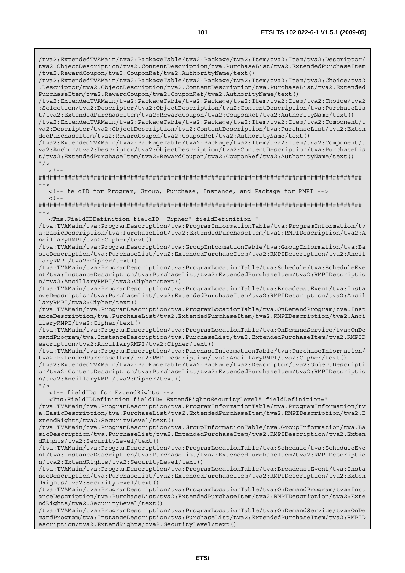/tva2:ExtendedTVAMain/tva2:PackageTable/tva2:Package/tva2:Item/tva2:Item/tva2:Descriptor/ tva2:ObjectDescription/tva2:ContentDescription/tva:PurchaseList/tva2:ExtendedPurchaseItem /tva2:RewardCoupon/tva2:CouponRef/tva2:AuthorityName/text() /tva2:ExtendedTVAMain/tva2:PackageTable/tva2:Package/tva2:Item/tva2:Item/tva2:Choice/tva2 :Descriptor/tva2:ObjectDescription/tva2:ContentDescription/tva:PurchaseList/tva2:Extended PurchaseItem/tva2:RewardCoupon/tva2:CouponRef/tva2:AuthorityName/text() /tva2:ExtendedTVAMain/tva2:PackageTable/tva2:Package/tva2:Item/tva2:Item/tva2:Choice/tva2 :Selection/tva2:Descriptor/tva2:ObjectDescription/tva2:ContentDescription/tva:PurchaseLis t/tva2:ExtendedPurchaseItem/tva2:RewardCoupon/tva2:CouponRef/tva2:AuthorityName/text() /tva2:ExtendedTVAMain/tva2:PackageTable/tva2:Package/tva2:Item/tva2:Item/tva2:Component/t va2:Descriptor/tva2:ObjectDescription/tva2:ContentDescription/tva:PurchaseList/tva2:Exten dedPurchaseItem/tva2:RewardCoupon/tva2:CouponRef/tva2:AuthorityName/text() /tva2:ExtendedTVAMain/tva2:PackageTable/tva2:Package/tva2:Item/tva2:Item/tva2:Component/t va2:Anchor/tva2:Descriptor/tva2:ObjectDescription/tva2:ContentDescription/tva:PurchaseLis t/tva2:ExtendedPurchaseItem/tva2:RewardCoupon/tva2:CouponRef/tva2:AuthorityName/text()  $"$  / >  $\langle$ ! $\cdot$ ######################################################################################## --> <!-- feldID for Program, Group, Purchase, Instance, and Package for RMPI -->  $<$ ! - -######################################################################################## --> <Tns:FieldIDDefinition fieldID="Cipher" fieldDefinition=" /tva:TVAMain/tva:ProgramDescription/tva:ProgramInformationTable/tva:ProgramInformation/tv a:BasicDescription/tva:PurchaseList/tva2:ExtendedPurchaseItem/tva2:RMPIDescription/tva2:A ncillaryRMPI/tva2:Cipher/text() /tva:TVAMain/tva:ProgramDescription/tva:GroupInformationTable/tva:GroupInformation/tva:Ba sicDescription/tva:PurchaseList/tva2:ExtendedPurchaseItem/tva2:RMPIDescription/tva2:Ancil laryRMPI/tva2:Cipher/text() /tva:TVAMain/tva:ProgramDescription/tva:ProgramLocationTable/tva:Schedule/tva:ScheduleEve nt/tva:InstanceDescription/tva:PurchaseList/tva2:ExtendedPurchaseItem/tva2:RMPIDescriptio n/tva2:AncillaryRMPI/tva2:Cipher/text() /tva:TVAMain/tva:ProgramDescription/tva:ProgramLocationTable/tva:BroadcastEvent/tva:Insta nceDescription/tva:PurchaseList/tva2:ExtendedPurchaseItem/tva2:RMPIDescription/tva2:Ancil laryRMPI/tva2:Cipher/text() /tva:TVAMain/tva:ProgramDescription/tva:ProgramLocationTable/tva:OnDemandProgram/tva:Inst anceDescription/tva:PurchaseList/tva2:ExtendedPurchaseItem/tva2:RMPIDescription/tva2:Anci llaryRMPI/tva2:Cipher/text() /tva:TVAMain/tva:ProgramDescription/tva:ProgramLocationTable/tva:OnDemandService/tva:OnDe mandProgram/tva:InstanceDescription/tva:PurchaseList/tva2:ExtendedPurchaseItem/tva2:RMPID escription/tva2:AncillaryRMPI/tva2:Cipher/text() /tva:TVAMain/tva:ProgramDescription/tva:PurchaseInformationTable/tva:PurchaseInformation/ tva2:ExtendedPurchaseItem/tva2:RMPIDescription/tva2:AncillaryRMPI/tva2:Cipher/text() /tva2:ExtendedTVAMain/tva2:PackageTable/tva2:Package/tva2:Descriptor/tva2:ObjectDescripti on/tva2:ContentDescription/tva:PurchaseList/tva2:ExtendedPurchaseItem/tva2:RMPIDescriptio n/tva2:AncillaryRMPI/tva2:Cipher/text()  $''$  / > <!-- fieldIDs for ExtendRights --> <Tns:FieldIDDefinition fieldID="ExtendRightsSecurityLevel" fieldDefinition=" /tva:TVAMain/tva:ProgramDescription/tva:ProgramInformationTable/tva:ProgramInformation/tv a:BasicDescription/tva:PurchaseList/tva2:ExtendedPurchaseItem/tva2:RMPIDescription/tva2:E xtendRights/tva2:SecurityLevel/text() /tva:TVAMain/tva:ProgramDescription/tva:GroupInformationTable/tva:GroupInformation/tva:Ba sicDescription/tva:PurchaseList/tva2:ExtendedPurchaseItem/tva2:RMPIDescription/tva2:Exten dRights/tva2:SecurityLevel/text() /tva:TVAMain/tva:ProgramDescription/tva:ProgramLocationTable/tva:Schedule/tva:ScheduleEve nt/tva:InstanceDescription/tva:PurchaseList/tva2:ExtendedPurchaseItem/tva2:RMPIDescriptio n/tva2:ExtendRights/tva2:SecurityLevel/text() /tva:TVAMain/tva:ProgramDescription/tva:ProgramLocationTable/tva:BroadcastEvent/tva:Insta nceDescription/tva:PurchaseList/tva2:ExtendedPurchaseItem/tva2:RMPIDescription/tva2:Exten dRights/tva2:SecurityLevel/text() /tva:TVAMain/tva:ProgramDescription/tva:ProgramLocationTable/tva:OnDemandProgram/tva:Inst anceDescription/tva:PurchaseList/tva2:ExtendedPurchaseItem/tva2:RMPIDescription/tva2:Exte ndRights/tva2:SecurityLevel/text() /tva:TVAMain/tva:ProgramDescription/tva:ProgramLocationTable/tva:OnDemandService/tva:OnDe mandProgram/tva:InstanceDescription/tva:PurchaseList/tva2:ExtendedPurchaseItem/tva2:RMPID

escription/tva2:ExtendRights/tva2:SecurityLevel/text()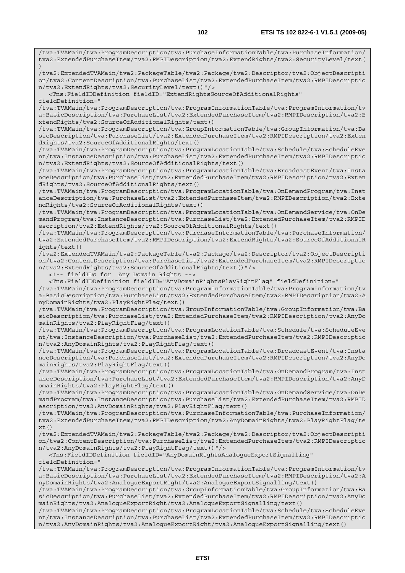/tva:TVAMain/tva:ProgramDescription/tva:PurchaseInformationTable/tva:PurchaseInformation/ tva2:ExtendedPurchaseItem/tva2:RMPIDescription/tva2:ExtendRights/tva2:SecurityLevel/text(

/tva2:ExtendedTVAMain/tva2:PackageTable/tva2:Package/tva2:Descriptor/tva2:ObjectDescripti

)

on/tva2:ContentDescription/tva:PurchaseList/tva2:ExtendedPurchaseItem/tva2:RMPIDescriptio n/tva2:ExtendRights/tva2:SecurityLevel/text()"/> <Tns:FieldIDDefinition fieldID="ExtendRightsSourceOfAdditionalRights" fieldDefinition=" /tva:TVAMain/tva:ProgramDescription/tva:ProgramInformationTable/tva:ProgramInformation/tv a:BasicDescription/tva:PurchaseList/tva2:ExtendedPurchaseItem/tva2:RMPIDescription/tva2:E xtendRights/tva2:SourceOfAdditionalRights/text() /tva:TVAMain/tva:ProgramDescription/tva:GroupInformationTable/tva:GroupInformation/tva:Ba sicDescription/tva:PurchaseList/tva2:ExtendedPurchaseItem/tva2:RMPIDescription/tva2:Exten dRights/tva2:SourceOfAdditionalRights/text() /tva:TVAMain/tva:ProgramDescription/tva:ProgramLocationTable/tva:Schedule/tva:ScheduleEve nt/tva:InstanceDescription/tva:PurchaseList/tva2:ExtendedPurchaseItem/tva2:RMPIDescriptio n/tva2:ExtendRights/tva2:SourceOfAdditionalRights/text() /tva:TVAMain/tva:ProgramDescription/tva:ProgramLocationTable/tva:BroadcastEvent/tva:Insta nceDescription/tva:PurchaseList/tva2:ExtendedPurchaseItem/tva2:RMPIDescription/tva2:Exten dRights/tva2:SourceOfAdditionalRights/text() /tva:TVAMain/tva:ProgramDescription/tva:ProgramLocationTable/tva:OnDemandProgram/tva:Inst anceDescription/tva:PurchaseList/tva2:ExtendedPurchaseItem/tva2:RMPIDescription/tva2:Exte ndRights/tva2:SourceOfAdditionalRights/text() /tva:TVAMain/tva:ProgramDescription/tva:ProgramLocationTable/tva:OnDemandService/tva:OnDe mandProgram/tva:InstanceDescription/tva:PurchaseList/tva2:ExtendedPurchaseItem/tva2:RMPID escription/tva2:ExtendRights/tva2:SourceOfAdditionalRights/text() /tva:TVAMain/tva:ProgramDescription/tva:PurchaseInformationTable/tva:PurchaseInformation/ tva2:ExtendedPurchaseItem/tva2:RMPIDescription/tva2:ExtendRights/tva2:SourceOfAdditionalR ights/text() /tva2:ExtendedTVAMain/tva2:PackageTable/tva2:Package/tva2:Descriptor/tva2:ObjectDescripti on/tva2:ContentDescription/tva:PurchaseList/tva2:ExtendedPurchaseItem/tva2:RMPIDescriptio n/tva2:ExtendRights/tva2:SourceOfAdditionalRights/text()"/> <!-- fieldIDs for Any Domain Rights --> <Tns:FieldIDDefinition fieldID="AnyDomainRightsPlayRightFlag" fieldDefinition=" /tva:TVAMain/tva:ProgramDescription/tva:ProgramInformationTable/tva:ProgramInformation/tv a:BasicDescription/tva:PurchaseList/tva2:ExtendedPurchaseItem/tva2:RMPIDescription/tva2:A nyDomainRights/tva2:PlayRightFlag/text() /tva:TVAMain/tva:ProgramDescription/tva:GroupInformationTable/tva:GroupInformation/tva:Ba sicDescription/tva:PurchaseList/tva2:ExtendedPurchaseItem/tva2:RMPIDescription/tva2:AnyDo mainRights/tva2:PlayRightFlag/text() /tva:TVAMain/tva:ProgramDescription/tva:ProgramLocationTable/tva:Schedule/tva:ScheduleEve nt/tva:InstanceDescription/tva:PurchaseList/tva2:ExtendedPurchaseItem/tva2:RMPIDescriptio n/tva2:AnyDomainRights/tva2:PlayRightFlag/text() /tva:TVAMain/tva:ProgramDescription/tva:ProgramLocationTable/tva:BroadcastEvent/tva:Insta nceDescription/tva:PurchaseList/tva2:ExtendedPurchaseItem/tva2:RMPIDescription/tva2:AnyDo mainRights/tva2:PlayRightFlag/text() /tva:TVAMain/tva:ProgramDescription/tva:ProgramLocationTable/tva:OnDemandProgram/tva:Inst anceDescription/tva:PurchaseList/tva2:ExtendedPurchaseItem/tva2:RMPIDescription/tva2:AnyD omainRights/tva2:PlayRightFlag/text() /tva:TVAMain/tva:ProgramDescription/tva:ProgramLocationTable/tva:OnDemandService/tva:OnDe mandProgram/tva:InstanceDescription/tva:PurchaseList/tva2:ExtendedPurchaseItem/tva2:RMPID escription/tva2:AnyDomainRights/tva2:PlayRightFlag/text() /tva:TVAMain/tva:ProgramDescription/tva:PurchaseInformationTable/tva:PurchaseInformation/ tva2:ExtendedPurchaseItem/tva2:RMPIDescription/tva2:AnyDomainRights/tva2:PlayRightFlag/te xt() /tva2:ExtendedTVAMain/tva2:PackageTable/tva2:Package/tva2:Descriptor/tva2:ObjectDescripti on/tva2:ContentDescription/tva:PurchaseList/tva2:ExtendedPurchaseItem/tva2:RMPIDescriptio n/tva2:AnyDomainRights/tva2:PlayRightFlag/text()"/> <Tns:FieldIDDefinition fieldID="AnyDomainRightsAnalogueExportSignalling" fieldDefinition=" /tva:TVAMain/tva:ProgramDescription/tva:ProgramInformationTable/tva:ProgramInformation/tv a:BasicDescription/tva:PurchaseList/tva2:ExtendedPurchaseItem/tva2:RMPIDescription/tva2:A nyDomainRights/tva2:AnalogueExportRight/tva2:AnalogueExportSignalling/text() /tva:TVAMain/tva:ProgramDescription/tva:GroupInformationTable/tva:GroupInformation/tva:Ba sicDescription/tva:PurchaseList/tva2:ExtendedPurchaseItem/tva2:RMPIDescription/tva2:AnyDo mainRights/tva2:AnalogueExportRight/tva2:AnalogueExportSignalling/text() /tva:TVAMain/tva:ProgramDescription/tva:ProgramLocationTable/tva:Schedule/tva:ScheduleEve nt/tva:InstanceDescription/tva:PurchaseList/tva2:ExtendedPurchaseItem/tva2:RMPIDescriptio n/tva2:AnyDomainRights/tva2:AnalogueExportRight/tva2:AnalogueExportSignalling/text()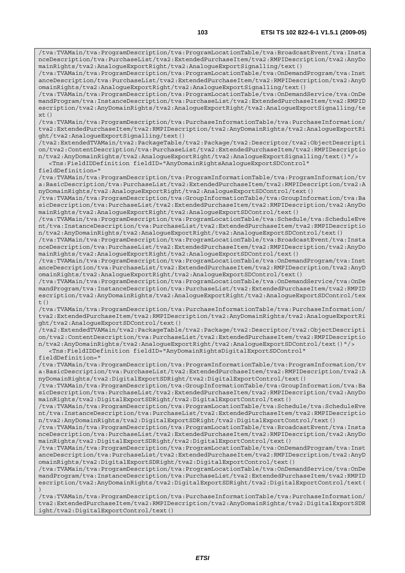/tva:TVAMain/tva:ProgramDescription/tva:ProgramLocationTable/tva:BroadcastEvent/tva:Insta nceDescription/tva:PurchaseList/tva2:ExtendedPurchaseItem/tva2:RMPIDescription/tva2:AnyDo mainRights/tva2:AnalogueExportRight/tva2:AnalogueExportSignalling/text()

anceDescription/tva:PurchaseList/tva2:ExtendedPurchaseItem/tva2:RMPIDescription/tva2:AnyD omainRights/tva2:AnalogueExportRight/tva2:AnalogueExportSignalling/text()

mandProgram/tva:InstanceDescription/tva:PurchaseList/tva2:ExtendedPurchaseItem/tva2:RMPID escription/tva2:AnyDomainRights/tva2:AnalogueExportRight/tva2:AnalogueExportSignalling/te  $xt()$ 

/tva:TVAMain/tva:ProgramDescription/tva:PurchaseInformationTable/tva:PurchaseInformation/ tva2:ExtendedPurchaseItem/tva2:RMPIDescription/tva2:AnyDomainRights/tva2:AnalogueExportRi

/tva2:ExtendedTVAMain/tva2:PackageTable/tva2:Package/tva2:Descriptor/tva2:ObjectDescripti on/tva2:ContentDescription/tva:PurchaseList/tva2:ExtendedPurchaseItem/tva2:RMPIDescriptio n/tva2:AnyDomainRights/tva2:AnalogueExportRight/tva2:AnalogueExportSignalling/text()"/>

/tva:TVAMain/tva:ProgramDescription/tva:ProgramInformationTable/tva:ProgramInformation/tv a:BasicDescription/tva:PurchaseList/tva2:ExtendedPurchaseItem/tva2:RMPIDescription/tva2:A

/tva:TVAMain/tva:ProgramDescription/tva:GroupInformationTable/tva:GroupInformation/tva:Ba sicDescription/tva:PurchaseList/tva2:ExtendedPurchaseItem/tva2:RMPIDescription/tva2:AnyDo

/tva:TVAMain/tva:ProgramDescription/tva:ProgramLocationTable/tva:Schedule/tva:ScheduleEve nt/tva:InstanceDescription/tva:PurchaseList/tva2:ExtendedPurchaseItem/tva2:RMPIDescriptio

/tva:TVAMain/tva:ProgramDescription/tva:ProgramLocationTable/tva:BroadcastEvent/tva:Insta nceDescription/tva:PurchaseList/tva2:ExtendedPurchaseItem/tva2:RMPIDescription/tva2:AnyDo

/tva:TVAMain/tva:ProgramDescription/tva:ProgramLocationTable/tva:OnDemandProgram/tva:Inst anceDescription/tva:PurchaseList/tva2:ExtendedPurchaseItem/tva2:RMPIDescription/tva2:AnyD

/tva:TVAMain/tva:ProgramDescription/tva:ProgramLocationTable/tva:OnDemandService/tva:OnDe mandProgram/tva:InstanceDescription/tva:PurchaseList/tva2:ExtendedPurchaseItem/tva2:RMPID escription/tva2:AnyDomainRights/tva2:AnalogueExportRight/tva2:AnalogueExportSDControl/tex

/tva:TVAMain/tva:ProgramDescription/tva:PurchaseInformationTable/tva:PurchaseInformation/ tva2:ExtendedPurchaseItem/tva2:RMPIDescription/tva2:AnyDomainRights/tva2:AnalogueExportRi

/tva2:ExtendedTVAMain/tva2:PackageTable/tva2:Package/tva2:Descriptor/tva2:ObjectDescripti on/tva2:ContentDescription/tva:PurchaseList/tva2:ExtendedPurchaseItem/tva2:RMPIDescriptio n/tva2:AnyDomainRights/tva2:AnalogueExportRight/tva2:AnalogueExportSDControl/text()"/>

/tva:TVAMain/tva:ProgramDescription/tva:ProgramInformationTable/tva:ProgramInformation/tv a:BasicDescription/tva:PurchaseList/tva2:ExtendedPurchaseItem/tva2:RMPIDescription/tva2:A

/tva:TVAMain/tva:ProgramDescription/tva:GroupInformationTable/tva:GroupInformation/tva:Ba sicDescription/tva:PurchaseList/tva2:ExtendedPurchaseItem/tva2:RMPIDescription/tva2:AnyDo

/tva:TVAMain/tva:ProgramDescription/tva:ProgramLocationTable/tva:Schedule/tva:ScheduleEve nt/tva:InstanceDescription/tva:PurchaseList/tva2:ExtendedPurchaseItem/tva2:RMPIDescriptio

/tva:TVAMain/tva:ProgramDescription/tva:ProgramLocationTable/tva:BroadcastEvent/tva:Insta nceDescription/tva:PurchaseList/tva2:ExtendedPurchaseItem/tva2:RMPIDescription/tva2:AnyDo

/tva:TVAMain/tva:ProgramDescription/tva:ProgramLocationTable/tva:OnDemandProgram/tva:Inst anceDescription/tva:PurchaseList/tva2:ExtendedPurchaseItem/tva2:RMPIDescription/tva2:AnyD

/tva:TVAMain/tva:ProgramDescription/tva:ProgramLocationTable/tva:OnDemandService/tva:OnDe mandProgram/tva:InstanceDescription/tva:PurchaseList/tva2:ExtendedPurchaseItem/tva2:RMPID escription/tva2:AnyDomainRights/tva2:DigitalExportSDRight/tva2:DigitalExportControl/text(

/tva:TVAMain/tva:ProgramDescription/tva:PurchaseInformationTable/tva:PurchaseInformation/ tva2:ExtendedPurchaseItem/tva2:RMPIDescription/tva2:AnyDomainRights/tva2:DigitalExportSDR

n/tva2:AnyDomainRights/tva2:DigitalExportSDRight/tva2:DigitalExportControl/text()

n/tva2:AnyDomainRights/tva2:AnalogueExportRight/tva2:AnalogueExportSDControl/text()

<Tns:FieldIDDefinition fieldID="AnyDomainRightsAnalogueExportSDControl"

nyDomainRights/tva2:AnalogueExportRight/tva2:AnalogueExportSDControl/text()

mainRights/tva2:AnalogueExportRight/tva2:AnalogueExportSDControl/text()

mainRights/tva2:AnalogueExportRight/tva2:AnalogueExportSDControl/text()

omainRights/tva2:AnalogueExportRight/tva2:AnalogueExportSDControl/text()

<Tns:FieldIDDefinition fieldID="AnyDomainRightsDigitalExportSDControl"

nyDomainRights/tva2:DigitalExportSDRight/tva2:DigitalExportControl/text()

mainRights/tva2:DigitalExportSDRight/tva2:DigitalExportControl/text()

mainRights/tva2:DigitalExportSDRight/tva2:DigitalExportControl/text()

omainRights/tva2:DigitalExportSDRight/tva2:DigitalExportControl/text()

ght/tva2:AnalogueExportSignalling/text()

ght/tva2:AnalogueExportSDControl/text()

ight/tva2:DigitalExportControl/text()

fieldDefinition="

 $t()$ 

)

fieldDefinition="

*ETSI* 

/tva:TVAMain/tva:ProgramDescription/tva:ProgramLocationTable/tva:OnDemandProgram/tva:Inst

/tva:TVAMain/tva:ProgramDescription/tva:ProgramLocationTable/tva:OnDemandService/tva:OnDe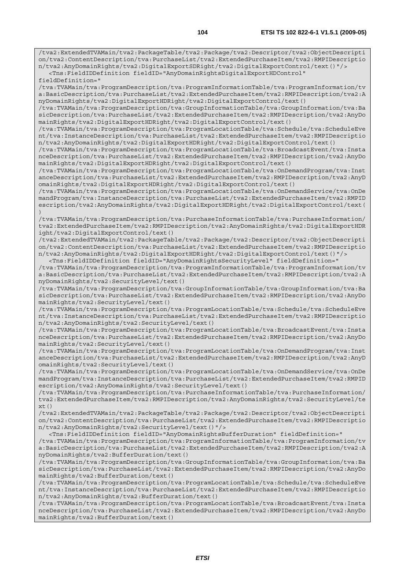/tva2:ExtendedTVAMain/tva2:PackageTable/tva2:Package/tva2:Descriptor/tva2:ObjectDescripti on/tva2:ContentDescription/tva:PurchaseList/tva2:ExtendedPurchaseItem/tva2:RMPIDescriptio n/tva2:AnyDomainRights/tva2:DigitalExportSDRight/tva2:DigitalExportControl/text()"/>

 <Tns:FieldIDDefinition fieldID="AnyDomainRightsDigitalExportHDControl" fieldDefinition="

/tva:TVAMain/tva:ProgramDescription/tva:ProgramInformationTable/tva:ProgramInformation/tv a:BasicDescription/tva:PurchaseList/tva2:ExtendedPurchaseItem/tva2:RMPIDescription/tva2:A nyDomainRights/tva2:DigitalExportHDRight/tva2:DigitalExportControl/text()

/tva:TVAMain/tva:ProgramDescription/tva:GroupInformationTable/tva:GroupInformation/tva:Ba sicDescription/tva:PurchaseList/tva2:ExtendedPurchaseItem/tva2:RMPIDescription/tva2:AnyDo mainRights/tva2:DigitalExportHDRight/tva2:DigitalExportControl/text()

/tva:TVAMain/tva:ProgramDescription/tva:ProgramLocationTable/tva:Schedule/tva:ScheduleEve nt/tva:InstanceDescription/tva:PurchaseList/tva2:ExtendedPurchaseItem/tva2:RMPIDescriptio n/tva2:AnyDomainRights/tva2:DigitalExportHDRight/tva2:DigitalExportControl/text()

/tva:TVAMain/tva:ProgramDescription/tva:ProgramLocationTable/tva:BroadcastEvent/tva:Insta nceDescription/tva:PurchaseList/tva2:ExtendedPurchaseItem/tva2:RMPIDescription/tva2:AnyDo mainRights/tva2:DigitalExportHDRight/tva2:DigitalExportControl/text()

/tva:TVAMain/tva:ProgramDescription/tva:ProgramLocationTable/tva:OnDemandProgram/tva:Inst anceDescription/tva:PurchaseList/tva2:ExtendedPurchaseItem/tva2:RMPIDescription/tva2:AnyD omainRights/tva2:DigitalExportHDRight/tva2:DigitalExportControl/text()

/tva:TVAMain/tva:ProgramDescription/tva:ProgramLocationTable/tva:OnDemandService/tva:OnDe mandProgram/tva:InstanceDescription/tva:PurchaseList/tva2:ExtendedPurchaseItem/tva2:RMPID escription/tva2:AnyDomainRights/tva2:DigitalExportHDRight/tva2:DigitalExportControl/text( )

/tva:TVAMain/tva:ProgramDescription/tva:PurchaseInformationTable/tva:PurchaseInformation/ tva2:ExtendedPurchaseItem/tva2:RMPIDescription/tva2:AnyDomainRights/tva2:DigitalExportHDR ight/tva2:DigitalExportControl/text()

/tva2:ExtendedTVAMain/tva2:PackageTable/tva2:Package/tva2:Descriptor/tva2:ObjectDescripti on/tva2:ContentDescription/tva:PurchaseList/tva2:ExtendedPurchaseItem/tva2:RMPIDescriptio n/tva2:AnyDomainRights/tva2:DigitalExportHDRight/tva2:DigitalExportControl/text()"/> <Tns:FieldIDDefinition fieldID="AnyDomainRightsSecurityLevel" fieldDefinition="

/tva:TVAMain/tva:ProgramDescription/tva:ProgramInformationTable/tva:ProgramInformation/tv a:BasicDescription/tva:PurchaseList/tva2:ExtendedPurchaseItem/tva2:RMPIDescription/tva2:A nyDomainRights/tva2:SecurityLevel/text()

/tva:TVAMain/tva:ProgramDescription/tva:GroupInformationTable/tva:GroupInformation/tva:Ba sicDescription/tva:PurchaseList/tva2:ExtendedPurchaseItem/tva2:RMPIDescription/tva2:AnyDo mainRights/tva2:SecurityLevel/text()

/tva:TVAMain/tva:ProgramDescription/tva:ProgramLocationTable/tva:Schedule/tva:ScheduleEve nt/tva:InstanceDescription/tva:PurchaseList/tva2:ExtendedPurchaseItem/tva2:RMPIDescriptio n/tva2:AnyDomainRights/tva2:SecurityLevel/text()

/tva:TVAMain/tva:ProgramDescription/tva:ProgramLocationTable/tva:BroadcastEvent/tva:Insta nceDescription/tva:PurchaseList/tva2:ExtendedPurchaseItem/tva2:RMPIDescription/tva2:AnyDo mainRights/tva2:SecurityLevel/text()

/tva:TVAMain/tva:ProgramDescription/tva:ProgramLocationTable/tva:OnDemandProgram/tva:Inst anceDescription/tva:PurchaseList/tva2:ExtendedPurchaseItem/tva2:RMPIDescription/tva2:AnyD omainRights/tva2:SecurityLevel/text()

/tva:TVAMain/tva:ProgramDescription/tva:ProgramLocationTable/tva:OnDemandService/tva:OnDe mandProgram/tva:InstanceDescription/tva:PurchaseList/tva2:ExtendedPurchaseItem/tva2:RMPID escription/tva2:AnyDomainRights/tva2:SecurityLevel/text()

/tva:TVAMain/tva:ProgramDescription/tva:PurchaseInformationTable/tva:PurchaseInformation/ tva2:ExtendedPurchaseItem/tva2:RMPIDescription/tva2:AnyDomainRights/tva2:SecurityLevel/te  $xt()$ 

/tva2:ExtendedTVAMain/tva2:PackageTable/tva2:Package/tva2:Descriptor/tva2:ObjectDescripti on/tva2:ContentDescription/tva:PurchaseList/tva2:ExtendedPurchaseItem/tva2:RMPIDescriptio n/tva2:AnyDomainRights/tva2:SecurityLevel/text()"/>

 <Tns:FieldIDDefinition fieldID="AnyDomainRightsBufferDuration" fieldDefinition=" /tva:TVAMain/tva:ProgramDescription/tva:ProgramInformationTable/tva:ProgramInformation/tv a:BasicDescription/tva:PurchaseList/tva2:ExtendedPurchaseItem/tva2:RMPIDescription/tva2:A nyDomainRights/tva2:BufferDuration/text()

/tva:TVAMain/tva:ProgramDescription/tva:GroupInformationTable/tva:GroupInformation/tva:Ba sicDescription/tva:PurchaseList/tva2:ExtendedPurchaseItem/tva2:RMPIDescription/tva2:AnyDo mainRights/tva2:BufferDuration/text()

/tva:TVAMain/tva:ProgramDescription/tva:ProgramLocationTable/tva:Schedule/tva:ScheduleEve nt/tva:InstanceDescription/tva:PurchaseList/tva2:ExtendedPurchaseItem/tva2:RMPIDescriptio n/tva2:AnyDomainRights/tva2:BufferDuration/text()

/tva:TVAMain/tva:ProgramDescription/tva:ProgramLocationTable/tva:BroadcastEvent/tva:Insta nceDescription/tva:PurchaseList/tva2:ExtendedPurchaseItem/tva2:RMPIDescription/tva2:AnyDo mainRights/tva2:BufferDuration/text()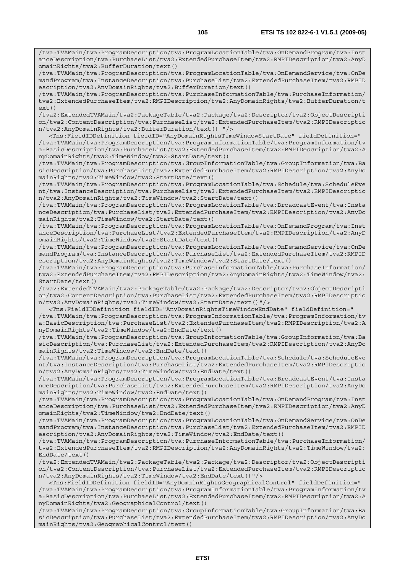/tva:TVAMain/tva:ProgramDescription/tva:ProgramLocationTable/tva:OnDemandProgram/tva:Inst anceDescription/tva:PurchaseList/tva2:ExtendedPurchaseItem/tva2:RMPIDescription/tva2:AnyD omainRights/tva2:BufferDuration/text()

/tva:TVAMain/tva:ProgramDescription/tva:ProgramLocationTable/tva:OnDemandService/tva:OnDe mandProgram/tva:InstanceDescription/tva:PurchaseList/tva2:ExtendedPurchaseItem/tva2:RMPID escription/tva2:AnyDomainRights/tva2:BufferDuration/text()

/tva:TVAMain/tva:ProgramDescription/tva:PurchaseInformationTable/tva:PurchaseInformation/ tva2:ExtendedPurchaseItem/tva2:RMPIDescription/tva2:AnyDomainRights/tva2:BufferDuration/t ext()

/tva2:ExtendedTVAMain/tva2:PackageTable/tva2:Package/tva2:Descriptor/tva2:ObjectDescripti on/tva2:ContentDescription/tva:PurchaseList/tva2:ExtendedPurchaseItem/tva2:RMPIDescriptio n/tva2:AnyDomainRights/tva2:BufferDuration/text() "/>

 <Tns:FieldIDDefinition fieldID="AnyDomainRightsTimeWindowStartDate" fieldDefinition=" /tva:TVAMain/tva:ProgramDescription/tva:ProgramInformationTable/tva:ProgramInformation/tv a:BasicDescription/tva:PurchaseList/tva2:ExtendedPurchaseItem/tva2:RMPIDescription/tva2:A nyDomainRights/tva2:TimeWindow/tva2:StartDate/text()

/tva:TVAMain/tva:ProgramDescription/tva:GroupInformationTable/tva:GroupInformation/tva:Ba sicDescription/tva:PurchaseList/tva2:ExtendedPurchaseItem/tva2:RMPIDescription/tva2:AnyDo mainRights/tva2:TimeWindow/tva2:StartDate/text()

/tva:TVAMain/tva:ProgramDescription/tva:ProgramLocationTable/tva:Schedule/tva:ScheduleEve nt/tva:InstanceDescription/tva:PurchaseList/tva2:ExtendedPurchaseItem/tva2:RMPIDescriptio n/tva2:AnyDomainRights/tva2:TimeWindow/tva2:StartDate/text()

/tva:TVAMain/tva:ProgramDescription/tva:ProgramLocationTable/tva:BroadcastEvent/tva:Insta nceDescription/tva:PurchaseList/tva2:ExtendedPurchaseItem/tva2:RMPIDescription/tva2:AnyDo mainRights/tva2:TimeWindow/tva2:StartDate/text()

/tva:TVAMain/tva:ProgramDescription/tva:ProgramLocationTable/tva:OnDemandProgram/tva:Inst anceDescription/tva:PurchaseList/tva2:ExtendedPurchaseItem/tva2:RMPIDescription/tva2:AnyD omainRights/tva2:TimeWindow/tva2:StartDate/text()

/tva:TVAMain/tva:ProgramDescription/tva:ProgramLocationTable/tva:OnDemandService/tva:OnDe mandProgram/tva:InstanceDescription/tva:PurchaseList/tva2:ExtendedPurchaseItem/tva2:RMPID escription/tva2:AnyDomainRights/tva2:TimeWindow/tva2:StartDate/text()

/tva:TVAMain/tva:ProgramDescription/tva:PurchaseInformationTable/tva:PurchaseInformation/ tva2:ExtendedPurchaseItem/tva2:RMPIDescription/tva2:AnyDomainRights/tva2:TimeWindow/tva2:  $StartData(tayt()$ 

/tva2:ExtendedTVAMain/tva2:PackageTable/tva2:Package/tva2:Descriptor/tva2:ObjectDescripti on/tva2:ContentDescription/tva:PurchaseList/tva2:ExtendedPurchaseItem/tva2:RMPIDescriptio n/tva2:AnyDomainRights/tva2:TimeWindow/tva2:StartDate/text()"/>

 <Tns:FieldIDDefinition fieldID="AnyDomainRightsTimeWindowEndDate" fieldDefinition=" /tva:TVAMain/tva:ProgramDescription/tva:ProgramInformationTable/tva:ProgramInformation/tv a:BasicDescription/tva:PurchaseList/tva2:ExtendedPurchaseItem/tva2:RMPIDescription/tva2:A nyDomainRights/tva2:TimeWindow/tva2:EndDate/text()

/tva:TVAMain/tva:ProgramDescription/tva:GroupInformationTable/tva:GroupInformation/tva:Ba sicDescription/tva:PurchaseList/tva2:ExtendedPurchaseItem/tva2:RMPIDescription/tva2:AnyDo mainRights/tva2:TimeWindow/tva2:EndDate/text()

/tva:TVAMain/tva:ProgramDescription/tva:ProgramLocationTable/tva:Schedule/tva:ScheduleEve nt/tva:InstanceDescription/tva:PurchaseList/tva2:ExtendedPurchaseItem/tva2:RMPIDescriptio n/tva2:AnyDomainRights/tva2:TimeWindow/tva2:EndDate/text()

/tva:TVAMain/tva:ProgramDescription/tva:ProgramLocationTable/tva:BroadcastEvent/tva:Insta nceDescription/tva:PurchaseList/tva2:ExtendedPurchaseItem/tva2:RMPIDescription/tva2:AnyDo mainRights/tva2:TimeWindow/tva2:EndDate/text()

/tva:TVAMain/tva:ProgramDescription/tva:ProgramLocationTable/tva:OnDemandProgram/tva:Inst anceDescription/tva:PurchaseList/tva2:ExtendedPurchaseItem/tva2:RMPIDescription/tva2:AnyD omainRights/tva2:TimeWindow/tva2:EndDate/text()

/tva:TVAMain/tva:ProgramDescription/tva:ProgramLocationTable/tva:OnDemandService/tva:OnDe mandProgram/tva:InstanceDescription/tva:PurchaseList/tva2:ExtendedPurchaseItem/tva2:RMPID escription/tva2:AnyDomainRights/tva2:TimeWindow/tva2:EndDate/text()

/tva:TVAMain/tva:ProgramDescription/tva:PurchaseInformationTable/tva:PurchaseInformation/ tva2:ExtendedPurchaseItem/tva2:RMPIDescription/tva2:AnyDomainRights/tva2:TimeWindow/tva2: EndDate/text()

/tva2:ExtendedTVAMain/tva2:PackageTable/tva2:Package/tva2:Descriptor/tva2:ObjectDescripti on/tva2:ContentDescription/tva:PurchaseList/tva2:ExtendedPurchaseItem/tva2:RMPIDescriptio n/tva2:AnyDomainRights/tva2:TimeWindow/tva2:EndDate/text()"/>

 <Tns:FieldIDDefinition fieldID="AnyDomainRightsGeographicalControl" fieldDefinition=" /tva:TVAMain/tva:ProgramDescription/tva:ProgramInformationTable/tva:ProgramInformation/tv a:BasicDescription/tva:PurchaseList/tva2:ExtendedPurchaseItem/tva2:RMPIDescription/tva2:A nyDomainRights/tva2:GeographicalControl/text()

/tva:TVAMain/tva:ProgramDescription/tva:GroupInformationTable/tva:GroupInformation/tva:Ba sicDescription/tva:PurchaseList/tva2:ExtendedPurchaseItem/tva2:RMPIDescription/tva2:AnyDo mainRights/tva2:GeographicalControl/text()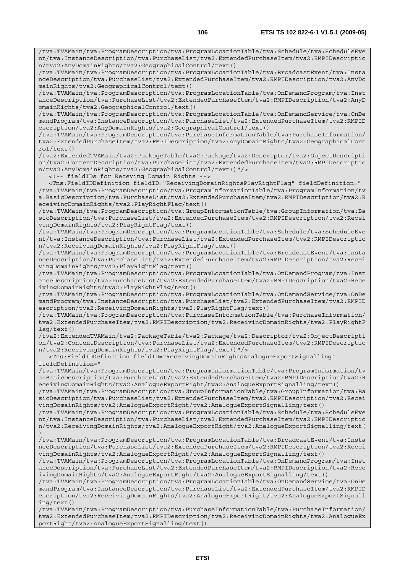/tva:TVAMain/tva:ProgramDescription/tva:ProgramLocationTable/tva:BroadcastEvent/tva:Insta nceDescription/tva:PurchaseList/tva2:ExtendedPurchaseItem/tva2:RMPIDescription/tva2:AnyDo mainRights/tva2:GeographicalControl/text()

/tva:TVAMain/tva:ProgramDescription/tva:ProgramLocationTable/tva:OnDemandProgram/tva:Inst anceDescription/tva:PurchaseList/tva2:ExtendedPurchaseItem/tva2:RMPIDescription/tva2:AnyD omainRights/tva2:GeographicalControl/text()

/tva:TVAMain/tva:ProgramDescription/tva:ProgramLocationTable/tva:OnDemandService/tva:OnDe mandProgram/tva:InstanceDescription/tva:PurchaseList/tva2:ExtendedPurchaseItem/tva2:RMPID escription/tva2:AnyDomainRights/tva2:GeographicalControl/text()

/tva:TVAMain/tva:ProgramDescription/tva:PurchaseInformationTable/tva:PurchaseInformation/ tva2:ExtendedPurchaseItem/tva2:RMPIDescription/tva2:AnyDomainRights/tva2:GeographicalCont rol/text()

/tva2:ExtendedTVAMain/tva2:PackageTable/tva2:Package/tva2:Descriptor/tva2:ObjectDescripti on/tva2:ContentDescription/tva:PurchaseList/tva2:ExtendedPurchaseItem/tva2:RMPIDescriptio n/tva2:AnyDomainRights/tva2:GeographicalControl/text()"/>

<!-- fieldIDs for Receving Domain Rights -->

 <Tns:FieldIDDefinition fieldID="ReceivingDomainRightsPlayRightFlag" fieldDefinition=" /tva:TVAMain/tva:ProgramDescription/tva:ProgramInformationTable/tva:ProgramInformation/tv a:BasicDescription/tva:PurchaseList/tva2:ExtendedPurchaseItem/tva2:RMPIDescription/tva2:R eceivingDomainRights/tva2:PlayRightFlag/text()

/tva:TVAMain/tva:ProgramDescription/tva:GroupInformationTable/tva:GroupInformation/tva:Ba sicDescription/tva:PurchaseList/tva2:ExtendedPurchaseItem/tva2:RMPIDescription/tva2:Recei vingDomainRights/tva2:PlayRightFlag/text()

/tva:TVAMain/tva:ProgramDescription/tva:ProgramLocationTable/tva:Schedule/tva:ScheduleEve nt/tva:InstanceDescription/tva:PurchaseList/tva2:ExtendedPurchaseItem/tva2:RMPIDescriptio n/tva2:ReceivingDomainRights/tva2:PlayRightFlag/text()

/tva:TVAMain/tva:ProgramDescription/tva:ProgramLocationTable/tva:BroadcastEvent/tva:Insta nceDescription/tva:PurchaseList/tva2:ExtendedPurchaseItem/tva2:RMPIDescription/tva2:Recei vingDomainRights/tva2:PlayRightFlag/text()

/tva:TVAMain/tva:ProgramDescription/tva:ProgramLocationTable/tva:OnDemandProgram/tva:Inst anceDescription/tva:PurchaseList/tva2:ExtendedPurchaseItem/tva2:RMPIDescription/tva2:Rece ivingDomainRights/tva2:PlayRightFlag/text()

/tva:TVAMain/tva:ProgramDescription/tva:ProgramLocationTable/tva:OnDemandService/tva:OnDe mandProgram/tva:InstanceDescription/tva:PurchaseList/tva2:ExtendedPurchaseItem/tva2:RMPID escription/tva2:ReceivingDomainRights/tva2:PlayRightFlag/text()

/tva:TVAMain/tva:ProgramDescription/tva:PurchaseInformationTable/tva:PurchaseInformation/ tva2:ExtendedPurchaseItem/tva2:RMPIDescription/tva2:ReceivingDomainRights/tva2:PlayRightF lag/text()

/tva2:ExtendedTVAMain/tva2:PackageTable/tva2:Package/tva2:Descriptor/tva2:ObjectDescripti on/tva2:ContentDescription/tva:PurchaseList/tva2:ExtendedPurchaseItem/tva2:RMPIDescriptio n/tva2:ReceivingDomainRights/tva2:PlayRightFlag/text()"/>

 <Tns:FieldIDDefinition fieldID="ReceivingDomainRightsAnalogueExportSignalling" fieldDefinition="

/tva:TVAMain/tva:ProgramDescription/tva:ProgramInformationTable/tva:ProgramInformation/tv a:BasicDescription/tva:PurchaseList/tva2:ExtendedPurchaseItem/tva2:RMPIDescription/tva2:R eceivingDomainRights/tva2:AnalogueExportRight/tva2:AnalogueExportSignalling/text()

/tva:TVAMain/tva:ProgramDescription/tva:GroupInformationTable/tva:GroupInformation/tva:Ba sicDescription/tva:PurchaseList/tva2:ExtendedPurchaseItem/tva2:RMPIDescription/tva2:Recei vingDomainRights/tva2:AnalogueExportRight/tva2:AnalogueExportSignalling/text()

/tva:TVAMain/tva:ProgramDescription/tva:ProgramLocationTable/tva:Schedule/tva:ScheduleEve nt/tva:InstanceDescription/tva:PurchaseList/tva2:ExtendedPurchaseItem/tva2:RMPIDescriptio n/tva2:ReceivingDomainRights/tva2:AnalogueExportRight/tva2:AnalogueExportSignalling/text( )

/tva:TVAMain/tva:ProgramDescription/tva:ProgramLocationTable/tva:BroadcastEvent/tva:Insta nceDescription/tva:PurchaseList/tva2:ExtendedPurchaseItem/tva2:RMPIDescription/tva2:Recei vingDomainRights/tva2:AnalogueExportRight/tva2:AnalogueExportSignalling/text()

/tva:TVAMain/tva:ProgramDescription/tva:ProgramLocationTable/tva:OnDemandProgram/tva:Inst anceDescription/tva:PurchaseList/tva2:ExtendedPurchaseItem/tva2:RMPIDescription/tva2:Rece ivingDomainRights/tva2:AnalogueExportRight/tva2:AnalogueExportSignalling/text()

/tva:TVAMain/tva:ProgramDescription/tva:ProgramLocationTable/tva:OnDemandService/tva:OnDe mandProgram/tva:InstanceDescription/tva:PurchaseList/tva2:ExtendedPurchaseItem/tva2:RMPID escription/tva2:ReceivingDomainRights/tva2:AnalogueExportRight/tva2:AnalogueExportSignall ing/text()

/tva:TVAMain/tva:ProgramDescription/tva:PurchaseInformationTable/tva:PurchaseInformation/ tva2:ExtendedPurchaseItem/tva2:RMPIDescription/tva2:ReceivingDomainRights/tva2:AnalogueEx portRight/tva2:AnalogueExportSignalling/text()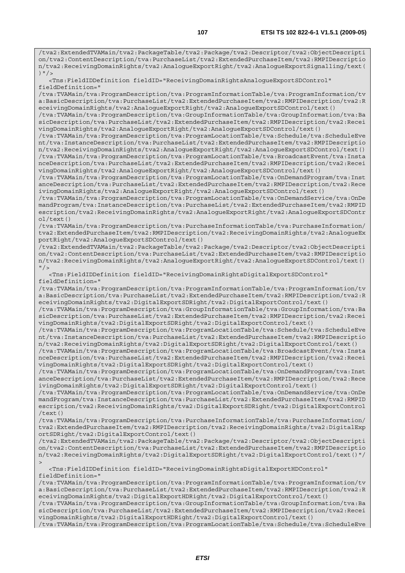/tva2:ExtendedTVAMain/tva2:PackageTable/tva2:Package/tva2:Descriptor/tva2:ObjectDescripti on/tva2:ContentDescription/tva:PurchaseList/tva2:ExtendedPurchaseItem/tva2:RMPIDescriptio n/tva2:ReceivingDomainRights/tva2:AnalogueExportRight/tva2:AnalogueExportSignalling/text( )  $"$  />

 <Tns:FieldIDDefinition fieldID="ReceivingDomainRightsAnalogueExportSDControl" fieldDefinition="

/tva:TVAMain/tva:ProgramDescription/tva:ProgramInformationTable/tva:ProgramInformation/tv a:BasicDescription/tva:PurchaseList/tva2:ExtendedPurchaseItem/tva2:RMPIDescription/tva2:R eceivingDomainRights/tva2:AnalogueExportRight/tva2:AnalogueExportSDControl/text()

/tva:TVAMain/tva:ProgramDescription/tva:GroupInformationTable/tva:GroupInformation/tva:Ba sicDescription/tva:PurchaseList/tva2:ExtendedPurchaseItem/tva2:RMPIDescription/tva2:Recei vingDomainRights/tva2:AnalogueExportRight/tva2:AnalogueExportSDControl/text()

/tva:TVAMain/tva:ProgramDescription/tva:ProgramLocationTable/tva:Schedule/tva:ScheduleEve nt/tva:InstanceDescription/tva:PurchaseList/tva2:ExtendedPurchaseItem/tva2:RMPIDescriptio n/tva2:ReceivingDomainRights/tva2:AnalogueExportRight/tva2:AnalogueExportSDControl/text() /tva:TVAMain/tva:ProgramDescription/tva:ProgramLocationTable/tva:BroadcastEvent/tva:Insta nceDescription/tva:PurchaseList/tva2:ExtendedPurchaseItem/tva2:RMPIDescription/tva2:Recei vingDomainRights/tva2:AnalogueExportRight/tva2:AnalogueExportSDControl/text()

/tva:TVAMain/tva:ProgramDescription/tva:ProgramLocationTable/tva:OnDemandProgram/tva:Inst anceDescription/tva:PurchaseList/tva2:ExtendedPurchaseItem/tva2:RMPIDescription/tva2:Rece ivingDomainRights/tva2:AnalogueExportRight/tva2:AnalogueExportSDControl/text()

/tva:TVAMain/tva:ProgramDescription/tva:ProgramLocationTable/tva:OnDemandService/tva:OnDe mandProgram/tva:InstanceDescription/tva:PurchaseList/tva2:ExtendedPurchaseItem/tva2:RMPID escription/tva2:ReceivingDomainRights/tva2:AnalogueExportRight/tva2:AnalogueExportSDContr ol/text()

/tva:TVAMain/tva:ProgramDescription/tva:PurchaseInformationTable/tva:PurchaseInformation/ tva2:ExtendedPurchaseItem/tva2:RMPIDescription/tva2:ReceivingDomainRights/tva2:AnalogueEx portRight/tva2:AnalogueExportSDControl/text()

/tva2:ExtendedTVAMain/tva2:PackageTable/tva2:Package/tva2:Descriptor/tva2:ObjectDescripti on/tva2:ContentDescription/tva:PurchaseList/tva2:ExtendedPurchaseItem/tva2:RMPIDescriptio n/tva2:ReceivingDomainRights/tva2:AnalogueExportRight/tva2:AnalogueExportSDControl/text()  $"$  />

 <Tns:FieldIDDefinition fieldID="ReceivingDomainRightsDigitalExportSDControl" fieldDefinition="

/tva:TVAMain/tva:ProgramDescription/tva:ProgramInformationTable/tva:ProgramInformation/tv a:BasicDescription/tva:PurchaseList/tva2:ExtendedPurchaseItem/tva2:RMPIDescription/tva2:R eceivingDomainRights/tva2:DigitalExportSDRight/tva2:DigitalExportControl/text()

/tva:TVAMain/tva:ProgramDescription/tva:GroupInformationTable/tva:GroupInformation/tva:Ba sicDescription/tva:PurchaseList/tva2:ExtendedPurchaseItem/tva2:RMPIDescription/tva2:Recei vingDomainRights/tva2:DigitalExportSDRight/tva2:DigitalExportControl/text()

/tva:TVAMain/tva:ProgramDescription/tva:ProgramLocationTable/tva:Schedule/tva:ScheduleEve nt/tva:InstanceDescription/tva:PurchaseList/tva2:ExtendedPurchaseItem/tva2:RMPIDescriptio n/tva2:ReceivingDomainRights/tva2:DigitalExportSDRight/tva2:DigitalExportControl/text()

/tva:TVAMain/tva:ProgramDescription/tva:ProgramLocationTable/tva:BroadcastEvent/tva:Insta nceDescription/tva:PurchaseList/tva2:ExtendedPurchaseItem/tva2:RMPIDescription/tva2:Recei vingDomainRights/tva2:DigitalExportSDRight/tva2:DigitalExportControl/text()

/tva:TVAMain/tva:ProgramDescription/tva:ProgramLocationTable/tva:OnDemandProgram/tva:Inst anceDescription/tva:PurchaseList/tva2:ExtendedPurchaseItem/tva2:RMPIDescription/tva2:Rece ivingDomainRights/tva2:DigitalExportSDRight/tva2:DigitalExportControl/text()

/tva:TVAMain/tva:ProgramDescription/tva:ProgramLocationTable/tva:OnDemandService/tva:OnDe mandProgram/tva:InstanceDescription/tva:PurchaseList/tva2:ExtendedPurchaseItem/tva2:RMPID escription/tva2:ReceivingDomainRights/tva2:DigitalExportSDRight/tva2:DigitalExportControl /text()

/tva:TVAMain/tva:ProgramDescription/tva:PurchaseInformationTable/tva:PurchaseInformation/ tva2:ExtendedPurchaseItem/tva2:RMPIDescription/tva2:ReceivingDomainRights/tva2:DigitalExp ortSDRight/tva2:DigitalExportControl/text()

/tva2:ExtendedTVAMain/tva2:PackageTable/tva2:Package/tva2:Descriptor/tva2:ObjectDescripti on/tva2:ContentDescription/tva:PurchaseList/tva2:ExtendedPurchaseItem/tva2:RMPIDescriptio n/tva2:ReceivingDomainRights/tva2:DigitalExportSDRight/tva2:DigitalExportControl/text()"/  $>$ 

 <Tns:FieldIDDefinition fieldID="ReceivingDomainRightsDigitalExportHDControl" fieldDefinition="

/tva:TVAMain/tva:ProgramDescription/tva:ProgramInformationTable/tva:ProgramInformation/tv a:BasicDescription/tva:PurchaseList/tva2:ExtendedPurchaseItem/tva2:RMPIDescription/tva2:R eceivingDomainRights/tva2:DigitalExportHDRight/tva2:DigitalExportControl/text()

/tva:TVAMain/tva:ProgramDescription/tva:GroupInformationTable/tva:GroupInformation/tva:Ba sicDescription/tva:PurchaseList/tva2:ExtendedPurchaseItem/tva2:RMPIDescription/tva2:Recei vingDomainRights/tva2:DigitalExportHDRight/tva2:DigitalExportControl/text()

/tva:TVAMain/tva:ProgramDescription/tva:ProgramLocationTable/tva:Schedule/tva:ScheduleEve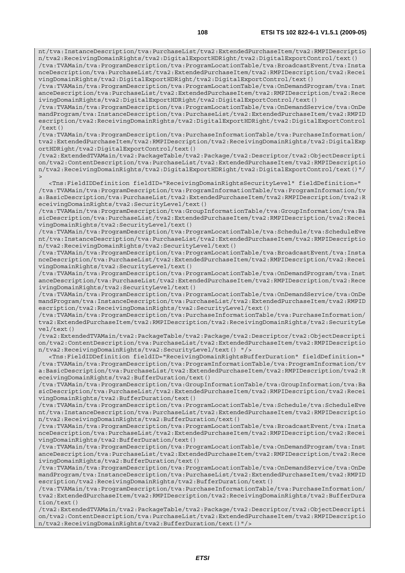nt/tva:InstanceDescription/tva:PurchaseList/tva2:ExtendedPurchaseItem/tva2:RMPIDescriptio n/tva2:ReceivingDomainRights/tva2:DigitalExportHDRight/tva2:DigitalExportControl/text()

/tva:TVAMain/tva:ProgramDescription/tva:ProgramLocationTable/tva:BroadcastEvent/tva:Insta nceDescription/tva:PurchaseList/tva2:ExtendedPurchaseItem/tva2:RMPIDescription/tva2:Recei vingDomainRights/tva2:DigitalExportHDRight/tva2:DigitalExportControl/text()

/tva:TVAMain/tva:ProgramDescription/tva:ProgramLocationTable/tva:OnDemandProgram/tva:Inst anceDescription/tva:PurchaseList/tva2:ExtendedPurchaseItem/tva2:RMPIDescription/tva2:Rece ivingDomainRights/tva2:DigitalExportHDRight/tva2:DigitalExportControl/text()

/tva:TVAMain/tva:ProgramDescription/tva:ProgramLocationTable/tva:OnDemandService/tva:OnDe mandProgram/tva:InstanceDescription/tva:PurchaseList/tva2:ExtendedPurchaseItem/tva2:RMPID escription/tva2:ReceivingDomainRights/tva2:DigitalExportHDRight/tva2:DigitalExportControl /text()

/tva:TVAMain/tva:ProgramDescription/tva:PurchaseInformationTable/tva:PurchaseInformation/ tva2:ExtendedPurchaseItem/tva2:RMPIDescription/tva2:ReceivingDomainRights/tva2:DigitalExp ortHDRight/tva2:DigitalExportControl/text()

/tva2:ExtendedTVAMain/tva2:PackageTable/tva2:Package/tva2:Descriptor/tva2:ObjectDescripti on/tva2:ContentDescription/tva:PurchaseList/tva2:ExtendedPurchaseItem/tva2:RMPIDescriptio n/tva2:ReceivingDomainRights/tva2:DigitalExportHDRight/tva2:DigitalExportControl/text()"/  $\ddot{\phantom{1}}$ 

 <Tns:FieldIDDefinition fieldID="ReceivingDomainRightsSecurityLevel" fieldDefinition=" /tva:TVAMain/tva:ProgramDescription/tva:ProgramInformationTable/tva:ProgramInformation/tv a:BasicDescription/tva:PurchaseList/tva2:ExtendedPurchaseItem/tva2:RMPIDescription/tva2:R eceivingDomainRights/tva2:SecurityLevel/text()

/tva:TVAMain/tva:ProgramDescription/tva:GroupInformationTable/tva:GroupInformation/tva:Ba sicDescription/tva:PurchaseList/tva2:ExtendedPurchaseItem/tva2:RMPIDescription/tva2:Recei vingDomainRights/tva2:SecurityLevel/text()

/tva:TVAMain/tva:ProgramDescription/tva:ProgramLocationTable/tva:Schedule/tva:ScheduleEve nt/tva:InstanceDescription/tva:PurchaseList/tva2:ExtendedPurchaseItem/tva2:RMPIDescriptio n/tva2:ReceivingDomainRights/tva2:SecurityLevel/text()

/tva:TVAMain/tva:ProgramDescription/tva:ProgramLocationTable/tva:BroadcastEvent/tva:Insta nceDescription/tva:PurchaseList/tva2:ExtendedPurchaseItem/tva2:RMPIDescription/tva2:Recei vingDomainRights/tva2:SecurityLevel/text()

/tva:TVAMain/tva:ProgramDescription/tva:ProgramLocationTable/tva:OnDemandProgram/tva:Inst anceDescription/tva:PurchaseList/tva2:ExtendedPurchaseItem/tva2:RMPIDescription/tva2:Rece ivingDomainRights/tva2:SecurityLevel/text()

/tva:TVAMain/tva:ProgramDescription/tva:ProgramLocationTable/tva:OnDemandService/tva:OnDe mandProgram/tva:InstanceDescription/tva:PurchaseList/tva2:ExtendedPurchaseItem/tva2:RMPID escription/tva2:ReceivingDomainRights/tva2:SecurityLevel/text()

/tva:TVAMain/tva:ProgramDescription/tva:PurchaseInformationTable/tva:PurchaseInformation/ tva2:ExtendedPurchaseItem/tva2:RMPIDescription/tva2:ReceivingDomainRights/tva2:SecurityLe vel/text()

/tva2:ExtendedTVAMain/tva2:PackageTable/tva2:Package/tva2:Descriptor/tva2:ObjectDescripti on/tva2:ContentDescription/tva:PurchaseList/tva2:ExtendedPurchaseItem/tva2:RMPIDescriptio n/tva2:ReceivingDomainRights/tva2:SecurityLevel/text() "/>

 <Tns:FieldIDDefinition fieldID="ReceivingDomainRightsBufferDuration" fieldDefinition=" /tva:TVAMain/tva:ProgramDescription/tva:ProgramInformationTable/tva:ProgramInformation/tv a:BasicDescription/tva:PurchaseList/tva2:ExtendedPurchaseItem/tva2:RMPIDescription/tva2:R eceivingDomainRights/tva2:BufferDuration/text()

/tva:TVAMain/tva:ProgramDescription/tva:GroupInformationTable/tva:GroupInformation/tva:Ba sicDescription/tva:PurchaseList/tva2:ExtendedPurchaseItem/tva2:RMPIDescription/tva2:Recei vingDomainRights/tva2:BufferDuration/text()

/tva:TVAMain/tva:ProgramDescription/tva:ProgramLocationTable/tva:Schedule/tva:ScheduleEve nt/tva:InstanceDescription/tva:PurchaseList/tva2:ExtendedPurchaseItem/tva2:RMPIDescriptio n/tva2:ReceivingDomainRights/tva2:BufferDuration/text()

/tva:TVAMain/tva:ProgramDescription/tva:ProgramLocationTable/tva:BroadcastEvent/tva:Insta nceDescription/tva:PurchaseList/tva2:ExtendedPurchaseItem/tva2:RMPIDescription/tva2:Recei vingDomainRights/tva2:BufferDuration/text()

/tva:TVAMain/tva:ProgramDescription/tva:ProgramLocationTable/tva:OnDemandProgram/tva:Inst anceDescription/tva:PurchaseList/tva2:ExtendedPurchaseItem/tva2:RMPIDescription/tva2:Rece ivingDomainRights/tva2:BufferDuration/text()

/tva:TVAMain/tva:ProgramDescription/tva:ProgramLocationTable/tva:OnDemandService/tva:OnDe mandProgram/tva:InstanceDescription/tva:PurchaseList/tva2:ExtendedPurchaseItem/tva2:RMPID escription/tva2:ReceivingDomainRights/tva2:BufferDuration/text()

/tva:TVAMain/tva:ProgramDescription/tva:PurchaseInformationTable/tva:PurchaseInformation/ tva2:ExtendedPurchaseItem/tva2:RMPIDescription/tva2:ReceivingDomainRights/tva2:BufferDura tion/text()

/tva2:ExtendedTVAMain/tva2:PackageTable/tva2:Package/tva2:Descriptor/tva2:ObjectDescripti on/tva2:ContentDescription/tva:PurchaseList/tva2:ExtendedPurchaseItem/tva2:RMPIDescriptio n/tva2:ReceivingDomainRights/tva2:BufferDuration/text()"/>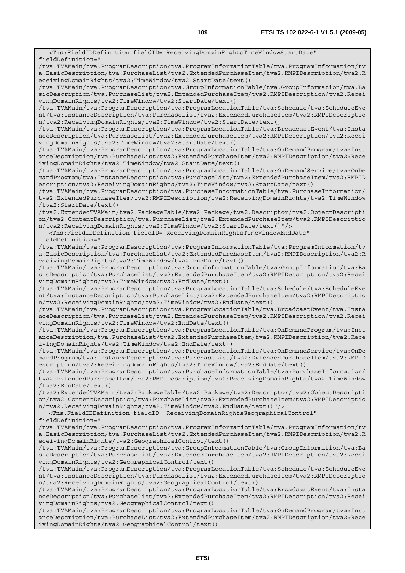<Tns:FieldIDDefinition fieldID="ReceivingDomainRightsTimeWindowStartDate" fieldDefinition=" /tva:TVAMain/tva:ProgramDescription/tva:ProgramInformationTable/tva:ProgramInformation/tv a:BasicDescription/tva:PurchaseList/tva2:ExtendedPurchaseItem/tva2:RMPIDescription/tva2:R eceivingDomainRights/tva2:TimeWindow/tva2:StartDate/text() /tva:TVAMain/tva:ProgramDescription/tva:GroupInformationTable/tva:GroupInformation/tva:Ba sicDescription/tva:PurchaseList/tva2:ExtendedPurchaseItem/tva2:RMPIDescription/tva2:Recei vingDomainRights/tva2:TimeWindow/tva2:StartDate/text() /tva:TVAMain/tva:ProgramDescription/tva:ProgramLocationTable/tva:Schedule/tva:ScheduleEve nt/tva:InstanceDescription/tva:PurchaseList/tva2:ExtendedPurchaseItem/tva2:RMPIDescriptio n/tva2:ReceivingDomainRights/tva2:TimeWindow/tva2:StartDate/text() /tva:TVAMain/tva:ProgramDescription/tva:ProgramLocationTable/tva:BroadcastEvent/tva:Insta nceDescription/tva:PurchaseList/tva2:ExtendedPurchaseItem/tva2:RMPIDescription/tva2:Recei vingDomainRights/tva2:TimeWindow/tva2:StartDate/text() /tva:TVAMain/tva:ProgramDescription/tva:ProgramLocationTable/tva:OnDemandProgram/tva:Inst anceDescription/tva:PurchaseList/tva2:ExtendedPurchaseItem/tva2:RMPIDescription/tva2:Rece ivingDomainRights/tva2:TimeWindow/tva2:StartDate/text() /tva:TVAMain/tva:ProgramDescription/tva:ProgramLocationTable/tva:OnDemandService/tva:OnDe mandProgram/tva:InstanceDescription/tva:PurchaseList/tva2:ExtendedPurchaseItem/tva2:RMPID escription/tva2:ReceivingDomainRights/tva2:TimeWindow/tva2:StartDate/text() /tva:TVAMain/tva:ProgramDescription/tva:PurchaseInformationTable/tva:PurchaseInformation/ tva2:ExtendedPurchaseItem/tva2:RMPIDescription/tva2:ReceivingDomainRights/tva2:TimeWindow /tva2:StartDate/text() /tva2:ExtendedTVAMain/tva2:PackageTable/tva2:Package/tva2:Descriptor/tva2:ObjectDescripti on/tva2:ContentDescription/tva:PurchaseList/tva2:ExtendedPurchaseItem/tva2:RMPIDescriptio n/tva2:ReceivingDomainRights/tva2:TimeWindow/tva2:StartDate/text()"/> <Tns:FieldIDDefinition fieldID="ReceivingDomainRightsTimeWindowEndDate" fieldDefinition=" /tva:TVAMain/tva:ProgramDescription/tva:ProgramInformationTable/tva:ProgramInformation/tv a:BasicDescription/tva:PurchaseList/tva2:ExtendedPurchaseItem/tva2:RMPIDescription/tva2:R eceivingDomainRights/tva2:TimeWindow/tva2:EndDate/text() /tva:TVAMain/tva:ProgramDescription/tva:GroupInformationTable/tva:GroupInformation/tva:Ba sicDescription/tva:PurchaseList/tva2:ExtendedPurchaseItem/tva2:RMPIDescription/tva2:Recei vingDomainRights/tva2:TimeWindow/tva2:EndDate/text() /tva:TVAMain/tva:ProgramDescription/tva:ProgramLocationTable/tva:Schedule/tva:ScheduleEve nt/tva:InstanceDescription/tva:PurchaseList/tva2:ExtendedPurchaseItem/tva2:RMPIDescriptio n/tva2:ReceivingDomainRights/tva2:TimeWindow/tva2:EndDate/text() /tva:TVAMain/tva:ProgramDescription/tva:ProgramLocationTable/tva:BroadcastEvent/tva:Insta nceDescription/tva:PurchaseList/tva2:ExtendedPurchaseItem/tva2:RMPIDescription/tva2:Recei vingDomainRights/tva2:TimeWindow/tva2:EndDate/text() /tva:TVAMain/tva:ProgramDescription/tva:ProgramLocationTable/tva:OnDemandProgram/tva:Inst anceDescription/tva:PurchaseList/tva2:ExtendedPurchaseItem/tva2:RMPIDescription/tva2:Rece ivingDomainRights/tva2:TimeWindow/tva2:EndDate/text() /tva:TVAMain/tva:ProgramDescription/tva:ProgramLocationTable/tva:OnDemandService/tva:OnDe mandProgram/tva:InstanceDescription/tva:PurchaseList/tva2:ExtendedPurchaseItem/tva2:RMPID escription/tva2:ReceivingDomainRights/tva2:TimeWindow/tva2:EndDate/text() /tva:TVAMain/tva:ProgramDescription/tva:PurchaseInformationTable/tva:PurchaseInformation/ tva2:ExtendedPurchaseItem/tva2:RMPIDescription/tva2:ReceivingDomainRights/tva2:TimeWindow /tva2:EndDate/text() /tva2:ExtendedTVAMain/tva2:PackageTable/tva2:Package/tva2:Descriptor/tva2:ObjectDescripti on/tva2:ContentDescription/tva:PurchaseList/tva2:ExtendedPurchaseItem/tva2:RMPIDescriptio n/tva2:ReceivingDomainRights/tva2:TimeWindow/tva2:EndDate/text()"/> <Tns:FieldIDDefinition fieldID="ReceivingDomainRightsGeographicalControl" fieldDefinition=" /tva:TVAMain/tva:ProgramDescription/tva:ProgramInformationTable/tva:ProgramInformation/tv a:BasicDescription/tva:PurchaseList/tva2:ExtendedPurchaseItem/tva2:RMPIDescription/tva2:R eceivingDomainRights/tva2:GeographicalControl/text() /tva:TVAMain/tva:ProgramDescription/tva:GroupInformationTable/tva:GroupInformation/tva:Ba sicDescription/tva:PurchaseList/tva2:ExtendedPurchaseItem/tva2:RMPIDescription/tva2:Recei vingDomainRights/tva2:GeographicalControl/text() /tva:TVAMain/tva:ProgramDescription/tva:ProgramLocationTable/tva:Schedule/tva:ScheduleEve nt/tva:InstanceDescription/tva:PurchaseList/tva2:ExtendedPurchaseItem/tva2:RMPIDescriptio n/tva2:ReceivingDomainRights/tva2:GeographicalControl/text() /tva:TVAMain/tva:ProgramDescription/tva:ProgramLocationTable/tva:BroadcastEvent/tva:Insta nceDescription/tva:PurchaseList/tva2:ExtendedPurchaseItem/tva2:RMPIDescription/tva2:Recei vingDomainRights/tva2:GeographicalControl/text() /tva:TVAMain/tva:ProgramDescription/tva:ProgramLocationTable/tva:OnDemandProgram/tva:Inst anceDescription/tva:PurchaseList/tva2:ExtendedPurchaseItem/tva2:RMPIDescription/tva2:Rece ivingDomainRights/tva2:GeographicalControl/text()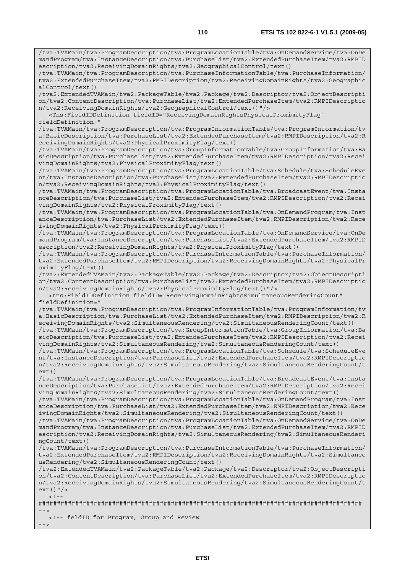/tva:TVAMain/tva:ProgramDescription/tva:ProgramLocationTable/tva:OnDemandService/tva:OnDe mandProgram/tva:InstanceDescription/tva:PurchaseList/tva2:ExtendedPurchaseItem/tva2:RMPID escription/tva2:ReceivingDomainRights/tva2:GeographicalControl/text()

/tva:TVAMain/tva:ProgramDescription/tva:PurchaseInformationTable/tva:PurchaseInformation/ tva2:ExtendedPurchaseItem/tva2:RMPIDescription/tva2:ReceivingDomainRights/tva2:Geographic alControl/text()

/tva2:ExtendedTVAMain/tva2:PackageTable/tva2:Package/tva2:Descriptor/tva2:ObjectDescripti on/tva2:ContentDescription/tva:PurchaseList/tva2:ExtendedPurchaseItem/tva2:RMPIDescriptio n/tva2:ReceivingDomainRights/tva2:GeographicalControl/text()"/>

 <Tns:FieldIDDefinition fieldID="ReceivingDomainRightsPhysicalProximityFlag" fieldDefinition="

/tva:TVAMain/tva:ProgramDescription/tva:ProgramInformationTable/tva:ProgramInformation/tv a:BasicDescription/tva:PurchaseList/tva2:ExtendedPurchaseItem/tva2:RMPIDescription/tva2:R eceivingDomainRights/tva2:PhysicalProximityFlag/text()

/tva:TVAMain/tva:ProgramDescription/tva:GroupInformationTable/tva:GroupInformation/tva:Ba sicDescription/tva:PurchaseList/tva2:ExtendedPurchaseItem/tva2:RMPIDescription/tva2:Recei vingDomainRights/tva2:PhysicalProximityFlag/text()

/tva:TVAMain/tva:ProgramDescription/tva:ProgramLocationTable/tva:Schedule/tva:ScheduleEve nt/tva:InstanceDescription/tva:PurchaseList/tva2:ExtendedPurchaseItem/tva2:RMPIDescriptio n/tva2:ReceivingDomainRights/tva2:PhysicalProximityFlag/text()

/tva:TVAMain/tva:ProgramDescription/tva:ProgramLocationTable/tva:BroadcastEvent/tva:Insta nceDescription/tva:PurchaseList/tva2:ExtendedPurchaseItem/tva2:RMPIDescription/tva2:Recei vingDomainRights/tva2:PhysicalProximityFlag/text()

/tva:TVAMain/tva:ProgramDescription/tva:ProgramLocationTable/tva:OnDemandProgram/tva:Inst anceDescription/tva:PurchaseList/tva2:ExtendedPurchaseItem/tva2:RMPIDescription/tva2:Rece ivingDomainRights/tva2:PhysicalProximityFlag/text()

/tva:TVAMain/tva:ProgramDescription/tva:ProgramLocationTable/tva:OnDemandService/tva:OnDe mandProgram/tva:InstanceDescription/tva:PurchaseList/tva2:ExtendedPurchaseItem/tva2:RMPID escription/tva2:ReceivingDomainRights/tva2:PhysicalProximityFlag/text()

/tva:TVAMain/tva:ProgramDescription/tva:PurchaseInformationTable/tva:PurchaseInformation/ tva2:ExtendedPurchaseItem/tva2:RMPIDescription/tva2:ReceivingDomainRights/tva2:PhysicalPr oximityFlag/text()

/tva2:ExtendedTVAMain/tva2:PackageTable/tva2:Package/tva2:Descriptor/tva2:ObjectDescripti on/tva2:ContentDescription/tva:PurchaseList/tva2:ExtendedPurchaseItem/tva2:RMPIDescriptio n/tva2:ReceivingDomainRights/tva2:PhysicalProximityFlag/text()"/>

 <tns:FieldIDDefinition fieldID="ReceivingDomainRightsSimultaneousRenderingCount" fieldDefinition="

/tva:TVAMain/tva:ProgramDescription/tva:ProgramInformationTable/tva:ProgramInformation/tv a:BasicDescription/tva:PurchaseList/tva2:ExtendedPurchaseItem/tva2:RMPIDescription/tva2:R eceivingDomainRights/tva2:SimultaneousRendering/tva2:SimultaneousRenderingCount/text()

/tva:TVAMain/tva:ProgramDescription/tva:GroupInformationTable/tva:GroupInformation/tva:Ba sicDescription/tva:PurchaseList/tva2:ExtendedPurchaseItem/tva2:RMPIDescription/tva2:Recei vingDomainRights/tva2:SimultaneousRendering/tva2:SimultaneousRenderingCount/text()

/tva:TVAMain/tva:ProgramDescription/tva:ProgramLocationTable/tva:Schedule/tva:ScheduleEve nt/tva:InstanceDescription/tva:PurchaseList/tva2:ExtendedPurchaseItem/tva2:RMPIDescriptio n/tva2:ReceivingDomainRights/tva2:SimultaneousRendering/tva2:SimultaneousRenderingCount/t ext()

/tva:TVAMain/tva:ProgramDescription/tva:ProgramLocationTable/tva:BroadcastEvent/tva:Insta nceDescription/tva:PurchaseList/tva2:ExtendedPurchaseItem/tva2:RMPIDescription/tva2:Recei vingDomainRights/tva2:SimultaneousRendering/tva2:SimultaneousRenderingCount/text()

/tva:TVAMain/tva:ProgramDescription/tva:ProgramLocationTable/tva:OnDemandProgram/tva:Inst anceDescription/tva:PurchaseList/tva2:ExtendedPurchaseItem/tva2:RMPIDescription/tva2:Rece ivingDomainRights/tva2:SimultaneousRendering/tva2:SimultaneousRenderingCount/text()

/tva:TVAMain/tva:ProgramDescription/tva:ProgramLocationTable/tva:OnDemandService/tva:OnDe mandProgram/tva:InstanceDescription/tva:PurchaseList/tva2:ExtendedPurchaseItem/tva2:RMPID escription/tva2:ReceivingDomainRights/tva2:SimultaneousRendering/tva2:SimultaneousRenderi ngCount/text()

/tva:TVAMain/tva:ProgramDescription/tva:PurchaseInformationTable/tva:PurchaseInformation/ tva2:ExtendedPurchaseItem/tva2:RMPIDescription/tva2:ReceivingDomainRights/tva2:Simultaneo usRendering/tva2:SimultaneousRenderingCount/text()

/tva2:ExtendedTVAMain/tva2:PackageTable/tva2:Package/tva2:Descriptor/tva2:ObjectDescripti on/tva2:ContentDescription/tva:PurchaseList/tva2:ExtendedPurchaseItem/tva2:RMPIDescriptio n/tva2:ReceivingDomainRights/tva2:SimultaneousRendering/tva2:SimultaneousRenderingCount/t ext()"/>  $\lt$  ! -

######################################################################################## -->

<!-- feldID for Program, Group and Review

 $-->$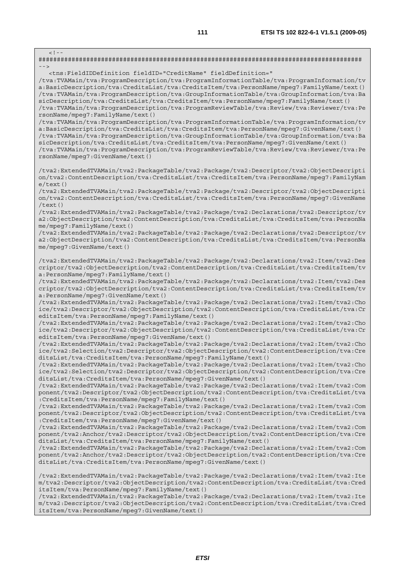$\lt$  ! -######################################################################################## --> <tns:FieldIDDefinition fieldID="CreditName" fieldDefinition=" /tva:TVAMain/tva:ProgramDescription/tva:ProgramInformationTable/tva:ProgramInformation/tv a:BasicDescription/tva:CreditsList/tva:CreditsItem/tva:PersonName/mpeg7:FamilyName/text() /tva:TVAMain/tva:ProgramDescription/tva:GroupInformationTable/tva:GroupInformation/tva:Ba sicDescription/tva:CreditsList/tva:CreditsItem/tva:PersonName/mpeg7:FamilyName/text() /tva:TVAMain/tva:ProgramDescription/tva:ProgramReviewTable/tva:Review/tva:Reviewer/tva:Pe rsonName/mpeg7:FamilyName/text() /tva:TVAMain/tva:ProgramDescription/tva:ProgramInformationTable/tva:ProgramInformation/tv a:BasicDescription/tva:CreditsList/tva:CreditsItem/tva:PersonName/mpeg7:GivenName/text() /tva:TVAMain/tva:ProgramDescription/tva:GroupInformationTable/tva:GroupInformation/tva:Ba sicDescription/tva:CreditsList/tva:CreditsItem/tva:PersonName/mpeg7:GivenName/text() /tva:TVAMain/tva:ProgramDescription/tva:ProgramReviewTable/tva:Review/tva:Reviewer/tva:Pe rsonName/mpeg7:GivenName/text() /tva2:ExtendedTVAMain/tva2:PackageTable/tva2:Package/tva2:Descriptor/tva2:ObjectDescripti on/tva2:ContentDescription/tva:CreditsList/tva:CreditsItem/tva:PersonName/mpeg7:FamilyNam  $\rho$ /text() /tva2:ExtendedTVAMain/tva2:PackageTable/tva2:Package/tva2:Descriptor/tva2:ObjectDescripti on/tva2:ContentDescription/tva:CreditsList/tva:CreditsItem/tva:PersonName/mpeg7:GivenName /text() /tva2:ExtendedTVAMain/tva2:PackageTable/tva2:Package/tva2:Declarations/tva2:Descriptor/tv a2:ObjectDescription/tva2:ContentDescription/tva:CreditsList/tva:CreditsItem/tva:PersonNa me/mpeg7:FamilyName/text() /tva2:ExtendedTVAMain/tva2:PackageTable/tva2:Package/tva2:Declarations/tva2:Descriptor/tv a2:ObjectDescription/tva2:ContentDescription/tva:CreditsList/tva:CreditsItem/tva:PersonNa me/mpeg7:GivenName/text() /tva2:ExtendedTVAMain/tva2:PackageTable/tva2:Package/tva2:Declarations/tva2:Item/tva2:Des criptor/tva2:ObjectDescription/tva2:ContentDescription/tva:CreditsList/tva:CreditsItem/tv a:PersonName/mpeg7:FamilyName/text() /tva2:ExtendedTVAMain/tva2:PackageTable/tva2:Package/tva2:Declarations/tva2:Item/tva2:Des criptor/tva2:ObjectDescription/tva2:ContentDescription/tva:CreditsList/tva:CreditsItem/tv a:PersonName/mpeg7:GivenName/text() /tva2:ExtendedTVAMain/tva2:PackageTable/tva2:Package/tva2:Declarations/tva2:Item/tva2:Cho ice/tva2:Descriptor/tva2:ObjectDescription/tva2:ContentDescription/tva:CreditsList/tva:Cr editsItem/tva:PersonName/mpeg7:FamilyName/text() /tva2:ExtendedTVAMain/tva2:PackageTable/tva2:Package/tva2:Declarations/tva2:Item/tva2:Cho ice/tva2:Descriptor/tva2:ObjectDescription/tva2:ContentDescription/tva:CreditsList/tva:Cr editsItem/tva:PersonName/mpeg7:GivenName/text() /tva2:ExtendedTVAMain/tva2:PackageTable/tva2:Package/tva2:Declarations/tva2:Item/tva2:Cho ice/tva2:Selection/tva2:Descriptor/tva2:ObjectDescription/tva2:ContentDescription/tva:Cre ditsList/tva:CreditsItem/tva:PersonName/mpeg7:FamilyName/text() /tva2:ExtendedTVAMain/tva2:PackageTable/tva2:Package/tva2:Declarations/tva2:Item/tva2:Cho ice/tva2:Selection/tva2:Descriptor/tva2:ObjectDescription/tva2:ContentDescription/tva:Cre ditsList/tva:CreditsItem/tva:PersonName/mpeg7:GivenName/text() /tva2:ExtendedTVAMain/tva2:PackageTable/tva2:Package/tva2:Declarations/tva2:Item/tva2:Com ponent/tva2:Descriptor/tva2:ObjectDescription/tva2:ContentDescription/tva:CreditsList/tva :CreditsItem/tva:PersonName/mpeg7:FamilyName/text() /tva2:ExtendedTVAMain/tva2:PackageTable/tva2:Package/tva2:Declarations/tva2:Item/tva2:Com ponent/tva2:Descriptor/tva2:ObjectDescription/tva2:ContentDescription/tva:CreditsList/tva :CreditsItem/tva:PersonName/mpeg7:GivenName/text() /tva2:ExtendedTVAMain/tva2:PackageTable/tva2:Package/tva2:Declarations/tva2:Item/tva2:Com ponent/tva2:Anchor/tva2:Descriptor/tva2:ObjectDescription/tva2:ContentDescription/tva:Cre ditsList/tva:CreditsItem/tva:PersonName/mpeg7:FamilyName/text() /tva2:ExtendedTVAMain/tva2:PackageTable/tva2:Package/tva2:Declarations/tva2:Item/tva2:Com ponent/tva2:Anchor/tva2:Descriptor/tva2:ObjectDescription/tva2:ContentDescription/tva:Cre ditsList/tva:CreditsItem/tva:PersonName/mpeg7:GivenName/text() /tva2:ExtendedTVAMain/tva2:PackageTable/tva2:Package/tva2:Declarations/tva2:Item/tva2:Ite m/tva2:Descriptor/tva2:ObjectDescription/tva2:ContentDescription/tva:CreditsList/tva:Cred itsItem/tva:PersonName/mpeg7:FamilyName/text() /tva2:ExtendedTVAMain/tva2:PackageTable/tva2:Package/tva2:Declarations/tva2:Item/tva2:Ite

m/tva2:Descriptor/tva2:ObjectDescription/tva2:ContentDescription/tva:CreditsList/tva:Cred itsItem/tva:PersonName/mpeg7:GivenName/text()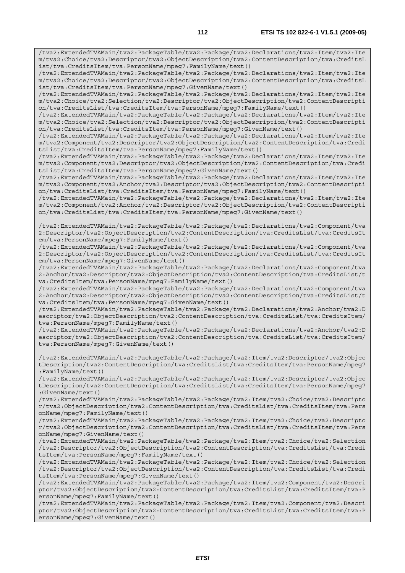/tva2:ExtendedTVAMain/tva2:PackageTable/tva2:Package/tva2:Declarations/tva2:Item/tva2:Ite m/tva2:Choice/tva2:Descriptor/tva2:ObjectDescription/tva2:ContentDescription/tva:CreditsL ist/tva:CreditsItem/tva:PersonName/mpeg7:FamilyName/text()

/tva2:ExtendedTVAMain/tva2:PackageTable/tva2:Package/tva2:Declarations/tva2:Item/tva2:Ite m/tva2:Choice/tva2:Descriptor/tva2:ObjectDescription/tva2:ContentDescription/tva:CreditsL ist/tva:CreditsItem/tva:PersonName/mpeg7:GivenName/text()

/tva2:ExtendedTVAMain/tva2:PackageTable/tva2:Package/tva2:Declarations/tva2:Item/tva2:Ite m/tva2:Choice/tva2:Selection/tva2:Descriptor/tva2:ObjectDescription/tva2:ContentDescripti on/tva:CreditsList/tva:CreditsItem/tva:PersonName/mpeg7:FamilyName/text()

/tva2:ExtendedTVAMain/tva2:PackageTable/tva2:Package/tva2:Declarations/tva2:Item/tva2:Ite m/tva2:Choice/tva2:Selection/tva2:Descriptor/tva2:ObjectDescription/tva2:ContentDescripti on/tva:CreditsList/tva:CreditsItem/tva:PersonName/mpeg7:GivenName/text()

/tva2:ExtendedTVAMain/tva2:PackageTable/tva2:Package/tva2:Declarations/tva2:Item/tva2:Ite m/tva2:Component/tva2:Descriptor/tva2:ObjectDescription/tva2:ContentDescription/tva:Credi tsList/tva:CreditsItem/tva:PersonName/mpeg7:FamilyName/text()

/tva2:ExtendedTVAMain/tva2:PackageTable/tva2:Package/tva2:Declarations/tva2:Item/tva2:Ite m/tva2:Component/tva2:Descriptor/tva2:ObjectDescription/tva2:ContentDescription/tva:Credi tsList/tva:CreditsItem/tva:PersonName/mpeg7:GivenName/text()

/tva2:ExtendedTVAMain/tva2:PackageTable/tva2:Package/tva2:Declarations/tva2:Item/tva2:Ite m/tva2:Component/tva2:Anchor/tva2:Descriptor/tva2:ObjectDescription/tva2:ContentDescripti on/tva:CreditsList/tva:CreditsItem/tva:PersonName/mpeg7:FamilyName/text()

/tva2:ExtendedTVAMain/tva2:PackageTable/tva2:Package/tva2:Declarations/tva2:Item/tva2:Ite m/tva2:Component/tva2:Anchor/tva2:Descriptor/tva2:ObjectDescription/tva2:ContentDescripti on/tva:CreditsList/tva:CreditsItem/tva:PersonName/mpeg7:GivenName/text()

/tva2:ExtendedTVAMain/tva2:PackageTable/tva2:Package/tva2:Declarations/tva2:Component/tva 2:Descriptor/tva2:ObjectDescription/tva2:ContentDescription/tva:CreditsList/tva:CreditsIt em/tva:PersonName/mpeg7:FamilyName/text()

/tva2:ExtendedTVAMain/tva2:PackageTable/tva2:Package/tva2:Declarations/tva2:Component/tva 2:Descriptor/tva2:ObjectDescription/tva2:ContentDescription/tva:CreditsList/tva:CreditsIt em/tva:PersonName/mpeg7:GivenName/text()

/tva2:ExtendedTVAMain/tva2:PackageTable/tva2:Package/tva2:Declarations/tva2:Component/tva 2:Anchor/tva2:Descriptor/tva2:ObjectDescription/tva2:ContentDescription/tva:CreditsList/t va:CreditsItem/tva:PersonName/mpeg7:FamilyName/text()

/tva2:ExtendedTVAMain/tva2:PackageTable/tva2:Package/tva2:Declarations/tva2:Component/tva 2:Anchor/tva2:Descriptor/tva2:ObjectDescription/tva2:ContentDescription/tva:CreditsList/t va:CreditsItem/tva:PersonName/mpeg7:GivenName/text()

/tva2:ExtendedTVAMain/tva2:PackageTable/tva2:Package/tva2:Declarations/tva2:Anchor/tva2:D escriptor/tva2:ObjectDescription/tva2:ContentDescription/tva:CreditsList/tva:CreditsItem/ tva:PersonName/mpeg7:FamilyName/text()

/tva2:ExtendedTVAMain/tva2:PackageTable/tva2:Package/tva2:Declarations/tva2:Anchor/tva2:D escriptor/tva2:ObjectDescription/tva2:ContentDescription/tva:CreditsList/tva:CreditsItem/ tva:PersonName/mpeg7:GivenName/text()

/tva2:ExtendedTVAMain/tva2:PackageTable/tva2:Package/tva2:Item/tva2:Descriptor/tva2:Objec tDescription/tva2:ContentDescription/tva:CreditsList/tva:CreditsItem/tva:PersonName/mpeg7 :FamilyName/text()

/tva2:ExtendedTVAMain/tva2:PackageTable/tva2:Package/tva2:Item/tva2:Descriptor/tva2:Objec tDescription/tva2:ContentDescription/tva:CreditsList/tva:CreditsItem/tva:PersonName/mpeg7 :GivenName/text()

/tva2:ExtendedTVAMain/tva2:PackageTable/tva2:Package/tva2:Item/tva2:Choice/tva2:Descripto r/tva2:ObjectDescription/tva2:ContentDescription/tva:CreditsList/tva:CreditsItem/tva:Pers onName/mpeg7:FamilyName/text()

/tva2:ExtendedTVAMain/tva2:PackageTable/tva2:Package/tva2:Item/tva2:Choice/tva2:Descripto r/tva2:ObjectDescription/tva2:ContentDescription/tva:CreditsList/tva:CreditsItem/tva:Pers onName/mpeg7:GivenName/text()

/tva2:ExtendedTVAMain/tva2:PackageTable/tva2:Package/tva2:Item/tva2:Choice/tva2:Selection /tva2:Descriptor/tva2:ObjectDescription/tva2:ContentDescription/tva:CreditsList/tva:Credi tsItem/tva:PersonName/mpeg7:FamilyName/text()

/tva2:ExtendedTVAMain/tva2:PackageTable/tva2:Package/tva2:Item/tva2:Choice/tva2:Selection /tva2:Descriptor/tva2:ObjectDescription/tva2:ContentDescription/tva:CreditsList/tva:Credi tsItem/tva:PersonName/mpeg7:GivenName/text()

/tva2:ExtendedTVAMain/tva2:PackageTable/tva2:Package/tva2:Item/tva2:Component/tva2:Descri ptor/tva2:ObjectDescription/tva2:ContentDescription/tva:CreditsList/tva:CreditsItem/tva:P ersonName/mpeg7:FamilyName/text()

/tva2:ExtendedTVAMain/tva2:PackageTable/tva2:Package/tva2:Item/tva2:Component/tva2:Descri ptor/tva2:ObjectDescription/tva2:ContentDescription/tva:CreditsList/tva:CreditsItem/tva:P ersonName/mpeg7:GivenName/text()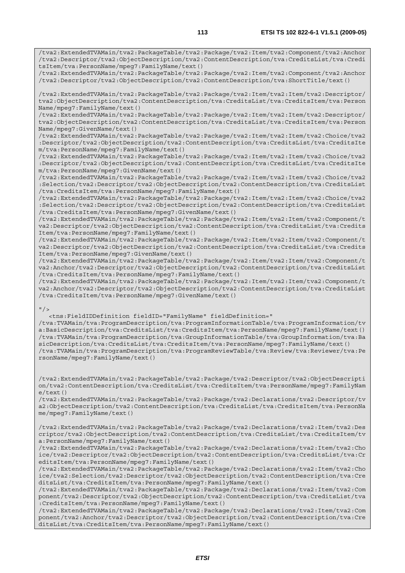/tva2:ExtendedTVAMain/tva2:PackageTable/tva2:Package/tva2:Item/tva2:Component/tva2:Anchor

/tva2:Descriptor/tva2:ObjectDescription/tva2:ContentDescription/tva:CreditsList/tva:Credi tsItem/tva:PersonName/mpeg7:FamilyName/text() /tva2:ExtendedTVAMain/tva2:PackageTable/tva2:Package/tva2:Item/tva2:Component/tva2:Anchor /tva2:Descriptor/tva2:ObjectDescription/tva2:ContentDescription/tva:ShortTitle/text() /tva2:ExtendedTVAMain/tva2:PackageTable/tva2:Package/tva2:Item/tva2:Item/tva2:Descriptor/ tva2:ObjectDescription/tva2:ContentDescription/tva:CreditsList/tva:CreditsItem/tva:Person Name/mpeg7:FamilyName/text() /tva2:ExtendedTVAMain/tva2:PackageTable/tva2:Package/tva2:Item/tva2:Item/tva2:Descriptor/ tva2:ObjectDescription/tva2:ContentDescription/tva:CreditsList/tva:CreditsItem/tva:Person Name/mpeg7:GivenName/text() /tva2:ExtendedTVAMain/tva2:PackageTable/tva2:Package/tva2:Item/tva2:Item/tva2:Choice/tva2 :Descriptor/tva2:ObjectDescription/tva2:ContentDescription/tva:CreditsList/tva:CreditsIte m/tva:PersonName/mpeg7:FamilyName/text() /tva2:ExtendedTVAMain/tva2:PackageTable/tva2:Package/tva2:Item/tva2:Item/tva2:Choice/tva2 :Descriptor/tva2:ObjectDescription/tva2:ContentDescription/tva:CreditsList/tva:CreditsIte

m/tva:PersonName/mpeg7:GivenName/text()

/tva2:ExtendedTVAMain/tva2:PackageTable/tva2:Package/tva2:Item/tva2:Item/tva2:Choice/tva2 :Selection/tva2:Descriptor/tva2:ObjectDescription/tva2:ContentDescription/tva:CreditsList /tva:CreditsItem/tva:PersonName/mpeg7:FamilyName/text()

/tva2:ExtendedTVAMain/tva2:PackageTable/tva2:Package/tva2:Item/tva2:Item/tva2:Choice/tva2 :Selection/tva2:Descriptor/tva2:ObjectDescription/tva2:ContentDescription/tva:CreditsList /tva:CreditsItem/tva:PersonName/mpeg7:GivenName/text()

/tva2:ExtendedTVAMain/tva2:PackageTable/tva2:Package/tva2:Item/tva2:Item/tva2:Component/t va2:Descriptor/tva2:ObjectDescription/tva2:ContentDescription/tva:CreditsList/tva:Credits Item/tva:PersonName/mpeg7:FamilyName/text()

/tva2:ExtendedTVAMain/tva2:PackageTable/tva2:Package/tva2:Item/tva2:Item/tva2:Component/t va2:Descriptor/tva2:ObjectDescription/tva2:ContentDescription/tva:CreditsList/tva:Credits Item/tva:PersonName/mpeg7:GivenName/text()

/tva2:ExtendedTVAMain/tva2:PackageTable/tva2:Package/tva2:Item/tva2:Item/tva2:Component/t va2:Anchor/tva2:Descriptor/tva2:ObjectDescription/tva2:ContentDescription/tva:CreditsList /tva:CreditsItem/tva:PersonName/mpeg7:FamilyName/text()

/tva2:ExtendedTVAMain/tva2:PackageTable/tva2:Package/tva2:Item/tva2:Item/tva2:Component/t va2:Anchor/tva2:Descriptor/tva2:ObjectDescription/tva2:ContentDescription/tva:CreditsList /tva:CreditsItem/tva:PersonName/mpeg7:GivenName/text()

## $"$  />

 <tns:FieldIDDefinition fieldID="FamilyName" fieldDefinition=" /tva:TVAMain/tva:ProgramDescription/tva:ProgramInformationTable/tva:ProgramInformation/tv a:BasicDescription/tva:CreditsList/tva:CreditsItem/tva:PersonName/mpeg7:FamilyName/text() /tva:TVAMain/tva:ProgramDescription/tva:GroupInformationTable/tva:GroupInformation/tva:Ba sicDescription/tva:CreditsList/tva:CreditsItem/tva:PersonName/mpeg7:FamilyName/text() /tva:TVAMain/tva:ProgramDescription/tva:ProgramReviewTable/tva:Review/tva:Reviewer/tva:Pe rsonName/mpeg7:FamilyName/text()

/tva2:ExtendedTVAMain/tva2:PackageTable/tva2:Package/tva2:Descriptor/tva2:ObjectDescripti on/tva2:ContentDescription/tva:CreditsList/tva:CreditsItem/tva:PersonName/mpeg7:FamilyNam  $e$ /text $()$ 

/tva2:ExtendedTVAMain/tva2:PackageTable/tva2:Package/tva2:Declarations/tva2:Descriptor/tv a2:ObjectDescription/tva2:ContentDescription/tva:CreditsList/tva:CreditsItem/tva:PersonNa me/mpeg7:FamilyName/text()

/tva2:ExtendedTVAMain/tva2:PackageTable/tva2:Package/tva2:Declarations/tva2:Item/tva2:Des criptor/tva2:ObjectDescription/tva2:ContentDescription/tva:CreditsList/tva:CreditsItem/tv a:PersonName/mpeg7:FamilyName/text()

/tva2:ExtendedTVAMain/tva2:PackageTable/tva2:Package/tva2:Declarations/tva2:Item/tva2:Cho ice/tva2:Descriptor/tva2:ObjectDescription/tva2:ContentDescription/tva:CreditsList/tva:Cr editsItem/tva:PersonName/mpeg7:FamilyName/text()

/tva2:ExtendedTVAMain/tva2:PackageTable/tva2:Package/tva2:Declarations/tva2:Item/tva2:Cho ice/tva2:Selection/tva2:Descriptor/tva2:ObjectDescription/tva2:ContentDescription/tva:Cre ditsList/tva:CreditsItem/tva:PersonName/mpeg7:FamilyName/text()

/tva2:ExtendedTVAMain/tva2:PackageTable/tva2:Package/tva2:Declarations/tva2:Item/tva2:Com ponent/tva2:Descriptor/tva2:ObjectDescription/tva2:ContentDescription/tva:CreditsList/tva :CreditsItem/tva:PersonName/mpeg7:FamilyName/text()

/tva2:ExtendedTVAMain/tva2:PackageTable/tva2:Package/tva2:Declarations/tva2:Item/tva2:Com ponent/tva2:Anchor/tva2:Descriptor/tva2:ObjectDescription/tva2:ContentDescription/tva:Cre ditsList/tva:CreditsItem/tva:PersonName/mpeg7:FamilyName/text()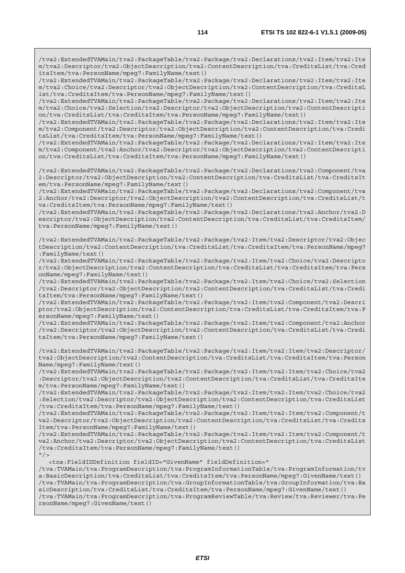/tva2:ExtendedTVAMain/tva2:PackageTable/tva2:Package/tva2:Declarations/tva2:Item/tva2:Ite m/tva2:Descriptor/tva2:ObjectDescription/tva2:ContentDescription/tva:CreditsList/tva:Cred itsItem/tva:PersonName/mpeg7:FamilyName/text()

/tva2:ExtendedTVAMain/tva2:PackageTable/tva2:Package/tva2:Declarations/tva2:Item/tva2:Ite m/tva2:Choice/tva2:Descriptor/tva2:ObjectDescription/tva2:ContentDescription/tva:CreditsL ist/tva:CreditsItem/tva:PersonName/mpeg7:FamilyName/text()

/tva2:ExtendedTVAMain/tva2:PackageTable/tva2:Package/tva2:Declarations/tva2:Item/tva2:Ite m/tva2:Choice/tva2:Selection/tva2:Descriptor/tva2:ObjectDescription/tva2:ContentDescripti on/tva:CreditsList/tva:CreditsItem/tva:PersonName/mpeg7:FamilyName/text()

/tva2:ExtendedTVAMain/tva2:PackageTable/tva2:Package/tva2:Declarations/tva2:Item/tva2:Ite m/tva2:Component/tva2:Descriptor/tva2:ObjectDescription/tva2:ContentDescription/tva:Credi tsList/tva:CreditsItem/tva:PersonName/mpeg7:FamilyName/text()

/tva2:ExtendedTVAMain/tva2:PackageTable/tva2:Package/tva2:Declarations/tva2:Item/tva2:Ite m/tva2:Component/tva2:Anchor/tva2:Descriptor/tva2:ObjectDescription/tva2:ContentDescripti on/tva:CreditsList/tva:CreditsItem/tva:PersonName/mpeg7:FamilyName/text()

/tva2:ExtendedTVAMain/tva2:PackageTable/tva2:Package/tva2:Declarations/tva2:Component/tva 2:Descriptor/tva2:ObjectDescription/tva2:ContentDescription/tva:CreditsList/tva:CreditsIt em/tva:PersonName/mpeg7:FamilyName/text()

/tva2:ExtendedTVAMain/tva2:PackageTable/tva2:Package/tva2:Declarations/tva2:Component/tva 2:Anchor/tva2:Descriptor/tva2:ObjectDescription/tva2:ContentDescription/tva:CreditsList/t va:CreditsItem/tva:PersonName/mpeg7:FamilyName/text()

/tva2:ExtendedTVAMain/tva2:PackageTable/tva2:Package/tva2:Declarations/tva2:Anchor/tva2:D escriptor/tva2:ObjectDescription/tva2:ContentDescription/tva:CreditsList/tva:CreditsItem/ tva:PersonName/mpeg7:FamilyName/text()

/tva2:ExtendedTVAMain/tva2:PackageTable/tva2:Package/tva2:Item/tva2:Descriptor/tva2:Objec tDescription/tva2:ContentDescription/tva:CreditsList/tva:CreditsItem/tva:PersonName/mpeg7 :FamilyName/text()

/tva2:ExtendedTVAMain/tva2:PackageTable/tva2:Package/tva2:Item/tva2:Choice/tva2:Descripto r/tva2:ObjectDescription/tva2:ContentDescription/tva:CreditsList/tva:CreditsItem/tva:Pers onName/mpeg7:FamilyName/text()

/tva2:ExtendedTVAMain/tva2:PackageTable/tva2:Package/tva2:Item/tva2:Choice/tva2:Selection /tva2:Descriptor/tva2:ObjectDescription/tva2:ContentDescription/tva:CreditsList/tva:Credi tsItem/tva:PersonName/mpeg7:FamilyName/text()

/tva2:ExtendedTVAMain/tva2:PackageTable/tva2:Package/tva2:Item/tva2:Component/tva2:Descri ptor/tva2:ObjectDescription/tva2:ContentDescription/tva:CreditsList/tva:CreditsItem/tva:P ersonName/mpeg7:FamilyName/text()

/tva2:ExtendedTVAMain/tva2:PackageTable/tva2:Package/tva2:Item/tva2:Component/tva2:Anchor /tva2:Descriptor/tva2:ObjectDescription/tva2:ContentDescription/tva:CreditsList/tva:Credi tsItem/tva:PersonName/mpeg7:FamilyName/text()

/tva2:ExtendedTVAMain/tva2:PackageTable/tva2:Package/tva2:Item/tva2:Item/tva2:Descriptor/ tva2:ObjectDescription/tva2:ContentDescription/tva:CreditsList/tva:CreditsItem/tva:Person Name/mpeg7:FamilyName/text()

/tva2:ExtendedTVAMain/tva2:PackageTable/tva2:Package/tva2:Item/tva2:Item/tva2:Choice/tva2 :Descriptor/tva2:ObjectDescription/tva2:ContentDescription/tva:CreditsList/tva:CreditsIte m/tva:PersonName/mpeg7:FamilyName/text()

/tva2:ExtendedTVAMain/tva2:PackageTable/tva2:Package/tva2:Item/tva2:Item/tva2:Choice/tva2 :Selection/tva2:Descriptor/tva2:ObjectDescription/tva2:ContentDescription/tva:CreditsList /tva:CreditsItem/tva:PersonName/mpeg7:FamilyName/text()

/tva2:ExtendedTVAMain/tva2:PackageTable/tva2:Package/tva2:Item/tva2:Item/tva2:Component/t va2:Descriptor/tva2:ObjectDescription/tva2:ContentDescription/tva:CreditsList/tva:Credits Item/tva:PersonName/mpeg7:FamilyName/text()

/tva2:ExtendedTVAMain/tva2:PackageTable/tva2:Package/tva2:Item/tva2:Item/tva2:Component/t va2:Anchor/tva2:Descriptor/tva2:ObjectDescription/tva2:ContentDescription/tva:CreditsList /tva:CreditsItem/tva:PersonName/mpeg7:FamilyName/text()  $"$  />

<tns:FieldIDDefinition fieldID="GivenName" fieldDefinition="

/tva:TVAMain/tva:ProgramDescription/tva:ProgramInformationTable/tva:ProgramInformation/tv a:BasicDescription/tva:CreditsList/tva:CreditsItem/tva:PersonName/mpeg7:GivenName/text() /tva:TVAMain/tva:ProgramDescription/tva:GroupInformationTable/tva:GroupInformation/tva:Ba sicDescription/tva:CreditsList/tva:CreditsItem/tva:PersonName/mpeg7:GivenName/text() /tva:TVAMain/tva:ProgramDescription/tva:ProgramReviewTable/tva:Review/tva:Reviewer/tva:Pe rsonName/mpeg7:GivenName/text()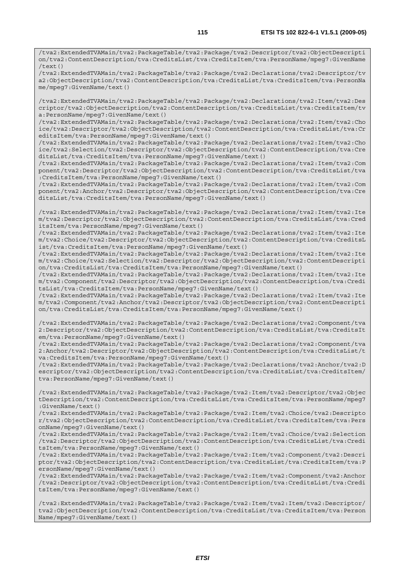/tva2:ExtendedTVAMain/tva2:PackageTable/tva2:Package/tva2:Declarations/tva2:Descriptor/tv a2:ObjectDescription/tva2:ContentDescription/tva:CreditsList/tva:CreditsItem/tva:PersonNa me/mpeg7:GivenName/text()

/tva2:ExtendedTVAMain/tva2:PackageTable/tva2:Package/tva2:Declarations/tva2:Item/tva2:Des criptor/tva2:ObjectDescription/tva2:ContentDescription/tva:CreditsList/tva:CreditsItem/tv a:PersonName/mpeg7:GivenName/text()

/tva2:ExtendedTVAMain/tva2:PackageTable/tva2:Package/tva2:Declarations/tva2:Item/tva2:Cho ice/tva2:Descriptor/tva2:ObjectDescription/tva2:ContentDescription/tva:CreditsList/tva:Cr editsItem/tva:PersonName/mpeg7:GivenName/text()

/tva2:ExtendedTVAMain/tva2:PackageTable/tva2:Package/tva2:Declarations/tva2:Item/tva2:Cho ice/tva2:Selection/tva2:Descriptor/tva2:ObjectDescription/tva2:ContentDescription/tva:Cre ditsList/tva:CreditsItem/tva:PersonName/mpeg7:GivenName/text()

/tva2:ExtendedTVAMain/tva2:PackageTable/tva2:Package/tva2:Declarations/tva2:Item/tva2:Com ponent/tva2:Descriptor/tva2:ObjectDescription/tva2:ContentDescription/tva:CreditsList/tva :CreditsItem/tva:PersonName/mpeg7:GivenName/text()

/tva2:ExtendedTVAMain/tva2:PackageTable/tva2:Package/tva2:Declarations/tva2:Item/tva2:Com ponent/tva2:Anchor/tva2:Descriptor/tva2:ObjectDescription/tva2:ContentDescription/tva:Cre ditsList/tva:CreditsItem/tva:PersonName/mpeg7:GivenName/text()

/tva2:ExtendedTVAMain/tva2:PackageTable/tva2:Package/tva2:Declarations/tva2:Item/tva2:Ite m/tva2:Descriptor/tva2:ObjectDescription/tva2:ContentDescription/tva:CreditsList/tva:Cred itsItem/tva:PersonName/mpeg7:GivenName/text()

/tva2:ExtendedTVAMain/tva2:PackageTable/tva2:Package/tva2:Declarations/tva2:Item/tva2:Ite m/tva2:Choice/tva2:Descriptor/tva2:ObjectDescription/tva2:ContentDescription/tva:CreditsL ist/tva:CreditsItem/tva:PersonName/mpeg7:GivenName/text()

/tva2:ExtendedTVAMain/tva2:PackageTable/tva2:Package/tva2:Declarations/tva2:Item/tva2:Ite m/tva2:Choice/tva2:Selection/tva2:Descriptor/tva2:ObjectDescription/tva2:ContentDescripti on/tva:CreditsList/tva:CreditsItem/tva:PersonName/mpeg7:GivenName/text()

/tva2:ExtendedTVAMain/tva2:PackageTable/tva2:Package/tva2:Declarations/tva2:Item/tva2:Ite m/tva2:Component/tva2:Descriptor/tva2:ObjectDescription/tva2:ContentDescription/tva:Credi tsList/tva:CreditsItem/tva:PersonName/mpeg7:GivenName/text()

/tva2:ExtendedTVAMain/tva2:PackageTable/tva2:Package/tva2:Declarations/tva2:Item/tva2:Ite m/tva2:Component/tva2:Anchor/tva2:Descriptor/tva2:ObjectDescription/tva2:ContentDescripti on/tva:CreditsList/tva:CreditsItem/tva:PersonName/mpeg7:GivenName/text()

/tva2:ExtendedTVAMain/tva2:PackageTable/tva2:Package/tva2:Declarations/tva2:Component/tva 2:Descriptor/tva2:ObjectDescription/tva2:ContentDescription/tva:CreditsList/tva:CreditsIt em/tva:PersonName/mpeg7:GivenName/text()

/tva2:ExtendedTVAMain/tva2:PackageTable/tva2:Package/tva2:Declarations/tva2:Component/tva 2:Anchor/tva2:Descriptor/tva2:ObjectDescription/tva2:ContentDescription/tva:CreditsList/t va:CreditsItem/tva:PersonName/mpeg7:GivenName/text()

/tva2:ExtendedTVAMain/tva2:PackageTable/tva2:Package/tva2:Declarations/tva2:Anchor/tva2:D escriptor/tva2:ObjectDescription/tva2:ContentDescription/tva:CreditsList/tva:CreditsItem/ tva:PersonName/mpeg7:GivenName/text()

/tva2:ExtendedTVAMain/tva2:PackageTable/tva2:Package/tva2:Item/tva2:Descriptor/tva2:Objec tDescription/tva2:ContentDescription/tva:CreditsList/tva:CreditsItem/tva:PersonName/mpeg7 :GivenName/text()

/tva2:ExtendedTVAMain/tva2:PackageTable/tva2:Package/tva2:Item/tva2:Choice/tva2:Descripto r/tva2:ObjectDescription/tva2:ContentDescription/tva:CreditsList/tva:CreditsItem/tva:Pers onName/mpeg7:GivenName/text()

/tva2:ExtendedTVAMain/tva2:PackageTable/tva2:Package/tva2:Item/tva2:Choice/tva2:Selection /tva2:Descriptor/tva2:ObjectDescription/tva2:ContentDescription/tva:CreditsList/tva:Credi tsItem/tva:PersonName/mpeg7:GivenName/text()

/tva2:ExtendedTVAMain/tva2:PackageTable/tva2:Package/tva2:Item/tva2:Component/tva2:Descri ptor/tva2:ObjectDescription/tva2:ContentDescription/tva:CreditsList/tva:CreditsItem/tva:P ersonName/mpeg7:GivenName/text()

/tva2:ExtendedTVAMain/tva2:PackageTable/tva2:Package/tva2:Item/tva2:Component/tva2:Anchor /tva2:Descriptor/tva2:ObjectDescription/tva2:ContentDescription/tva:CreditsList/tva:Credi tsItem/tva:PersonName/mpeg7:GivenName/text()

/tva2:ExtendedTVAMain/tva2:PackageTable/tva2:Package/tva2:Item/tva2:Item/tva2:Descriptor/ tva2:ObjectDescription/tva2:ContentDescription/tva:CreditsList/tva:CreditsItem/tva:Person Name/mpeg7:GivenName/text()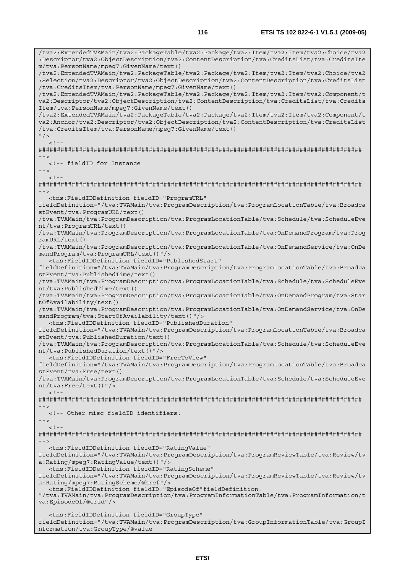/tva2:ExtendedTVAMain/tva2:PackageTable/tva2:Package/tva2:Item/tva2:Item/tva2:Choice/tva2 :Descriptor/tva2:ObjectDescription/tva2:ContentDescription/tva:CreditsList/tva:CreditsIte m/tva:PersonName/mpeg7:GivenName/text() /tva2:ExtendedTVAMain/tva2:PackageTable/tva2:Package/tva2:Item/tva2:Item/tva2:Choice/tva2 :Selection/tva2:Descriptor/tva2:ObjectDescription/tva2:ContentDescription/tva:CreditsList /tva:CreditsItem/tva:PersonName/mpeg7:GivenName/text() /tva2:ExtendedTVAMain/tva2:PackageTable/tva2:Package/tva2:Item/tva2:Item/tva2:Component/t va2:Descriptor/tva2:ObjectDescription/tva2:ContentDescription/tva:CreditsList/tva:Credits Item/tva:PersonName/mpeg7:GivenName/text() /tva2:ExtendedTVAMain/tva2:PackageTable/tva2:Package/tva2:Item/tva2:Item/tva2:Component/t va2:Anchor/tva2:Descriptor/tva2:ObjectDescription/tva2:ContentDescription/tva:CreditsList /tva:CreditsItem/tva:PersonName/mpeg7:GivenName/text()  $"$  / >  $\geq 1$ ######################################################################################## --> <!-- fieldID for Instance -->  $\lt$  ! - -######################################################################################## --> <tns:FieldIDDefinition fieldID="ProgramURL" fieldDefinition="/tva:TVAMain/tva:ProgramDescription/tva:ProgramLocationTable/tva:Broadca stEvent/tva:ProgramURL/text() /tva:TVAMain/tva:ProgramDescription/tva:ProgramLocationTable/tva:Schedule/tva:ScheduleEve nt/tva:ProgramURL/text() /tva:TVAMain/tva:ProgramDescription/tva:ProgramLocationTable/tva:OnDemandProgram/tva:Prog ramURL/text() /tva:TVAMain/tva:ProgramDescription/tva:ProgramLocationTable/tva:OnDemandService/tva:OnDe mandProgram/tva:ProgramURL/text()"/> <tns:FieldIDDefinition fieldID="PublishedStart" fieldDefinition="/tva:TVAMain/tva:ProgramDescription/tva:ProgramLocationTable/tva:Broadca stEvent/tva:PublishedTime/text() /tva:TVAMain/tva:ProgramDescription/tva:ProgramLocationTable/tva:Schedule/tva:ScheduleEve nt/tva:PublishedTime/text() /tva:TVAMain/tva:ProgramDescription/tva:ProgramLocationTable/tva:OnDemandProgram/tva:Star tOfAvailability/text() /tva:TVAMain/tva:ProgramDescription/tva:ProgramLocationTable/tva:OnDemandService/tva:OnDe mandProgram/tva:StartOfAvailability/text()"/> <tns:FieldIDDefinition fieldID="PublishedDuration" fieldDefinition="/tva:TVAMain/tva:ProgramDescription/tva:ProgramLocationTable/tva:Broadca stEvent/tva:PublishedDuration/text() /tva:TVAMain/tva:ProgramDescription/tva:ProgramLocationTable/tva:Schedule/tva:ScheduleEve nt/tva:PublishedDuration/text()"/> <tns:FieldIDDefinition fieldID="FreeToView" fieldDefinition="/tva:TVAMain/tva:ProgramDescription/tva:ProgramLocationTable/tva:Broadca stEvent/tva:Free/text() /tva:TVAMain/tva:ProgramDescription/tva:ProgramLocationTable/tva:Schedule/tva:ScheduleEve nt/tva:Free/text()"/>  $<$ ! --######################################################################################## --> <!-- Other misc fieldID identifiers: -->  $<$ ! --######################################################################################## --> <tns:FieldIDDefinition fieldID="RatingValue" fieldDefinition="/tva:TVAMain/tva:ProgramDescription/tva:ProgramReviewTable/tva:Review/tv a:Rating/mpeg7:RatingValue/text()"/> <tns:FieldIDDefinition fieldID="RatingScheme" fieldDefinition="/tva:TVAMain/tva:ProgramDescription/tva:ProgramReviewTable/tva:Review/tv a:Rating/mpeg7:RatingScheme/@href"/> <tns:FieldIDDefinition fieldID="EpisodeOf"fieldDefinition= "/tva:TVAMain/tva:ProgramDescription/tva:ProgramInformationTable/tva:ProgramInformation/t va:EpisodeOf/@crid"/> <tns:FieldIDDefinition fieldID="GroupType" fieldDefinition="/tva:TVAMain/tva:ProgramDescription/tva:GroupInformationTable/tva:GroupI nformation/tva:GroupType/@value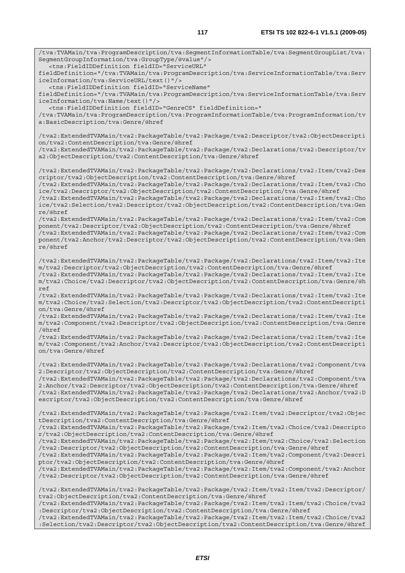/tva:TVAMain/tva:ProgramDescription/tva:SegmentInformationTable/tva:SegmentGroupList/tva:

SegmentGroupInformation/tva:GroupType/@value"/>

 <tns:FieldIDDefinition fieldID="ServiceURL" fieldDefinition="/tva:TVAMain/tva:ProgramDescription/tva:ServiceInformationTable/tva:Serv iceInformation/tva:ServiceURL/text()"/> <tns:FieldIDDefinition fieldID="ServiceName" fieldDefinition="/tva:TVAMain/tva:ProgramDescription/tva:ServiceInformationTable/tva:Serv iceInformation/tva:Name/text()"/> <tns:FieldIDDefinition fieldID="GenreCS" fieldDefinition=" /tva:TVAMain/tva:ProgramDescription/tva:ProgramInformationTable/tva:ProgramInformation/tv a:BasicDescription/tva:Genre/@href /tva2:ExtendedTVAMain/tva2:PackageTable/tva2:Package/tva2:Descriptor/tva2:ObjectDescripti on/tva2:ContentDescription/tva:Genre/@href /tva2:ExtendedTVAMain/tva2:PackageTable/tva2:Package/tva2:Declarations/tva2:Descriptor/tv a2:ObjectDescription/tva2:ContentDescription/tva:Genre/@href /tva2:ExtendedTVAMain/tva2:PackageTable/tva2:Package/tva2:Declarations/tva2:Item/tva2:Des criptor/tva2:ObjectDescription/tva2:ContentDescription/tva:Genre/@href /tva2:ExtendedTVAMain/tva2:PackageTable/tva2:Package/tva2:Declarations/tva2:Item/tva2:Cho ice/tva2:Descriptor/tva2:ObjectDescription/tva2:ContentDescription/tva:Genre/@href /tva2:ExtendedTVAMain/tva2:PackageTable/tva2:Package/tva2:Declarations/tva2:Item/tva2:Cho ice/tva2:Selection/tva2:Descriptor/tva2:ObjectDescription/tva2:ContentDescription/tva:Gen re/@href /tva2:ExtendedTVAMain/tva2:PackageTable/tva2:Package/tva2:Declarations/tva2:Item/tva2:Com ponent/tva2:Descriptor/tva2:ObjectDescription/tva2:ContentDescription/tva:Genre/@href /tva2:ExtendedTVAMain/tva2:PackageTable/tva2:Package/tva2:Declarations/tva2:Item/tva2:Com ponent/tva2:Anchor/tva2:Descriptor/tva2:ObjectDescription/tva2:ContentDescription/tva:Gen re/@href /tva2:ExtendedTVAMain/tva2:PackageTable/tva2:Package/tva2:Declarations/tva2:Item/tva2:Ite m/tva2:Descriptor/tva2:ObjectDescription/tva2:ContentDescription/tva:Genre/@href /tva2:ExtendedTVAMain/tva2:PackageTable/tva2:Package/tva2:Declarations/tva2:Item/tva2:Ite m/tva2:Choice/tva2:Descriptor/tva2:ObjectDescription/tva2:ContentDescription/tva:Genre/@h ref /tva2:ExtendedTVAMain/tva2:PackageTable/tva2:Package/tva2:Declarations/tva2:Item/tva2:Ite m/tva2:Choice/tva2:Selection/tva2:Descriptor/tva2:ObjectDescription/tva2:ContentDescripti on/tva:Genre/@href /tva2:ExtendedTVAMain/tva2:PackageTable/tva2:Package/tva2:Declarations/tva2:Item/tva2:Ite m/tva2:Component/tva2:Descriptor/tva2:ObjectDescription/tva2:ContentDescription/tva:Genre /@href /tva2:ExtendedTVAMain/tva2:PackageTable/tva2:Package/tva2:Declarations/tva2:Item/tva2:Ite m/tva2:Component/tva2:Anchor/tva2:Descriptor/tva2:ObjectDescription/tva2:ContentDescripti on/tva:Genre/@href /tva2:ExtendedTVAMain/tva2:PackageTable/tva2:Package/tva2:Declarations/tva2:Component/tva 2:Descriptor/tva2:ObjectDescription/tva2:ContentDescription/tva:Genre/@href /tva2:ExtendedTVAMain/tva2:PackageTable/tva2:Package/tva2:Declarations/tva2:Component/tva 2:Anchor/tva2:Descriptor/tva2:ObjectDescription/tva2:ContentDescription/tva:Genre/@href /tva2:ExtendedTVAMain/tva2:PackageTable/tva2:Package/tva2:Declarations/tva2:Anchor/tva2:D escriptor/tva2:ObjectDescription/tva2:ContentDescription/tva:Genre/@href /tva2:ExtendedTVAMain/tva2:PackageTable/tva2:Package/tva2:Item/tva2:Descriptor/tva2:Objec tDescription/tva2:ContentDescription/tva:Genre/@href /tva2:ExtendedTVAMain/tva2:PackageTable/tva2:Package/tva2:Item/tva2:Choice/tva2:Descripto r/tva2:ObjectDescription/tva2:ContentDescription/tva:Genre/@href /tva2:ExtendedTVAMain/tva2:PackageTable/tva2:Package/tva2:Item/tva2:Choice/tva2:Selection /tva2:Descriptor/tva2:ObjectDescription/tva2:ContentDescription/tva:Genre/@href /tva2:ExtendedTVAMain/tva2:PackageTable/tva2:Package/tva2:Item/tva2:Component/tva2:Descri ptor/tva2:ObjectDescription/tva2:ContentDescription/tva:Genre/@href /tva2:ExtendedTVAMain/tva2:PackageTable/tva2:Package/tva2:Item/tva2:Component/tva2:Anchor /tva2:Descriptor/tva2:ObjectDescription/tva2:ContentDescription/tva:Genre/@href /tva2:ExtendedTVAMain/tva2:PackageTable/tva2:Package/tva2:Item/tva2:Item/tva2:Descriptor/ tva2:ObjectDescription/tva2:ContentDescription/tva:Genre/@href /tva2:ExtendedTVAMain/tva2:PackageTable/tva2:Package/tva2:Item/tva2:Item/tva2:Choice/tva2 :Descriptor/tva2:ObjectDescription/tva2:ContentDescription/tva:Genre/@href /tva2:ExtendedTVAMain/tva2:PackageTable/tva2:Package/tva2:Item/tva2:Item/tva2:Choice/tva2 :Selection/tva2:Descriptor/tva2:ObjectDescription/tva2:ContentDescription/tva:Genre/@href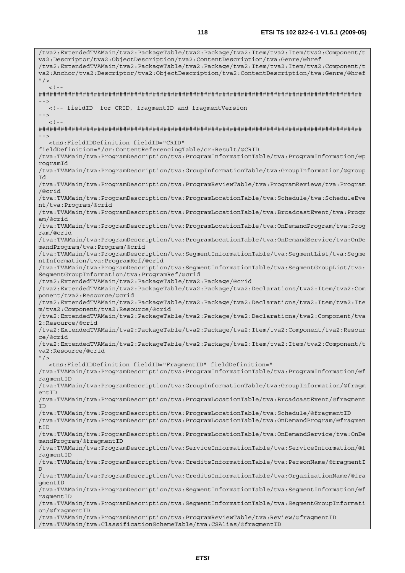/tva2:ExtendedTVAMain/tva2:PackageTable/tva2:Package/tva2:Item/tva2:Item/tva2:Component/t va2:Descriptor/tva2:ObjectDescription/tva2:ContentDescription/tva:Genre/@href /tva2:ExtendedTVAMain/tva2:PackageTable/tva2:Package/tva2:Item/tva2:Item/tva2:Component/t va2:Anchor/tva2:Descriptor/tva2:ObjectDescription/tva2:ContentDescription/tva:Genre/@href  $"$  />  $<$ ! --######################################################################################## --> <!-- fieldID for CRID, fragmentID and fragmentVersion -->  $\lt$  ! ######################################################################################## --> <tns:FieldIDDefinition fieldID="CRID" fieldDefinition="/cr:ContentReferencingTable/cr:Result/@CRID /tva:TVAMain/tva:ProgramDescription/tva:ProgramInformationTable/tva:ProgramInformation/@p rogramId /tva:TVAMain/tva:ProgramDescription/tva:GroupInformationTable/tva:GroupInformation/@group Id /tva:TVAMain/tva:ProgramDescription/tva:ProgramReviewTable/tva:ProgramReviews/tva:Program /@crid /tva:TVAMain/tva:ProgramDescription/tva:ProgramLocationTable/tva:Schedule/tva:ScheduleEve nt/tva:Program/@crid /tva:TVAMain/tva:ProgramDescription/tva:ProgramLocationTable/tva:BroadcastEvent/tva:Progr am/@crid /tva:TVAMain/tva:ProgramDescription/tva:ProgramLocationTable/tva:OnDemandProgram/tva:Prog ram/@crid /tva:TVAMain/tva:ProgramDescription/tva:ProgramLocationTable/tva:OnDemandService/tva:OnDe mandProgram/tva:Program/@crid /tva:TVAMain/tva:ProgramDescription/tva:SegmentInformationTable/tva:SegmentList/tva:Segme ntInformation/tva:ProgramRef/@crid /tva:TVAMain/tva:ProgramDescription/tva:SegmentInformationTable/tva:SegmentGroupList/tva: SegmentGroupInformation/tva:ProgramRef/@crid /tva2:ExtendedTVAMain/tva2:PackageTable/tva2:Package/@crid /tva2:ExtendedTVAMain/tva2:PackageTable/tva2:Package/tva2:Declarations/tva2:Item/tva2:Com ponent/tva2:Resource/@crid /tva2:ExtendedTVAMain/tva2:PackageTable/tva2:Package/tva2:Declarations/tva2:Item/tva2:Ite m/tva2:Component/tva2:Resource/@crid /tva2:ExtendedTVAMain/tva2:PackageTable/tva2:Package/tva2:Declarations/tva2:Component/tva 2:Resource/@crid /tva2:ExtendedTVAMain/tva2:PackageTable/tva2:Package/tva2:Item/tva2:Component/tva2:Resour ce/@crid /tva2:ExtendedTVAMain/tva2:PackageTable/tva2:Package/tva2:Item/tva2:Item/tva2:Component/t va2:Resource/@crid  $''$  /> <tns:FieldIDDefinition fieldID="FragmentID" fieldDefinition=" /tva:TVAMain/tva:ProgramDescription/tva:ProgramInformationTable/tva:ProgramInformation/@f ragmentID /tva:TVAMain/tva:ProgramDescription/tva:GroupInformationTable/tva:GroupInformation/@fragm entID /tva:TVAMain/tva:ProgramDescription/tva:ProgramLocationTable/tva:BroadcastEvent/@fragment ID /tva:TVAMain/tva:ProgramDescription/tva:ProgramLocationTable/tva:Schedule/@fragmentID /tva:TVAMain/tva:ProgramDescription/tva:ProgramLocationTable/tva:OnDemandProgram/@fragmen tID /tva:TVAMain/tva:ProgramDescription/tva:ProgramLocationTable/tva:OnDemandService/tva:OnDe mandProgram/@fragmentID /tva:TVAMain/tva:ProgramDescription/tva:ServiceInformationTable/tva:ServiceInformation/@f ragmentID /tva:TVAMain/tva:ProgramDescription/tva:CreditsInformationTable/tva:PersonName/@fragmentI D /tva:TVAMain/tva:ProgramDescription/tva:CreditsInformationTable/tva:OrganizationName/@fra gmentID /tva:TVAMain/tva:ProgramDescription/tva:SegmentInformationTable/tva:SegmentInformation/@f ragmentID /tva:TVAMain/tva:ProgramDescription/tva:SegmentInformationTable/tva:SegmentGroupInformati on/@fragmentID /tva:TVAMain/tva:ProgramDescription/tva:ProgramReviewTable/tva:Review/@fragmentID /tva:TVAMain/tva:ClassificationSchemeTable/tva:CSAlias/@fragmentID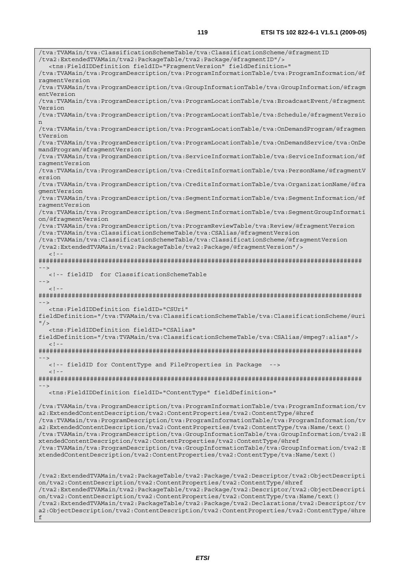/tva:TVAMain/tva:ClassificationSchemeTable/tva:ClassificationScheme/@fragmentID /tva2:ExtendedTVAMain/tva2:PackageTable/tva2:Package/@fragmentID"/> <tns:FieldIDDefinition fieldID="FragmentVersion" fieldDefinition=" /tva:TVAMain/tva:ProgramDescription/tva:ProgramInformationTable/tva:ProgramInformation/@f ragmentVersion /tva:TVAMain/tva:ProgramDescription/tva:GroupInformationTable/tva:GroupInformation/@fragm entVersion /tva:TVAMain/tva:ProgramDescription/tva:ProgramLocationTable/tva:BroadcastEvent/@fragment Version /tva:TVAMain/tva:ProgramDescription/tva:ProgramLocationTable/tva:Schedule/@fragmentVersio n /tva:TVAMain/tva:ProgramDescription/tva:ProgramLocationTable/tva:OnDemandProgram/@fragmen tVersion /tva:TVAMain/tva:ProgramDescription/tva:ProgramLocationTable/tva:OnDemandService/tva:OnDe mandProgram/@fragmentVersion /tva:TVAMain/tva:ProgramDescription/tva:ServiceInformationTable/tva:ServiceInformation/@f ragmentVersion /tva:TVAMain/tva:ProgramDescription/tva:CreditsInformationTable/tva:PersonName/@fragmentV ersion /tva:TVAMain/tva:ProgramDescription/tva:CreditsInformationTable/tva:OrganizationName/@fra gmentVersion /tva:TVAMain/tva:ProgramDescription/tva:SegmentInformationTable/tva:SegmentInformation/@f ragmentVersion /tva:TVAMain/tva:ProgramDescription/tva:SegmentInformationTable/tva:SegmentGroupInformati on/@fragmentVersion /tva:TVAMain/tva:ProgramDescription/tva:ProgramReviewTable/tva:Review/@fragmentVersion /tva:TVAMain/tva:ClassificationSchemeTable/tva:CSAlias/@fragmentVersion /tva:TVAMain/tva:ClassificationSchemeTable/tva:ClassificationScheme/@fragmentVersion /tva2:ExtendedTVAMain/tva2:PackageTable/tva2:Package/@fragmentVersion"/>  $<$ ! --######################################################################################## --> <!-- fieldID for ClassificationSchemeTable -->  $\leq$ ! ######################################################################################## --> <tns:FieldIDDefinition fieldID="CSUri" fieldDefinition="/tva:TVAMain/tva:ClassificationSchemeTable/tva:ClassificationScheme/@uri  $''$  / > <tns:FieldIDDefinition fieldID="CSAlias" fieldDefinition="/tva:TVAMain/tva:ClassificationSchemeTable/tva:CSAlias/@mpeg7:alias"/>  $\langle$ ! -######################################################################################## --> <!-- fieldID for ContentType and FileProperties in Package -->  $2 - 1 - 1$ ######################################################################################## --> <tns:FieldIDDefinition fieldID="ContentType" fieldDefinition=" /tva:TVAMain/tva:ProgramDescription/tva:ProgramInformationTable/tva:ProgramInformation/tv a2:ExtendedContentDescription/tva2:ContentProperties/tva2:ContentType/@href /tva:TVAMain/tva:ProgramDescription/tva:ProgramInformationTable/tva:ProgramInformation/tv a2:ExtendedContentDescription/tva2:ContentProperties/tva2:ContentType/tva:Name/text() /tva:TVAMain/tva:ProgramDescription/tva:GroupInformationTable/tva:GroupInformation/tva2:E xtendedContentDescription/tva2:ContentProperties/tva2:ContentType/@href /tva:TVAMain/tva:ProgramDescription/tva:GroupInformationTable/tva:GroupInformation/tva2:E xtendedContentDescription/tva2:ContentProperties/tva2:ContentType/tva:Name/text() /tva2:ExtendedTVAMain/tva2:PackageTable/tva2:Package/tva2:Descriptor/tva2:ObjectDescripti on/tva2:ContentDescription/tva2:ContentProperties/tva2:ContentType/@href /tva2:ExtendedTVAMain/tva2:PackageTable/tva2:Package/tva2:Descriptor/tva2:ObjectDescripti on/tva2:ContentDescription/tva2:ContentProperties/tva2:ContentType/tva:Name/text() /tva2:ExtendedTVAMain/tva2:PackageTable/tva2:Package/tva2:Declarations/tva2:Descriptor/tv a2:ObjectDescription/tva2:ContentDescription/tva2:ContentProperties/tva2:ContentType/@hre f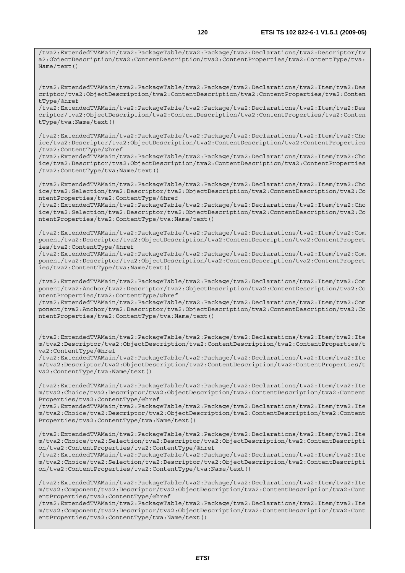/tva2:ExtendedTVAMain/tva2:PackageTable/tva2:Package/tva2:Declarations/tva2:Descriptor/tv a2:ObjectDescription/tva2:ContentDescription/tva2:ContentProperties/tva2:ContentType/tva: Name/text()

/tva2:ExtendedTVAMain/tva2:PackageTable/tva2:Package/tva2:Declarations/tva2:Item/tva2:Des criptor/tva2:ObjectDescription/tva2:ContentDescription/tva2:ContentProperties/tva2:Conten tType/@href

/tva2:ExtendedTVAMain/tva2:PackageTable/tva2:Package/tva2:Declarations/tva2:Item/tva2:Des criptor/tva2:ObjectDescription/tva2:ContentDescription/tva2:ContentProperties/tva2:Conten tType/tva:Name/text()

/tva2:ExtendedTVAMain/tva2:PackageTable/tva2:Package/tva2:Declarations/tva2:Item/tva2:Cho ice/tva2:Descriptor/tva2:ObjectDescription/tva2:ContentDescription/tva2:ContentProperties /tva2:ContentType/@href

/tva2:ExtendedTVAMain/tva2:PackageTable/tva2:Package/tva2:Declarations/tva2:Item/tva2:Cho ice/tva2:Descriptor/tva2:ObjectDescription/tva2:ContentDescription/tva2:ContentProperties /tva2:ContentType/tva:Name/text()

/tva2:ExtendedTVAMain/tva2:PackageTable/tva2:Package/tva2:Declarations/tva2:Item/tva2:Cho ice/tva2:Selection/tva2:Descriptor/tva2:ObjectDescription/tva2:ContentDescription/tva2:Co ntentProperties/tva2:ContentType/@href

/tva2:ExtendedTVAMain/tva2:PackageTable/tva2:Package/tva2:Declarations/tva2:Item/tva2:Cho ice/tva2:Selection/tva2:Descriptor/tva2:ObjectDescription/tva2:ContentDescription/tva2:Co ntentProperties/tva2:ContentType/tva:Name/text()

/tva2:ExtendedTVAMain/tva2:PackageTable/tva2:Package/tva2:Declarations/tva2:Item/tva2:Com ponent/tva2:Descriptor/tva2:ObjectDescription/tva2:ContentDescription/tva2:ContentPropert ies/tva2:ContentType/@href

/tva2:ExtendedTVAMain/tva2:PackageTable/tva2:Package/tva2:Declarations/tva2:Item/tva2:Com ponent/tva2:Descriptor/tva2:ObjectDescription/tva2:ContentDescription/tva2:ContentPropert ies/tva2:ContentType/tva:Name/text()

/tva2:ExtendedTVAMain/tva2:PackageTable/tva2:Package/tva2:Declarations/tva2:Item/tva2:Com ponent/tva2:Anchor/tva2:Descriptor/tva2:ObjectDescription/tva2:ContentDescription/tva2:Co ntentProperties/tva2:ContentType/@href

/tva2:ExtendedTVAMain/tva2:PackageTable/tva2:Package/tva2:Declarations/tva2:Item/tva2:Com ponent/tva2:Anchor/tva2:Descriptor/tva2:ObjectDescription/tva2:ContentDescription/tva2:Co ntentProperties/tva2:ContentType/tva:Name/text()

/tva2:ExtendedTVAMain/tva2:PackageTable/tva2:Package/tva2:Declarations/tva2:Item/tva2:Ite m/tva2:Descriptor/tva2:ObjectDescription/tva2:ContentDescription/tva2:ContentProperties/t va2:ContentType/@href

/tva2:ExtendedTVAMain/tva2:PackageTable/tva2:Package/tva2:Declarations/tva2:Item/tva2:Ite m/tva2:Descriptor/tva2:ObjectDescription/tva2:ContentDescription/tva2:ContentProperties/t va2:ContentType/tva:Name/text()

/tva2:ExtendedTVAMain/tva2:PackageTable/tva2:Package/tva2:Declarations/tva2:Item/tva2:Ite m/tva2:Choice/tva2:Descriptor/tva2:ObjectDescription/tva2:ContentDescription/tva2:Content Properties/tva2:ContentType/@href

/tva2:ExtendedTVAMain/tva2:PackageTable/tva2:Package/tva2:Declarations/tva2:Item/tva2:Ite m/tva2:Choice/tva2:Descriptor/tva2:ObjectDescription/tva2:ContentDescription/tva2:Content Properties/tva2:ContentType/tva:Name/text()

/tva2:ExtendedTVAMain/tva2:PackageTable/tva2:Package/tva2:Declarations/tva2:Item/tva2:Ite m/tva2:Choice/tva2:Selection/tva2:Descriptor/tva2:ObjectDescription/tva2:ContentDescripti on/tva2:ContentProperties/tva2:ContentType/@href

/tva2:ExtendedTVAMain/tva2:PackageTable/tva2:Package/tva2:Declarations/tva2:Item/tva2:Ite m/tva2:Choice/tva2:Selection/tva2:Descriptor/tva2:ObjectDescription/tva2:ContentDescripti on/tva2:ContentProperties/tva2:ContentType/tva:Name/text()

/tva2:ExtendedTVAMain/tva2:PackageTable/tva2:Package/tva2:Declarations/tva2:Item/tva2:Ite m/tva2:Component/tva2:Descriptor/tva2:ObjectDescription/tva2:ContentDescription/tva2:Cont entProperties/tva2:ContentType/@href

/tva2:ExtendedTVAMain/tva2:PackageTable/tva2:Package/tva2:Declarations/tva2:Item/tva2:Ite m/tva2:Component/tva2:Descriptor/tva2:ObjectDescription/tva2:ContentDescription/tva2:Cont entProperties/tva2:ContentType/tva:Name/text()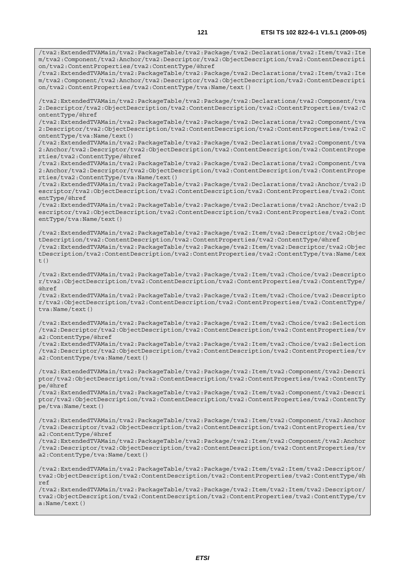/tva2:ExtendedTVAMain/tva2:PackageTable/tva2:Package/tva2:Declarations/tva2:Item/tva2:Ite m/tva2:Component/tva2:Anchor/tva2:Descriptor/tva2:ObjectDescription/tva2:ContentDescripti on/tva2:ContentProperties/tva2:ContentType/@href /tva2:ExtendedTVAMain/tva2:PackageTable/tva2:Package/tva2:Declarations/tva2:Item/tva2:Ite m/tva2:Component/tva2:Anchor/tva2:Descriptor/tva2:ObjectDescription/tva2:ContentDescripti on/tva2:ContentProperties/tva2:ContentType/tva:Name/text() /tva2:ExtendedTVAMain/tva2:PackageTable/tva2:Package/tva2:Declarations/tva2:Component/tva 2:Descriptor/tva2:ObjectDescription/tva2:ContentDescription/tva2:ContentProperties/tva2:C ontentType/@href /tva2:ExtendedTVAMain/tva2:PackageTable/tva2:Package/tva2:Declarations/tva2:Component/tva 2:Descriptor/tva2:ObjectDescription/tva2:ContentDescription/tva2:ContentProperties/tva2:C ontentType/tva:Name/text() /tva2:ExtendedTVAMain/tva2:PackageTable/tva2:Package/tva2:Declarations/tva2:Component/tva 2:Anchor/tva2:Descriptor/tva2:ObjectDescription/tva2:ContentDescription/tva2:ContentPrope rties/tva2:ContentType/@href /tva2:ExtendedTVAMain/tva2:PackageTable/tva2:Package/tva2:Declarations/tva2:Component/tva 2:Anchor/tva2:Descriptor/tva2:ObjectDescription/tva2:ContentDescription/tva2:ContentPrope rties/tva2:ContentType/tva:Name/text() /tva2:ExtendedTVAMain/tva2:PackageTable/tva2:Package/tva2:Declarations/tva2:Anchor/tva2:D escriptor/tva2:ObjectDescription/tva2:ContentDescription/tva2:ContentProperties/tva2:Cont entType/@href /tva2:ExtendedTVAMain/tva2:PackageTable/tva2:Package/tva2:Declarations/tva2:Anchor/tva2:D escriptor/tva2:ObjectDescription/tva2:ContentDescription/tva2:ContentProperties/tva2:Cont entType/tva:Name/text() /tva2:ExtendedTVAMain/tva2:PackageTable/tva2:Package/tva2:Item/tva2:Descriptor/tva2:Objec tDescription/tva2:ContentDescription/tva2:ContentProperties/tva2:ContentType/@href /tva2:ExtendedTVAMain/tva2:PackageTable/tva2:Package/tva2:Item/tva2:Descriptor/tva2:Objec tDescription/tva2:ContentDescription/tva2:ContentProperties/tva2:ContentType/tva:Name/tex t() /tva2:ExtendedTVAMain/tva2:PackageTable/tva2:Package/tva2:Item/tva2:Choice/tva2:Descripto r/tva2:ObjectDescription/tva2:ContentDescription/tva2:ContentProperties/tva2:ContentType/ @href /tva2:ExtendedTVAMain/tva2:PackageTable/tva2:Package/tva2:Item/tva2:Choice/tva2:Descripto r/tva2:ObjectDescription/tva2:ContentDescription/tva2:ContentProperties/tva2:ContentType/ tva:Name/text() /tva2:ExtendedTVAMain/tva2:PackageTable/tva2:Package/tva2:Item/tva2:Choice/tva2:Selection /tva2:Descriptor/tva2:ObjectDescription/tva2:ContentDescription/tva2:ContentProperties/tv a2:ContentType/@href /tva2:ExtendedTVAMain/tva2:PackageTable/tva2:Package/tva2:Item/tva2:Choice/tva2:Selection /tva2:Descriptor/tva2:ObjectDescription/tva2:ContentDescription/tva2:ContentProperties/tv a2:ContentType/tva:Name/text() /tva2:ExtendedTVAMain/tva2:PackageTable/tva2:Package/tva2:Item/tva2:Component/tva2:Descri ptor/tva2:ObjectDescription/tva2:ContentDescription/tva2:ContentProperties/tva2:ContentTy pe/@href /tva2:ExtendedTVAMain/tva2:PackageTable/tva2:Package/tva2:Item/tva2:Component/tva2:Descri ptor/tva2:ObjectDescription/tva2:ContentDescription/tva2:ContentProperties/tva2:ContentTy pe/tva:Name/text() /tva2:ExtendedTVAMain/tva2:PackageTable/tva2:Package/tva2:Item/tva2:Component/tva2:Anchor /tva2:Descriptor/tva2:ObjectDescription/tva2:ContentDescription/tva2:ContentProperties/tv a2:ContentType/@href /tva2:ExtendedTVAMain/tva2:PackageTable/tva2:Package/tva2:Item/tva2:Component/tva2:Anchor /tva2:Descriptor/tva2:ObjectDescription/tva2:ContentDescription/tva2:ContentProperties/tv a2:ContentType/tva:Name/text() /tva2:ExtendedTVAMain/tva2:PackageTable/tva2:Package/tva2:Item/tva2:Item/tva2:Descriptor/ tva2:ObjectDescription/tva2:ContentDescription/tva2:ContentProperties/tva2:ContentType/@h ref /tva2:ExtendedTVAMain/tva2:PackageTable/tva2:Package/tva2:Item/tva2:Item/tva2:Descriptor/ tva2:ObjectDescription/tva2:ContentDescription/tva2:ContentProperties/tva2:ContentType/tv a:Name/text()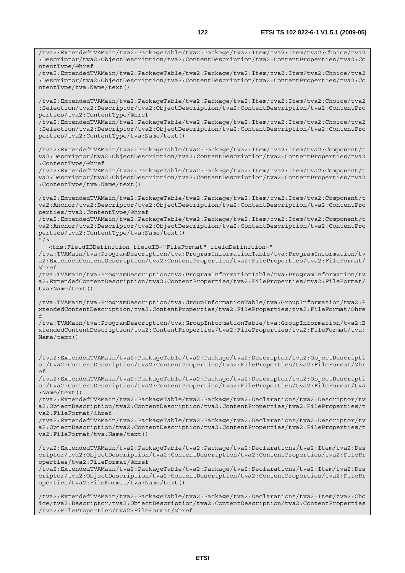/tva2:ExtendedTVAMain/tva2:PackageTable/tva2:Package/tva2:Item/tva2:Item/tva2:Choice/tva2 :Descriptor/tva2:ObjectDescription/tva2:ContentDescription/tva2:ContentProperties/tva2:Co

/tva2:ExtendedTVAMain/tva2:PackageTable/tva2:Package/tva2:Item/tva2:Item/tva2:Choice/tva2

ntentType/@href

:Descriptor/tva2:ObjectDescription/tva2:ContentDescription/tva2:ContentProperties/tva2:Co ntentType/tva:Name/text() /tva2:ExtendedTVAMain/tva2:PackageTable/tva2:Package/tva2:Item/tva2:Item/tva2:Choice/tva2 :Selection/tva2:Descriptor/tva2:ObjectDescription/tva2:ContentDescription/tva2:ContentPro perties/tva2:ContentType/@href /tva2:ExtendedTVAMain/tva2:PackageTable/tva2:Package/tva2:Item/tva2:Item/tva2:Choice/tva2 :Selection/tva2:Descriptor/tva2:ObjectDescription/tva2:ContentDescription/tva2:ContentPro perties/tva2:ContentType/tva:Name/text() /tva2:ExtendedTVAMain/tva2:PackageTable/tva2:Package/tva2:Item/tva2:Item/tva2:Component/t va2:Descriptor/tva2:ObjectDescription/tva2:ContentDescription/tva2:ContentProperties/tva2 :ContentType/@href /tva2:ExtendedTVAMain/tva2:PackageTable/tva2:Package/tva2:Item/tva2:Item/tva2:Component/t va2:Descriptor/tva2:ObjectDescription/tva2:ContentDescription/tva2:ContentProperties/tva2 :ContentType/tva:Name/text() /tva2:ExtendedTVAMain/tva2:PackageTable/tva2:Package/tva2:Item/tva2:Item/tva2:Component/t va2:Anchor/tva2:Descriptor/tva2:ObjectDescription/tva2:ContentDescription/tva2:ContentPro perties/tva2:ContentType/@href /tva2:ExtendedTVAMain/tva2:PackageTable/tva2:Package/tva2:Item/tva2:Item/tva2:Component/t va2:Anchor/tva2:Descriptor/tva2:ObjectDescription/tva2:ContentDescription/tva2:ContentPro perties/tva2:ContentType/tva:Name/text()  $"$  /> <tns:FieldIDDefinition fieldID="FileFormat" fieldDefinition=" /tva:TVAMain/tva:ProgramDescription/tva:ProgramInformationTable/tva:ProgramInformation/tv a2:ExtendedContentDescription/tva2:ContentProperties/tva2:FileProperties/tva2:FileFormat/ @href /tva:TVAMain/tva:ProgramDescription/tva:ProgramInformationTable/tva:ProgramInformation/tv a2:ExtendedContentDescription/tva2:ContentProperties/tva2:FileProperties/tva2:FileFormat/ tva:Name/text() /tva:TVAMain/tva:ProgramDescription/tva:GroupInformationTable/tva:GroupInformation/tva2:E xtendedContentDescription/tva2:ContentProperties/tva2:FileProperties/tva2:FileFormat/@hre f /tva:TVAMain/tva:ProgramDescription/tva:GroupInformationTable/tva:GroupInformation/tva2:E xtendedContentDescription/tva2:ContentProperties/tva2:FileProperties/tva2:FileFormat/tva: Name/text() /tva2:ExtendedTVAMain/tva2:PackageTable/tva2:Package/tva2:Descriptor/tva2:ObjectDescripti on/tva2:ContentDescription/tva2:ContentProperties/tva2:FileProperties/tva2:FileFormat/@hr  $\epsilon$ /tva2:ExtendedTVAMain/tva2:PackageTable/tva2:Package/tva2:Descriptor/tva2:ObjectDescripti on/tva2:ContentDescription/tva2:ContentProperties/tva2:FileProperties/tva2:FileFormat/tva :Name/text() /tva2:ExtendedTVAMain/tva2:PackageTable/tva2:Package/tva2:Declarations/tva2:Descriptor/tv a2:ObjectDescription/tva2:ContentDescription/tva2:ContentProperties/tva2:FileProperties/t va2:FileFormat/@href /tva2:ExtendedTVAMain/tva2:PackageTable/tva2:Package/tva2:Declarations/tva2:Descriptor/tv a2:ObjectDescription/tva2:ContentDescription/tva2:ContentProperties/tva2:FileProperties/t va2:FileFormat/tva:Name/text() /tva2:ExtendedTVAMain/tva2:PackageTable/tva2:Package/tva2:Declarations/tva2:Item/tva2:Des criptor/tva2:ObjectDescription/tva2:ContentDescription/tva2:ContentProperties/tva2:FilePr operties/tva2:FileFormat/@href /tva2:ExtendedTVAMain/tva2:PackageTable/tva2:Package/tva2:Declarations/tva2:Item/tva2:Des criptor/tva2:ObjectDescription/tva2:ContentDescription/tva2:ContentProperties/tva2:FilePr operties/tva2:FileFormat/tva:Name/text() /tva2:ExtendedTVAMain/tva2:PackageTable/tva2:Package/tva2:Declarations/tva2:Item/tva2:Cho ice/tva2:Descriptor/tva2:ObjectDescription/tva2:ContentDescription/tva2:ContentProperties /tva2:FileProperties/tva2:FileFormat/@href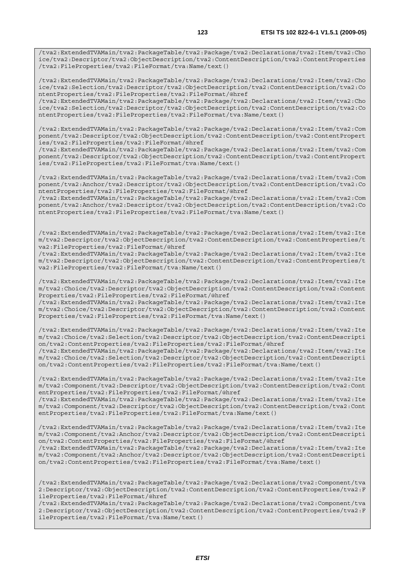/tva2:ExtendedTVAMain/tva2:PackageTable/tva2:Package/tva2:Declarations/tva2:Item/tva2:Cho ice/tva2:Descriptor/tva2:ObjectDescription/tva2:ContentDescription/tva2:ContentProperties /tva2:FileProperties/tva2:FileFormat/tva:Name/text()

/tva2:ExtendedTVAMain/tva2:PackageTable/tva2:Package/tva2:Declarations/tva2:Item/tva2:Cho ice/tva2:Selection/tva2:Descriptor/tva2:ObjectDescription/tva2:ContentDescription/tva2:Co ntentProperties/tva2:FileProperties/tva2:FileFormat/@href

/tva2:ExtendedTVAMain/tva2:PackageTable/tva2:Package/tva2:Declarations/tva2:Item/tva2:Cho ice/tva2:Selection/tva2:Descriptor/tva2:ObjectDescription/tva2:ContentDescription/tva2:Co ntentProperties/tva2:FileProperties/tva2:FileFormat/tva:Name/text()

/tva2:ExtendedTVAMain/tva2:PackageTable/tva2:Package/tva2:Declarations/tva2:Item/tva2:Com ponent/tva2:Descriptor/tva2:ObjectDescription/tva2:ContentDescription/tva2:ContentPropert ies/tva2:FileProperties/tva2:FileFormat/@href

/tva2:ExtendedTVAMain/tva2:PackageTable/tva2:Package/tva2:Declarations/tva2:Item/tva2:Com ponent/tva2:Descriptor/tva2:ObjectDescription/tva2:ContentDescription/tva2:ContentPropert ies/tva2:FileProperties/tva2:FileFormat/tva:Name/text()

/tva2:ExtendedTVAMain/tva2:PackageTable/tva2:Package/tva2:Declarations/tva2:Item/tva2:Com ponent/tva2:Anchor/tva2:Descriptor/tva2:ObjectDescription/tva2:ContentDescription/tva2:Co ntentProperties/tva2:FileProperties/tva2:FileFormat/@href

/tva2:ExtendedTVAMain/tva2:PackageTable/tva2:Package/tva2:Declarations/tva2:Item/tva2:Com ponent/tva2:Anchor/tva2:Descriptor/tva2:ObjectDescription/tva2:ContentDescription/tva2:Co ntentProperties/tva2:FileProperties/tva2:FileFormat/tva:Name/text()

/tva2:ExtendedTVAMain/tva2:PackageTable/tva2:Package/tva2:Declarations/tva2:Item/tva2:Ite m/tva2:Descriptor/tva2:ObjectDescription/tva2:ContentDescription/tva2:ContentProperties/t va2:FileProperties/tva2:FileFormat/@href

/tva2:ExtendedTVAMain/tva2:PackageTable/tva2:Package/tva2:Declarations/tva2:Item/tva2:Ite m/tva2:Descriptor/tva2:ObjectDescription/tva2:ContentDescription/tva2:ContentProperties/t va2:FileProperties/tva2:FileFormat/tva:Name/text()

/tva2:ExtendedTVAMain/tva2:PackageTable/tva2:Package/tva2:Declarations/tva2:Item/tva2:Ite m/tva2:Choice/tva2:Descriptor/tva2:ObjectDescription/tva2:ContentDescription/tva2:Content Properties/tva2:FileProperties/tva2:FileFormat/@href

/tva2:ExtendedTVAMain/tva2:PackageTable/tva2:Package/tva2:Declarations/tva2:Item/tva2:Ite m/tva2:Choice/tva2:Descriptor/tva2:ObjectDescription/tva2:ContentDescription/tva2:Content Properties/tva2:FileProperties/tva2:FileFormat/tva:Name/text()

/tva2:ExtendedTVAMain/tva2:PackageTable/tva2:Package/tva2:Declarations/tva2:Item/tva2:Ite m/tva2:Choice/tva2:Selection/tva2:Descriptor/tva2:ObjectDescription/tva2:ContentDescripti on/tva2:ContentProperties/tva2:FileProperties/tva2:FileFormat/@href

/tva2:ExtendedTVAMain/tva2:PackageTable/tva2:Package/tva2:Declarations/tva2:Item/tva2:Ite m/tva2:Choice/tva2:Selection/tva2:Descriptor/tva2:ObjectDescription/tva2:ContentDescripti on/tva2:ContentProperties/tva2:FileProperties/tva2:FileFormat/tva:Name/text()

/tva2:ExtendedTVAMain/tva2:PackageTable/tva2:Package/tva2:Declarations/tva2:Item/tva2:Ite m/tva2:Component/tva2:Descriptor/tva2:ObjectDescription/tva2:ContentDescription/tva2:Cont entProperties/tva2:FileProperties/tva2:FileFormat/@href

/tva2:ExtendedTVAMain/tva2:PackageTable/tva2:Package/tva2:Declarations/tva2:Item/tva2:Ite m/tva2:Component/tva2:Descriptor/tva2:ObjectDescription/tva2:ContentDescription/tva2:Cont entProperties/tva2:FileProperties/tva2:FileFormat/tva:Name/text()

/tva2:ExtendedTVAMain/tva2:PackageTable/tva2:Package/tva2:Declarations/tva2:Item/tva2:Ite m/tva2:Component/tva2:Anchor/tva2:Descriptor/tva2:ObjectDescription/tva2:ContentDescripti on/tva2:ContentProperties/tva2:FileProperties/tva2:FileFormat/@href

/tva2:ExtendedTVAMain/tva2:PackageTable/tva2:Package/tva2:Declarations/tva2:Item/tva2:Ite m/tva2:Component/tva2:Anchor/tva2:Descriptor/tva2:ObjectDescription/tva2:ContentDescripti on/tva2:ContentProperties/tva2:FileProperties/tva2:FileFormat/tva:Name/text()

/tva2:ExtendedTVAMain/tva2:PackageTable/tva2:Package/tva2:Declarations/tva2:Component/tva 2:Descriptor/tva2:ObjectDescription/tva2:ContentDescription/tva2:ContentProperties/tva2:F ileProperties/tva2:FileFormat/@href

/tva2:ExtendedTVAMain/tva2:PackageTable/tva2:Package/tva2:Declarations/tva2:Component/tva 2:Descriptor/tva2:ObjectDescription/tva2:ContentDescription/tva2:ContentProperties/tva2:F ileProperties/tva2:FileFormat/tva:Name/text()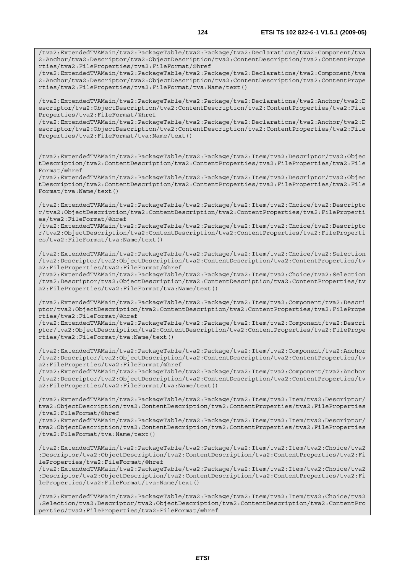2:Anchor/tva2:Descriptor/tva2:ObjectDescription/tva2:ContentDescription/tva2:ContentPrope rties/tva2:FileProperties/tva2:FileFormat/@href /tva2:ExtendedTVAMain/tva2:PackageTable/tva2:Package/tva2:Declarations/tva2:Component/tva 2:Anchor/tva2:Descriptor/tva2:ObjectDescription/tva2:ContentDescription/tva2:ContentPrope rties/tva2:FileProperties/tva2:FileFormat/tva:Name/text() /tva2:ExtendedTVAMain/tva2:PackageTable/tva2:Package/tva2:Declarations/tva2:Anchor/tva2:D escriptor/tva2:ObjectDescription/tva2:ContentDescription/tva2:ContentProperties/tva2:File Properties/tva2:FileFormat/@href /tva2:ExtendedTVAMain/tva2:PackageTable/tva2:Package/tva2:Declarations/tva2:Anchor/tva2:D escriptor/tva2:ObjectDescription/tva2:ContentDescription/tva2:ContentProperties/tva2:File Properties/tva2:FileFormat/tva:Name/text() /tva2:ExtendedTVAMain/tva2:PackageTable/tva2:Package/tva2:Item/tva2:Descriptor/tva2:Objec tDescription/tva2:ContentDescription/tva2:ContentProperties/tva2:FileProperties/tva2:File Format/@href /tva2:ExtendedTVAMain/tva2:PackageTable/tva2:Package/tva2:Item/tva2:Descriptor/tva2:Objec tDescription/tva2:ContentDescription/tva2:ContentProperties/tva2:FileProperties/tva2:File Format/tva:Name/text() /tva2:ExtendedTVAMain/tva2:PackageTable/tva2:Package/tva2:Item/tva2:Choice/tva2:Descripto r/tva2:ObjectDescription/tva2:ContentDescription/tva2:ContentProperties/tva2:FileProperti es/tva2:FileFormat/@href /tva2:ExtendedTVAMain/tva2:PackageTable/tva2:Package/tva2:Item/tva2:Choice/tva2:Descripto r/tva2:ObjectDescription/tva2:ContentDescription/tva2:ContentProperties/tva2:FileProperti es/tva2:FileFormat/tva:Name/text()

/tva2:ExtendedTVAMain/tva2:PackageTable/tva2:Package/tva2:Item/tva2:Choice/tva2:Selection /tva2:Descriptor/tva2:ObjectDescription/tva2:ContentDescription/tva2:ContentProperties/tv a2:FileProperties/tva2:FileFormat/@href

/tva2:ExtendedTVAMain/tva2:PackageTable/tva2:Package/tva2:Item/tva2:Choice/tva2:Selection /tva2:Descriptor/tva2:ObjectDescription/tva2:ContentDescription/tva2:ContentProperties/tv a2:FileProperties/tva2:FileFormat/tva:Name/text()

/tva2:ExtendedTVAMain/tva2:PackageTable/tva2:Package/tva2:Item/tva2:Component/tva2:Descri ptor/tva2:ObjectDescription/tva2:ContentDescription/tva2:ContentProperties/tva2:FilePrope rties/tva2:FileFormat/@href

/tva2:ExtendedTVAMain/tva2:PackageTable/tva2:Package/tva2:Item/tva2:Component/tva2:Descri ptor/tva2:ObjectDescription/tva2:ContentDescription/tva2:ContentProperties/tva2:FilePrope rties/tva2:FileFormat/tva:Name/text()

/tva2:ExtendedTVAMain/tva2:PackageTable/tva2:Package/tva2:Item/tva2:Component/tva2:Anchor /tva2:Descriptor/tva2:ObjectDescription/tva2:ContentDescription/tva2:ContentProperties/tv a2:FileProperties/tva2:FileFormat/@href

/tva2:ExtendedTVAMain/tva2:PackageTable/tva2:Package/tva2:Item/tva2:Component/tva2:Anchor /tva2:Descriptor/tva2:ObjectDescription/tva2:ContentDescription/tva2:ContentProperties/tv a2:FileProperties/tva2:FileFormat/tva:Name/text()

/tva2:ExtendedTVAMain/tva2:PackageTable/tva2:Package/tva2:Item/tva2:Item/tva2:Descriptor/ tva2:ObjectDescription/tva2:ContentDescription/tva2:ContentProperties/tva2:FileProperties /tva2:FileFormat/@href

/tva2:ExtendedTVAMain/tva2:PackageTable/tva2:Package/tva2:Item/tva2:Item/tva2:Descriptor/ tva2:ObjectDescription/tva2:ContentDescription/tva2:ContentProperties/tva2:FileProperties /tva2:FileFormat/tva:Name/text()

/tva2:ExtendedTVAMain/tva2:PackageTable/tva2:Package/tva2:Item/tva2:Item/tva2:Choice/tva2 :Descriptor/tva2:ObjectDescription/tva2:ContentDescription/tva2:ContentProperties/tva2:Fi leProperties/tva2:FileFormat/@href

/tva2:ExtendedTVAMain/tva2:PackageTable/tva2:Package/tva2:Item/tva2:Item/tva2:Choice/tva2 :Descriptor/tva2:ObjectDescription/tva2:ContentDescription/tva2:ContentProperties/tva2:Fi leProperties/tva2:FileFormat/tva:Name/text()

/tva2:ExtendedTVAMain/tva2:PackageTable/tva2:Package/tva2:Item/tva2:Item/tva2:Choice/tva2 :Selection/tva2:Descriptor/tva2:ObjectDescription/tva2:ContentDescription/tva2:ContentPro perties/tva2:FileProperties/tva2:FileFormat/@href

/tva2:ExtendedTVAMain/tva2:PackageTable/tva2:Package/tva2:Declarations/tva2:Component/tva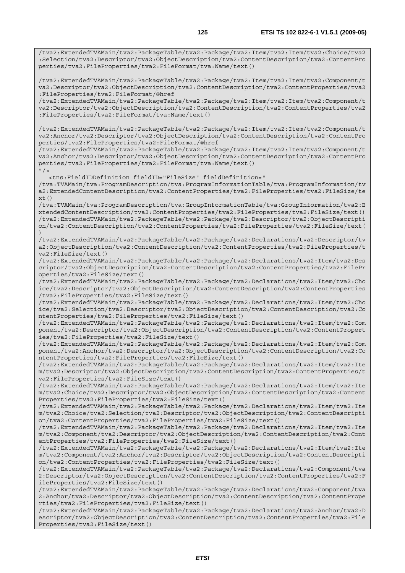/tva2:ExtendedTVAMain/tva2:PackageTable/tva2:Package/tva2:Item/tva2:Item/tva2:Choice/tva2 :Selection/tva2:Descriptor/tva2:ObjectDescription/tva2:ContentDescription/tva2:ContentPro perties/tva2:FileProperties/tva2:FileFormat/tva:Name/text()

/tva2:ExtendedTVAMain/tva2:PackageTable/tva2:Package/tva2:Item/tva2:Item/tva2:Component/t va2:Descriptor/tva2:ObjectDescription/tva2:ContentDescription/tva2:ContentProperties/tva2 :FileProperties/tva2:FileFormat/@href

/tva2:ExtendedTVAMain/tva2:PackageTable/tva2:Package/tva2:Item/tva2:Item/tva2:Component/t va2:Descriptor/tva2:ObjectDescription/tva2:ContentDescription/tva2:ContentProperties/tva2 :FileProperties/tva2:FileFormat/tva:Name/text()

/tva2:ExtendedTVAMain/tva2:PackageTable/tva2:Package/tva2:Item/tva2:Item/tva2:Component/t va2:Anchor/tva2:Descriptor/tva2:ObjectDescription/tva2:ContentDescription/tva2:ContentPro perties/tva2:FileProperties/tva2:FileFormat/@href

/tva2:ExtendedTVAMain/tva2:PackageTable/tva2:Package/tva2:Item/tva2:Item/tva2:Component/t va2:Anchor/tva2:Descriptor/tva2:ObjectDescription/tva2:ContentDescription/tva2:ContentPro perties/tva2:FileProperties/tva2:FileFormat/tva:Name/text()  $''$  / >

<tns:FieldIDDefinition fieldID="FileSize" fieldDefinition="

/tva:TVAMain/tva:ProgramDescription/tva:ProgramInformationTable/tva:ProgramInformation/tv a2:ExtendedContentDescription/tva2:ContentProperties/tva2:FileProperties/tva2:FileSize/te xt()

/tva:TVAMain/tva:ProgramDescription/tva:GroupInformationTable/tva:GroupInformation/tva2:E xtendedContentDescription/tva2:ContentProperties/tva2:FileProperties/tva2:FileSize/text() /tva2:ExtendedTVAMain/tva2:PackageTable/tva2:Package/tva2:Descriptor/tva2:ObjectDescripti on/tva2:ContentDescription/tva2:ContentProperties/tva2:FileProperties/tva2:FileSize/text( )

/tva2:ExtendedTVAMain/tva2:PackageTable/tva2:Package/tva2:Declarations/tva2:Descriptor/tv a2:ObjectDescription/tva2:ContentDescription/tva2:ContentProperties/tva2:FileProperties/t va2:FileSize/text()

/tva2:ExtendedTVAMain/tva2:PackageTable/tva2:Package/tva2:Declarations/tva2:Item/tva2:Des criptor/tva2:ObjectDescription/tva2:ContentDescription/tva2:ContentProperties/tva2:FilePr operties/tva2:FileSize/text()

/tva2:ExtendedTVAMain/tva2:PackageTable/tva2:Package/tva2:Declarations/tva2:Item/tva2:Cho ice/tva2:Descriptor/tva2:ObjectDescription/tva2:ContentDescription/tva2:ContentProperties /tva2:FileProperties/tva2:FileSize/text()

/tva2:ExtendedTVAMain/tva2:PackageTable/tva2:Package/tva2:Declarations/tva2:Item/tva2:Cho ice/tva2:Selection/tva2:Descriptor/tva2:ObjectDescription/tva2:ContentDescription/tva2:Co ntentProperties/tva2:FileProperties/tva2:FileSize/text()

/tva2:ExtendedTVAMain/tva2:PackageTable/tva2:Package/tva2:Declarations/tva2:Item/tva2:Com ponent/tva2:Descriptor/tva2:ObjectDescription/tva2:ContentDescription/tva2:ContentPropert ies/tva2:FileProperties/tva2:FileSize/text()

/tva2:ExtendedTVAMain/tva2:PackageTable/tva2:Package/tva2:Declarations/tva2:Item/tva2:Com ponent/tva2:Anchor/tva2:Descriptor/tva2:ObjectDescription/tva2:ContentDescription/tva2:Co ntentProperties/tva2:FileProperties/tva2:FileSize/text()

/tva2:ExtendedTVAMain/tva2:PackageTable/tva2:Package/tva2:Declarations/tva2:Item/tva2:Ite m/tva2:Descriptor/tva2:ObjectDescription/tva2:ContentDescription/tva2:ContentProperties/t va2:FileProperties/tva2:FileSize/text()

/tva2:ExtendedTVAMain/tva2:PackageTable/tva2:Package/tva2:Declarations/tva2:Item/tva2:Ite m/tva2:Choice/tva2:Descriptor/tva2:ObjectDescription/tva2:ContentDescription/tva2:Content Properties/tva2:FileProperties/tva2:FileSize/text()

/tva2:ExtendedTVAMain/tva2:PackageTable/tva2:Package/tva2:Declarations/tva2:Item/tva2:Ite m/tva2:Choice/tva2:Selection/tva2:Descriptor/tva2:ObjectDescription/tva2:ContentDescripti on/tva2:ContentProperties/tva2:FileProperties/tva2:FileSize/text()

/tva2:ExtendedTVAMain/tva2:PackageTable/tva2:Package/tva2:Declarations/tva2:Item/tva2:Ite m/tva2:Component/tva2:Descriptor/tva2:ObjectDescription/tva2:ContentDescription/tva2:Cont entProperties/tva2:FileProperties/tva2:FileSize/text()

/tva2:ExtendedTVAMain/tva2:PackageTable/tva2:Package/tva2:Declarations/tva2:Item/tva2:Ite m/tva2:Component/tva2:Anchor/tva2:Descriptor/tva2:ObjectDescription/tva2:ContentDescripti on/tva2:ContentProperties/tva2:FileProperties/tva2:FileSize/text()

/tva2:ExtendedTVAMain/tva2:PackageTable/tva2:Package/tva2:Declarations/tva2:Component/tva 2:Descriptor/tva2:ObjectDescription/tva2:ContentDescription/tva2:ContentProperties/tva2:F ileProperties/tva2:FileSize/text()

/tva2:ExtendedTVAMain/tva2:PackageTable/tva2:Package/tva2:Declarations/tva2:Component/tva 2:Anchor/tva2:Descriptor/tva2:ObjectDescription/tva2:ContentDescription/tva2:ContentPrope rties/tva2:FileProperties/tva2:FileSize/text()

/tva2:ExtendedTVAMain/tva2:PackageTable/tva2:Package/tva2:Declarations/tva2:Anchor/tva2:D escriptor/tva2:ObjectDescription/tva2:ContentDescription/tva2:ContentProperties/tva2:File Properties/tva2:FileSize/text()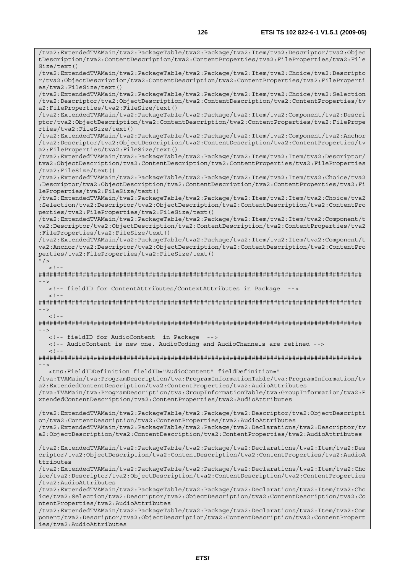/tva2:ExtendedTVAMain/tva2:PackageTable/tva2:Package/tva2:Item/tva2:Descriptor/tva2:Objec tDescription/tva2:ContentDescription/tva2:ContentProperties/tva2:FileProperties/tva2:File Size/text() /tva2:ExtendedTVAMain/tva2:PackageTable/tva2:Package/tva2:Item/tva2:Choice/tva2:Descripto r/tva2:ObjectDescription/tva2:ContentDescription/tva2:ContentProperties/tva2:FileProperti es/tva2:FileSize/text() /tva2:ExtendedTVAMain/tva2:PackageTable/tva2:Package/tva2:Item/tva2:Choice/tva2:Selection /tva2:Descriptor/tva2:ObjectDescription/tva2:ContentDescription/tva2:ContentProperties/tv a2:FileProperties/tva2:FileSize/text() /tva2:ExtendedTVAMain/tva2:PackageTable/tva2:Package/tva2:Item/tva2:Component/tva2:Descri ptor/tva2:ObjectDescription/tva2:ContentDescription/tva2:ContentProperties/tva2:FilePrope rties/tva2:FileSize/text() /tva2:ExtendedTVAMain/tva2:PackageTable/tva2:Package/tva2:Item/tva2:Component/tva2:Anchor /tva2:Descriptor/tva2:ObjectDescription/tva2:ContentDescription/tva2:ContentProperties/tv a2:FileProperties/tva2:FileSize/text() /tva2:ExtendedTVAMain/tva2:PackageTable/tva2:Package/tva2:Item/tva2:Item/tva2:Descriptor/ tva2:ObjectDescription/tva2:ContentDescription/tva2:ContentProperties/tva2:FileProperties /tva2:FileSize/text() /tva2:ExtendedTVAMain/tva2:PackageTable/tva2:Package/tva2:Item/tva2:Item/tva2:Choice/tva2 :Descriptor/tva2:ObjectDescription/tva2:ContentDescription/tva2:ContentProperties/tva2:Fi leProperties/tva2:FileSize/text() /tva2:ExtendedTVAMain/tva2:PackageTable/tva2:Package/tva2:Item/tva2:Item/tva2:Choice/tva2 :Selection/tva2:Descriptor/tva2:ObjectDescription/tva2:ContentDescription/tva2:ContentPro perties/tva2:FileProperties/tva2:FileSize/text() /tva2:ExtendedTVAMain/tva2:PackageTable/tva2:Package/tva2:Item/tva2:Item/tva2:Component/t va2:Descriptor/tva2:ObjectDescription/tva2:ContentDescription/tva2:ContentProperties/tva2 :FileProperties/tva2:FileSize/text() /tva2:ExtendedTVAMain/tva2:PackageTable/tva2:Package/tva2:Item/tva2:Item/tva2:Component/t va2:Anchor/tva2:Descriptor/tva2:ObjectDescription/tva2:ContentDescription/tva2:ContentPro perties/tva2:FileProperties/tva2:FileSize/text()  $"$  / >  $\leq$   $\perp$ ######################################################################################## --> <!-- fieldID for ContentAttributes/ContextAttributes in Package -->  $<$ ! --######################################################################################## -->  $\geq$   $\geq$   $-$ ######################################################################################## --> <!-- fieldID for AudioContent in Package --> <!-- AudioContent is new one. AudioCoding and AudioChannels are refined -->  $\leq$  ! --######################################################################################## --> <tns:FieldIDDefinition fieldID="AudioContent" fieldDefinition=" /tva:TVAMain/tva:ProgramDescription/tva:ProgramInformationTable/tva:ProgramInformation/tv a2:ExtendedContentDescription/tva2:ContentProperties/tva2:AudioAttributes /tva:TVAMain/tva:ProgramDescription/tva:GroupInformationTable/tva:GroupInformation/tva2:E xtendedContentDescription/tva2:ContentProperties/tva2:AudioAttributes /tva2:ExtendedTVAMain/tva2:PackageTable/tva2:Package/tva2:Descriptor/tva2:ObjectDescripti on/tva2:ContentDescription/tva2:ContentProperties/tva2:AudioAttributes /tva2:ExtendedTVAMain/tva2:PackageTable/tva2:Package/tva2:Declarations/tva2:Descriptor/tv a2:ObjectDescription/tva2:ContentDescription/tva2:ContentProperties/tva2:AudioAttributes /tva2:ExtendedTVAMain/tva2:PackageTable/tva2:Package/tva2:Declarations/tva2:Item/tva2:Des criptor/tva2:ObjectDescription/tva2:ContentDescription/tva2:ContentProperties/tva2:AudioA ttributes /tva2:ExtendedTVAMain/tva2:PackageTable/tva2:Package/tva2:Declarations/tva2:Item/tva2:Cho ice/tva2:Descriptor/tva2:ObjectDescription/tva2:ContentDescription/tva2:ContentProperties /tva2:AudioAttributes /tva2:ExtendedTVAMain/tva2:PackageTable/tva2:Package/tva2:Declarations/tva2:Item/tva2:Cho ice/tva2:Selection/tva2:Descriptor/tva2:ObjectDescription/tva2:ContentDescription/tva2:Co ntentProperties/tva2:AudioAttributes /tva2:ExtendedTVAMain/tva2:PackageTable/tva2:Package/tva2:Declarations/tva2:Item/tva2:Com ponent/tva2:Descriptor/tva2:ObjectDescription/tva2:ContentDescription/tva2:ContentPropert

ies/tva2:AudioAttributes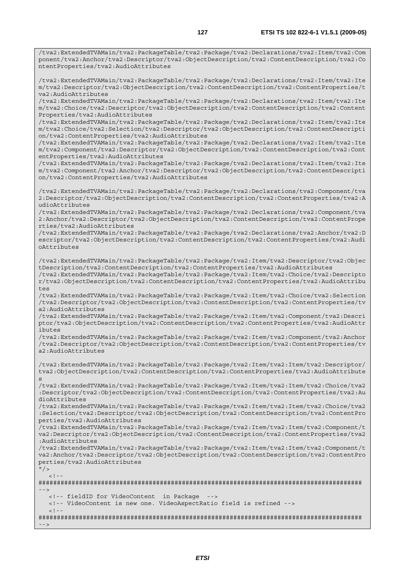/tva2:ExtendedTVAMain/tva2:PackageTable/tva2:Package/tva2:Declarations/tva2:Item/tva2:Com

ponent/tva2:Anchor/tva2:Descriptor/tva2:ObjectDescription/tva2:ContentDescription/tva2:Co ntentProperties/tva2:AudioAttributes /tva2:ExtendedTVAMain/tva2:PackageTable/tva2:Package/tva2:Declarations/tva2:Item/tva2:Ite m/tva2:Descriptor/tva2:ObjectDescription/tva2:ContentDescription/tva2:ContentProperties/t va2:AudioAttributes /tva2:ExtendedTVAMain/tva2:PackageTable/tva2:Package/tva2:Declarations/tva2:Item/tva2:Ite m/tva2:Choice/tva2:Descriptor/tva2:ObjectDescription/tva2:ContentDescription/tva2:Content Properties/tva2:AudioAttributes /tva2:ExtendedTVAMain/tva2:PackageTable/tva2:Package/tva2:Declarations/tva2:Item/tva2:Ite m/tva2:Choice/tva2:Selection/tva2:Descriptor/tva2:ObjectDescription/tva2:ContentDescripti on/tva2:ContentProperties/tva2:AudioAttributes /tva2:ExtendedTVAMain/tva2:PackageTable/tva2:Package/tva2:Declarations/tva2:Item/tva2:Ite m/tva2:Component/tva2:Descriptor/tva2:ObjectDescription/tva2:ContentDescription/tva2:Cont entProperties/tva2:AudioAttributes /tva2:ExtendedTVAMain/tva2:PackageTable/tva2:Package/tva2:Declarations/tva2:Item/tva2:Ite m/tva2:Component/tva2:Anchor/tva2:Descriptor/tva2:ObjectDescription/tva2:ContentDescripti on/tva2:ContentProperties/tva2:AudioAttributes /tva2:ExtendedTVAMain/tva2:PackageTable/tva2:Package/tva2:Declarations/tva2:Component/tva 2:Descriptor/tva2:ObjectDescription/tva2:ContentDescription/tva2:ContentProperties/tva2:A udioAttributes /tva2:ExtendedTVAMain/tva2:PackageTable/tva2:Package/tva2:Declarations/tva2:Component/tva 2:Anchor/tva2:Descriptor/tva2:ObjectDescription/tva2:ContentDescription/tva2:ContentPrope rties/tva2:AudioAttributes /tva2:ExtendedTVAMain/tva2:PackageTable/tva2:Package/tva2:Declarations/tva2:Anchor/tva2:D escriptor/tva2:ObjectDescription/tva2:ContentDescription/tva2:ContentProperties/tva2:Audi oAttributes /tva2:ExtendedTVAMain/tva2:PackageTable/tva2:Package/tva2:Item/tva2:Descriptor/tva2:Objec tDescription/tva2:ContentDescription/tva2:ContentProperties/tva2:AudioAttributes

/tva2:ExtendedTVAMain/tva2:PackageTable/tva2:Package/tva2:Item/tva2:Choice/tva2:Descripto r/tva2:ObjectDescription/tva2:ContentDescription/tva2:ContentProperties/tva2:AudioAttribu tes

/tva2:ExtendedTVAMain/tva2:PackageTable/tva2:Package/tva2:Item/tva2:Choice/tva2:Selection /tva2:Descriptor/tva2:ObjectDescription/tva2:ContentDescription/tva2:ContentProperties/tv a2:AudioAttributes

/tva2:ExtendedTVAMain/tva2:PackageTable/tva2:Package/tva2:Item/tva2:Component/tva2:Descri ptor/tva2:ObjectDescription/tva2:ContentDescription/tva2:ContentProperties/tva2:AudioAttr ibutes

/tva2:ExtendedTVAMain/tva2:PackageTable/tva2:Package/tva2:Item/tva2:Component/tva2:Anchor /tva2:Descriptor/tva2:ObjectDescription/tva2:ContentDescription/tva2:ContentProperties/tv a2:AudioAttributes

/tva2:ExtendedTVAMain/tva2:PackageTable/tva2:Package/tva2:Item/tva2:Item/tva2:Descriptor/ tva2:ObjectDescription/tva2:ContentDescription/tva2:ContentProperties/tva2:AudioAttribute s

/tva2:ExtendedTVAMain/tva2:PackageTable/tva2:Package/tva2:Item/tva2:Item/tva2:Choice/tva2 :Descriptor/tva2:ObjectDescription/tva2:ContentDescription/tva2:ContentProperties/tva2:Au dioAttributes

/tva2:ExtendedTVAMain/tva2:PackageTable/tva2:Package/tva2:Item/tva2:Item/tva2:Choice/tva2 :Selection/tva2:Descriptor/tva2:ObjectDescription/tva2:ContentDescription/tva2:ContentPro perties/tva2:AudioAttributes

/tva2:ExtendedTVAMain/tva2:PackageTable/tva2:Package/tva2:Item/tva2:Item/tva2:Component/t va2:Descriptor/tva2:ObjectDescription/tva2:ContentDescription/tva2:ContentProperties/tva2 :AudioAttributes

/tva2:ExtendedTVAMain/tva2:PackageTable/tva2:Package/tva2:Item/tva2:Item/tva2:Component/t va2:Anchor/tva2:Descriptor/tva2:ObjectDescription/tva2:ContentDescription/tva2:ContentPro perties/tva2:AudioAttributes

 $\frac{11}{2}$  $\geq$  1.

######################################################################################## -->

<!-- fieldID for VideoContent in Package -->

 <!-- VideoContent is new one. VideoAspectRatio field is refined -->  $\geq 1$ 

######################################################################################## -->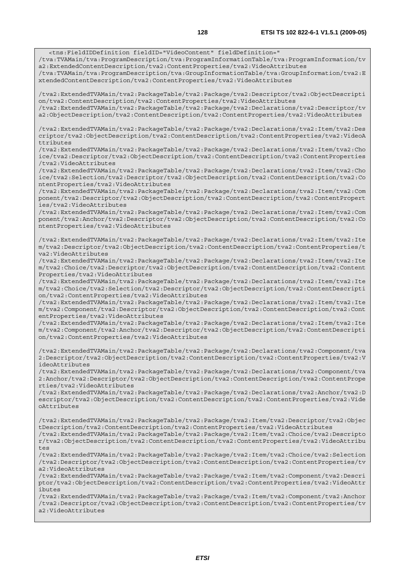<tns:FieldIDDefinition fieldID="VideoContent" fieldDefinition=" /tva:TVAMain/tva:ProgramDescription/tva:ProgramInformationTable/tva:ProgramInformation/tv a2:ExtendedContentDescription/tva2:ContentProperties/tva2:VideoAttributes /tva:TVAMain/tva:ProgramDescription/tva:GroupInformationTable/tva:GroupInformation/tva2:E xtendedContentDescription/tva2:ContentProperties/tva2:VideoAttributes

/tva2:ExtendedTVAMain/tva2:PackageTable/tva2:Package/tva2:Descriptor/tva2:ObjectDescripti on/tva2:ContentDescription/tva2:ContentProperties/tva2:VideoAttributes /tva2:ExtendedTVAMain/tva2:PackageTable/tva2:Package/tva2:Declarations/tva2:Descriptor/tv a2:ObjectDescription/tva2:ContentDescription/tva2:ContentProperties/tva2:VideoAttributes

/tva2:ExtendedTVAMain/tva2:PackageTable/tva2:Package/tva2:Declarations/tva2:Item/tva2:Des criptor/tva2:ObjectDescription/tva2:ContentDescription/tva2:ContentProperties/tva2:VideoA ttributes

/tva2:ExtendedTVAMain/tva2:PackageTable/tva2:Package/tva2:Declarations/tva2:Item/tva2:Cho ice/tva2:Descriptor/tva2:ObjectDescription/tva2:ContentDescription/tva2:ContentProperties /tva2:VideoAttributes

/tva2:ExtendedTVAMain/tva2:PackageTable/tva2:Package/tva2:Declarations/tva2:Item/tva2:Cho ice/tva2:Selection/tva2:Descriptor/tva2:ObjectDescription/tva2:ContentDescription/tva2:Co ntentProperties/tva2:VideoAttributes

/tva2:ExtendedTVAMain/tva2:PackageTable/tva2:Package/tva2:Declarations/tva2:Item/tva2:Com ponent/tva2:Descriptor/tva2:ObjectDescription/tva2:ContentDescription/tva2:ContentPropert ies/tva2:VideoAttributes

/tva2:ExtendedTVAMain/tva2:PackageTable/tva2:Package/tva2:Declarations/tva2:Item/tva2:Com ponent/tva2:Anchor/tva2:Descriptor/tva2:ObjectDescription/tva2:ContentDescription/tva2:Co ntentProperties/tva2:VideoAttributes

/tva2:ExtendedTVAMain/tva2:PackageTable/tva2:Package/tva2:Declarations/tva2:Item/tva2:Ite m/tva2:Descriptor/tva2:ObjectDescription/tva2:ContentDescription/tva2:ContentProperties/t va2:VideoAttributes

/tva2:ExtendedTVAMain/tva2:PackageTable/tva2:Package/tva2:Declarations/tva2:Item/tva2:Ite m/tva2:Choice/tva2:Descriptor/tva2:ObjectDescription/tva2:ContentDescription/tva2:Content Properties/tva2:VideoAttributes

/tva2:ExtendedTVAMain/tva2:PackageTable/tva2:Package/tva2:Declarations/tva2:Item/tva2:Ite m/tva2:Choice/tva2:Selection/tva2:Descriptor/tva2:ObjectDescription/tva2:ContentDescripti on/tva2:ContentProperties/tva2:VideoAttributes

/tva2:ExtendedTVAMain/tva2:PackageTable/tva2:Package/tva2:Declarations/tva2:Item/tva2:Ite m/tva2:Component/tva2:Descriptor/tva2:ObjectDescription/tva2:ContentDescription/tva2:Cont entProperties/tva2:VideoAttributes

/tva2:ExtendedTVAMain/tva2:PackageTable/tva2:Package/tva2:Declarations/tva2:Item/tva2:Ite m/tva2:Component/tva2:Anchor/tva2:Descriptor/tva2:ObjectDescription/tva2:ContentDescripti on/tva2:ContentProperties/tva2:VideoAttributes

/tva2:ExtendedTVAMain/tva2:PackageTable/tva2:Package/tva2:Declarations/tva2:Component/tva 2:Descriptor/tva2:ObjectDescription/tva2:ContentDescription/tva2:ContentProperties/tva2:V ideoAttributes

/tva2:ExtendedTVAMain/tva2:PackageTable/tva2:Package/tva2:Declarations/tva2:Component/tva 2:Anchor/tva2:Descriptor/tva2:ObjectDescription/tva2:ContentDescription/tva2:ContentPrope rties/tva2:VideoAttributes

/tva2:ExtendedTVAMain/tva2:PackageTable/tva2:Package/tva2:Declarations/tva2:Anchor/tva2:D escriptor/tva2:ObjectDescription/tva2:ContentDescription/tva2:ContentProperties/tva2:Vide oAttributes

/tva2:ExtendedTVAMain/tva2:PackageTable/tva2:Package/tva2:Item/tva2:Descriptor/tva2:Objec tDescription/tva2:ContentDescription/tva2:ContentProperties/tva2:VideoAttributes

/tva2:ExtendedTVAMain/tva2:PackageTable/tva2:Package/tva2:Item/tva2:Choice/tva2:Descripto r/tva2:ObjectDescription/tva2:ContentDescription/tva2:ContentProperties/tva2:VideoAttribu tes

/tva2:ExtendedTVAMain/tva2:PackageTable/tva2:Package/tva2:Item/tva2:Choice/tva2:Selection /tva2:Descriptor/tva2:ObjectDescription/tva2:ContentDescription/tva2:ContentProperties/tv a2:VideoAttributes

/tva2:ExtendedTVAMain/tva2:PackageTable/tva2:Package/tva2:Item/tva2:Component/tva2:Descri ptor/tva2:ObjectDescription/tva2:ContentDescription/tva2:ContentProperties/tva2:VideoAttr ibutes

/tva2:ExtendedTVAMain/tva2:PackageTable/tva2:Package/tva2:Item/tva2:Component/tva2:Anchor /tva2:Descriptor/tva2:ObjectDescription/tva2:ContentDescription/tva2:ContentProperties/tv a2:VideoAttributes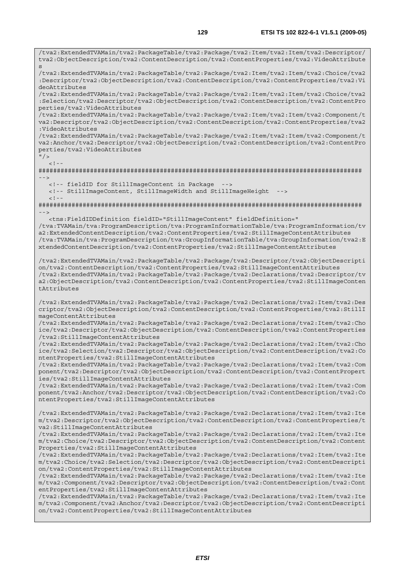/tva2:ExtendedTVAMain/tva2:PackageTable/tva2:Package/tva2:Item/tva2:Item/tva2:Descriptor/ tva2:ObjectDescription/tva2:ContentDescription/tva2:ContentProperties/tva2:VideoAttribute s /tva2:ExtendedTVAMain/tva2:PackageTable/tva2:Package/tva2:Item/tva2:Item/tva2:Choice/tva2 :Descriptor/tva2:ObjectDescription/tva2:ContentDescription/tva2:ContentProperties/tva2:Vi deoAttributes /tva2:ExtendedTVAMain/tva2:PackageTable/tva2:Package/tva2:Item/tva2:Item/tva2:Choice/tva2 :Selection/tva2:Descriptor/tva2:ObjectDescription/tva2:ContentDescription/tva2:ContentPro perties/tva2:VideoAttributes /tva2:ExtendedTVAMain/tva2:PackageTable/tva2:Package/tva2:Item/tva2:Item/tva2:Component/t va2:Descriptor/tva2:ObjectDescription/tva2:ContentDescription/tva2:ContentProperties/tva2 :VideoAttributes /tva2:ExtendedTVAMain/tva2:PackageTable/tva2:Package/tva2:Item/tva2:Item/tva2:Component/t va2:Anchor/tva2:Descriptor/tva2:ObjectDescription/tva2:ContentDescription/tva2:ContentPro perties/tva2:VideoAttributes  $"$  / >  $\geq$   $\frac{1}{2}$   $\geq$   $\frac{1}{2}$ ######################################################################################## --> <!-- fieldID for StillImageContent in Package --> <!-- StillImageContent, StillImageWidth and StillImageHeight -->  $<$ ! - -######################################################################################## --> <tns:FieldIDDefinition fieldID="StillImageContent" fieldDefinition=" /tva:TVAMain/tva:ProgramDescription/tva:ProgramInformationTable/tva:ProgramInformation/tv a2:ExtendedContentDescription/tva2:ContentProperties/tva2:StillImageContentAttributes /tva:TVAMain/tva:ProgramDescription/tva:GroupInformationTable/tva:GroupInformation/tva2:E xtendedContentDescription/tva2:ContentProperties/tva2:StillImageContentAttributes /tva2:ExtendedTVAMain/tva2:PackageTable/tva2:Package/tva2:Descriptor/tva2:ObjectDescripti on/tva2:ContentDescription/tva2:ContentProperties/tva2:StillImageContentAttributes /tva2:ExtendedTVAMain/tva2:PackageTable/tva2:Package/tva2:Declarations/tva2:Descriptor/tv a2:ObjectDescription/tva2:ContentDescription/tva2:ContentProperties/tva2:StillImageConten tAttributes /tva2:ExtendedTVAMain/tva2:PackageTable/tva2:Package/tva2:Declarations/tva2:Item/tva2:Des criptor/tva2:ObjectDescription/tva2:ContentDescription/tva2:ContentProperties/tva2:StillI mageContentAttributes /tva2:ExtendedTVAMain/tva2:PackageTable/tva2:Package/tva2:Declarations/tva2:Item/tva2:Cho ice/tva2:Descriptor/tva2:ObjectDescription/tva2:ContentDescription/tva2:ContentProperties /tva2:StillImageContentAttributes /tva2:ExtendedTVAMain/tva2:PackageTable/tva2:Package/tva2:Declarations/tva2:Item/tva2:Cho ice/tva2:Selection/tva2:Descriptor/tva2:ObjectDescription/tva2:ContentDescription/tva2:Co ntentProperties/tva2:StillImageContentAttributes /tva2:ExtendedTVAMain/tva2:PackageTable/tva2:Package/tva2:Declarations/tva2:Item/tva2:Com ponent/tva2:Descriptor/tva2:ObjectDescription/tva2:ContentDescription/tva2:ContentPropert ies/tva2:StillImageContentAttributes /tva2:ExtendedTVAMain/tva2:PackageTable/tva2:Package/tva2:Declarations/tva2:Item/tva2:Com ponent/tva2:Anchor/tva2:Descriptor/tva2:ObjectDescription/tva2:ContentDescription/tva2:Co ntentProperties/tva2:StillImageContentAttributes /tva2:ExtendedTVAMain/tva2:PackageTable/tva2:Package/tva2:Declarations/tva2:Item/tva2:Ite m/tva2:Descriptor/tva2:ObjectDescription/tva2:ContentDescription/tva2:ContentProperties/t va2:StillImageContentAttributes /tva2:ExtendedTVAMain/tva2:PackageTable/tva2:Package/tva2:Declarations/tva2:Item/tva2:Ite m/tva2:Choice/tva2:Descriptor/tva2:ObjectDescription/tva2:ContentDescription/tva2:Content Properties/tva2:StillImageContentAttributes /tva2:ExtendedTVAMain/tva2:PackageTable/tva2:Package/tva2:Declarations/tva2:Item/tva2:Ite m/tva2:Choice/tva2:Selection/tva2:Descriptor/tva2:ObjectDescription/tva2:ContentDescripti on/tva2:ContentProperties/tva2:StillImageContentAttributes /tva2:ExtendedTVAMain/tva2:PackageTable/tva2:Package/tva2:Declarations/tva2:Item/tva2:Ite m/tva2:Component/tva2:Descriptor/tva2:ObjectDescription/tva2:ContentDescription/tva2:Cont entProperties/tva2:StillImageContentAttributes /tva2:ExtendedTVAMain/tva2:PackageTable/tva2:Package/tva2:Declarations/tva2:Item/tva2:Ite m/tva2:Component/tva2:Anchor/tva2:Descriptor/tva2:ObjectDescription/tva2:ContentDescripti on/tva2:ContentProperties/tva2:StillImageContentAttributes

*ETSI*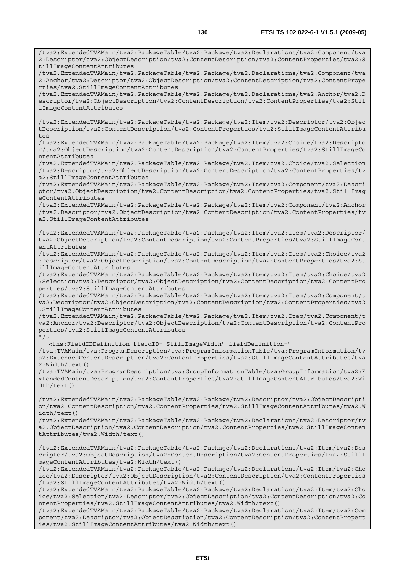/tva2:ExtendedTVAMain/tva2:PackageTable/tva2:Package/tva2:Declarations/tva2:Component/tva 2:Descriptor/tva2:ObjectDescription/tva2:ContentDescription/tva2:ContentProperties/tva2:S

/tva2:ExtendedTVAMain/tva2:PackageTable/tva2:Package/tva2:Declarations/tva2:Component/tva 2:Anchor/tva2:Descriptor/tva2:ObjectDescription/tva2:ContentDescription/tva2:ContentPrope

tillImageContentAttributes

rties/tva2:StillImageContentAttributes

/tva2:ExtendedTVAMain/tva2:PackageTable/tva2:Package/tva2:Declarations/tva2:Anchor/tva2:D escriptor/tva2:ObjectDescription/tva2:ContentDescription/tva2:ContentProperties/tva2:Stil lImageContentAttributes /tva2:ExtendedTVAMain/tva2:PackageTable/tva2:Package/tva2:Item/tva2:Descriptor/tva2:Objec tDescription/tva2:ContentDescription/tva2:ContentProperties/tva2:StillImageContentAttribu tes /tva2:ExtendedTVAMain/tva2:PackageTable/tva2:Package/tva2:Item/tva2:Choice/tva2:Descripto r/tva2:ObjectDescription/tva2:ContentDescription/tva2:ContentProperties/tva2:StillImageCo ntentAttributes /tva2:ExtendedTVAMain/tva2:PackageTable/tva2:Package/tva2:Item/tva2:Choice/tva2:Selection /tva2:Descriptor/tva2:ObjectDescription/tva2:ContentDescription/tva2:ContentProperties/tv a2:StillImageContentAttributes /tva2:ExtendedTVAMain/tva2:PackageTable/tva2:Package/tva2:Item/tva2:Component/tva2:Descri ptor/tva2:ObjectDescription/tva2:ContentDescription/tva2:ContentProperties/tva2:StillImag eContentAttributes /tva2:ExtendedTVAMain/tva2:PackageTable/tva2:Package/tva2:Item/tva2:Component/tva2:Anchor /tva2:Descriptor/tva2:ObjectDescription/tva2:ContentDescription/tva2:ContentProperties/tv a2:StillImageContentAttributes /tva2:ExtendedTVAMain/tva2:PackageTable/tva2:Package/tva2:Item/tva2:Item/tva2:Descriptor/ tva2:ObjectDescription/tva2:ContentDescription/tva2:ContentProperties/tva2:StillImageCont entAttributes /tva2:ExtendedTVAMain/tva2:PackageTable/tva2:Package/tva2:Item/tva2:Item/tva2:Choice/tva2 :Descriptor/tva2:ObjectDescription/tva2:ContentDescription/tva2:ContentProperties/tva2:St illImageContentAttributes /tva2:ExtendedTVAMain/tva2:PackageTable/tva2:Package/tva2:Item/tva2:Item/tva2:Choice/tva2 :Selection/tva2:Descriptor/tva2:ObjectDescription/tva2:ContentDescription/tva2:ContentPro perties/tva2:StillImageContentAttributes /tva2:ExtendedTVAMain/tva2:PackageTable/tva2:Package/tva2:Item/tva2:Item/tva2:Component/t va2:Descriptor/tva2:ObjectDescription/tva2:ContentDescription/tva2:ContentProperties/tva2 :StillImageContentAttributes /tva2:ExtendedTVAMain/tva2:PackageTable/tva2:Package/tva2:Item/tva2:Item/tva2:Component/t va2:Anchor/tva2:Descriptor/tva2:ObjectDescription/tva2:ContentDescription/tva2:ContentPro perties/tva2:StillImageContentAttributes  $''$  / > <tns:FieldIDDefinition fieldID="StillImageWidth" fieldDefinition=" /tva:TVAMain/tva:ProgramDescription/tva:ProgramInformationTable/tva:ProgramInformation/tv a2:ExtendedContentDescription/tva2:ContentProperties/tva2:StillImageContentAttributes/tva 2:Width/text() /tva:TVAMain/tva:ProgramDescription/tva:GroupInformationTable/tva:GroupInformation/tva2:E xtendedContentDescription/tva2:ContentProperties/tva2:StillImageContentAttributes/tva2:Wi dth/text() /tva2:ExtendedTVAMain/tva2:PackageTable/tva2:Package/tva2:Descriptor/tva2:ObjectDescripti on/tva2:ContentDescription/tva2:ContentProperties/tva2:StillImageContentAttributes/tva2:W idth/text() /tva2:ExtendedTVAMain/tva2:PackageTable/tva2:Package/tva2:Declarations/tva2:Descriptor/tv a2:ObjectDescription/tva2:ContentDescription/tva2:ContentProperties/tva2:StillImageConten tAttributes/tva2:Width/text() /tva2:ExtendedTVAMain/tva2:PackageTable/tva2:Package/tva2:Declarations/tva2:Item/tva2:Des criptor/tva2:ObjectDescription/tva2:ContentDescription/tva2:ContentProperties/tva2:StillI mageContentAttributes/tva2:Width/text() /tva2:ExtendedTVAMain/tva2:PackageTable/tva2:Package/tva2:Declarations/tva2:Item/tva2:Cho ice/tva2:Descriptor/tva2:ObjectDescription/tva2:ContentDescription/tva2:ContentProperties /tva2:StillImageContentAttributes/tva2:Width/text() /tva2:ExtendedTVAMain/tva2:PackageTable/tva2:Package/tva2:Declarations/tva2:Item/tva2:Cho ice/tva2:Selection/tva2:Descriptor/tva2:ObjectDescription/tva2:ContentDescription/tva2:Co ntentProperties/tva2:StillImageContentAttributes/tva2:Width/text() /tva2:ExtendedTVAMain/tva2:PackageTable/tva2:Package/tva2:Declarations/tva2:Item/tva2:Com ponent/tva2:Descriptor/tva2:ObjectDescription/tva2:ContentDescription/tva2:ContentPropert ies/tva2:StillImageContentAttributes/tva2:Width/text()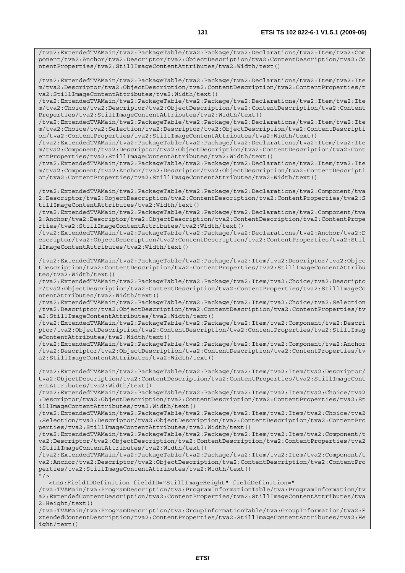/tva2:ExtendedTVAMain/tva2:PackageTable/tva2:Package/tva2:Declarations/tva2:Item/tva2:Com ponent/tva2:Anchor/tva2:Descriptor/tva2:ObjectDescription/tva2:ContentDescription/tva2:Co ntentProperties/tva2:StillImageContentAttributes/tva2:Width/text()

/tva2:ExtendedTVAMain/tva2:PackageTable/tva2:Package/tva2:Declarations/tva2:Item/tva2:Ite m/tva2:Descriptor/tva2:ObjectDescription/tva2:ContentDescription/tva2:ContentProperties/t va2:StillImageContentAttributes/tva2:Width/text()

/tva2:ExtendedTVAMain/tva2:PackageTable/tva2:Package/tva2:Declarations/tva2:Item/tva2:Ite m/tva2:Choice/tva2:Descriptor/tva2:ObjectDescription/tva2:ContentDescription/tva2:Content Properties/tva2:StillImageContentAttributes/tva2:Width/text()

/tva2:ExtendedTVAMain/tva2:PackageTable/tva2:Package/tva2:Declarations/tva2:Item/tva2:Ite m/tva2:Choice/tva2:Selection/tva2:Descriptor/tva2:ObjectDescription/tva2:ContentDescripti on/tva2:ContentProperties/tva2:StillImageContentAttributes/tva2:Width/text()

/tva2:ExtendedTVAMain/tva2:PackageTable/tva2:Package/tva2:Declarations/tva2:Item/tva2:Ite m/tva2:Component/tva2:Descriptor/tva2:ObjectDescription/tva2:ContentDescription/tva2:Cont entProperties/tva2:StillImageContentAttributes/tva2:Width/text()

/tva2:ExtendedTVAMain/tva2:PackageTable/tva2:Package/tva2:Declarations/tva2:Item/tva2:Ite m/tva2:Component/tva2:Anchor/tva2:Descriptor/tva2:ObjectDescription/tva2:ContentDescripti on/tva2:ContentProperties/tva2:StillImageContentAttributes/tva2:Width/text()

/tva2:ExtendedTVAMain/tva2:PackageTable/tva2:Package/tva2:Declarations/tva2:Component/tva 2:Descriptor/tva2:ObjectDescription/tva2:ContentDescription/tva2:ContentProperties/tva2:S tillImageContentAttributes/tva2:Width/text()

/tva2:ExtendedTVAMain/tva2:PackageTable/tva2:Package/tva2:Declarations/tva2:Component/tva 2:Anchor/tva2:Descriptor/tva2:ObjectDescription/tva2:ContentDescription/tva2:ContentPrope rties/tva2:StillImageContentAttributes/tva2:Width/text()

/tva2:ExtendedTVAMain/tva2:PackageTable/tva2:Package/tva2:Declarations/tva2:Anchor/tva2:D escriptor/tva2:ObjectDescription/tva2:ContentDescription/tva2:ContentProperties/tva2:Stil lImageContentAttributes/tva2:Width/text()

/tva2:ExtendedTVAMain/tva2:PackageTable/tva2:Package/tva2:Item/tva2:Descriptor/tva2:Objec tDescription/tva2:ContentDescription/tva2:ContentProperties/tva2:StillImageContentAttribu tes/tva2:Width/text()

/tva2:ExtendedTVAMain/tva2:PackageTable/tva2:Package/tva2:Item/tva2:Choice/tva2:Descripto r/tva2:ObjectDescription/tva2:ContentDescription/tva2:ContentProperties/tva2:StillImageCo ntentAttributes/tva2:Width/text()

/tva2:ExtendedTVAMain/tva2:PackageTable/tva2:Package/tva2:Item/tva2:Choice/tva2:Selection /tva2:Descriptor/tva2:ObjectDescription/tva2:ContentDescription/tva2:ContentProperties/tv a2:StillImageContentAttributes/tva2:Width/text()

/tva2:ExtendedTVAMain/tva2:PackageTable/tva2:Package/tva2:Item/tva2:Component/tva2:Descri ptor/tva2:ObjectDescription/tva2:ContentDescription/tva2:ContentProperties/tva2:StillImag eContentAttributes/tva2:Width/text()

/tva2:ExtendedTVAMain/tva2:PackageTable/tva2:Package/tva2:Item/tva2:Component/tva2:Anchor /tva2:Descriptor/tva2:ObjectDescription/tva2:ContentDescription/tva2:ContentProperties/tv a2:StillImageContentAttributes/tva2:Width/text()

/tva2:ExtendedTVAMain/tva2:PackageTable/tva2:Package/tva2:Item/tva2:Item/tva2:Descriptor/ tva2:ObjectDescription/tva2:ContentDescription/tva2:ContentProperties/tva2:StillImageCont entAttributes/tva2:Width/text()

/tva2:ExtendedTVAMain/tva2:PackageTable/tva2:Package/tva2:Item/tva2:Item/tva2:Choice/tva2 :Descriptor/tva2:ObjectDescription/tva2:ContentDescription/tva2:ContentProperties/tva2:St illImageContentAttributes/tva2:Width/text()

/tva2:ExtendedTVAMain/tva2:PackageTable/tva2:Package/tva2:Item/tva2:Item/tva2:Choice/tva2 :Selection/tva2:Descriptor/tva2:ObjectDescription/tva2:ContentDescription/tva2:ContentPro perties/tva2:StillImageContentAttributes/tva2:Width/text()

/tva2:ExtendedTVAMain/tva2:PackageTable/tva2:Package/tva2:Item/tva2:Item/tva2:Component/t va2:Descriptor/tva2:ObjectDescription/tva2:ContentDescription/tva2:ContentProperties/tva2 :StillImageContentAttributes/tva2:Width/text()

/tva2:ExtendedTVAMain/tva2:PackageTable/tva2:Package/tva2:Item/tva2:Item/tva2:Component/t va2:Anchor/tva2:Descriptor/tva2:ObjectDescription/tva2:ContentDescription/tva2:ContentPro perties/tva2:StillImageContentAttributes/tva2:Width/text()  $''$  / >

<tns:FieldIDDefinition fieldID="StillImageHeight" fieldDefinition="

/tva:TVAMain/tva:ProgramDescription/tva:ProgramInformationTable/tva:ProgramInformation/tv a2:ExtendedContentDescription/tva2:ContentProperties/tva2:StillImageContentAttributes/tva 2:Height/text()

/tva:TVAMain/tva:ProgramDescription/tva:GroupInformationTable/tva:GroupInformation/tva2:E xtendedContentDescription/tva2:ContentProperties/tva2:StillImageContentAttributes/tva2:He ight/text()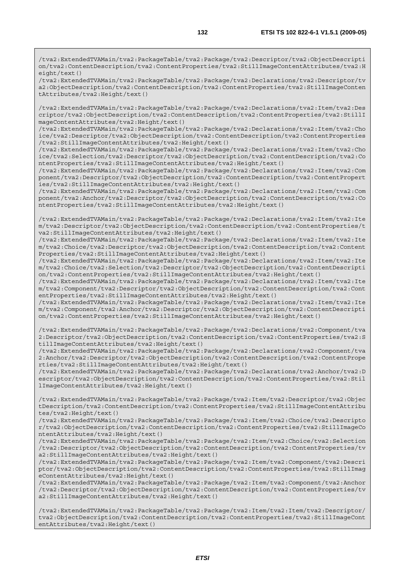/tva2:ExtendedTVAMain/tva2:PackageTable/tva2:Package/tva2:Descriptor/tva2:ObjectDescripti on/tva2:ContentDescription/tva2:ContentProperties/tva2:StillImageContentAttributes/tva2:H eight/text()

/tva2:ExtendedTVAMain/tva2:PackageTable/tva2:Package/tva2:Declarations/tva2:Descriptor/tv a2:ObjectDescription/tva2:ContentDescription/tva2:ContentProperties/tva2:StillImageConten tAttributes/tva2:Height/text()

/tva2:ExtendedTVAMain/tva2:PackageTable/tva2:Package/tva2:Declarations/tva2:Item/tva2:Des criptor/tva2:ObjectDescription/tva2:ContentDescription/tva2:ContentProperties/tva2:StillI mageContentAttributes/tva2:Height/text()

/tva2:ExtendedTVAMain/tva2:PackageTable/tva2:Package/tva2:Declarations/tva2:Item/tva2:Cho ice/tva2:Descriptor/tva2:ObjectDescription/tva2:ContentDescription/tva2:ContentProperties /tva2:StillImageContentAttributes/tva2:Height/text()

/tva2:ExtendedTVAMain/tva2:PackageTable/tva2:Package/tva2:Declarations/tva2:Item/tva2:Cho ice/tva2:Selection/tva2:Descriptor/tva2:ObjectDescription/tva2:ContentDescription/tva2:Co ntentProperties/tva2:StillImageContentAttributes/tva2:Height/text()

/tva2:ExtendedTVAMain/tva2:PackageTable/tva2:Package/tva2:Declarations/tva2:Item/tva2:Com ponent/tva2:Descriptor/tva2:ObjectDescription/tva2:ContentDescription/tva2:ContentPropert ies/tva2:StillImageContentAttributes/tva2:Height/text()

/tva2:ExtendedTVAMain/tva2:PackageTable/tva2:Package/tva2:Declarations/tva2:Item/tva2:Com ponent/tva2:Anchor/tva2:Descriptor/tva2:ObjectDescription/tva2:ContentDescription/tva2:Co ntentProperties/tva2:StillImageContentAttributes/tva2:Height/text()

/tva2:ExtendedTVAMain/tva2:PackageTable/tva2:Package/tva2:Declarations/tva2:Item/tva2:Ite m/tva2:Descriptor/tva2:ObjectDescription/tva2:ContentDescription/tva2:ContentProperties/t va2:StillImageContentAttributes/tva2:Height/text()

/tva2:ExtendedTVAMain/tva2:PackageTable/tva2:Package/tva2:Declarations/tva2:Item/tva2:Ite m/tva2:Choice/tva2:Descriptor/tva2:ObjectDescription/tva2:ContentDescription/tva2:Content Properties/tva2:StillImageContentAttributes/tva2:Height/text()

/tva2:ExtendedTVAMain/tva2:PackageTable/tva2:Package/tva2:Declarations/tva2:Item/tva2:Ite m/tva2:Choice/tva2:Selection/tva2:Descriptor/tva2:ObjectDescription/tva2:ContentDescripti on/tva2:ContentProperties/tva2:StillImageContentAttributes/tva2:Height/text()

/tva2:ExtendedTVAMain/tva2:PackageTable/tva2:Package/tva2:Declarations/tva2:Item/tva2:Ite m/tva2:Component/tva2:Descriptor/tva2:ObjectDescription/tva2:ContentDescription/tva2:Cont entProperties/tva2:StillImageContentAttributes/tva2:Height/text()

/tva2:ExtendedTVAMain/tva2:PackageTable/tva2:Package/tva2:Declarations/tva2:Item/tva2:Ite m/tva2:Component/tva2:Anchor/tva2:Descriptor/tva2:ObjectDescription/tva2:ContentDescripti on/tva2:ContentProperties/tva2:StillImageContentAttributes/tva2:Height/text()

/tva2:ExtendedTVAMain/tva2:PackageTable/tva2:Package/tva2:Declarations/tva2:Component/tva 2:Descriptor/tva2:ObjectDescription/tva2:ContentDescription/tva2:ContentProperties/tva2:S tillImageContentAttributes/tva2:Height/text()

/tva2:ExtendedTVAMain/tva2:PackageTable/tva2:Package/tva2:Declarations/tva2:Component/tva 2:Anchor/tva2:Descriptor/tva2:ObjectDescription/tva2:ContentDescription/tva2:ContentPrope rties/tva2:StillImageContentAttributes/tva2:Height/text()

/tva2:ExtendedTVAMain/tva2:PackageTable/tva2:Package/tva2:Declarations/tva2:Anchor/tva2:D escriptor/tva2:ObjectDescription/tva2:ContentDescription/tva2:ContentProperties/tva2:Stil lImageContentAttributes/tva2:Height/text()

/tva2:ExtendedTVAMain/tva2:PackageTable/tva2:Package/tva2:Item/tva2:Descriptor/tva2:Objec tDescription/tva2:ContentDescription/tva2:ContentProperties/tva2:StillImageContentAttribu tes/tva2:Height/text()

/tva2:ExtendedTVAMain/tva2:PackageTable/tva2:Package/tva2:Item/tva2:Choice/tva2:Descripto r/tva2:ObjectDescription/tva2:ContentDescription/tva2:ContentProperties/tva2:StillImageCo ntentAttributes/tva2:Height/text()

/tva2:ExtendedTVAMain/tva2:PackageTable/tva2:Package/tva2:Item/tva2:Choice/tva2:Selection /tva2:Descriptor/tva2:ObjectDescription/tva2:ContentDescription/tva2:ContentProperties/tv a2:StillImageContentAttributes/tva2:Height/text()

/tva2:ExtendedTVAMain/tva2:PackageTable/tva2:Package/tva2:Item/tva2:Component/tva2:Descri ptor/tva2:ObjectDescription/tva2:ContentDescription/tva2:ContentProperties/tva2:StillImag eContentAttributes/tva2:Height/text()

/tva2:ExtendedTVAMain/tva2:PackageTable/tva2:Package/tva2:Item/tva2:Component/tva2:Anchor /tva2:Descriptor/tva2:ObjectDescription/tva2:ContentDescription/tva2:ContentProperties/tv a2:StillImageContentAttributes/tva2:Height/text()

/tva2:ExtendedTVAMain/tva2:PackageTable/tva2:Package/tva2:Item/tva2:Item/tva2:Descriptor/ tva2:ObjectDescription/tva2:ContentDescription/tva2:ContentProperties/tva2:StillImageCont entAttributes/tva2:Height/text()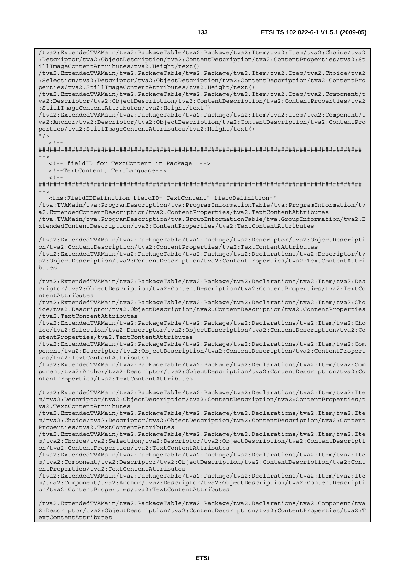/tva2:ExtendedTVAMain/tva2:PackageTable/tva2:Package/tva2:Item/tva2:Item/tva2:Choice/tva2 :Descriptor/tva2:ObjectDescription/tva2:ContentDescription/tva2:ContentProperties/tva2:St illImageContentAttributes/tva2:Height/text() /tva2:ExtendedTVAMain/tva2:PackageTable/tva2:Package/tva2:Item/tva2:Item/tva2:Choice/tva2 :Selection/tva2:Descriptor/tva2:ObjectDescription/tva2:ContentDescription/tva2:ContentPro perties/tva2:StillImageContentAttributes/tva2:Height/text() /tva2:ExtendedTVAMain/tva2:PackageTable/tva2:Package/tva2:Item/tva2:Item/tva2:Component/t va2:Descriptor/tva2:ObjectDescription/tva2:ContentDescription/tva2:ContentProperties/tva2 :StillImageContentAttributes/tva2:Height/text() /tva2:ExtendedTVAMain/tva2:PackageTable/tva2:Package/tva2:Item/tva2:Item/tva2:Component/t va2:Anchor/tva2:Descriptor/tva2:ObjectDescription/tva2:ContentDescription/tva2:ContentPro perties/tva2:StillImageContentAttributes/tva2:Height/text()  $\frac{1}{2}$  $\geq$   $\frac{1}{2}$ ######################################################################################## --> <!-- fieldID for TextContent in Package --> <!--TextContent, TextLanguage-->  $<$ ! --######################################################################################## --> <tns:FieldIDDefinition fieldID="TextContent" fieldDefinition=" /tva:TVAMain/tva:ProgramDescription/tva:ProgramInformationTable/tva:ProgramInformation/tv a2:ExtendedContentDescription/tva2:ContentProperties/tva2:TextContentAttributes /tva:TVAMain/tva:ProgramDescription/tva:GroupInformationTable/tva:GroupInformation/tva2:E xtendedContentDescription/tva2:ContentProperties/tva2:TextContentAttributes /tva2:ExtendedTVAMain/tva2:PackageTable/tva2:Package/tva2:Descriptor/tva2:ObjectDescripti on/tva2:ContentDescription/tva2:ContentProperties/tva2:TextContentAttributes /tva2:ExtendedTVAMain/tva2:PackageTable/tva2:Package/tva2:Declarations/tva2:Descriptor/tv a2:ObjectDescription/tva2:ContentDescription/tva2:ContentProperties/tva2:TextContentAttri butes /tva2:ExtendedTVAMain/tva2:PackageTable/tva2:Package/tva2:Declarations/tva2:Item/tva2:Des criptor/tva2:ObjectDescription/tva2:ContentDescription/tva2:ContentProperties/tva2:TextCo ntentAttributes /tva2:ExtendedTVAMain/tva2:PackageTable/tva2:Package/tva2:Declarations/tva2:Item/tva2:Cho ice/tva2:Descriptor/tva2:ObjectDescription/tva2:ContentDescription/tva2:ContentProperties /tva2:TextContentAttributes /tva2:ExtendedTVAMain/tva2:PackageTable/tva2:Package/tva2:Declarations/tva2:Item/tva2:Cho ice/tva2:Selection/tva2:Descriptor/tva2:ObjectDescription/tva2:ContentDescription/tva2:Co ntentProperties/tva2:TextContentAttributes /tva2:ExtendedTVAMain/tva2:PackageTable/tva2:Package/tva2:Declarations/tva2:Item/tva2:Com ponent/tva2:Descriptor/tva2:ObjectDescription/tva2:ContentDescription/tva2:ContentPropert ies/tva2:TextContentAttributes /tva2:ExtendedTVAMain/tva2:PackageTable/tva2:Package/tva2:Declarations/tva2:Item/tva2:Com ponent/tva2:Anchor/tva2:Descriptor/tva2:ObjectDescription/tva2:ContentDescription/tva2:Co ntentProperties/tva2:TextContentAttributes /tva2:ExtendedTVAMain/tva2:PackageTable/tva2:Package/tva2:Declarations/tva2:Item/tva2:Ite m/tva2:Descriptor/tva2:ObjectDescription/tva2:ContentDescription/tva2:ContentProperties/t va2:TextContentAttributes /tva2:ExtendedTVAMain/tva2:PackageTable/tva2:Package/tva2:Declarations/tva2:Item/tva2:Ite m/tva2:Choice/tva2:Descriptor/tva2:ObjectDescription/tva2:ContentDescription/tva2:Content Properties/tva2:TextContentAttributes /tva2:ExtendedTVAMain/tva2:PackageTable/tva2:Package/tva2:Declarations/tva2:Item/tva2:Ite m/tva2:Choice/tva2:Selection/tva2:Descriptor/tva2:ObjectDescription/tva2:ContentDescripti on/tva2:ContentProperties/tva2:TextContentAttributes /tva2:ExtendedTVAMain/tva2:PackageTable/tva2:Package/tva2:Declarations/tva2:Item/tva2:Ite m/tva2:Component/tva2:Descriptor/tva2:ObjectDescription/tva2:ContentDescription/tva2:Cont entProperties/tva2:TextContentAttributes /tva2:ExtendedTVAMain/tva2:PackageTable/tva2:Package/tva2:Declarations/tva2:Item/tva2:Ite m/tva2:Component/tva2:Anchor/tva2:Descriptor/tva2:ObjectDescription/tva2:ContentDescripti on/tva2:ContentProperties/tva2:TextContentAttributes

/tva2:ExtendedTVAMain/tva2:PackageTable/tva2:Package/tva2:Declarations/tva2:Component/tva 2:Descriptor/tva2:ObjectDescription/tva2:ContentDescription/tva2:ContentProperties/tva2:T extContentAttributes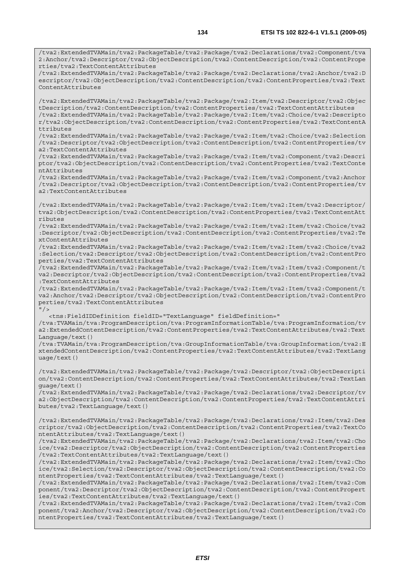/tva2:ExtendedTVAMain/tva2:PackageTable/tva2:Package/tva2:Declarations/tva2:Component/tva 2:Anchor/tva2:Descriptor/tva2:ObjectDescription/tva2:ContentDescription/tva2:ContentPrope rties/tva2:TextContentAttributes /tva2:ExtendedTVAMain/tva2:PackageTable/tva2:Package/tva2:Declarations/tva2:Anchor/tva2:D escriptor/tva2:ObjectDescription/tva2:ContentDescription/tva2:ContentProperties/tva2:Text ContentAttributes /tva2:ExtendedTVAMain/tva2:PackageTable/tva2:Package/tva2:Item/tva2:Descriptor/tva2:Objec tDescription/tva2:ContentDescription/tva2:ContentProperties/tva2:TextContentAttributes /tva2:ExtendedTVAMain/tva2:PackageTable/tva2:Package/tva2:Item/tva2:Choice/tva2:Descripto r/tva2:ObjectDescription/tva2:ContentDescription/tva2:ContentProperties/tva2:TextContentA ttributes /tva2:ExtendedTVAMain/tva2:PackageTable/tva2:Package/tva2:Item/tva2:Choice/tva2:Selection /tva2:Descriptor/tva2:ObjectDescription/tva2:ContentDescription/tva2:ContentProperties/tv a2:TextContentAttributes /tva2:ExtendedTVAMain/tva2:PackageTable/tva2:Package/tva2:Item/tva2:Component/tva2:Descri ptor/tva2:ObjectDescription/tva2:ContentDescription/tva2:ContentProperties/tva2:TextConte ntAttributes /tva2:ExtendedTVAMain/tva2:PackageTable/tva2:Package/tva2:Item/tva2:Component/tva2:Anchor /tva2:Descriptor/tva2:ObjectDescription/tva2:ContentDescription/tva2:ContentProperties/tv a2:TextContentAttributes /tva2:ExtendedTVAMain/tva2:PackageTable/tva2:Package/tva2:Item/tva2:Item/tva2:Descriptor/ tva2:ObjectDescription/tva2:ContentDescription/tva2:ContentProperties/tva2:TextContentAtt ributes /tva2:ExtendedTVAMain/tva2:PackageTable/tva2:Package/tva2:Item/tva2:Item/tva2:Choice/tva2 :Descriptor/tva2:ObjectDescription/tva2:ContentDescription/tva2:ContentProperties/tva2:Te xtContentAttributes /tva2:ExtendedTVAMain/tva2:PackageTable/tva2:Package/tva2:Item/tva2:Item/tva2:Choice/tva2 :Selection/tva2:Descriptor/tva2:ObjectDescription/tva2:ContentDescription/tva2:ContentPro perties/tva2:TextContentAttributes /tva2:ExtendedTVAMain/tva2:PackageTable/tva2:Package/tva2:Item/tva2:Item/tva2:Component/t va2:Descriptor/tva2:ObjectDescription/tva2:ContentDescription/tva2:ContentProperties/tva2 :TextContentAttributes /tva2:ExtendedTVAMain/tva2:PackageTable/tva2:Package/tva2:Item/tva2:Item/tva2:Component/t va2:Anchor/tva2:Descriptor/tva2:ObjectDescription/tva2:ContentDescription/tva2:ContentPro perties/tva2:TextContentAttributes  $"$  / > <tns:FieldIDDefinition fieldID="TextLanguage" fieldDefinition=" /tva:TVAMain/tva:ProgramDescription/tva:ProgramInformationTable/tva:ProgramInformation/tv a2:ExtendedContentDescription/tva2:ContentProperties/tva2:TextContentAttributes/tva2:Text Language/text() /tva:TVAMain/tva:ProgramDescription/tva:GroupInformationTable/tva:GroupInformation/tva2:E xtendedContentDescription/tva2:ContentProperties/tva2:TextContentAttributes/tva2:TextLang uage/text() /tva2:ExtendedTVAMain/tva2:PackageTable/tva2:Package/tva2:Descriptor/tva2:ObjectDescripti on/tva2:ContentDescription/tva2:ContentProperties/tva2:TextContentAttributes/tva2:TextLan guage/text() /tva2:ExtendedTVAMain/tva2:PackageTable/tva2:Package/tva2:Declarations/tva2:Descriptor/tv a2:ObjectDescription/tva2:ContentDescription/tva2:ContentProperties/tva2:TextContentAttri butes/tva2:TextLanguage/text() /tva2:ExtendedTVAMain/tva2:PackageTable/tva2:Package/tva2:Declarations/tva2:Item/tva2:Des criptor/tva2:ObjectDescription/tva2:ContentDescription/tva2:ContentProperties/tva2:TextCo ntentAttributes/tva2:TextLanguage/text() /tva2:ExtendedTVAMain/tva2:PackageTable/tva2:Package/tva2:Declarations/tva2:Item/tva2:Cho ice/tva2:Descriptor/tva2:ObjectDescription/tva2:ContentDescription/tva2:ContentProperties /tva2:TextContentAttributes/tva2:TextLanguage/text() /tva2:ExtendedTVAMain/tva2:PackageTable/tva2:Package/tva2:Declarations/tva2:Item/tva2:Cho ice/tva2:Selection/tva2:Descriptor/tva2:ObjectDescription/tva2:ContentDescription/tva2:Co ntentProperties/tva2:TextContentAttributes/tva2:TextLanguage/text() /tva2:ExtendedTVAMain/tva2:PackageTable/tva2:Package/tva2:Declarations/tva2:Item/tva2:Com ponent/tva2:Descriptor/tva2:ObjectDescription/tva2:ContentDescription/tva2:ContentPropert ies/tva2:TextContentAttributes/tva2:TextLanguage/text() /tva2:ExtendedTVAMain/tva2:PackageTable/tva2:Package/tva2:Declarations/tva2:Item/tva2:Com ponent/tva2:Anchor/tva2:Descriptor/tva2:ObjectDescription/tva2:ContentDescription/tva2:Co ntentProperties/tva2:TextContentAttributes/tva2:TextLanguage/text()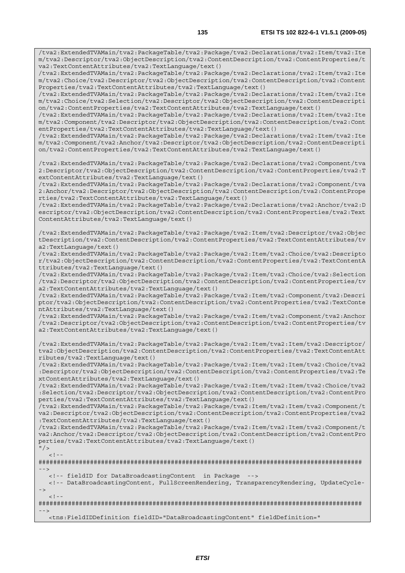/tva2:ExtendedTVAMain/tva2:PackageTable/tva2:Package/tva2:Declarations/tva2:Item/tva2:Ite m/tva2:Descriptor/tva2:ObjectDescription/tva2:ContentDescription/tva2:ContentProperties/t va2:TextContentAttributes/tva2:TextLanguage/text() /tva2:ExtendedTVAMain/tva2:PackageTable/tva2:Package/tva2:Declarations/tva2:Item/tva2:Ite

m/tva2:Choice/tva2:Descriptor/tva2:ObjectDescription/tva2:ContentDescription/tva2:Content Properties/tva2:TextContentAttributes/tva2:TextLanguage/text()

/tva2:ExtendedTVAMain/tva2:PackageTable/tva2:Package/tva2:Declarations/tva2:Item/tva2:Ite m/tva2:Choice/tva2:Selection/tva2:Descriptor/tva2:ObjectDescription/tva2:ContentDescripti on/tva2:ContentProperties/tva2:TextContentAttributes/tva2:TextLanguage/text()

/tva2:ExtendedTVAMain/tva2:PackageTable/tva2:Package/tva2:Declarations/tva2:Item/tva2:Ite m/tva2:Component/tva2:Descriptor/tva2:ObjectDescription/tva2:ContentDescription/tva2:Cont entProperties/tva2:TextContentAttributes/tva2:TextLanguage/text()

/tva2:ExtendedTVAMain/tva2:PackageTable/tva2:Package/tva2:Declarations/tva2:Item/tva2:Ite m/tva2:Component/tva2:Anchor/tva2:Descriptor/tva2:ObjectDescription/tva2:ContentDescripti on/tva2:ContentProperties/tva2:TextContentAttributes/tva2:TextLanguage/text()

/tva2:ExtendedTVAMain/tva2:PackageTable/tva2:Package/tva2:Declarations/tva2:Component/tva 2:Descriptor/tva2:ObjectDescription/tva2:ContentDescription/tva2:ContentProperties/tva2:T extContentAttributes/tva2:TextLanguage/text()

/tva2:ExtendedTVAMain/tva2:PackageTable/tva2:Package/tva2:Declarations/tva2:Component/tva 2:Anchor/tva2:Descriptor/tva2:ObjectDescription/tva2:ContentDescription/tva2:ContentPrope rties/tva2:TextContentAttributes/tva2:TextLanguage/text()

/tva2:ExtendedTVAMain/tva2:PackageTable/tva2:Package/tva2:Declarations/tva2:Anchor/tva2:D escriptor/tva2:ObjectDescription/tva2:ContentDescription/tva2:ContentProperties/tva2:Text ContentAttributes/tva2:TextLanguage/text()

/tva2:ExtendedTVAMain/tva2:PackageTable/tva2:Package/tva2:Item/tva2:Descriptor/tva2:Objec tDescription/tva2:ContentDescription/tva2:ContentProperties/tva2:TextContentAttributes/tv a2:TextLanguage/text()

/tva2:ExtendedTVAMain/tva2:PackageTable/tva2:Package/tva2:Item/tva2:Choice/tva2:Descripto r/tva2:ObjectDescription/tva2:ContentDescription/tva2:ContentProperties/tva2:TextContentA ttributes/tva2:TextLanguage/text()

/tva2:ExtendedTVAMain/tva2:PackageTable/tva2:Package/tva2:Item/tva2:Choice/tva2:Selection /tva2:Descriptor/tva2:ObjectDescription/tva2:ContentDescription/tva2:ContentProperties/tv a2:TextContentAttributes/tva2:TextLanguage/text()

/tva2:ExtendedTVAMain/tva2:PackageTable/tva2:Package/tva2:Item/tva2:Component/tva2:Descri ptor/tva2:ObjectDescription/tva2:ContentDescription/tva2:ContentProperties/tva2:TextConte ntAttributes/tva2:TextLanguage/text()

/tva2:ExtendedTVAMain/tva2:PackageTable/tva2:Package/tva2:Item/tva2:Component/tva2:Anchor /tva2:Descriptor/tva2:ObjectDescription/tva2:ContentDescription/tva2:ContentProperties/tv a2:TextContentAttributes/tva2:TextLanguage/text()

/tva2:ExtendedTVAMain/tva2:PackageTable/tva2:Package/tva2:Item/tva2:Item/tva2:Descriptor/ tva2:ObjectDescription/tva2:ContentDescription/tva2:ContentProperties/tva2:TextContentAtt ributes/tva2:TextLanguage/text()

/tva2:ExtendedTVAMain/tva2:PackageTable/tva2:Package/tva2:Item/tva2:Item/tva2:Choice/tva2 :Descriptor/tva2:ObjectDescription/tva2:ContentDescription/tva2:ContentProperties/tva2:Te xtContentAttributes/tva2:TextLanguage/text()

/tva2:ExtendedTVAMain/tva2:PackageTable/tva2:Package/tva2:Item/tva2:Item/tva2:Choice/tva2 :Selection/tva2:Descriptor/tva2:ObjectDescription/tva2:ContentDescription/tva2:ContentPro perties/tva2:TextContentAttributes/tva2:TextLanguage/text()

/tva2:ExtendedTVAMain/tva2:PackageTable/tva2:Package/tva2:Item/tva2:Item/tva2:Component/t va2:Descriptor/tva2:ObjectDescription/tva2:ContentDescription/tva2:ContentProperties/tva2 :TextContentAttributes/tva2:TextLanguage/text()

/tva2:ExtendedTVAMain/tva2:PackageTable/tva2:Package/tva2:Item/tva2:Item/tva2:Component/t va2:Anchor/tva2:Descriptor/tva2:ObjectDescription/tva2:ContentDescription/tva2:ContentPro perties/tva2:TextContentAttributes/tva2:TextLanguage/text()

 $"$  / >  $\geq$   $\geq$ 

######################################################################################## -->

<!-- fieldID for DataBroadcastingContent in Package -->

 <!-- DataBroadcastingContent, FullScreenRendering, TransparencyRendering, UpdateCycle- ->

 $\lt$  !

######################################################################################## -->

<tns:FieldIDDefinition fieldID="DataBroadcastingContent" fieldDefinition="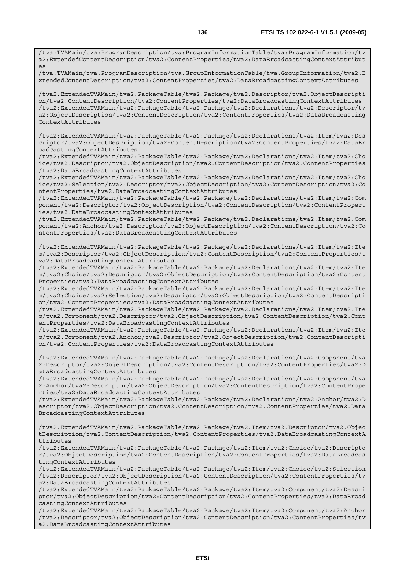/tva:TVAMain/tva:ProgramDescription/tva:GroupInformationTable/tva:GroupInformation/tva2:E xtendedContentDescription/tva2:ContentProperties/tva2:DataBroadcastingContextAttributes

/tva2:ExtendedTVAMain/tva2:PackageTable/tva2:Package/tva2:Descriptor/tva2:ObjectDescripti on/tva2:ContentDescription/tva2:ContentProperties/tva2:DataBroadcastingContextAttributes /tva2:ExtendedTVAMain/tva2:PackageTable/tva2:Package/tva2:Declarations/tva2:Descriptor/tv a2:ObjectDescription/tva2:ContentDescription/tva2:ContentProperties/tva2:DataBroadcasting ContextAttributes

/tva2:ExtendedTVAMain/tva2:PackageTable/tva2:Package/tva2:Declarations/tva2:Item/tva2:Des criptor/tva2:ObjectDescription/tva2:ContentDescription/tva2:ContentProperties/tva2:DataBr oadcastingContextAttributes

/tva2:ExtendedTVAMain/tva2:PackageTable/tva2:Package/tva2:Declarations/tva2:Item/tva2:Cho ice/tva2:Descriptor/tva2:ObjectDescription/tva2:ContentDescription/tva2:ContentProperties /tva2:DataBroadcastingContextAttributes

/tva2:ExtendedTVAMain/tva2:PackageTable/tva2:Package/tva2:Declarations/tva2:Item/tva2:Cho ice/tva2:Selection/tva2:Descriptor/tva2:ObjectDescription/tva2:ContentDescription/tva2:Co ntentProperties/tva2:DataBroadcastingContextAttributes

/tva2:ExtendedTVAMain/tva2:PackageTable/tva2:Package/tva2:Declarations/tva2:Item/tva2:Com ponent/tva2:Descriptor/tva2:ObjectDescription/tva2:ContentDescription/tva2:ContentPropert ies/tva2:DataBroadcastingContextAttributes

/tva2:ExtendedTVAMain/tva2:PackageTable/tva2:Package/tva2:Declarations/tva2:Item/tva2:Com ponent/tva2:Anchor/tva2:Descriptor/tva2:ObjectDescription/tva2:ContentDescription/tva2:Co ntentProperties/tva2:DataBroadcastingContextAttributes

/tva2:ExtendedTVAMain/tva2:PackageTable/tva2:Package/tva2:Declarations/tva2:Item/tva2:Ite m/tva2:Descriptor/tva2:ObjectDescription/tva2:ContentDescription/tva2:ContentProperties/t va2:DataBroadcastingContextAttributes

/tva2:ExtendedTVAMain/tva2:PackageTable/tva2:Package/tva2:Declarations/tva2:Item/tva2:Ite m/tva2:Choice/tva2:Descriptor/tva2:ObjectDescription/tva2:ContentDescription/tva2:Content Properties/tva2:DataBroadcastingContextAttributes

/tva2:ExtendedTVAMain/tva2:PackageTable/tva2:Package/tva2:Declarations/tva2:Item/tva2:Ite m/tva2:Choice/tva2:Selection/tva2:Descriptor/tva2:ObjectDescription/tva2:ContentDescripti on/tva2:ContentProperties/tva2:DataBroadcastingContextAttributes

/tva2:ExtendedTVAMain/tva2:PackageTable/tva2:Package/tva2:Declarations/tva2:Item/tva2:Ite m/tva2:Component/tva2:Descriptor/tva2:ObjectDescription/tva2:ContentDescription/tva2:Cont entProperties/tva2:DataBroadcastingContextAttributes

/tva2:ExtendedTVAMain/tva2:PackageTable/tva2:Package/tva2:Declarations/tva2:Item/tva2:Ite m/tva2:Component/tva2:Anchor/tva2:Descriptor/tva2:ObjectDescription/tva2:ContentDescripti on/tva2:ContentProperties/tva2:DataBroadcastingContextAttributes

/tva2:ExtendedTVAMain/tva2:PackageTable/tva2:Package/tva2:Declarations/tva2:Component/tva 2:Descriptor/tva2:ObjectDescription/tva2:ContentDescription/tva2:ContentProperties/tva2:D ataBroadcastingContextAttributes

/tva2:ExtendedTVAMain/tva2:PackageTable/tva2:Package/tva2:Declarations/tva2:Component/tva 2:Anchor/tva2:Descriptor/tva2:ObjectDescription/tva2:ContentDescription/tva2:ContentPrope rties/tva2:DataBroadcastingContextAttributes

/tva2:ExtendedTVAMain/tva2:PackageTable/tva2:Package/tva2:Declarations/tva2:Anchor/tva2:D escriptor/tva2:ObjectDescription/tva2:ContentDescription/tva2:ContentProperties/tva2:Data BroadcastingContextAttributes

/tva2:ExtendedTVAMain/tva2:PackageTable/tva2:Package/tva2:Item/tva2:Descriptor/tva2:Objec tDescription/tva2:ContentDescription/tva2:ContentProperties/tva2:DataBroadcastingContextA ttributes

/tva2:ExtendedTVAMain/tva2:PackageTable/tva2:Package/tva2:Item/tva2:Choice/tva2:Descripto r/tva2:ObjectDescription/tva2:ContentDescription/tva2:ContentProperties/tva2:DataBroadcas tingContextAttributes

/tva2:ExtendedTVAMain/tva2:PackageTable/tva2:Package/tva2:Item/tva2:Choice/tva2:Selection /tva2:Descriptor/tva2:ObjectDescription/tva2:ContentDescription/tva2:ContentProperties/tv a2:DataBroadcastingContextAttributes

/tva2:ExtendedTVAMain/tva2:PackageTable/tva2:Package/tva2:Item/tva2:Component/tva2:Descri ptor/tva2:ObjectDescription/tva2:ContentDescription/tva2:ContentProperties/tva2:DataBroad castingContextAttributes

/tva2:ExtendedTVAMain/tva2:PackageTable/tva2:Package/tva2:Item/tva2:Component/tva2:Anchor /tva2:Descriptor/tva2:ObjectDescription/tva2:ContentDescription/tva2:ContentProperties/tv a2:DataBroadcastingContextAttributes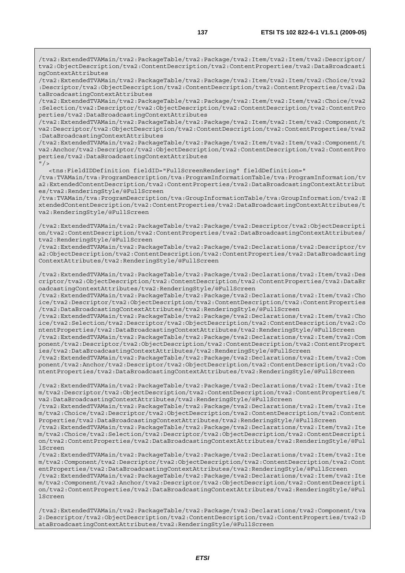/tva2:ExtendedTVAMain/tva2:PackageTable/tva2:Package/tva2:Item/tva2:Item/tva2:Descriptor/ tva2:ObjectDescription/tva2:ContentDescription/tva2:ContentProperties/tva2:DataBroadcasti ngContextAttributes

/tva2:ExtendedTVAMain/tva2:PackageTable/tva2:Package/tva2:Item/tva2:Item/tva2:Choice/tva2 :Descriptor/tva2:ObjectDescription/tva2:ContentDescription/tva2:ContentProperties/tva2:Da taBroadcastingContextAttributes

/tva2:ExtendedTVAMain/tva2:PackageTable/tva2:Package/tva2:Item/tva2:Item/tva2:Choice/tva2 :Selection/tva2:Descriptor/tva2:ObjectDescription/tva2:ContentDescription/tva2:ContentPro perties/tva2:DataBroadcastingContextAttributes

/tva2:ExtendedTVAMain/tva2:PackageTable/tva2:Package/tva2:Item/tva2:Item/tva2:Component/t va2:Descriptor/tva2:ObjectDescription/tva2:ContentDescription/tva2:ContentProperties/tva2 :DataBroadcastingContextAttributes

/tva2:ExtendedTVAMain/tva2:PackageTable/tva2:Package/tva2:Item/tva2:Item/tva2:Component/t va2:Anchor/tva2:Descriptor/tva2:ObjectDescription/tva2:ContentDescription/tva2:ContentPro perties/tva2:DataBroadcastingContextAttributes

 $"$  / >

<tns:FieldIDDefinition fieldID="FullScreenRendering" fieldDefinition="

/tva:TVAMain/tva:ProgramDescription/tva:ProgramInformationTable/tva:ProgramInformation/tv a2:ExtendedContentDescription/tva2:ContentProperties/tva2:DataBroadcastingContextAttribut es/tva2:RenderingStyle/@FullScreen

/tva:TVAMain/tva:ProgramDescription/tva:GroupInformationTable/tva:GroupInformation/tva2:E xtendedContentDescription/tva2:ContentProperties/tva2:DataBroadcastingContextAttributes/t va2:RenderingStyle/@FullScreen

/tva2:ExtendedTVAMain/tva2:PackageTable/tva2:Package/tva2:Descriptor/tva2:ObjectDescripti on/tva2:ContentDescription/tva2:ContentProperties/tva2:DataBroadcastingContextAttributes/ tva2:RenderingStyle/@FullScreen

/tva2:ExtendedTVAMain/tva2:PackageTable/tva2:Package/tva2:Declarations/tva2:Descriptor/tv a2:ObjectDescription/tva2:ContentDescription/tva2:ContentProperties/tva2:DataBroadcasting ContextAttributes/tva2:RenderingStyle/@FullScreen

/tva2:ExtendedTVAMain/tva2:PackageTable/tva2:Package/tva2:Declarations/tva2:Item/tva2:Des criptor/tva2:ObjectDescription/tva2:ContentDescription/tva2:ContentProperties/tva2:DataBr oadcastingContextAttributes/tva2:RenderingStyle/@FullScreen

/tva2:ExtendedTVAMain/tva2:PackageTable/tva2:Package/tva2:Declarations/tva2:Item/tva2:Cho ice/tva2:Descriptor/tva2:ObjectDescription/tva2:ContentDescription/tva2:ContentProperties /tva2:DataBroadcastingContextAttributes/tva2:RenderingStyle/@FullScreen

/tva2:ExtendedTVAMain/tva2:PackageTable/tva2:Package/tva2:Declarations/tva2:Item/tva2:Cho ice/tva2:Selection/tva2:Descriptor/tva2:ObjectDescription/tva2:ContentDescription/tva2:Co ntentProperties/tva2:DataBroadcastingContextAttributes/tva2:RenderingStyle/@FullScreen

/tva2:ExtendedTVAMain/tva2:PackageTable/tva2:Package/tva2:Declarations/tva2:Item/tva2:Com ponent/tva2:Descriptor/tva2:ObjectDescription/tva2:ContentDescription/tva2:ContentPropert ies/tva2:DataBroadcastingContextAttributes/tva2:RenderingStyle/@FullScreen

/tva2:ExtendedTVAMain/tva2:PackageTable/tva2:Package/tva2:Declarations/tva2:Item/tva2:Com ponent/tva2:Anchor/tva2:Descriptor/tva2:ObjectDescription/tva2:ContentDescription/tva2:Co ntentProperties/tva2:DataBroadcastingContextAttributes/tva2:RenderingStyle/@FullScreen

/tva2:ExtendedTVAMain/tva2:PackageTable/tva2:Package/tva2:Declarations/tva2:Item/tva2:Ite m/tva2:Descriptor/tva2:ObjectDescription/tva2:ContentDescription/tva2:ContentProperties/t va2:DataBroadcastingContextAttributes/tva2:RenderingStyle/@FullScreen

/tva2:ExtendedTVAMain/tva2:PackageTable/tva2:Package/tva2:Declarations/tva2:Item/tva2:Ite m/tva2:Choice/tva2:Descriptor/tva2:ObjectDescription/tva2:ContentDescription/tva2:Content Properties/tva2:DataBroadcastingContextAttributes/tva2:RenderingStyle/@FullScreen

/tva2:ExtendedTVAMain/tva2:PackageTable/tva2:Package/tva2:Declarations/tva2:Item/tva2:Ite m/tva2:Choice/tva2:Selection/tva2:Descriptor/tva2:ObjectDescription/tva2:ContentDescripti on/tva2:ContentProperties/tva2:DataBroadcastingContextAttributes/tva2:RenderingStyle/@Ful lScreen

/tva2:ExtendedTVAMain/tva2:PackageTable/tva2:Package/tva2:Declarations/tva2:Item/tva2:Ite m/tva2:Component/tva2:Descriptor/tva2:ObjectDescription/tva2:ContentDescription/tva2:Cont entProperties/tva2:DataBroadcastingContextAttributes/tva2:RenderingStyle/@FullScreen /tva2:ExtendedTVAMain/tva2:PackageTable/tva2:Package/tva2:Declarations/tva2:Item/tva2:Ite

m/tva2:Component/tva2:Anchor/tva2:Descriptor/tva2:ObjectDescription/tva2:ContentDescripti on/tva2:ContentProperties/tva2:DataBroadcastingContextAttributes/tva2:RenderingStyle/@Ful lScreen

/tva2:ExtendedTVAMain/tva2:PackageTable/tva2:Package/tva2:Declarations/tva2:Component/tva 2:Descriptor/tva2:ObjectDescription/tva2:ContentDescription/tva2:ContentProperties/tva2:D ataBroadcastingContextAttributes/tva2:RenderingStyle/@FullScreen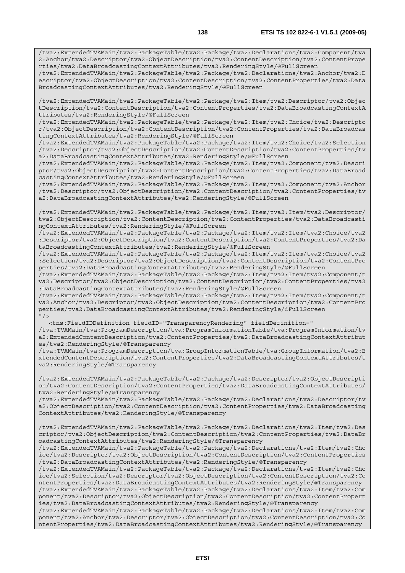/tva2:ExtendedTVAMain/tva2:PackageTable/tva2:Package/tva2:Declarations/tva2:Component/tva 2:Anchor/tva2:Descriptor/tva2:ObjectDescription/tva2:ContentDescription/tva2:ContentPrope rties/tva2:DataBroadcastingContextAttributes/tva2:RenderingStyle/@FullScreen

/tva2:ExtendedTVAMain/tva2:PackageTable/tva2:Package/tva2:Declarations/tva2:Anchor/tva2:D escriptor/tva2:ObjectDescription/tva2:ContentDescription/tva2:ContentProperties/tva2:Data BroadcastingContextAttributes/tva2:RenderingStyle/@FullScreen

/tva2:ExtendedTVAMain/tva2:PackageTable/tva2:Package/tva2:Item/tva2:Descriptor/tva2:Objec tDescription/tva2:ContentDescription/tva2:ContentProperties/tva2:DataBroadcastingContextA ttributes/tva2:RenderingStyle/@FullScreen

/tva2:ExtendedTVAMain/tva2:PackageTable/tva2:Package/tva2:Item/tva2:Choice/tva2:Descripto r/tva2:ObjectDescription/tva2:ContentDescription/tva2:ContentProperties/tva2:DataBroadcas tingContextAttributes/tva2:RenderingStyle/@FullScreen

/tva2:ExtendedTVAMain/tva2:PackageTable/tva2:Package/tva2:Item/tva2:Choice/tva2:Selection /tva2:Descriptor/tva2:ObjectDescription/tva2:ContentDescription/tva2:ContentProperties/tv a2:DataBroadcastingContextAttributes/tva2:RenderingStyle/@FullScreen

/tva2:ExtendedTVAMain/tva2:PackageTable/tva2:Package/tva2:Item/tva2:Component/tva2:Descri ptor/tva2:ObjectDescription/tva2:ContentDescription/tva2:ContentProperties/tva2:DataBroad castingContextAttributes/tva2:RenderingStyle/@FullScreen

/tva2:ExtendedTVAMain/tva2:PackageTable/tva2:Package/tva2:Item/tva2:Component/tva2:Anchor /tva2:Descriptor/tva2:ObjectDescription/tva2:ContentDescription/tva2:ContentProperties/tv a2:DataBroadcastingContextAttributes/tva2:RenderingStyle/@FullScreen

/tva2:ExtendedTVAMain/tva2:PackageTable/tva2:Package/tva2:Item/tva2:Item/tva2:Descriptor/ tva2:ObjectDescription/tva2:ContentDescription/tva2:ContentProperties/tva2:DataBroadcasti ngContextAttributes/tva2:RenderingStyle/@FullScreen

/tva2:ExtendedTVAMain/tva2:PackageTable/tva2:Package/tva2:Item/tva2:Item/tva2:Choice/tva2 :Descriptor/tva2:ObjectDescription/tva2:ContentDescription/tva2:ContentProperties/tva2:Da taBroadcastingContextAttributes/tva2:RenderingStyle/@FullScreen

/tva2:ExtendedTVAMain/tva2:PackageTable/tva2:Package/tva2:Item/tva2:Item/tva2:Choice/tva2 :Selection/tva2:Descriptor/tva2:ObjectDescription/tva2:ContentDescription/tva2:ContentPro perties/tva2:DataBroadcastingContextAttributes/tva2:RenderingStyle/@FullScreen

/tva2:ExtendedTVAMain/tva2:PackageTable/tva2:Package/tva2:Item/tva2:Item/tva2:Component/t va2:Descriptor/tva2:ObjectDescription/tva2:ContentDescription/tva2:ContentProperties/tva2 :DataBroadcastingContextAttributes/tva2:RenderingStyle/@FullScreen

/tva2:ExtendedTVAMain/tva2:PackageTable/tva2:Package/tva2:Item/tva2:Item/tva2:Component/t va2:Anchor/tva2:Descriptor/tva2:ObjectDescription/tva2:ContentDescription/tva2:ContentPro perties/tva2:DataBroadcastingContextAttributes/tva2:RenderingStyle/@FullScreen  $"$ />

 <tns:FieldIDDefinition fieldID="TransparencyRendering" fieldDefinition=" /tva:TVAMain/tva:ProgramDescription/tva:ProgramInformationTable/tva:ProgramInformation/tv a2:ExtendedContentDescription/tva2:ContentProperties/tva2:DataBroadcastingContextAttribut

es/tva2:RenderingStyle/@Transparency /tva:TVAMain/tva:ProgramDescription/tva:GroupInformationTable/tva:GroupInformation/tva2:E xtendedContentDescription/tva2:ContentProperties/tva2:DataBroadcastingContextAttributes/t va2:RenderingStyle/@Transparency

/tva2:ExtendedTVAMain/tva2:PackageTable/tva2:Package/tva2:Descriptor/tva2:ObjectDescripti on/tva2:ContentDescription/tva2:ContentProperties/tva2:DataBroadcastingContextAttributes/ tva2:RenderingStyle/@Transparency

/tva2:ExtendedTVAMain/tva2:PackageTable/tva2:Package/tva2:Declarations/tva2:Descriptor/tv a2:ObjectDescription/tva2:ContentDescription/tva2:ContentProperties/tva2:DataBroadcasting ContextAttributes/tva2:RenderingStyle/@Transparency

/tva2:ExtendedTVAMain/tva2:PackageTable/tva2:Package/tva2:Declarations/tva2:Item/tva2:Des criptor/tva2:ObjectDescription/tva2:ContentDescription/tva2:ContentProperties/tva2:DataBr oadcastingContextAttributes/tva2:RenderingStyle/@Transparency

/tva2:ExtendedTVAMain/tva2:PackageTable/tva2:Package/tva2:Declarations/tva2:Item/tva2:Cho ice/tva2:Descriptor/tva2:ObjectDescription/tva2:ContentDescription/tva2:ContentProperties /tva2:DataBroadcastingContextAttributes/tva2:RenderingStyle/@Transparency

/tva2:ExtendedTVAMain/tva2:PackageTable/tva2:Package/tva2:Declarations/tva2:Item/tva2:Cho ice/tva2:Selection/tva2:Descriptor/tva2:ObjectDescription/tva2:ContentDescription/tva2:Co ntentProperties/tva2:DataBroadcastingContextAttributes/tva2:RenderingStyle/@Transparency /tva2:ExtendedTVAMain/tva2:PackageTable/tva2:Package/tva2:Declarations/tva2:Item/tva2:Com ponent/tva2:Descriptor/tva2:ObjectDescription/tva2:ContentDescription/tva2:ContentPropert

ies/tva2:DataBroadcastingContextAttributes/tva2:RenderingStyle/@Transparency /tva2:ExtendedTVAMain/tva2:PackageTable/tva2:Package/tva2:Declarations/tva2:Item/tva2:Com

ponent/tva2:Anchor/tva2:Descriptor/tva2:ObjectDescription/tva2:ContentDescription/tva2:Co ntentProperties/tva2:DataBroadcastingContextAttributes/tva2:RenderingStyle/@Transparency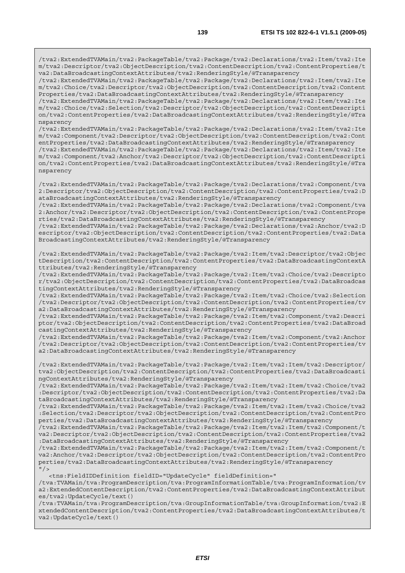/tva2:ExtendedTVAMain/tva2:PackageTable/tva2:Package/tva2:Declarations/tva2:Item/tva2:Ite m/tva2:Descriptor/tva2:ObjectDescription/tva2:ContentDescription/tva2:ContentProperties/t va2:DataBroadcastingContextAttributes/tva2:RenderingStyle/@Transparency

/tva2:ExtendedTVAMain/tva2:PackageTable/tva2:Package/tva2:Declarations/tva2:Item/tva2:Ite m/tva2:Choice/tva2:Descriptor/tva2:ObjectDescription/tva2:ContentDescription/tva2:Content Properties/tva2:DataBroadcastingContextAttributes/tva2:RenderingStyle/@Transparency

/tva2:ExtendedTVAMain/tva2:PackageTable/tva2:Package/tva2:Declarations/tva2:Item/tva2:Ite m/tva2:Choice/tva2:Selection/tva2:Descriptor/tva2:ObjectDescription/tva2:ContentDescripti on/tva2:ContentProperties/tva2:DataBroadcastingContextAttributes/tva2:RenderingStyle/@Tra nsparency

/tva2:ExtendedTVAMain/tva2:PackageTable/tva2:Package/tva2:Declarations/tva2:Item/tva2:Ite m/tva2:Component/tva2:Descriptor/tva2:ObjectDescription/tva2:ContentDescription/tva2:Cont entProperties/tva2:DataBroadcastingContextAttributes/tva2:RenderingStyle/@Transparency

/tva2:ExtendedTVAMain/tva2:PackageTable/tva2:Package/tva2:Declarations/tva2:Item/tva2:Ite m/tva2:Component/tva2:Anchor/tva2:Descriptor/tva2:ObjectDescription/tva2:ContentDescripti on/tva2:ContentProperties/tva2:DataBroadcastingContextAttributes/tva2:RenderingStyle/@Tra nsparency

/tva2:ExtendedTVAMain/tva2:PackageTable/tva2:Package/tva2:Declarations/tva2:Component/tva 2:Descriptor/tva2:ObjectDescription/tva2:ContentDescription/tva2:ContentProperties/tva2:D ataBroadcastingContextAttributes/tva2:RenderingStyle/@Transparency

/tva2:ExtendedTVAMain/tva2:PackageTable/tva2:Package/tva2:Declarations/tva2:Component/tva 2:Anchor/tva2:Descriptor/tva2:ObjectDescription/tva2:ContentDescription/tva2:ContentPrope rties/tva2:DataBroadcastingContextAttributes/tva2:RenderingStyle/@Transparency

/tva2:ExtendedTVAMain/tva2:PackageTable/tva2:Package/tva2:Declarations/tva2:Anchor/tva2:D escriptor/tva2:ObjectDescription/tva2:ContentDescription/tva2:ContentProperties/tva2:Data BroadcastingContextAttributes/tva2:RenderingStyle/@Transparency

/tva2:ExtendedTVAMain/tva2:PackageTable/tva2:Package/tva2:Item/tva2:Descriptor/tva2:Objec tDescription/tva2:ContentDescription/tva2:ContentProperties/tva2:DataBroadcastingContextA ttributes/tva2:RenderingStyle/@Transparency

/tva2:ExtendedTVAMain/tva2:PackageTable/tva2:Package/tva2:Item/tva2:Choice/tva2:Descripto r/tva2:ObjectDescription/tva2:ContentDescription/tva2:ContentProperties/tva2:DataBroadcas tingContextAttributes/tva2:RenderingStyle/@Transparency

/tva2:ExtendedTVAMain/tva2:PackageTable/tva2:Package/tva2:Item/tva2:Choice/tva2:Selection /tva2:Descriptor/tva2:ObjectDescription/tva2:ContentDescription/tva2:ContentProperties/tv a2:DataBroadcastingContextAttributes/tva2:RenderingStyle/@Transparency

/tva2:ExtendedTVAMain/tva2:PackageTable/tva2:Package/tva2:Item/tva2:Component/tva2:Descri ptor/tva2:ObjectDescription/tva2:ContentDescription/tva2:ContentProperties/tva2:DataBroad castingContextAttributes/tva2:RenderingStyle/@Transparency

/tva2:ExtendedTVAMain/tva2:PackageTable/tva2:Package/tva2:Item/tva2:Component/tva2:Anchor /tva2:Descriptor/tva2:ObjectDescription/tva2:ContentDescription/tva2:ContentProperties/tv a2:DataBroadcastingContextAttributes/tva2:RenderingStyle/@Transparency

/tva2:ExtendedTVAMain/tva2:PackageTable/tva2:Package/tva2:Item/tva2:Item/tva2:Descriptor/ tva2:ObjectDescription/tva2:ContentDescription/tva2:ContentProperties/tva2:DataBroadcasti ngContextAttributes/tva2:RenderingStyle/@Transparency

/tva2:ExtendedTVAMain/tva2:PackageTable/tva2:Package/tva2:Item/tva2:Item/tva2:Choice/tva2 :Descriptor/tva2:ObjectDescription/tva2:ContentDescription/tva2:ContentProperties/tva2:Da taBroadcastingContextAttributes/tva2:RenderingStyle/@Transparency

/tva2:ExtendedTVAMain/tva2:PackageTable/tva2:Package/tva2:Item/tva2:Item/tva2:Choice/tva2 :Selection/tva2:Descriptor/tva2:ObjectDescription/tva2:ContentDescription/tva2:ContentPro perties/tva2:DataBroadcastingContextAttributes/tva2:RenderingStyle/@Transparency

/tva2:ExtendedTVAMain/tva2:PackageTable/tva2:Package/tva2:Item/tva2:Item/tva2:Component/t va2:Descriptor/tva2:ObjectDescription/tva2:ContentDescription/tva2:ContentProperties/tva2 :DataBroadcastingContextAttributes/tva2:RenderingStyle/@Transparency

/tva2:ExtendedTVAMain/tva2:PackageTable/tva2:Package/tva2:Item/tva2:Item/tva2:Component/t va2:Anchor/tva2:Descriptor/tva2:ObjectDescription/tva2:ContentDescription/tva2:ContentPro perties/tva2:DataBroadcastingContextAttributes/tva2:RenderingStyle/@Transparency  $"$  />

<tns:FieldIDDefinition fieldID="UpdateCycle" fieldDefinition="

/tva:TVAMain/tva:ProgramDescription/tva:ProgramInformationTable/tva:ProgramInformation/tv a2:ExtendedContentDescription/tva2:ContentProperties/tva2:DataBroadcastingContextAttribut es/tva2:UpdateCycle/text()

/tva:TVAMain/tva:ProgramDescription/tva:GroupInformationTable/tva:GroupInformation/tva2:E xtendedContentDescription/tva2:ContentProperties/tva2:DataBroadcastingContextAttributes/t va2:UpdateCycle/text()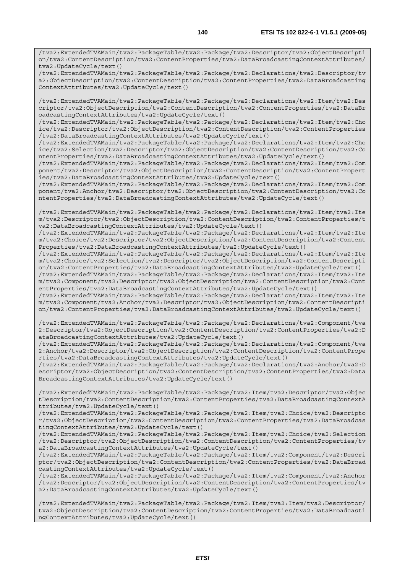/tva2:ExtendedTVAMain/tva2:PackageTable/tva2:Package/tva2:Descriptor/tva2:ObjectDescripti on/tva2:ContentDescription/tva2:ContentProperties/tva2:DataBroadcastingContextAttributes/ tva2:UpdateCycle/text()

/tva2:ExtendedTVAMain/tva2:PackageTable/tva2:Package/tva2:Declarations/tva2:Descriptor/tv a2:ObjectDescription/tva2:ContentDescription/tva2:ContentProperties/tva2:DataBroadcasting ContextAttributes/tva2:UpdateCycle/text()

/tva2:ExtendedTVAMain/tva2:PackageTable/tva2:Package/tva2:Declarations/tva2:Item/tva2:Des criptor/tva2:ObjectDescription/tva2:ContentDescription/tva2:ContentProperties/tva2:DataBr oadcastingContextAttributes/tva2:UpdateCycle/text()

/tva2:ExtendedTVAMain/tva2:PackageTable/tva2:Package/tva2:Declarations/tva2:Item/tva2:Cho ice/tva2:Descriptor/tva2:ObjectDescription/tva2:ContentDescription/tva2:ContentProperties /tva2:DataBroadcastingContextAttributes/tva2:UpdateCycle/text()

/tva2:ExtendedTVAMain/tva2:PackageTable/tva2:Package/tva2:Declarations/tva2:Item/tva2:Cho ice/tva2:Selection/tva2:Descriptor/tva2:ObjectDescription/tva2:ContentDescription/tva2:Co ntentProperties/tva2:DataBroadcastingContextAttributes/tva2:UpdateCycle/text()

/tva2:ExtendedTVAMain/tva2:PackageTable/tva2:Package/tva2:Declarations/tva2:Item/tva2:Com ponent/tva2:Descriptor/tva2:ObjectDescription/tva2:ContentDescription/tva2:ContentPropert ies/tva2:DataBroadcastingContextAttributes/tva2:UpdateCycle/text()

/tva2:ExtendedTVAMain/tva2:PackageTable/tva2:Package/tva2:Declarations/tva2:Item/tva2:Com ponent/tva2:Anchor/tva2:Descriptor/tva2:ObjectDescription/tva2:ContentDescription/tva2:Co ntentProperties/tva2:DataBroadcastingContextAttributes/tva2:UpdateCycle/text()

/tva2:ExtendedTVAMain/tva2:PackageTable/tva2:Package/tva2:Declarations/tva2:Item/tva2:Ite m/tva2:Descriptor/tva2:ObjectDescription/tva2:ContentDescription/tva2:ContentProperties/t va2:DataBroadcastingContextAttributes/tva2:UpdateCycle/text()

/tva2:ExtendedTVAMain/tva2:PackageTable/tva2:Package/tva2:Declarations/tva2:Item/tva2:Ite m/tva2:Choice/tva2:Descriptor/tva2:ObjectDescription/tva2:ContentDescription/tva2:Content Properties/tva2:DataBroadcastingContextAttributes/tva2:UpdateCycle/text()

/tva2:ExtendedTVAMain/tva2:PackageTable/tva2:Package/tva2:Declarations/tva2:Item/tva2:Ite m/tva2:Choice/tva2:Selection/tva2:Descriptor/tva2:ObjectDescription/tva2:ContentDescripti on/tva2:ContentProperties/tva2:DataBroadcastingContextAttributes/tva2:UpdateCycle/text()

/tva2:ExtendedTVAMain/tva2:PackageTable/tva2:Package/tva2:Declarations/tva2:Item/tva2:Ite m/tva2:Component/tva2:Descriptor/tva2:ObjectDescription/tva2:ContentDescription/tva2:Cont entProperties/tva2:DataBroadcastingContextAttributes/tva2:UpdateCycle/text()

/tva2:ExtendedTVAMain/tva2:PackageTable/tva2:Package/tva2:Declarations/tva2:Item/tva2:Ite m/tva2:Component/tva2:Anchor/tva2:Descriptor/tva2:ObjectDescription/tva2:ContentDescripti on/tva2:ContentProperties/tva2:DataBroadcastingContextAttributes/tva2:UpdateCycle/text()

/tva2:ExtendedTVAMain/tva2:PackageTable/tva2:Package/tva2:Declarations/tva2:Component/tva 2:Descriptor/tva2:ObjectDescription/tva2:ContentDescription/tva2:ContentProperties/tva2:D ataBroadcastingContextAttributes/tva2:UpdateCycle/text()

/tva2:ExtendedTVAMain/tva2:PackageTable/tva2:Package/tva2:Declarations/tva2:Component/tva 2:Anchor/tva2:Descriptor/tva2:ObjectDescription/tva2:ContentDescription/tva2:ContentPrope rties/tva2:DataBroadcastingContextAttributes/tva2:UpdateCycle/text()

/tva2:ExtendedTVAMain/tva2:PackageTable/tva2:Package/tva2:Declarations/tva2:Anchor/tva2:D escriptor/tva2:ObjectDescription/tva2:ContentDescription/tva2:ContentProperties/tva2:Data BroadcastingContextAttributes/tva2:UpdateCycle/text()

/tva2:ExtendedTVAMain/tva2:PackageTable/tva2:Package/tva2:Item/tva2:Descriptor/tva2:Objec tDescription/tva2:ContentDescription/tva2:ContentProperties/tva2:DataBroadcastingContextA ttributes/tva2:UpdateCycle/text()

/tva2:ExtendedTVAMain/tva2:PackageTable/tva2:Package/tva2:Item/tva2:Choice/tva2:Descripto r/tva2:ObjectDescription/tva2:ContentDescription/tva2:ContentProperties/tva2:DataBroadcas tingContextAttributes/tva2:UpdateCycle/text()

/tva2:ExtendedTVAMain/tva2:PackageTable/tva2:Package/tva2:Item/tva2:Choice/tva2:Selection /tva2:Descriptor/tva2:ObjectDescription/tva2:ContentDescription/tva2:ContentProperties/tv a2:DataBroadcastingContextAttributes/tva2:UpdateCycle/text()

/tva2:ExtendedTVAMain/tva2:PackageTable/tva2:Package/tva2:Item/tva2:Component/tva2:Descri ptor/tva2:ObjectDescription/tva2:ContentDescription/tva2:ContentProperties/tva2:DataBroad castingContextAttributes/tva2:UpdateCycle/text()

/tva2:ExtendedTVAMain/tva2:PackageTable/tva2:Package/tva2:Item/tva2:Component/tva2:Anchor /tva2:Descriptor/tva2:ObjectDescription/tva2:ContentDescription/tva2:ContentProperties/tv a2:DataBroadcastingContextAttributes/tva2:UpdateCycle/text()

/tva2:ExtendedTVAMain/tva2:PackageTable/tva2:Package/tva2:Item/tva2:Item/tva2:Descriptor/ tva2:ObjectDescription/tva2:ContentDescription/tva2:ContentProperties/tva2:DataBroadcasti ngContextAttributes/tva2:UpdateCycle/text()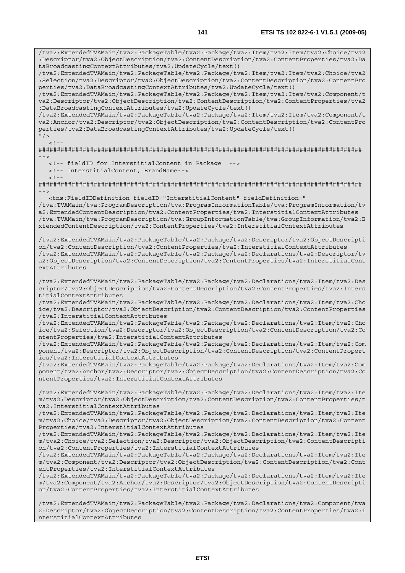/tva2:ExtendedTVAMain/tva2:PackageTable/tva2:Package/tva2:Item/tva2:Item/tva2:Choice/tva2 :Descriptor/tva2:ObjectDescription/tva2:ContentDescription/tva2:ContentProperties/tva2:Da taBroadcastingContextAttributes/tva2:UpdateCycle/text() /tva2:ExtendedTVAMain/tva2:PackageTable/tva2:Package/tva2:Item/tva2:Item/tva2:Choice/tva2 :Selection/tva2:Descriptor/tva2:ObjectDescription/tva2:ContentDescription/tva2:ContentPro perties/tva2:DataBroadcastingContextAttributes/tva2:UpdateCycle/text() /tva2:ExtendedTVAMain/tva2:PackageTable/tva2:Package/tva2:Item/tva2:Item/tva2:Component/t va2:Descriptor/tva2:ObjectDescription/tva2:ContentDescription/tva2:ContentProperties/tva2 :DataBroadcastingContextAttributes/tva2:UpdateCycle/text() /tva2:ExtendedTVAMain/tva2:PackageTable/tva2:Package/tva2:Item/tva2:Item/tva2:Component/t va2:Anchor/tva2:Descriptor/tva2:ObjectDescription/tva2:ContentDescription/tva2:ContentPro perties/tva2:DataBroadcastingContextAttributes/tva2:UpdateCycle/text()  $\frac{1}{2}$  $\geq$   $\frac{1}{2}$ ######################################################################################## --> <!-- fieldID for InterstitialContent in Package --> <!-- InterstitialContent, BrandName-->  $<$ ! --######################################################################################## --> <tns:FieldIDDefinition fieldID="InterstitialContent" fieldDefinition=" /tva:TVAMain/tva:ProgramDescription/tva:ProgramInformationTable/tva:ProgramInformation/tv a2:ExtendedContentDescription/tva2:ContentProperties/tva2:InterstitialContextAttributes /tva:TVAMain/tva:ProgramDescription/tva:GroupInformationTable/tva:GroupInformation/tva2:E xtendedContentDescription/tva2:ContentProperties/tva2:InterstitialContextAttributes /tva2:ExtendedTVAMain/tva2:PackageTable/tva2:Package/tva2:Descriptor/tva2:ObjectDescripti on/tva2:ContentDescription/tva2:ContentProperties/tva2:InterstitialContextAttributes /tva2:ExtendedTVAMain/tva2:PackageTable/tva2:Package/tva2:Declarations/tva2:Descriptor/tv a2:ObjectDescription/tva2:ContentDescription/tva2:ContentProperties/tva2:InterstitialCont extAttributes /tva2:ExtendedTVAMain/tva2:PackageTable/tva2:Package/tva2:Declarations/tva2:Item/tva2:Des criptor/tva2:ObjectDescription/tva2:ContentDescription/tva2:ContentProperties/tva2:Inters titialContextAttributes /tva2:ExtendedTVAMain/tva2:PackageTable/tva2:Package/tva2:Declarations/tva2:Item/tva2:Cho ice/tva2:Descriptor/tva2:ObjectDescription/tva2:ContentDescription/tva2:ContentProperties /tva2:InterstitialContextAttributes /tva2:ExtendedTVAMain/tva2:PackageTable/tva2:Package/tva2:Declarations/tva2:Item/tva2:Cho ice/tva2:Selection/tva2:Descriptor/tva2:ObjectDescription/tva2:ContentDescription/tva2:Co ntentProperties/tva2:InterstitialContextAttributes /tva2:ExtendedTVAMain/tva2:PackageTable/tva2:Package/tva2:Declarations/tva2:Item/tva2:Com ponent/tva2:Descriptor/tva2:ObjectDescription/tva2:ContentDescription/tva2:ContentPropert ies/tva2:InterstitialContextAttributes /tva2:ExtendedTVAMain/tva2:PackageTable/tva2:Package/tva2:Declarations/tva2:Item/tva2:Com ponent/tva2:Anchor/tva2:Descriptor/tva2:ObjectDescription/tva2:ContentDescription/tva2:Co ntentProperties/tva2:InterstitialContextAttributes /tva2:ExtendedTVAMain/tva2:PackageTable/tva2:Package/tva2:Declarations/tva2:Item/tva2:Ite m/tva2:Descriptor/tva2:ObjectDescription/tva2:ContentDescription/tva2:ContentProperties/t va2:InterstitialContextAttributes /tva2:ExtendedTVAMain/tva2:PackageTable/tva2:Package/tva2:Declarations/tva2:Item/tva2:Ite m/tva2:Choice/tva2:Descriptor/tva2:ObjectDescription/tva2:ContentDescription/tva2:Content Properties/tva2:InterstitialContextAttributes /tva2:ExtendedTVAMain/tva2:PackageTable/tva2:Package/tva2:Declarations/tva2:Item/tva2:Ite m/tva2:Choice/tva2:Selection/tva2:Descriptor/tva2:ObjectDescription/tva2:ContentDescripti on/tva2:ContentProperties/tva2:InterstitialContextAttributes /tva2:ExtendedTVAMain/tva2:PackageTable/tva2:Package/tva2:Declarations/tva2:Item/tva2:Ite m/tva2:Component/tva2:Descriptor/tva2:ObjectDescription/tva2:ContentDescription/tva2:Cont entProperties/tva2:InterstitialContextAttributes /tva2:ExtendedTVAMain/tva2:PackageTable/tva2:Package/tva2:Declarations/tva2:Item/tva2:Ite m/tva2:Component/tva2:Anchor/tva2:Descriptor/tva2:ObjectDescription/tva2:ContentDescripti on/tva2:ContentProperties/tva2:InterstitialContextAttributes

/tva2:ExtendedTVAMain/tva2:PackageTable/tva2:Package/tva2:Declarations/tva2:Component/tva 2:Descriptor/tva2:ObjectDescription/tva2:ContentDescription/tva2:ContentProperties/tva2:I nterstitialContextAttributes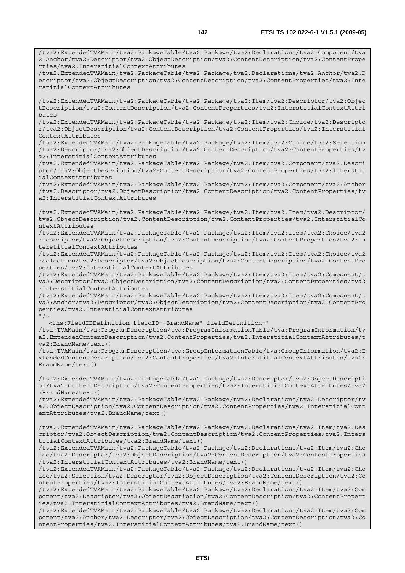/tva2:ExtendedTVAMain/tva2:PackageTable/tva2:Package/tva2:Declarations/tva2:Component/tva 2:Anchor/tva2:Descriptor/tva2:ObjectDescription/tva2:ContentDescription/tva2:ContentPrope rties/tva2:InterstitialContextAttributes

/tva2:ExtendedTVAMain/tva2:PackageTable/tva2:Package/tva2:Declarations/tva2:Anchor/tva2:D escriptor/tva2:ObjectDescription/tva2:ContentDescription/tva2:ContentProperties/tva2:Inte rstitialContextAttributes

/tva2:ExtendedTVAMain/tva2:PackageTable/tva2:Package/tva2:Item/tva2:Descriptor/tva2:Objec tDescription/tva2:ContentDescription/tva2:ContentProperties/tva2:InterstitialContextAttri butes

/tva2:ExtendedTVAMain/tva2:PackageTable/tva2:Package/tva2:Item/tva2:Choice/tva2:Descripto r/tva2:ObjectDescription/tva2:ContentDescription/tva2:ContentProperties/tva2:Interstitial ContextAttributes

/tva2:ExtendedTVAMain/tva2:PackageTable/tva2:Package/tva2:Item/tva2:Choice/tva2:Selection /tva2:Descriptor/tva2:ObjectDescription/tva2:ContentDescription/tva2:ContentProperties/tv a2:InterstitialContextAttributes

/tva2:ExtendedTVAMain/tva2:PackageTable/tva2:Package/tva2:Item/tva2:Component/tva2:Descri ptor/tva2:ObjectDescription/tva2:ContentDescription/tva2:ContentProperties/tva2:Interstit ialContextAttributes

/tva2:ExtendedTVAMain/tva2:PackageTable/tva2:Package/tva2:Item/tva2:Component/tva2:Anchor /tva2:Descriptor/tva2:ObjectDescription/tva2:ContentDescription/tva2:ContentProperties/tv a2:InterstitialContextAttributes

/tva2:ExtendedTVAMain/tva2:PackageTable/tva2:Package/tva2:Item/tva2:Item/tva2:Descriptor/ tva2:ObjectDescription/tva2:ContentDescription/tva2:ContentProperties/tva2:InterstitialCo ntextAttributes

/tva2:ExtendedTVAMain/tva2:PackageTable/tva2:Package/tva2:Item/tva2:Item/tva2:Choice/tva2 :Descriptor/tva2:ObjectDescription/tva2:ContentDescription/tva2:ContentProperties/tva2:In terstitialContextAttributes

/tva2:ExtendedTVAMain/tva2:PackageTable/tva2:Package/tva2:Item/tva2:Item/tva2:Choice/tva2 :Selection/tva2:Descriptor/tva2:ObjectDescription/tva2:ContentDescription/tva2:ContentPro perties/tva2:InterstitialContextAttributes

/tva2:ExtendedTVAMain/tva2:PackageTable/tva2:Package/tva2:Item/tva2:Item/tva2:Component/t va2:Descriptor/tva2:ObjectDescription/tva2:ContentDescription/tva2:ContentProperties/tva2 :InterstitialContextAttributes

/tva2:ExtendedTVAMain/tva2:PackageTable/tva2:Package/tva2:Item/tva2:Item/tva2:Component/t va2:Anchor/tva2:Descriptor/tva2:ObjectDescription/tva2:ContentDescription/tva2:ContentPro perties/tva2:InterstitialContextAttributes  $"$ />

<tns:FieldIDDefinition fieldID="BrandName" fieldDefinition="

/tva:TVAMain/tva:ProgramDescription/tva:ProgramInformationTable/tva:ProgramInformation/tv a2:ExtendedContentDescription/tva2:ContentProperties/tva2:InterstitialContextAttributes/t va2:BrandName/text()

/tva:TVAMain/tva:ProgramDescription/tva:GroupInformationTable/tva:GroupInformation/tva2:E xtendedContentDescription/tva2:ContentProperties/tva2:InterstitialContextAttributes/tva2: BrandName/text()

/tva2:ExtendedTVAMain/tva2:PackageTable/tva2:Package/tva2:Descriptor/tva2:ObjectDescripti on/tva2:ContentDescription/tva2:ContentProperties/tva2:InterstitialContextAttributes/tva2 :BrandName/text()

/tva2:ExtendedTVAMain/tva2:PackageTable/tva2:Package/tva2:Declarations/tva2:Descriptor/tv a2:ObjectDescription/tva2:ContentDescription/tva2:ContentProperties/tva2:InterstitialCont extAttributes/tva2:BrandName/text()

/tva2:ExtendedTVAMain/tva2:PackageTable/tva2:Package/tva2:Declarations/tva2:Item/tva2:Des criptor/tva2:ObjectDescription/tva2:ContentDescription/tva2:ContentProperties/tva2:Inters titialContextAttributes/tva2:BrandName/text()

/tva2:ExtendedTVAMain/tva2:PackageTable/tva2:Package/tva2:Declarations/tva2:Item/tva2:Cho ice/tva2:Descriptor/tva2:ObjectDescription/tva2:ContentDescription/tva2:ContentProperties /tva2:InterstitialContextAttributes/tva2:BrandName/text()

/tva2:ExtendedTVAMain/tva2:PackageTable/tva2:Package/tva2:Declarations/tva2:Item/tva2:Cho ice/tva2:Selection/tva2:Descriptor/tva2:ObjectDescription/tva2:ContentDescription/tva2:Co ntentProperties/tva2:InterstitialContextAttributes/tva2:BrandName/text()

/tva2:ExtendedTVAMain/tva2:PackageTable/tva2:Package/tva2:Declarations/tva2:Item/tva2:Com ponent/tva2:Descriptor/tva2:ObjectDescription/tva2:ContentDescription/tva2:ContentPropert ies/tva2:InterstitialContextAttributes/tva2:BrandName/text()

/tva2:ExtendedTVAMain/tva2:PackageTable/tva2:Package/tva2:Declarations/tva2:Item/tva2:Com ponent/tva2:Anchor/tva2:Descriptor/tva2:ObjectDescription/tva2:ContentDescription/tva2:Co ntentProperties/tva2:InterstitialContextAttributes/tva2:BrandName/text()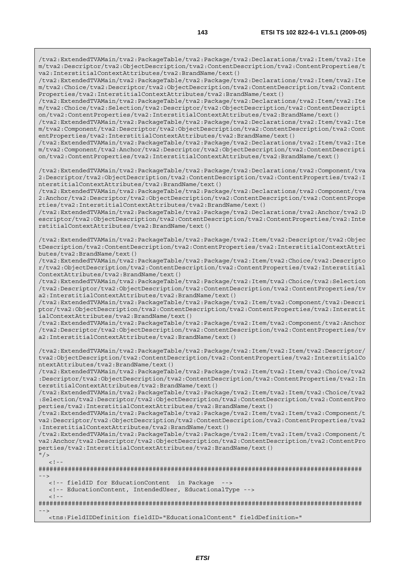/tva2:ExtendedTVAMain/tva2:PackageTable/tva2:Package/tva2:Declarations/tva2:Item/tva2:Ite m/tva2:Descriptor/tva2:ObjectDescription/tva2:ContentDescription/tva2:ContentProperties/t va2:InterstitialContextAttributes/tva2:BrandName/text()

/tva2:ExtendedTVAMain/tva2:PackageTable/tva2:Package/tva2:Declarations/tva2:Item/tva2:Ite m/tva2:Choice/tva2:Descriptor/tva2:ObjectDescription/tva2:ContentDescription/tva2:Content Properties/tva2:InterstitialContextAttributes/tva2:BrandName/text()

/tva2:ExtendedTVAMain/tva2:PackageTable/tva2:Package/tva2:Declarations/tva2:Item/tva2:Ite m/tva2:Choice/tva2:Selection/tva2:Descriptor/tva2:ObjectDescription/tva2:ContentDescripti on/tva2:ContentProperties/tva2:InterstitialContextAttributes/tva2:BrandName/text()

/tva2:ExtendedTVAMain/tva2:PackageTable/tva2:Package/tva2:Declarations/tva2:Item/tva2:Ite m/tva2:Component/tva2:Descriptor/tva2:ObjectDescription/tva2:ContentDescription/tva2:Cont entProperties/tva2:InterstitialContextAttributes/tva2:BrandName/text()

/tva2:ExtendedTVAMain/tva2:PackageTable/tva2:Package/tva2:Declarations/tva2:Item/tva2:Ite m/tva2:Component/tva2:Anchor/tva2:Descriptor/tva2:ObjectDescription/tva2:ContentDescripti on/tva2:ContentProperties/tva2:InterstitialContextAttributes/tva2:BrandName/text()

/tva2:ExtendedTVAMain/tva2:PackageTable/tva2:Package/tva2:Declarations/tva2:Component/tva 2:Descriptor/tva2:ObjectDescription/tva2:ContentDescription/tva2:ContentProperties/tva2:I nterstitialContextAttributes/tva2:BrandName/text()

/tva2:ExtendedTVAMain/tva2:PackageTable/tva2:Package/tva2:Declarations/tva2:Component/tva 2:Anchor/tva2:Descriptor/tva2:ObjectDescription/tva2:ContentDescription/tva2:ContentPrope rties/tva2:InterstitialContextAttributes/tva2:BrandName/text()

/tva2:ExtendedTVAMain/tva2:PackageTable/tva2:Package/tva2:Declarations/tva2:Anchor/tva2:D escriptor/tva2:ObjectDescription/tva2:ContentDescription/tva2:ContentProperties/tva2:Inte rstitialContextAttributes/tva2:BrandName/text()

/tva2:ExtendedTVAMain/tva2:PackageTable/tva2:Package/tva2:Item/tva2:Descriptor/tva2:Objec tDescription/tva2:ContentDescription/tva2:ContentProperties/tva2:InterstitialContextAttri butes/tva2:BrandName/text()

/tva2:ExtendedTVAMain/tva2:PackageTable/tva2:Package/tva2:Item/tva2:Choice/tva2:Descripto r/tva2:ObjectDescription/tva2:ContentDescription/tva2:ContentProperties/tva2:Interstitial ContextAttributes/tva2:BrandName/text()

/tva2:ExtendedTVAMain/tva2:PackageTable/tva2:Package/tva2:Item/tva2:Choice/tva2:Selection /tva2:Descriptor/tva2:ObjectDescription/tva2:ContentDescription/tva2:ContentProperties/tv a2:InterstitialContextAttributes/tva2:BrandName/text()

/tva2:ExtendedTVAMain/tva2:PackageTable/tva2:Package/tva2:Item/tva2:Component/tva2:Descri ptor/tva2:ObjectDescription/tva2:ContentDescription/tva2:ContentProperties/tva2:Interstit ialContextAttributes/tva2:BrandName/text()

/tva2:ExtendedTVAMain/tva2:PackageTable/tva2:Package/tva2:Item/tva2:Component/tva2:Anchor /tva2:Descriptor/tva2:ObjectDescription/tva2:ContentDescription/tva2:ContentProperties/tv a2:InterstitialContextAttributes/tva2:BrandName/text()

/tva2:ExtendedTVAMain/tva2:PackageTable/tva2:Package/tva2:Item/tva2:Item/tva2:Descriptor/ tva2:ObjectDescription/tva2:ContentDescription/tva2:ContentProperties/tva2:InterstitialCo ntextAttributes/tva2:BrandName/text()

/tva2:ExtendedTVAMain/tva2:PackageTable/tva2:Package/tva2:Item/tva2:Item/tva2:Choice/tva2 :Descriptor/tva2:ObjectDescription/tva2:ContentDescription/tva2:ContentProperties/tva2:In terstitialContextAttributes/tva2:BrandName/text()

/tva2:ExtendedTVAMain/tva2:PackageTable/tva2:Package/tva2:Item/tva2:Item/tva2:Choice/tva2 :Selection/tva2:Descriptor/tva2:ObjectDescription/tva2:ContentDescription/tva2:ContentPro perties/tva2:InterstitialContextAttributes/tva2:BrandName/text()

/tva2:ExtendedTVAMain/tva2:PackageTable/tva2:Package/tva2:Item/tva2:Item/tva2:Component/t va2:Descriptor/tva2:ObjectDescription/tva2:ContentDescription/tva2:ContentProperties/tva2 :InterstitialContextAttributes/tva2:BrandName/text()

/tva2:ExtendedTVAMain/tva2:PackageTable/tva2:Package/tva2:Item/tva2:Item/tva2:Component/t va2:Anchor/tva2:Descriptor/tva2:ObjectDescription/tva2:ContentDescription/tva2:ContentPro perties/tva2:InterstitialContextAttributes/tva2:BrandName/text()

```
^{\prime\prime} / >
<! --
```
######################################################################################## -->

<!-- fieldID for EducationContent in Package -->

<!-- EducationContent, IntendedUser, EducationalType -->

 $\lt$  !  $-$ 

######################################################################################## -->

<tns:FieldIDDefinition fieldID="EducationalContent" fieldDefinition="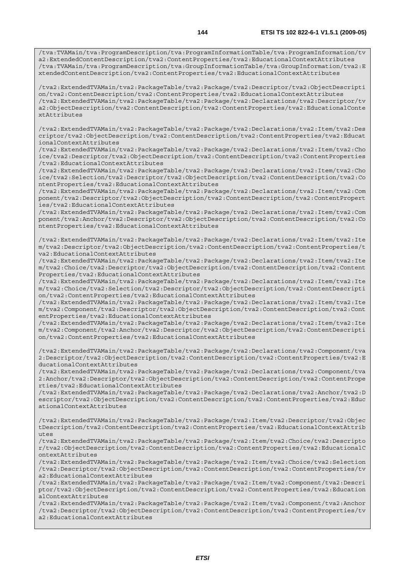/tva:TVAMain/tva:ProgramDescription/tva:ProgramInformationTable/tva:ProgramInformation/tv a2:ExtendedContentDescription/tva2:ContentProperties/tva2:EducationalContextAttributes /tva:TVAMain/tva:ProgramDescription/tva:GroupInformationTable/tva:GroupInformation/tva2:E xtendedContentDescription/tva2:ContentProperties/tva2:EducationalContextAttributes

/tva2:ExtendedTVAMain/tva2:PackageTable/tva2:Package/tva2:Descriptor/tva2:ObjectDescripti on/tva2:ContentDescription/tva2:ContentProperties/tva2:EducationalContextAttributes /tva2:ExtendedTVAMain/tva2:PackageTable/tva2:Package/tva2:Declarations/tva2:Descriptor/tv a2:ObjectDescription/tva2:ContentDescription/tva2:ContentProperties/tva2:EducationalConte xtAttributes

/tva2:ExtendedTVAMain/tva2:PackageTable/tva2:Package/tva2:Declarations/tva2:Item/tva2:Des criptor/tva2:ObjectDescription/tva2:ContentDescription/tva2:ContentProperties/tva2:Educat ionalContextAttributes

/tva2:ExtendedTVAMain/tva2:PackageTable/tva2:Package/tva2:Declarations/tva2:Item/tva2:Cho ice/tva2:Descriptor/tva2:ObjectDescription/tva2:ContentDescription/tva2:ContentProperties /tva2:EducationalContextAttributes

/tva2:ExtendedTVAMain/tva2:PackageTable/tva2:Package/tva2:Declarations/tva2:Item/tva2:Cho ice/tva2:Selection/tva2:Descriptor/tva2:ObjectDescription/tva2:ContentDescription/tva2:Co ntentProperties/tva2:EducationalContextAttributes

/tva2:ExtendedTVAMain/tva2:PackageTable/tva2:Package/tva2:Declarations/tva2:Item/tva2:Com ponent/tva2:Descriptor/tva2:ObjectDescription/tva2:ContentDescription/tva2:ContentPropert ies/tva2:EducationalContextAttributes

/tva2:ExtendedTVAMain/tva2:PackageTable/tva2:Package/tva2:Declarations/tva2:Item/tva2:Com ponent/tva2:Anchor/tva2:Descriptor/tva2:ObjectDescription/tva2:ContentDescription/tva2:Co ntentProperties/tva2:EducationalContextAttributes

/tva2:ExtendedTVAMain/tva2:PackageTable/tva2:Package/tva2:Declarations/tva2:Item/tva2:Ite m/tva2:Descriptor/tva2:ObjectDescription/tva2:ContentDescription/tva2:ContentProperties/t va2:EducationalContextAttributes

/tva2:ExtendedTVAMain/tva2:PackageTable/tva2:Package/tva2:Declarations/tva2:Item/tva2:Ite m/tva2:Choice/tva2:Descriptor/tva2:ObjectDescription/tva2:ContentDescription/tva2:Content Properties/tva2:EducationalContextAttributes

/tva2:ExtendedTVAMain/tva2:PackageTable/tva2:Package/tva2:Declarations/tva2:Item/tva2:Ite m/tva2:Choice/tva2:Selection/tva2:Descriptor/tva2:ObjectDescription/tva2:ContentDescripti on/tva2:ContentProperties/tva2:EducationalContextAttributes

/tva2:ExtendedTVAMain/tva2:PackageTable/tva2:Package/tva2:Declarations/tva2:Item/tva2:Ite m/tva2:Component/tva2:Descriptor/tva2:ObjectDescription/tva2:ContentDescription/tva2:Cont entProperties/tva2:EducationalContextAttributes

/tva2:ExtendedTVAMain/tva2:PackageTable/tva2:Package/tva2:Declarations/tva2:Item/tva2:Ite m/tva2:Component/tva2:Anchor/tva2:Descriptor/tva2:ObjectDescription/tva2:ContentDescripti on/tva2:ContentProperties/tva2:EducationalContextAttributes

/tva2:ExtendedTVAMain/tva2:PackageTable/tva2:Package/tva2:Declarations/tva2:Component/tva 2:Descriptor/tva2:ObjectDescription/tva2:ContentDescription/tva2:ContentProperties/tva2:E ducationalContextAttributes

/tva2:ExtendedTVAMain/tva2:PackageTable/tva2:Package/tva2:Declarations/tva2:Component/tva 2:Anchor/tva2:Descriptor/tva2:ObjectDescription/tva2:ContentDescription/tva2:ContentPrope rties/tva2:EducationalContextAttributes

/tva2:ExtendedTVAMain/tva2:PackageTable/tva2:Package/tva2:Declarations/tva2:Anchor/tva2:D escriptor/tva2:ObjectDescription/tva2:ContentDescription/tva2:ContentProperties/tva2:Educ ationalContextAttributes

/tva2:ExtendedTVAMain/tva2:PackageTable/tva2:Package/tva2:Item/tva2:Descriptor/tva2:Objec tDescription/tva2:ContentDescription/tva2:ContentProperties/tva2:EducationalContextAttrib utes

/tva2:ExtendedTVAMain/tva2:PackageTable/tva2:Package/tva2:Item/tva2:Choice/tva2:Descripto r/tva2:ObjectDescription/tva2:ContentDescription/tva2:ContentProperties/tva2:EducationalC ontextAttributes

/tva2:ExtendedTVAMain/tva2:PackageTable/tva2:Package/tva2:Item/tva2:Choice/tva2:Selection /tva2:Descriptor/tva2:ObjectDescription/tva2:ContentDescription/tva2:ContentProperties/tv a2:EducationalContextAttributes

/tva2:ExtendedTVAMain/tva2:PackageTable/tva2:Package/tva2:Item/tva2:Component/tva2:Descri ptor/tva2:ObjectDescription/tva2:ContentDescription/tva2:ContentProperties/tva2:Education alContextAttributes

/tva2:ExtendedTVAMain/tva2:PackageTable/tva2:Package/tva2:Item/tva2:Component/tva2:Anchor /tva2:Descriptor/tva2:ObjectDescription/tva2:ContentDescription/tva2:ContentProperties/tv a2:EducationalContextAttributes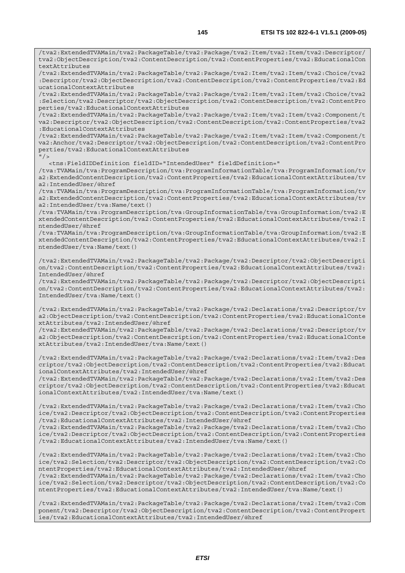/tva2:ExtendedTVAMain/tva2:PackageTable/tva2:Package/tva2:Item/tva2:Item/tva2:Descriptor/ tva2:ObjectDescription/tva2:ContentDescription/tva2:ContentProperties/tva2:EducationalCon textAttributes

/tva2:ExtendedTVAMain/tva2:PackageTable/tva2:Package/tva2:Item/tva2:Item/tva2:Choice/tva2 :Descriptor/tva2:ObjectDescription/tva2:ContentDescription/tva2:ContentProperties/tva2:Ed ucationalContextAttributes

/tva2:ExtendedTVAMain/tva2:PackageTable/tva2:Package/tva2:Item/tva2:Item/tva2:Choice/tva2 :Selection/tva2:Descriptor/tva2:ObjectDescription/tva2:ContentDescription/tva2:ContentPro perties/tva2:EducationalContextAttributes

/tva2:ExtendedTVAMain/tva2:PackageTable/tva2:Package/tva2:Item/tva2:Item/tva2:Component/t va2:Descriptor/tva2:ObjectDescription/tva2:ContentDescription/tva2:ContentProperties/tva2 :EducationalContextAttributes

/tva2:ExtendedTVAMain/tva2:PackageTable/tva2:Package/tva2:Item/tva2:Item/tva2:Component/t va2:Anchor/tva2:Descriptor/tva2:ObjectDescription/tva2:ContentDescription/tva2:ContentPro perties/tva2:EducationalContextAttributes  $"$  />

<tns:FieldIDDefinition fieldID="IntendedUser" fieldDefinition="

/tva:TVAMain/tva:ProgramDescription/tva:ProgramInformationTable/tva:ProgramInformation/tv a2:ExtendedContentDescription/tva2:ContentProperties/tva2:EducationalContextAttributes/tv a2:IntendedUser/@href

/tva:TVAMain/tva:ProgramDescription/tva:ProgramInformationTable/tva:ProgramInformation/tv a2:ExtendedContentDescription/tva2:ContentProperties/tva2:EducationalContextAttributes/tv a2:IntendedUser/tva:Name/text()

/tva:TVAMain/tva:ProgramDescription/tva:GroupInformationTable/tva:GroupInformation/tva2:E xtendedContentDescription/tva2:ContentProperties/tva2:EducationalContextAttributes/tva2:I ntendedUser/@href

/tva:TVAMain/tva:ProgramDescription/tva:GroupInformationTable/tva:GroupInformation/tva2:E xtendedContentDescription/tva2:ContentProperties/tva2:EducationalContextAttributes/tva2:I ntendedUser/tva:Name/text()

/tva2:ExtendedTVAMain/tva2:PackageTable/tva2:Package/tva2:Descriptor/tva2:ObjectDescripti on/tva2:ContentDescription/tva2:ContentProperties/tva2:EducationalContextAttributes/tva2: IntendedUser/@href

/tva2:ExtendedTVAMain/tva2:PackageTable/tva2:Package/tva2:Descriptor/tva2:ObjectDescripti on/tva2:ContentDescription/tva2:ContentProperties/tva2:EducationalContextAttributes/tva2: IntendedUser/tva:Name/text()

/tva2:ExtendedTVAMain/tva2:PackageTable/tva2:Package/tva2:Declarations/tva2:Descriptor/tv a2:ObjectDescription/tva2:ContentDescription/tva2:ContentProperties/tva2:EducationalConte xtAttributes/tva2:IntendedUser/@href

/tva2:ExtendedTVAMain/tva2:PackageTable/tva2:Package/tva2:Declarations/tva2:Descriptor/tv a2:ObjectDescription/tva2:ContentDescription/tva2:ContentProperties/tva2:EducationalConte xtAttributes/tva2:IntendedUser/tva:Name/text()

/tva2:ExtendedTVAMain/tva2:PackageTable/tva2:Package/tva2:Declarations/tva2:Item/tva2:Des criptor/tva2:ObjectDescription/tva2:ContentDescription/tva2:ContentProperties/tva2:Educat ionalContextAttributes/tva2:IntendedUser/@href

/tva2:ExtendedTVAMain/tva2:PackageTable/tva2:Package/tva2:Declarations/tva2:Item/tva2:Des criptor/tva2:ObjectDescription/tva2:ContentDescription/tva2:ContentProperties/tva2:Educat ionalContextAttributes/tva2:IntendedUser/tva:Name/text()

/tva2:ExtendedTVAMain/tva2:PackageTable/tva2:Package/tva2:Declarations/tva2:Item/tva2:Cho ice/tva2:Descriptor/tva2:ObjectDescription/tva2:ContentDescription/tva2:ContentProperties /tva2:EducationalContextAttributes/tva2:IntendedUser/@href

/tva2:ExtendedTVAMain/tva2:PackageTable/tva2:Package/tva2:Declarations/tva2:Item/tva2:Cho ice/tva2:Descriptor/tva2:ObjectDescription/tva2:ContentDescription/tva2:ContentProperties /tva2:EducationalContextAttributes/tva2:IntendedUser/tva:Name/text()

/tva2:ExtendedTVAMain/tva2:PackageTable/tva2:Package/tva2:Declarations/tva2:Item/tva2:Cho ice/tva2:Selection/tva2:Descriptor/tva2:ObjectDescription/tva2:ContentDescription/tva2:Co ntentProperties/tva2:EducationalContextAttributes/tva2:IntendedUser/@href /tva2:ExtendedTVAMain/tva2:PackageTable/tva2:Package/tva2:Declarations/tva2:Item/tva2:Cho

ice/tva2:Selection/tva2:Descriptor/tva2:ObjectDescription/tva2:ContentDescription/tva2:Co ntentProperties/tva2:EducationalContextAttributes/tva2:IntendedUser/tva:Name/text()

/tva2:ExtendedTVAMain/tva2:PackageTable/tva2:Package/tva2:Declarations/tva2:Item/tva2:Com ponent/tva2:Descriptor/tva2:ObjectDescription/tva2:ContentDescription/tva2:ContentPropert ies/tva2:EducationalContextAttributes/tva2:IntendedUser/@href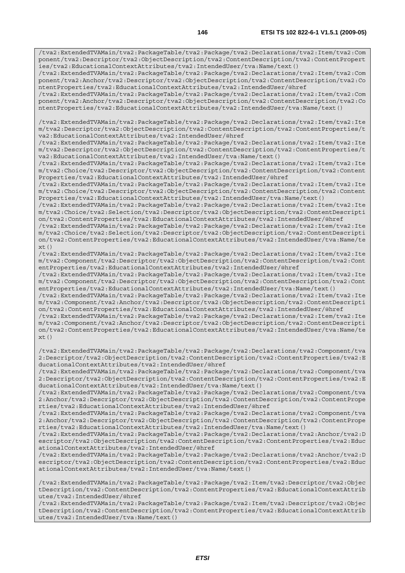/tva2:ExtendedTVAMain/tva2:PackageTable/tva2:Package/tva2:Declarations/tva2:Item/tva2:Com ponent/tva2:Descriptor/tva2:ObjectDescription/tva2:ContentDescription/tva2:ContentPropert ies/tva2:EducationalContextAttributes/tva2:IntendedUser/tva:Name/text()

/tva2:ExtendedTVAMain/tva2:PackageTable/tva2:Package/tva2:Declarations/tva2:Item/tva2:Com ponent/tva2:Anchor/tva2:Descriptor/tva2:ObjectDescription/tva2:ContentDescription/tva2:Co ntentProperties/tva2:EducationalContextAttributes/tva2:IntendedUser/@href

/tva2:ExtendedTVAMain/tva2:PackageTable/tva2:Package/tva2:Declarations/tva2:Item/tva2:Com ponent/tva2:Anchor/tva2:Descriptor/tva2:ObjectDescription/tva2:ContentDescription/tva2:Co ntentProperties/tva2:EducationalContextAttributes/tva2:IntendedUser/tva:Name/text()

/tva2:ExtendedTVAMain/tva2:PackageTable/tva2:Package/tva2:Declarations/tva2:Item/tva2:Ite m/tva2:Descriptor/tva2:ObjectDescription/tva2:ContentDescription/tva2:ContentProperties/t va2:EducationalContextAttributes/tva2:IntendedUser/@href

/tva2:ExtendedTVAMain/tva2:PackageTable/tva2:Package/tva2:Declarations/tva2:Item/tva2:Ite m/tva2:Descriptor/tva2:ObjectDescription/tva2:ContentDescription/tva2:ContentProperties/t va2:EducationalContextAttributes/tva2:IntendedUser/tva:Name/text()

/tva2:ExtendedTVAMain/tva2:PackageTable/tva2:Package/tva2:Declarations/tva2:Item/tva2:Ite m/tva2:Choice/tva2:Descriptor/tva2:ObjectDescription/tva2:ContentDescription/tva2:Content Properties/tva2:EducationalContextAttributes/tva2:IntendedUser/@href

/tva2:ExtendedTVAMain/tva2:PackageTable/tva2:Package/tva2:Declarations/tva2:Item/tva2:Ite m/tva2:Choice/tva2:Descriptor/tva2:ObjectDescription/tva2:ContentDescription/tva2:Content Properties/tva2:EducationalContextAttributes/tva2:IntendedUser/tva:Name/text()

/tva2:ExtendedTVAMain/tva2:PackageTable/tva2:Package/tva2:Declarations/tva2:Item/tva2:Ite m/tva2:Choice/tva2:Selection/tva2:Descriptor/tva2:ObjectDescription/tva2:ContentDescripti on/tva2:ContentProperties/tva2:EducationalContextAttributes/tva2:IntendedUser/@href

/tva2:ExtendedTVAMain/tva2:PackageTable/tva2:Package/tva2:Declarations/tva2:Item/tva2:Ite m/tva2:Choice/tva2:Selection/tva2:Descriptor/tva2:ObjectDescription/tva2:ContentDescripti on/tva2:ContentProperties/tva2:EducationalContextAttributes/tva2:IntendedUser/tva:Name/te  $xt()$ 

/tva2:ExtendedTVAMain/tva2:PackageTable/tva2:Package/tva2:Declarations/tva2:Item/tva2:Ite m/tva2:Component/tva2:Descriptor/tva2:ObjectDescription/tva2:ContentDescription/tva2:Cont entProperties/tva2:EducationalContextAttributes/tva2:IntendedUser/@href

/tva2:ExtendedTVAMain/tva2:PackageTable/tva2:Package/tva2:Declarations/tva2:Item/tva2:Ite m/tva2:Component/tva2:Descriptor/tva2:ObjectDescription/tva2:ContentDescription/tva2:Cont entProperties/tva2:EducationalContextAttributes/tva2:IntendedUser/tva:Name/text()

/tva2:ExtendedTVAMain/tva2:PackageTable/tva2:Package/tva2:Declarations/tva2:Item/tva2:Ite m/tva2:Component/tva2:Anchor/tva2:Descriptor/tva2:ObjectDescription/tva2:ContentDescripti on/tva2:ContentProperties/tva2:EducationalContextAttributes/tva2:IntendedUser/@href

/tva2:ExtendedTVAMain/tva2:PackageTable/tva2:Package/tva2:Declarations/tva2:Item/tva2:Ite m/tva2:Component/tva2:Anchor/tva2:Descriptor/tva2:ObjectDescription/tva2:ContentDescripti on/tva2:ContentProperties/tva2:EducationalContextAttributes/tva2:IntendedUser/tva:Name/te xt()

/tva2:ExtendedTVAMain/tva2:PackageTable/tva2:Package/tva2:Declarations/tva2:Component/tva 2:Descriptor/tva2:ObjectDescription/tva2:ContentDescription/tva2:ContentProperties/tva2:E ducationalContextAttributes/tva2:IntendedUser/@href

/tva2:ExtendedTVAMain/tva2:PackageTable/tva2:Package/tva2:Declarations/tva2:Component/tva 2:Descriptor/tva2:ObjectDescription/tva2:ContentDescription/tva2:ContentProperties/tva2:E ducationalContextAttributes/tva2:IntendedUser/tva:Name/text()

/tva2:ExtendedTVAMain/tva2:PackageTable/tva2:Package/tva2:Declarations/tva2:Component/tva 2:Anchor/tva2:Descriptor/tva2:ObjectDescription/tva2:ContentDescription/tva2:ContentPrope rties/tva2:EducationalContextAttributes/tva2:IntendedUser/@href

/tva2:ExtendedTVAMain/tva2:PackageTable/tva2:Package/tva2:Declarations/tva2:Component/tva 2:Anchor/tva2:Descriptor/tva2:ObjectDescription/tva2:ContentDescription/tva2:ContentPrope rties/tva2:EducationalContextAttributes/tva2:IntendedUser/tva:Name/text()

/tva2:ExtendedTVAMain/tva2:PackageTable/tva2:Package/tva2:Declarations/tva2:Anchor/tva2:D escriptor/tva2:ObjectDescription/tva2:ContentDescription/tva2:ContentProperties/tva2:Educ ationalContextAttributes/tva2:IntendedUser/@href

/tva2:ExtendedTVAMain/tva2:PackageTable/tva2:Package/tva2:Declarations/tva2:Anchor/tva2:D escriptor/tva2:ObjectDescription/tva2:ContentDescription/tva2:ContentProperties/tva2:Educ ationalContextAttributes/tva2:IntendedUser/tva:Name/text()

/tva2:ExtendedTVAMain/tva2:PackageTable/tva2:Package/tva2:Item/tva2:Descriptor/tva2:Objec tDescription/tva2:ContentDescription/tva2:ContentProperties/tva2:EducationalContextAttrib utes/tva2:IntendedUser/@href

/tva2:ExtendedTVAMain/tva2:PackageTable/tva2:Package/tva2:Item/tva2:Descriptor/tva2:Objec tDescription/tva2:ContentDescription/tva2:ContentProperties/tva2:EducationalContextAttrib utes/tva2:IntendedUser/tva:Name/text()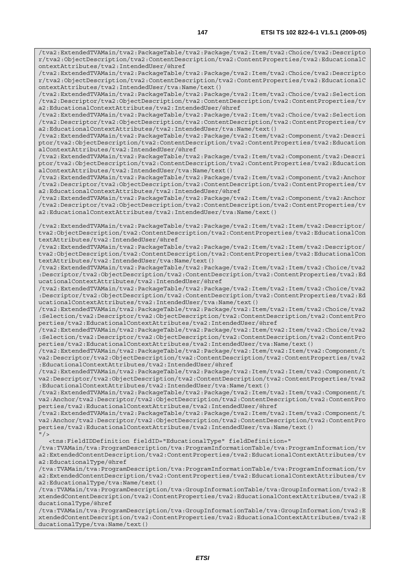/tva2:ExtendedTVAMain/tva2:PackageTable/tva2:Package/tva2:Item/tva2:Choice/tva2:Descripto r/tva2:ObjectDescription/tva2:ContentDescription/tva2:ContentProperties/tva2:EducationalC ontextAttributes/tva2:IntendedUser/@href /tva2:ExtendedTVAMain/tva2:PackageTable/tva2:Package/tva2:Item/tva2:Choice/tva2:Descripto r/tva2:ObjectDescription/tva2:ContentDescription/tva2:ContentProperties/tva2:EducationalC ontextAttributes/tva2:IntendedUser/tva:Name/text() /tva2:ExtendedTVAMain/tva2:PackageTable/tva2:Package/tva2:Item/tva2:Choice/tva2:Selection /tva2:Descriptor/tva2:ObjectDescription/tva2:ContentDescription/tva2:ContentProperties/tv a2:EducationalContextAttributes/tva2:IntendedUser/@href /tva2:ExtendedTVAMain/tva2:PackageTable/tva2:Package/tva2:Item/tva2:Choice/tva2:Selection /tva2:Descriptor/tva2:ObjectDescription/tva2:ContentDescription/tva2:ContentProperties/tv a2:EducationalContextAttributes/tva2:IntendedUser/tva:Name/text() /tva2:ExtendedTVAMain/tva2:PackageTable/tva2:Package/tva2:Item/tva2:Component/tva2:Descri ptor/tva2:ObjectDescription/tva2:ContentDescription/tva2:ContentProperties/tva2:Education alContextAttributes/tva2:IntendedUser/@href /tva2:ExtendedTVAMain/tva2:PackageTable/tva2:Package/tva2:Item/tva2:Component/tva2:Descri ptor/tva2:ObjectDescription/tva2:ContentDescription/tva2:ContentProperties/tva2:Education alContextAttributes/tva2:IntendedUser/tva:Name/text() /tva2:ExtendedTVAMain/tva2:PackageTable/tva2:Package/tva2:Item/tva2:Component/tva2:Anchor /tva2:Descriptor/tva2:ObjectDescription/tva2:ContentDescription/tva2:ContentProperties/tv a2:EducationalContextAttributes/tva2:IntendedUser/@href /tva2:ExtendedTVAMain/tva2:PackageTable/tva2:Package/tva2:Item/tva2:Component/tva2:Anchor /tva2:Descriptor/tva2:ObjectDescription/tva2:ContentDescription/tva2:ContentProperties/tv a2:EducationalContextAttributes/tva2:IntendedUser/tva:Name/text() /tva2:ExtendedTVAMain/tva2:PackageTable/tva2:Package/tva2:Item/tva2:Item/tva2:Descriptor/ tva2:ObjectDescription/tva2:ContentDescription/tva2:ContentProperties/tva2:EducationalCon textAttributes/tva2:IntendedUser/@href /tva2:ExtendedTVAMain/tva2:PackageTable/tva2:Package/tva2:Item/tva2:Item/tva2:Descriptor/ tva2:ObjectDescription/tva2:ContentDescription/tva2:ContentProperties/tva2:EducationalCon textAttributes/tva2:IntendedUser/tva:Name/text() /tva2:ExtendedTVAMain/tva2:PackageTable/tva2:Package/tva2:Item/tva2:Item/tva2:Choice/tva2 :Descriptor/tva2:ObjectDescription/tva2:ContentDescription/tva2:ContentProperties/tva2:Ed ucationalContextAttributes/tva2:IntendedUser/@href /tva2:ExtendedTVAMain/tva2:PackageTable/tva2:Package/tva2:Item/tva2:Item/tva2:Choice/tva2 :Descriptor/tva2:ObjectDescription/tva2:ContentDescription/tva2:ContentProperties/tva2:Ed ucationalContextAttributes/tva2:IntendedUser/tva:Name/text() /tva2:ExtendedTVAMain/tva2:PackageTable/tva2:Package/tva2:Item/tva2:Item/tva2:Choice/tva2 :Selection/tva2:Descriptor/tva2:ObjectDescription/tva2:ContentDescription/tva2:ContentPro perties/tva2:EducationalContextAttributes/tva2:IntendedUser/@href /tva2:ExtendedTVAMain/tva2:PackageTable/tva2:Package/tva2:Item/tva2:Item/tva2:Choice/tva2 :Selection/tva2:Descriptor/tva2:ObjectDescription/tva2:ContentDescription/tva2:ContentPro

perties/tva2:EducationalContextAttributes/tva2:IntendedUser/tva:Name/text() /tva2:ExtendedTVAMain/tva2:PackageTable/tva2:Package/tva2:Item/tva2:Item/tva2:Component/t va2:Descriptor/tva2:ObjectDescription/tva2:ContentDescription/tva2:ContentProperties/tva2 :EducationalContextAttributes/tva2:IntendedUser/@href

/tva2:ExtendedTVAMain/tva2:PackageTable/tva2:Package/tva2:Item/tva2:Item/tva2:Component/t va2:Descriptor/tva2:ObjectDescription/tva2:ContentDescription/tva2:ContentProperties/tva2 :EducationalContextAttributes/tva2:IntendedUser/tva:Name/text()

/tva2:ExtendedTVAMain/tva2:PackageTable/tva2:Package/tva2:Item/tva2:Item/tva2:Component/t va2:Anchor/tva2:Descriptor/tva2:ObjectDescription/tva2:ContentDescription/tva2:ContentPro perties/tva2:EducationalContextAttributes/tva2:IntendedUser/@href

/tva2:ExtendedTVAMain/tva2:PackageTable/tva2:Package/tva2:Item/tva2:Item/tva2:Component/t va2:Anchor/tva2:Descriptor/tva2:ObjectDescription/tva2:ContentDescription/tva2:ContentPro perties/tva2:EducationalContextAttributes/tva2:IntendedUser/tva:Name/text()  $"$  / >

<tns:FieldIDDefinition fieldID="EducationalType" fieldDefinition="

/tva:TVAMain/tva:ProgramDescription/tva:ProgramInformationTable/tva:ProgramInformation/tv a2:ExtendedContentDescription/tva2:ContentProperties/tva2:EducationalContextAttributes/tv a2:EducationalType/@href

/tva:TVAMain/tva:ProgramDescription/tva:ProgramInformationTable/tva:ProgramInformation/tv a2:ExtendedContentDescription/tva2:ContentProperties/tva2:EducationalContextAttributes/tv a2:EducationalType/tva:Name/text()

/tva:TVAMain/tva:ProgramDescription/tva:GroupInformationTable/tva:GroupInformation/tva2:E xtendedContentDescription/tva2:ContentProperties/tva2:EducationalContextAttributes/tva2:E ducationalType/@href

/tva:TVAMain/tva:ProgramDescription/tva:GroupInformationTable/tva:GroupInformation/tva2:E xtendedContentDescription/tva2:ContentProperties/tva2:EducationalContextAttributes/tva2:E ducationalType/tva:Name/text()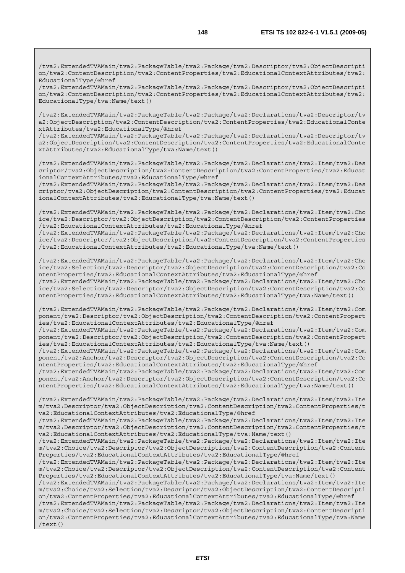/tva2:ExtendedTVAMain/tva2:PackageTable/tva2:Package/tva2:Descriptor/tva2:ObjectDescripti on/tva2:ContentDescription/tva2:ContentProperties/tva2:EducationalContextAttributes/tva2: EducationalType/@href

/tva2:ExtendedTVAMain/tva2:PackageTable/tva2:Package/tva2:Descriptor/tva2:ObjectDescripti on/tva2:ContentDescription/tva2:ContentProperties/tva2:EducationalContextAttributes/tva2: EducationalType/tva:Name/text()

/tva2:ExtendedTVAMain/tva2:PackageTable/tva2:Package/tva2:Declarations/tva2:Descriptor/tv a2:ObjectDescription/tva2:ContentDescription/tva2:ContentProperties/tva2:EducationalConte xtAttributes/tva2:EducationalType/@href

/tva2:ExtendedTVAMain/tva2:PackageTable/tva2:Package/tva2:Declarations/tva2:Descriptor/tv a2:ObjectDescription/tva2:ContentDescription/tva2:ContentProperties/tva2:EducationalConte xtAttributes/tva2:EducationalType/tva:Name/text()

/tva2:ExtendedTVAMain/tva2:PackageTable/tva2:Package/tva2:Declarations/tva2:Item/tva2:Des criptor/tva2:ObjectDescription/tva2:ContentDescription/tva2:ContentProperties/tva2:Educat ionalContextAttributes/tva2:EducationalType/@href

/tva2:ExtendedTVAMain/tva2:PackageTable/tva2:Package/tva2:Declarations/tva2:Item/tva2:Des criptor/tva2:ObjectDescription/tva2:ContentDescription/tva2:ContentProperties/tva2:Educat ionalContextAttributes/tva2:EducationalType/tva:Name/text()

/tva2:ExtendedTVAMain/tva2:PackageTable/tva2:Package/tva2:Declarations/tva2:Item/tva2:Cho ice/tva2:Descriptor/tva2:ObjectDescription/tva2:ContentDescription/tva2:ContentProperties /tva2:EducationalContextAttributes/tva2:EducationalType/@href /tva2:ExtendedTVAMain/tva2:PackageTable/tva2:Package/tva2:Declarations/tva2:Item/tva2:Cho

ice/tva2:Descriptor/tva2:ObjectDescription/tva2:ContentDescription/tva2:ContentProperties /tva2:EducationalContextAttributes/tva2:EducationalType/tva:Name/text()

/tva2:ExtendedTVAMain/tva2:PackageTable/tva2:Package/tva2:Declarations/tva2:Item/tva2:Cho ice/tva2:Selection/tva2:Descriptor/tva2:ObjectDescription/tva2:ContentDescription/tva2:Co ntentProperties/tva2:EducationalContextAttributes/tva2:EducationalType/@href /tva2:ExtendedTVAMain/tva2:PackageTable/tva2:Package/tva2:Declarations/tva2:Item/tva2:Cho ice/tva2:Selection/tva2:Descriptor/tva2:ObjectDescription/tva2:ContentDescription/tva2:Co ntentProperties/tva2:EducationalContextAttributes/tva2:EducationalType/tva:Name/text()

/tva2:ExtendedTVAMain/tva2:PackageTable/tva2:Package/tva2:Declarations/tva2:Item/tva2:Com ponent/tva2:Descriptor/tva2:ObjectDescription/tva2:ContentDescription/tva2:ContentPropert ies/tva2:EducationalContextAttributes/tva2:EducationalType/@href

/tva2:ExtendedTVAMain/tva2:PackageTable/tva2:Package/tva2:Declarations/tva2:Item/tva2:Com ponent/tva2:Descriptor/tva2:ObjectDescription/tva2:ContentDescription/tva2:ContentPropert ies/tva2:EducationalContextAttributes/tva2:EducationalType/tva:Name/text()

/tva2:ExtendedTVAMain/tva2:PackageTable/tva2:Package/tva2:Declarations/tva2:Item/tva2:Com ponent/tva2:Anchor/tva2:Descriptor/tva2:ObjectDescription/tva2:ContentDescription/tva2:Co ntentProperties/tva2:EducationalContextAttributes/tva2:EducationalType/@href

/tva2:ExtendedTVAMain/tva2:PackageTable/tva2:Package/tva2:Declarations/tva2:Item/tva2:Com ponent/tva2:Anchor/tva2:Descriptor/tva2:ObjectDescription/tva2:ContentDescription/tva2:Co ntentProperties/tva2:EducationalContextAttributes/tva2:EducationalType/tva:Name/text()

/tva2:ExtendedTVAMain/tva2:PackageTable/tva2:Package/tva2:Declarations/tva2:Item/tva2:Ite m/tva2:Descriptor/tva2:ObjectDescription/tva2:ContentDescription/tva2:ContentProperties/t va2:EducationalContextAttributes/tva2:EducationalType/@href

/tva2:ExtendedTVAMain/tva2:PackageTable/tva2:Package/tva2:Declarations/tva2:Item/tva2:Ite m/tva2:Descriptor/tva2:ObjectDescription/tva2:ContentDescription/tva2:ContentProperties/t va2:EducationalContextAttributes/tva2:EducationalType/tva:Name/text()

/tva2:ExtendedTVAMain/tva2:PackageTable/tva2:Package/tva2:Declarations/tva2:Item/tva2:Ite m/tva2:Choice/tva2:Descriptor/tva2:ObjectDescription/tva2:ContentDescription/tva2:Content Properties/tva2:EducationalContextAttributes/tva2:EducationalType/@href

/tva2:ExtendedTVAMain/tva2:PackageTable/tva2:Package/tva2:Declarations/tva2:Item/tva2:Ite m/tva2:Choice/tva2:Descriptor/tva2:ObjectDescription/tva2:ContentDescription/tva2:Content Properties/tva2:EducationalContextAttributes/tva2:EducationalType/tva:Name/text()

/tva2:ExtendedTVAMain/tva2:PackageTable/tva2:Package/tva2:Declarations/tva2:Item/tva2:Ite m/tva2:Choice/tva2:Selection/tva2:Descriptor/tva2:ObjectDescription/tva2:ContentDescripti on/tva2:ContentProperties/tva2:EducationalContextAttributes/tva2:EducationalType/@href

/tva2:ExtendedTVAMain/tva2:PackageTable/tva2:Package/tva2:Declarations/tva2:Item/tva2:Ite m/tva2:Choice/tva2:Selection/tva2:Descriptor/tva2:ObjectDescription/tva2:ContentDescripti on/tva2:ContentProperties/tva2:EducationalContextAttributes/tva2:EducationalType/tva:Name /text()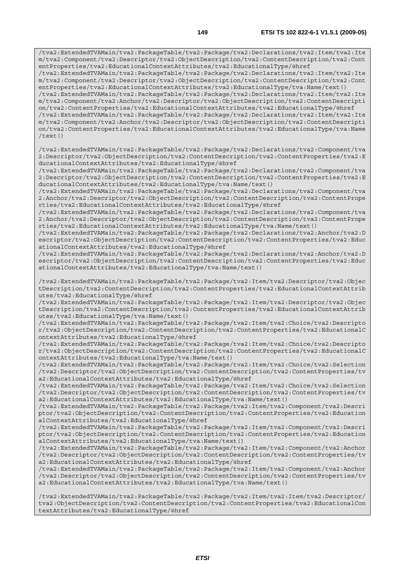/tva2:ExtendedTVAMain/tva2:PackageTable/tva2:Package/tva2:Declarations/tva2:Item/tva2:Ite m/tva2:Component/tva2:Descriptor/tva2:ObjectDescription/tva2:ContentDescription/tva2:Cont entProperties/tva2:EducationalContextAttributes/tva2:EducationalType/@href /tva2:ExtendedTVAMain/tva2:PackageTable/tva2:Package/tva2:Declarations/tva2:Item/tva2:Ite m/tva2:Component/tva2:Descriptor/tva2:ObjectDescription/tva2:ContentDescription/tva2:Cont entProperties/tva2:EducationalContextAttributes/tva2:EducationalType/tva:Name/text() /tva2:ExtendedTVAMain/tva2:PackageTable/tva2:Package/tva2:Declarations/tva2:Item/tva2:Ite m/tva2:Component/tva2:Anchor/tva2:Descriptor/tva2:ObjectDescription/tva2:ContentDescripti on/tva2:ContentProperties/tva2:EducationalContextAttributes/tva2:EducationalType/@href /tva2:ExtendedTVAMain/tva2:PackageTable/tva2:Package/tva2:Declarations/tva2:Item/tva2:Ite m/tva2:Component/tva2:Anchor/tva2:Descriptor/tva2:ObjectDescription/tva2:ContentDescripti on/tva2:ContentProperties/tva2:EducationalContextAttributes/tva2:EducationalType/tva:Name /text() /tva2:ExtendedTVAMain/tva2:PackageTable/tva2:Package/tva2:Declarations/tva2:Component/tva 2:Descriptor/tva2:ObjectDescription/tva2:ContentDescription/tva2:ContentProperties/tva2:E ducationalContextAttributes/tva2:EducationalType/@href /tva2:ExtendedTVAMain/tva2:PackageTable/tva2:Package/tva2:Declarations/tva2:Component/tva 2:Descriptor/tva2:ObjectDescription/tva2:ContentDescription/tva2:ContentProperties/tva2:E ducationalContextAttributes/tva2:EducationalType/tva:Name/text() /tva2:ExtendedTVAMain/tva2:PackageTable/tva2:Package/tva2:Declarations/tva2:Component/tva 2:Anchor/tva2:Descriptor/tva2:ObjectDescription/tva2:ContentDescription/tva2:ContentPrope rties/tva2:EducationalContextAttributes/tva2:EducationalType/@href /tva2:ExtendedTVAMain/tva2:PackageTable/tva2:Package/tva2:Declarations/tva2:Component/tva 2:Anchor/tva2:Descriptor/tva2:ObjectDescription/tva2:ContentDescription/tva2:ContentPrope rties/tva2:EducationalContextAttributes/tva2:EducationalType/tva:Name/text() /tva2:ExtendedTVAMain/tva2:PackageTable/tva2:Package/tva2:Declarations/tva2:Anchor/tva2:D escriptor/tva2:ObjectDescription/tva2:ContentDescription/tva2:ContentProperties/tva2:Educ ationalContextAttributes/tva2:EducationalType/@href /tva2:ExtendedTVAMain/tva2:PackageTable/tva2:Package/tva2:Declarations/tva2:Anchor/tva2:D escriptor/tva2:ObjectDescription/tva2:ContentDescription/tva2:ContentProperties/tva2:Educ ationalContextAttributes/tva2:EducationalType/tva:Name/text() /tva2:ExtendedTVAMain/tva2:PackageTable/tva2:Package/tva2:Item/tva2:Descriptor/tva2:Objec tDescription/tva2:ContentDescription/tva2:ContentProperties/tva2:EducationalContextAttrib utes/tva2:EducationalType/@href /tva2:ExtendedTVAMain/tva2:PackageTable/tva2:Package/tva2:Item/tva2:Descriptor/tva2:Objec tDescription/tva2:ContentDescription/tva2:ContentProperties/tva2:EducationalContextAttrib utes/tva2:EducationalType/tva:Name/text() /tva2:ExtendedTVAMain/tva2:PackageTable/tva2:Package/tva2:Item/tva2:Choice/tva2:Descripto r/tva2:ObjectDescription/tva2:ContentDescription/tva2:ContentProperties/tva2:EducationalC ontextAttributes/tva2:EducationalType/@href /tva2:ExtendedTVAMain/tva2:PackageTable/tva2:Package/tva2:Item/tva2:Choice/tva2:Descripto r/tva2:ObjectDescription/tva2:ContentDescription/tva2:ContentProperties/tva2:EducationalC ontextAttributes/tva2:EducationalType/tva:Name/text() /tva2:ExtendedTVAMain/tva2:PackageTable/tva2:Package/tva2:Item/tva2:Choice/tva2:Selection /tva2:Descriptor/tva2:ObjectDescription/tva2:ContentDescription/tva2:ContentProperties/tv a2:EducationalContextAttributes/tva2:EducationalType/@href /tva2:ExtendedTVAMain/tva2:PackageTable/tva2:Package/tva2:Item/tva2:Choice/tva2:Selection /tva2:Descriptor/tva2:ObjectDescription/tva2:ContentDescription/tva2:ContentProperties/tv a2:EducationalContextAttributes/tva2:EducationalType/tva:Name/text() /tva2:ExtendedTVAMain/tva2:PackageTable/tva2:Package/tva2:Item/tva2:Component/tva2:Descri ptor/tva2:ObjectDescription/tva2:ContentDescription/tva2:ContentProperties/tva2:Education alContextAttributes/tva2:EducationalType/@href /tva2:ExtendedTVAMain/tva2:PackageTable/tva2:Package/tva2:Item/tva2:Component/tva2:Descri ptor/tva2:ObjectDescription/tva2:ContentDescription/tva2:ContentProperties/tva2:Education alContextAttributes/tva2:EducationalType/tva:Name/text() /tva2:ExtendedTVAMain/tva2:PackageTable/tva2:Package/tva2:Item/tva2:Component/tva2:Anchor /tva2:Descriptor/tva2:ObjectDescription/tva2:ContentDescription/tva2:ContentProperties/tv a2:EducationalContextAttributes/tva2:EducationalType/@href /tva2:ExtendedTVAMain/tva2:PackageTable/tva2:Package/tva2:Item/tva2:Component/tva2:Anchor /tva2:Descriptor/tva2:ObjectDescription/tva2:ContentDescription/tva2:ContentProperties/tv a2:EducationalContextAttributes/tva2:EducationalType/tva:Name/text()

/tva2:ExtendedTVAMain/tva2:PackageTable/tva2:Package/tva2:Item/tva2:Item/tva2:Descriptor/ tva2:ObjectDescription/tva2:ContentDescription/tva2:ContentProperties/tva2:EducationalCon textAttributes/tva2:EducationalType/@href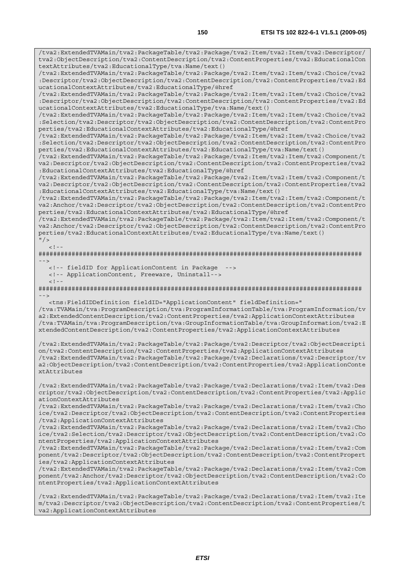/tva2:ExtendedTVAMain/tva2:PackageTable/tva2:Package/tva2:Item/tva2:Item/tva2:Descriptor/ tva2:ObjectDescription/tva2:ContentDescription/tva2:ContentProperties/tva2:EducationalCon textAttributes/tva2:EducationalType/tva:Name/text()

/tva2:ExtendedTVAMain/tva2:PackageTable/tva2:Package/tva2:Item/tva2:Item/tva2:Choice/tva2 :Descriptor/tva2:ObjectDescription/tva2:ContentDescription/tva2:ContentProperties/tva2:Ed ucationalContextAttributes/tva2:EducationalType/@href

/tva2:ExtendedTVAMain/tva2:PackageTable/tva2:Package/tva2:Item/tva2:Item/tva2:Choice/tva2 :Descriptor/tva2:ObjectDescription/tva2:ContentDescription/tva2:ContentProperties/tva2:Ed ucationalContextAttributes/tva2:EducationalType/tva:Name/text()

/tva2:ExtendedTVAMain/tva2:PackageTable/tva2:Package/tva2:Item/tva2:Item/tva2:Choice/tva2 :Selection/tva2:Descriptor/tva2:ObjectDescription/tva2:ContentDescription/tva2:ContentPro perties/tva2:EducationalContextAttributes/tva2:EducationalType/@href

/tva2:ExtendedTVAMain/tva2:PackageTable/tva2:Package/tva2:Item/tva2:Item/tva2:Choice/tva2 :Selection/tva2:Descriptor/tva2:ObjectDescription/tva2:ContentDescription/tva2:ContentPro perties/tva2:EducationalContextAttributes/tva2:EducationalType/tva:Name/text()

/tva2:ExtendedTVAMain/tva2:PackageTable/tva2:Package/tva2:Item/tva2:Item/tva2:Component/t va2:Descriptor/tva2:ObjectDescription/tva2:ContentDescription/tva2:ContentProperties/tva2 :EducationalContextAttributes/tva2:EducationalType/@href

/tva2:ExtendedTVAMain/tva2:PackageTable/tva2:Package/tva2:Item/tva2:Item/tva2:Component/t va2:Descriptor/tva2:ObjectDescription/tva2:ContentDescription/tva2:ContentProperties/tva2 :EducationalContextAttributes/tva2:EducationalType/tva:Name/text()

/tva2:ExtendedTVAMain/tva2:PackageTable/tva2:Package/tva2:Item/tva2:Item/tva2:Component/t va2:Anchor/tva2:Descriptor/tva2:ObjectDescription/tva2:ContentDescription/tva2:ContentPro perties/tva2:EducationalContextAttributes/tva2:EducationalType/@href

/tva2:ExtendedTVAMain/tva2:PackageTable/tva2:Package/tva2:Item/tva2:Item/tva2:Component/t va2:Anchor/tva2:Descriptor/tva2:ObjectDescription/tva2:ContentDescription/tva2:ContentPro perties/tva2:EducationalContextAttributes/tva2:EducationalType/tva:Name/text()  $"$  />

 $\geq$   $\perp$ 

######################################################################################## -->

<!-- fieldID for ApplicationContent in Package -->

<!-- ApplicationContent, Freeware, Uninstall-->

 $<$ ! - -

######################################################################################## -->

<tns:FieldIDDefinition fieldID="ApplicationContent" fieldDefinition="

/tva:TVAMain/tva:ProgramDescription/tva:ProgramInformationTable/tva:ProgramInformation/tv a2:ExtendedContentDescription/tva2:ContentProperties/tva2:ApplicationContextAttributes /tva:TVAMain/tva:ProgramDescription/tva:GroupInformationTable/tva:GroupInformation/tva2:E xtendedContentDescription/tva2:ContentProperties/tva2:ApplicationContextAttributes

/tva2:ExtendedTVAMain/tva2:PackageTable/tva2:Package/tva2:Descriptor/tva2:ObjectDescripti on/tva2:ContentDescription/tva2:ContentProperties/tva2:ApplicationContextAttributes /tva2:ExtendedTVAMain/tva2:PackageTable/tva2:Package/tva2:Declarations/tva2:Descriptor/tv a2:ObjectDescription/tva2:ContentDescription/tva2:ContentProperties/tva2:ApplicationConte xtAttributes

/tva2:ExtendedTVAMain/tva2:PackageTable/tva2:Package/tva2:Declarations/tva2:Item/tva2:Des criptor/tva2:ObjectDescription/tva2:ContentDescription/tva2:ContentProperties/tva2:Applic ationContextAttributes

/tva2:ExtendedTVAMain/tva2:PackageTable/tva2:Package/tva2:Declarations/tva2:Item/tva2:Cho ice/tva2:Descriptor/tva2:ObjectDescription/tva2:ContentDescription/tva2:ContentProperties /tva2:ApplicationContextAttributes

/tva2:ExtendedTVAMain/tva2:PackageTable/tva2:Package/tva2:Declarations/tva2:Item/tva2:Cho ice/tva2:Selection/tva2:Descriptor/tva2:ObjectDescription/tva2:ContentDescription/tva2:Co ntentProperties/tva2:ApplicationContextAttributes

/tva2:ExtendedTVAMain/tva2:PackageTable/tva2:Package/tva2:Declarations/tva2:Item/tva2:Com ponent/tva2:Descriptor/tva2:ObjectDescription/tva2:ContentDescription/tva2:ContentPropert ies/tva2:ApplicationContextAttributes

/tva2:ExtendedTVAMain/tva2:PackageTable/tva2:Package/tva2:Declarations/tva2:Item/tva2:Com ponent/tva2:Anchor/tva2:Descriptor/tva2:ObjectDescription/tva2:ContentDescription/tva2:Co ntentProperties/tva2:ApplicationContextAttributes

/tva2:ExtendedTVAMain/tva2:PackageTable/tva2:Package/tva2:Declarations/tva2:Item/tva2:Ite m/tva2:Descriptor/tva2:ObjectDescription/tva2:ContentDescription/tva2:ContentProperties/t va2:ApplicationContextAttributes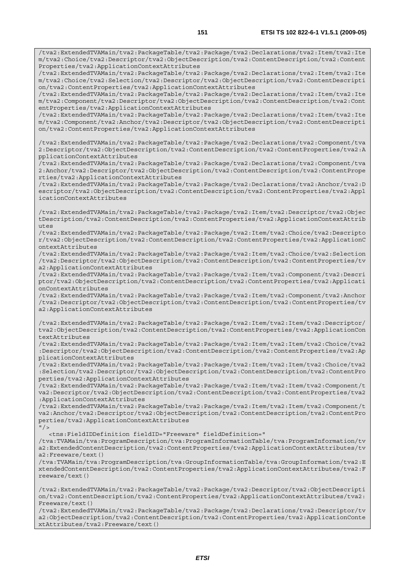/tva2:ExtendedTVAMain/tva2:PackageTable/tva2:Package/tva2:Declarations/tva2:Item/tva2:Ite m/tva2:Choice/tva2:Selection/tva2:Descriptor/tva2:ObjectDescription/tva2:ContentDescripti on/tva2:ContentProperties/tva2:ApplicationContextAttributes

/tva2:ExtendedTVAMain/tva2:PackageTable/tva2:Package/tva2:Declarations/tva2:Item/tva2:Ite m/tva2:Component/tva2:Descriptor/tva2:ObjectDescription/tva2:ContentDescription/tva2:Cont entProperties/tva2:ApplicationContextAttributes

/tva2:ExtendedTVAMain/tva2:PackageTable/tva2:Package/tva2:Declarations/tva2:Item/tva2:Ite m/tva2:Component/tva2:Anchor/tva2:Descriptor/tva2:ObjectDescription/tva2:ContentDescripti on/tva2:ContentProperties/tva2:ApplicationContextAttributes

/tva2:ExtendedTVAMain/tva2:PackageTable/tva2:Package/tva2:Declarations/tva2:Component/tva 2:Descriptor/tva2:ObjectDescription/tva2:ContentDescription/tva2:ContentProperties/tva2:A pplicationContextAttributes

/tva2:ExtendedTVAMain/tva2:PackageTable/tva2:Package/tva2:Declarations/tva2:Component/tva 2:Anchor/tva2:Descriptor/tva2:ObjectDescription/tva2:ContentDescription/tva2:ContentPrope rties/tva2:ApplicationContextAttributes

/tva2:ExtendedTVAMain/tva2:PackageTable/tva2:Package/tva2:Declarations/tva2:Anchor/tva2:D escriptor/tva2:ObjectDescription/tva2:ContentDescription/tva2:ContentProperties/tva2:Appl icationContextAttributes

/tva2:ExtendedTVAMain/tva2:PackageTable/tva2:Package/tva2:Item/tva2:Descriptor/tva2:Objec tDescription/tva2:ContentDescription/tva2:ContentProperties/tva2:ApplicationContextAttrib utes

/tva2:ExtendedTVAMain/tva2:PackageTable/tva2:Package/tva2:Item/tva2:Choice/tva2:Descripto r/tva2:ObjectDescription/tva2:ContentDescription/tva2:ContentProperties/tva2:ApplicationC ontextAttributes

/tva2:ExtendedTVAMain/tva2:PackageTable/tva2:Package/tva2:Item/tva2:Choice/tva2:Selection /tva2:Descriptor/tva2:ObjectDescription/tva2:ContentDescription/tva2:ContentProperties/tv a2:ApplicationContextAttributes

/tva2:ExtendedTVAMain/tva2:PackageTable/tva2:Package/tva2:Item/tva2:Component/tva2:Descri ptor/tva2:ObjectDescription/tva2:ContentDescription/tva2:ContentProperties/tva2:Applicati onContextAttributes

/tva2:ExtendedTVAMain/tva2:PackageTable/tva2:Package/tva2:Item/tva2:Component/tva2:Anchor /tva2:Descriptor/tva2:ObjectDescription/tva2:ContentDescription/tva2:ContentProperties/tv a2:ApplicationContextAttributes

/tva2:ExtendedTVAMain/tva2:PackageTable/tva2:Package/tva2:Item/tva2:Item/tva2:Descriptor/ tva2:ObjectDescription/tva2:ContentDescription/tva2:ContentProperties/tva2:ApplicationCon textAttributes

/tva2:ExtendedTVAMain/tva2:PackageTable/tva2:Package/tva2:Item/tva2:Item/tva2:Choice/tva2 :Descriptor/tva2:ObjectDescription/tva2:ContentDescription/tva2:ContentProperties/tva2:Ap plicationContextAttributes

/tva2:ExtendedTVAMain/tva2:PackageTable/tva2:Package/tva2:Item/tva2:Item/tva2:Choice/tva2 :Selection/tva2:Descriptor/tva2:ObjectDescription/tva2:ContentDescription/tva2:ContentPro perties/tva2:ApplicationContextAttributes

/tva2:ExtendedTVAMain/tva2:PackageTable/tva2:Package/tva2:Item/tva2:Item/tva2:Component/t va2:Descriptor/tva2:ObjectDescription/tva2:ContentDescription/tva2:ContentProperties/tva2 :ApplicationContextAttributes

/tva2:ExtendedTVAMain/tva2:PackageTable/tva2:Package/tva2:Item/tva2:Item/tva2:Component/t va2:Anchor/tva2:Descriptor/tva2:ObjectDescription/tva2:ContentDescription/tva2:ContentPro perties/tva2:ApplicationContextAttributes

 $"$ />

<tns:FieldIDDefinition fieldID="Freeware" fieldDefinition="

/tva:TVAMain/tva:ProgramDescription/tva:ProgramInformationTable/tva:ProgramInformation/tv a2:ExtendedContentDescription/tva2:ContentProperties/tva2:ApplicationContextAttributes/tv a2:Freeware/text()

/tva:TVAMain/tva:ProgramDescription/tva:GroupInformationTable/tva:GroupInformation/tva2:E xtendedContentDescription/tva2:ContentProperties/tva2:ApplicationContextAttributes/tva2:F reeware/text()

/tva2:ExtendedTVAMain/tva2:PackageTable/tva2:Package/tva2:Descriptor/tva2:ObjectDescripti on/tva2:ContentDescription/tva2:ContentProperties/tva2:ApplicationContextAttributes/tva2: Freeware/text()

/tva2:ExtendedTVAMain/tva2:PackageTable/tva2:Package/tva2:Declarations/tva2:Descriptor/tv a2:ObjectDescription/tva2:ContentDescription/tva2:ContentProperties/tva2:ApplicationConte xtAttributes/tva2:Freeware/text()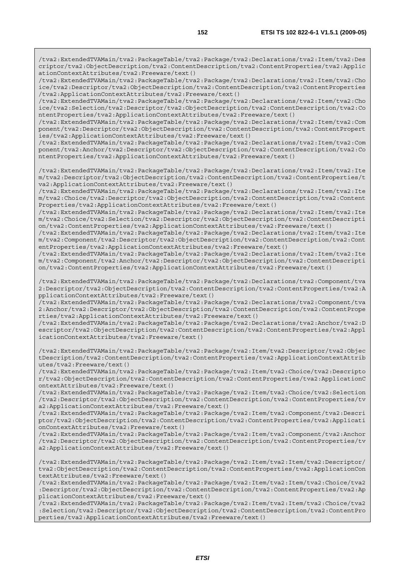/tva2:ExtendedTVAMain/tva2:PackageTable/tva2:Package/tva2:Declarations/tva2:Item/tva2:Des criptor/tva2:ObjectDescription/tva2:ContentDescription/tva2:ContentProperties/tva2:Applic ationContextAttributes/tva2:Freeware/text()

/tva2:ExtendedTVAMain/tva2:PackageTable/tva2:Package/tva2:Declarations/tva2:Item/tva2:Cho ice/tva2:Descriptor/tva2:ObjectDescription/tva2:ContentDescription/tva2:ContentProperties /tva2:ApplicationContextAttributes/tva2:Freeware/text()

/tva2:ExtendedTVAMain/tva2:PackageTable/tva2:Package/tva2:Declarations/tva2:Item/tva2:Cho ice/tva2:Selection/tva2:Descriptor/tva2:ObjectDescription/tva2:ContentDescription/tva2:Co ntentProperties/tva2:ApplicationContextAttributes/tva2:Freeware/text()

/tva2:ExtendedTVAMain/tva2:PackageTable/tva2:Package/tva2:Declarations/tva2:Item/tva2:Com ponent/tva2:Descriptor/tva2:ObjectDescription/tva2:ContentDescription/tva2:ContentPropert ies/tva2:ApplicationContextAttributes/tva2:Freeware/text()

/tva2:ExtendedTVAMain/tva2:PackageTable/tva2:Package/tva2:Declarations/tva2:Item/tva2:Com ponent/tva2:Anchor/tva2:Descriptor/tva2:ObjectDescription/tva2:ContentDescription/tva2:Co ntentProperties/tva2:ApplicationContextAttributes/tva2:Freeware/text()

/tva2:ExtendedTVAMain/tva2:PackageTable/tva2:Package/tva2:Declarations/tva2:Item/tva2:Ite m/tva2:Descriptor/tva2:ObjectDescription/tva2:ContentDescription/tva2:ContentProperties/t va2:ApplicationContextAttributes/tva2:Freeware/text()

/tva2:ExtendedTVAMain/tva2:PackageTable/tva2:Package/tva2:Declarations/tva2:Item/tva2:Ite m/tva2:Choice/tva2:Descriptor/tva2:ObjectDescription/tva2:ContentDescription/tva2:Content Properties/tva2:ApplicationContextAttributes/tva2:Freeware/text()

/tva2:ExtendedTVAMain/tva2:PackageTable/tva2:Package/tva2:Declarations/tva2:Item/tva2:Ite m/tva2:Choice/tva2:Selection/tva2:Descriptor/tva2:ObjectDescription/tva2:ContentDescripti on/tva2:ContentProperties/tva2:ApplicationContextAttributes/tva2:Freeware/text()

/tva2:ExtendedTVAMain/tva2:PackageTable/tva2:Package/tva2:Declarations/tva2:Item/tva2:Ite m/tva2:Component/tva2:Descriptor/tva2:ObjectDescription/tva2:ContentDescription/tva2:Cont entProperties/tva2:ApplicationContextAttributes/tva2:Freeware/text()

/tva2:ExtendedTVAMain/tva2:PackageTable/tva2:Package/tva2:Declarations/tva2:Item/tva2:Ite m/tva2:Component/tva2:Anchor/tva2:Descriptor/tva2:ObjectDescription/tva2:ContentDescripti on/tva2:ContentProperties/tva2:ApplicationContextAttributes/tva2:Freeware/text()

/tva2:ExtendedTVAMain/tva2:PackageTable/tva2:Package/tva2:Declarations/tva2:Component/tva 2:Descriptor/tva2:ObjectDescription/tva2:ContentDescription/tva2:ContentProperties/tva2:A pplicationContextAttributes/tva2:Freeware/text()

/tva2:ExtendedTVAMain/tva2:PackageTable/tva2:Package/tva2:Declarations/tva2:Component/tva 2:Anchor/tva2:Descriptor/tva2:ObjectDescription/tva2:ContentDescription/tva2:ContentPrope rties/tva2:ApplicationContextAttributes/tva2:Freeware/text()

/tva2:ExtendedTVAMain/tva2:PackageTable/tva2:Package/tva2:Declarations/tva2:Anchor/tva2:D escriptor/tva2:ObjectDescription/tva2:ContentDescription/tva2:ContentProperties/tva2:Appl icationContextAttributes/tva2:Freeware/text()

/tva2:ExtendedTVAMain/tva2:PackageTable/tva2:Package/tva2:Item/tva2:Descriptor/tva2:Objec tDescription/tva2:ContentDescription/tva2:ContentProperties/tva2:ApplicationContextAttrib utes/tva2:Freeware/text()

/tva2:ExtendedTVAMain/tva2:PackageTable/tva2:Package/tva2:Item/tva2:Choice/tva2:Descripto r/tva2:ObjectDescription/tva2:ContentDescription/tva2:ContentProperties/tva2:ApplicationC ontextAttributes/tva2:Freeware/text()

/tva2:ExtendedTVAMain/tva2:PackageTable/tva2:Package/tva2:Item/tva2:Choice/tva2:Selection /tva2:Descriptor/tva2:ObjectDescription/tva2:ContentDescription/tva2:ContentProperties/tv a2:ApplicationContextAttributes/tva2:Freeware/text()

/tva2:ExtendedTVAMain/tva2:PackageTable/tva2:Package/tva2:Item/tva2:Component/tva2:Descri ptor/tva2:ObjectDescription/tva2:ContentDescription/tva2:ContentProperties/tva2:Applicati onContextAttributes/tva2:Freeware/text()

/tva2:ExtendedTVAMain/tva2:PackageTable/tva2:Package/tva2:Item/tva2:Component/tva2:Anchor /tva2:Descriptor/tva2:ObjectDescription/tva2:ContentDescription/tva2:ContentProperties/tv a2:ApplicationContextAttributes/tva2:Freeware/text()

/tva2:ExtendedTVAMain/tva2:PackageTable/tva2:Package/tva2:Item/tva2:Item/tva2:Descriptor/ tva2:ObjectDescription/tva2:ContentDescription/tva2:ContentProperties/tva2:ApplicationCon textAttributes/tva2:Freeware/text()

/tva2:ExtendedTVAMain/tva2:PackageTable/tva2:Package/tva2:Item/tva2:Item/tva2:Choice/tva2 :Descriptor/tva2:ObjectDescription/tva2:ContentDescription/tva2:ContentProperties/tva2:Ap plicationContextAttributes/tva2:Freeware/text()

/tva2:ExtendedTVAMain/tva2:PackageTable/tva2:Package/tva2:Item/tva2:Item/tva2:Choice/tva2 :Selection/tva2:Descriptor/tva2:ObjectDescription/tva2:ContentDescription/tva2:ContentPro perties/tva2:ApplicationContextAttributes/tva2:Freeware/text()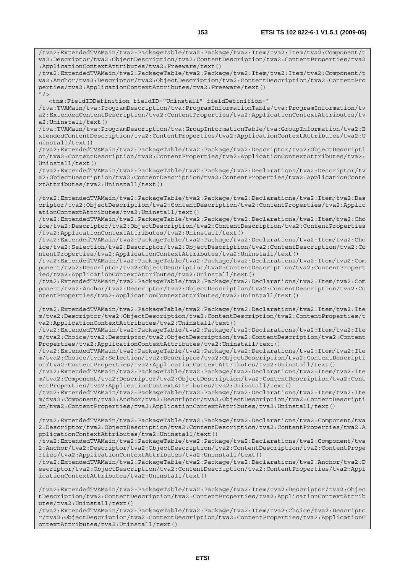/tva2:ExtendedTVAMain/tva2:PackageTable/tva2:Package/tva2:Item/tva2:Item/tva2:Component/t va2:Descriptor/tva2:ObjectDescription/tva2:ContentDescription/tva2:ContentProperties/tva2 :ApplicationContextAttributes/tva2:Freeware/text()

/tva2:ExtendedTVAMain/tva2:PackageTable/tva2:Package/tva2:Item/tva2:Item/tva2:Component/t va2:Anchor/tva2:Descriptor/tva2:ObjectDescription/tva2:ContentDescription/tva2:ContentPro perties/tva2:ApplicationContextAttributes/tva2:Freeware/text()  $^{\prime\prime}$  /  $\rightarrow$ 

<tns:FieldIDDefinition fieldID="Uninstall" fieldDefinition="

/tva:TVAMain/tva:ProgramDescription/tva:ProgramInformationTable/tva:ProgramInformation/tv a2:ExtendedContentDescription/tva2:ContentProperties/tva2:ApplicationContextAttributes/tv a2:Uninstall/text()

/tva:TVAMain/tva:ProgramDescription/tva:GroupInformationTable/tva:GroupInformation/tva2:E xtendedContentDescription/tva2:ContentProperties/tva2:ApplicationContextAttributes/tva2:U ninstall/text()

/tva2:ExtendedTVAMain/tva2:PackageTable/tva2:Package/tva2:Descriptor/tva2:ObjectDescripti on/tva2:ContentDescription/tva2:ContentProperties/tva2:ApplicationContextAttributes/tva2: Uninstall/text()

/tva2:ExtendedTVAMain/tva2:PackageTable/tva2:Package/tva2:Declarations/tva2:Descriptor/tv a2:ObjectDescription/tva2:ContentDescription/tva2:ContentProperties/tva2:ApplicationConte xtAttributes/tva2:Uninstall/text()

/tva2:ExtendedTVAMain/tva2:PackageTable/tva2:Package/tva2:Declarations/tva2:Item/tva2:Des criptor/tva2:ObjectDescription/tva2:ContentDescription/tva2:ContentProperties/tva2:Applic ationContextAttributes/tva2:Uninstall/text()

/tva2:ExtendedTVAMain/tva2:PackageTable/tva2:Package/tva2:Declarations/tva2:Item/tva2:Cho ice/tva2:Descriptor/tva2:ObjectDescription/tva2:ContentDescription/tva2:ContentProperties /tva2:ApplicationContextAttributes/tva2:Uninstall/text()

/tva2:ExtendedTVAMain/tva2:PackageTable/tva2:Package/tva2:Declarations/tva2:Item/tva2:Cho ice/tva2:Selection/tva2:Descriptor/tva2:ObjectDescription/tva2:ContentDescription/tva2:Co ntentProperties/tva2:ApplicationContextAttributes/tva2:Uninstall/text()

/tva2:ExtendedTVAMain/tva2:PackageTable/tva2:Package/tva2:Declarations/tva2:Item/tva2:Com ponent/tva2:Descriptor/tva2:ObjectDescription/tva2:ContentDescription/tva2:ContentPropert ies/tva2:ApplicationContextAttributes/tva2:Uninstall/text()

/tva2:ExtendedTVAMain/tva2:PackageTable/tva2:Package/tva2:Declarations/tva2:Item/tva2:Com ponent/tva2:Anchor/tva2:Descriptor/tva2:ObjectDescription/tva2:ContentDescription/tva2:Co ntentProperties/tva2:ApplicationContextAttributes/tva2:Uninstall/text()

/tva2:ExtendedTVAMain/tva2:PackageTable/tva2:Package/tva2:Declarations/tva2:Item/tva2:Ite m/tva2:Descriptor/tva2:ObjectDescription/tva2:ContentDescription/tva2:ContentProperties/t va2:ApplicationContextAttributes/tva2:Uninstall/text()

/tva2:ExtendedTVAMain/tva2:PackageTable/tva2:Package/tva2:Declarations/tva2:Item/tva2:Ite m/tva2:Choice/tva2:Descriptor/tva2:ObjectDescription/tva2:ContentDescription/tva2:Content Properties/tva2:ApplicationContextAttributes/tva2:Uninstall/text()

/tva2:ExtendedTVAMain/tva2:PackageTable/tva2:Package/tva2:Declarations/tva2:Item/tva2:Ite m/tva2:Choice/tva2:Selection/tva2:Descriptor/tva2:ObjectDescription/tva2:ContentDescripti on/tva2:ContentProperties/tva2:ApplicationContextAttributes/tva2:Uninstall/text()

/tva2:ExtendedTVAMain/tva2:PackageTable/tva2:Package/tva2:Declarations/tva2:Item/tva2:Ite m/tva2:Component/tva2:Descriptor/tva2:ObjectDescription/tva2:ContentDescription/tva2:Cont entProperties/tva2:ApplicationContextAttributes/tva2:Uninstall/text()

/tva2:ExtendedTVAMain/tva2:PackageTable/tva2:Package/tva2:Declarations/tva2:Item/tva2:Ite m/tva2:Component/tva2:Anchor/tva2:Descriptor/tva2:ObjectDescription/tva2:ContentDescripti on/tva2:ContentProperties/tva2:ApplicationContextAttributes/tva2:Uninstall/text()

/tva2:ExtendedTVAMain/tva2:PackageTable/tva2:Package/tva2:Declarations/tva2:Component/tva 2:Descriptor/tva2:ObjectDescription/tva2:ContentDescription/tva2:ContentProperties/tva2:A pplicationContextAttributes/tva2:Uninstall/text()

/tva2:ExtendedTVAMain/tva2:PackageTable/tva2:Package/tva2:Declarations/tva2:Component/tva 2:Anchor/tva2:Descriptor/tva2:ObjectDescription/tva2:ContentDescription/tva2:ContentPrope rties/tva2:ApplicationContextAttributes/tva2:Uninstall/text()

/tva2:ExtendedTVAMain/tva2:PackageTable/tva2:Package/tva2:Declarations/tva2:Anchor/tva2:D escriptor/tva2:ObjectDescription/tva2:ContentDescription/tva2:ContentProperties/tva2:Appl icationContextAttributes/tva2:Uninstall/text()

/tva2:ExtendedTVAMain/tva2:PackageTable/tva2:Package/tva2:Item/tva2:Descriptor/tva2:Objec tDescription/tva2:ContentDescription/tva2:ContentProperties/tva2:ApplicationContextAttrib utes/tva2:Uninstall/text()

/tva2:ExtendedTVAMain/tva2:PackageTable/tva2:Package/tva2:Item/tva2:Choice/tva2:Descripto r/tva2:ObjectDescription/tva2:ContentDescription/tva2:ContentProperties/tva2:ApplicationC ontextAttributes/tva2:Uninstall/text()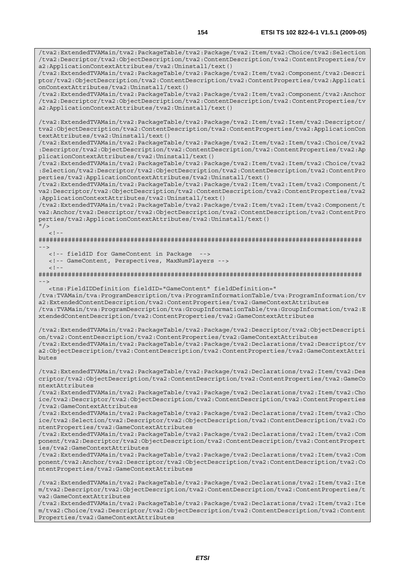/tva2:ExtendedTVAMain/tva2:PackageTable/tva2:Package/tva2:Item/tva2:Choice/tva2:Selection /tva2:Descriptor/tva2:ObjectDescription/tva2:ContentDescription/tva2:ContentProperties/tv

/tva2:ExtendedTVAMain/tva2:PackageTable/tva2:Package/tva2:Item/tva2:Component/tva2:Descri ptor/tva2:ObjectDescription/tva2:ContentDescription/tva2:ContentProperties/tva2:Applicati

a2:ApplicationContextAttributes/tva2:Uninstall/text()

onContextAttributes/tva2:Uninstall/text() /tva2:ExtendedTVAMain/tva2:PackageTable/tva2:Package/tva2:Item/tva2:Component/tva2:Anchor /tva2:Descriptor/tva2:ObjectDescription/tva2:ContentDescription/tva2:ContentProperties/tv a2:ApplicationContextAttributes/tva2:Uninstall/text() /tva2:ExtendedTVAMain/tva2:PackageTable/tva2:Package/tva2:Item/tva2:Item/tva2:Descriptor/ tva2:ObjectDescription/tva2:ContentDescription/tva2:ContentProperties/tva2:ApplicationCon textAttributes/tva2:Uninstall/text() /tva2:ExtendedTVAMain/tva2:PackageTable/tva2:Package/tva2:Item/tva2:Item/tva2:Choice/tva2 :Descriptor/tva2:ObjectDescription/tva2:ContentDescription/tva2:ContentProperties/tva2:Ap plicationContextAttributes/tva2:Uninstall/text() /tva2:ExtendedTVAMain/tva2:PackageTable/tva2:Package/tva2:Item/tva2:Item/tva2:Choice/tva2 :Selection/tva2:Descriptor/tva2:ObjectDescription/tva2:ContentDescription/tva2:ContentPro perties/tva2:ApplicationContextAttributes/tva2:Uninstall/text() /tva2:ExtendedTVAMain/tva2:PackageTable/tva2:Package/tva2:Item/tva2:Item/tva2:Component/t va2:Descriptor/tva2:ObjectDescription/tva2:ContentDescription/tva2:ContentProperties/tva2 :ApplicationContextAttributes/tva2:Uninstall/text() /tva2:ExtendedTVAMain/tva2:PackageTable/tva2:Package/tva2:Item/tva2:Item/tva2:Component/t va2:Anchor/tva2:Descriptor/tva2:ObjectDescription/tva2:ContentDescription/tva2:ContentPro perties/tva2:ApplicationContextAttributes/tva2:Uninstall/text()  $^{\prime\prime}$  / >  $<$ ! --######################################################################################## --> <!-- fieldID for GameContent in Package --> <!-- GameContent, Perspectives, MaxNumPlayers -->  $\geq$   $\frac{1}{2}$ . ########################################################################################  $-$  <tns:FieldIDDefinition fieldID="GameContent" fieldDefinition=" /tva:TVAMain/tva:ProgramDescription/tva:ProgramInformationTable/tva:ProgramInformation/tv a2:ExtendedContentDescription/tva2:ContentProperties/tva2:GameContextAttributes /tva:TVAMain/tva:ProgramDescription/tva:GroupInformationTable/tva:GroupInformation/tva2:E xtendedContentDescription/tva2:ContentProperties/tva2:GameContextAttributes /tva2:ExtendedTVAMain/tva2:PackageTable/tva2:Package/tva2:Descriptor/tva2:ObjectDescripti on/tva2:ContentDescription/tva2:ContentProperties/tva2:GameContextAttributes /tva2:ExtendedTVAMain/tva2:PackageTable/tva2:Package/tva2:Declarations/tva2:Descriptor/tv a2:ObjectDescription/tva2:ContentDescription/tva2:ContentProperties/tva2:GameContextAttri butes /tva2:ExtendedTVAMain/tva2:PackageTable/tva2:Package/tva2:Declarations/tva2:Item/tva2:Des criptor/tva2:ObjectDescription/tva2:ContentDescription/tva2:ContentProperties/tva2:GameCo ntextAttributes /tva2:ExtendedTVAMain/tva2:PackageTable/tva2:Package/tva2:Declarations/tva2:Item/tva2:Cho ice/tva2:Descriptor/tva2:ObjectDescription/tva2:ContentDescription/tva2:ContentProperties /tva2:GameContextAttributes /tva2:ExtendedTVAMain/tva2:PackageTable/tva2:Package/tva2:Declarations/tva2:Item/tva2:Cho ice/tva2:Selection/tva2:Descriptor/tva2:ObjectDescription/tva2:ContentDescription/tva2:Co ntentProperties/tva2:GameContextAttributes /tva2:ExtendedTVAMain/tva2:PackageTable/tva2:Package/tva2:Declarations/tva2:Item/tva2:Com ponent/tva2:Descriptor/tva2:ObjectDescription/tva2:ContentDescription/tva2:ContentPropert ies/tva2:GameContextAttributes /tva2:ExtendedTVAMain/tva2:PackageTable/tva2:Package/tva2:Declarations/tva2:Item/tva2:Com ponent/tva2:Anchor/tva2:Descriptor/tva2:ObjectDescription/tva2:ContentDescription/tva2:Co ntentProperties/tva2:GameContextAttributes /tva2:ExtendedTVAMain/tva2:PackageTable/tva2:Package/tva2:Declarations/tva2:Item/tva2:Ite m/tva2:Descriptor/tva2:ObjectDescription/tva2:ContentDescription/tva2:ContentProperties/t va2:GameContextAttributes /tva2:ExtendedTVAMain/tva2:PackageTable/tva2:Package/tva2:Declarations/tva2:Item/tva2:Ite m/tva2:Choice/tva2:Descriptor/tva2:ObjectDescription/tva2:ContentDescription/tva2:Content Properties/tva2:GameContextAttributes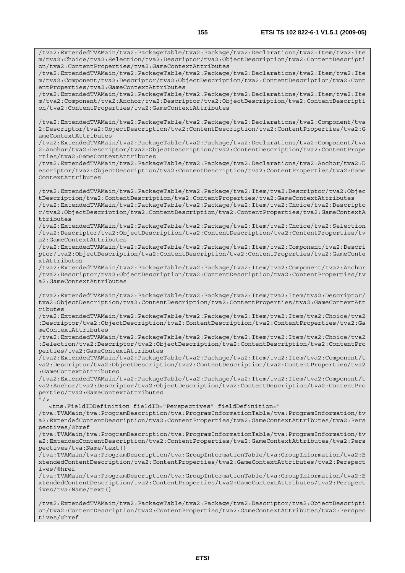/tva2:ExtendedTVAMain/tva2:PackageTable/tva2:Package/tva2:Declarations/tva2:Item/tva2:Ite m/tva2:Choice/tva2:Selection/tva2:Descriptor/tva2:ObjectDescription/tva2:ContentDescripti

/tva2:ExtendedTVAMain/tva2:PackageTable/tva2:Package/tva2:Declarations/tva2:Item/tva2:Ite

on/tva2:ContentProperties/tva2:GameContextAttributes

m/tva2:Component/tva2:Descriptor/tva2:ObjectDescription/tva2:ContentDescription/tva2:Cont entProperties/tva2:GameContextAttributes /tva2:ExtendedTVAMain/tva2:PackageTable/tva2:Package/tva2:Declarations/tva2:Item/tva2:Ite m/tva2:Component/tva2:Anchor/tva2:Descriptor/tva2:ObjectDescription/tva2:ContentDescripti on/tva2:ContentProperties/tva2:GameContextAttributes /tva2:ExtendedTVAMain/tva2:PackageTable/tva2:Package/tva2:Declarations/tva2:Component/tva 2:Descriptor/tva2:ObjectDescription/tva2:ContentDescription/tva2:ContentProperties/tva2:G ameContextAttributes /tva2:ExtendedTVAMain/tva2:PackageTable/tva2:Package/tva2:Declarations/tva2:Component/tva 2:Anchor/tva2:Descriptor/tva2:ObjectDescription/tva2:ContentDescription/tva2:ContentPrope rties/tva2:GameContextAttributes /tva2:ExtendedTVAMain/tva2:PackageTable/tva2:Package/tva2:Declarations/tva2:Anchor/tva2:D escriptor/tva2:ObjectDescription/tva2:ContentDescription/tva2:ContentProperties/tva2:Game ContextAttributes /tva2:ExtendedTVAMain/tva2:PackageTable/tva2:Package/tva2:Item/tva2:Descriptor/tva2:Objec tDescription/tva2:ContentDescription/tva2:ContentProperties/tva2:GameContextAttributes /tva2:ExtendedTVAMain/tva2:PackageTable/tva2:Package/tva2:Item/tva2:Choice/tva2:Descripto r/tva2:ObjectDescription/tva2:ContentDescription/tva2:ContentProperties/tva2:GameContextA ttributes /tva2:ExtendedTVAMain/tva2:PackageTable/tva2:Package/tva2:Item/tva2:Choice/tva2:Selection /tva2:Descriptor/tva2:ObjectDescription/tva2:ContentDescription/tva2:ContentProperties/tv a2:GameContextAttributes /tva2:ExtendedTVAMain/tva2:PackageTable/tva2:Package/tva2:Item/tva2:Component/tva2:Descri ptor/tva2:ObjectDescription/tva2:ContentDescription/tva2:ContentProperties/tva2:GameConte xtAttributes /tva2:ExtendedTVAMain/tva2:PackageTable/tva2:Package/tva2:Item/tva2:Component/tva2:Anchor /tva2:Descriptor/tva2:ObjectDescription/tva2:ContentDescription/tva2:ContentProperties/tv a2:GameContextAttributes /tva2:ExtendedTVAMain/tva2:PackageTable/tva2:Package/tva2:Item/tva2:Item/tva2:Descriptor/ tva2:ObjectDescription/tva2:ContentDescription/tva2:ContentProperties/tva2:GameContextAtt ributes /tva2:ExtendedTVAMain/tva2:PackageTable/tva2:Package/tva2:Item/tva2:Item/tva2:Choice/tva2 :Descriptor/tva2:ObjectDescription/tva2:ContentDescription/tva2:ContentProperties/tva2:Ga meContextAttributes /tva2:ExtendedTVAMain/tva2:PackageTable/tva2:Package/tva2:Item/tva2:Item/tva2:Choice/tva2 :Selection/tva2:Descriptor/tva2:ObjectDescription/tva2:ContentDescription/tva2:ContentPro perties/tva2:GameContextAttributes .<br>/tva2:ExtendedTVAMain/tva2:PackageTable/tva2:Package/tva2:Item/tva2:Item/tva2:Component/t va2:Descriptor/tva2:ObjectDescription/tva2:ContentDescription/tva2:ContentProperties/tva2 :GameContextAttributes /tva2:ExtendedTVAMain/tva2:PackageTable/tva2:Package/tva2:Item/tva2:Item/tva2:Component/t va2:Anchor/tva2:Descriptor/tva2:ObjectDescription/tva2:ContentDescription/tva2:ContentPro perties/tva2:GameContextAttributes  $''$  / > <tns:FieldIDDefinition fieldID="Perspectives" fieldDefinition=" /tva:TVAMain/tva:ProgramDescription/tva:ProgramInformationTable/tva:ProgramInformation/tv a2:ExtendedContentDescription/tva2:ContentProperties/tva2:GameContextAttributes/tva2:Pers pectives/@href /tva:TVAMain/tva:ProgramDescription/tva:ProgramInformationTable/tva:ProgramInformation/tv a2:ExtendedContentDescription/tva2:ContentProperties/tva2:GameContextAttributes/tva2:Pers pectives/tva:Name/text() /tva:TVAMain/tva:ProgramDescription/tva:GroupInformationTable/tva:GroupInformation/tva2:E xtendedContentDescription/tva2:ContentProperties/tva2:GameContextAttributes/tva2:Perspect ives/@href /tva:TVAMain/tva:ProgramDescription/tva:GroupInformationTable/tva:GroupInformation/tva2:E xtendedContentDescription/tva2:ContentProperties/tva2:GameContextAttributes/tva2:Perspect ives/tva:Name/text() /tva2:ExtendedTVAMain/tva2:PackageTable/tva2:Package/tva2:Descriptor/tva2:ObjectDescripti on/tva2:ContentDescription/tva2:ContentProperties/tva2:GameContextAttributes/tva2:Perspec tives/@href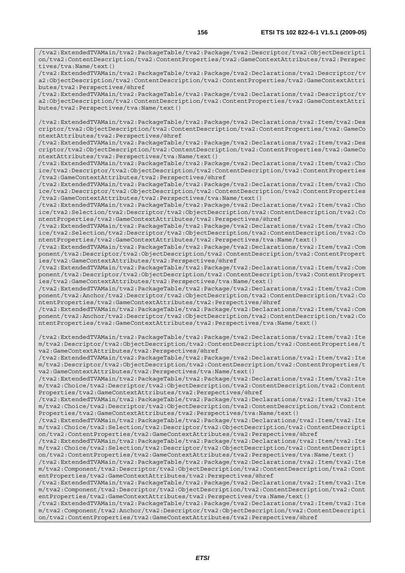/tva2:ExtendedTVAMain/tva2:PackageTable/tva2:Package/tva2:Descriptor/tva2:ObjectDescripti on/tva2:ContentDescription/tva2:ContentProperties/tva2:GameContextAttributes/tva2:Perspec tives/tva:Name/text()

/tva2:ExtendedTVAMain/tva2:PackageTable/tva2:Package/tva2:Declarations/tva2:Descriptor/tv a2:ObjectDescription/tva2:ContentDescription/tva2:ContentProperties/tva2:GameContextAttri butes/tva2:Perspectives/@href

/tva2:ExtendedTVAMain/tva2:PackageTable/tva2:Package/tva2:Declarations/tva2:Descriptor/tv a2:ObjectDescription/tva2:ContentDescription/tva2:ContentProperties/tva2:GameContextAttri butes/tva2:Perspectives/tva:Name/text()

/tva2:ExtendedTVAMain/tva2:PackageTable/tva2:Package/tva2:Declarations/tva2:Item/tva2:Des criptor/tva2:ObjectDescription/tva2:ContentDescription/tva2:ContentProperties/tva2:GameCo ntextAttributes/tva2:Perspectives/@href

/tva2:ExtendedTVAMain/tva2:PackageTable/tva2:Package/tva2:Declarations/tva2:Item/tva2:Des criptor/tva2:ObjectDescription/tva2:ContentDescription/tva2:ContentProperties/tva2:GameCo ntextAttributes/tva2:Perspectives/tva:Name/text()

/tva2:ExtendedTVAMain/tva2:PackageTable/tva2:Package/tva2:Declarations/tva2:Item/tva2:Cho ice/tva2:Descriptor/tva2:ObjectDescription/tva2:ContentDescription/tva2:ContentProperties /tva2:GameContextAttributes/tva2:Perspectives/@href

/tva2:ExtendedTVAMain/tva2:PackageTable/tva2:Package/tva2:Declarations/tva2:Item/tva2:Cho ice/tva2:Descriptor/tva2:ObjectDescription/tva2:ContentDescription/tva2:ContentProperties /tva2:GameContextAttributes/tva2:Perspectives/tva:Name/text()

/tva2:ExtendedTVAMain/tva2:PackageTable/tva2:Package/tva2:Declarations/tva2:Item/tva2:Cho ice/tva2:Selection/tva2:Descriptor/tva2:ObjectDescription/tva2:ContentDescription/tva2:Co ntentProperties/tva2:GameContextAttributes/tva2:Perspectives/@href

/tva2:ExtendedTVAMain/tva2:PackageTable/tva2:Package/tva2:Declarations/tva2:Item/tva2:Cho ice/tva2:Selection/tva2:Descriptor/tva2:ObjectDescription/tva2:ContentDescription/tva2:Co ntentProperties/tva2:GameContextAttributes/tva2:Perspectives/tva:Name/text()

/tva2:ExtendedTVAMain/tva2:PackageTable/tva2:Package/tva2:Declarations/tva2:Item/tva2:Com ponent/tva2:Descriptor/tva2:ObjectDescription/tva2:ContentDescription/tva2:ContentPropert ies/tva2:GameContextAttributes/tva2:Perspectives/@href

/tva2:ExtendedTVAMain/tva2:PackageTable/tva2:Package/tva2:Declarations/tva2:Item/tva2:Com ponent/tva2:Descriptor/tva2:ObjectDescription/tva2:ContentDescription/tva2:ContentPropert ies/tva2:GameContextAttributes/tva2:Perspectives/tva:Name/text()

/tva2:ExtendedTVAMain/tva2:PackageTable/tva2:Package/tva2:Declarations/tva2:Item/tva2:Com ponent/tva2:Anchor/tva2:Descriptor/tva2:ObjectDescription/tva2:ContentDescription/tva2:Co ntentProperties/tva2:GameContextAttributes/tva2:Perspectives/@href

/tva2:ExtendedTVAMain/tva2:PackageTable/tva2:Package/tva2:Declarations/tva2:Item/tva2:Com ponent/tva2:Anchor/tva2:Descriptor/tva2:ObjectDescription/tva2:ContentDescription/tva2:Co ntentProperties/tva2:GameContextAttributes/tva2:Perspectives/tva:Name/text()

/tva2:ExtendedTVAMain/tva2:PackageTable/tva2:Package/tva2:Declarations/tva2:Item/tva2:Ite m/tva2:Descriptor/tva2:ObjectDescription/tva2:ContentDescription/tva2:ContentProperties/t va2:GameContextAttributes/tva2:Perspectives/@href

/tva2:ExtendedTVAMain/tva2:PackageTable/tva2:Package/tva2:Declarations/tva2:Item/tva2:Ite m/tva2:Descriptor/tva2:ObjectDescription/tva2:ContentDescription/tva2:ContentProperties/t va2:GameContextAttributes/tva2:Perspectives/tva:Name/text()

/tva2:ExtendedTVAMain/tva2:PackageTable/tva2:Package/tva2:Declarations/tva2:Item/tva2:Ite m/tva2:Choice/tva2:Descriptor/tva2:ObjectDescription/tva2:ContentDescription/tva2:Content Properties/tva2:GameContextAttributes/tva2:Perspectives/@href

/tva2:ExtendedTVAMain/tva2:PackageTable/tva2:Package/tva2:Declarations/tva2:Item/tva2:Ite m/tva2:Choice/tva2:Descriptor/tva2:ObjectDescription/tva2:ContentDescription/tva2:Content Properties/tva2:GameContextAttributes/tva2:Perspectives/tva:Name/text()

/tva2:ExtendedTVAMain/tva2:PackageTable/tva2:Package/tva2:Declarations/tva2:Item/tva2:Ite m/tva2:Choice/tva2:Selection/tva2:Descriptor/tva2:ObjectDescription/tva2:ContentDescripti on/tva2:ContentProperties/tva2:GameContextAttributes/tva2:Perspectives/@href

/tva2:ExtendedTVAMain/tva2:PackageTable/tva2:Package/tva2:Declarations/tva2:Item/tva2:Ite m/tva2:Choice/tva2:Selection/tva2:Descriptor/tva2:ObjectDescription/tva2:ContentDescripti on/tva2:ContentProperties/tva2:GameContextAttributes/tva2:Perspectives/tva:Name/text()

/tva2:ExtendedTVAMain/tva2:PackageTable/tva2:Package/tva2:Declarations/tva2:Item/tva2:Ite m/tva2:Component/tva2:Descriptor/tva2:ObjectDescription/tva2:ContentDescription/tva2:Cont entProperties/tva2:GameContextAttributes/tva2:Perspectives/@href

/tva2:ExtendedTVAMain/tva2:PackageTable/tva2:Package/tva2:Declarations/tva2:Item/tva2:Ite m/tva2:Component/tva2:Descriptor/tva2:ObjectDescription/tva2:ContentDescription/tva2:Cont entProperties/tva2:GameContextAttributes/tva2:Perspectives/tva:Name/text()

/tva2:ExtendedTVAMain/tva2:PackageTable/tva2:Package/tva2:Declarations/tva2:Item/tva2:Ite m/tva2:Component/tva2:Anchor/tva2:Descriptor/tva2:ObjectDescription/tva2:ContentDescripti on/tva2:ContentProperties/tva2:GameContextAttributes/tva2:Perspectives/@href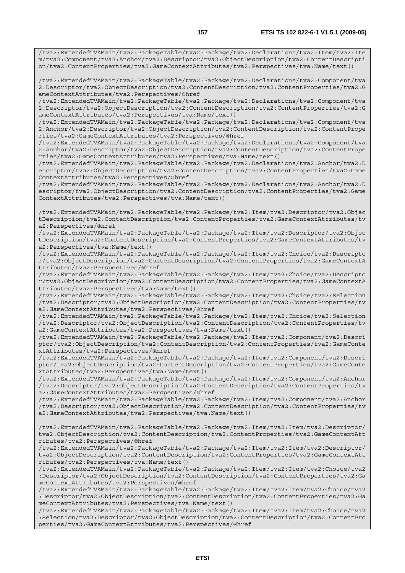/tva2:ExtendedTVAMain/tva2:PackageTable/tva2:Package/tva2:Declarations/tva2:Item/tva2:Ite m/tva2:Component/tva2:Anchor/tva2:Descriptor/tva2:ObjectDescription/tva2:ContentDescripti on/tva2:ContentProperties/tva2:GameContextAttributes/tva2:Perspectives/tva:Name/text()

/tva2:ExtendedTVAMain/tva2:PackageTable/tva2:Package/tva2:Declarations/tva2:Component/tva 2:Descriptor/tva2:ObjectDescription/tva2:ContentDescription/tva2:ContentProperties/tva2:G ameContextAttributes/tva2:Perspectives/@href

/tva2:ExtendedTVAMain/tva2:PackageTable/tva2:Package/tva2:Declarations/tva2:Component/tva 2:Descriptor/tva2:ObjectDescription/tva2:ContentDescription/tva2:ContentProperties/tva2:G ameContextAttributes/tva2:Perspectives/tva:Name/text()

/tva2:ExtendedTVAMain/tva2:PackageTable/tva2:Package/tva2:Declarations/tva2:Component/tva 2:Anchor/tva2:Descriptor/tva2:ObjectDescription/tva2:ContentDescription/tva2:ContentPrope rties/tva2:GameContextAttributes/tva2:Perspectives/@href

/tva2:ExtendedTVAMain/tva2:PackageTable/tva2:Package/tva2:Declarations/tva2:Component/tva 2:Anchor/tva2:Descriptor/tva2:ObjectDescription/tva2:ContentDescription/tva2:ContentPrope rties/tva2:GameContextAttributes/tva2:Perspectives/tva:Name/text()

/tva2:ExtendedTVAMain/tva2:PackageTable/tva2:Package/tva2:Declarations/tva2:Anchor/tva2:D escriptor/tva2:ObjectDescription/tva2:ContentDescription/tva2:ContentProperties/tva2:Game ContextAttributes/tva2:Perspectives/@href

/tva2:ExtendedTVAMain/tva2:PackageTable/tva2:Package/tva2:Declarations/tva2:Anchor/tva2:D escriptor/tva2:ObjectDescription/tva2:ContentDescription/tva2:ContentProperties/tva2:Game ContextAttributes/tva2:Perspectives/tva:Name/text()

/tva2:ExtendedTVAMain/tva2:PackageTable/tva2:Package/tva2:Item/tva2:Descriptor/tva2:Objec tDescription/tva2:ContentDescription/tva2:ContentProperties/tva2:GameContextAttributes/tv a2:Perspectives/@href

/tva2:ExtendedTVAMain/tva2:PackageTable/tva2:Package/tva2:Item/tva2:Descriptor/tva2:Objec tDescription/tva2:ContentDescription/tva2:ContentProperties/tva2:GameContextAttributes/tv a2:Perspectives/tva:Name/text()

/tva2:ExtendedTVAMain/tva2:PackageTable/tva2:Package/tva2:Item/tva2:Choice/tva2:Descripto r/tva2:ObjectDescription/tva2:ContentDescription/tva2:ContentProperties/tva2:GameContextA ttributes/tva2:Perspectives/@href

/tva2:ExtendedTVAMain/tva2:PackageTable/tva2:Package/tva2:Item/tva2:Choice/tva2:Descripto r/tva2:ObjectDescription/tva2:ContentDescription/tva2:ContentProperties/tva2:GameContextA ttributes/tva2:Perspectives/tva:Name/text()

/tva2:ExtendedTVAMain/tva2:PackageTable/tva2:Package/tva2:Item/tva2:Choice/tva2:Selection /tva2:Descriptor/tva2:ObjectDescription/tva2:ContentDescription/tva2:ContentProperties/tv a2:GameContextAttributes/tva2:Perspectives/@href

/tva2:ExtendedTVAMain/tva2:PackageTable/tva2:Package/tva2:Item/tva2:Choice/tva2:Selection /tva2:Descriptor/tva2:ObjectDescription/tva2:ContentDescription/tva2:ContentProperties/tv a2:GameContextAttributes/tva2:Perspectives/tva:Name/text()

/tva2:ExtendedTVAMain/tva2:PackageTable/tva2:Package/tva2:Item/tva2:Component/tva2:Descri ptor/tva2:ObjectDescription/tva2:ContentDescription/tva2:ContentProperties/tva2:GameConte xtAttributes/tva2:Perspectives/@href

/tva2:ExtendedTVAMain/tva2:PackageTable/tva2:Package/tva2:Item/tva2:Component/tva2:Descri ptor/tva2:ObjectDescription/tva2:ContentDescription/tva2:ContentProperties/tva2:GameConte xtAttributes/tva2:Perspectives/tva:Name/text()

/tva2:ExtendedTVAMain/tva2:PackageTable/tva2:Package/tva2:Item/tva2:Component/tva2:Anchor /tva2:Descriptor/tva2:ObjectDescription/tva2:ContentDescription/tva2:ContentProperties/tv a2:GameContextAttributes/tva2:Perspectives/@href

/tva2:ExtendedTVAMain/tva2:PackageTable/tva2:Package/tva2:Item/tva2:Component/tva2:Anchor /tva2:Descriptor/tva2:ObjectDescription/tva2:ContentDescription/tva2:ContentProperties/tv a2:GameContextAttributes/tva2:Perspectives/tva:Name/text()

/tva2:ExtendedTVAMain/tva2:PackageTable/tva2:Package/tva2:Item/tva2:Item/tva2:Descriptor/ tva2:ObjectDescription/tva2:ContentDescription/tva2:ContentProperties/tva2:GameContextAtt ributes/tva2:Perspectives/@href

/tva2:ExtendedTVAMain/tva2:PackageTable/tva2:Package/tva2:Item/tva2:Item/tva2:Descriptor/ tva2:ObjectDescription/tva2:ContentDescription/tva2:ContentProperties/tva2:GameContextAtt ributes/tva2:Perspectives/tva:Name/text()

/tva2:ExtendedTVAMain/tva2:PackageTable/tva2:Package/tva2:Item/tva2:Item/tva2:Choice/tva2 :Descriptor/tva2:ObjectDescription/tva2:ContentDescription/tva2:ContentProperties/tva2:Ga meContextAttributes/tva2:Perspectives/@href

/tva2:ExtendedTVAMain/tva2:PackageTable/tva2:Package/tva2:Item/tva2:Item/tva2:Choice/tva2 :Descriptor/tva2:ObjectDescription/tva2:ContentDescription/tva2:ContentProperties/tva2:Ga meContextAttributes/tva2:Perspectives/tva:Name/text()

/tva2:ExtendedTVAMain/tva2:PackageTable/tva2:Package/tva2:Item/tva2:Item/tva2:Choice/tva2 :Selection/tva2:Descriptor/tva2:ObjectDescription/tva2:ContentDescription/tva2:ContentPro perties/tva2:GameContextAttributes/tva2:Perspectives/@href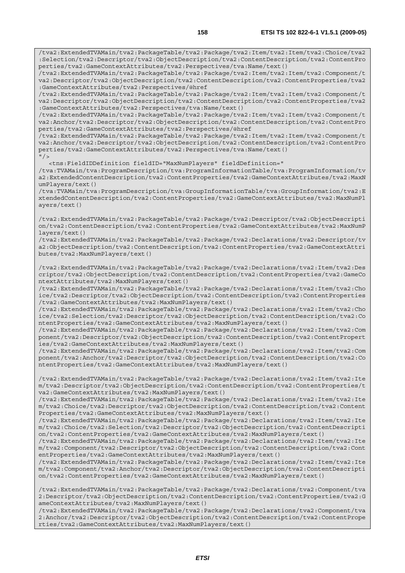/tva2:ExtendedTVAMain/tva2:PackageTable/tva2:Package/tva2:Item/tva2:Item/tva2:Choice/tva2 :Selection/tva2:Descriptor/tva2:ObjectDescription/tva2:ContentDescription/tva2:ContentPro perties/tva2:GameContextAttributes/tva2:Perspectives/tva:Name/text()

/tva2:ExtendedTVAMain/tva2:PackageTable/tva2:Package/tva2:Item/tva2:Item/tva2:Component/t va2:Descriptor/tva2:ObjectDescription/tva2:ContentDescription/tva2:ContentProperties/tva2 :GameContextAttributes/tva2:Perspectives/@href

/tva2:ExtendedTVAMain/tva2:PackageTable/tva2:Package/tva2:Item/tva2:Item/tva2:Component/t va2:Descriptor/tva2:ObjectDescription/tva2:ContentDescription/tva2:ContentProperties/tva2 :GameContextAttributes/tva2:Perspectives/tva:Name/text()

/tva2:ExtendedTVAMain/tva2:PackageTable/tva2:Package/tva2:Item/tva2:Item/tva2:Component/t va2:Anchor/tva2:Descriptor/tva2:ObjectDescription/tva2:ContentDescription/tva2:ContentPro perties/tva2:GameContextAttributes/tva2:Perspectives/@href

/tva2:ExtendedTVAMain/tva2:PackageTable/tva2:Package/tva2:Item/tva2:Item/tva2:Component/t va2:Anchor/tva2:Descriptor/tva2:ObjectDescription/tva2:ContentDescription/tva2:ContentPro perties/tva2:GameContextAttributes/tva2:Perspectives/tva:Name/text()  $"$  />

<tns:FieldIDDefinition fieldID="MaxNumPlayers" fieldDefinition="

/tva:TVAMain/tva:ProgramDescription/tva:ProgramInformationTable/tva:ProgramInformation/tv a2:ExtendedContentDescription/tva2:ContentProperties/tva2:GameContextAttributes/tva2:MaxN umPlayers/text()

/tva:TVAMain/tva:ProgramDescription/tva:GroupInformationTable/tva:GroupInformation/tva2:E xtendedContentDescription/tva2:ContentProperties/tva2:GameContextAttributes/tva2:MaxNumPl ayers/text()

/tva2:ExtendedTVAMain/tva2:PackageTable/tva2:Package/tva2:Descriptor/tva2:ObjectDescripti on/tva2:ContentDescription/tva2:ContentProperties/tva2:GameContextAttributes/tva2:MaxNumP layers/text()

/tva2:ExtendedTVAMain/tva2:PackageTable/tva2:Package/tva2:Declarations/tva2:Descriptor/tv a2:ObjectDescription/tva2:ContentDescription/tva2:ContentProperties/tva2:GameContextAttri butes/tva2:MaxNumPlayers/text()

/tva2:ExtendedTVAMain/tva2:PackageTable/tva2:Package/tva2:Declarations/tva2:Item/tva2:Des criptor/tva2:ObjectDescription/tva2:ContentDescription/tva2:ContentProperties/tva2:GameCo ntextAttributes/tva2:MaxNumPlayers/text()

/tva2:ExtendedTVAMain/tva2:PackageTable/tva2:Package/tva2:Declarations/tva2:Item/tva2:Cho ice/tva2:Descriptor/tva2:ObjectDescription/tva2:ContentDescription/tva2:ContentProperties /tva2:GameContextAttributes/tva2:MaxNumPlayers/text()

/tva2:ExtendedTVAMain/tva2:PackageTable/tva2:Package/tva2:Declarations/tva2:Item/tva2:Cho ice/tva2:Selection/tva2:Descriptor/tva2:ObjectDescription/tva2:ContentDescription/tva2:Co ntentProperties/tva2:GameContextAttributes/tva2:MaxNumPlayers/text()

/tva2:ExtendedTVAMain/tva2:PackageTable/tva2:Package/tva2:Declarations/tva2:Item/tva2:Com ponent/tva2:Descriptor/tva2:ObjectDescription/tva2:ContentDescription/tva2:ContentPropert ies/tva2:GameContextAttributes/tva2:MaxNumPlayers/text()

/tva2:ExtendedTVAMain/tva2:PackageTable/tva2:Package/tva2:Declarations/tva2:Item/tva2:Com ponent/tva2:Anchor/tva2:Descriptor/tva2:ObjectDescription/tva2:ContentDescription/tva2:Co ntentProperties/tva2:GameContextAttributes/tva2:MaxNumPlayers/text()

/tva2:ExtendedTVAMain/tva2:PackageTable/tva2:Package/tva2:Declarations/tva2:Item/tva2:Ite m/tva2:Descriptor/tva2:ObjectDescription/tva2:ContentDescription/tva2:ContentProperties/t va2:GameContextAttributes/tva2:MaxNumPlayers/text()

/tva2:ExtendedTVAMain/tva2:PackageTable/tva2:Package/tva2:Declarations/tva2:Item/tva2:Ite m/tva2:Choice/tva2:Descriptor/tva2:ObjectDescription/tva2:ContentDescription/tva2:Content Properties/tva2:GameContextAttributes/tva2:MaxNumPlayers/text()

/tva2:ExtendedTVAMain/tva2:PackageTable/tva2:Package/tva2:Declarations/tva2:Item/tva2:Ite m/tva2:Choice/tva2:Selection/tva2:Descriptor/tva2:ObjectDescription/tva2:ContentDescripti on/tva2:ContentProperties/tva2:GameContextAttributes/tva2:MaxNumPlayers/text()

/tva2:ExtendedTVAMain/tva2:PackageTable/tva2:Package/tva2:Declarations/tva2:Item/tva2:Ite m/tva2:Component/tva2:Descriptor/tva2:ObjectDescription/tva2:ContentDescription/tva2:Cont entProperties/tva2:GameContextAttributes/tva2:MaxNumPlayers/text()

/tva2:ExtendedTVAMain/tva2:PackageTable/tva2:Package/tva2:Declarations/tva2:Item/tva2:Ite m/tva2:Component/tva2:Anchor/tva2:Descriptor/tva2:ObjectDescription/tva2:ContentDescripti on/tva2:ContentProperties/tva2:GameContextAttributes/tva2:MaxNumPlayers/text()

/tva2:ExtendedTVAMain/tva2:PackageTable/tva2:Package/tva2:Declarations/tva2:Component/tva 2:Descriptor/tva2:ObjectDescription/tva2:ContentDescription/tva2:ContentProperties/tva2:G ameContextAttributes/tva2:MaxNumPlayers/text()

/tva2:ExtendedTVAMain/tva2:PackageTable/tva2:Package/tva2:Declarations/tva2:Component/tva 2:Anchor/tva2:Descriptor/tva2:ObjectDescription/tva2:ContentDescription/tva2:ContentPrope rties/tva2:GameContextAttributes/tva2:MaxNumPlayers/text()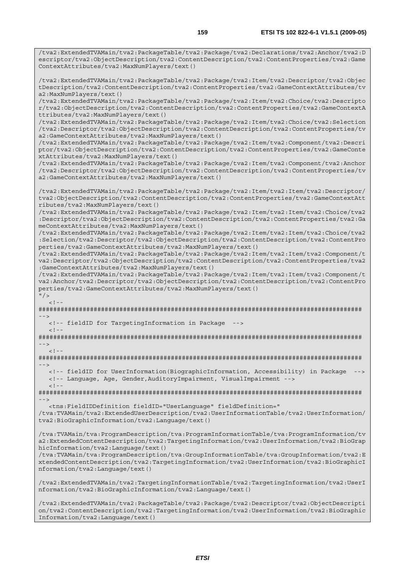/tva2:ExtendedTVAMain/tva2:PackageTable/tva2:Package/tva2:Declarations/tva2:Anchor/tva2:D escriptor/tva2:ObjectDescription/tva2:ContentDescription/tva2:ContentProperties/tva2:Game

/tva2:ExtendedTVAMain/tva2:PackageTable/tva2:Package/tva2:Item/tva2:Descriptor/tva2:Objec tDescription/tva2:ContentDescription/tva2:ContentProperties/tva2:GameContextAttributes/tv

ContextAttributes/tva2:MaxNumPlayers/text()

a2:MaxNumPlayers/text()

/tva2:ExtendedTVAMain/tva2:PackageTable/tva2:Package/tva2:Item/tva2:Choice/tva2:Descripto r/tva2:ObjectDescription/tva2:ContentDescription/tva2:ContentProperties/tva2:GameContextA ttributes/tva2:MaxNumPlayers/text() /tva2:ExtendedTVAMain/tva2:PackageTable/tva2:Package/tva2:Item/tva2:Choice/tva2:Selection /tva2:Descriptor/tva2:ObjectDescription/tva2:ContentDescription/tva2:ContentProperties/tv a2:GameContextAttributes/tva2:MaxNumPlayers/text() /tva2:ExtendedTVAMain/tva2:PackageTable/tva2:Package/tva2:Item/tva2:Component/tva2:Descri ptor/tva2:ObjectDescription/tva2:ContentDescription/tva2:ContentProperties/tva2:GameConte xtAttributes/tva2:MaxNumPlayers/text() /tva2:ExtendedTVAMain/tva2:PackageTable/tva2:Package/tva2:Item/tva2:Component/tva2:Anchor /tva2:Descriptor/tva2:ObjectDescription/tva2:ContentDescription/tva2:ContentProperties/tv a2:GameContextAttributes/tva2:MaxNumPlayers/text() /tva2:ExtendedTVAMain/tva2:PackageTable/tva2:Package/tva2:Item/tva2:Item/tva2:Descriptor/ tva2:ObjectDescription/tva2:ContentDescription/tva2:ContentProperties/tva2:GameContextAtt ributes/tva2:MaxNumPlayers/text() /tva2:ExtendedTVAMain/tva2:PackageTable/tva2:Package/tva2:Item/tva2:Item/tva2:Choice/tva2 :Descriptor/tva2:ObjectDescription/tva2:ContentDescription/tva2:ContentProperties/tva2:Ga meContextAttributes/tva2:MaxNumPlayers/text() /tva2:ExtendedTVAMain/tva2:PackageTable/tva2:Package/tva2:Item/tva2:Item/tva2:Choice/tva2 :Selection/tva2:Descriptor/tva2:ObjectDescription/tva2:ContentDescription/tva2:ContentPro perties/tva2:GameContextAttributes/tva2:MaxNumPlayers/text() /tva2:ExtendedTVAMain/tva2:PackageTable/tva2:Package/tva2:Item/tva2:Item/tva2:Component/t va2:Descriptor/tva2:ObjectDescription/tva2:ContentDescription/tva2:ContentProperties/tva2 :GameContextAttributes/tva2:MaxNumPlayers/text() /tva2:ExtendedTVAMain/tva2:PackageTable/tva2:Package/tva2:Item/tva2:Item/tva2:Component/t va2:Anchor/tva2:Descriptor/tva2:ObjectDescription/tva2:ContentDescription/tva2:ContentPro perties/tva2:GameContextAttributes/tva2:MaxNumPlayers/text()  $"$  / >  $\lt$  ! -######################################################################################## --> <!-- fieldID for TargetingInformation in Package -->  $<$ ! - -######################################################################################## -->  $\geq 1$  =  $-$ ######################################################################################## --> <!-- fieldID for UserInformation(BiographicInformation, Accessibility) in Package --> <!-- Language, Age, Gender,AuditoryImpairment, VisualImpairment -->  $<$ ! --######################################################################################## --> <tns:FieldIDDefinition fieldID="UserLanguage" fieldDefinition=" /tva:TVAMain/tva2:ExtendedUserDescription/tva2:UserInformationTable/tva2:UserInformation/ tva2:BioGraphicInformation/tva2:Language/text() /tva:TVAMain/tva:ProgramDescription/tva:ProgramInformationTable/tva:ProgramInformation/tv a2:ExtendedContentDescription/tva2:TargetingInformation/tva2:UserInformation/tva2:BioGrap hicInformation/tva2:Language/text() /tva:TVAMain/tva:ProgramDescription/tva:GroupInformationTable/tva:GroupInformation/tva2:E xtendedContentDescription/tva2:TargetingInformation/tva2:UserInformation/tva2:BioGraphicI nformation/tva2:Language/text() /tva2:ExtendedTVAMain/tva2:TargetingInformationTable/tva2:TargetingInformation/tva2:UserI nformation/tva2:BioGraphicInformation/tva2:Language/text()

/tva2:ExtendedTVAMain/tva2:PackageTable/tva2:Package/tva2:Descriptor/tva2:ObjectDescripti on/tva2:ContentDescription/tva2:TargetingInformation/tva2:UserInformation/tva2:BioGraphic Information/tva2:Language/text()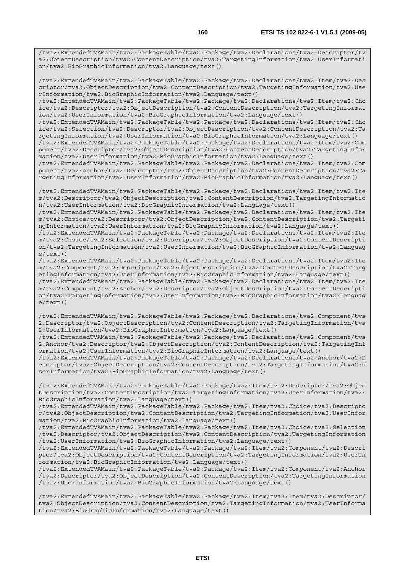/tva2:ExtendedTVAMain/tva2:PackageTable/tva2:Package/tva2:Declarations/tva2:Descriptor/tv a2:ObjectDescription/tva2:ContentDescription/tva2:TargetingInformation/tva2:UserInformati on/tva2:BioGraphicInformation/tva2:Language/text()

/tva2:ExtendedTVAMain/tva2:PackageTable/tva2:Package/tva2:Declarations/tva2:Item/tva2:Des criptor/tva2:ObjectDescription/tva2:ContentDescription/tva2:TargetingInformation/tva2:Use rInformation/tva2:BioGraphicInformation/tva2:Language/text()

/tva2:ExtendedTVAMain/tva2:PackageTable/tva2:Package/tva2:Declarations/tva2:Item/tva2:Cho ice/tva2:Descriptor/tva2:ObjectDescription/tva2:ContentDescription/tva2:TargetingInformat ion/tva2:UserInformation/tva2:BioGraphicInformation/tva2:Language/text()

/tva2:ExtendedTVAMain/tva2:PackageTable/tva2:Package/tva2:Declarations/tva2:Item/tva2:Cho ice/tva2:Selection/tva2:Descriptor/tva2:ObjectDescription/tva2:ContentDescription/tva2:Ta rgetingInformation/tva2:UserInformation/tva2:BioGraphicInformation/tva2:Language/text()

/tva2:ExtendedTVAMain/tva2:PackageTable/tva2:Package/tva2:Declarations/tva2:Item/tva2:Com ponent/tva2:Descriptor/tva2:ObjectDescription/tva2:ContentDescription/tva2:TargetingInfor mation/tva2:UserInformation/tva2:BioGraphicInformation/tva2:Language/text()

/tva2:ExtendedTVAMain/tva2:PackageTable/tva2:Package/tva2:Declarations/tva2:Item/tva2:Com ponent/tva2:Anchor/tva2:Descriptor/tva2:ObjectDescription/tva2:ContentDescription/tva2:Ta rgetingInformation/tva2:UserInformation/tva2:BioGraphicInformation/tva2:Language/text()

/tva2:ExtendedTVAMain/tva2:PackageTable/tva2:Package/tva2:Declarations/tva2:Item/tva2:Ite m/tva2:Descriptor/tva2:ObjectDescription/tva2:ContentDescription/tva2:TargetingInformatio n/tva2:UserInformation/tva2:BioGraphicInformation/tva2:Language/text()

/tva2:ExtendedTVAMain/tva2:PackageTable/tva2:Package/tva2:Declarations/tva2:Item/tva2:Ite m/tva2:Choice/tva2:Descriptor/tva2:ObjectDescription/tva2:ContentDescription/tva2:Targeti ngInformation/tva2:UserInformation/tva2:BioGraphicInformation/tva2:Language/text()

/tva2:ExtendedTVAMain/tva2:PackageTable/tva2:Package/tva2:Declarations/tva2:Item/tva2:Ite m/tva2:Choice/tva2:Selection/tva2:Descriptor/tva2:ObjectDescription/tva2:ContentDescripti on/tva2:TargetingInformation/tva2:UserInformation/tva2:BioGraphicInformation/tva2:Languag  $e$ /text $()$ 

/tva2:ExtendedTVAMain/tva2:PackageTable/tva2:Package/tva2:Declarations/tva2:Item/tva2:Ite m/tva2:Component/tva2:Descriptor/tva2:ObjectDescription/tva2:ContentDescription/tva2:Targ etingInformation/tva2:UserInformation/tva2:BioGraphicInformation/tva2:Language/text() /tva2:ExtendedTVAMain/tva2:PackageTable/tva2:Package/tva2:Declarations/tva2:Item/tva2:Ite m/tva2:Component/tva2:Anchor/tva2:Descriptor/tva2:ObjectDescription/tva2:ContentDescripti

on/tva2:TargetingInformation/tva2:UserInformation/tva2:BioGraphicInformation/tva2:Languag e/text()

/tva2:ExtendedTVAMain/tva2:PackageTable/tva2:Package/tva2:Declarations/tva2:Component/tva 2:Descriptor/tva2:ObjectDescription/tva2:ContentDescription/tva2:TargetingInformation/tva 2:UserInformation/tva2:BioGraphicInformation/tva2:Language/text()

/tva2:ExtendedTVAMain/tva2:PackageTable/tva2:Package/tva2:Declarations/tva2:Component/tva 2:Anchor/tva2:Descriptor/tva2:ObjectDescription/tva2:ContentDescription/tva2:TargetingInf ormation/tva2:UserInformation/tva2:BioGraphicInformation/tva2:Language/text()

/tva2:ExtendedTVAMain/tva2:PackageTable/tva2:Package/tva2:Declarations/tva2:Anchor/tva2:D escriptor/tva2:ObjectDescription/tva2:ContentDescription/tva2:TargetingInformation/tva2:U serInformation/tva2:BioGraphicInformation/tva2:Language/text()

/tva2:ExtendedTVAMain/tva2:PackageTable/tva2:Package/tva2:Item/tva2:Descriptor/tva2:Objec tDescription/tva2:ContentDescription/tva2:TargetingInformation/tva2:UserInformation/tva2: BioGraphicInformation/tva2:Language/text()

/tva2:ExtendedTVAMain/tva2:PackageTable/tva2:Package/tva2:Item/tva2:Choice/tva2:Descripto r/tva2:ObjectDescription/tva2:ContentDescription/tva2:TargetingInformation/tva2:UserInfor mation/tva2:BioGraphicInformation/tva2:Language/text()

/tva2:ExtendedTVAMain/tva2:PackageTable/tva2:Package/tva2:Item/tva2:Choice/tva2:Selection /tva2:Descriptor/tva2:ObjectDescription/tva2:ContentDescription/tva2:TargetingInformation /tva2:UserInformation/tva2:BioGraphicInformation/tva2:Language/text()

/tva2:ExtendedTVAMain/tva2:PackageTable/tva2:Package/tva2:Item/tva2:Component/tva2:Descri ptor/tva2:ObjectDescription/tva2:ContentDescription/tva2:TargetingInformation/tva2:UserIn formation/tva2:BioGraphicInformation/tva2:Language/text()

/tva2:ExtendedTVAMain/tva2:PackageTable/tva2:Package/tva2:Item/tva2:Component/tva2:Anchor /tva2:Descriptor/tva2:ObjectDescription/tva2:ContentDescription/tva2:TargetingInformation /tva2:UserInformation/tva2:BioGraphicInformation/tva2:Language/text()

/tva2:ExtendedTVAMain/tva2:PackageTable/tva2:Package/tva2:Item/tva2:Item/tva2:Descriptor/ tva2:ObjectDescription/tva2:ContentDescription/tva2:TargetingInformation/tva2:UserInforma tion/tva2:BioGraphicInformation/tva2:Language/text()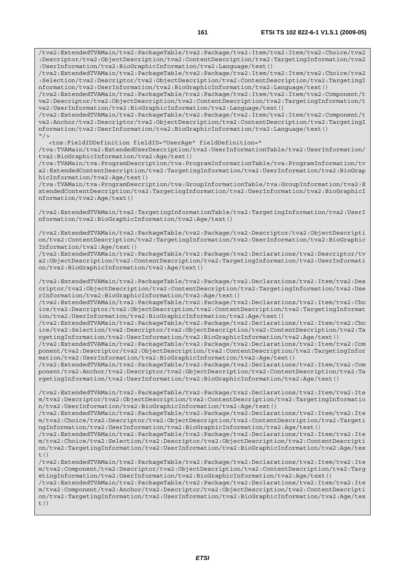/tva2:ExtendedTVAMain/tva2:PackageTable/tva2:Package/tva2:Item/tva2:Item/tva2:Choice/tva2 :Descriptor/tva2:ObjectDescription/tva2:ContentDescription/tva2:TargetingInformation/tva2 :UserInformation/tva2:BioGraphicInformation/tva2:Language/text()

/tva2:ExtendedTVAMain/tva2:PackageTable/tva2:Package/tva2:Item/tva2:Item/tva2:Choice/tva2 :Selection/tva2:Descriptor/tva2:ObjectDescription/tva2:ContentDescription/tva2:TargetingI nformation/tva2:UserInformation/tva2:BioGraphicInformation/tva2:Language/text()

/tva2:ExtendedTVAMain/tva2:PackageTable/tva2:Package/tva2:Item/tva2:Item/tva2:Component/t va2:Descriptor/tva2:ObjectDescription/tva2:ContentDescription/tva2:TargetingInformation/t va2:UserInformation/tva2:BioGraphicInformation/tva2:Language/text()

/tva2:ExtendedTVAMain/tva2:PackageTable/tva2:Package/tva2:Item/tva2:Item/tva2:Component/t va2:Anchor/tva2:Descriptor/tva2:ObjectDescription/tva2:ContentDescription/tva2:TargetingI nformation/tva2:UserInformation/tva2:BioGraphicInformation/tva2:Language/text()  $"$  / >

<tns:FieldIDDefinition fieldID="UserAge" fieldDefinition="

/tva:TVAMain/tva2:ExtendedUserDescription/tva2:UserInformationTable/tva2:UserInformation/ tva2:BioGraphicInformation/tva2:Age/text()

/tva:TVAMain/tva:ProgramDescription/tva:ProgramInformationTable/tva:ProgramInformation/tv a2:ExtendedContentDescription/tva2:TargetingInformation/tva2:UserInformation/tva2:BioGrap hicInformation/tva2:Age/text()

/tva:TVAMain/tva:ProgramDescription/tva:GroupInformationTable/tva:GroupInformation/tva2:E xtendedContentDescription/tva2:TargetingInformation/tva2:UserInformation/tva2:BioGraphicI nformation/tva2:Age/text()

/tva2:ExtendedTVAMain/tva2:TargetingInformationTable/tva2:TargetingInformation/tva2:UserI nformation/tva2:BioGraphicInformation/tva2:Age/text()

/tva2:ExtendedTVAMain/tva2:PackageTable/tva2:Package/tva2:Descriptor/tva2:ObjectDescripti on/tva2:ContentDescription/tva2:TargetingInformation/tva2:UserInformation/tva2:BioGraphic Information/tva2:Age/text()

/tva2:ExtendedTVAMain/tva2:PackageTable/tva2:Package/tva2:Declarations/tva2:Descriptor/tv a2:ObjectDescription/tva2:ContentDescription/tva2:TargetingInformation/tva2:UserInformati on/tva2:BioGraphicInformation/tva2:Age/text()

/tva2:ExtendedTVAMain/tva2:PackageTable/tva2:Package/tva2:Declarations/tva2:Item/tva2:Des criptor/tva2:ObjectDescription/tva2:ContentDescription/tva2:TargetingInformation/tva2:Use rInformation/tva2:BioGraphicInformation/tva2:Age/text()

/tva2:ExtendedTVAMain/tva2:PackageTable/tva2:Package/tva2:Declarations/tva2:Item/tva2:Cho ice/tva2:Descriptor/tva2:ObjectDescription/tva2:ContentDescription/tva2:TargetingInformat ion/tva2:UserInformation/tva2:BioGraphicInformation/tva2:Age/text()

/tva2:ExtendedTVAMain/tva2:PackageTable/tva2:Package/tva2:Declarations/tva2:Item/tva2:Cho ice/tva2:Selection/tva2:Descriptor/tva2:ObjectDescription/tva2:ContentDescription/tva2:Ta rgetingInformation/tva2:UserInformation/tva2:BioGraphicInformation/tva2:Age/text()

/tva2:ExtendedTVAMain/tva2:PackageTable/tva2:Package/tva2:Declarations/tva2:Item/tva2:Com ponent/tva2:Descriptor/tva2:ObjectDescription/tva2:ContentDescription/tva2:TargetingInfor mation/tva2:UserInformation/tva2:BioGraphicInformation/tva2:Age/text()

/tva2:ExtendedTVAMain/tva2:PackageTable/tva2:Package/tva2:Declarations/tva2:Item/tva2:Com ponent/tva2:Anchor/tva2:Descriptor/tva2:ObjectDescription/tva2:ContentDescription/tva2:Ta rgetingInformation/tva2:UserInformation/tva2:BioGraphicInformation/tva2:Age/text()

/tva2:ExtendedTVAMain/tva2:PackageTable/tva2:Package/tva2:Declarations/tva2:Item/tva2:Ite m/tva2:Descriptor/tva2:ObjectDescription/tva2:ContentDescription/tva2:TargetingInformatio n/tva2:UserInformation/tva2:BioGraphicInformation/tva2:Age/text()

/tva2:ExtendedTVAMain/tva2:PackageTable/tva2:Package/tva2:Declarations/tva2:Item/tva2:Ite m/tva2:Choice/tva2:Descriptor/tva2:ObjectDescription/tva2:ContentDescription/tva2:Targeti ngInformation/tva2:UserInformation/tva2:BioGraphicInformation/tva2:Age/text()

/tva2:ExtendedTVAMain/tva2:PackageTable/tva2:Package/tva2:Declarations/tva2:Item/tva2:Ite m/tva2:Choice/tva2:Selection/tva2:Descriptor/tva2:ObjectDescription/tva2:ContentDescripti on/tva2:TargetingInformation/tva2:UserInformation/tva2:BioGraphicInformation/tva2:Age/tex  $t($ )

/tva2:ExtendedTVAMain/tva2:PackageTable/tva2:Package/tva2:Declarations/tva2:Item/tva2:Ite m/tva2:Component/tva2:Descriptor/tva2:ObjectDescription/tva2:ContentDescription/tva2:Targ etingInformation/tva2:UserInformation/tva2:BioGraphicInformation/tva2:Age/text()

/tva2:ExtendedTVAMain/tva2:PackageTable/tva2:Package/tva2:Declarations/tva2:Item/tva2:Ite m/tva2:Component/tva2:Anchor/tva2:Descriptor/tva2:ObjectDescription/tva2:ContentDescripti on/tva2:TargetingInformation/tva2:UserInformation/tva2:BioGraphicInformation/tva2:Age/tex  $t($ )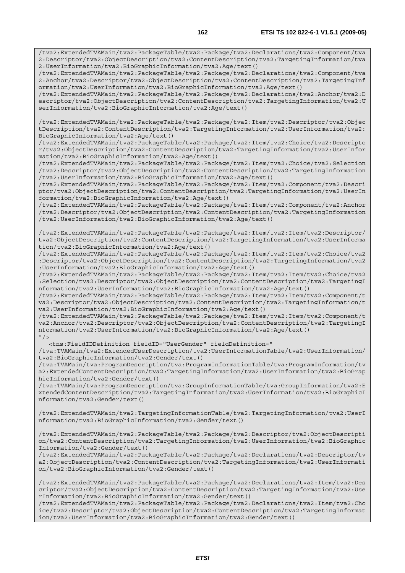/tva2:ExtendedTVAMain/tva2:PackageTable/tva2:Package/tva2:Declarations/tva2:Component/tva 2:Descriptor/tva2:ObjectDescription/tva2:ContentDescription/tva2:TargetingInformation/tva 2:UserInformation/tva2:BioGraphicInformation/tva2:Age/text()

/tva2:ExtendedTVAMain/tva2:PackageTable/tva2:Package/tva2:Declarations/tva2:Component/tva 2:Anchor/tva2:Descriptor/tva2:ObjectDescription/tva2:ContentDescription/tva2:TargetingInf ormation/tva2:UserInformation/tva2:BioGraphicInformation/tva2:Age/text()

/tva2:ExtendedTVAMain/tva2:PackageTable/tva2:Package/tva2:Declarations/tva2:Anchor/tva2:D escriptor/tva2:ObjectDescription/tva2:ContentDescription/tva2:TargetingInformation/tva2:U serInformation/tva2:BioGraphicInformation/tva2:Age/text()

/tva2:ExtendedTVAMain/tva2:PackageTable/tva2:Package/tva2:Item/tva2:Descriptor/tva2:Objec tDescription/tva2:ContentDescription/tva2:TargetingInformation/tva2:UserInformation/tva2: BioGraphicInformation/tva2:Age/text()

/tva2:ExtendedTVAMain/tva2:PackageTable/tva2:Package/tva2:Item/tva2:Choice/tva2:Descripto r/tva2:ObjectDescription/tva2:ContentDescription/tva2:TargetingInformation/tva2:UserInfor mation/tva2:BioGraphicInformation/tva2:Age/text()

/tva2:ExtendedTVAMain/tva2:PackageTable/tva2:Package/tva2:Item/tva2:Choice/tva2:Selection /tva2:Descriptor/tva2:ObjectDescription/tva2:ContentDescription/tva2:TargetingInformation /tva2:UserInformation/tva2:BioGraphicInformation/tva2:Age/text()

/tva2:ExtendedTVAMain/tva2:PackageTable/tva2:Package/tva2:Item/tva2:Component/tva2:Descri ptor/tva2:ObjectDescription/tva2:ContentDescription/tva2:TargetingInformation/tva2:UserIn formation/tva2:BioGraphicInformation/tva2:Age/text()

/tva2:ExtendedTVAMain/tva2:PackageTable/tva2:Package/tva2:Item/tva2:Component/tva2:Anchor /tva2:Descriptor/tva2:ObjectDescription/tva2:ContentDescription/tva2:TargetingInformation /tva2:UserInformation/tva2:BioGraphicInformation/tva2:Age/text()

/tva2:ExtendedTVAMain/tva2:PackageTable/tva2:Package/tva2:Item/tva2:Item/tva2:Descriptor/ tva2:ObjectDescription/tva2:ContentDescription/tva2:TargetingInformation/tva2:UserInforma tion/tva2:BioGraphicInformation/tva2:Age/text()

/tva2:ExtendedTVAMain/tva2:PackageTable/tva2:Package/tva2:Item/tva2:Item/tva2:Choice/tva2 :Descriptor/tva2:ObjectDescription/tva2:ContentDescription/tva2:TargetingInformation/tva2 :UserInformation/tva2:BioGraphicInformation/tva2:Age/text()

/tva2:ExtendedTVAMain/tva2:PackageTable/tva2:Package/tva2:Item/tva2:Item/tva2:Choice/tva2 :Selection/tva2:Descriptor/tva2:ObjectDescription/tva2:ContentDescription/tva2:TargetingI nformation/tva2:UserInformation/tva2:BioGraphicInformation/tva2:Age/text()

/tva2:ExtendedTVAMain/tva2:PackageTable/tva2:Package/tva2:Item/tva2:Item/tva2:Component/t va2:Descriptor/tva2:ObjectDescription/tva2:ContentDescription/tva2:TargetingInformation/t va2:UserInformation/tva2:BioGraphicInformation/tva2:Age/text()

/tva2:ExtendedTVAMain/tva2:PackageTable/tva2:Package/tva2:Item/tva2:Item/tva2:Component/t va2:Anchor/tva2:Descriptor/tva2:ObjectDescription/tva2:ContentDescription/tva2:TargetingI nformation/tva2:UserInformation/tva2:BioGraphicInformation/tva2:Age/text()  $''$  / >

<tns:FieldIDDefinition fieldID="UserGender" fieldDefinition="

/tva:TVAMain/tva2:ExtendedUserDescription/tva2:UserInformationTable/tva2:UserInformation/ tva2:BioGraphicInformation/tva2:Gender/text()

/tva:TVAMain/tva:ProgramDescription/tva:ProgramInformationTable/tva:ProgramInformation/tv a2:ExtendedContentDescription/tva2:TargetingInformation/tva2:UserInformation/tva2:BioGrap hicInformation/tva2:Gender/text()

/tva:TVAMain/tva:ProgramDescription/tva:GroupInformationTable/tva:GroupInformation/tva2:E xtendedContentDescription/tva2:TargetingInformation/tva2:UserInformation/tva2:BioGraphicI nformation/tva2:Gender/text()

/tva2:ExtendedTVAMain/tva2:TargetingInformationTable/tva2:TargetingInformation/tva2:UserI nformation/tva2:BioGraphicInformation/tva2:Gender/text()

/tva2:ExtendedTVAMain/tva2:PackageTable/tva2:Package/tva2:Descriptor/tva2:ObjectDescripti on/tva2:ContentDescription/tva2:TargetingInformation/tva2:UserInformation/tva2:BioGraphic Information/tva2:Gender/text()

/tva2:ExtendedTVAMain/tva2:PackageTable/tva2:Package/tva2:Declarations/tva2:Descriptor/tv a2:ObjectDescription/tva2:ContentDescription/tva2:TargetingInformation/tva2:UserInformati on/tva2:BioGraphicInformation/tva2:Gender/text()

/tva2:ExtendedTVAMain/tva2:PackageTable/tva2:Package/tva2:Declarations/tva2:Item/tva2:Des criptor/tva2:ObjectDescription/tva2:ContentDescription/tva2:TargetingInformation/tva2:Use rInformation/tva2:BioGraphicInformation/tva2:Gender/text()

/tva2:ExtendedTVAMain/tva2:PackageTable/tva2:Package/tva2:Declarations/tva2:Item/tva2:Cho ice/tva2:Descriptor/tva2:ObjectDescription/tva2:ContentDescription/tva2:TargetingInformat ion/tva2:UserInformation/tva2:BioGraphicInformation/tva2:Gender/text()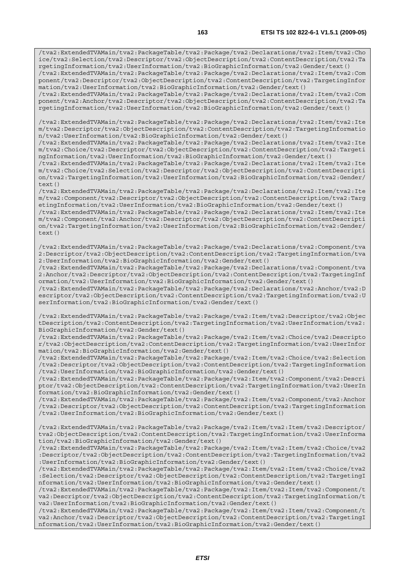/tva2:ExtendedTVAMain/tva2:PackageTable/tva2:Package/tva2:Declarations/tva2:Item/tva2:Cho ice/tva2:Selection/tva2:Descriptor/tva2:ObjectDescription/tva2:ContentDescription/tva2:Ta rgetingInformation/tva2:UserInformation/tva2:BioGraphicInformation/tva2:Gender/text() /tva2:ExtendedTVAMain/tva2:PackageTable/tva2:Package/tva2:Declarations/tva2:Item/tva2:Com ponent/tva2:Descriptor/tva2:ObjectDescription/tva2:ContentDescription/tva2:TargetingInfor mation/tva2:UserInformation/tva2:BioGraphicInformation/tva2:Gender/text() /tva2:ExtendedTVAMain/tva2:PackageTable/tva2:Package/tva2:Declarations/tva2:Item/tva2:Com ponent/tva2:Anchor/tva2:Descriptor/tva2:ObjectDescription/tva2:ContentDescription/tva2:Ta rgetingInformation/tva2:UserInformation/tva2:BioGraphicInformation/tva2:Gender/text()

/tva2:ExtendedTVAMain/tva2:PackageTable/tva2:Package/tva2:Declarations/tva2:Item/tva2:Ite m/tva2:Descriptor/tva2:ObjectDescription/tva2:ContentDescription/tva2:TargetingInformatio n/tva2:UserInformation/tva2:BioGraphicInformation/tva2:Gender/text()

/tva2:ExtendedTVAMain/tva2:PackageTable/tva2:Package/tva2:Declarations/tva2:Item/tva2:Ite m/tva2:Choice/tva2:Descriptor/tva2:ObjectDescription/tva2:ContentDescription/tva2:Targeti ngInformation/tva2:UserInformation/tva2:BioGraphicInformation/tva2:Gender/text()

/tva2:ExtendedTVAMain/tva2:PackageTable/tva2:Package/tva2:Declarations/tva2:Item/tva2:Ite m/tva2:Choice/tva2:Selection/tva2:Descriptor/tva2:ObjectDescription/tva2:ContentDescripti on/tva2:TargetingInformation/tva2:UserInformation/tva2:BioGraphicInformation/tva2:Gender/  $text()$ 

/tva2:ExtendedTVAMain/tva2:PackageTable/tva2:Package/tva2:Declarations/tva2:Item/tva2:Ite m/tva2:Component/tva2:Descriptor/tva2:ObjectDescription/tva2:ContentDescription/tva2:Targ etingInformation/tva2:UserInformation/tva2:BioGraphicInformation/tva2:Gender/text()

/tva2:ExtendedTVAMain/tva2:PackageTable/tva2:Package/tva2:Declarations/tva2:Item/tva2:Ite m/tva2:Component/tva2:Anchor/tva2:Descriptor/tva2:ObjectDescription/tva2:ContentDescripti on/tva2:TargetingInformation/tva2:UserInformation/tva2:BioGraphicInformation/tva2:Gender/ text()

/tva2:ExtendedTVAMain/tva2:PackageTable/tva2:Package/tva2:Declarations/tva2:Component/tva 2:Descriptor/tva2:ObjectDescription/tva2:ContentDescription/tva2:TargetingInformation/tva 2:UserInformation/tva2:BioGraphicInformation/tva2:Gender/text()

/tva2:ExtendedTVAMain/tva2:PackageTable/tva2:Package/tva2:Declarations/tva2:Component/tva 2:Anchor/tva2:Descriptor/tva2:ObjectDescription/tva2:ContentDescription/tva2:TargetingInf ormation/tva2:UserInformation/tva2:BioGraphicInformation/tva2:Gender/text()

/tva2:ExtendedTVAMain/tva2:PackageTable/tva2:Package/tva2:Declarations/tva2:Anchor/tva2:D escriptor/tva2:ObjectDescription/tva2:ContentDescription/tva2:TargetingInformation/tva2:U serInformation/tva2:BioGraphicInformation/tva2:Gender/text()

/tva2:ExtendedTVAMain/tva2:PackageTable/tva2:Package/tva2:Item/tva2:Descriptor/tva2:Objec tDescription/tva2:ContentDescription/tva2:TargetingInformation/tva2:UserInformation/tva2: BioGraphicInformation/tva2:Gender/text()

/tva2:ExtendedTVAMain/tva2:PackageTable/tva2:Package/tva2:Item/tva2:Choice/tva2:Descripto r/tva2:ObjectDescription/tva2:ContentDescription/tva2:TargetingInformation/tva2:UserInfor mation/tva2:BioGraphicInformation/tva2:Gender/text()

/tva2:ExtendedTVAMain/tva2:PackageTable/tva2:Package/tva2:Item/tva2:Choice/tva2:Selection /tva2:Descriptor/tva2:ObjectDescription/tva2:ContentDescription/tva2:TargetingInformation /tva2:UserInformation/tva2:BioGraphicInformation/tva2:Gender/text()

/tva2:ExtendedTVAMain/tva2:PackageTable/tva2:Package/tva2:Item/tva2:Component/tva2:Descri ptor/tva2:ObjectDescription/tva2:ContentDescription/tva2:TargetingInformation/tva2:UserIn formation/tva2:BioGraphicInformation/tva2:Gender/text()

/tva2:ExtendedTVAMain/tva2:PackageTable/tva2:Package/tva2:Item/tva2:Component/tva2:Anchor /tva2:Descriptor/tva2:ObjectDescription/tva2:ContentDescription/tva2:TargetingInformation /tva2:UserInformation/tva2:BioGraphicInformation/tva2:Gender/text()

/tva2:ExtendedTVAMain/tva2:PackageTable/tva2:Package/tva2:Item/tva2:Item/tva2:Descriptor/ tva2:ObjectDescription/tva2:ContentDescription/tva2:TargetingInformation/tva2:UserInforma tion/tva2:BioGraphicInformation/tva2:Gender/text()

/tva2:ExtendedTVAMain/tva2:PackageTable/tva2:Package/tva2:Item/tva2:Item/tva2:Choice/tva2 :Descriptor/tva2:ObjectDescription/tva2:ContentDescription/tva2:TargetingInformation/tva2 :UserInformation/tva2:BioGraphicInformation/tva2:Gender/text()

/tva2:ExtendedTVAMain/tva2:PackageTable/tva2:Package/tva2:Item/tva2:Item/tva2:Choice/tva2 :Selection/tva2:Descriptor/tva2:ObjectDescription/tva2:ContentDescription/tva2:TargetingI nformation/tva2:UserInformation/tva2:BioGraphicInformation/tva2:Gender/text()

/tva2:ExtendedTVAMain/tva2:PackageTable/tva2:Package/tva2:Item/tva2:Item/tva2:Component/t va2:Descriptor/tva2:ObjectDescription/tva2:ContentDescription/tva2:TargetingInformation/t va2:UserInformation/tva2:BioGraphicInformation/tva2:Gender/text()

/tva2:ExtendedTVAMain/tva2:PackageTable/tva2:Package/tva2:Item/tva2:Item/tva2:Component/t va2:Anchor/tva2:Descriptor/tva2:ObjectDescription/tva2:ContentDescription/tva2:TargetingI nformation/tva2:UserInformation/tva2:BioGraphicInformation/tva2:Gender/text()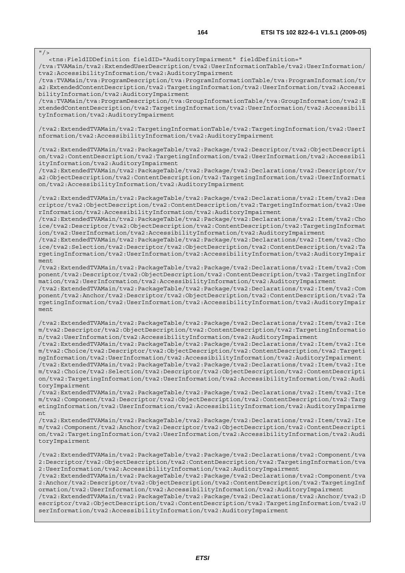$\frac{1}{\sqrt{}}$ 

<tns:FieldIDDefinition fieldID="AuditoryImpairment" fieldDefinition="

/tva:TVAMain/tva2:ExtendedUserDescription/tva2:UserInformationTable/tva2:UserInformation/ tva2:AccessibilityInformation/tva2:AuditoryImpairment

/tva:TVAMain/tva:ProgramDescription/tva:ProgramInformationTable/tva:ProgramInformation/tv a2:ExtendedContentDescription/tva2:TargetingInformation/tva2:UserInformation/tva2:Accessi bilityInformation/tva2:AuditoryImpairment

/tva:TVAMain/tva:ProgramDescription/tva:GroupInformationTable/tva:GroupInformation/tva2:E xtendedContentDescription/tva2:TargetingInformation/tva2:UserInformation/tva2:Accessibili tyInformation/tva2:AuditoryImpairment

/tva2:ExtendedTVAMain/tva2:TargetingInformationTable/tva2:TargetingInformation/tva2:UserI nformation/tva2:AccessibilityInformation/tva2:AuditoryImpairment

/tva2:ExtendedTVAMain/tva2:PackageTable/tva2:Package/tva2:Descriptor/tva2:ObjectDescripti on/tva2:ContentDescription/tva2:TargetingInformation/tva2:UserInformation/tva2:Accessibil ityInformation/tva2:AuditoryImpairment

/tva2:ExtendedTVAMain/tva2:PackageTable/tva2:Package/tva2:Declarations/tva2:Descriptor/tv a2:ObjectDescription/tva2:ContentDescription/tva2:TargetingInformation/tva2:UserInformati on/tva2:AccessibilityInformation/tva2:AuditoryImpairment

/tva2:ExtendedTVAMain/tva2:PackageTable/tva2:Package/tva2:Declarations/tva2:Item/tva2:Des criptor/tva2:ObjectDescription/tva2:ContentDescription/tva2:TargetingInformation/tva2:Use rInformation/tva2:AccessibilityInformation/tva2:AuditoryImpairment

/tva2:ExtendedTVAMain/tva2:PackageTable/tva2:Package/tva2:Declarations/tva2:Item/tva2:Cho ice/tva2:Descriptor/tva2:ObjectDescription/tva2:ContentDescription/tva2:TargetingInformat ion/tva2:UserInformation/tva2:AccessibilityInformation/tva2:AuditoryImpairment

/tva2:ExtendedTVAMain/tva2:PackageTable/tva2:Package/tva2:Declarations/tva2:Item/tva2:Cho ice/tva2:Selection/tva2:Descriptor/tva2:ObjectDescription/tva2:ContentDescription/tva2:Ta rgetingInformation/tva2:UserInformation/tva2:AccessibilityInformation/tva2:AuditoryImpair ment

/tva2:ExtendedTVAMain/tva2:PackageTable/tva2:Package/tva2:Declarations/tva2:Item/tva2:Com ponent/tva2:Descriptor/tva2:ObjectDescription/tva2:ContentDescription/tva2:TargetingInfor mation/tva2:UserInformation/tva2:AccessibilityInformation/tva2:AuditoryImpairment

/tva2:ExtendedTVAMain/tva2:PackageTable/tva2:Package/tva2:Declarations/tva2:Item/tva2:Com ponent/tva2:Anchor/tva2:Descriptor/tva2:ObjectDescription/tva2:ContentDescription/tva2:Ta rgetingInformation/tva2:UserInformation/tva2:AccessibilityInformation/tva2:AuditoryImpair ment

/tva2:ExtendedTVAMain/tva2:PackageTable/tva2:Package/tva2:Declarations/tva2:Item/tva2:Ite m/tva2:Descriptor/tva2:ObjectDescription/tva2:ContentDescription/tva2:TargetingInformatio n/tva2:UserInformation/tva2:AccessibilityInformation/tva2:AuditoryImpairment

/tva2:ExtendedTVAMain/tva2:PackageTable/tva2:Package/tva2:Declarations/tva2:Item/tva2:Ite m/tva2:Choice/tva2:Descriptor/tva2:ObjectDescription/tva2:ContentDescription/tva2:Targeti ngInformation/tva2:UserInformation/tva2:AccessibilityInformation/tva2:AuditoryImpairment /tva2:ExtendedTVAMain/tva2:PackageTable/tva2:Package/tva2:Declarations/tva2:Item/tva2:Ite m/tva2:Choice/tva2:Selection/tva2:Descriptor/tva2:ObjectDescription/tva2:ContentDescripti on/tva2:TargetingInformation/tva2:UserInformation/tva2:AccessibilityInformation/tva2:Audi toryImpairment

/tva2:ExtendedTVAMain/tva2:PackageTable/tva2:Package/tva2:Declarations/tva2:Item/tva2:Ite m/tva2:Component/tva2:Descriptor/tva2:ObjectDescription/tva2:ContentDescription/tva2:Targ etingInformation/tva2:UserInformation/tva2:AccessibilityInformation/tva2:AuditoryImpairme nt

/tva2:ExtendedTVAMain/tva2:PackageTable/tva2:Package/tva2:Declarations/tva2:Item/tva2:Ite m/tva2:Component/tva2:Anchor/tva2:Descriptor/tva2:ObjectDescription/tva2:ContentDescripti on/tva2:TargetingInformation/tva2:UserInformation/tva2:AccessibilityInformation/tva2:Audi toryImpairment

/tva2:ExtendedTVAMain/tva2:PackageTable/tva2:Package/tva2:Declarations/tva2:Component/tva 2:Descriptor/tva2:ObjectDescription/tva2:ContentDescription/tva2:TargetingInformation/tva 2:UserInformation/tva2:AccessibilityInformation/tva2:AuditoryImpairment

/tva2:ExtendedTVAMain/tva2:PackageTable/tva2:Package/tva2:Declarations/tva2:Component/tva 2:Anchor/tva2:Descriptor/tva2:ObjectDescription/tva2:ContentDescription/tva2:TargetingInf ormation/tva2:UserInformation/tva2:AccessibilityInformation/tva2:AuditoryImpairment

/tva2:ExtendedTVAMain/tva2:PackageTable/tva2:Package/tva2:Declarations/tva2:Anchor/tva2:D escriptor/tva2:ObjectDescription/tva2:ContentDescription/tva2:TargetingInformation/tva2:U serInformation/tva2:AccessibilityInformation/tva2:AuditoryImpairment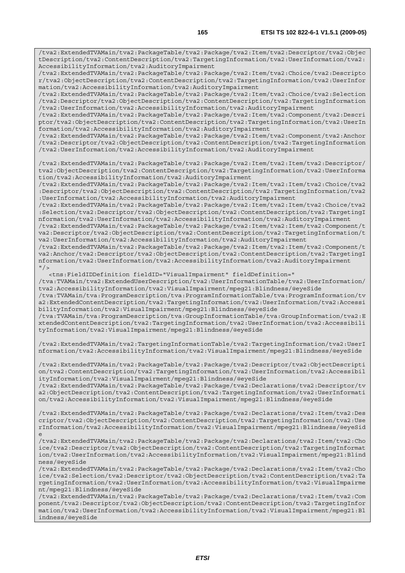/tva2:ExtendedTVAMain/tva2:PackageTable/tva2:Package/tva2:Item/tva2:Descriptor/tva2:Objec tDescription/tva2:ContentDescription/tva2:TargetingInformation/tva2:UserInformation/tva2: AccessibilityInformation/tva2:AuditoryImpairment

/tva2:ExtendedTVAMain/tva2:PackageTable/tva2:Package/tva2:Item/tva2:Choice/tva2:Descripto r/tva2:ObjectDescription/tva2:ContentDescription/tva2:TargetingInformation/tva2:UserInfor mation/tva2:AccessibilityInformation/tva2:AuditoryImpairment

/tva2:ExtendedTVAMain/tva2:PackageTable/tva2:Package/tva2:Item/tva2:Choice/tva2:Selection /tva2:Descriptor/tva2:ObjectDescription/tva2:ContentDescription/tva2:TargetingInformation /tva2:UserInformation/tva2:AccessibilityInformation/tva2:AuditoryImpairment

/tva2:ExtendedTVAMain/tva2:PackageTable/tva2:Package/tva2:Item/tva2:Component/tva2:Descri ptor/tva2:ObjectDescription/tva2:ContentDescription/tva2:TargetingInformation/tva2:UserIn formation/tva2:AccessibilityInformation/tva2:AuditoryImpairment

/tva2:ExtendedTVAMain/tva2:PackageTable/tva2:Package/tva2:Item/tva2:Component/tva2:Anchor /tva2:Descriptor/tva2:ObjectDescription/tva2:ContentDescription/tva2:TargetingInformation /tva2:UserInformation/tva2:AccessibilityInformation/tva2:AuditoryImpairment

/tva2:ExtendedTVAMain/tva2:PackageTable/tva2:Package/tva2:Item/tva2:Item/tva2:Descriptor/ tva2:ObjectDescription/tva2:ContentDescription/tva2:TargetingInformation/tva2:UserInforma tion/tva2:AccessibilityInformation/tva2:AuditoryImpairment

/tva2:ExtendedTVAMain/tva2:PackageTable/tva2:Package/tva2:Item/tva2:Item/tva2:Choice/tva2 :Descriptor/tva2:ObjectDescription/tva2:ContentDescription/tva2:TargetingInformation/tva2 :UserInformation/tva2:AccessibilityInformation/tva2:AuditoryImpairment

/tva2:ExtendedTVAMain/tva2:PackageTable/tva2:Package/tva2:Item/tva2:Item/tva2:Choice/tva2 :Selection/tva2:Descriptor/tva2:ObjectDescription/tva2:ContentDescription/tva2:TargetingI nformation/tva2:UserInformation/tva2:AccessibilityInformation/tva2:AuditoryImpairment

/tva2:ExtendedTVAMain/tva2:PackageTable/tva2:Package/tva2:Item/tva2:Item/tva2:Component/t va2:Descriptor/tva2:ObjectDescription/tva2:ContentDescription/tva2:TargetingInformation/t va2:UserInformation/tva2:AccessibilityInformation/tva2:AuditoryImpairment

/tva2:ExtendedTVAMain/tva2:PackageTable/tva2:Package/tva2:Item/tva2:Item/tva2:Component/t va2:Anchor/tva2:Descriptor/tva2:ObjectDescription/tva2:ContentDescription/tva2:TargetingI nformation/tva2:UserInformation/tva2:AccessibilityInformation/tva2:AuditoryImpairment  $"$  />

 <tns:FieldIDDefinition fieldID="VisualImpairment" fieldDefinition=" /tva:TVAMain/tva2:ExtendedUserDescription/tva2:UserInformationTable/tva2:UserInformation/ tva2:AccessibilityInformation/tva2:VisualImpairment/mpeg21:Blindness/@eyeSide /tva:TVAMain/tva:ProgramDescription/tva:ProgramInformationTable/tva:ProgramInformation/tv a2:ExtendedContentDescription/tva2:TargetingInformation/tva2:UserInformation/tva2:Accessi bilityInformation/tva2:VisualImpairment/mpeg21:Blindness/@eyeSide /tva:TVAMain/tva:ProgramDescription/tva:GroupInformationTable/tva:GroupInformation/tva2:E

xtendedContentDescription/tva2:TargetingInformation/tva2:UserInformation/tva2:Accessibili tyInformation/tva2:VisualImpairment/mpeg21:Blindness/@eyeSide

/tva2:ExtendedTVAMain/tva2:TargetingInformationTable/tva2:TargetingInformation/tva2:UserI nformation/tva2:AccessibilityInformation/tva2:VisualImpairment/mpeg21:Blindness/@eyeSide

/tva2:ExtendedTVAMain/tva2:PackageTable/tva2:Package/tva2:Descriptor/tva2:ObjectDescripti on/tva2:ContentDescription/tva2:TargetingInformation/tva2:UserInformation/tva2:Accessibil ityInformation/tva2:VisualImpairment/mpeg21:Blindness/@eyeSide /tva2:ExtendedTVAMain/tva2:PackageTable/tva2:Package/tva2:Declarations/tva2:Descriptor/tv

a2:ObjectDescription/tva2:ContentDescription/tva2:TargetingInformation/tva2:UserInformati on/tva2:AccessibilityInformation/tva2:VisualImpairment/mpeg21:Blindness/@eyeSide

/tva2:ExtendedTVAMain/tva2:PackageTable/tva2:Package/tva2:Declarations/tva2:Item/tva2:Des criptor/tva2:ObjectDescription/tva2:ContentDescription/tva2:TargetingInformation/tva2:Use rInformation/tva2:AccessibilityInformation/tva2:VisualImpairment/mpeg21:Blindness/@eyeSid e

/tva2:ExtendedTVAMain/tva2:PackageTable/tva2:Package/tva2:Declarations/tva2:Item/tva2:Cho ice/tva2:Descriptor/tva2:ObjectDescription/tva2:ContentDescription/tva2:TargetingInformat ion/tva2:UserInformation/tva2:AccessibilityInformation/tva2:VisualImpairment/mpeg21:Blind ness/@eyeSide

/tva2:ExtendedTVAMain/tva2:PackageTable/tva2:Package/tva2:Declarations/tva2:Item/tva2:Cho ice/tva2:Selection/tva2:Descriptor/tva2:ObjectDescription/tva2:ContentDescription/tva2:Ta rgetingInformation/tva2:UserInformation/tva2:AccessibilityInformation/tva2:VisualImpairme nt/mpeg21:Blindness/@eyeSide

/tva2:ExtendedTVAMain/tva2:PackageTable/tva2:Package/tva2:Declarations/tva2:Item/tva2:Com ponent/tva2:Descriptor/tva2:ObjectDescription/tva2:ContentDescription/tva2:TargetingInfor mation/tva2:UserInformation/tva2:AccessibilityInformation/tva2:VisualImpairment/mpeg21:Bl indness/@eyeSide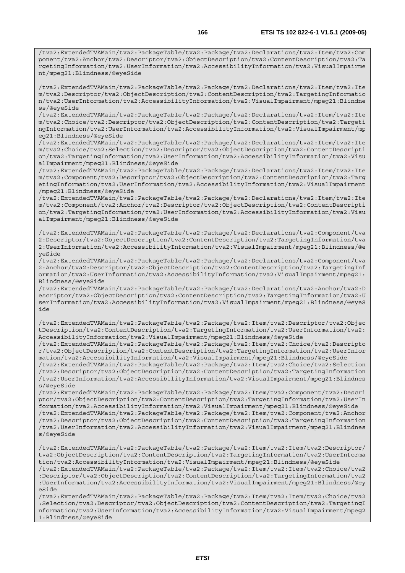/tva2:ExtendedTVAMain/tva2:PackageTable/tva2:Package/tva2:Declarations/tva2:Item/tva2:Com ponent/tva2:Anchor/tva2:Descriptor/tva2:ObjectDescription/tva2:ContentDescription/tva2:Ta rgetingInformation/tva2:UserInformation/tva2:AccessibilityInformation/tva2:VisualImpairme nt/mpeg21:Blindness/@eyeSide

/tva2:ExtendedTVAMain/tva2:PackageTable/tva2:Package/tva2:Declarations/tva2:Item/tva2:Ite m/tva2:Descriptor/tva2:ObjectDescription/tva2:ContentDescription/tva2:TargetingInformatio n/tva2:UserInformation/tva2:AccessibilityInformation/tva2:VisualImpairment/mpeg21:Blindne ss/@eyeSide

/tva2:ExtendedTVAMain/tva2:PackageTable/tva2:Package/tva2:Declarations/tva2:Item/tva2:Ite m/tva2:Choice/tva2:Descriptor/tva2:ObjectDescription/tva2:ContentDescription/tva2:Targeti ngInformation/tva2:UserInformation/tva2:AccessibilityInformation/tva2:VisualImpairment/mp eg21:Blindness/@eyeSide

/tva2:ExtendedTVAMain/tva2:PackageTable/tva2:Package/tva2:Declarations/tva2:Item/tva2:Ite m/tva2:Choice/tva2:Selection/tva2:Descriptor/tva2:ObjectDescription/tva2:ContentDescripti on/tva2:TargetingInformation/tva2:UserInformation/tva2:AccessibilityInformation/tva2:Visu alImpairment/mpeg21:Blindness/@eyeSide

/tva2:ExtendedTVAMain/tva2:PackageTable/tva2:Package/tva2:Declarations/tva2:Item/tva2:Ite m/tva2:Component/tva2:Descriptor/tva2:ObjectDescription/tva2:ContentDescription/tva2:Targ etingInformation/tva2:UserInformation/tva2:AccessibilityInformation/tva2:VisualImpairment /mpeg21:Blindness/@eyeSide

/tva2:ExtendedTVAMain/tva2:PackageTable/tva2:Package/tva2:Declarations/tva2:Item/tva2:Ite m/tva2:Component/tva2:Anchor/tva2:Descriptor/tva2:ObjectDescription/tva2:ContentDescripti on/tva2:TargetingInformation/tva2:UserInformation/tva2:AccessibilityInformation/tva2:Visu alImpairment/mpeg21:Blindness/@eyeSide

/tva2:ExtendedTVAMain/tva2:PackageTable/tva2:Package/tva2:Declarations/tva2:Component/tva 2:Descriptor/tva2:ObjectDescription/tva2:ContentDescription/tva2:TargetingInformation/tva 2:UserInformation/tva2:AccessibilityInformation/tva2:VisualImpairment/mpeg21:Blindness/@e yeSide

/tva2:ExtendedTVAMain/tva2:PackageTable/tva2:Package/tva2:Declarations/tva2:Component/tva 2:Anchor/tva2:Descriptor/tva2:ObjectDescription/tva2:ContentDescription/tva2:TargetingInf ormation/tva2:UserInformation/tva2:AccessibilityInformation/tva2:VisualImpairment/mpeg21: Blindness/@eyeSide

/tva2:ExtendedTVAMain/tva2:PackageTable/tva2:Package/tva2:Declarations/tva2:Anchor/tva2:D escriptor/tva2:ObjectDescription/tva2:ContentDescription/tva2:TargetingInformation/tva2:U serInformation/tva2:AccessibilityInformation/tva2:VisualImpairment/mpeg21:Blindness/@eyeS ide

/tva2:ExtendedTVAMain/tva2:PackageTable/tva2:Package/tva2:Item/tva2:Descriptor/tva2:Objec tDescription/tva2:ContentDescription/tva2:TargetingInformation/tva2:UserInformation/tva2: AccessibilityInformation/tva2:VisualImpairment/mpeg21:Blindness/@eyeSide

/tva2:ExtendedTVAMain/tva2:PackageTable/tva2:Package/tva2:Item/tva2:Choice/tva2:Descripto r/tva2:ObjectDescription/tva2:ContentDescription/tva2:TargetingInformation/tva2:UserInfor mation/tva2:AccessibilityInformation/tva2:VisualImpairment/mpeg21:Blindness/@eyeSide

/tva2:ExtendedTVAMain/tva2:PackageTable/tva2:Package/tva2:Item/tva2:Choice/tva2:Selection /tva2:Descriptor/tva2:ObjectDescription/tva2:ContentDescription/tva2:TargetingInformation /tva2:UserInformation/tva2:AccessibilityInformation/tva2:VisualImpairment/mpeg21:Blindnes s/@eyeSide

/tva2:ExtendedTVAMain/tva2:PackageTable/tva2:Package/tva2:Item/tva2:Component/tva2:Descri ptor/tva2:ObjectDescription/tva2:ContentDescription/tva2:TargetingInformation/tva2:UserIn formation/tva2:AccessibilityInformation/tva2:VisualImpairment/mpeg21:Blindness/@eyeSide /tva2:ExtendedTVAMain/tva2:PackageTable/tva2:Package/tva2:Item/tva2:Component/tva2:Anchor /tva2:Descriptor/tva2:ObjectDescription/tva2:ContentDescription/tva2:TargetingInformation

/tva2:UserInformation/tva2:AccessibilityInformation/tva2:VisualImpairment/mpeg21:Blindnes s/@eyeSide

/tva2:ExtendedTVAMain/tva2:PackageTable/tva2:Package/tva2:Item/tva2:Item/tva2:Descriptor/ tva2:ObjectDescription/tva2:ContentDescription/tva2:TargetingInformation/tva2:UserInforma tion/tva2:AccessibilityInformation/tva2:VisualImpairment/mpeg21:Blindness/@eyeSide /tva2:ExtendedTVAMain/tva2:PackageTable/tva2:Package/tva2:Item/tva2:Item/tva2:Choice/tva2 :Descriptor/tva2:ObjectDescription/tva2:ContentDescription/tva2:TargetingInformation/tva2 :UserInformation/tva2:AccessibilityInformation/tva2:VisualImpairment/mpeg21:Blindness/@ey

eSide /tva2:ExtendedTVAMain/tva2:PackageTable/tva2:Package/tva2:Item/tva2:Item/tva2:Choice/tva2 :Selection/tva2:Descriptor/tva2:ObjectDescription/tva2:ContentDescription/tva2:TargetingI nformation/tva2:UserInformation/tva2:AccessibilityInformation/tva2:VisualImpairment/mpeg2 1:Blindness/@eyeSide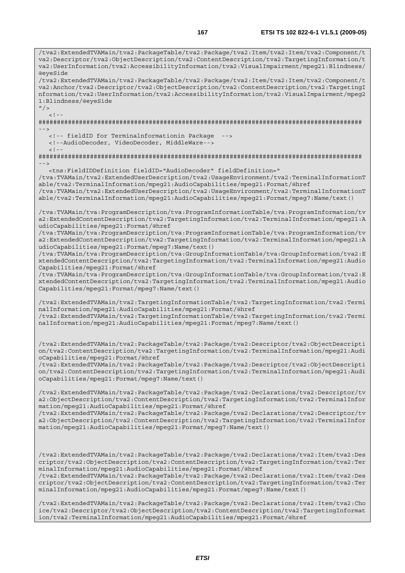va2:Descriptor/tva2:ObjectDescription/tva2:ContentDescription/tva2:TargetingInformation/t va2:UserInformation/tva2:AccessibilityInformation/tva2:VisualImpairment/mpeg21:Blindness/ @eyeSide /tva2:ExtendedTVAMain/tva2:PackageTable/tva2:Package/tva2:Item/tva2:Item/tva2:Component/t va2:Anchor/tva2:Descriptor/tva2:ObjectDescription/tva2:ContentDescription/tva2:TargetingI nformation/tva2:UserInformation/tva2:AccessibilityInformation/tva2:VisualImpairment/mpeg2 1:Blindness/@eyeSide  $"$  />  $\lt$  ! -######################################################################################## --> <!-- fieldID for Terminalnformationin Package --> <!--AudioDecoder, VideoDecoder, MiddleWare-->  $\geq$   $\frac{1}{2}$ . ######################################################################################## --> <tns:FieldIDDefinition fieldID="AudioDecoder" fieldDefinition=" /tva:TVAMain/tva2:ExtendedUserDescription/tva2:UsageEnvironment/tva2:TerminalInformationT able/tva2:TerminalInformation/mpeg21:AudioCapabilities/mpeg21:Format/@href /tva:TVAMain/tva2:ExtendedUserDescription/tva2:UsageEnvironment/tva2:TerminalInformationT able/tva2:TerminalInformation/mpeg21:AudioCapabilities/mpeg21:Format/mpeg7:Name/text() /tva:TVAMain/tva:ProgramDescription/tva:ProgramInformationTable/tva:ProgramInformation/tv a2:ExtendedContentDescription/tva2:TargetingInformation/tva2:TerminalInformation/mpeg21:A udioCapabilities/mpeg21:Format/@href /tva:TVAMain/tva:ProgramDescription/tva:ProgramInformationTable/tva:ProgramInformation/tv a2:ExtendedContentDescription/tva2:TargetingInformation/tva2:TerminalInformation/mpeg21:A udioCapabilities/mpeg21:Format/mpeg7:Name/text() /tva:TVAMain/tva:ProgramDescription/tva:GroupInformationTable/tva:GroupInformation/tva2:E xtendedContentDescription/tva2:TargetingInformation/tva2:TerminalInformation/mpeg21:Audio Capabilities/mpeg21:Format/@href /tva:TVAMain/tva:ProgramDescription/tva:GroupInformationTable/tva:GroupInformation/tva2:E xtendedContentDescription/tva2:TargetingInformation/tva2:TerminalInformation/mpeg21:Audio Capabilities/mpeg21:Format/mpeg7:Name/text() /tva2:ExtendedTVAMain/tva2:TargetingInformationTable/tva2:TargetingInformation/tva2:Termi nalInformation/mpeg21:AudioCapabilities/mpeg21:Format/@href /tva2:ExtendedTVAMain/tva2:TargetingInformationTable/tva2:TargetingInformation/tva2:Termi nalInformation/mpeg21:AudioCapabilities/mpeg21:Format/mpeg7:Name/text() /tva2:ExtendedTVAMain/tva2:PackageTable/tva2:Package/tva2:Descriptor/tva2:ObjectDescripti on/tva2:ContentDescription/tva2:TargetingInformation/tva2:TerminalInformation/mpeg21:Audi oCapabilities/mpeg21:Format/@href /tva2:ExtendedTVAMain/tva2:PackageTable/tva2:Package/tva2:Descriptor/tva2:ObjectDescripti on/tva2:ContentDescription/tva2:TargetingInformation/tva2:TerminalInformation/mpeg21:Audi oCapabilities/mpeg21:Format/mpeg7:Name/text() /tva2:ExtendedTVAMain/tva2:PackageTable/tva2:Package/tva2:Declarations/tva2:Descriptor/tv a2:ObjectDescription/tva2:ContentDescription/tva2:TargetingInformation/tva2:TerminalInfor mation/mpeg21:AudioCapabilities/mpeg21:Format/@href /tva2:ExtendedTVAMain/tva2:PackageTable/tva2:Package/tva2:Declarations/tva2:Descriptor/tv a2:ObjectDescription/tva2:ContentDescription/tva2:TargetingInformation/tva2:TerminalInfor mation/mpeg21:AudioCapabilities/mpeg21:Format/mpeg7:Name/text() /tva2:ExtendedTVAMain/tva2:PackageTable/tva2:Package/tva2:Declarations/tva2:Item/tva2:Des criptor/tva2:ObjectDescription/tva2:ContentDescription/tva2:TargetingInformation/tva2:Ter minalInformation/mpeg21:AudioCapabilities/mpeg21:Format/@href /tva2:ExtendedTVAMain/tva2:PackageTable/tva2:Package/tva2:Declarations/tva2:Item/tva2:Des criptor/tva2:ObjectDescription/tva2:ContentDescription/tva2:TargetingInformation/tva2:Ter minalInformation/mpeg21:AudioCapabilities/mpeg21:Format/mpeg7:Name/text() /tva2:ExtendedTVAMain/tva2:PackageTable/tva2:Package/tva2:Declarations/tva2:Item/tva2:Cho ice/tva2:Descriptor/tva2:ObjectDescription/tva2:ContentDescription/tva2:TargetingInformat

/tva2:ExtendedTVAMain/tva2:PackageTable/tva2:Package/tva2:Item/tva2:Item/tva2:Component/t

*ETSI* 

ion/tva2:TerminalInformation/mpeg21:AudioCapabilities/mpeg21:Format/@href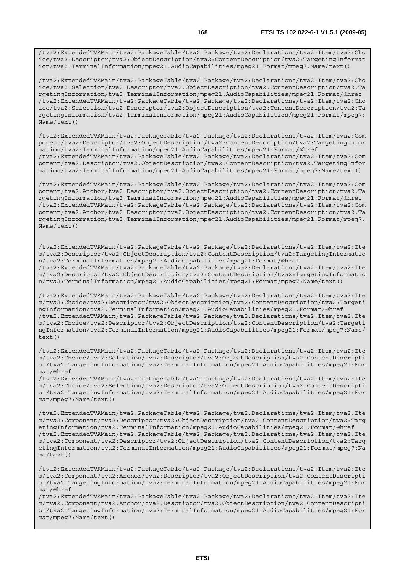/tva2:ExtendedTVAMain/tva2:PackageTable/tva2:Package/tva2:Declarations/tva2:Item/tva2:Cho ice/tva2:Descriptor/tva2:ObjectDescription/tva2:ContentDescription/tva2:TargetingInformat ion/tva2:TerminalInformation/mpeg21:AudioCapabilities/mpeg21:Format/mpeg7:Name/text()

/tva2:ExtendedTVAMain/tva2:PackageTable/tva2:Package/tva2:Declarations/tva2:Item/tva2:Cho ice/tva2:Selection/tva2:Descriptor/tva2:ObjectDescription/tva2:ContentDescription/tva2:Ta rgetingInformation/tva2:TerminalInformation/mpeg21:AudioCapabilities/mpeg21:Format/@href /tva2:ExtendedTVAMain/tva2:PackageTable/tva2:Package/tva2:Declarations/tva2:Item/tva2:Cho ice/tva2:Selection/tva2:Descriptor/tva2:ObjectDescription/tva2:ContentDescription/tva2:Ta rgetingInformation/tva2:TerminalInformation/mpeg21:AudioCapabilities/mpeg21:Format/mpeg7: Name/text()

/tva2:ExtendedTVAMain/tva2:PackageTable/tva2:Package/tva2:Declarations/tva2:Item/tva2:Com ponent/tva2:Descriptor/tva2:ObjectDescription/tva2:ContentDescription/tva2:TargetingInfor mation/tva2:TerminalInformation/mpeg21:AudioCapabilities/mpeg21:Format/@href /tva2:ExtendedTVAMain/tva2:PackageTable/tva2:Package/tva2:Declarations/tva2:Item/tva2:Com ponent/tva2:Descriptor/tva2:ObjectDescription/tva2:ContentDescription/tva2:TargetingInfor mation/tva2:TerminalInformation/mpeg21:AudioCapabilities/mpeg21:Format/mpeg7:Name/text()

/tva2:ExtendedTVAMain/tva2:PackageTable/tva2:Package/tva2:Declarations/tva2:Item/tva2:Com ponent/tva2:Anchor/tva2:Descriptor/tva2:ObjectDescription/tva2:ContentDescription/tva2:Ta rgetingInformation/tva2:TerminalInformation/mpeg21:AudioCapabilities/mpeg21:Format/@href /tva2:ExtendedTVAMain/tva2:PackageTable/tva2:Package/tva2:Declarations/tva2:Item/tva2:Com ponent/tva2:Anchor/tva2:Descriptor/tva2:ObjectDescription/tva2:ContentDescription/tva2:Ta rgetingInformation/tva2:TerminalInformation/mpeg21:AudioCapabilities/mpeg21:Format/mpeg7: Name/text()

/tva2:ExtendedTVAMain/tva2:PackageTable/tva2:Package/tva2:Declarations/tva2:Item/tva2:Ite m/tva2:Descriptor/tva2:ObjectDescription/tva2:ContentDescription/tva2:TargetingInformatio n/tva2:TerminalInformation/mpeg21:AudioCapabilities/mpeg21:Format/@href /tva2:ExtendedTVAMain/tva2:PackageTable/tva2:Package/tva2:Declarations/tva2:Item/tva2:Ite m/tva2:Descriptor/tva2:ObjectDescription/tva2:ContentDescription/tva2:TargetingInformatio n/tva2:TerminalInformation/mpeg21:AudioCapabilities/mpeg21:Format/mpeg7:Name/text()

/tva2:ExtendedTVAMain/tva2:PackageTable/tva2:Package/tva2:Declarations/tva2:Item/tva2:Ite m/tva2:Choice/tva2:Descriptor/tva2:ObjectDescription/tva2:ContentDescription/tva2:Targeti ngInformation/tva2:TerminalInformation/mpeg21:AudioCapabilities/mpeg21:Format/@href /tva2:ExtendedTVAMain/tva2:PackageTable/tva2:Package/tva2:Declarations/tva2:Item/tva2:Ite m/tva2:Choice/tva2:Descriptor/tva2:ObjectDescription/tva2:ContentDescription/tva2:Targeti ngInformation/tva2:TerminalInformation/mpeg21:AudioCapabilities/mpeg21:Format/mpeg7:Name/  $text()$ 

/tva2:ExtendedTVAMain/tva2:PackageTable/tva2:Package/tva2:Declarations/tva2:Item/tva2:Ite m/tva2:Choice/tva2:Selection/tva2:Descriptor/tva2:ObjectDescription/tva2:ContentDescripti on/tva2:TargetingInformation/tva2:TerminalInformation/mpeg21:AudioCapabilities/mpeg21:For mat/@href

/tva2:ExtendedTVAMain/tva2:PackageTable/tva2:Package/tva2:Declarations/tva2:Item/tva2:Ite m/tva2:Choice/tva2:Selection/tva2:Descriptor/tva2:ObjectDescription/tva2:ContentDescripti on/tva2:TargetingInformation/tva2:TerminalInformation/mpeg21:AudioCapabilities/mpeg21:For mat/mpeg7:Name/text()

/tva2:ExtendedTVAMain/tva2:PackageTable/tva2:Package/tva2:Declarations/tva2:Item/tva2:Ite m/tva2:Component/tva2:Descriptor/tva2:ObjectDescription/tva2:ContentDescription/tva2:Targ etingInformation/tva2:TerminalInformation/mpeg21:AudioCapabilities/mpeg21:Format/@href /tva2:ExtendedTVAMain/tva2:PackageTable/tva2:Package/tva2:Declarations/tva2:Item/tva2:Ite m/tva2:Component/tva2:Descriptor/tva2:ObjectDescription/tva2:ContentDescription/tva2:Targ etingInformation/tva2:TerminalInformation/mpeg21:AudioCapabilities/mpeg21:Format/mpeg7:Na me/text()

/tva2:ExtendedTVAMain/tva2:PackageTable/tva2:Package/tva2:Declarations/tva2:Item/tva2:Ite m/tva2:Component/tva2:Anchor/tva2:Descriptor/tva2:ObjectDescription/tva2:ContentDescripti on/tva2:TargetingInformation/tva2:TerminalInformation/mpeg21:AudioCapabilities/mpeg21:For mat/@href

/tva2:ExtendedTVAMain/tva2:PackageTable/tva2:Package/tva2:Declarations/tva2:Item/tva2:Ite m/tva2:Component/tva2:Anchor/tva2:Descriptor/tva2:ObjectDescription/tva2:ContentDescripti on/tva2:TargetingInformation/tva2:TerminalInformation/mpeg21:AudioCapabilities/mpeg21:For mat/mpeg7:Name/text()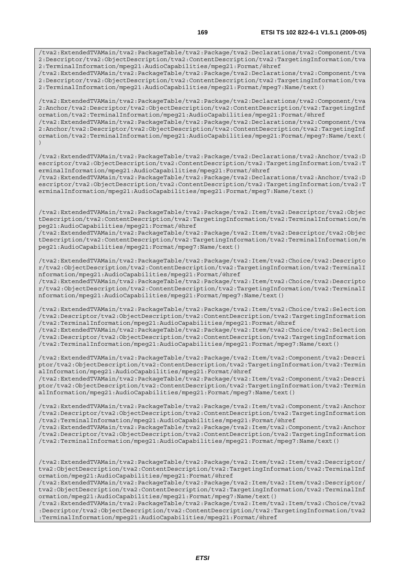/tva2:ExtendedTVAMain/tva2:PackageTable/tva2:Package/tva2:Declarations/tva2:Component/tva 2:Descriptor/tva2:ObjectDescription/tva2:ContentDescription/tva2:TargetingInformation/tva 2:TerminalInformation/mpeg21:AudioCapabilities/mpeg21:Format/@href

/tva2:ExtendedTVAMain/tva2:PackageTable/tva2:Package/tva2:Declarations/tva2:Component/tva 2:Descriptor/tva2:ObjectDescription/tva2:ContentDescription/tva2:TargetingInformation/tva 2:TerminalInformation/mpeg21:AudioCapabilities/mpeg21:Format/mpeg7:Name/text()

/tva2:ExtendedTVAMain/tva2:PackageTable/tva2:Package/tva2:Declarations/tva2:Component/tva 2:Anchor/tva2:Descriptor/tva2:ObjectDescription/tva2:ContentDescription/tva2:TargetingInf ormation/tva2:TerminalInformation/mpeg21:AudioCapabilities/mpeg21:Format/@href /tva2:ExtendedTVAMain/tva2:PackageTable/tva2:Package/tva2:Declarations/tva2:Component/tva

2:Anchor/tva2:Descriptor/tva2:ObjectDescription/tva2:ContentDescription/tva2:TargetingInf ormation/tva2:TerminalInformation/mpeg21:AudioCapabilities/mpeg21:Format/mpeg7:Name/text( )

/tva2:ExtendedTVAMain/tva2:PackageTable/tva2:Package/tva2:Declarations/tva2:Anchor/tva2:D escriptor/tva2:ObjectDescription/tva2:ContentDescription/tva2:TargetingInformation/tva2:T erminalInformation/mpeg21:AudioCapabilities/mpeg21:Format/@href

/tva2:ExtendedTVAMain/tva2:PackageTable/tva2:Package/tva2:Declarations/tva2:Anchor/tva2:D escriptor/tva2:ObjectDescription/tva2:ContentDescription/tva2:TargetingInformation/tva2:T erminalInformation/mpeg21:AudioCapabilities/mpeg21:Format/mpeg7:Name/text()

/tva2:ExtendedTVAMain/tva2:PackageTable/tva2:Package/tva2:Item/tva2:Descriptor/tva2:Objec tDescription/tva2:ContentDescription/tva2:TargetingInformation/tva2:TerminalInformation/m peg21:AudioCapabilities/mpeg21:Format/@href

/tva2:ExtendedTVAMain/tva2:PackageTable/tva2:Package/tva2:Item/tva2:Descriptor/tva2:Objec tDescription/tva2:ContentDescription/tva2:TargetingInformation/tva2:TerminalInformation/m peg21:AudioCapabilities/mpeg21:Format/mpeg7:Name/text()

/tva2:ExtendedTVAMain/tva2:PackageTable/tva2:Package/tva2:Item/tva2:Choice/tva2:Descripto r/tva2:ObjectDescription/tva2:ContentDescription/tva2:TargetingInformation/tva2:TerminalI nformation/mpeg21:AudioCapabilities/mpeg21:Format/@href

/tva2:ExtendedTVAMain/tva2:PackageTable/tva2:Package/tva2:Item/tva2:Choice/tva2:Descripto r/tva2:ObjectDescription/tva2:ContentDescription/tva2:TargetingInformation/tva2:TerminalI nformation/mpeg21:AudioCapabilities/mpeg21:Format/mpeg7:Name/text()

/tva2:ExtendedTVAMain/tva2:PackageTable/tva2:Package/tva2:Item/tva2:Choice/tva2:Selection /tva2:Descriptor/tva2:ObjectDescription/tva2:ContentDescription/tva2:TargetingInformation /tva2:TerminalInformation/mpeg21:AudioCapabilities/mpeg21:Format/@href

/tva2:ExtendedTVAMain/tva2:PackageTable/tva2:Package/tva2:Item/tva2:Choice/tva2:Selection /tva2:Descriptor/tva2:ObjectDescription/tva2:ContentDescription/tva2:TargetingInformation /tva2:TerminalInformation/mpeg21:AudioCapabilities/mpeg21:Format/mpeg7:Name/text()

/tva2:ExtendedTVAMain/tva2:PackageTable/tva2:Package/tva2:Item/tva2:Component/tva2:Descri ptor/tva2:ObjectDescription/tva2:ContentDescription/tva2:TargetingInformation/tva2:Termin alInformation/mpeg21:AudioCapabilities/mpeg21:Format/@href

/tva2:ExtendedTVAMain/tva2:PackageTable/tva2:Package/tva2:Item/tva2:Component/tva2:Descri ptor/tva2:ObjectDescription/tva2:ContentDescription/tva2:TargetingInformation/tva2:Termin alInformation/mpeg21:AudioCapabilities/mpeg21:Format/mpeg7:Name/text()

/tva2:ExtendedTVAMain/tva2:PackageTable/tva2:Package/tva2:Item/tva2:Component/tva2:Anchor /tva2:Descriptor/tva2:ObjectDescription/tva2:ContentDescription/tva2:TargetingInformation /tva2:TerminalInformation/mpeg21:AudioCapabilities/mpeg21:Format/@href

/tva2:ExtendedTVAMain/tva2:PackageTable/tva2:Package/tva2:Item/tva2:Component/tva2:Anchor /tva2:Descriptor/tva2:ObjectDescription/tva2:ContentDescription/tva2:TargetingInformation /tva2:TerminalInformation/mpeg21:AudioCapabilities/mpeg21:Format/mpeg7:Name/text()

/tva2:ExtendedTVAMain/tva2:PackageTable/tva2:Package/tva2:Item/tva2:Item/tva2:Descriptor/ tva2:ObjectDescription/tva2:ContentDescription/tva2:TargetingInformation/tva2:TerminalInf ormation/mpeg21:AudioCapabilities/mpeg21:Format/@href

/tva2:ExtendedTVAMain/tva2:PackageTable/tva2:Package/tva2:Item/tva2:Item/tva2:Descriptor/ tva2:ObjectDescription/tva2:ContentDescription/tva2:TargetingInformation/tva2:TerminalInf ormation/mpeg21:AudioCapabilities/mpeg21:Format/mpeg7:Name/text()

/tva2:ExtendedTVAMain/tva2:PackageTable/tva2:Package/tva2:Item/tva2:Item/tva2:Choice/tva2 :Descriptor/tva2:ObjectDescription/tva2:ContentDescription/tva2:TargetingInformation/tva2 :TerminalInformation/mpeg21:AudioCapabilities/mpeg21:Format/@href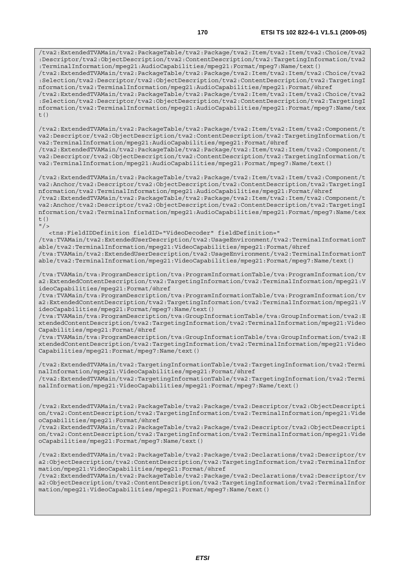/tva2:ExtendedTVAMain/tva2:PackageTable/tva2:Package/tva2:Item/tva2:Item/tva2:Choice/tva2 :Descriptor/tva2:ObjectDescription/tva2:ContentDescription/tva2:TargetingInformation/tva2 :TerminalInformation/mpeg21:AudioCapabilities/mpeg21:Format/mpeg7:Name/text() /tva2:ExtendedTVAMain/tva2:PackageTable/tva2:Package/tva2:Item/tva2:Item/tva2:Choice/tva2 :Selection/tva2:Descriptor/tva2:ObjectDescription/tva2:ContentDescription/tva2:TargetingI nformation/tva2:TerminalInformation/mpeg21:AudioCapabilities/mpeg21:Format/@href /tva2:ExtendedTVAMain/tva2:PackageTable/tva2:Package/tva2:Item/tva2:Item/tva2:Choice/tva2 :Selection/tva2:Descriptor/tva2:ObjectDescription/tva2:ContentDescription/tva2:TargetingI nformation/tva2:TerminalInformation/mpeg21:AudioCapabilities/mpeg21:Format/mpeg7:Name/tex t()

/tva2:ExtendedTVAMain/tva2:PackageTable/tva2:Package/tva2:Item/tva2:Item/tva2:Component/t va2:Descriptor/tva2:ObjectDescription/tva2:ContentDescription/tva2:TargetingInformation/t va2:TerminalInformation/mpeg21:AudioCapabilities/mpeg21:Format/@href /tva2:ExtendedTVAMain/tva2:PackageTable/tva2:Package/tva2:Item/tva2:Item/tva2:Component/t

va2:Descriptor/tva2:ObjectDescription/tva2:ContentDescription/tva2:TargetingInformation/t va2:TerminalInformation/mpeg21:AudioCapabilities/mpeg21:Format/mpeg7:Name/text()

/tva2:ExtendedTVAMain/tva2:PackageTable/tva2:Package/tva2:Item/tva2:Item/tva2:Component/t va2:Anchor/tva2:Descriptor/tva2:ObjectDescription/tva2:ContentDescription/tva2:TargetingI nformation/tva2:TerminalInformation/mpeg21:AudioCapabilities/mpeg21:Format/@href /tva2:ExtendedTVAMain/tva2:PackageTable/tva2:Package/tva2:Item/tva2:Item/tva2:Component/t va2:Anchor/tva2:Descriptor/tva2:ObjectDescription/tva2:ContentDescription/tva2:TargetingI nformation/tva2:TerminalInformation/mpeg21:AudioCapabilities/mpeg21:Format/mpeg7:Name/tex t()

 $^{\prime\prime}$  /  $>$  <tns:FieldIDDefinition fieldID="VideoDecoder" fieldDefinition=" /tva:TVAMain/tva2:ExtendedUserDescription/tva2:UsageEnvironment/tva2:TerminalInformationT able/tva2:TerminalInformation/mpeg21:VideoCapabilities/mpeg21:Format/@href /tva:TVAMain/tva2:ExtendedUserDescription/tva2:UsageEnvironment/tva2:TerminalInformationT able/tva2:TerminalInformation/mpeg21:VideoCapabilities/mpeg21:Format/mpeg7:Name/text()

/tva:TVAMain/tva:ProgramDescription/tva:ProgramInformationTable/tva:ProgramInformation/tv a2:ExtendedContentDescription/tva2:TargetingInformation/tva2:TerminalInformation/mpeg21:V ideoCapabilities/mpeg21:Format/@href

/tva:TVAMain/tva:ProgramDescription/tva:ProgramInformationTable/tva:ProgramInformation/tv a2:ExtendedContentDescription/tva2:TargetingInformation/tva2:TerminalInformation/mpeg21:V ideoCapabilities/mpeg21:Format/mpeg7:Name/text()

/tva:TVAMain/tva:ProgramDescription/tva:GroupInformationTable/tva:GroupInformation/tva2:E xtendedContentDescription/tva2:TargetingInformation/tva2:TerminalInformation/mpeg21:Video Capabilities/mpeg21:Format/@href

/tva:TVAMain/tva:ProgramDescription/tva:GroupInformationTable/tva:GroupInformation/tva2:E xtendedContentDescription/tva2:TargetingInformation/tva2:TerminalInformation/mpeg21:Video Capabilities/mpeg21:Format/mpeg7:Name/text()

/tva2:ExtendedTVAMain/tva2:TargetingInformationTable/tva2:TargetingInformation/tva2:Termi nalInformation/mpeg21:VideoCapabilities/mpeg21:Format/@href /tva2:ExtendedTVAMain/tva2:TargetingInformationTable/tva2:TargetingInformation/tva2:Termi nalInformation/mpeg21:VideoCapabilities/mpeg21:Format/mpeg7:Name/text()

/tva2:ExtendedTVAMain/tva2:PackageTable/tva2:Package/tva2:Descriptor/tva2:ObjectDescripti on/tva2:ContentDescription/tva2:TargetingInformation/tva2:TerminalInformation/mpeg21:Vide oCapabilities/mpeg21:Format/@href

/tva2:ExtendedTVAMain/tva2:PackageTable/tva2:Package/tva2:Descriptor/tva2:ObjectDescripti on/tva2:ContentDescription/tva2:TargetingInformation/tva2:TerminalInformation/mpeg21:Vide oCapabilities/mpeg21:Format/mpeg7:Name/text()

/tva2:ExtendedTVAMain/tva2:PackageTable/tva2:Package/tva2:Declarations/tva2:Descriptor/tv a2:ObjectDescription/tva2:ContentDescription/tva2:TargetingInformation/tva2:TerminalInfor mation/mpeg21:VideoCapabilities/mpeg21:Format/@href

/tva2:ExtendedTVAMain/tva2:PackageTable/tva2:Package/tva2:Declarations/tva2:Descriptor/tv a2:ObjectDescription/tva2:ContentDescription/tva2:TargetingInformation/tva2:TerminalInfor mation/mpeg21:VideoCapabilities/mpeg21:Format/mpeg7:Name/text()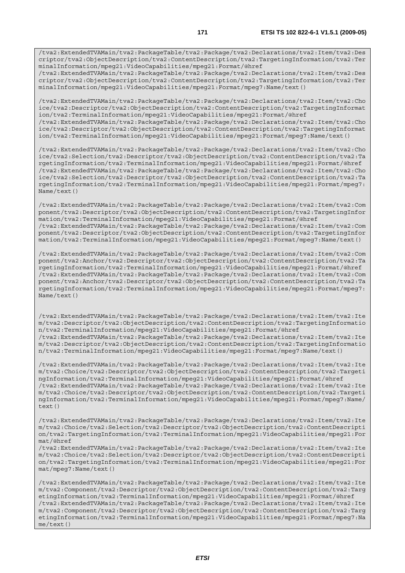/tva2:ExtendedTVAMain/tva2:PackageTable/tva2:Package/tva2:Declarations/tva2:Item/tva2:Des criptor/tva2:ObjectDescription/tva2:ContentDescription/tva2:TargetingInformation/tva2:Ter minalInformation/mpeg21:VideoCapabilities/mpeg21:Format/mpeg7:Name/text()

/tva2:ExtendedTVAMain/tva2:PackageTable/tva2:Package/tva2:Declarations/tva2:Item/tva2:Cho ice/tva2:Descriptor/tva2:ObjectDescription/tva2:ContentDescription/tva2:TargetingInformat ion/tva2:TerminalInformation/mpeg21:VideoCapabilities/mpeg21:Format/@href /tva2:ExtendedTVAMain/tva2:PackageTable/tva2:Package/tva2:Declarations/tva2:Item/tva2:Cho ice/tva2:Descriptor/tva2:ObjectDescription/tva2:ContentDescription/tva2:TargetingInformat ion/tva2:TerminalInformation/mpeg21:VideoCapabilities/mpeg21:Format/mpeg7:Name/text()

/tva2:ExtendedTVAMain/tva2:PackageTable/tva2:Package/tva2:Declarations/tva2:Item/tva2:Cho ice/tva2:Selection/tva2:Descriptor/tva2:ObjectDescription/tva2:ContentDescription/tva2:Ta rgetingInformation/tva2:TerminalInformation/mpeg21:VideoCapabilities/mpeg21:Format/@href /tva2:ExtendedTVAMain/tva2:PackageTable/tva2:Package/tva2:Declarations/tva2:Item/tva2:Cho ice/tva2:Selection/tva2:Descriptor/tva2:ObjectDescription/tva2:ContentDescription/tva2:Ta rgetingInformation/tva2:TerminalInformation/mpeg21:VideoCapabilities/mpeg21:Format/mpeg7: Name/text()

/tva2:ExtendedTVAMain/tva2:PackageTable/tva2:Package/tva2:Declarations/tva2:Item/tva2:Com ponent/tva2:Descriptor/tva2:ObjectDescription/tva2:ContentDescription/tva2:TargetingInfor mation/tva2:TerminalInformation/mpeg21:VideoCapabilities/mpeg21:Format/@href /tva2:ExtendedTVAMain/tva2:PackageTable/tva2:Package/tva2:Declarations/tva2:Item/tva2:Com ponent/tva2:Descriptor/tva2:ObjectDescription/tva2:ContentDescription/tva2:TargetingInfor mation/tva2:TerminalInformation/mpeg21:VideoCapabilities/mpeg21:Format/mpeg7:Name/text()

/tva2:ExtendedTVAMain/tva2:PackageTable/tva2:Package/tva2:Declarations/tva2:Item/tva2:Com ponent/tva2:Anchor/tva2:Descriptor/tva2:ObjectDescription/tva2:ContentDescription/tva2:Ta rgetingInformation/tva2:TerminalInformation/mpeg21:VideoCapabilities/mpeg21:Format/@href /tva2:ExtendedTVAMain/tva2:PackageTable/tva2:Package/tva2:Declarations/tva2:Item/tva2:Com ponent/tva2:Anchor/tva2:Descriptor/tva2:ObjectDescription/tva2:ContentDescription/tva2:Ta rgetingInformation/tva2:TerminalInformation/mpeg21:VideoCapabilities/mpeg21:Format/mpeg7: Name/text()

/tva2:ExtendedTVAMain/tva2:PackageTable/tva2:Package/tva2:Declarations/tva2:Item/tva2:Ite m/tva2:Descriptor/tva2:ObjectDescription/tva2:ContentDescription/tva2:TargetingInformatio n/tva2:TerminalInformation/mpeg21:VideoCapabilities/mpeg21:Format/@href /tva2:ExtendedTVAMain/tva2:PackageTable/tva2:Package/tva2:Declarations/tva2:Item/tva2:Ite m/tva2:Descriptor/tva2:ObjectDescription/tva2:ContentDescription/tva2:TargetingInformatio n/tva2:TerminalInformation/mpeg21:VideoCapabilities/mpeg21:Format/mpeg7:Name/text()

/tva2:ExtendedTVAMain/tva2:PackageTable/tva2:Package/tva2:Declarations/tva2:Item/tva2:Ite m/tva2:Choice/tva2:Descriptor/tva2:ObjectDescription/tva2:ContentDescription/tva2:Targeti ngInformation/tva2:TerminalInformation/mpeg21:VideoCapabilities/mpeg21:Format/@href /tva2:ExtendedTVAMain/tva2:PackageTable/tva2:Package/tva2:Declarations/tva2:Item/tva2:Ite m/tva2:Choice/tva2:Descriptor/tva2:ObjectDescription/tva2:ContentDescription/tva2:Targeti ngInformation/tva2:TerminalInformation/mpeg21:VideoCapabilities/mpeg21:Format/mpeg7:Name/ text()

/tva2:ExtendedTVAMain/tva2:PackageTable/tva2:Package/tva2:Declarations/tva2:Item/tva2:Ite m/tva2:Choice/tva2:Selection/tva2:Descriptor/tva2:ObjectDescription/tva2:ContentDescripti on/tva2:TargetingInformation/tva2:TerminalInformation/mpeg21:VideoCapabilities/mpeg21:For mat/@href

/tva2:ExtendedTVAMain/tva2:PackageTable/tva2:Package/tva2:Declarations/tva2:Item/tva2:Ite m/tva2:Choice/tva2:Selection/tva2:Descriptor/tva2:ObjectDescription/tva2:ContentDescripti on/tva2:TargetingInformation/tva2:TerminalInformation/mpeg21:VideoCapabilities/mpeg21:For mat/mpeg7:Name/text()

/tva2:ExtendedTVAMain/tva2:PackageTable/tva2:Package/tva2:Declarations/tva2:Item/tva2:Ite m/tva2:Component/tva2:Descriptor/tva2:ObjectDescription/tva2:ContentDescription/tva2:Targ etingInformation/tva2:TerminalInformation/mpeg21:VideoCapabilities/mpeg21:Format/@href /tva2:ExtendedTVAMain/tva2:PackageTable/tva2:Package/tva2:Declarations/tva2:Item/tva2:Ite m/tva2:Component/tva2:Descriptor/tva2:ObjectDescription/tva2:ContentDescription/tva2:Targ etingInformation/tva2:TerminalInformation/mpeg21:VideoCapabilities/mpeg21:Format/mpeg7:Na me/text()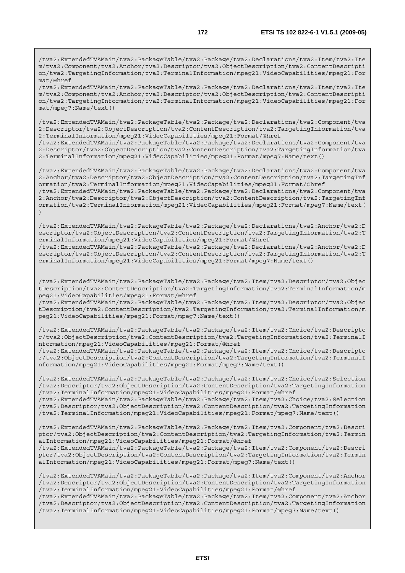/tva2:ExtendedTVAMain/tva2:PackageTable/tva2:Package/tva2:Declarations/tva2:Item/tva2:Ite m/tva2:Component/tva2:Anchor/tva2:Descriptor/tva2:ObjectDescription/tva2:ContentDescripti on/tva2:TargetingInformation/tva2:TerminalInformation/mpeg21:VideoCapabilities/mpeg21:For mat/@href

/tva2:ExtendedTVAMain/tva2:PackageTable/tva2:Package/tva2:Declarations/tva2:Item/tva2:Ite m/tva2:Component/tva2:Anchor/tva2:Descriptor/tva2:ObjectDescription/tva2:ContentDescripti on/tva2:TargetingInformation/tva2:TerminalInformation/mpeg21:VideoCapabilities/mpeg21:For mat/mpeg7:Name/text()

/tva2:ExtendedTVAMain/tva2:PackageTable/tva2:Package/tva2:Declarations/tva2:Component/tva 2:Descriptor/tva2:ObjectDescription/tva2:ContentDescription/tva2:TargetingInformation/tva 2:TerminalInformation/mpeg21:VideoCapabilities/mpeg21:Format/@href

/tva2:ExtendedTVAMain/tva2:PackageTable/tva2:Package/tva2:Declarations/tva2:Component/tva 2:Descriptor/tva2:ObjectDescription/tva2:ContentDescription/tva2:TargetingInformation/tva 2:TerminalInformation/mpeg21:VideoCapabilities/mpeg21:Format/mpeg7:Name/text()

/tva2:ExtendedTVAMain/tva2:PackageTable/tva2:Package/tva2:Declarations/tva2:Component/tva 2:Anchor/tva2:Descriptor/tva2:ObjectDescription/tva2:ContentDescription/tva2:TargetingInf ormation/tva2:TerminalInformation/mpeg21:VideoCapabilities/mpeg21:Format/@href /tva2:ExtendedTVAMain/tva2:PackageTable/tva2:Package/tva2:Declarations/tva2:Component/tva 2:Anchor/tva2:Descriptor/tva2:ObjectDescription/tva2:ContentDescription/tva2:TargetingInf ormation/tva2:TerminalInformation/mpeg21:VideoCapabilities/mpeg21:Format/mpeg7:Name/text(

)

/tva2:ExtendedTVAMain/tva2:PackageTable/tva2:Package/tva2:Declarations/tva2:Anchor/tva2:D escriptor/tva2:ObjectDescription/tva2:ContentDescription/tva2:TargetingInformation/tva2:T erminalInformation/mpeg21:VideoCapabilities/mpeg21:Format/@href /tva2:ExtendedTVAMain/tva2:PackageTable/tva2:Package/tva2:Declarations/tva2:Anchor/tva2:D

escriptor/tva2:ObjectDescription/tva2:ContentDescription/tva2:TargetingInformation/tva2:T erminalInformation/mpeg21:VideoCapabilities/mpeg21:Format/mpeg7:Name/text()

/tva2:ExtendedTVAMain/tva2:PackageTable/tva2:Package/tva2:Item/tva2:Descriptor/tva2:Objec tDescription/tva2:ContentDescription/tva2:TargetingInformation/tva2:TerminalInformation/m peg21:VideoCapabilities/mpeg21:Format/@href

/tva2:ExtendedTVAMain/tva2:PackageTable/tva2:Package/tva2:Item/tva2:Descriptor/tva2:Objec tDescription/tva2:ContentDescription/tva2:TargetingInformation/tva2:TerminalInformation/m peg21:VideoCapabilities/mpeg21:Format/mpeg7:Name/text()

/tva2:ExtendedTVAMain/tva2:PackageTable/tva2:Package/tva2:Item/tva2:Choice/tva2:Descripto r/tva2:ObjectDescription/tva2:ContentDescription/tva2:TargetingInformation/tva2:TerminalI nformation/mpeg21:VideoCapabilities/mpeg21:Format/@href

/tva2:ExtendedTVAMain/tva2:PackageTable/tva2:Package/tva2:Item/tva2:Choice/tva2:Descripto r/tva2:ObjectDescription/tva2:ContentDescription/tva2:TargetingInformation/tva2:TerminalI nformation/mpeg21:VideoCapabilities/mpeg21:Format/mpeg7:Name/text()

/tva2:ExtendedTVAMain/tva2:PackageTable/tva2:Package/tva2:Item/tva2:Choice/tva2:Selection /tva2:Descriptor/tva2:ObjectDescription/tva2:ContentDescription/tva2:TargetingInformation /tva2:TerminalInformation/mpeg21:VideoCapabilities/mpeg21:Format/@href

/tva2:ExtendedTVAMain/tva2:PackageTable/tva2:Package/tva2:Item/tva2:Choice/tva2:Selection /tva2:Descriptor/tva2:ObjectDescription/tva2:ContentDescription/tva2:TargetingInformation /tva2:TerminalInformation/mpeg21:VideoCapabilities/mpeg21:Format/mpeg7:Name/text()

/tva2:ExtendedTVAMain/tva2:PackageTable/tva2:Package/tva2:Item/tva2:Component/tva2:Descri ptor/tva2:ObjectDescription/tva2:ContentDescription/tva2:TargetingInformation/tva2:Termin alInformation/mpeg21:VideoCapabilities/mpeg21:Format/@href

/tva2:ExtendedTVAMain/tva2:PackageTable/tva2:Package/tva2:Item/tva2:Component/tva2:Descri ptor/tva2:ObjectDescription/tva2:ContentDescription/tva2:TargetingInformation/tva2:Termin alInformation/mpeg21:VideoCapabilities/mpeg21:Format/mpeg7:Name/text()

/tva2:ExtendedTVAMain/tva2:PackageTable/tva2:Package/tva2:Item/tva2:Component/tva2:Anchor /tva2:Descriptor/tva2:ObjectDescription/tva2:ContentDescription/tva2:TargetingInformation /tva2:TerminalInformation/mpeg21:VideoCapabilities/mpeg21:Format/@href

/tva2:ExtendedTVAMain/tva2:PackageTable/tva2:Package/tva2:Item/tva2:Component/tva2:Anchor /tva2:Descriptor/tva2:ObjectDescription/tva2:ContentDescription/tva2:TargetingInformation /tva2:TerminalInformation/mpeg21:VideoCapabilities/mpeg21:Format/mpeg7:Name/text()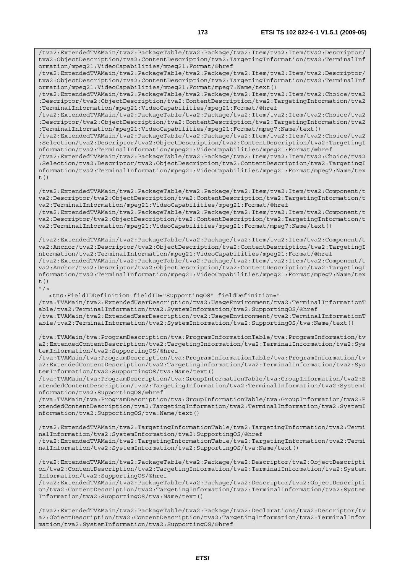/tva2:ExtendedTVAMain/tva2:PackageTable/tva2:Package/tva2:Item/tva2:Item/tva2:Descriptor/ tva2:ObjectDescription/tva2:ContentDescription/tva2:TargetingInformation/tva2:TerminalInf ormation/mpeg21:VideoCapabilities/mpeg21:Format/@href /tva2:ExtendedTVAMain/tva2:PackageTable/tva2:Package/tva2:Item/tva2:Item/tva2:Descriptor/ tva2:ObjectDescription/tva2:ContentDescription/tva2:TargetingInformation/tva2:TerminalInf ormation/mpeg21:VideoCapabilities/mpeg21:Format/mpeg7:Name/text()

/tva2:ExtendedTVAMain/tva2:PackageTable/tva2:Package/tva2:Item/tva2:Item/tva2:Choice/tva2 :Descriptor/tva2:ObjectDescription/tva2:ContentDescription/tva2:TargetingInformation/tva2 :TerminalInformation/mpeg21:VideoCapabilities/mpeg21:Format/@href

/tva2:ExtendedTVAMain/tva2:PackageTable/tva2:Package/tva2:Item/tva2:Item/tva2:Choice/tva2 :Descriptor/tva2:ObjectDescription/tva2:ContentDescription/tva2:TargetingInformation/tva2 :TerminalInformation/mpeg21:VideoCapabilities/mpeg21:Format/mpeg7:Name/text()

/tva2:ExtendedTVAMain/tva2:PackageTable/tva2:Package/tva2:Item/tva2:Item/tva2:Choice/tva2 :Selection/tva2:Descriptor/tva2:ObjectDescription/tva2:ContentDescription/tva2:TargetingI nformation/tva2:TerminalInformation/mpeg21:VideoCapabilities/mpeg21:Format/@href

/tva2:ExtendedTVAMain/tva2:PackageTable/tva2:Package/tva2:Item/tva2:Item/tva2:Choice/tva2 :Selection/tva2:Descriptor/tva2:ObjectDescription/tva2:ContentDescription/tva2:TargetingI nformation/tva2:TerminalInformation/mpeg21:VideoCapabilities/mpeg21:Format/mpeg7:Name/tex  $t($ )

/tva2:ExtendedTVAMain/tva2:PackageTable/tva2:Package/tva2:Item/tva2:Item/tva2:Component/t va2:Descriptor/tva2:ObjectDescription/tva2:ContentDescription/tva2:TargetingInformation/t va2:TerminalInformation/mpeg21:VideoCapabilities/mpeg21:Format/@href /tva2:ExtendedTVAMain/tva2:PackageTable/tva2:Package/tva2:Item/tva2:Item/tva2:Component/t

va2:Descriptor/tva2:ObjectDescription/tva2:ContentDescription/tva2:TargetingInformation/t va2:TerminalInformation/mpeg21:VideoCapabilities/mpeg21:Format/mpeg7:Name/text()

/tva2:ExtendedTVAMain/tva2:PackageTable/tva2:Package/tva2:Item/tva2:Item/tva2:Component/t va2:Anchor/tva2:Descriptor/tva2:ObjectDescription/tva2:ContentDescription/tva2:TargetingI nformation/tva2:TerminalInformation/mpeg21:VideoCapabilities/mpeg21:Format/@href /tva2:ExtendedTVAMain/tva2:PackageTable/tva2:Package/tva2:Item/tva2:Item/tva2:Component/t va2:Anchor/tva2:Descriptor/tva2:ObjectDescription/tva2:ContentDescription/tva2:TargetingI nformation/tva2:TerminalInformation/mpeg21:VideoCapabilities/mpeg21:Format/mpeg7:Name/tex  $+$  ()

 $"$  />

 <tns:FieldIDDefinition fieldID="SupportingOS" fieldDefinition=" /tva:TVAMain/tva2:ExtendedUserDescription/tva2:UsageEnvironment/tva2:TerminalInformationT able/tva2:TerminalInformation/tva2:SystemInformation/tva2:SupportingOS/@href /tva:TVAMain/tva2:ExtendedUserDescription/tva2:UsageEnvironment/tva2:TerminalInformationT able/tva2:TerminalInformation/tva2:SystemInformation/tva2:SupportingOS/tva:Name/text()

/tva:TVAMain/tva:ProgramDescription/tva:ProgramInformationTable/tva:ProgramInformation/tv a2:ExtendedContentDescription/tva2:TargetingInformation/tva2:TerminalInformation/tva2:Sys temInformation/tva2:SupportingOS/@href

/tva:TVAMain/tva:ProgramDescription/tva:ProgramInformationTable/tva:ProgramInformation/tv a2:ExtendedContentDescription/tva2:TargetingInformation/tva2:TerminalInformation/tva2:Sys temInformation/tva2:SupportingOS/tva:Name/text()

/tva:TVAMain/tva:ProgramDescription/tva:GroupInformationTable/tva:GroupInformation/tva2:E xtendedContentDescription/tva2:TargetingInformation/tva2:TerminalInformation/tva2:SystemI nformation/tva2:SupportingOS/@href

/tva:TVAMain/tva:ProgramDescription/tva:GroupInformationTable/tva:GroupInformation/tva2:E xtendedContentDescription/tva2:TargetingInformation/tva2:TerminalInformation/tva2:SystemI nformation/tva2:SupportingOS/tva:Name/text()

/tva2:ExtendedTVAMain/tva2:TargetingInformationTable/tva2:TargetingInformation/tva2:Termi nalInformation/tva2:SystemInformation/tva2:SupportingOS/@href /tva2:ExtendedTVAMain/tva2:TargetingInformationTable/tva2:TargetingInformation/tva2:Termi nalInformation/tva2:SystemInformation/tva2:SupportingOS/tva:Name/text()

/tva2:ExtendedTVAMain/tva2:PackageTable/tva2:Package/tva2:Descriptor/tva2:ObjectDescripti on/tva2:ContentDescription/tva2:TargetingInformation/tva2:TerminalInformation/tva2:System Information/tva2:SupportingOS/@href

/tva2:ExtendedTVAMain/tva2:PackageTable/tva2:Package/tva2:Descriptor/tva2:ObjectDescripti on/tva2:ContentDescription/tva2:TargetingInformation/tva2:TerminalInformation/tva2:System Information/tva2:SupportingOS/tva:Name/text()

/tva2:ExtendedTVAMain/tva2:PackageTable/tva2:Package/tva2:Declarations/tva2:Descriptor/tv a2:ObjectDescription/tva2:ContentDescription/tva2:TargetingInformation/tva2:TerminalInfor mation/tva2:SystemInformation/tva2:SupportingOS/@href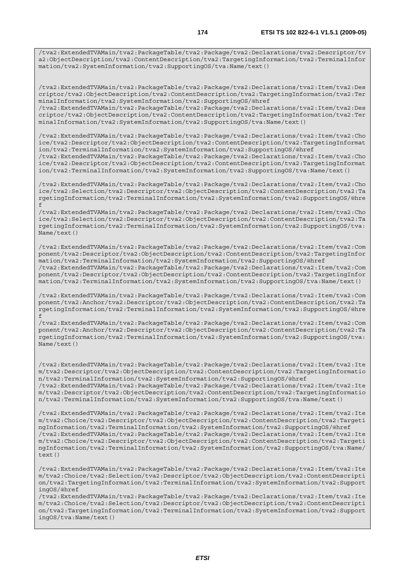/tva2:ExtendedTVAMain/tva2:PackageTable/tva2:Package/tva2:Declarations/tva2:Descriptor/tv a2:ObjectDescription/tva2:ContentDescription/tva2:TargetingInformation/tva2:TerminalInfor mation/tva2:SystemInformation/tva2:SupportingOS/tva:Name/text()

/tva2:ExtendedTVAMain/tva2:PackageTable/tva2:Package/tva2:Declarations/tva2:Item/tva2:Des criptor/tva2:ObjectDescription/tva2:ContentDescription/tva2:TargetingInformation/tva2:Ter minalInformation/tva2:SystemInformation/tva2:SupportingOS/@href /tva2:ExtendedTVAMain/tva2:PackageTable/tva2:Package/tva2:Declarations/tva2:Item/tva2:Des criptor/tva2:ObjectDescription/tva2:ContentDescription/tva2:TargetingInformation/tva2:Ter minalInformation/tva2:SystemInformation/tva2:SupportingOS/tva:Name/text()

/tva2:ExtendedTVAMain/tva2:PackageTable/tva2:Package/tva2:Declarations/tva2:Item/tva2:Cho ice/tva2:Descriptor/tva2:ObjectDescription/tva2:ContentDescription/tva2:TargetingInformat ion/tva2:TerminalInformation/tva2:SystemInformation/tva2:SupportingOS/@href /tva2:ExtendedTVAMain/tva2:PackageTable/tva2:Package/tva2:Declarations/tva2:Item/tva2:Cho ice/tva2:Descriptor/tva2:ObjectDescription/tva2:ContentDescription/tva2:TargetingInformat ion/tva2:TerminalInformation/tva2:SystemInformation/tva2:SupportingOS/tva:Name/text()

/tva2:ExtendedTVAMain/tva2:PackageTable/tva2:Package/tva2:Declarations/tva2:Item/tva2:Cho ice/tva2:Selection/tva2:Descriptor/tva2:ObjectDescription/tva2:ContentDescription/tva2:Ta rgetingInformation/tva2:TerminalInformation/tva2:SystemInformation/tva2:SupportingOS/@hre f

/tva2:ExtendedTVAMain/tva2:PackageTable/tva2:Package/tva2:Declarations/tva2:Item/tva2:Cho ice/tva2:Selection/tva2:Descriptor/tva2:ObjectDescription/tva2:ContentDescription/tva2:Ta rgetingInformation/tva2:TerminalInformation/tva2:SystemInformation/tva2:SupportingOS/tva: Name/text()

/tva2:ExtendedTVAMain/tva2:PackageTable/tva2:Package/tva2:Declarations/tva2:Item/tva2:Com ponent/tva2:Descriptor/tva2:ObjectDescription/tva2:ContentDescription/tva2:TargetingInfor mation/tva2:TerminalInformation/tva2:SystemInformation/tva2:SupportingOS/@href /tva2:ExtendedTVAMain/tva2:PackageTable/tva2:Package/tva2:Declarations/tva2:Item/tva2:Com ponent/tva2:Descriptor/tva2:ObjectDescription/tva2:ContentDescription/tva2:TargetingInfor mation/tva2:TerminalInformation/tva2:SystemInformation/tva2:SupportingOS/tva:Name/text()

/tva2:ExtendedTVAMain/tva2:PackageTable/tva2:Package/tva2:Declarations/tva2:Item/tva2:Com ponent/tva2:Anchor/tva2:Descriptor/tva2:ObjectDescription/tva2:ContentDescription/tva2:Ta rgetingInformation/tva2:TerminalInformation/tva2:SystemInformation/tva2:SupportingOS/@hre f

/tva2:ExtendedTVAMain/tva2:PackageTable/tva2:Package/tva2:Declarations/tva2:Item/tva2:Com ponent/tva2:Anchor/tva2:Descriptor/tva2:ObjectDescription/tva2:ContentDescription/tva2:Ta rgetingInformation/tva2:TerminalInformation/tva2:SystemInformation/tva2:SupportingOS/tva: Name/text()

/tva2:ExtendedTVAMain/tva2:PackageTable/tva2:Package/tva2:Declarations/tva2:Item/tva2:Ite m/tva2:Descriptor/tva2:ObjectDescription/tva2:ContentDescription/tva2:TargetingInformatio n/tva2:TerminalInformation/tva2:SystemInformation/tva2:SupportingOS/@href /tva2:ExtendedTVAMain/tva2:PackageTable/tva2:Package/tva2:Declarations/tva2:Item/tva2:Ite m/tva2:Descriptor/tva2:ObjectDescription/tva2:ContentDescription/tva2:TargetingInformatio n/tva2:TerminalInformation/tva2:SystemInformation/tva2:SupportingOS/tva:Name/text()

/tva2:ExtendedTVAMain/tva2:PackageTable/tva2:Package/tva2:Declarations/tva2:Item/tva2:Ite m/tva2:Choice/tva2:Descriptor/tva2:ObjectDescription/tva2:ContentDescription/tva2:Targeti ngInformation/tva2:TerminalInformation/tva2:SystemInformation/tva2:SupportingOS/@href /tva2:ExtendedTVAMain/tva2:PackageTable/tva2:Package/tva2:Declarations/tva2:Item/tva2:Ite m/tva2:Choice/tva2:Descriptor/tva2:ObjectDescription/tva2:ContentDescription/tva2:Targeti ngInformation/tva2:TerminalInformation/tva2:SystemInformation/tva2:SupportingOS/tva:Name/  $t \in x + (x)$ 

/tva2:ExtendedTVAMain/tva2:PackageTable/tva2:Package/tva2:Declarations/tva2:Item/tva2:Ite m/tva2:Choice/tva2:Selection/tva2:Descriptor/tva2:ObjectDescription/tva2:ContentDescripti on/tva2:TargetingInformation/tva2:TerminalInformation/tva2:SystemInformation/tva2:Support ingOS/@href

/tva2:ExtendedTVAMain/tva2:PackageTable/tva2:Package/tva2:Declarations/tva2:Item/tva2:Ite m/tva2:Choice/tva2:Selection/tva2:Descriptor/tva2:ObjectDescription/tva2:ContentDescripti on/tva2:TargetingInformation/tva2:TerminalInformation/tva2:SystemInformation/tva2:Support ingOS/tva:Name/text()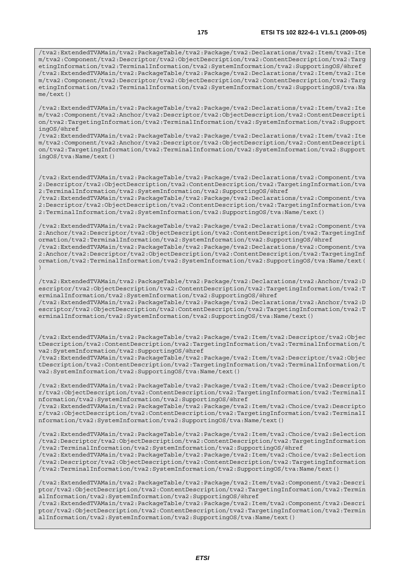/tva2:ExtendedTVAMain/tva2:PackageTable/tva2:Package/tva2:Declarations/tva2:Item/tva2:Ite m/tva2:Component/tva2:Descriptor/tva2:ObjectDescription/tva2:ContentDescription/tva2:Targ etingInformation/tva2:TerminalInformation/tva2:SystemInformation/tva2:SupportingOS/@href /tva2:ExtendedTVAMain/tva2:PackageTable/tva2:Package/tva2:Declarations/tva2:Item/tva2:Ite m/tva2:Component/tva2:Descriptor/tva2:ObjectDescription/tva2:ContentDescription/tva2:Targ etingInformation/tva2:TerminalInformation/tva2:SystemInformation/tva2:SupportingOS/tva:Na me/text()

/tva2:ExtendedTVAMain/tva2:PackageTable/tva2:Package/tva2:Declarations/tva2:Item/tva2:Ite m/tva2:Component/tva2:Anchor/tva2:Descriptor/tva2:ObjectDescription/tva2:ContentDescripti on/tva2:TargetingInformation/tva2:TerminalInformation/tva2:SystemInformation/tva2:Support ingOS/@href

/tva2:ExtendedTVAMain/tva2:PackageTable/tva2:Package/tva2:Declarations/tva2:Item/tva2:Ite m/tva2:Component/tva2:Anchor/tva2:Descriptor/tva2:ObjectDescription/tva2:ContentDescripti on/tva2:TargetingInformation/tva2:TerminalInformation/tva2:SystemInformation/tva2:Support ingOS/tva:Name/text()

/tva2:ExtendedTVAMain/tva2:PackageTable/tva2:Package/tva2:Declarations/tva2:Component/tva 2:Descriptor/tva2:ObjectDescription/tva2:ContentDescription/tva2:TargetingInformation/tva 2:TerminalInformation/tva2:SystemInformation/tva2:SupportingOS/@href

/tva2:ExtendedTVAMain/tva2:PackageTable/tva2:Package/tva2:Declarations/tva2:Component/tva 2:Descriptor/tva2:ObjectDescription/tva2:ContentDescription/tva2:TargetingInformation/tva 2:TerminalInformation/tva2:SystemInformation/tva2:SupportingOS/tva:Name/text()

/tva2:ExtendedTVAMain/tva2:PackageTable/tva2:Package/tva2:Declarations/tva2:Component/tva 2:Anchor/tva2:Descriptor/tva2:ObjectDescription/tva2:ContentDescription/tva2:TargetingInf ormation/tva2:TerminalInformation/tva2:SystemInformation/tva2:SupportingOS/@href /tva2:ExtendedTVAMain/tva2:PackageTable/tva2:Package/tva2:Declarations/tva2:Component/tva 2:Anchor/tva2:Descriptor/tva2:ObjectDescription/tva2:ContentDescription/tva2:TargetingInf ormation/tva2:TerminalInformation/tva2:SystemInformation/tva2:SupportingOS/tva:Name/text(

)

/tva2:ExtendedTVAMain/tva2:PackageTable/tva2:Package/tva2:Declarations/tva2:Anchor/tva2:D escriptor/tva2:ObjectDescription/tva2:ContentDescription/tva2:TargetingInformation/tva2:T erminalInformation/tva2:SystemInformation/tva2:SupportingOS/@href /tva2:ExtendedTVAMain/tva2:PackageTable/tva2:Package/tva2:Declarations/tva2:Anchor/tva2:D escriptor/tva2:ObjectDescription/tva2:ContentDescription/tva2:TargetingInformation/tva2:T erminalInformation/tva2:SystemInformation/tva2:SupportingOS/tva:Name/text()

/tva2:ExtendedTVAMain/tva2:PackageTable/tva2:Package/tva2:Item/tva2:Descriptor/tva2:Objec tDescription/tva2:ContentDescription/tva2:TargetingInformation/tva2:TerminalInformation/t va2:SystemInformation/tva2:SupportingOS/@href

/tva2:ExtendedTVAMain/tva2:PackageTable/tva2:Package/tva2:Item/tva2:Descriptor/tva2:Objec tDescription/tva2:ContentDescription/tva2:TargetingInformation/tva2:TerminalInformation/t va2:SystemInformation/tva2:SupportingOS/tva:Name/text()

/tva2:ExtendedTVAMain/tva2:PackageTable/tva2:Package/tva2:Item/tva2:Choice/tva2:Descripto r/tva2:ObjectDescription/tva2:ContentDescription/tva2:TargetingInformation/tva2:TerminalI nformation/tva2:SystemInformation/tva2:SupportingOS/@href

/tva2:ExtendedTVAMain/tva2:PackageTable/tva2:Package/tva2:Item/tva2:Choice/tva2:Descripto r/tva2:ObjectDescription/tva2:ContentDescription/tva2:TargetingInformation/tva2:TerminalI nformation/tva2:SystemInformation/tva2:SupportingOS/tva:Name/text()

/tva2:ExtendedTVAMain/tva2:PackageTable/tva2:Package/tva2:Item/tva2:Choice/tva2:Selection /tva2:Descriptor/tva2:ObjectDescription/tva2:ContentDescription/tva2:TargetingInformation /tva2:TerminalInformation/tva2:SystemInformation/tva2:SupportingOS/@href

/tva2:ExtendedTVAMain/tva2:PackageTable/tva2:Package/tva2:Item/tva2:Choice/tva2:Selection /tva2:Descriptor/tva2:ObjectDescription/tva2:ContentDescription/tva2:TargetingInformation /tva2:TerminalInformation/tva2:SystemInformation/tva2:SupportingOS/tva:Name/text()

/tva2:ExtendedTVAMain/tva2:PackageTable/tva2:Package/tva2:Item/tva2:Component/tva2:Descri ptor/tva2:ObjectDescription/tva2:ContentDescription/tva2:TargetingInformation/tva2:Termin alInformation/tva2:SystemInformation/tva2:SupportingOS/@href /tva2:ExtendedTVAMain/tva2:PackageTable/tva2:Package/tva2:Item/tva2:Component/tva2:Descri ptor/tva2:ObjectDescription/tva2:ContentDescription/tva2:TargetingInformation/tva2:Termin alInformation/tva2:SystemInformation/tva2:SupportingOS/tva:Name/text()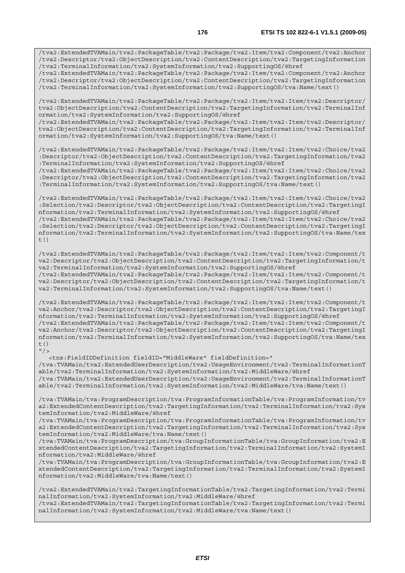/tva2:ExtendedTVAMain/tva2:PackageTable/tva2:Package/tva2:Item/tva2:Component/tva2:Anchor /tva2:Descriptor/tva2:ObjectDescription/tva2:ContentDescription/tva2:TargetingInformation /tva2:TerminalInformation/tva2:SystemInformation/tva2:SupportingOS/@href

/tva2:ExtendedTVAMain/tva2:PackageTable/tva2:Package/tva2:Item/tva2:Component/tva2:Anchor /tva2:Descriptor/tva2:ObjectDescription/tva2:ContentDescription/tva2:TargetingInformation /tva2:TerminalInformation/tva2:SystemInformation/tva2:SupportingOS/tva:Name/text()

/tva2:ExtendedTVAMain/tva2:PackageTable/tva2:Package/tva2:Item/tva2:Item/tva2:Descriptor/ tva2:ObjectDescription/tva2:ContentDescription/tva2:TargetingInformation/tva2:TerminalInf ormation/tva2:SystemInformation/tva2:SupportingOS/@href /tva2:ExtendedTVAMain/tva2:PackageTable/tva2:Package/tva2:Item/tva2:Item/tva2:Descriptor/ tva2:ObjectDescription/tva2:ContentDescription/tva2:TargetingInformation/tva2:TerminalInf ormation/tva2:SystemInformation/tva2:SupportingOS/tva:Name/text()

/tva2:ExtendedTVAMain/tva2:PackageTable/tva2:Package/tva2:Item/tva2:Item/tva2:Choice/tva2 :Descriptor/tva2:ObjectDescription/tva2:ContentDescription/tva2:TargetingInformation/tva2 :TerminalInformation/tva2:SystemInformation/tva2:SupportingOS/@href

/tva2:ExtendedTVAMain/tva2:PackageTable/tva2:Package/tva2:Item/tva2:Item/tva2:Choice/tva2 :Descriptor/tva2:ObjectDescription/tva2:ContentDescription/tva2:TargetingInformation/tva2 :TerminalInformation/tva2:SystemInformation/tva2:SupportingOS/tva:Name/text()

/tva2:ExtendedTVAMain/tva2:PackageTable/tva2:Package/tva2:Item/tva2:Item/tva2:Choice/tva2 :Selection/tva2:Descriptor/tva2:ObjectDescription/tva2:ContentDescription/tva2:TargetingI nformation/tva2:TerminalInformation/tva2:SystemInformation/tva2:SupportingOS/@href /tva2:ExtendedTVAMain/tva2:PackageTable/tva2:Package/tva2:Item/tva2:Item/tva2:Choice/tva2 :Selection/tva2:Descriptor/tva2:ObjectDescription/tva2:ContentDescription/tva2:TargetingI nformation/tva2:TerminalInformation/tva2:SystemInformation/tva2:SupportingOS/tva:Name/tex  $t()$ 

/tva2:ExtendedTVAMain/tva2:PackageTable/tva2:Package/tva2:Item/tva2:Item/tva2:Component/t va2:Descriptor/tva2:ObjectDescription/tva2:ContentDescription/tva2:TargetingInformation/t va2:TerminalInformation/tva2:SystemInformation/tva2:SupportingOS/@href /tva2:ExtendedTVAMain/tva2:PackageTable/tva2:Package/tva2:Item/tva2:Item/tva2:Component/t va2:Descriptor/tva2:ObjectDescription/tva2:ContentDescription/tva2:TargetingInformation/t va2:TerminalInformation/tva2:SystemInformation/tva2:SupportingOS/tva:Name/text()

/tva2:ExtendedTVAMain/tva2:PackageTable/tva2:Package/tva2:Item/tva2:Item/tva2:Component/t va2:Anchor/tva2:Descriptor/tva2:ObjectDescription/tva2:ContentDescription/tva2:TargetingI nformation/tva2:TerminalInformation/tva2:SystemInformation/tva2:SupportingOS/@href /tva2:ExtendedTVAMain/tva2:PackageTable/tva2:Package/tva2:Item/tva2:Item/tva2:Component/t va2:Anchor/tva2:Descriptor/tva2:ObjectDescription/tva2:ContentDescription/tva2:TargetingI nformation/tva2:TerminalInformation/tva2:SystemInformation/tva2:SupportingOS/tva:Name/tex t()  $"$  />

 <tns:FieldIDDefinition fieldID="MiddleWare" fieldDefinition=" /tva:TVAMain/tva2:ExtendedUserDescription/tva2:UsageEnvironment/tva2:TerminalInformationT able/tva2:TerminalInformation/tva2:SystemInformation/tva2:MiddleWare/@href /tva:TVAMain/tva2:ExtendedUserDescription/tva2:UsageEnvironment/tva2:TerminalInformationT able/tva2:TerminalInformation/tva2:SystemInformation/tva2:MiddleWare/tva:Name/text()

/tva:TVAMain/tva:ProgramDescription/tva:ProgramInformationTable/tva:ProgramInformation/tv a2:ExtendedContentDescription/tva2:TargetingInformation/tva2:TerminalInformation/tva2:Sys temInformation/tva2:MiddleWare/@href

/tva:TVAMain/tva:ProgramDescription/tva:ProgramInformationTable/tva:ProgramInformation/tv a2:ExtendedContentDescription/tva2:TargetingInformation/tva2:TerminalInformation/tva2:Sys temInformation/tva2:MiddleWare/tva:Name/text()

/tva:TVAMain/tva:ProgramDescription/tva:GroupInformationTable/tva:GroupInformation/tva2:E xtendedContentDescription/tva2:TargetingInformation/tva2:TerminalInformation/tva2:SystemI nformation/tva2:MiddleWare/@href

/tva:TVAMain/tva:ProgramDescription/tva:GroupInformationTable/tva:GroupInformation/tva2:E xtendedContentDescription/tva2:TargetingInformation/tva2:TerminalInformation/tva2:SystemI nformation/tva2:MiddleWare/tva:Name/text()

/tva2:ExtendedTVAMain/tva2:TargetingInformationTable/tva2:TargetingInformation/tva2:Termi nalInformation/tva2:SystemInformation/tva2:MiddleWare/@href /tva2:ExtendedTVAMain/tva2:TargetingInformationTable/tva2:TargetingInformation/tva2:Termi

nalInformation/tva2:SystemInformation/tva2:MiddleWare/tva:Name/text()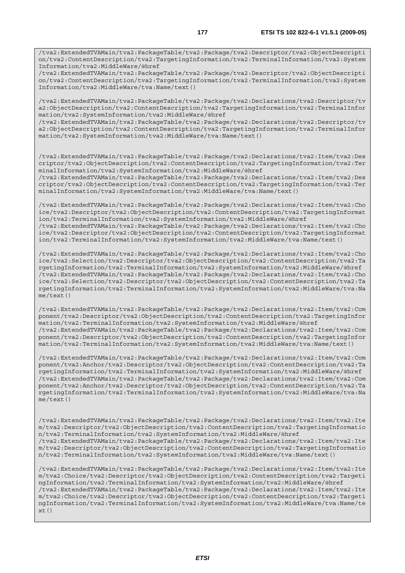Information/tva2:MiddleWare/@href /tva2:ExtendedTVAMain/tva2:PackageTable/tva2:Package/tva2:Descriptor/tva2:ObjectDescripti on/tva2:ContentDescription/tva2:TargetingInformation/tva2:TerminalInformation/tva2:System Information/tva2:MiddleWare/tva:Name/text()

/tva2:ExtendedTVAMain/tva2:PackageTable/tva2:Package/tva2:Declarations/tva2:Descriptor/tv a2:ObjectDescription/tva2:ContentDescription/tva2:TargetingInformation/tva2:TerminalInfor mation/tva2:SystemInformation/tva2:MiddleWare/@href

/tva2:ExtendedTVAMain/tva2:PackageTable/tva2:Package/tva2:Declarations/tva2:Descriptor/tv a2:ObjectDescription/tva2:ContentDescription/tva2:TargetingInformation/tva2:TerminalInfor mation/tva2:SystemInformation/tva2:MiddleWare/tva:Name/text()

/tva2:ExtendedTVAMain/tva2:PackageTable/tva2:Package/tva2:Declarations/tva2:Item/tva2:Des criptor/tva2:ObjectDescription/tva2:ContentDescription/tva2:TargetingInformation/tva2:Ter minalInformation/tva2:SystemInformation/tva2:MiddleWare/@href

/tva2:ExtendedTVAMain/tva2:PackageTable/tva2:Package/tva2:Declarations/tva2:Item/tva2:Des criptor/tva2:ObjectDescription/tva2:ContentDescription/tva2:TargetingInformation/tva2:Ter minalInformation/tva2:SystemInformation/tva2:MiddleWare/tva:Name/text()

/tva2:ExtendedTVAMain/tva2:PackageTable/tva2:Package/tva2:Declarations/tva2:Item/tva2:Cho ice/tva2:Descriptor/tva2:ObjectDescription/tva2:ContentDescription/tva2:TargetingInformat ion/tva2:TerminalInformation/tva2:SystemInformation/tva2:MiddleWare/@href /tva2:ExtendedTVAMain/tva2:PackageTable/tva2:Package/tva2:Declarations/tva2:Item/tva2:Cho ice/tva2:Descriptor/tva2:ObjectDescription/tva2:ContentDescription/tva2:TargetingInformat ion/tva2:TerminalInformation/tva2:SystemInformation/tva2:MiddleWare/tva:Name/text()

/tva2:ExtendedTVAMain/tva2:PackageTable/tva2:Package/tva2:Declarations/tva2:Item/tva2:Cho ice/tva2:Selection/tva2:Descriptor/tva2:ObjectDescription/tva2:ContentDescription/tva2:Ta rgetingInformation/tva2:TerminalInformation/tva2:SystemInformation/tva2:MiddleWare/@href /tva2:ExtendedTVAMain/tva2:PackageTable/tva2:Package/tva2:Declarations/tva2:Item/tva2:Cho ice/tva2:Selection/tva2:Descriptor/tva2:ObjectDescription/tva2:ContentDescription/tva2:Ta rgetingInformation/tva2:TerminalInformation/tva2:SystemInformation/tva2:MiddleWare/tva:Na me/text()

/tva2:ExtendedTVAMain/tva2:PackageTable/tva2:Package/tva2:Declarations/tva2:Item/tva2:Com ponent/tva2:Descriptor/tva2:ObjectDescription/tva2:ContentDescription/tva2:TargetingInfor mation/tva2:TerminalInformation/tva2:SystemInformation/tva2:MiddleWare/@href /tva2:ExtendedTVAMain/tva2:PackageTable/tva2:Package/tva2:Declarations/tva2:Item/tva2:Com ponent/tva2:Descriptor/tva2:ObjectDescription/tva2:ContentDescription/tva2:TargetingInfor mation/tva2:TerminalInformation/tva2:SystemInformation/tva2:MiddleWare/tva:Name/text()

/tva2:ExtendedTVAMain/tva2:PackageTable/tva2:Package/tva2:Declarations/tva2:Item/tva2:Com ponent/tva2:Anchor/tva2:Descriptor/tva2:ObjectDescription/tva2:ContentDescription/tva2:Ta rgetingInformation/tva2:TerminalInformation/tva2:SystemInformation/tva2:MiddleWare/@href /tva2:ExtendedTVAMain/tva2:PackageTable/tva2:Package/tva2:Declarations/tva2:Item/tva2:Com ponent/tva2:Anchor/tva2:Descriptor/tva2:ObjectDescription/tva2:ContentDescription/tva2:Ta rgetingInformation/tva2:TerminalInformation/tva2:SystemInformation/tva2:MiddleWare/tva:Na me/text()

/tva2:ExtendedTVAMain/tva2:PackageTable/tva2:Package/tva2:Declarations/tva2:Item/tva2:Ite m/tva2:Descriptor/tva2:ObjectDescription/tva2:ContentDescription/tva2:TargetingInformatio n/tva2:TerminalInformation/tva2:SystemInformation/tva2:MiddleWare/@href /tva2:ExtendedTVAMain/tva2:PackageTable/tva2:Package/tva2:Declarations/tva2:Item/tva2:Ite m/tva2:Descriptor/tva2:ObjectDescription/tva2:ContentDescription/tva2:TargetingInformatio n/tva2:TerminalInformation/tva2:SystemInformation/tva2:MiddleWare/tva:Name/text()

/tva2:ExtendedTVAMain/tva2:PackageTable/tva2:Package/tva2:Declarations/tva2:Item/tva2:Ite m/tva2:Choice/tva2:Descriptor/tva2:ObjectDescription/tva2:ContentDescription/tva2:Targeti ngInformation/tva2:TerminalInformation/tva2:SystemInformation/tva2:MiddleWare/@href /tva2:ExtendedTVAMain/tva2:PackageTable/tva2:Package/tva2:Declarations/tva2:Item/tva2:Ite m/tva2:Choice/tva2:Descriptor/tva2:ObjectDescription/tva2:ContentDescription/tva2:Targeti ngInformation/tva2:TerminalInformation/tva2:SystemInformation/tva2:MiddleWare/tva:Name/te  $xt()$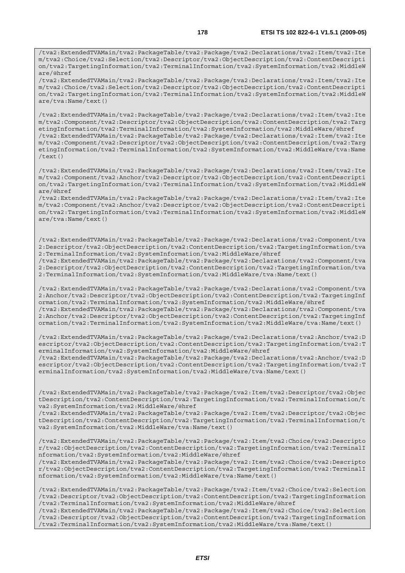/tva2:ExtendedTVAMain/tva2:PackageTable/tva2:Package/tva2:Declarations/tva2:Item/tva2:Ite m/tva2:Choice/tva2:Selection/tva2:Descriptor/tva2:ObjectDescription/tva2:ContentDescripti on/tva2:TargetingInformation/tva2:TerminalInformation/tva2:SystemInformation/tva2:MiddleW are/tva:Name/text()

/tva2:ExtendedTVAMain/tva2:PackageTable/tva2:Package/tva2:Declarations/tva2:Item/tva2:Ite m/tva2:Component/tva2:Descriptor/tva2:ObjectDescription/tva2:ContentDescription/tva2:Targ etingInformation/tva2:TerminalInformation/tva2:SystemInformation/tva2:MiddleWare/@href /tva2:ExtendedTVAMain/tva2:PackageTable/tva2:Package/tva2:Declarations/tva2:Item/tva2:Ite m/tva2:Component/tva2:Descriptor/tva2:ObjectDescription/tva2:ContentDescription/tva2:Targ etingInformation/tva2:TerminalInformation/tva2:SystemInformation/tva2:MiddleWare/tva:Name /text()

/tva2:ExtendedTVAMain/tva2:PackageTable/tva2:Package/tva2:Declarations/tva2:Item/tva2:Ite m/tva2:Component/tva2:Anchor/tva2:Descriptor/tva2:ObjectDescription/tva2:ContentDescripti on/tva2:TargetingInformation/tva2:TerminalInformation/tva2:SystemInformation/tva2:MiddleW are/@href

/tva2:ExtendedTVAMain/tva2:PackageTable/tva2:Package/tva2:Declarations/tva2:Item/tva2:Ite m/tva2:Component/tva2:Anchor/tva2:Descriptor/tva2:ObjectDescription/tva2:ContentDescripti on/tva2:TargetingInformation/tva2:TerminalInformation/tva2:SystemInformation/tva2:MiddleW are/tva:Name/text()

/tva2:ExtendedTVAMain/tva2:PackageTable/tva2:Package/tva2:Declarations/tva2:Component/tva 2:Descriptor/tva2:ObjectDescription/tva2:ContentDescription/tva2:TargetingInformation/tva 2:TerminalInformation/tva2:SystemInformation/tva2:MiddleWare/@href

/tva2:ExtendedTVAMain/tva2:PackageTable/tva2:Package/tva2:Declarations/tva2:Component/tva 2:Descriptor/tva2:ObjectDescription/tva2:ContentDescription/tva2:TargetingInformation/tva 2:TerminalInformation/tva2:SystemInformation/tva2:MiddleWare/tva:Name/text()

/tva2:ExtendedTVAMain/tva2:PackageTable/tva2:Package/tva2:Declarations/tva2:Component/tva 2:Anchor/tva2:Descriptor/tva2:ObjectDescription/tva2:ContentDescription/tva2:TargetingInf ormation/tva2:TerminalInformation/tva2:SystemInformation/tva2:MiddleWare/@href /tva2:ExtendedTVAMain/tva2:PackageTable/tva2:Package/tva2:Declarations/tva2:Component/tva 2:Anchor/tva2:Descriptor/tva2:ObjectDescription/tva2:ContentDescription/tva2:TargetingInf ormation/tva2:TerminalInformation/tva2:SystemInformation/tva2:MiddleWare/tva:Name/text()

/tva2:ExtendedTVAMain/tva2:PackageTable/tva2:Package/tva2:Declarations/tva2:Anchor/tva2:D escriptor/tva2:ObjectDescription/tva2:ContentDescription/tva2:TargetingInformation/tva2:T erminalInformation/tva2:SystemInformation/tva2:MiddleWare/@href /tva2:ExtendedTVAMain/tva2:PackageTable/tva2:Package/tva2:Declarations/tva2:Anchor/tva2:D escriptor/tva2:ObjectDescription/tva2:ContentDescription/tva2:TargetingInformation/tva2:T erminalInformation/tva2:SystemInformation/tva2:MiddleWare/tva:Name/text()

/tva2:ExtendedTVAMain/tva2:PackageTable/tva2:Package/tva2:Item/tva2:Descriptor/tva2:Objec tDescription/tva2:ContentDescription/tva2:TargetingInformation/tva2:TerminalInformation/t va2:SystemInformation/tva2:MiddleWare/@href

/tva2:ExtendedTVAMain/tva2:PackageTable/tva2:Package/tva2:Item/tva2:Descriptor/tva2:Objec tDescription/tva2:ContentDescription/tva2:TargetingInformation/tva2:TerminalInformation/t va2:SystemInformation/tva2:MiddleWare/tva:Name/text()

/tva2:ExtendedTVAMain/tva2:PackageTable/tva2:Package/tva2:Item/tva2:Choice/tva2:Descripto r/tva2:ObjectDescription/tva2:ContentDescription/tva2:TargetingInformation/tva2:TerminalI nformation/tva2:SystemInformation/tva2:MiddleWare/@href

/tva2:ExtendedTVAMain/tva2:PackageTable/tva2:Package/tva2:Item/tva2:Choice/tva2:Descripto r/tva2:ObjectDescription/tva2:ContentDescription/tva2:TargetingInformation/tva2:TerminalI nformation/tva2:SystemInformation/tva2:MiddleWare/tva:Name/text()

/tva2:ExtendedTVAMain/tva2:PackageTable/tva2:Package/tva2:Item/tva2:Choice/tva2:Selection /tva2:Descriptor/tva2:ObjectDescription/tva2:ContentDescription/tva2:TargetingInformation /tva2:TerminalInformation/tva2:SystemInformation/tva2:MiddleWare/@href

/tva2:ExtendedTVAMain/tva2:PackageTable/tva2:Package/tva2:Item/tva2:Choice/tva2:Selection /tva2:Descriptor/tva2:ObjectDescription/tva2:ContentDescription/tva2:TargetingInformation /tva2:TerminalInformation/tva2:SystemInformation/tva2:MiddleWare/tva:Name/text()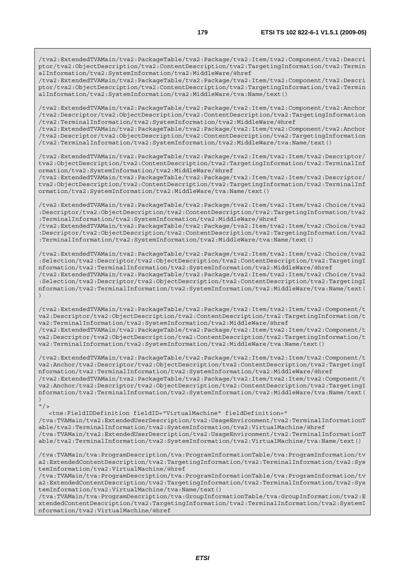/tva2:ExtendedTVAMain/tva2:PackageTable/tva2:Package/tva2:Item/tva2:Component/tva2:Descri ptor/tva2:ObjectDescription/tva2:ContentDescription/tva2:TargetingInformation/tva2:Termin alInformation/tva2:SystemInformation/tva2:MiddleWare/@href

/tva2:ExtendedTVAMain/tva2:PackageTable/tva2:Package/tva2:Item/tva2:Component/tva2:Descri ptor/tva2:ObjectDescription/tva2:ContentDescription/tva2:TargetingInformation/tva2:Termin alInformation/tva2:SystemInformation/tva2:MiddleWare/tva:Name/text()

/tva2:ExtendedTVAMain/tva2:PackageTable/tva2:Package/tva2:Item/tva2:Component/tva2:Anchor /tva2:Descriptor/tva2:ObjectDescription/tva2:ContentDescription/tva2:TargetingInformation /tva2:TerminalInformation/tva2:SystemInformation/tva2:MiddleWare/@href

/tva2:ExtendedTVAMain/tva2:PackageTable/tva2:Package/tva2:Item/tva2:Component/tva2:Anchor /tva2:Descriptor/tva2:ObjectDescription/tva2:ContentDescription/tva2:TargetingInformation /tva2:TerminalInformation/tva2:SystemInformation/tva2:MiddleWare/tva:Name/text()

/tva2:ExtendedTVAMain/tva2:PackageTable/tva2:Package/tva2:Item/tva2:Item/tva2:Descriptor/ tva2:ObjectDescription/tva2:ContentDescription/tva2:TargetingInformation/tva2:TerminalInf ormation/tva2:SystemInformation/tva2:MiddleWare/@href

/tva2:ExtendedTVAMain/tva2:PackageTable/tva2:Package/tva2:Item/tva2:Item/tva2:Descriptor/ tva2:ObjectDescription/tva2:ContentDescription/tva2:TargetingInformation/tva2:TerminalInf ormation/tva2:SystemInformation/tva2:MiddleWare/tva:Name/text()

/tva2:ExtendedTVAMain/tva2:PackageTable/tva2:Package/tva2:Item/tva2:Item/tva2:Choice/tva2 :Descriptor/tva2:ObjectDescription/tva2:ContentDescription/tva2:TargetingInformation/tva2 :TerminalInformation/tva2:SystemInformation/tva2:MiddleWare/@href

/tva2:ExtendedTVAMain/tva2:PackageTable/tva2:Package/tva2:Item/tva2:Item/tva2:Choice/tva2 :Descriptor/tva2:ObjectDescription/tva2:ContentDescription/tva2:TargetingInformation/tva2 :TerminalInformation/tva2:SystemInformation/tva2:MiddleWare/tva:Name/text()

/tva2:ExtendedTVAMain/tva2:PackageTable/tva2:Package/tva2:Item/tva2:Item/tva2:Choice/tva2 :Selection/tva2:Descriptor/tva2:ObjectDescription/tva2:ContentDescription/tva2:TargetingI nformation/tva2:TerminalInformation/tva2:SystemInformation/tva2:MiddleWare/@href /tva2:ExtendedTVAMain/tva2:PackageTable/tva2:Package/tva2:Item/tva2:Item/tva2:Choice/tva2 :Selection/tva2:Descriptor/tva2:ObjectDescription/tva2:ContentDescription/tva2:TargetingI nformation/tva2:TerminalInformation/tva2:SystemInformation/tva2:MiddleWare/tva:Name/text( )

/tva2:ExtendedTVAMain/tva2:PackageTable/tva2:Package/tva2:Item/tva2:Item/tva2:Component/t va2:Descriptor/tva2:ObjectDescription/tva2:ContentDescription/tva2:TargetingInformation/t va2:TerminalInformation/tva2:SystemInformation/tva2:MiddleWare/@href /tva2:ExtendedTVAMain/tva2:PackageTable/tva2:Package/tva2:Item/tva2:Item/tva2:Component/t va2:Descriptor/tva2:ObjectDescription/tva2:ContentDescription/tva2:TargetingInformation/t va2:TerminalInformation/tva2:SystemInformation/tva2:MiddleWare/tva:Name/text()

/tva2:ExtendedTVAMain/tva2:PackageTable/tva2:Package/tva2:Item/tva2:Item/tva2:Component/t va2:Anchor/tva2:Descriptor/tva2:ObjectDescription/tva2:ContentDescription/tva2:TargetingI nformation/tva2:TerminalInformation/tva2:SystemInformation/tva2:MiddleWare/@href /tva2:ExtendedTVAMain/tva2:PackageTable/tva2:Package/tva2:Item/tva2:Item/tva2:Component/t va2:Anchor/tva2:Descriptor/tva2:ObjectDescription/tva2:ContentDescription/tva2:TargetingI nformation/tva2:TerminalInformation/tva2:SystemInformation/tva2:MiddleWare/tva:Name/text( )

 $''/2$ 

 <tns:FieldIDDefinition fieldID="VirtualMachine" fieldDefinition=" /tva:TVAMain/tva2:ExtendedUserDescription/tva2:UsageEnvironment/tva2:TerminalInformationT able/tva2:TerminalInformation/tva2:SystemInformation/tva2:VirtualMachine/@href /tva:TVAMain/tva2:ExtendedUserDescription/tva2:UsageEnvironment/tva2:TerminalInformationT able/tva2:TerminalInformation/tva2:SystemInformation/tva2:VirtualMachine/tva:Name/text()

/tva:TVAMain/tva:ProgramDescription/tva:ProgramInformationTable/tva:ProgramInformation/tv a2:ExtendedContentDescription/tva2:TargetingInformation/tva2:TerminalInformation/tva2:Sys temInformation/tva2:VirtualMachine/@href

/tva:TVAMain/tva:ProgramDescription/tva:ProgramInformationTable/tva:ProgramInformation/tv a2:ExtendedContentDescription/tva2:TargetingInformation/tva2:TerminalInformation/tva2:Sys temInformation/tva2:VirtualMachine/tva:Name/text()

/tva:TVAMain/tva:ProgramDescription/tva:GroupInformationTable/tva:GroupInformation/tva2:E xtendedContentDescription/tva2:TargetingInformation/tva2:TerminalInformation/tva2:SystemI nformation/tva2:VirtualMachine/@href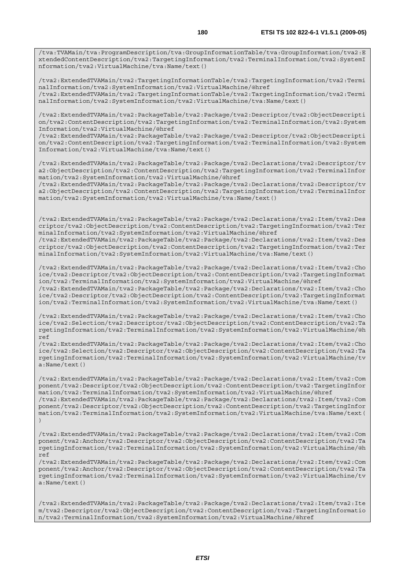/tva:TVAMain/tva:ProgramDescription/tva:GroupInformationTable/tva:GroupInformation/tva2:E xtendedContentDescription/tva2:TargetingInformation/tva2:TerminalInformation/tva2:SystemI nformation/tva2:VirtualMachine/tva:Name/text()

/tva2:ExtendedTVAMain/tva2:TargetingInformationTable/tva2:TargetingInformation/tva2:Termi nalInformation/tva2:SystemInformation/tva2:VirtualMachine/@href /tva2:ExtendedTVAMain/tva2:TargetingInformationTable/tva2:TargetingInformation/tva2:Termi nalInformation/tva2:SystemInformation/tva2:VirtualMachine/tva:Name/text()

/tva2:ExtendedTVAMain/tva2:PackageTable/tva2:Package/tva2:Descriptor/tva2:ObjectDescripti on/tva2:ContentDescription/tva2:TargetingInformation/tva2:TerminalInformation/tva2:System Information/tva2:VirtualMachine/@href

/tva2:ExtendedTVAMain/tva2:PackageTable/tva2:Package/tva2:Descriptor/tva2:ObjectDescripti on/tva2:ContentDescription/tva2:TargetingInformation/tva2:TerminalInformation/tva2:System Information/tva2:VirtualMachine/tva:Name/text()

/tva2:ExtendedTVAMain/tva2:PackageTable/tva2:Package/tva2:Declarations/tva2:Descriptor/tv a2:ObjectDescription/tva2:ContentDescription/tva2:TargetingInformation/tva2:TerminalInfor mation/tva2:SystemInformation/tva2:VirtualMachine/@href

/tva2:ExtendedTVAMain/tva2:PackageTable/tva2:Package/tva2:Declarations/tva2:Descriptor/tv a2:ObjectDescription/tva2:ContentDescription/tva2:TargetingInformation/tva2:TerminalInfor mation/tva2:SystemInformation/tva2:VirtualMachine/tva:Name/text()

/tva2:ExtendedTVAMain/tva2:PackageTable/tva2:Package/tva2:Declarations/tva2:Item/tva2:Des criptor/tva2:ObjectDescription/tva2:ContentDescription/tva2:TargetingInformation/tva2:Ter minalInformation/tva2:SystemInformation/tva2:VirtualMachine/@href /tva2:ExtendedTVAMain/tva2:PackageTable/tva2:Package/tva2:Declarations/tva2:Item/tva2:Des

criptor/tva2:ObjectDescription/tva2:ContentDescription/tva2:TargetingInformation/tva2:Ter minalInformation/tva2:SystemInformation/tva2:VirtualMachine/tva:Name/text()

/tva2:ExtendedTVAMain/tva2:PackageTable/tva2:Package/tva2:Declarations/tva2:Item/tva2:Cho ice/tva2:Descriptor/tva2:ObjectDescription/tva2:ContentDescription/tva2:TargetingInformat ion/tva2:TerminalInformation/tva2:SystemInformation/tva2:VirtualMachine/@href /tva2:ExtendedTVAMain/tva2:PackageTable/tva2:Package/tva2:Declarations/tva2:Item/tva2:Cho ice/tva2:Descriptor/tva2:ObjectDescription/tva2:ContentDescription/tva2:TargetingInformat ion/tva2:TerminalInformation/tva2:SystemInformation/tva2:VirtualMachine/tva:Name/text()

/tva2:ExtendedTVAMain/tva2:PackageTable/tva2:Package/tva2:Declarations/tva2:Item/tva2:Cho ice/tva2:Selection/tva2:Descriptor/tva2:ObjectDescription/tva2:ContentDescription/tva2:Ta rgetingInformation/tva2:TerminalInformation/tva2:SystemInformation/tva2:VirtualMachine/@h ref

/tva2:ExtendedTVAMain/tva2:PackageTable/tva2:Package/tva2:Declarations/tva2:Item/tva2:Cho ice/tva2:Selection/tva2:Descriptor/tva2:ObjectDescription/tva2:ContentDescription/tva2:Ta rgetingInformation/tva2:TerminalInformation/tva2:SystemInformation/tva2:VirtualMachine/tv a:Name/text()

/tva2:ExtendedTVAMain/tva2:PackageTable/tva2:Package/tva2:Declarations/tva2:Item/tva2:Com ponent/tva2:Descriptor/tva2:ObjectDescription/tva2:ContentDescription/tva2:TargetingInfor mation/tva2:TerminalInformation/tva2:SystemInformation/tva2:VirtualMachine/@href /tva2:ExtendedTVAMain/tva2:PackageTable/tva2:Package/tva2:Declarations/tva2:Item/tva2:Com ponent/tva2:Descriptor/tva2:ObjectDescription/tva2:ContentDescription/tva2:TargetingInfor mation/tva2:TerminalInformation/tva2:SystemInformation/tva2:VirtualMachine/tva:Name/text( )

/tva2:ExtendedTVAMain/tva2:PackageTable/tva2:Package/tva2:Declarations/tva2:Item/tva2:Com ponent/tva2:Anchor/tva2:Descriptor/tva2:ObjectDescription/tva2:ContentDescription/tva2:Ta rgetingInformation/tva2:TerminalInformation/tva2:SystemInformation/tva2:VirtualMachine/@h ref

/tva2:ExtendedTVAMain/tva2:PackageTable/tva2:Package/tva2:Declarations/tva2:Item/tva2:Com ponent/tva2:Anchor/tva2:Descriptor/tva2:ObjectDescription/tva2:ContentDescription/tva2:Ta rgetingInformation/tva2:TerminalInformation/tva2:SystemInformation/tva2:VirtualMachine/tv a:Name/text()

/tva2:ExtendedTVAMain/tva2:PackageTable/tva2:Package/tva2:Declarations/tva2:Item/tva2:Ite m/tva2:Descriptor/tva2:ObjectDescription/tva2:ContentDescription/tva2:TargetingInformatio n/tva2:TerminalInformation/tva2:SystemInformation/tva2:VirtualMachine/@href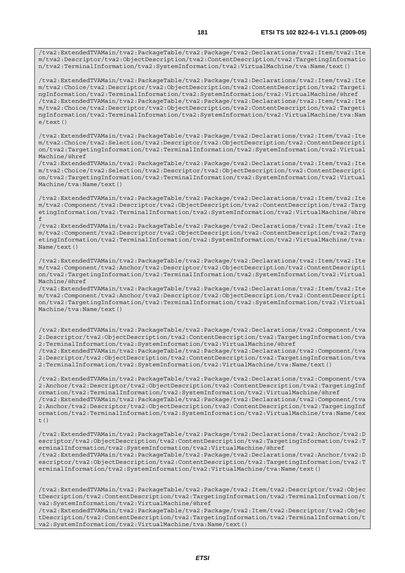/tva2:ExtendedTVAMain/tva2:PackageTable/tva2:Package/tva2:Declarations/tva2:Item/tva2:Ite m/tva2:Descriptor/tva2:ObjectDescription/tva2:ContentDescription/tva2:TargetingInformatio n/tva2:TerminalInformation/tva2:SystemInformation/tva2:VirtualMachine/tva:Name/text()

/tva2:ExtendedTVAMain/tva2:PackageTable/tva2:Package/tva2:Declarations/tva2:Item/tva2:Ite m/tva2:Choice/tva2:Descriptor/tva2:ObjectDescription/tva2:ContentDescription/tva2:Targeti ngInformation/tva2:TerminalInformation/tva2:SystemInformation/tva2:VirtualMachine/@href /tva2:ExtendedTVAMain/tva2:PackageTable/tva2:Package/tva2:Declarations/tva2:Item/tva2:Ite m/tva2:Choice/tva2:Descriptor/tva2:ObjectDescription/tva2:ContentDescription/tva2:Targeti ngInformation/tva2:TerminalInformation/tva2:SystemInformation/tva2:VirtualMachine/tva:Nam e/text()

/tva2:ExtendedTVAMain/tva2:PackageTable/tva2:Package/tva2:Declarations/tva2:Item/tva2:Ite m/tva2:Choice/tva2:Selection/tva2:Descriptor/tva2:ObjectDescription/tva2:ContentDescripti on/tva2:TargetingInformation/tva2:TerminalInformation/tva2:SystemInformation/tva2:Virtual Machine/@href

/tva2:ExtendedTVAMain/tva2:PackageTable/tva2:Package/tva2:Declarations/tva2:Item/tva2:Ite m/tva2:Choice/tva2:Selection/tva2:Descriptor/tva2:ObjectDescription/tva2:ContentDescripti on/tva2:TargetingInformation/tva2:TerminalInformation/tva2:SystemInformation/tva2:Virtual Machine/tva:Name/text()

/tva2:ExtendedTVAMain/tva2:PackageTable/tva2:Package/tva2:Declarations/tva2:Item/tva2:Ite m/tva2:Component/tva2:Descriptor/tva2:ObjectDescription/tva2:ContentDescription/tva2:Targ etingInformation/tva2:TerminalInformation/tva2:SystemInformation/tva2:VirtualMachine/@hre f

/tva2:ExtendedTVAMain/tva2:PackageTable/tva2:Package/tva2:Declarations/tva2:Item/tva2:Ite m/tva2:Component/tva2:Descriptor/tva2:ObjectDescription/tva2:ContentDescription/tva2:Targ etingInformation/tva2:TerminalInformation/tva2:SystemInformation/tva2:VirtualMachine/tva: Name/text()

/tva2:ExtendedTVAMain/tva2:PackageTable/tva2:Package/tva2:Declarations/tva2:Item/tva2:Ite m/tva2:Component/tva2:Anchor/tva2:Descriptor/tva2:ObjectDescription/tva2:ContentDescripti on/tva2:TargetingInformation/tva2:TerminalInformation/tva2:SystemInformation/tva2:Virtual Machine/@href

/tva2:ExtendedTVAMain/tva2:PackageTable/tva2:Package/tva2:Declarations/tva2:Item/tva2:Ite m/tva2:Component/tva2:Anchor/tva2:Descriptor/tva2:ObjectDescription/tva2:ContentDescripti on/tva2:TargetingInformation/tva2:TerminalInformation/tva2:SystemInformation/tva2:Virtual Machine/tva:Name/text()

/tva2:ExtendedTVAMain/tva2:PackageTable/tva2:Package/tva2:Declarations/tva2:Component/tva 2:Descriptor/tva2:ObjectDescription/tva2:ContentDescription/tva2:TargetingInformation/tva 2:TerminalInformation/tva2:SystemInformation/tva2:VirtualMachine/@href /tva2:ExtendedTVAMain/tva2:PackageTable/tva2:Package/tva2:Declarations/tva2:Component/tva

2:Descriptor/tva2:ObjectDescription/tva2:ContentDescription/tva2:TargetingInformation/tva 2:TerminalInformation/tva2:SystemInformation/tva2:VirtualMachine/tva:Name/text()

/tva2:ExtendedTVAMain/tva2:PackageTable/tva2:Package/tva2:Declarations/tva2:Component/tva 2:Anchor/tva2:Descriptor/tva2:ObjectDescription/tva2:ContentDescription/tva2:TargetingInf ormation/tva2:TerminalInformation/tva2:SystemInformation/tva2:VirtualMachine/@href /tva2:ExtendedTVAMain/tva2:PackageTable/tva2:Package/tva2:Declarations/tva2:Component/tva 2:Anchor/tva2:Descriptor/tva2:ObjectDescription/tva2:ContentDescription/tva2:TargetingInf ormation/tva2:TerminalInformation/tva2:SystemInformation/tva2:VirtualMachine/tva:Name/tex t $($ )

/tva2:ExtendedTVAMain/tva2:PackageTable/tva2:Package/tva2:Declarations/tva2:Anchor/tva2:D escriptor/tva2:ObjectDescription/tva2:ContentDescription/tva2:TargetingInformation/tva2:T erminalInformation/tva2:SystemInformation/tva2:VirtualMachine/@href /tva2:ExtendedTVAMain/tva2:PackageTable/tva2:Package/tva2:Declarations/tva2:Anchor/tva2:D escriptor/tva2:ObjectDescription/tva2:ContentDescription/tva2:TargetingInformation/tva2:T

erminalInformation/tva2:SystemInformation/tva2:VirtualMachine/tva:Name/text()

/tva2:ExtendedTVAMain/tva2:PackageTable/tva2:Package/tva2:Item/tva2:Descriptor/tva2:Objec tDescription/tva2:ContentDescription/tva2:TargetingInformation/tva2:TerminalInformation/t va2:SystemInformation/tva2:VirtualMachine/@href

/tva2:ExtendedTVAMain/tva2:PackageTable/tva2:Package/tva2:Item/tva2:Descriptor/tva2:Objec tDescription/tva2:ContentDescription/tva2:TargetingInformation/tva2:TerminalInformation/t va2:SystemInformation/tva2:VirtualMachine/tva:Name/text()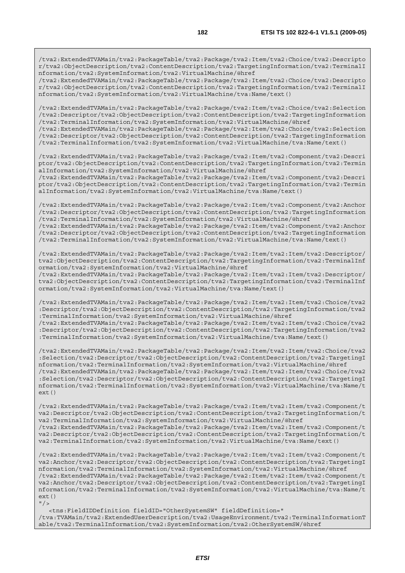/tva2:ExtendedTVAMain/tva2:PackageTable/tva2:Package/tva2:Item/tva2:Choice/tva2:Descripto r/tva2:ObjectDescription/tva2:ContentDescription/tva2:TargetingInformation/tva2:TerminalI nformation/tva2:SystemInformation/tva2:VirtualMachine/@href

/tva2:ExtendedTVAMain/tva2:PackageTable/tva2:Package/tva2:Item/tva2:Choice/tva2:Descripto r/tva2:ObjectDescription/tva2:ContentDescription/tva2:TargetingInformation/tva2:TerminalI nformation/tva2:SystemInformation/tva2:VirtualMachine/tva:Name/text()

/tva2:ExtendedTVAMain/tva2:PackageTable/tva2:Package/tva2:Item/tva2:Choice/tva2:Selection /tva2:Descriptor/tva2:ObjectDescription/tva2:ContentDescription/tva2:TargetingInformation /tva2:TerminalInformation/tva2:SystemInformation/tva2:VirtualMachine/@href

/tva2:ExtendedTVAMain/tva2:PackageTable/tva2:Package/tva2:Item/tva2:Choice/tva2:Selection /tva2:Descriptor/tva2:ObjectDescription/tva2:ContentDescription/tva2:TargetingInformation /tva2:TerminalInformation/tva2:SystemInformation/tva2:VirtualMachine/tva:Name/text()

/tva2:ExtendedTVAMain/tva2:PackageTable/tva2:Package/tva2:Item/tva2:Component/tva2:Descri ptor/tva2:ObjectDescription/tva2:ContentDescription/tva2:TargetingInformation/tva2:Termin alInformation/tva2:SystemInformation/tva2:VirtualMachine/@href

/tva2:ExtendedTVAMain/tva2:PackageTable/tva2:Package/tva2:Item/tva2:Component/tva2:Descri ptor/tva2:ObjectDescription/tva2:ContentDescription/tva2:TargetingInformation/tva2:Termin alInformation/tva2:SystemInformation/tva2:VirtualMachine/tva:Name/text()

/tva2:ExtendedTVAMain/tva2:PackageTable/tva2:Package/tva2:Item/tva2:Component/tva2:Anchor /tva2:Descriptor/tva2:ObjectDescription/tva2:ContentDescription/tva2:TargetingInformation /tva2:TerminalInformation/tva2:SystemInformation/tva2:VirtualMachine/@href /tva2:ExtendedTVAMain/tva2:PackageTable/tva2:Package/tva2:Item/tva2:Component/tva2:Anchor

/tva2:Descriptor/tva2:ObjectDescription/tva2:ContentDescription/tva2:TargetingInformation /tva2:TerminalInformation/tva2:SystemInformation/tva2:VirtualMachine/tva:Name/text()

/tva2:ExtendedTVAMain/tva2:PackageTable/tva2:Package/tva2:Item/tva2:Item/tva2:Descriptor/ tva2:ObjectDescription/tva2:ContentDescription/tva2:TargetingInformation/tva2:TerminalInf ormation/tva2:SystemInformation/tva2:VirtualMachine/@href

/tva2:ExtendedTVAMain/tva2:PackageTable/tva2:Package/tva2:Item/tva2:Item/tva2:Descriptor/ tva2:ObjectDescription/tva2:ContentDescription/tva2:TargetingInformation/tva2:TerminalInf ormation/tva2:SystemInformation/tva2:VirtualMachine/tva:Name/text()

/tva2:ExtendedTVAMain/tva2:PackageTable/tva2:Package/tva2:Item/tva2:Item/tva2:Choice/tva2 :Descriptor/tva2:ObjectDescription/tva2:ContentDescription/tva2:TargetingInformation/tva2 :TerminalInformation/tva2:SystemInformation/tva2:VirtualMachine/@href /tva2:ExtendedTVAMain/tva2:PackageTable/tva2:Package/tva2:Item/tva2:Item/tva2:Choice/tva2 :Descriptor/tva2:ObjectDescription/tva2:ContentDescription/tva2:TargetingInformation/tva2 :TerminalInformation/tva2:SystemInformation/tva2:VirtualMachine/tva:Name/text()

/tva2:ExtendedTVAMain/tva2:PackageTable/tva2:Package/tva2:Item/tva2:Item/tva2:Choice/tva2 :Selection/tva2:Descriptor/tva2:ObjectDescription/tva2:ContentDescription/tva2:TargetingI nformation/tva2:TerminalInformation/tva2:SystemInformation/tva2:VirtualMachine/@href /tva2:ExtendedTVAMain/tva2:PackageTable/tva2:Package/tva2:Item/tva2:Item/tva2:Choice/tva2 :Selection/tva2:Descriptor/tva2:ObjectDescription/tva2:ContentDescription/tva2:TargetingI nformation/tva2:TerminalInformation/tva2:SystemInformation/tva2:VirtualMachine/tva:Name/t  $ext()$ 

/tva2:ExtendedTVAMain/tva2:PackageTable/tva2:Package/tva2:Item/tva2:Item/tva2:Component/t va2:Descriptor/tva2:ObjectDescription/tva2:ContentDescription/tva2:TargetingInformation/t va2:TerminalInformation/tva2:SystemInformation/tva2:VirtualMachine/@href /tva2:ExtendedTVAMain/tva2:PackageTable/tva2:Package/tva2:Item/tva2:Item/tva2:Component/t va2:Descriptor/tva2:ObjectDescription/tva2:ContentDescription/tva2:TargetingInformation/t va2:TerminalInformation/tva2:SystemInformation/tva2:VirtualMachine/tva:Name/text()

/tva2:ExtendedTVAMain/tva2:PackageTable/tva2:Package/tva2:Item/tva2:Item/tva2:Component/t va2:Anchor/tva2:Descriptor/tva2:ObjectDescription/tva2:ContentDescription/tva2:TargetingI nformation/tva2:TerminalInformation/tva2:SystemInformation/tva2:VirtualMachine/@href /tva2:ExtendedTVAMain/tva2:PackageTable/tva2:Package/tva2:Item/tva2:Item/tva2:Component/t va2:Anchor/tva2:Descriptor/tva2:ObjectDescription/tva2:ContentDescription/tva2:TargetingI nformation/tva2:TerminalInformation/tva2:SystemInformation/tva2:VirtualMachine/tva:Name/t ext()  $''$  /  $>$ 

 <tns:FieldIDDefinition fieldID="OtherSystemSW" fieldDefinition=" /tva:TVAMain/tva2:ExtendedUserDescription/tva2:UsageEnvironment/tva2:TerminalInformationT able/tva2:TerminalInformation/tva2:SystemInformation/tva2:OtherSystemSW/@href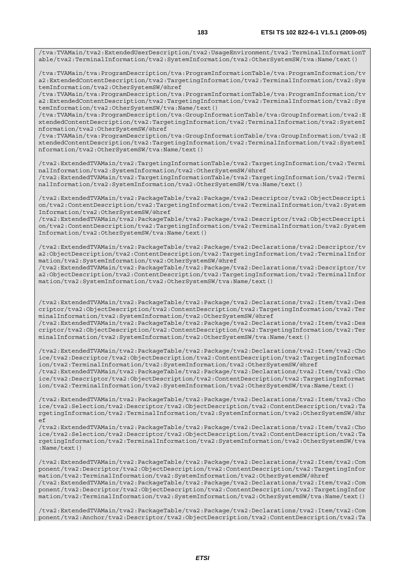/tva:TVAMain/tva2:ExtendedUserDescription/tva2:UsageEnvironment/tva2:TerminalInformationT able/tva2:TerminalInformation/tva2:SystemInformation/tva2:OtherSystemSW/tva:Name/text()

/tva:TVAMain/tva:ProgramDescription/tva:ProgramInformationTable/tva:ProgramInformation/tv a2:ExtendedContentDescription/tva2:TargetingInformation/tva2:TerminalInformation/tva2:Sys temInformation/tva2:OtherSystemSW/@href

/tva:TVAMain/tva:ProgramDescription/tva:ProgramInformationTable/tva:ProgramInformation/tv a2:ExtendedContentDescription/tva2:TargetingInformation/tva2:TerminalInformation/tva2:Sys temInformation/tva2:OtherSystemSW/tva:Name/text()

/tva:TVAMain/tva:ProgramDescription/tva:GroupInformationTable/tva:GroupInformation/tva2:E xtendedContentDescription/tva2:TargetingInformation/tva2:TerminalInformation/tva2:SystemI nformation/tva2:OtherSystemSW/@href

/tva:TVAMain/tva:ProgramDescription/tva:GroupInformationTable/tva:GroupInformation/tva2:E xtendedContentDescription/tva2:TargetingInformation/tva2:TerminalInformation/tva2:SystemI nformation/tva2:OtherSystemSW/tva:Name/text()

/tva2:ExtendedTVAMain/tva2:TargetingInformationTable/tva2:TargetingInformation/tva2:Termi nalInformation/tva2:SystemInformation/tva2:OtherSystemSW/@href /tva2:ExtendedTVAMain/tva2:TargetingInformationTable/tva2:TargetingInformation/tva2:Termi nalInformation/tva2:SystemInformation/tva2:OtherSystemSW/tva:Name/text()

/tva2:ExtendedTVAMain/tva2:PackageTable/tva2:Package/tva2:Descriptor/tva2:ObjectDescripti on/tva2:ContentDescription/tva2:TargetingInformation/tva2:TerminalInformation/tva2:System Information/tva2:OtherSystemSW/@href

/tva2:ExtendedTVAMain/tva2:PackageTable/tva2:Package/tva2:Descriptor/tva2:ObjectDescripti on/tva2:ContentDescription/tva2:TargetingInformation/tva2:TerminalInformation/tva2:System Information/tva2:OtherSystemSW/tva:Name/text()

/tva2:ExtendedTVAMain/tva2:PackageTable/tva2:Package/tva2:Declarations/tva2:Descriptor/tv a2:ObjectDescription/tva2:ContentDescription/tva2:TargetingInformation/tva2:TerminalInfor mation/tva2:SystemInformation/tva2:OtherSystemSW/@href

/tva2:ExtendedTVAMain/tva2:PackageTable/tva2:Package/tva2:Declarations/tva2:Descriptor/tv a2:ObjectDescription/tva2:ContentDescription/tva2:TargetingInformation/tva2:TerminalInfor mation/tva2:SystemInformation/tva2:OtherSystemSW/tva:Name/text()

/tva2:ExtendedTVAMain/tva2:PackageTable/tva2:Package/tva2:Declarations/tva2:Item/tva2:Des criptor/tva2:ObjectDescription/tva2:ContentDescription/tva2:TargetingInformation/tva2:Ter minalInformation/tva2:SystemInformation/tva2:OtherSystemSW/@href

/tva2:ExtendedTVAMain/tva2:PackageTable/tva2:Package/tva2:Declarations/tva2:Item/tva2:Des criptor/tva2:ObjectDescription/tva2:ContentDescription/tva2:TargetingInformation/tva2:Ter minalInformation/tva2:SystemInformation/tva2:OtherSystemSW/tva:Name/text()

/tva2:ExtendedTVAMain/tva2:PackageTable/tva2:Package/tva2:Declarations/tva2:Item/tva2:Cho ice/tva2:Descriptor/tva2:ObjectDescription/tva2:ContentDescription/tva2:TargetingInformat ion/tva2:TerminalInformation/tva2:SystemInformation/tva2:OtherSystemSW/@href /tva2:ExtendedTVAMain/tva2:PackageTable/tva2:Package/tva2:Declarations/tva2:Item/tva2:Cho ice/tva2:Descriptor/tva2:ObjectDescription/tva2:ContentDescription/tva2:TargetingInformat ion/tva2:TerminalInformation/tva2:SystemInformation/tva2:OtherSystemSW/tva:Name/text()

/tva2:ExtendedTVAMain/tva2:PackageTable/tva2:Package/tva2:Declarations/tva2:Item/tva2:Cho ice/tva2:Selection/tva2:Descriptor/tva2:ObjectDescription/tva2:ContentDescription/tva2:Ta rgetingInformation/tva2:TerminalInformation/tva2:SystemInformation/tva2:OtherSystemSW/@hr ef

/tva2:ExtendedTVAMain/tva2:PackageTable/tva2:Package/tva2:Declarations/tva2:Item/tva2:Cho ice/tva2:Selection/tva2:Descriptor/tva2:ObjectDescription/tva2:ContentDescription/tva2:Ta rgetingInformation/tva2:TerminalInformation/tva2:SystemInformation/tva2:OtherSystemSW/tva :Name/text()

/tva2:ExtendedTVAMain/tva2:PackageTable/tva2:Package/tva2:Declarations/tva2:Item/tva2:Com ponent/tva2:Descriptor/tva2:ObjectDescription/tva2:ContentDescription/tva2:TargetingInfor mation/tva2:TerminalInformation/tva2:SystemInformation/tva2:OtherSystemSW/@href /tva2:ExtendedTVAMain/tva2:PackageTable/tva2:Package/tva2:Declarations/tva2:Item/tva2:Com ponent/tva2:Descriptor/tva2:ObjectDescription/tva2:ContentDescription/tva2:TargetingInfor mation/tva2:TerminalInformation/tva2:SystemInformation/tva2:OtherSystemSW/tva:Name/text()

/tva2:ExtendedTVAMain/tva2:PackageTable/tva2:Package/tva2:Declarations/tva2:Item/tva2:Com ponent/tva2:Anchor/tva2:Descriptor/tva2:ObjectDescription/tva2:ContentDescription/tva2:Ta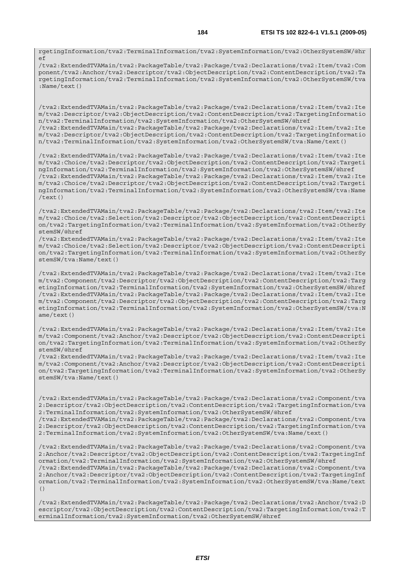rgetingInformation/tva2:TerminalInformation/tva2:SystemInformation/tva2:OtherSystemSW/@hr  $\circ$ 

/tva2:ExtendedTVAMain/tva2:PackageTable/tva2:Package/tva2:Declarations/tva2:Item/tva2:Com ponent/tva2:Anchor/tva2:Descriptor/tva2:ObjectDescription/tva2:ContentDescription/tva2:Ta rgetingInformation/tva2:TerminalInformation/tva2:SystemInformation/tva2:OtherSystemSW/tva :Name/text()

/tva2:ExtendedTVAMain/tva2:PackageTable/tva2:Package/tva2:Declarations/tva2:Item/tva2:Ite m/tva2:Descriptor/tva2:ObjectDescription/tva2:ContentDescription/tva2:TargetingInformatio n/tva2:TerminalInformation/tva2:SystemInformation/tva2:OtherSystemSW/@href /tva2:ExtendedTVAMain/tva2:PackageTable/tva2:Package/tva2:Declarations/tva2:Item/tva2:Ite m/tva2:Descriptor/tva2:ObjectDescription/tva2:ContentDescription/tva2:TargetingInformatio n/tva2:TerminalInformation/tva2:SystemInformation/tva2:OtherSystemSW/tva:Name/text()

/tva2:ExtendedTVAMain/tva2:PackageTable/tva2:Package/tva2:Declarations/tva2:Item/tva2:Ite m/tva2:Choice/tva2:Descriptor/tva2:ObjectDescription/tva2:ContentDescription/tva2:Targeti ngInformation/tva2:TerminalInformation/tva2:SystemInformation/tva2:OtherSystemSW/@href /tva2:ExtendedTVAMain/tva2:PackageTable/tva2:Package/tva2:Declarations/tva2:Item/tva2:Ite m/tva2:Choice/tva2:Descriptor/tva2:ObjectDescription/tva2:ContentDescription/tva2:Targeti ngInformation/tva2:TerminalInformation/tva2:SystemInformation/tva2:OtherSystemSW/tva:Name  $/$ text $()$ 

/tva2:ExtendedTVAMain/tva2:PackageTable/tva2:Package/tva2:Declarations/tva2:Item/tva2:Ite m/tva2:Choice/tva2:Selection/tva2:Descriptor/tva2:ObjectDescription/tva2:ContentDescripti on/tva2:TargetingInformation/tva2:TerminalInformation/tva2:SystemInformation/tva2:OtherSy stemSW/@href

/tva2:ExtendedTVAMain/tva2:PackageTable/tva2:Package/tva2:Declarations/tva2:Item/tva2:Ite m/tva2:Choice/tva2:Selection/tva2:Descriptor/tva2:ObjectDescription/tva2:ContentDescripti on/tva2:TargetingInformation/tva2:TerminalInformation/tva2:SystemInformation/tva2:OtherSy stemSW/tva:Name/text()

/tva2:ExtendedTVAMain/tva2:PackageTable/tva2:Package/tva2:Declarations/tva2:Item/tva2:Ite m/tva2:Component/tva2:Descriptor/tva2:ObjectDescription/tva2:ContentDescription/tva2:Targ etingInformation/tva2:TerminalInformation/tva2:SystemInformation/tva2:OtherSystemSW/@href /tva2:ExtendedTVAMain/tva2:PackageTable/tva2:Package/tva2:Declarations/tva2:Item/tva2:Ite m/tva2:Component/tva2:Descriptor/tva2:ObjectDescription/tva2:ContentDescription/tva2:Targ etingInformation/tva2:TerminalInformation/tva2:SystemInformation/tva2:OtherSystemSW/tva:N ame/text()

/tva2:ExtendedTVAMain/tva2:PackageTable/tva2:Package/tva2:Declarations/tva2:Item/tva2:Ite m/tva2:Component/tva2:Anchor/tva2:Descriptor/tva2:ObjectDescription/tva2:ContentDescripti on/tva2:TargetingInformation/tva2:TerminalInformation/tva2:SystemInformation/tva2:OtherSy stemSW/@href

/tva2:ExtendedTVAMain/tva2:PackageTable/tva2:Package/tva2:Declarations/tva2:Item/tva2:Ite m/tva2:Component/tva2:Anchor/tva2:Descriptor/tva2:ObjectDescription/tva2:ContentDescripti on/tva2:TargetingInformation/tva2:TerminalInformation/tva2:SystemInformation/tva2:OtherSy stemSW/tva:Name/text()

/tva2:ExtendedTVAMain/tva2:PackageTable/tva2:Package/tva2:Declarations/tva2:Component/tva 2:Descriptor/tva2:ObjectDescription/tva2:ContentDescription/tva2:TargetingInformation/tva 2:TerminalInformation/tva2:SystemInformation/tva2:OtherSystemSW/@href

/tva2:ExtendedTVAMain/tva2:PackageTable/tva2:Package/tva2:Declarations/tva2:Component/tva 2:Descriptor/tva2:ObjectDescription/tva2:ContentDescription/tva2:TargetingInformation/tva 2:TerminalInformation/tva2:SystemInformation/tva2:OtherSystemSW/tva:Name/text()

/tva2:ExtendedTVAMain/tva2:PackageTable/tva2:Package/tva2:Declarations/tva2:Component/tva 2:Anchor/tva2:Descriptor/tva2:ObjectDescription/tva2:ContentDescription/tva2:TargetingInf ormation/tva2:TerminalInformation/tva2:SystemInformation/tva2:OtherSystemSW/@href /tva2:ExtendedTVAMain/tva2:PackageTable/tva2:Package/tva2:Declarations/tva2:Component/tva 2:Anchor/tva2:Descriptor/tva2:ObjectDescription/tva2:ContentDescription/tva2:TargetingInf ormation/tva2:TerminalInformation/tva2:SystemInformation/tva2:OtherSystemSW/tva:Name/text ()

/tva2:ExtendedTVAMain/tva2:PackageTable/tva2:Package/tva2:Declarations/tva2:Anchor/tva2:D escriptor/tva2:ObjectDescription/tva2:ContentDescription/tva2:TargetingInformation/tva2:T erminalInformation/tva2:SystemInformation/tva2:OtherSystemSW/@href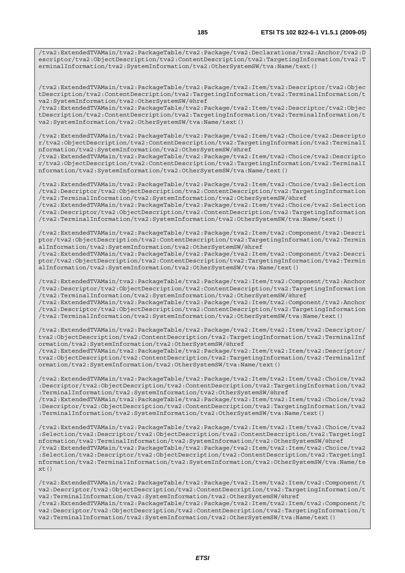/tva2:ExtendedTVAMain/tva2:PackageTable/tva2:Package/tva2:Declarations/tva2:Anchor/tva2:D escriptor/tva2:ObjectDescription/tva2:ContentDescription/tva2:TargetingInformation/tva2:T erminalInformation/tva2:SystemInformation/tva2:OtherSystemSW/tva:Name/text()

/tva2:ExtendedTVAMain/tva2:PackageTable/tva2:Package/tva2:Item/tva2:Descriptor/tva2:Objec tDescription/tva2:ContentDescription/tva2:TargetingInformation/tva2:TerminalInformation/t va2:SystemInformation/tva2:OtherSystemSW/@href

/tva2:ExtendedTVAMain/tva2:PackageTable/tva2:Package/tva2:Item/tva2:Descriptor/tva2:Objec tDescription/tva2:ContentDescription/tva2:TargetingInformation/tva2:TerminalInformation/t va2:SystemInformation/tva2:OtherSystemSW/tva:Name/text()

/tva2:ExtendedTVAMain/tva2:PackageTable/tva2:Package/tva2:Item/tva2:Choice/tva2:Descripto r/tva2:ObjectDescription/tva2:ContentDescription/tva2:TargetingInformation/tva2:TerminalI nformation/tva2:SystemInformation/tva2:OtherSystemSW/@href

/tva2:ExtendedTVAMain/tva2:PackageTable/tva2:Package/tva2:Item/tva2:Choice/tva2:Descripto r/tva2:ObjectDescription/tva2:ContentDescription/tva2:TargetingInformation/tva2:TerminalI nformation/tva2:SystemInformation/tva2:OtherSystemSW/tva:Name/text()

/tva2:ExtendedTVAMain/tva2:PackageTable/tva2:Package/tva2:Item/tva2:Choice/tva2:Selection /tva2:Descriptor/tva2:ObjectDescription/tva2:ContentDescription/tva2:TargetingInformation /tva2:TerminalInformation/tva2:SystemInformation/tva2:OtherSystemSW/@href /tva2:ExtendedTVAMain/tva2:PackageTable/tva2:Package/tva2:Item/tva2:Choice/tva2:Selection

/tva2:Descriptor/tva2:ObjectDescription/tva2:ContentDescription/tva2:TargetingInformation /tva2:TerminalInformation/tva2:SystemInformation/tva2:OtherSystemSW/tva:Name/text()

/tva2:ExtendedTVAMain/tva2:PackageTable/tva2:Package/tva2:Item/tva2:Component/tva2:Descri ptor/tva2:ObjectDescription/tva2:ContentDescription/tva2:TargetingInformation/tva2:Termin alInformation/tva2:SystemInformation/tva2:OtherSystemSW/@href

/tva2:ExtendedTVAMain/tva2:PackageTable/tva2:Package/tva2:Item/tva2:Component/tva2:Descri ptor/tva2:ObjectDescription/tva2:ContentDescription/tva2:TargetingInformation/tva2:Termin alInformation/tva2:SystemInformation/tva2:OtherSystemSW/tva:Name/text()

/tva2:ExtendedTVAMain/tva2:PackageTable/tva2:Package/tva2:Item/tva2:Component/tva2:Anchor /tva2:Descriptor/tva2:ObjectDescription/tva2:ContentDescription/tva2:TargetingInformation /tva2:TerminalInformation/tva2:SystemInformation/tva2:OtherSystemSW/@href /tva2:ExtendedTVAMain/tva2:PackageTable/tva2:Package/tva2:Item/tva2:Component/tva2:Anchor

/tva2:Descriptor/tva2:ObjectDescription/tva2:ContentDescription/tva2:TargetingInformation /tva2:TerminalInformation/tva2:SystemInformation/tva2:OtherSystemSW/tva:Name/text()

/tva2:ExtendedTVAMain/tva2:PackageTable/tva2:Package/tva2:Item/tva2:Item/tva2:Descriptor/ tva2:ObjectDescription/tva2:ContentDescription/tva2:TargetingInformation/tva2:TerminalInf ormation/tva2:SystemInformation/tva2:OtherSystemSW/@href

/tva2:ExtendedTVAMain/tva2:PackageTable/tva2:Package/tva2:Item/tva2:Item/tva2:Descriptor/ tva2:ObjectDescription/tva2:ContentDescription/tva2:TargetingInformation/tva2:TerminalInf ormation/tva2:SystemInformation/tva2:OtherSystemSW/tva:Name/text()

/tva2:ExtendedTVAMain/tva2:PackageTable/tva2:Package/tva2:Item/tva2:Item/tva2:Choice/tva2 :Descriptor/tva2:ObjectDescription/tva2:ContentDescription/tva2:TargetingInformation/tva2 :TerminalInformation/tva2:SystemInformation/tva2:OtherSystemSW/@href

/tva2:ExtendedTVAMain/tva2:PackageTable/tva2:Package/tva2:Item/tva2:Item/tva2:Choice/tva2 :Descriptor/tva2:ObjectDescription/tva2:ContentDescription/tva2:TargetingInformation/tva2 :TerminalInformation/tva2:SystemInformation/tva2:OtherSystemSW/tva:Name/text()

/tva2:ExtendedTVAMain/tva2:PackageTable/tva2:Package/tva2:Item/tva2:Item/tva2:Choice/tva2 :Selection/tva2:Descriptor/tva2:ObjectDescription/tva2:ContentDescription/tva2:TargetingI nformation/tva2:TerminalInformation/tva2:SystemInformation/tva2:OtherSystemSW/@href /tva2:ExtendedTVAMain/tva2:PackageTable/tva2:Package/tva2:Item/tva2:Item/tva2:Choice/tva2 :Selection/tva2:Descriptor/tva2:ObjectDescription/tva2:ContentDescription/tva2:TargetingI nformation/tva2:TerminalInformation/tva2:SystemInformation/tva2:OtherSystemSW/tva:Name/te  $xt()$ 

/tva2:ExtendedTVAMain/tva2:PackageTable/tva2:Package/tva2:Item/tva2:Item/tva2:Component/t va2:Descriptor/tva2:ObjectDescription/tva2:ContentDescription/tva2:TargetingInformation/t va2:TerminalInformation/tva2:SystemInformation/tva2:OtherSystemSW/@href /tva2:ExtendedTVAMain/tva2:PackageTable/tva2:Package/tva2:Item/tva2:Item/tva2:Component/t va2:Descriptor/tva2:ObjectDescription/tva2:ContentDescription/tva2:TargetingInformation/t va2:TerminalInformation/tva2:SystemInformation/tva2:OtherSystemSW/tva:Name/text()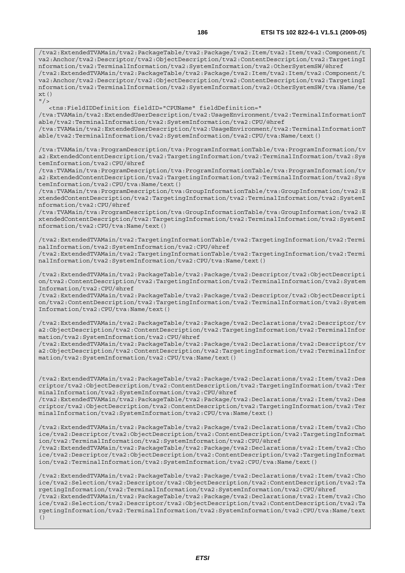/tva2:ExtendedTVAMain/tva2:PackageTable/tva2:Package/tva2:Item/tva2:Item/tva2:Component/t va2:Anchor/tva2:Descriptor/tva2:ObjectDescription/tva2:ContentDescription/tva2:TargetingI nformation/tva2:TerminalInformation/tva2:SystemInformation/tva2:OtherSystemSW/@href /tva2:ExtendedTVAMain/tva2:PackageTable/tva2:Package/tva2:Item/tva2:Item/tva2:Component/t va2:Anchor/tva2:Descriptor/tva2:ObjectDescription/tva2:ContentDescription/tva2:TargetingI nformation/tva2:TerminalInformation/tva2:SystemInformation/tva2:OtherSystemSW/tva:Name/te  $xt()$  $''$  / >

 <tns:FieldIDDefinition fieldID="CPUName" fieldDefinition=" /tva:TVAMain/tva2:ExtendedUserDescription/tva2:UsageEnvironment/tva2:TerminalInformationT able/tva2:TerminalInformation/tva2:SystemInformation/tva2:CPU/@href /tva:TVAMain/tva2:ExtendedUserDescription/tva2:UsageEnvironment/tva2:TerminalInformationT able/tva2:TerminalInformation/tva2:SystemInformation/tva2:CPU/tva:Name/text()

/tva:TVAMain/tva:ProgramDescription/tva:ProgramInformationTable/tva:ProgramInformation/tv a2:ExtendedContentDescription/tva2:TargetingInformation/tva2:TerminalInformation/tva2:Sys temInformation/tva2:CPU/@href

/tva:TVAMain/tva:ProgramDescription/tva:ProgramInformationTable/tva:ProgramInformation/tv a2:ExtendedContentDescription/tva2:TargetingInformation/tva2:TerminalInformation/tva2:Sys temInformation/tva2:CPU/tva:Name/text()

/tva:TVAMain/tva:ProgramDescription/tva:GroupInformationTable/tva:GroupInformation/tva2:E xtendedContentDescription/tva2:TargetingInformation/tva2:TerminalInformation/tva2:SystemI nformation/tva2:CPU/@href

/tva:TVAMain/tva:ProgramDescription/tva:GroupInformationTable/tva:GroupInformation/tva2:E xtendedContentDescription/tva2:TargetingInformation/tva2:TerminalInformation/tva2:SystemI nformation/tva2:CPU/tva:Name/text()

/tva2:ExtendedTVAMain/tva2:TargetingInformationTable/tva2:TargetingInformation/tva2:Termi nalInformation/tva2:SystemInformation/tva2:CPU/@href

/tva2:ExtendedTVAMain/tva2:TargetingInformationTable/tva2:TargetingInformation/tva2:Termi nalInformation/tva2:SystemInformation/tva2:CPU/tva:Name/text()

/tva2:ExtendedTVAMain/tva2:PackageTable/tva2:Package/tva2:Descriptor/tva2:ObjectDescripti on/tva2:ContentDescription/tva2:TargetingInformation/tva2:TerminalInformation/tva2:System Information/tva2:CPU/@href

/tva2:ExtendedTVAMain/tva2:PackageTable/tva2:Package/tva2:Descriptor/tva2:ObjectDescripti on/tva2:ContentDescription/tva2:TargetingInformation/tva2:TerminalInformation/tva2:System Information/tva2:CPU/tva:Name/text()

/tva2:ExtendedTVAMain/tva2:PackageTable/tva2:Package/tva2:Declarations/tva2:Descriptor/tv a2:ObjectDescription/tva2:ContentDescription/tva2:TargetingInformation/tva2:TerminalInfor mation/tva2:SystemInformation/tva2:CPU/@href

/tva2:ExtendedTVAMain/tva2:PackageTable/tva2:Package/tva2:Declarations/tva2:Descriptor/tv a2:ObjectDescription/tva2:ContentDescription/tva2:TargetingInformation/tva2:TerminalInfor mation/tva2:SystemInformation/tva2:CPU/tva:Name/text()

/tva2:ExtendedTVAMain/tva2:PackageTable/tva2:Package/tva2:Declarations/tva2:Item/tva2:Des criptor/tva2:ObjectDescription/tva2:ContentDescription/tva2:TargetingInformation/tva2:Ter minalInformation/tva2:SystemInformation/tva2:CPU/@href

/tva2:ExtendedTVAMain/tva2:PackageTable/tva2:Package/tva2:Declarations/tva2:Item/tva2:Des criptor/tva2:ObjectDescription/tva2:ContentDescription/tva2:TargetingInformation/tva2:Ter minalInformation/tva2:SystemInformation/tva2:CPU/tva:Name/text()

/tva2:ExtendedTVAMain/tva2:PackageTable/tva2:Package/tva2:Declarations/tva2:Item/tva2:Cho ice/tva2:Descriptor/tva2:ObjectDescription/tva2:ContentDescription/tva2:TargetingInformat ion/tva2:TerminalInformation/tva2:SystemInformation/tva2:CPU/@href

/tva2:ExtendedTVAMain/tva2:PackageTable/tva2:Package/tva2:Declarations/tva2:Item/tva2:Cho ice/tva2:Descriptor/tva2:ObjectDescription/tva2:ContentDescription/tva2:TargetingInformat ion/tva2:TerminalInformation/tva2:SystemInformation/tva2:CPU/tva:Name/text()

/tva2:ExtendedTVAMain/tva2:PackageTable/tva2:Package/tva2:Declarations/tva2:Item/tva2:Cho ice/tva2:Selection/tva2:Descriptor/tva2:ObjectDescription/tva2:ContentDescription/tva2:Ta rgetingInformation/tva2:TerminalInformation/tva2:SystemInformation/tva2:CPU/@href /tva2:ExtendedTVAMain/tva2:PackageTable/tva2:Package/tva2:Declarations/tva2:Item/tva2:Cho ice/tva2:Selection/tva2:Descriptor/tva2:ObjectDescription/tva2:ContentDescription/tva2:Ta rgetingInformation/tva2:TerminalInformation/tva2:SystemInformation/tva2:CPU/tva:Name/text ()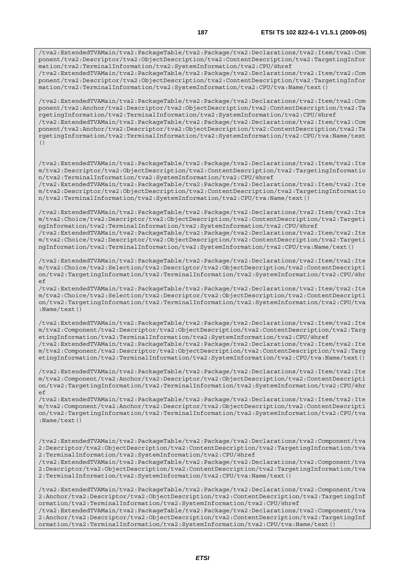/tva2:ExtendedTVAMain/tva2:PackageTable/tva2:Package/tva2:Declarations/tva2:Item/tva2:Com ponent/tva2:Descriptor/tva2:ObjectDescription/tva2:ContentDescription/tva2:TargetingInfor mation/tva2:TerminalInformation/tva2:SystemInformation/tva2:CPU/@href /tva2:ExtendedTVAMain/tva2:PackageTable/tva2:Package/tva2:Declarations/tva2:Item/tva2:Com

ponent/tva2:Descriptor/tva2:ObjectDescription/tva2:ContentDescription/tva2:TargetingInfor mation/tva2:TerminalInformation/tva2:SystemInformation/tva2:CPU/tva:Name/text()

/tva2:ExtendedTVAMain/tva2:PackageTable/tva2:Package/tva2:Declarations/tva2:Item/tva2:Com ponent/tva2:Anchor/tva2:Descriptor/tva2:ObjectDescription/tva2:ContentDescription/tva2:Ta rgetingInformation/tva2:TerminalInformation/tva2:SystemInformation/tva2:CPU/@href /tva2:ExtendedTVAMain/tva2:PackageTable/tva2:Package/tva2:Declarations/tva2:Item/tva2:Com ponent/tva2:Anchor/tva2:Descriptor/tva2:ObjectDescription/tva2:ContentDescription/tva2:Ta rgetingInformation/tva2:TerminalInformation/tva2:SystemInformation/tva2:CPU/tva:Name/text ()

/tva2:ExtendedTVAMain/tva2:PackageTable/tva2:Package/tva2:Declarations/tva2:Item/tva2:Ite m/tva2:Descriptor/tva2:ObjectDescription/tva2:ContentDescription/tva2:TargetingInformatio n/tva2:TerminalInformation/tva2:SystemInformation/tva2:CPU/@href /tva2:ExtendedTVAMain/tva2:PackageTable/tva2:Package/tva2:Declarations/tva2:Item/tva2:Ite

m/tva2:Descriptor/tva2:ObjectDescription/tva2:ContentDescription/tva2:TargetingInformatio n/tva2:TerminalInformation/tva2:SystemInformation/tva2:CPU/tva:Name/text()

/tva2:ExtendedTVAMain/tva2:PackageTable/tva2:Package/tva2:Declarations/tva2:Item/tva2:Ite m/tva2:Choice/tva2:Descriptor/tva2:ObjectDescription/tva2:ContentDescription/tva2:Targeti ngInformation/tva2:TerminalInformation/tva2:SystemInformation/tva2:CPU/@href /tva2:ExtendedTVAMain/tva2:PackageTable/tva2:Package/tva2:Declarations/tva2:Item/tva2:Ite m/tva2:Choice/tva2:Descriptor/tva2:ObjectDescription/tva2:ContentDescription/tva2:Targeti

ngInformation/tva2:TerminalInformation/tva2:SystemInformation/tva2:CPU/tva:Name/text()

/tva2:ExtendedTVAMain/tva2:PackageTable/tva2:Package/tva2:Declarations/tva2:Item/tva2:Ite m/tva2:Choice/tva2:Selection/tva2:Descriptor/tva2:ObjectDescription/tva2:ContentDescripti on/tva2:TargetingInformation/tva2:TerminalInformation/tva2:SystemInformation/tva2:CPU/@hr ef

/tva2:ExtendedTVAMain/tva2:PackageTable/tva2:Package/tva2:Declarations/tva2:Item/tva2:Ite m/tva2:Choice/tva2:Selection/tva2:Descriptor/tva2:ObjectDescription/tva2:ContentDescripti on/tva2:TargetingInformation/tva2:TerminalInformation/tva2:SystemInformation/tva2:CPU/tva :Name/text()

/tva2:ExtendedTVAMain/tva2:PackageTable/tva2:Package/tva2:Declarations/tva2:Item/tva2:Ite m/tva2:Component/tva2:Descriptor/tva2:ObjectDescription/tva2:ContentDescription/tva2:Targ etingInformation/tva2:TerminalInformation/tva2:SystemInformation/tva2:CPU/@href /tva2:ExtendedTVAMain/tva2:PackageTable/tva2:Package/tva2:Declarations/tva2:Item/tva2:Ite m/tva2:Component/tva2:Descriptor/tva2:ObjectDescription/tva2:ContentDescription/tva2:Targ etingInformation/tva2:TerminalInformation/tva2:SystemInformation/tva2:CPU/tva:Name/text()

/tva2:ExtendedTVAMain/tva2:PackageTable/tva2:Package/tva2:Declarations/tva2:Item/tva2:Ite m/tva2:Component/tva2:Anchor/tva2:Descriptor/tva2:ObjectDescription/tva2:ContentDescripti on/tva2:TargetingInformation/tva2:TerminalInformation/tva2:SystemInformation/tva2:CPU/@hr ef

/tva2:ExtendedTVAMain/tva2:PackageTable/tva2:Package/tva2:Declarations/tva2:Item/tva2:Ite m/tva2:Component/tva2:Anchor/tva2:Descriptor/tva2:ObjectDescription/tva2:ContentDescripti on/tva2:TargetingInformation/tva2:TerminalInformation/tva2:SystemInformation/tva2:CPU/tva :Name/text()

/tva2:ExtendedTVAMain/tva2:PackageTable/tva2:Package/tva2:Declarations/tva2:Component/tva 2:Descriptor/tva2:ObjectDescription/tva2:ContentDescription/tva2:TargetingInformation/tva 2:TerminalInformation/tva2:SystemInformation/tva2:CPU/@href

/tva2:ExtendedTVAMain/tva2:PackageTable/tva2:Package/tva2:Declarations/tva2:Component/tva 2:Descriptor/tva2:ObjectDescription/tva2:ContentDescription/tva2:TargetingInformation/tva 2:TerminalInformation/tva2:SystemInformation/tva2:CPU/tva:Name/text()

/tva2:ExtendedTVAMain/tva2:PackageTable/tva2:Package/tva2:Declarations/tva2:Component/tva 2:Anchor/tva2:Descriptor/tva2:ObjectDescription/tva2:ContentDescription/tva2:TargetingInf ormation/tva2:TerminalInformation/tva2:SystemInformation/tva2:CPU/@href

/tva2:ExtendedTVAMain/tva2:PackageTable/tva2:Package/tva2:Declarations/tva2:Component/tva 2:Anchor/tva2:Descriptor/tva2:ObjectDescription/tva2:ContentDescription/tva2:TargetingInf ormation/tva2:TerminalInformation/tva2:SystemInformation/tva2:CPU/tva:Name/text()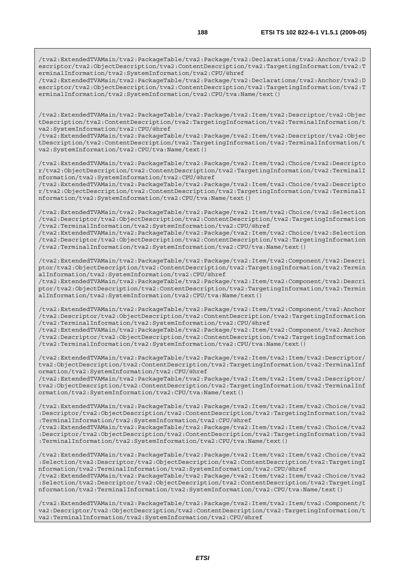/tva2:ExtendedTVAMain/tva2:PackageTable/tva2:Package/tva2:Declarations/tva2:Anchor/tva2:D escriptor/tva2:ObjectDescription/tva2:ContentDescription/tva2:TargetingInformation/tva2:T erminalInformation/tva2:SystemInformation/tva2:CPU/@href

/tva2:ExtendedTVAMain/tva2:PackageTable/tva2:Package/tva2:Declarations/tva2:Anchor/tva2:D escriptor/tva2:ObjectDescription/tva2:ContentDescription/tva2:TargetingInformation/tva2:T erminalInformation/tva2:SystemInformation/tva2:CPU/tva:Name/text()

/tva2:ExtendedTVAMain/tva2:PackageTable/tva2:Package/tva2:Item/tva2:Descriptor/tva2:Objec tDescription/tva2:ContentDescription/tva2:TargetingInformation/tva2:TerminalInformation/t va2:SystemInformation/tva2:CPU/@href

/tva2:ExtendedTVAMain/tva2:PackageTable/tva2:Package/tva2:Item/tva2:Descriptor/tva2:Objec tDescription/tva2:ContentDescription/tva2:TargetingInformation/tva2:TerminalInformation/t va2:SystemInformation/tva2:CPU/tva:Name/text()

/tva2:ExtendedTVAMain/tva2:PackageTable/tva2:Package/tva2:Item/tva2:Choice/tva2:Descripto r/tva2:ObjectDescription/tva2:ContentDescription/tva2:TargetingInformation/tva2:TerminalI nformation/tva2:SystemInformation/tva2:CPU/@href

/tva2:ExtendedTVAMain/tva2:PackageTable/tva2:Package/tva2:Item/tva2:Choice/tva2:Descripto r/tva2:ObjectDescription/tva2:ContentDescription/tva2:TargetingInformation/tva2:TerminalI nformation/tva2:SystemInformation/tva2:CPU/tva:Name/text()

/tva2:ExtendedTVAMain/tva2:PackageTable/tva2:Package/tva2:Item/tva2:Choice/tva2:Selection /tva2:Descriptor/tva2:ObjectDescription/tva2:ContentDescription/tva2:TargetingInformation /tva2:TerminalInformation/tva2:SystemInformation/tva2:CPU/@href

/tva2:ExtendedTVAMain/tva2:PackageTable/tva2:Package/tva2:Item/tva2:Choice/tva2:Selection /tva2:Descriptor/tva2:ObjectDescription/tva2:ContentDescription/tva2:TargetingInformation /tva2:TerminalInformation/tva2:SystemInformation/tva2:CPU/tva:Name/text()

/tva2:ExtendedTVAMain/tva2:PackageTable/tva2:Package/tva2:Item/tva2:Component/tva2:Descri ptor/tva2:ObjectDescription/tva2:ContentDescription/tva2:TargetingInformation/tva2:Termin alInformation/tva2:SystemInformation/tva2:CPU/@href

/tva2:ExtendedTVAMain/tva2:PackageTable/tva2:Package/tva2:Item/tva2:Component/tva2:Descri ptor/tva2:ObjectDescription/tva2:ContentDescription/tva2:TargetingInformation/tva2:Termin alInformation/tva2:SystemInformation/tva2:CPU/tva:Name/text()

/tva2:ExtendedTVAMain/tva2:PackageTable/tva2:Package/tva2:Item/tva2:Component/tva2:Anchor /tva2:Descriptor/tva2:ObjectDescription/tva2:ContentDescription/tva2:TargetingInformation /tva2:TerminalInformation/tva2:SystemInformation/tva2:CPU/@href

/tva2:ExtendedTVAMain/tva2:PackageTable/tva2:Package/tva2:Item/tva2:Component/tva2:Anchor /tva2:Descriptor/tva2:ObjectDescription/tva2:ContentDescription/tva2:TargetingInformation /tva2:TerminalInformation/tva2:SystemInformation/tva2:CPU/tva:Name/text()

/tva2:ExtendedTVAMain/tva2:PackageTable/tva2:Package/tva2:Item/tva2:Item/tva2:Descriptor/ tva2:ObjectDescription/tva2:ContentDescription/tva2:TargetingInformation/tva2:TerminalInf ormation/tva2:SystemInformation/tva2:CPU/@href

/tva2:ExtendedTVAMain/tva2:PackageTable/tva2:Package/tva2:Item/tva2:Item/tva2:Descriptor/ tva2:ObjectDescription/tva2:ContentDescription/tva2:TargetingInformation/tva2:TerminalInf ormation/tva2:SystemInformation/tva2:CPU/tva:Name/text()

/tva2:ExtendedTVAMain/tva2:PackageTable/tva2:Package/tva2:Item/tva2:Item/tva2:Choice/tva2 :Descriptor/tva2:ObjectDescription/tva2:ContentDescription/tva2:TargetingInformation/tva2 :TerminalInformation/tva2:SystemInformation/tva2:CPU/@href

/tva2:ExtendedTVAMain/tva2:PackageTable/tva2:Package/tva2:Item/tva2:Item/tva2:Choice/tva2 :Descriptor/tva2:ObjectDescription/tva2:ContentDescription/tva2:TargetingInformation/tva2 :TerminalInformation/tva2:SystemInformation/tva2:CPU/tva:Name/text()

/tva2:ExtendedTVAMain/tva2:PackageTable/tva2:Package/tva2:Item/tva2:Item/tva2:Choice/tva2 :Selection/tva2:Descriptor/tva2:ObjectDescription/tva2:ContentDescription/tva2:TargetingI nformation/tva2:TerminalInformation/tva2:SystemInformation/tva2:CPU/@href

/tva2:ExtendedTVAMain/tva2:PackageTable/tva2:Package/tva2:Item/tva2:Item/tva2:Choice/tva2 :Selection/tva2:Descriptor/tva2:ObjectDescription/tva2:ContentDescription/tva2:TargetingI nformation/tva2:TerminalInformation/tva2:SystemInformation/tva2:CPU/tva:Name/text()

/tva2:ExtendedTVAMain/tva2:PackageTable/tva2:Package/tva2:Item/tva2:Item/tva2:Component/t va2:Descriptor/tva2:ObjectDescription/tva2:ContentDescription/tva2:TargetingInformation/t va2:TerminalInformation/tva2:SystemInformation/tva2:CPU/@href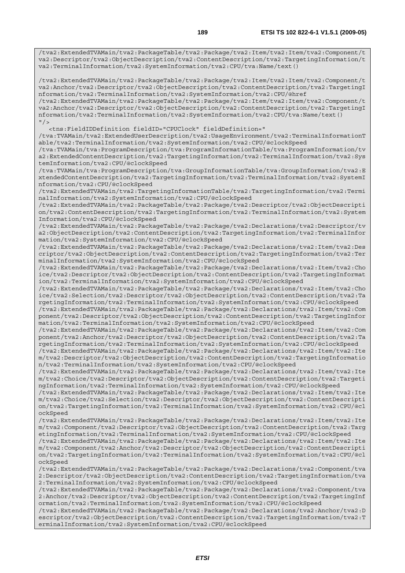/tva2:ExtendedTVAMain/tva2:PackageTable/tva2:Package/tva2:Item/tva2:Item/tva2:Component/t va2:Descriptor/tva2:ObjectDescription/tva2:ContentDescription/tva2:TargetingInformation/t va2:TerminalInformation/tva2:SystemInformation/tva2:CPU/tva:Name/text()

/tva2:ExtendedTVAMain/tva2:PackageTable/tva2:Package/tva2:Item/tva2:Item/tva2:Component/t va2:Anchor/tva2:Descriptor/tva2:ObjectDescription/tva2:ContentDescription/tva2:TargetingI nformation/tva2:TerminalInformation/tva2:SystemInformation/tva2:CPU/@href

/tva2:ExtendedTVAMain/tva2:PackageTable/tva2:Package/tva2:Item/tva2:Item/tva2:Component/t va2:Anchor/tva2:Descriptor/tva2:ObjectDescription/tva2:ContentDescription/tva2:TargetingI nformation/tva2:TerminalInformation/tva2:SystemInformation/tva2:CPU/tva:Name/text()  $"$ />

<tns:FieldIDDefinition fieldID="CPUClock" fieldDefinition="

/tva:TVAMain/tva2:ExtendedUserDescription/tva2:UsageEnvironment/tva2:TerminalInformationT able/tva2:TerminalInformation/tva2:SystemInformation/tva2:CPU/@clockSpeed

/tva:TVAMain/tva:ProgramDescription/tva:ProgramInformationTable/tva:ProgramInformation/tv a2:ExtendedContentDescription/tva2:TargetingInformation/tva2:TerminalInformation/tva2:Sys temInformation/tva2:CPU/@clockSpeed

/tva:TVAMain/tva:ProgramDescription/tva:GroupInformationTable/tva:GroupInformation/tva2:E xtendedContentDescription/tva2:TargetingInformation/tva2:TerminalInformation/tva2:SystemI nformation/tva2:CPU/@clockSpeed

/tva2:ExtendedTVAMain/tva2:TargetingInformationTable/tva2:TargetingInformation/tva2:Termi nalInformation/tva2:SystemInformation/tva2:CPU/@clockSpeed

/tva2:ExtendedTVAMain/tva2:PackageTable/tva2:Package/tva2:Descriptor/tva2:ObjectDescripti on/tva2:ContentDescription/tva2:TargetingInformation/tva2:TerminalInformation/tva2:System Information/tva2:CPU/@clockSpeed

/tva2:ExtendedTVAMain/tva2:PackageTable/tva2:Package/tva2:Declarations/tva2:Descriptor/tv a2:ObjectDescription/tva2:ContentDescription/tva2:TargetingInformation/tva2:TerminalInfor mation/tva2:SystemInformation/tva2:CPU/@clockSpeed

/tva2:ExtendedTVAMain/tva2:PackageTable/tva2:Package/tva2:Declarations/tva2:Item/tva2:Des criptor/tva2:ObjectDescription/tva2:ContentDescription/tva2:TargetingInformation/tva2:Ter minalInformation/tva2:SystemInformation/tva2:CPU/@clockSpeed

/tva2:ExtendedTVAMain/tva2:PackageTable/tva2:Package/tva2:Declarations/tva2:Item/tva2:Cho ice/tva2:Descriptor/tva2:ObjectDescription/tva2:ContentDescription/tva2:TargetingInformat ion/tva2:TerminalInformation/tva2:SystemInformation/tva2:CPU/@clockSpeed

/tva2:ExtendedTVAMain/tva2:PackageTable/tva2:Package/tva2:Declarations/tva2:Item/tva2:Cho ice/tva2:Selection/tva2:Descriptor/tva2:ObjectDescription/tva2:ContentDescription/tva2:Ta rgetingInformation/tva2:TerminalInformation/tva2:SystemInformation/tva2:CPU/@clockSpeed

/tva2:ExtendedTVAMain/tva2:PackageTable/tva2:Package/tva2:Declarations/tva2:Item/tva2:Com ponent/tva2:Descriptor/tva2:ObjectDescription/tva2:ContentDescription/tva2:TargetingInfor mation/tva2:TerminalInformation/tva2:SystemInformation/tva2:CPU/@clockSpeed

/tva2:ExtendedTVAMain/tva2:PackageTable/tva2:Package/tva2:Declarations/tva2:Item/tva2:Com ponent/tva2:Anchor/tva2:Descriptor/tva2:ObjectDescription/tva2:ContentDescription/tva2:Ta rgetingInformation/tva2:TerminalInformation/tva2:SystemInformation/tva2:CPU/@clockSpeed

/tva2:ExtendedTVAMain/tva2:PackageTable/tva2:Package/tva2:Declarations/tva2:Item/tva2:Ite m/tva2:Descriptor/tva2:ObjectDescription/tva2:ContentDescription/tva2:TargetingInformatio n/tva2:TerminalInformation/tva2:SystemInformation/tva2:CPU/@clockSpeed

/tva2:ExtendedTVAMain/tva2:PackageTable/tva2:Package/tva2:Declarations/tva2:Item/tva2:Ite m/tva2:Choice/tva2:Descriptor/tva2:ObjectDescription/tva2:ContentDescription/tva2:Targeti ngInformation/tva2:TerminalInformation/tva2:SystemInformation/tva2:CPU/@clockSpeed

/tva2:ExtendedTVAMain/tva2:PackageTable/tva2:Package/tva2:Declarations/tva2:Item/tva2:Ite m/tva2:Choice/tva2:Selection/tva2:Descriptor/tva2:ObjectDescription/tva2:ContentDescripti on/tva2:TargetingInformation/tva2:TerminalInformation/tva2:SystemInformation/tva2:CPU/@cl ockSpeed

/tva2:ExtendedTVAMain/tva2:PackageTable/tva2:Package/tva2:Declarations/tva2:Item/tva2:Ite m/tva2:Component/tva2:Descriptor/tva2:ObjectDescription/tva2:ContentDescription/tva2:Targ etingInformation/tva2:TerminalInformation/tva2:SystemInformation/tva2:CPU/@clockSpeed

/tva2:ExtendedTVAMain/tva2:PackageTable/tva2:Package/tva2:Declarations/tva2:Item/tva2:Ite m/tva2:Component/tva2:Anchor/tva2:Descriptor/tva2:ObjectDescription/tva2:ContentDescripti on/tva2:TargetingInformation/tva2:TerminalInformation/tva2:SystemInformation/tva2:CPU/@cl ockSpeed

/tva2:ExtendedTVAMain/tva2:PackageTable/tva2:Package/tva2:Declarations/tva2:Component/tva 2:Descriptor/tva2:ObjectDescription/tva2:ContentDescription/tva2:TargetingInformation/tva 2:TerminalInformation/tva2:SystemInformation/tva2:CPU/@clockSpeed

/tva2:ExtendedTVAMain/tva2:PackageTable/tva2:Package/tva2:Declarations/tva2:Component/tva 2:Anchor/tva2:Descriptor/tva2:ObjectDescription/tva2:ContentDescription/tva2:TargetingInf ormation/tva2:TerminalInformation/tva2:SystemInformation/tva2:CPU/@clockSpeed

/tva2:ExtendedTVAMain/tva2:PackageTable/tva2:Package/tva2:Declarations/tva2:Anchor/tva2:D escriptor/tva2:ObjectDescription/tva2:ContentDescription/tva2:TargetingInformation/tva2:T erminalInformation/tva2:SystemInformation/tva2:CPU/@clockSpeed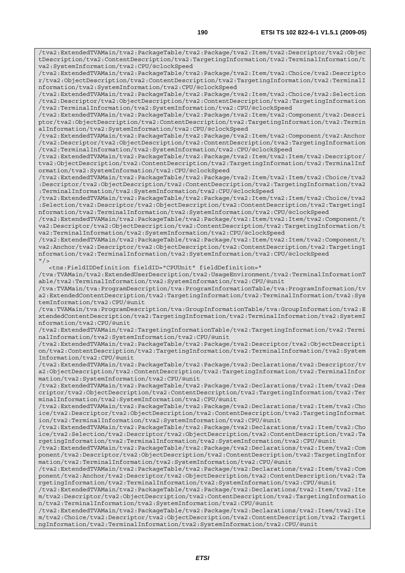/tva2:ExtendedTVAMain/tva2:PackageTable/tva2:Package/tva2:Item/tva2:Descriptor/tva2:Objec tDescription/tva2:ContentDescription/tva2:TargetingInformation/tva2:TerminalInformation/t va2:SystemInformation/tva2:CPU/@clockSpeed

/tva2:ExtendedTVAMain/tva2:PackageTable/tva2:Package/tva2:Item/tva2:Choice/tva2:Descripto r/tva2:ObjectDescription/tva2:ContentDescription/tva2:TargetingInformation/tva2:TerminalI nformation/tva2:SystemInformation/tva2:CPU/@clockSpeed

/tva2:ExtendedTVAMain/tva2:PackageTable/tva2:Package/tva2:Item/tva2:Choice/tva2:Selection /tva2:Descriptor/tva2:ObjectDescription/tva2:ContentDescription/tva2:TargetingInformation /tva2:TerminalInformation/tva2:SystemInformation/tva2:CPU/@clockSpeed

/tva2:ExtendedTVAMain/tva2:PackageTable/tva2:Package/tva2:Item/tva2:Component/tva2:Descri ptor/tva2:ObjectDescription/tva2:ContentDescription/tva2:TargetingInformation/tva2:Termin alInformation/tva2:SystemInformation/tva2:CPU/@clockSpeed

/tva2:ExtendedTVAMain/tva2:PackageTable/tva2:Package/tva2:Item/tva2:Component/tva2:Anchor /tva2:Descriptor/tva2:ObjectDescription/tva2:ContentDescription/tva2:TargetingInformation /tva2:TerminalInformation/tva2:SystemInformation/tva2:CPU/@clockSpeed

/tva2:ExtendedTVAMain/tva2:PackageTable/tva2:Package/tva2:Item/tva2:Item/tva2:Descriptor/ tva2:ObjectDescription/tva2:ContentDescription/tva2:TargetingInformation/tva2:TerminalInf ormation/tva2:SystemInformation/tva2:CPU/@clockSpeed

/tva2:ExtendedTVAMain/tva2:PackageTable/tva2:Package/tva2:Item/tva2:Item/tva2:Choice/tva2 :Descriptor/tva2:ObjectDescription/tva2:ContentDescription/tva2:TargetingInformation/tva2 :TerminalInformation/tva2:SystemInformation/tva2:CPU/@clockSpeed

/tva2:ExtendedTVAMain/tva2:PackageTable/tva2:Package/tva2:Item/tva2:Item/tva2:Choice/tva2 :Selection/tva2:Descriptor/tva2:ObjectDescription/tva2:ContentDescription/tva2:TargetingI nformation/tva2:TerminalInformation/tva2:SystemInformation/tva2:CPU/@clockSpeed

/tva2:ExtendedTVAMain/tva2:PackageTable/tva2:Package/tva2:Item/tva2:Item/tva2:Component/t va2:Descriptor/tva2:ObjectDescription/tva2:ContentDescription/tva2:TargetingInformation/t va2:TerminalInformation/tva2:SystemInformation/tva2:CPU/@clockSpeed

/tva2:ExtendedTVAMain/tva2:PackageTable/tva2:Package/tva2:Item/tva2:Item/tva2:Component/t va2:Anchor/tva2:Descriptor/tva2:ObjectDescription/tva2:ContentDescription/tva2:TargetingI nformation/tva2:TerminalInformation/tva2:SystemInformation/tva2:CPU/@clockSpeed  $''$  />

<tns:FieldIDDefinition fieldID="CPUUnit" fieldDefinition="

/tva:TVAMain/tva2:ExtendedUserDescription/tva2:UsageEnvironment/tva2:TerminalInformationT able/tva2:TerminalInformation/tva2:SystemInformation/tva2:CPU/@unit

/tva:TVAMain/tva:ProgramDescription/tva:ProgramInformationTable/tva:ProgramInformation/tv a2:ExtendedContentDescription/tva2:TargetingInformation/tva2:TerminalInformation/tva2:Sys temInformation/tva2:CPU/@unit

/tva:TVAMain/tva:ProgramDescription/tva:GroupInformationTable/tva:GroupInformation/tva2:E xtendedContentDescription/tva2:TargetingInformation/tva2:TerminalInformation/tva2:SystemI nformation/tva2:CPU/@unit

/tva2:ExtendedTVAMain/tva2:TargetingInformationTable/tva2:TargetingInformation/tva2:Termi nalInformation/tva2:SystemInformation/tva2:CPU/@unit

/tva2:ExtendedTVAMain/tva2:PackageTable/tva2:Package/tva2:Descriptor/tva2:ObjectDescripti on/tva2:ContentDescription/tva2:TargetingInformation/tva2:TerminalInformation/tva2:System Information/tva2:CPU/@unit

/tva2:ExtendedTVAMain/tva2:PackageTable/tva2:Package/tva2:Declarations/tva2:Descriptor/tv a2:ObjectDescription/tva2:ContentDescription/tva2:TargetingInformation/tva2:TerminalInfor mation/tva2:SystemInformation/tva2:CPU/@unit

/tva2:ExtendedTVAMain/tva2:PackageTable/tva2:Package/tva2:Declarations/tva2:Item/tva2:Des criptor/tva2:ObjectDescription/tva2:ContentDescription/tva2:TargetingInformation/tva2:Ter minalInformation/tva2:SystemInformation/tva2:CPU/@unit

/tva2:ExtendedTVAMain/tva2:PackageTable/tva2:Package/tva2:Declarations/tva2:Item/tva2:Cho ice/tva2:Descriptor/tva2:ObjectDescription/tva2:ContentDescription/tva2:TargetingInformat ion/tva2:TerminalInformation/tva2:SystemInformation/tva2:CPU/@unit

/tva2:ExtendedTVAMain/tva2:PackageTable/tva2:Package/tva2:Declarations/tva2:Item/tva2:Cho ice/tva2:Selection/tva2:Descriptor/tva2:ObjectDescription/tva2:ContentDescription/tva2:Ta rgetingInformation/tva2:TerminalInformation/tva2:SystemInformation/tva2:CPU/@unit

/tva2:ExtendedTVAMain/tva2:PackageTable/tva2:Package/tva2:Declarations/tva2:Item/tva2:Com ponent/tva2:Descriptor/tva2:ObjectDescription/tva2:ContentDescription/tva2:TargetingInfor mation/tva2:TerminalInformation/tva2:SystemInformation/tva2:CPU/@unit

/tva2:ExtendedTVAMain/tva2:PackageTable/tva2:Package/tva2:Declarations/tva2:Item/tva2:Com ponent/tva2:Anchor/tva2:Descriptor/tva2:ObjectDescription/tva2:ContentDescription/tva2:Ta rgetingInformation/tva2:TerminalInformation/tva2:SystemInformation/tva2:CPU/@unit

/tva2:ExtendedTVAMain/tva2:PackageTable/tva2:Package/tva2:Declarations/tva2:Item/tva2:Ite m/tva2:Descriptor/tva2:ObjectDescription/tva2:ContentDescription/tva2:TargetingInformatio n/tva2:TerminalInformation/tva2:SystemInformation/tva2:CPU/@unit

/tva2:ExtendedTVAMain/tva2:PackageTable/tva2:Package/tva2:Declarations/tva2:Item/tva2:Ite m/tva2:Choice/tva2:Descriptor/tva2:ObjectDescription/tva2:ContentDescription/tva2:Targeti ngInformation/tva2:TerminalInformation/tva2:SystemInformation/tva2:CPU/@unit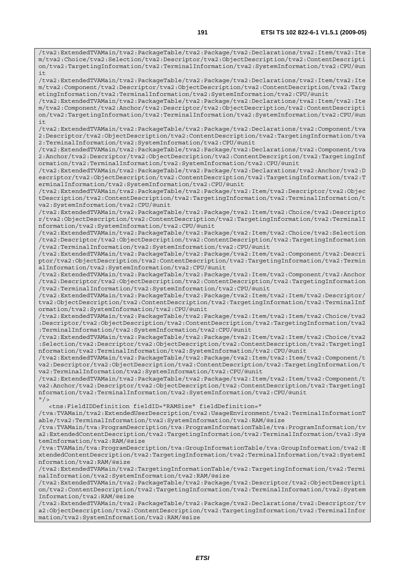/tva2:ExtendedTVAMain/tva2:PackageTable/tva2:Package/tva2:Declarations/tva2:Item/tva2:Ite m/tva2:Choice/tva2:Selection/tva2:Descriptor/tva2:ObjectDescription/tva2:ContentDescripti on/tva2:TargetingInformation/tva2:TerminalInformation/tva2:SystemInformation/tva2:CPU/@un  $i +$ 

/tva2:ExtendedTVAMain/tva2:PackageTable/tva2:Package/tva2:Declarations/tva2:Item/tva2:Ite m/tva2:Component/tva2:Descriptor/tva2:ObjectDescription/tva2:ContentDescription/tva2:Targ etingInformation/tva2:TerminalInformation/tva2:SystemInformation/tva2:CPU/@unit

/tva2:ExtendedTVAMain/tva2:PackageTable/tva2:Package/tva2:Declarations/tva2:Item/tva2:Ite m/tva2:Component/tva2:Anchor/tva2:Descriptor/tva2:ObjectDescription/tva2:ContentDescripti on/tva2:TargetingInformation/tva2:TerminalInformation/tva2:SystemInformation/tva2:CPU/@un it

/tva2:ExtendedTVAMain/tva2:PackageTable/tva2:Package/tva2:Declarations/tva2:Component/tva 2:Descriptor/tva2:ObjectDescription/tva2:ContentDescription/tva2:TargetingInformation/tva 2:TerminalInformation/tva2:SystemInformation/tva2:CPU/@unit

/tva2:ExtendedTVAMain/tva2:PackageTable/tva2:Package/tva2:Declarations/tva2:Component/tva 2:Anchor/tva2:Descriptor/tva2:ObjectDescription/tva2:ContentDescription/tva2:TargetingInf ormation/tva2:TerminalInformation/tva2:SystemInformation/tva2:CPU/@unit

/tva2:ExtendedTVAMain/tva2:PackageTable/tva2:Package/tva2:Declarations/tva2:Anchor/tva2:D escriptor/tva2:ObjectDescription/tva2:ContentDescription/tva2:TargetingInformation/tva2:T erminalInformation/tva2:SystemInformation/tva2:CPU/@unit

/tva2:ExtendedTVAMain/tva2:PackageTable/tva2:Package/tva2:Item/tva2:Descriptor/tva2:Objec tDescription/tva2:ContentDescription/tva2:TargetingInformation/tva2:TerminalInformation/t va2:SystemInformation/tva2:CPU/@unit

/tva2:ExtendedTVAMain/tva2:PackageTable/tva2:Package/tva2:Item/tva2:Choice/tva2:Descripto r/tva2:ObjectDescription/tva2:ContentDescription/tva2:TargetingInformation/tva2:TerminalI nformation/tva2:SystemInformation/tva2:CPU/@unit

/tva2:ExtendedTVAMain/tva2:PackageTable/tva2:Package/tva2:Item/tva2:Choice/tva2:Selection /tva2:Descriptor/tva2:ObjectDescription/tva2:ContentDescription/tva2:TargetingInformation /tva2:TerminalInformation/tva2:SystemInformation/tva2:CPU/@unit

/tva2:ExtendedTVAMain/tva2:PackageTable/tva2:Package/tva2:Item/tva2:Component/tva2:Descri ptor/tva2:ObjectDescription/tva2:ContentDescription/tva2:TargetingInformation/tva2:Termin alInformation/tva2:SystemInformation/tva2:CPU/@unit

/tva2:ExtendedTVAMain/tva2:PackageTable/tva2:Package/tva2:Item/tva2:Component/tva2:Anchor /tva2:Descriptor/tva2:ObjectDescription/tva2:ContentDescription/tva2:TargetingInformation /tva2:TerminalInformation/tva2:SystemInformation/tva2:CPU/@unit

/tva2:ExtendedTVAMain/tva2:PackageTable/tva2:Package/tva2:Item/tva2:Item/tva2:Descriptor/ tva2:ObjectDescription/tva2:ContentDescription/tva2:TargetingInformation/tva2:TerminalInf ormation/tva2:SystemInformation/tva2:CPU/@unit

/tva2:ExtendedTVAMain/tva2:PackageTable/tva2:Package/tva2:Item/tva2:Item/tva2:Choice/tva2 :Descriptor/tva2:ObjectDescription/tva2:ContentDescription/tva2:TargetingInformation/tva2 :TerminalInformation/tva2:SystemInformation/tva2:CPU/@unit

/tva2:ExtendedTVAMain/tva2:PackageTable/tva2:Package/tva2:Item/tva2:Item/tva2:Choice/tva2 :Selection/tva2:Descriptor/tva2:ObjectDescription/tva2:ContentDescription/tva2:TargetingI nformation/tva2:TerminalInformation/tva2:SystemInformation/tva2:CPU/@unit

/tva2:ExtendedTVAMain/tva2:PackageTable/tva2:Package/tva2:Item/tva2:Item/tva2:Component/t va2:Descriptor/tva2:ObjectDescription/tva2:ContentDescription/tva2:TargetingInformation/t va2:TerminalInformation/tva2:SystemInformation/tva2:CPU/@unit

/tva2:ExtendedTVAMain/tva2:PackageTable/tva2:Package/tva2:Item/tva2:Item/tva2:Component/t va2:Anchor/tva2:Descriptor/tva2:ObjectDescription/tva2:ContentDescription/tva2:TargetingI nformation/tva2:TerminalInformation/tva2:SystemInformation/tva2:CPU/@unit  $"$  / >

<tns:FieldIDDefinition fieldID="RAMSize" fieldDefinition="

/tva:TVAMain/tva2:ExtendedUserDescription/tva2:UsageEnvironment/tva2:TerminalInformationT able/tva2:TerminalInformation/tva2:SystemInformation/tva2:RAM/@size

/tva:TVAMain/tva:ProgramDescription/tva:ProgramInformationTable/tva:ProgramInformation/tv a2:ExtendedContentDescription/tva2:TargetingInformation/tva2:TerminalInformation/tva2:Sys temInformation/tva2:RAM/@size

/tva:TVAMain/tva:ProgramDescription/tva:GroupInformationTable/tva:GroupInformation/tva2:E xtendedContentDescription/tva2:TargetingInformation/tva2:TerminalInformation/tva2:SystemI nformation/tva2:RAM/@size

/tva2:ExtendedTVAMain/tva2:TargetingInformationTable/tva2:TargetingInformation/tva2:Termi nalInformation/tva2:SystemInformation/tva2:RAM/@size

/tva2:ExtendedTVAMain/tva2:PackageTable/tva2:Package/tva2:Descriptor/tva2:ObjectDescripti on/tva2:ContentDescription/tva2:TargetingInformation/tva2:TerminalInformation/tva2:System Information/tva2:RAM/@size

/tva2:ExtendedTVAMain/tva2:PackageTable/tva2:Package/tva2:Declarations/tva2:Descriptor/tv a2:ObjectDescription/tva2:ContentDescription/tva2:TargetingInformation/tva2:TerminalInfor mation/tva2:SystemInformation/tva2:RAM/@size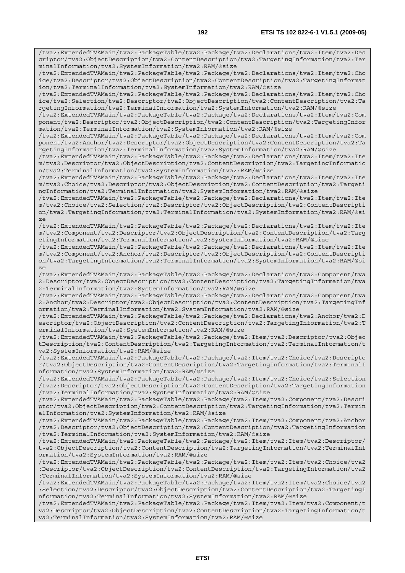/tva2:ExtendedTVAMain/tva2:PackageTable/tva2:Package/tva2:Declarations/tva2:Item/tva2:Des criptor/tva2:ObjectDescription/tva2:ContentDescription/tva2:TargetingInformation/tva2:Ter minalInformation/tva2:SystemInformation/tva2:RAM/@size /tva2:ExtendedTVAMain/tva2:PackageTable/tva2:Package/tva2:Declarations/tva2:Item/tva2:Cho ice/tva2:Descriptor/tva2:ObjectDescription/tva2:ContentDescription/tva2:TargetingInformat ion/tva2:TerminalInformation/tva2:SystemInformation/tva2:RAM/@size /tva2:ExtendedTVAMain/tva2:PackageTable/tva2:Package/tva2:Declarations/tva2:Item/tva2:Cho ice/tva2:Selection/tva2:Descriptor/tva2:ObjectDescription/tva2:ContentDescription/tva2:Ta rgetingInformation/tva2:TerminalInformation/tva2:SystemInformation/tva2:RAM/@size /tva2:ExtendedTVAMain/tva2:PackageTable/tva2:Package/tva2:Declarations/tva2:Item/tva2:Com ponent/tva2:Descriptor/tva2:ObjectDescription/tva2:ContentDescription/tva2:TargetingInfor mation/tva2:TerminalInformation/tva2:SystemInformation/tva2:RAM/@size /tva2:ExtendedTVAMain/tva2:PackageTable/tva2:Package/tva2:Declarations/tva2:Item/tva2:Com ponent/tva2:Anchor/tva2:Descriptor/tva2:ObjectDescription/tva2:ContentDescription/tva2:Ta rgetingInformation/tva2:TerminalInformation/tva2:SystemInformation/tva2:RAM/@size /tva2:ExtendedTVAMain/tva2:PackageTable/tva2:Package/tva2:Declarations/tva2:Item/tva2:Ite m/tva2:Descriptor/tva2:ObjectDescription/tva2:ContentDescription/tva2:TargetingInformatio n/tva2:TerminalInformation/tva2:SystemInformation/tva2:RAM/@size /tva2:ExtendedTVAMain/tva2:PackageTable/tva2:Package/tva2:Declarations/tva2:Item/tva2:Ite m/tva2:Choice/tva2:Descriptor/tva2:ObjectDescription/tva2:ContentDescription/tva2:Targeti ngInformation/tva2:TerminalInformation/tva2:SystemInformation/tva2:RAM/@size /tva2:ExtendedTVAMain/tva2:PackageTable/tva2:Package/tva2:Declarations/tva2:Item/tva2:Ite m/tva2:Choice/tva2:Selection/tva2:Descriptor/tva2:ObjectDescription/tva2:ContentDescripti on/tva2:TargetingInformation/tva2:TerminalInformation/tva2:SystemInformation/tva2:RAM/@si ze /tva2:ExtendedTVAMain/tva2:PackageTable/tva2:Package/tva2:Declarations/tva2:Item/tva2:Ite m/tva2:Component/tva2:Descriptor/tva2:ObjectDescription/tva2:ContentDescription/tva2:Targ etingInformation/tva2:TerminalInformation/tva2:SystemInformation/tva2:RAM/@size /tva2:ExtendedTVAMain/tva2:PackageTable/tva2:Package/tva2:Declarations/tva2:Item/tva2:Ite m/tva2:Component/tva2:Anchor/tva2:Descriptor/tva2:ObjectDescription/tva2:ContentDescripti on/tva2:TargetingInformation/tva2:TerminalInformation/tva2:SystemInformation/tva2:RAM/@si ze /tva2:ExtendedTVAMain/tva2:PackageTable/tva2:Package/tva2:Declarations/tva2:Component/tva 2:Descriptor/tva2:ObjectDescription/tva2:ContentDescription/tva2:TargetingInformation/tva 2:TerminalInformation/tva2:SystemInformation/tva2:RAM/@size /tva2:ExtendedTVAMain/tva2:PackageTable/tva2:Package/tva2:Declarations/tva2:Component/tva 2:Anchor/tva2:Descriptor/tva2:ObjectDescription/tva2:ContentDescription/tva2:TargetingInf ormation/tva2:TerminalInformation/tva2:SystemInformation/tva2:RAM/@size /tva2:ExtendedTVAMain/tva2:PackageTable/tva2:Package/tva2:Declarations/tva2:Anchor/tva2:D escriptor/tva2:ObjectDescription/tva2:ContentDescription/tva2:TargetingInformation/tva2:T erminalInformation/tva2:SystemInformation/tva2:RAM/@size /tva2:ExtendedTVAMain/tva2:PackageTable/tva2:Package/tva2:Item/tva2:Descriptor/tva2:Objec tDescription/tva2:ContentDescription/tva2:TargetingInformation/tva2:TerminalInformation/t va2:SystemInformation/tva2:RAM/@size /tva2:ExtendedTVAMain/tva2:PackageTable/tva2:Package/tva2:Item/tva2:Choice/tva2:Descripto r/tva2:ObjectDescription/tva2:ContentDescription/tva2:TargetingInformation/tva2:TerminalI nformation/tva2:SystemInformation/tva2:RAM/@size /tva2:ExtendedTVAMain/tva2:PackageTable/tva2:Package/tva2:Item/tva2:Choice/tva2:Selection /tva2:Descriptor/tva2:ObjectDescription/tva2:ContentDescription/tva2:TargetingInformation /tva2:TerminalInformation/tva2:SystemInformation/tva2:RAM/@size /tva2:ExtendedTVAMain/tva2:PackageTable/tva2:Package/tva2:Item/tva2:Component/tva2:Descri ptor/tva2:ObjectDescription/tva2:ContentDescription/tva2:TargetingInformation/tva2:Termin alInformation/tva2:SystemInformation/tva2:RAM/@size /tva2:ExtendedTVAMain/tva2:PackageTable/tva2:Package/tva2:Item/tva2:Component/tva2:Anchor /tva2:Descriptor/tva2:ObjectDescription/tva2:ContentDescription/tva2:TargetingInformation /tva2:TerminalInformation/tva2:SystemInformation/tva2:RAM/@size /tva2:ExtendedTVAMain/tva2:PackageTable/tva2:Package/tva2:Item/tva2:Item/tva2:Descriptor/ tva2:ObjectDescription/tva2:ContentDescription/tva2:TargetingInformation/tva2:TerminalInf ormation/tva2:SystemInformation/tva2:RAM/@size /tva2:ExtendedTVAMain/tva2:PackageTable/tva2:Package/tva2:Item/tva2:Item/tva2:Choice/tva2 :Descriptor/tva2:ObjectDescription/tva2:ContentDescription/tva2:TargetingInformation/tva2 :TerminalInformation/tva2:SystemInformation/tva2:RAM/@size /tva2:ExtendedTVAMain/tva2:PackageTable/tva2:Package/tva2:Item/tva2:Item/tva2:Choice/tva2 :Selection/tva2:Descriptor/tva2:ObjectDescription/tva2:ContentDescription/tva2:TargetingI nformation/tva2:TerminalInformation/tva2:SystemInformation/tva2:RAM/@size /tva2:ExtendedTVAMain/tva2:PackageTable/tva2:Package/tva2:Item/tva2:Item/tva2:Component/t va2:Descriptor/tva2:ObjectDescription/tva2:ContentDescription/tva2:TargetingInformation/t va2:TerminalInformation/tva2:SystemInformation/tva2:RAM/@size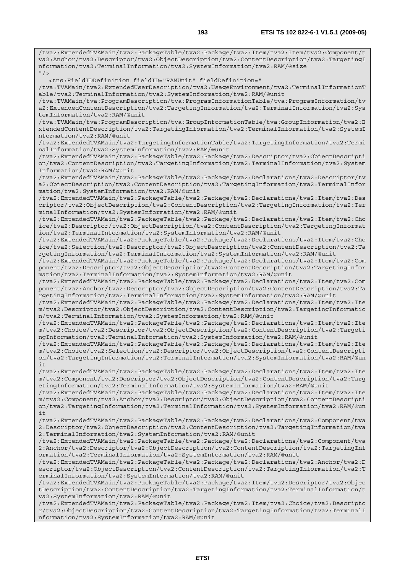/tva2:ExtendedTVAMain/tva2:PackageTable/tva2:Package/tva2:Item/tva2:Item/tva2:Component/t va2:Anchor/tva2:Descriptor/tva2:ObjectDescription/tva2:ContentDescription/tva2:TargetingI nformation/tva2:TerminalInformation/tva2:SystemInformation/tva2:RAM/@size  $^{\prime\prime}$  / > <tns:FieldIDDefinition fieldID="RAMUnit" fieldDefinition=" /tva:TVAMain/tva2:ExtendedUserDescription/tva2:UsageEnvironment/tva2:TerminalInformationT able/tva2:TerminalInformation/tva2:SystemInformation/tva2:RAM/@unit /tva:TVAMain/tva:ProgramDescription/tva:ProgramInformationTable/tva:ProgramInformation/tv a2:ExtendedContentDescription/tva2:TargetingInformation/tva2:TerminalInformation/tva2:Sys temInformation/tva2:RAM/@unit /tva:TVAMain/tva:ProgramDescription/tva:GroupInformationTable/tva:GroupInformation/tva2:E xtendedContentDescription/tva2:TargetingInformation/tva2:TerminalInformation/tva2:SystemI nformation/tva2:RAM/@unit /tva2:ExtendedTVAMain/tva2:TargetingInformationTable/tva2:TargetingInformation/tva2:Termi nalInformation/tva2:SystemInformation/tva2:RAM/@unit /tva2:ExtendedTVAMain/tva2:PackageTable/tva2:Package/tva2:Descriptor/tva2:ObjectDescripti on/tva2:ContentDescription/tva2:TargetingInformation/tva2:TerminalInformation/tva2:System Information/tva2:RAM/@unit /tva2:ExtendedTVAMain/tva2:PackageTable/tva2:Package/tva2:Declarations/tva2:Descriptor/tv a2:ObjectDescription/tva2:ContentDescription/tva2:TargetingInformation/tva2:TerminalInfor mation/tva2:SystemInformation/tva2:RAM/@unit /tva2:ExtendedTVAMain/tva2:PackageTable/tva2:Package/tva2:Declarations/tva2:Item/tva2:Des criptor/tva2:ObjectDescription/tva2:ContentDescription/tva2:TargetingInformation/tva2:Ter minalInformation/tva2:SystemInformation/tva2:RAM/@unit /tva2:ExtendedTVAMain/tva2:PackageTable/tva2:Package/tva2:Declarations/tva2:Item/tva2:Cho ice/tva2:Descriptor/tva2:ObjectDescription/tva2:ContentDescription/tva2:TargetingInformat ion/tva2:TerminalInformation/tva2:SystemInformation/tva2:RAM/@unit /tva2:ExtendedTVAMain/tva2:PackageTable/tva2:Package/tva2:Declarations/tva2:Item/tva2:Cho ice/tva2:Selection/tva2:Descriptor/tva2:ObjectDescription/tva2:ContentDescription/tva2:Ta rgetingInformation/tva2:TerminalInformation/tva2:SystemInformation/tva2:RAM/@unit /tva2:ExtendedTVAMain/tva2:PackageTable/tva2:Package/tva2:Declarations/tva2:Item/tva2:Com ponent/tva2:Descriptor/tva2:ObjectDescription/tva2:ContentDescription/tva2:TargetingInfor mation/tva2:TerminalInformation/tva2:SystemInformation/tva2:RAM/@unit /tva2:ExtendedTVAMain/tva2:PackageTable/tva2:Package/tva2:Declarations/tva2:Item/tva2:Com ponent/tva2:Anchor/tva2:Descriptor/tva2:ObjectDescription/tva2:ContentDescription/tva2:Ta rgetingInformation/tva2:TerminalInformation/tva2:SystemInformation/tva2:RAM/@unit /tva2:ExtendedTVAMain/tva2:PackageTable/tva2:Package/tva2:Declarations/tva2:Item/tva2:Ite m/tva2:Descriptor/tva2:ObjectDescription/tva2:ContentDescription/tva2:TargetingInformatio n/tva2:TerminalInformation/tva2:SystemInformation/tva2:RAM/@unit /tva2:ExtendedTVAMain/tva2:PackageTable/tva2:Package/tva2:Declarations/tva2:Item/tva2:Ite m/tva2:Choice/tva2:Descriptor/tva2:ObjectDescription/tva2:ContentDescription/tva2:Targeti ngInformation/tva2:TerminalInformation/tva2:SystemInformation/tva2:RAM/@unit /tva2:ExtendedTVAMain/tva2:PackageTable/tva2:Package/tva2:Declarations/tva2:Item/tva2:Ite m/tva2:Choice/tva2:Selection/tva2:Descriptor/tva2:ObjectDescription/tva2:ContentDescripti on/tva2:TargetingInformation/tva2:TerminalInformation/tva2:SystemInformation/tva2:RAM/@un it /tva2:ExtendedTVAMain/tva2:PackageTable/tva2:Package/tva2:Declarations/tva2:Item/tva2:Ite m/tva2:Component/tva2:Descriptor/tva2:ObjectDescription/tva2:ContentDescription/tva2:Targ etingInformation/tva2:TerminalInformation/tva2:SystemInformation/tva2:RAM/@unit /tva2:ExtendedTVAMain/tva2:PackageTable/tva2:Package/tva2:Declarations/tva2:Item/tva2:Ite m/tva2:Component/tva2:Anchor/tva2:Descriptor/tva2:ObjectDescription/tva2:ContentDescripti on/tva2:TargetingInformation/tva2:TerminalInformation/tva2:SystemInformation/tva2:RAM/@un it /tva2:ExtendedTVAMain/tva2:PackageTable/tva2:Package/tva2:Declarations/tva2:Component/tva 2:Descriptor/tva2:ObjectDescription/tva2:ContentDescription/tva2:TargetingInformation/tva 2:TerminalInformation/tva2:SystemInformation/tva2:RAM/@unit /tva2:ExtendedTVAMain/tva2:PackageTable/tva2:Package/tva2:Declarations/tva2:Component/tva 2:Anchor/tva2:Descriptor/tva2:ObjectDescription/tva2:ContentDescription/tva2:TargetingInf ormation/tva2:TerminalInformation/tva2:SystemInformation/tva2:RAM/@unit /tva2:ExtendedTVAMain/tva2:PackageTable/tva2:Package/tva2:Declarations/tva2:Anchor/tva2:D escriptor/tva2:ObjectDescription/tva2:ContentDescription/tva2:TargetingInformation/tva2:T erminalInformation/tva2:SystemInformation/tva2:RAM/@unit /tva2:ExtendedTVAMain/tva2:PackageTable/tva2:Package/tva2:Item/tva2:Descriptor/tva2:Objec tDescription/tva2:ContentDescription/tva2:TargetingInformation/tva2:TerminalInformation/t va2:SystemInformation/tva2:RAM/@unit /tva2:ExtendedTVAMain/tva2:PackageTable/tva2:Package/tva2:Item/tva2:Choice/tva2:Descripto r/tva2:ObjectDescription/tva2:ContentDescription/tva2:TargetingInformation/tva2:TerminalI

nformation/tva2:SystemInformation/tva2:RAM/@unit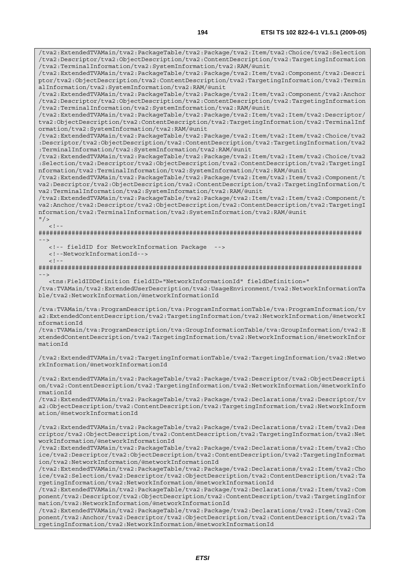/tva2:ExtendedTVAMain/tva2:PackageTable/tva2:Package/tva2:Item/tva2:Choice/tva2:Selection /tva2:Descriptor/tva2:ObjectDescription/tva2:ContentDescription/tva2:TargetingInformation

/tva2:ExtendedTVAMain/tva2:PackageTable/tva2:Package/tva2:Item/tva2:Component/tva2:Descri ptor/tva2:ObjectDescription/tva2:ContentDescription/tva2:TargetingInformation/tva2:Termin

/tva2:TerminalInformation/tva2:SystemInformation/tva2:RAM/@unit

alInformation/tva2:SystemInformation/tva2:RAM/@unit /tva2:ExtendedTVAMain/tva2:PackageTable/tva2:Package/tva2:Item/tva2:Component/tva2:Anchor /tva2:Descriptor/tva2:ObjectDescription/tva2:ContentDescription/tva2:TargetingInformation /tva2:TerminalInformation/tva2:SystemInformation/tva2:RAM/@unit /tva2:ExtendedTVAMain/tva2:PackageTable/tva2:Package/tva2:Item/tva2:Item/tva2:Descriptor/ tva2:ObjectDescription/tva2:ContentDescription/tva2:TargetingInformation/tva2:TerminalInf ormation/tva2:SystemInformation/tva2:RAM/@unit /tva2:ExtendedTVAMain/tva2:PackageTable/tva2:Package/tva2:Item/tva2:Item/tva2:Choice/tva2 :Descriptor/tva2:ObjectDescription/tva2:ContentDescription/tva2:TargetingInformation/tva2 :TerminalInformation/tva2:SystemInformation/tva2:RAM/@unit /tva2:ExtendedTVAMain/tva2:PackageTable/tva2:Package/tva2:Item/tva2:Item/tva2:Choice/tva2 :Selection/tva2:Descriptor/tva2:ObjectDescription/tva2:ContentDescription/tva2:TargetingI nformation/tva2:TerminalInformation/tva2:SystemInformation/tva2:RAM/@unit /tva2:ExtendedTVAMain/tva2:PackageTable/tva2:Package/tva2:Item/tva2:Item/tva2:Component/t va2:Descriptor/tva2:ObjectDescription/tva2:ContentDescription/tva2:TargetingInformation/t va2:TerminalInformation/tva2:SystemInformation/tva2:RAM/@unit /tva2:ExtendedTVAMain/tva2:PackageTable/tva2:Package/tva2:Item/tva2:Item/tva2:Component/t va2:Anchor/tva2:Descriptor/tva2:ObjectDescription/tva2:ContentDescription/tva2:TargetingI nformation/tva2:TerminalInformation/tva2:SystemInformation/tva2:RAM/@unit  $"$  />  $\lt$  ! -######################################################################################## --> <!-- fieldID for NetworkInformation Package --> <!--NetworkInformationId-->  $<$ ! --######################################################################################## --> <tns:FieldIDDefinition fieldID="NetworkInformationId" fieldDefinition=" /tva:TVAMain/tva2:ExtendedUserDescription/tva2:UsageEnvironment/tva2:NetworkInformationTa ble/tva2:NetworkInformation/@networkInformationId /tva:TVAMain/tva:ProgramDescription/tva:ProgramInformationTable/tva:ProgramInformation/tv a2:ExtendedContentDescription/tva2:TargetingInformation/tva2:NetworkInformation/@networkI nformationId /tva:TVAMain/tva:ProgramDescription/tva:GroupInformationTable/tva:GroupInformation/tva2:E xtendedContentDescription/tva2:TargetingInformation/tva2:NetworkInformation/@networkInfor mationId /tva2:ExtendedTVAMain/tva2:TargetingInformationTable/tva2:TargetingInformation/tva2:Netwo rkInformation/@networkInformationId /tva2:ExtendedTVAMain/tva2:PackageTable/tva2:Package/tva2:Descriptor/tva2:ObjectDescripti on/tva2:ContentDescription/tva2:TargetingInformation/tva2:NetworkInformation/@networkInfo rmationId /tva2:ExtendedTVAMain/tva2:PackageTable/tva2:Package/tva2:Declarations/tva2:Descriptor/tv a2:ObjectDescription/tva2:ContentDescription/tva2:TargetingInformation/tva2:NetworkInform ation/@networkInformationId /tva2:ExtendedTVAMain/tva2:PackageTable/tva2:Package/tva2:Declarations/tva2:Item/tva2:Des criptor/tva2:ObjectDescription/tva2:ContentDescription/tva2:TargetingInformation/tva2:Net workInformation/@networkInformationId /tva2:ExtendedTVAMain/tva2:PackageTable/tva2:Package/tva2:Declarations/tva2:Item/tva2:Cho ice/tva2:Descriptor/tva2:ObjectDescription/tva2:ContentDescription/tva2:TargetingInformat ion/tva2:NetworkInformation/@networkInformationId /tva2:ExtendedTVAMain/tva2:PackageTable/tva2:Package/tva2:Declarations/tva2:Item/tva2:Cho ice/tva2:Selection/tva2:Descriptor/tva2:ObjectDescription/tva2:ContentDescription/tva2:Ta rgetingInformation/tva2:NetworkInformation/@networkInformationId

/tva2:ExtendedTVAMain/tva2:PackageTable/tva2:Package/tva2:Declarations/tva2:Item/tva2:Com ponent/tva2:Descriptor/tva2:ObjectDescription/tva2:ContentDescription/tva2:TargetingInfor mation/tva2:NetworkInformation/@networkInformationId

/tva2:ExtendedTVAMain/tva2:PackageTable/tva2:Package/tva2:Declarations/tva2:Item/tva2:Com ponent/tva2:Anchor/tva2:Descriptor/tva2:ObjectDescription/tva2:ContentDescription/tva2:Ta rgetingInformation/tva2:NetworkInformation/@networkInformationId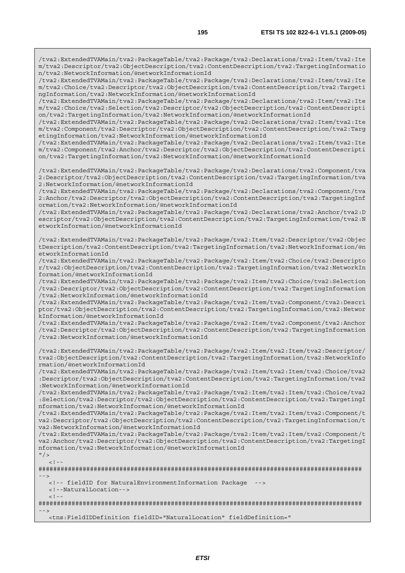/tva2:ExtendedTVAMain/tva2:PackageTable/tva2:Package/tva2:Declarations/tva2:Item/tva2:Ite m/tva2:Descriptor/tva2:ObjectDescription/tva2:ContentDescription/tva2:TargetingInformatio n/tva2:NetworkInformation/@networkInformationId

/tva2:ExtendedTVAMain/tva2:PackageTable/tva2:Package/tva2:Declarations/tva2:Item/tva2:Ite m/tva2:Choice/tva2:Descriptor/tva2:ObjectDescription/tva2:ContentDescription/tva2:Targeti ngInformation/tva2:NetworkInformation/@networkInformationId

/tva2:ExtendedTVAMain/tva2:PackageTable/tva2:Package/tva2:Declarations/tva2:Item/tva2:Ite m/tva2:Choice/tva2:Selection/tva2:Descriptor/tva2:ObjectDescription/tva2:ContentDescripti on/tva2:TargetingInformation/tva2:NetworkInformation/@networkInformationId

/tva2:ExtendedTVAMain/tva2:PackageTable/tva2:Package/tva2:Declarations/tva2:Item/tva2:Ite m/tva2:Component/tva2:Descriptor/tva2:ObjectDescription/tva2:ContentDescription/tva2:Targ etingInformation/tva2:NetworkInformation/@networkInformationId

/tva2:ExtendedTVAMain/tva2:PackageTable/tva2:Package/tva2:Declarations/tva2:Item/tva2:Ite m/tva2:Component/tva2:Anchor/tva2:Descriptor/tva2:ObjectDescription/tva2:ContentDescripti on/tva2:TargetingInformation/tva2:NetworkInformation/@networkInformationId

/tva2:ExtendedTVAMain/tva2:PackageTable/tva2:Package/tva2:Declarations/tva2:Component/tva 2:Descriptor/tva2:ObjectDescription/tva2:ContentDescription/tva2:TargetingInformation/tva 2:NetworkInformation/@networkInformationId

/tva2:ExtendedTVAMain/tva2:PackageTable/tva2:Package/tva2:Declarations/tva2:Component/tva 2:Anchor/tva2:Descriptor/tva2:ObjectDescription/tva2:ContentDescription/tva2:TargetingInf ormation/tva2:NetworkInformation/@networkInformationId

/tva2:ExtendedTVAMain/tva2:PackageTable/tva2:Package/tva2:Declarations/tva2:Anchor/tva2:D escriptor/tva2:ObjectDescription/tva2:ContentDescription/tva2:TargetingInformation/tva2:N etworkInformation/@networkInformationId

/tva2:ExtendedTVAMain/tva2:PackageTable/tva2:Package/tva2:Item/tva2:Descriptor/tva2:Objec tDescription/tva2:ContentDescription/tva2:TargetingInformation/tva2:NetworkInformation/@n etworkInformationId

/tva2:ExtendedTVAMain/tva2:PackageTable/tva2:Package/tva2:Item/tva2:Choice/tva2:Descripto r/tva2:ObjectDescription/tva2:ContentDescription/tva2:TargetingInformation/tva2:NetworkIn formation/@networkInformationId

/tva2:ExtendedTVAMain/tva2:PackageTable/tva2:Package/tva2:Item/tva2:Choice/tva2:Selection /tva2:Descriptor/tva2:ObjectDescription/tva2:ContentDescription/tva2:TargetingInformation /tva2:NetworkInformation/@networkInformationId

/tva2:ExtendedTVAMain/tva2:PackageTable/tva2:Package/tva2:Item/tva2:Component/tva2:Descri ptor/tva2:ObjectDescription/tva2:ContentDescription/tva2:TargetingInformation/tva2:Networ kInformation/@networkInformationId

/tva2:ExtendedTVAMain/tva2:PackageTable/tva2:Package/tva2:Item/tva2:Component/tva2:Anchor /tva2:Descriptor/tva2:ObjectDescription/tva2:ContentDescription/tva2:TargetingInformation /tva2:NetworkInformation/@networkInformationId

/tva2:ExtendedTVAMain/tva2:PackageTable/tva2:Package/tva2:Item/tva2:Item/tva2:Descriptor/ tva2:ObjectDescription/tva2:ContentDescription/tva2:TargetingInformation/tva2:NetworkInfo rmation/@networkInformationId

/tva2:ExtendedTVAMain/tva2:PackageTable/tva2:Package/tva2:Item/tva2:Item/tva2:Choice/tva2 :Descriptor/tva2:ObjectDescription/tva2:ContentDescription/tva2:TargetingInformation/tva2 :NetworkInformation/@networkInformationId

/tva2:ExtendedTVAMain/tva2:PackageTable/tva2:Package/tva2:Item/tva2:Item/tva2:Choice/tva2 :Selection/tva2:Descriptor/tva2:ObjectDescription/tva2:ContentDescription/tva2:TargetingI nformation/tva2:NetworkInformation/@networkInformationId

/tva2:ExtendedTVAMain/tva2:PackageTable/tva2:Package/tva2:Item/tva2:Item/tva2:Component/t va2:Descriptor/tva2:ObjectDescription/tva2:ContentDescription/tva2:TargetingInformation/t va2:NetworkInformation/@networkInformationId

/tva2:ExtendedTVAMain/tva2:PackageTable/tva2:Package/tva2:Item/tva2:Item/tva2:Component/t va2:Anchor/tva2:Descriptor/tva2:ObjectDescription/tva2:ContentDescription/tva2:TargetingI nformation/tva2:NetworkInformation/@networkInformationId  $"$  />

```
<! --
```
######################################################################################## -->

<!-- fieldID for NaturalEnvironmentInformation Package -->

<!--NaturalLocation-->

 $\lt$  ! -

######################################################################################## -->

<tns:FieldIDDefinition fieldID="NaturalLocation" fieldDefinition="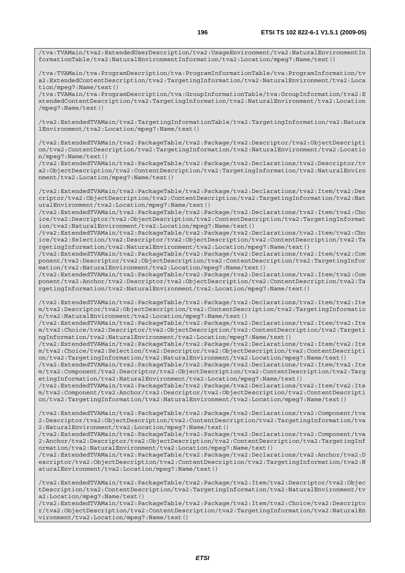/tva:TVAMain/tva2:ExtendedUserDescription/tva2:UsageEnvironment/tva2:NaturalEnvironmentIn formationTable/tva2:NaturalEnvironmentInformation/tva2:Location/mpeg7:Name/text()

/tva:TVAMain/tva:ProgramDescription/tva:ProgramInformationTable/tva:ProgramInformation/tv a2:ExtendedContentDescription/tva2:TargetingInformation/tva2:NaturalEnvironment/tva2:Loca tion/mpeg7:Name/text()

/tva:TVAMain/tva:ProgramDescription/tva:GroupInformationTable/tva:GroupInformation/tva2:E xtendedContentDescription/tva2:TargetingInformation/tva2:NaturalEnvironment/tva2:Location /mpeg7:Name/text()

/tva2:ExtendedTVAMain/tva2:TargetingInformationTable/tva2:TargetingInformation/va2:Natura lEnvironment/tva2:Location/mpeg7:Name/text()

/tva2:ExtendedTVAMain/tva2:PackageTable/tva2:Package/tva2:Descriptor/tva2:ObjectDescripti on/tva2:ContentDescription/tva2:TargetingInformation/tva2:NaturalEnvironment/tva2:Locatio n/mpeg7:Name/text()

/tva2:ExtendedTVAMain/tva2:PackageTable/tva2:Package/tva2:Declarations/tva2:Descriptor/tv a2:ObjectDescription/tva2:ContentDescription/tva2:TargetingInformation/tva2:NaturalEnviro nment/tva2:Location/mpeg7:Name/text()

/tva2:ExtendedTVAMain/tva2:PackageTable/tva2:Package/tva2:Declarations/tva2:Item/tva2:Des criptor/tva2:ObjectDescription/tva2:ContentDescription/tva2:TargetingInformation/tva2:Nat uralEnvironment/tva2:Location/mpeg7:Name/text()

/tva2:ExtendedTVAMain/tva2:PackageTable/tva2:Package/tva2:Declarations/tva2:Item/tva2:Cho ice/tva2:Descriptor/tva2:ObjectDescription/tva2:ContentDescription/tva2:TargetingInformat ion/tva2:NaturalEnvironment/tva2:Location/mpeg7:Name/text()

/tva2:ExtendedTVAMain/tva2:PackageTable/tva2:Package/tva2:Declarations/tva2:Item/tva2:Cho ice/tva2:Selection/tva2:Descriptor/tva2:ObjectDescription/tva2:ContentDescription/tva2:Ta rgetingInformation/tva2:NaturalEnvironment/tva2:Location/mpeg7:Name/text()

/tva2:ExtendedTVAMain/tva2:PackageTable/tva2:Package/tva2:Declarations/tva2:Item/tva2:Com ponent/tva2:Descriptor/tva2:ObjectDescription/tva2:ContentDescription/tva2:TargetingInfor mation/tva2:NaturalEnvironment/tva2:Location/mpeg7:Name/text()

/tva2:ExtendedTVAMain/tva2:PackageTable/tva2:Package/tva2:Declarations/tva2:Item/tva2:Com ponent/tva2:Anchor/tva2:Descriptor/tva2:ObjectDescription/tva2:ContentDescription/tva2:Ta rgetingInformation/tva2:NaturalEnvironment/tva2:Location/mpeg7:Name/text()

/tva2:ExtendedTVAMain/tva2:PackageTable/tva2:Package/tva2:Declarations/tva2:Item/tva2:Ite m/tva2:Descriptor/tva2:ObjectDescription/tva2:ContentDescription/tva2:TargetingInformatio n/tva2:NaturalEnvironment/tva2:Location/mpeg7:Name/text()

/tva2:ExtendedTVAMain/tva2:PackageTable/tva2:Package/tva2:Declarations/tva2:Item/tva2:Ite m/tva2:Choice/tva2:Descriptor/tva2:ObjectDescription/tva2:ContentDescription/tva2:Targeti ngInformation/tva2:NaturalEnvironment/tva2:Location/mpeg7:Name/text()

/tva2:ExtendedTVAMain/tva2:PackageTable/tva2:Package/tva2:Declarations/tva2:Item/tva2:Ite m/tva2:Choice/tva2:Selection/tva2:Descriptor/tva2:ObjectDescription/tva2:ContentDescripti on/tva2:TargetingInformation/tva2:NaturalEnvironment/tva2:Location/mpeg7:Name/text()

/tva2:ExtendedTVAMain/tva2:PackageTable/tva2:Package/tva2:Declarations/tva2:Item/tva2:Ite m/tva2:Component/tva2:Descriptor/tva2:ObjectDescription/tva2:ContentDescription/tva2:Targ etingInformation/tva2:NaturalEnvironment/tva2:Location/mpeg7:Name/text()

/tva2:ExtendedTVAMain/tva2:PackageTable/tva2:Package/tva2:Declarations/tva2:Item/tva2:Ite m/tva2:Component/tva2:Anchor/tva2:Descriptor/tva2:ObjectDescription/tva2:ContentDescripti on/tva2:TargetingInformation/tva2:NaturalEnvironment/tva2:Location/mpeg7:Name/text()

/tva2:ExtendedTVAMain/tva2:PackageTable/tva2:Package/tva2:Declarations/tva2:Component/tva 2:Descriptor/tva2:ObjectDescription/tva2:ContentDescription/tva2:TargetingInformation/tva 2:NaturalEnvironment/tva2:Location/mpeg7:Name/text()

/tva2:ExtendedTVAMain/tva2:PackageTable/tva2:Package/tva2:Declarations/tva2:Component/tva 2:Anchor/tva2:Descriptor/tva2:ObjectDescription/tva2:ContentDescription/tva2:TargetingInf ormation/tva2:NaturalEnvironment/tva2:Location/mpeg7:Name/text()

/tva2:ExtendedTVAMain/tva2:PackageTable/tva2:Package/tva2:Declarations/tva2:Anchor/tva2:D escriptor/tva2:ObjectDescription/tva2:ContentDescription/tva2:TargetingInformation/tva2:N aturalEnvironment/tva2:Location/mpeg7:Name/text()

/tva2:ExtendedTVAMain/tva2:PackageTable/tva2:Package/tva2:Item/tva2:Descriptor/tva2:Objec tDescription/tva2:ContentDescription/tva2:TargetingInformation/tva2:NaturalEnvironment/tv a2:Location/mpeg7:Name/text()

/tva2:ExtendedTVAMain/tva2:PackageTable/tva2:Package/tva2:Item/tva2:Choice/tva2:Descripto r/tva2:ObjectDescription/tva2:ContentDescription/tva2:TargetingInformation/tva2:NaturalEn vironment/tva2:Location/mpeg7:Name/text()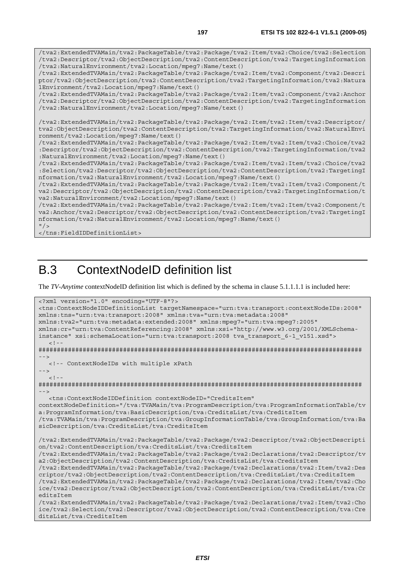/tva2:ExtendedTVAMain/tva2:PackageTable/tva2:Package/tva2:Item/tva2:Choice/tva2:Selection /tva2:Descriptor/tva2:ObjectDescription/tva2:ContentDescription/tva2:TargetingInformation /tva2:NaturalEnvironment/tva2:Location/mpeg7:Name/text() /tva2:ExtendedTVAMain/tva2:PackageTable/tva2:Package/tva2:Item/tva2:Component/tva2:Descri ptor/tva2:ObjectDescription/tva2:ContentDescription/tva2:TargetingInformation/tva2:Natura lEnvironment/tva2:Location/mpeg7:Name/text() /tva2:ExtendedTVAMain/tva2:PackageTable/tva2:Package/tva2:Item/tva2:Component/tva2:Anchor /tva2:Descriptor/tva2:ObjectDescription/tva2:ContentDescription/tva2:TargetingInformation /tva2:NaturalEnvironment/tva2:Location/mpeg7:Name/text() /tva2:ExtendedTVAMain/tva2:PackageTable/tva2:Package/tva2:Item/tva2:Item/tva2:Descriptor/ tva2:ObjectDescription/tva2:ContentDescription/tva2:TargetingInformation/tva2:NaturalEnvi ronment/tva2:Location/mpeg7:Name/text() /tva2:ExtendedTVAMain/tva2:PackageTable/tva2:Package/tva2:Item/tva2:Item/tva2:Choice/tva2 :Descriptor/tva2:ObjectDescription/tva2:ContentDescription/tva2:TargetingInformation/tva2 :NaturalEnvironment/tva2:Location/mpeg7:Name/text() /tva2:ExtendedTVAMain/tva2:PackageTable/tva2:Package/tva2:Item/tva2:Item/tva2:Choice/tva2 :Selection/tva2:Descriptor/tva2:ObjectDescription/tva2:ContentDescription/tva2:TargetingI nformation/tva2:NaturalEnvironment/tva2:Location/mpeg7:Name/text() /tva2:ExtendedTVAMain/tva2:PackageTable/tva2:Package/tva2:Item/tva2:Item/tva2:Component/t va2:Descriptor/tva2:ObjectDescription/tva2:ContentDescription/tva2:TargetingInformation/t va2:NaturalEnvironment/tva2:Location/mpeg7:Name/text() /tva2:ExtendedTVAMain/tva2:PackageTable/tva2:Package/tva2:Item/tva2:Item/tva2:Component/t va2:Anchor/tva2:Descriptor/tva2:ObjectDescription/tva2:ContentDescription/tva2:TargetingI nformation/tva2:NaturalEnvironment/tva2:Location/mpeg7:Name/text()  $''$  / >

</tns:FieldIDDefinitionList>

## B.3 ContextNodeID definition list

The *TV-Anytime* contextNodeID definition list which is defined by the schema in clause 5.1.1.1.1 is included here:

```
<?xml version="1.0" encoding="UTF-8"?> 
<tns:ContextNodeIDDefinitionList targetNamespace="urn:tva:transport:contextNodeIDs:2008" 
xmlns:tns="urn:tva:transport:2008" xmlns:tva="urn:tva:metadata:2008" 
xmlns:tva2="urn:tva:metadata:extended:2008" xmlns:mpeg7="urn:tva:mpeg7:2005" 
xmlns:cr="urn:tva:ContentReferencing:2008" xmlns:xsi="http://www.w3.org/2001/XMLSchema-
instance" xsi:schemaLocation="urn:tva:transport:2008 tva_transport_6-1_v151.xsd"> 
  \lt ! -
######################################################################################## 
 --> 
   <!-- ContextNodeIDs with multiple xPath 
--> 
  <! --
######################################################################################## 
--> 
   <tns:ContextNodeIDDefinition contextNodeID="CreditsItem" 
contextNodeDefinition="/tva:TVAMain/tva:ProgramDescription/tva:ProgramInformationTable/tv
a:ProgramInformation/tva:BasicDescription/tva:CreditsList/tva:CreditsItem 
/tva:TVAMain/tva:ProgramDescription/tva:GroupInformationTable/tva:GroupInformation/tva:Ba
sicDescription/tva:CreditsList/tva:CreditsItem 
/tva2:ExtendedTVAMain/tva2:PackageTable/tva2:Package/tva2:Descriptor/tva2:ObjectDescripti
on/tva2:ContentDescription/tva:CreditsList/tva:CreditsItem 
/tva2:ExtendedTVAMain/tva2:PackageTable/tva2:Package/tva2:Declarations/tva2:Descriptor/tv
a2:ObjectDescription/tva2:ContentDescription/tva:CreditsList/tva:CreditsItem 
/tva2:ExtendedTVAMain/tva2:PackageTable/tva2:Package/tva2:Declarations/tva2:Item/tva2:Des
criptor/tva2:ObjectDescription/tva2:ContentDescription/tva:CreditsList/tva:CreditsItem 
/tva2:ExtendedTVAMain/tva2:PackageTable/tva2:Package/tva2:Declarations/tva2:Item/tva2:Cho
ice/tva2:Descriptor/tva2:ObjectDescription/tva2:ContentDescription/tva:CreditsList/tva:Cr
editsItem 
/tva2:ExtendedTVAMain/tva2:PackageTable/tva2:Package/tva2:Declarations/tva2:Item/tva2:Cho
ice/tva2:Selection/tva2:Descriptor/tva2:ObjectDescription/tva2:ContentDescription/tva:Cre
ditsList/tva:CreditsItem
```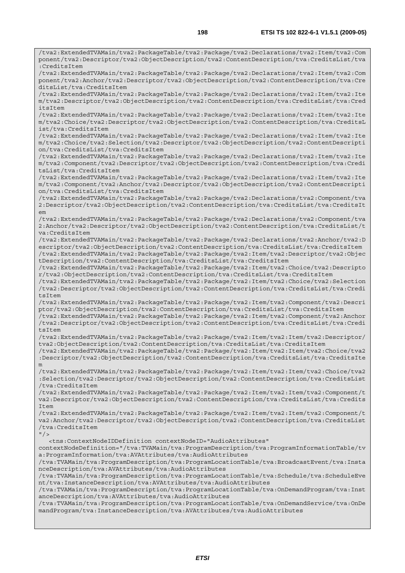/tva2:ExtendedTVAMain/tva2:PackageTable/tva2:Package/tva2:Declarations/tva2:Item/tva2:Com ponent/tva2:Descriptor/tva2:ObjectDescription/tva2:ContentDescription/tva:CreditsList/tva :CreditsItem /tva2:ExtendedTVAMain/tva2:PackageTable/tva2:Package/tva2:Declarations/tva2:Item/tva2:Com ponent/tva2:Anchor/tva2:Descriptor/tva2:ObjectDescription/tva2:ContentDescription/tva:Cre ditsList/tva:CreditsItem /tva2:ExtendedTVAMain/tva2:PackageTable/tva2:Package/tva2:Declarations/tva2:Item/tva2:Ite m/tva2:Descriptor/tva2:ObjectDescription/tva2:ContentDescription/tva:CreditsList/tva:Cred itsItem /tva2:ExtendedTVAMain/tva2:PackageTable/tva2:Package/tva2:Declarations/tva2:Item/tva2:Ite m/tva2:Choice/tva2:Descriptor/tva2:ObjectDescription/tva2:ContentDescription/tva:CreditsL ist/tva:CreditsItem /tva2:ExtendedTVAMain/tva2:PackageTable/tva2:Package/tva2:Declarations/tva2:Item/tva2:Ite m/tva2:Choice/tva2:Selection/tva2:Descriptor/tva2:ObjectDescription/tva2:ContentDescripti on/tva:CreditsList/tva:CreditsItem /tva2:ExtendedTVAMain/tva2:PackageTable/tva2:Package/tva2:Declarations/tva2:Item/tva2:Ite m/tva2:Component/tva2:Descriptor/tva2:ObjectDescription/tva2:ContentDescription/tva:Credi tsList/tva:CreditsItem /tva2:ExtendedTVAMain/tva2:PackageTable/tva2:Package/tva2:Declarations/tva2:Item/tva2:Ite m/tva2:Component/tva2:Anchor/tva2:Descriptor/tva2:ObjectDescription/tva2:ContentDescripti on/tva:CreditsList/tva:CreditsItem /tva2:ExtendedTVAMain/tva2:PackageTable/tva2:Package/tva2:Declarations/tva2:Component/tva 2:Descriptor/tva2:ObjectDescription/tva2:ContentDescription/tva:CreditsList/tva:CreditsIt em /tva2:ExtendedTVAMain/tva2:PackageTable/tva2:Package/tva2:Declarations/tva2:Component/tva 2:Anchor/tva2:Descriptor/tva2:ObjectDescription/tva2:ContentDescription/tva:CreditsList/t va:CreditsItem /tva2:ExtendedTVAMain/tva2:PackageTable/tva2:Package/tva2:Declarations/tva2:Anchor/tva2:D escriptor/tva2:ObjectDescription/tva2:ContentDescription/tva:CreditsList/tva:CreditsItem /tva2:ExtendedTVAMain/tva2:PackageTable/tva2:Package/tva2:Item/tva2:Descriptor/tva2:Objec tDescription/tva2:ContentDescription/tva:CreditsList/tva:CreditsItem /tva2:ExtendedTVAMain/tva2:PackageTable/tva2:Package/tva2:Item/tva2:Choice/tva2:Descripto r/tva2:ObjectDescription/tva2:ContentDescription/tva:CreditsList/tva:CreditsItem /tva2:ExtendedTVAMain/tva2:PackageTable/tva2:Package/tva2:Item/tva2:Choice/tva2:Selection /tva2:Descriptor/tva2:ObjectDescription/tva2:ContentDescription/tva:CreditsList/tva:Credi tsItem /tva2:ExtendedTVAMain/tva2:PackageTable/tva2:Package/tva2:Item/tva2:Component/tva2:Descri ptor/tva2:ObjectDescription/tva2:ContentDescription/tva:CreditsList/tva:CreditsItem /tva2:ExtendedTVAMain/tva2:PackageTable/tva2:Package/tva2:Item/tva2:Component/tva2:Anchor /tva2:Descriptor/tva2:ObjectDescription/tva2:ContentDescription/tva:CreditsList/tva:Credi tsItem /tva2:ExtendedTVAMain/tva2:PackageTable/tva2:Package/tva2:Item/tva2:Item/tva2:Descriptor/ tva2:ObjectDescription/tva2:ContentDescription/tva:CreditsList/tva:CreditsItem /tva2:ExtendedTVAMain/tva2:PackageTable/tva2:Package/tva2:Item/tva2:Item/tva2:Choice/tva2 :Descriptor/tva2:ObjectDescription/tva2:ContentDescription/tva:CreditsList/tva:CreditsIte m /tva2:ExtendedTVAMain/tva2:PackageTable/tva2:Package/tva2:Item/tva2:Item/tva2:Choice/tva2 :Selection/tva2:Descriptor/tva2:ObjectDescription/tva2:ContentDescription/tva:CreditsList /tva:CreditsItem /tva2:ExtendedTVAMain/tva2:PackageTable/tva2:Package/tva2:Item/tva2:Item/tva2:Component/t va2:Descriptor/tva2:ObjectDescription/tva2:ContentDescription/tva:CreditsList/tva:Credits Item /tva2:ExtendedTVAMain/tva2:PackageTable/tva2:Package/tva2:Item/tva2:Item/tva2:Component/t va2:Anchor/tva2:Descriptor/tva2:ObjectDescription/tva2:ContentDescription/tva:CreditsList /tva:CreditsItem  $"$  /> <tns:ContextNodeIDDefinition contextNodeID="AudioAttributes" contextNodeDefinition="/tva:TVAMain/tva:ProgramDescription/tva:ProgramInformationTable/tv a:ProgramInformation/tva:AVAttributes/tva:AudioAttributes /tva:TVAMain/tva:ProgramDescription/tva:ProgramLocationTable/tva:BroadcastEvent/tva:Insta nceDescription/tva:AVAttributes/tva:AudioAttributes /tva:TVAMain/tva:ProgramDescription/tva:ProgramLocationTable/tva:Schedule/tva:ScheduleEve nt/tva:InstanceDescription/tva:AVAttributes/tva:AudioAttributes /tva:TVAMain/tva:ProgramDescription/tva:ProgramLocationTable/tva:OnDemandProgram/tva:Inst anceDescription/tva:AVAttributes/tva:AudioAttributes /tva:TVAMain/tva:ProgramDescription/tva:ProgramLocationTable/tva:OnDemandService/tva:OnDe mandProgram/tva:InstanceDescription/tva:AVAttributes/tva:AudioAttributes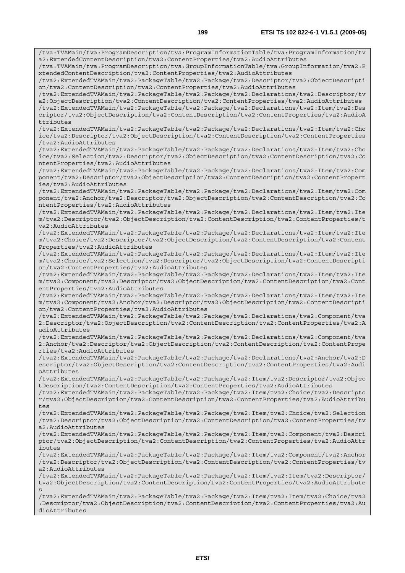/tva:TVAMain/tva:ProgramDescription/tva:ProgramInformationTable/tva:ProgramInformation/tv a2:ExtendedContentDescription/tva2:ContentProperties/tva2:AudioAttributes /tva:TVAMain/tva:ProgramDescription/tva:GroupInformationTable/tva:GroupInformation/tva2:E xtendedContentDescription/tva2:ContentProperties/tva2:AudioAttributes /tva2:ExtendedTVAMain/tva2:PackageTable/tva2:Package/tva2:Descriptor/tva2:ObjectDescripti on/tva2:ContentDescription/tva2:ContentProperties/tva2:AudioAttributes /tva2:ExtendedTVAMain/tva2:PackageTable/tva2:Package/tva2:Declarations/tva2:Descriptor/tv a2:ObjectDescription/tva2:ContentDescription/tva2:ContentProperties/tva2:AudioAttributes /tva2:ExtendedTVAMain/tva2:PackageTable/tva2:Package/tva2:Declarations/tva2:Item/tva2:Des criptor/tva2:ObjectDescription/tva2:ContentDescription/tva2:ContentProperties/tva2:AudioA ttributes /tva2:ExtendedTVAMain/tva2:PackageTable/tva2:Package/tva2:Declarations/tva2:Item/tva2:Cho ice/tva2:Descriptor/tva2:ObjectDescription/tva2:ContentDescription/tva2:ContentProperties /tva2:AudioAttributes /tva2:ExtendedTVAMain/tva2:PackageTable/tva2:Package/tva2:Declarations/tva2:Item/tva2:Cho ice/tva2:Selection/tva2:Descriptor/tva2:ObjectDescription/tva2:ContentDescription/tva2:Co ntentProperties/tva2:AudioAttributes /tva2:ExtendedTVAMain/tva2:PackageTable/tva2:Package/tva2:Declarations/tva2:Item/tva2:Com ponent/tva2:Descriptor/tva2:ObjectDescription/tva2:ContentDescription/tva2:ContentPropert ies/tva2:AudioAttributes /tva2:ExtendedTVAMain/tva2:PackageTable/tva2:Package/tva2:Declarations/tva2:Item/tva2:Com ponent/tva2:Anchor/tva2:Descriptor/tva2:ObjectDescription/tva2:ContentDescription/tva2:Co ntentProperties/tva2:AudioAttributes /tva2:ExtendedTVAMain/tva2:PackageTable/tva2:Package/tva2:Declarations/tva2:Item/tva2:Ite m/tva2:Descriptor/tva2:ObjectDescription/tva2:ContentDescription/tva2:ContentProperties/t va2:AudioAttributes /tva2:ExtendedTVAMain/tva2:PackageTable/tva2:Package/tva2:Declarations/tva2:Item/tva2:Ite m/tva2:Choice/tva2:Descriptor/tva2:ObjectDescription/tva2:ContentDescription/tva2:Content Properties/tva2:AudioAttributes /tva2:ExtendedTVAMain/tva2:PackageTable/tva2:Package/tva2:Declarations/tva2:Item/tva2:Ite m/tva2:Choice/tva2:Selection/tva2:Descriptor/tva2:ObjectDescription/tva2:ContentDescripti on/tva2:ContentProperties/tva2:AudioAttributes /tva2:ExtendedTVAMain/tva2:PackageTable/tva2:Package/tva2:Declarations/tva2:Item/tva2:Ite m/tva2:Component/tva2:Descriptor/tva2:ObjectDescription/tva2:ContentDescription/tva2:Cont entProperties/tva2:AudioAttributes /tva2:ExtendedTVAMain/tva2:PackageTable/tva2:Package/tva2:Declarations/tva2:Item/tva2:Ite m/tva2:Component/tva2:Anchor/tva2:Descriptor/tva2:ObjectDescription/tva2:ContentDescripti on/tva2:ContentProperties/tva2:AudioAttributes /tva2:ExtendedTVAMain/tva2:PackageTable/tva2:Package/tva2:Declarations/tva2:Component/tva 2:Descriptor/tva2:ObjectDescription/tva2:ContentDescription/tva2:ContentProperties/tva2:A udioAttributes /tva2:ExtendedTVAMain/tva2:PackageTable/tva2:Package/tva2:Declarations/tva2:Component/tva 2:Anchor/tva2:Descriptor/tva2:ObjectDescription/tva2:ContentDescription/tva2:ContentPrope rties/tva2:AudioAttributes /tva2:ExtendedTVAMain/tva2:PackageTable/tva2:Package/tva2:Declarations/tva2:Anchor/tva2:D escriptor/tva2:ObjectDescription/tva2:ContentDescription/tva2:ContentProperties/tva2:Audi oAttributes /tva2:ExtendedTVAMain/tva2:PackageTable/tva2:Package/tva2:Item/tva2:Descriptor/tva2:Objec tDescription/tva2:ContentDescription/tva2:ContentProperties/tva2:AudioAttributes /tva2:ExtendedTVAMain/tva2:PackageTable/tva2:Package/tva2:Item/tva2:Choice/tva2:Descripto r/tva2:ObjectDescription/tva2:ContentDescription/tva2:ContentProperties/tva2:AudioAttribu tes /tva2:ExtendedTVAMain/tva2:PackageTable/tva2:Package/tva2:Item/tva2:Choice/tva2:Selection /tva2:Descriptor/tva2:ObjectDescription/tva2:ContentDescription/tva2:ContentProperties/tv a2:AudioAttributes /tva2:ExtendedTVAMain/tva2:PackageTable/tva2:Package/tva2:Item/tva2:Component/tva2:Descri ptor/tva2:ObjectDescription/tva2:ContentDescription/tva2:ContentProperties/tva2:AudioAttr ibutes /tva2:ExtendedTVAMain/tva2:PackageTable/tva2:Package/tva2:Item/tva2:Component/tva2:Anchor /tva2:Descriptor/tva2:ObjectDescription/tva2:ContentDescription/tva2:ContentProperties/tv a2:AudioAttributes /tva2:ExtendedTVAMain/tva2:PackageTable/tva2:Package/tva2:Item/tva2:Item/tva2:Descriptor/ tva2:ObjectDescription/tva2:ContentDescription/tva2:ContentProperties/tva2:AudioAttribute s /tva2:ExtendedTVAMain/tva2:PackageTable/tva2:Package/tva2:Item/tva2:Item/tva2:Choice/tva2 :Descriptor/tva2:ObjectDescription/tva2:ContentDescription/tva2:ContentProperties/tva2:Au dioAttributes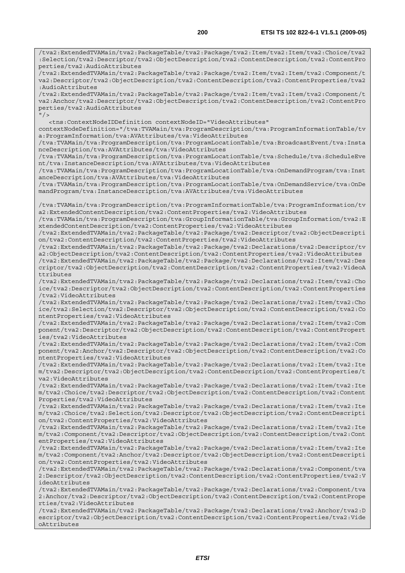/tva2:ExtendedTVAMain/tva2:PackageTable/tva2:Package/tva2:Item/tva2:Item/tva2:Choice/tva2 :Selection/tva2:Descriptor/tva2:ObjectDescription/tva2:ContentDescription/tva2:ContentPro perties/tva2:AudioAttributes /tva2:ExtendedTVAMain/tva2:PackageTable/tva2:Package/tva2:Item/tva2:Item/tva2:Component/t va2:Descriptor/tva2:ObjectDescription/tva2:ContentDescription/tva2:ContentProperties/tva2 :AudioAttributes /tva2:ExtendedTVAMain/tva2:PackageTable/tva2:Package/tva2:Item/tva2:Item/tva2:Component/t va2:Anchor/tva2:Descriptor/tva2:ObjectDescription/tva2:ContentDescription/tva2:ContentPro perties/tva2:AudioAttributes  $''$ /> <tns:ContextNodeIDDefinition contextNodeID="VideoAttributes" contextNodeDefinition="/tva:TVAMain/tva:ProgramDescription/tva:ProgramInformationTable/tv a:ProgramInformation/tva:AVAttributes/tva:VideoAttributes /tva:TVAMain/tva:ProgramDescription/tva:ProgramLocationTable/tva:BroadcastEvent/tva:Insta nceDescription/tva:AVAttributes/tva:VideoAttributes /tva:TVAMain/tva:ProgramDescription/tva:ProgramLocationTable/tva:Schedule/tva:ScheduleEve nt/tva:InstanceDescription/tva:AVAttributes/tva:VideoAttributes /tva:TVAMain/tva:ProgramDescription/tva:ProgramLocationTable/tva:OnDemandProgram/tva:Inst anceDescription/tva:AVAttributes/tva:VideoAttributes /tva:TVAMain/tva:ProgramDescription/tva:ProgramLocationTable/tva:OnDemandService/tva:OnDe mandProgram/tva:InstanceDescription/tva:AVAttributes/tva:VideoAttributes /tva:TVAMain/tva:ProgramDescription/tva:ProgramInformationTable/tva:ProgramInformation/tv a2:ExtendedContentDescription/tva2:ContentProperties/tva2:VideoAttributes /tva:TVAMain/tva:ProgramDescription/tva:GroupInformationTable/tva:GroupInformation/tva2:E xtendedContentDescription/tva2:ContentProperties/tva2:VideoAttributes /tva2:ExtendedTVAMain/tva2:PackageTable/tva2:Package/tva2:Descriptor/tva2:ObjectDescripti on/tva2:ContentDescription/tva2:ContentProperties/tva2:VideoAttributes /tva2:ExtendedTVAMain/tva2:PackageTable/tva2:Package/tva2:Declarations/tva2:Descriptor/tv a2:ObjectDescription/tva2:ContentDescription/tva2:ContentProperties/tva2:VideoAttributes /tva2:ExtendedTVAMain/tva2:PackageTable/tva2:Package/tva2:Declarations/tva2:Item/tva2:Des criptor/tva2:ObjectDescription/tva2:ContentDescription/tva2:ContentProperties/tva2:VideoA ttributes /tva2:ExtendedTVAMain/tva2:PackageTable/tva2:Package/tva2:Declarations/tva2:Item/tva2:Cho ice/tva2:Descriptor/tva2:ObjectDescription/tva2:ContentDescription/tva2:ContentProperties /tva2:VideoAttributes /tva2:ExtendedTVAMain/tva2:PackageTable/tva2:Package/tva2:Declarations/tva2:Item/tva2:Cho ice/tva2:Selection/tva2:Descriptor/tva2:ObjectDescription/tva2:ContentDescription/tva2:Co ntentProperties/tva2:VideoAttributes /tva2:ExtendedTVAMain/tva2:PackageTable/tva2:Package/tva2:Declarations/tva2:Item/tva2:Com ponent/tva2:Descriptor/tva2:ObjectDescription/tva2:ContentDescription/tva2:ContentPropert ies/tva2:VideoAttributes /tva2:ExtendedTVAMain/tva2:PackageTable/tva2:Package/tva2:Declarations/tva2:Item/tva2:Com ponent/tva2:Anchor/tva2:Descriptor/tva2:ObjectDescription/tva2:ContentDescription/tva2:Co ntentProperties/tva2:VideoAttributes /tva2:ExtendedTVAMain/tva2:PackageTable/tva2:Package/tva2:Declarations/tva2:Item/tva2:Ite m/tva2:Descriptor/tva2:ObjectDescription/tva2:ContentDescription/tva2:ContentProperties/t va2:VideoAttributes /tva2:ExtendedTVAMain/tva2:PackageTable/tva2:Package/tva2:Declarations/tva2:Item/tva2:Ite m/tva2:Choice/tva2:Descriptor/tva2:ObjectDescription/tva2:ContentDescription/tva2:Content Properties/tva2:VideoAttributes /tva2:ExtendedTVAMain/tva2:PackageTable/tva2:Package/tva2:Declarations/tva2:Item/tva2:Ite m/tva2:Choice/tva2:Selection/tva2:Descriptor/tva2:ObjectDescription/tva2:ContentDescripti on/tva2:ContentProperties/tva2:VideoAttributes /tva2:ExtendedTVAMain/tva2:PackageTable/tva2:Package/tva2:Declarations/tva2:Item/tva2:Ite m/tva2:Component/tva2:Descriptor/tva2:ObjectDescription/tva2:ContentDescription/tva2:Cont entProperties/tva2:VideoAttributes /tva2:ExtendedTVAMain/tva2:PackageTable/tva2:Package/tva2:Declarations/tva2:Item/tva2:Ite m/tva2:Component/tva2:Anchor/tva2:Descriptor/tva2:ObjectDescription/tva2:ContentDescripti on/tva2:ContentProperties/tva2:VideoAttributes /tva2:ExtendedTVAMain/tva2:PackageTable/tva2:Package/tva2:Declarations/tva2:Component/tva 2:Descriptor/tva2:ObjectDescription/tva2:ContentDescription/tva2:ContentProperties/tva2:V ideoAttributes /tva2:ExtendedTVAMain/tva2:PackageTable/tva2:Package/tva2:Declarations/tva2:Component/tva 2:Anchor/tva2:Descriptor/tva2:ObjectDescription/tva2:ContentDescription/tva2:ContentPrope rties/tva2:VideoAttributes /tva2:ExtendedTVAMain/tva2:PackageTable/tva2:Package/tva2:Declarations/tva2:Anchor/tva2:D escriptor/tva2:ObjectDescription/tva2:ContentDescription/tva2:ContentProperties/tva2:Vide oAttributes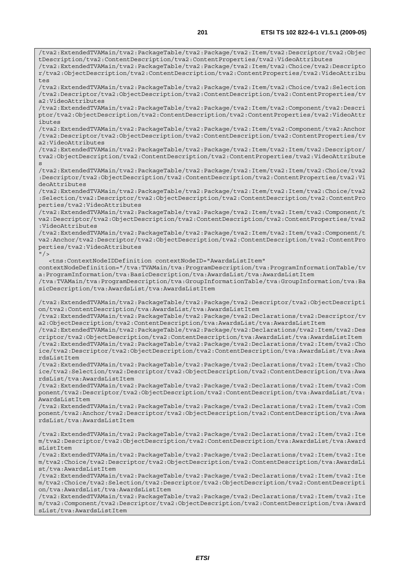/tva2:ExtendedTVAMain/tva2:PackageTable/tva2:Package/tva2:Item/tva2:Descriptor/tva2:Objec tDescription/tva2:ContentDescription/tva2:ContentProperties/tva2:VideoAttributes /tva2:ExtendedTVAMain/tva2:PackageTable/tva2:Package/tva2:Item/tva2:Choice/tva2:Descripto r/tva2:ObjectDescription/tva2:ContentDescription/tva2:ContentProperties/tva2:VideoAttribu tes /tva2:ExtendedTVAMain/tva2:PackageTable/tva2:Package/tva2:Item/tva2:Choice/tva2:Selection /tva2:Descriptor/tva2:ObjectDescription/tva2:ContentDescription/tva2:ContentProperties/tv a2:VideoAttributes /tva2:ExtendedTVAMain/tva2:PackageTable/tva2:Package/tva2:Item/tva2:Component/tva2:Descri ptor/tva2:ObjectDescription/tva2:ContentDescription/tva2:ContentProperties/tva2:VideoAttr ibutes /tva2:ExtendedTVAMain/tva2:PackageTable/tva2:Package/tva2:Item/tva2:Component/tva2:Anchor /tva2:Descriptor/tva2:ObjectDescription/tva2:ContentDescription/tva2:ContentProperties/tv a2:VideoAttributes /tva2:ExtendedTVAMain/tva2:PackageTable/tva2:Package/tva2:Item/tva2:Item/tva2:Descriptor/ tva2:ObjectDescription/tva2:ContentDescription/tva2:ContentProperties/tva2:VideoAttribute s /tva2:ExtendedTVAMain/tva2:PackageTable/tva2:Package/tva2:Item/tva2:Item/tva2:Choice/tva2 :Descriptor/tva2:ObjectDescription/tva2:ContentDescription/tva2:ContentProperties/tva2:Vi deoAttributes /tva2:ExtendedTVAMain/tva2:PackageTable/tva2:Package/tva2:Item/tva2:Item/tva2:Choice/tva2 :Selection/tva2:Descriptor/tva2:ObjectDescription/tva2:ContentDescription/tva2:ContentPro perties/tva2:VideoAttributes /tva2:ExtendedTVAMain/tva2:PackageTable/tva2:Package/tva2:Item/tva2:Item/tva2:Component/t va2:Descriptor/tva2:ObjectDescription/tva2:ContentDescription/tva2:ContentProperties/tva2 :VideoAttributes /tva2:ExtendedTVAMain/tva2:PackageTable/tva2:Package/tva2:Item/tva2:Item/tva2:Component/t va2:Anchor/tva2:Descriptor/tva2:ObjectDescription/tva2:ContentDescription/tva2:ContentPro perties/tva2:VideoAttributes  $''$  / > <tns:ContextNodeIDDefinition contextNodeID="AwardsListItem" contextNodeDefinition="/tva:TVAMain/tva:ProgramDescription/tva:ProgramInformationTable/tv a:ProgramInformation/tva:BasicDescription/tva:AwardsList/tva:AwardsListItem /tva:TVAMain/tva:ProgramDescription/tva:GroupInformationTable/tva:GroupInformation/tva:Ba sicDescription/tva:AwardsList/tva:AwardsListItem /tva2:ExtendedTVAMain/tva2:PackageTable/tva2:Package/tva2:Descriptor/tva2:ObjectDescripti on/tva2:ContentDescription/tva:AwardsList/tva:AwardsListItem /tva2:ExtendedTVAMain/tva2:PackageTable/tva2:Package/tva2:Declarations/tva2:Descriptor/tv a2:ObjectDescription/tva2:ContentDescription/tva:AwardsList/tva:AwardsListItem /tva2:ExtendedTVAMain/tva2:PackageTable/tva2:Package/tva2:Declarations/tva2:Item/tva2:Des criptor/tva2:ObjectDescription/tva2:ContentDescription/tva:AwardsList/tva:AwardsListItem /tva2:ExtendedTVAMain/tva2:PackageTable/tva2:Package/tva2:Declarations/tva2:Item/tva2:Cho ice/tva2:Descriptor/tva2:ObjectDescription/tva2:ContentDescription/tva:AwardsList/tva:Awa rdsListItem /tva2:ExtendedTVAMain/tva2:PackageTable/tva2:Package/tva2:Declarations/tva2:Item/tva2:Cho ice/tva2:Selection/tva2:Descriptor/tva2:ObjectDescription/tva2:ContentDescription/tva:Awa rdsList/tva:AwardsListItem /tva2:ExtendedTVAMain/tva2:PackageTable/tva2:Package/tva2:Declarations/tva2:Item/tva2:Com ponent/tva2:Descriptor/tva2:ObjectDescription/tva2:ContentDescription/tva:AwardsList/tva: AwardsListItem /tva2:ExtendedTVAMain/tva2:PackageTable/tva2:Package/tva2:Declarations/tva2:Item/tva2:Com ponent/tva2:Anchor/tva2:Descriptor/tva2:ObjectDescription/tva2:ContentDescription/tva:Awa rdsList/tva:AwardsListItem /tva2:ExtendedTVAMain/tva2:PackageTable/tva2:Package/tva2:Declarations/tva2:Item/tva2:Ite m/tva2:Descriptor/tva2:ObjectDescription/tva2:ContentDescription/tva:AwardsList/tva:Award sListItem /tva2:ExtendedTVAMain/tva2:PackageTable/tva2:Package/tva2:Declarations/tva2:Item/tva2:Ite m/tva2:Choice/tva2:Descriptor/tva2:ObjectDescription/tva2:ContentDescription/tva:AwardsLi st/tva:AwardsListItem /tva2:ExtendedTVAMain/tva2:PackageTable/tva2:Package/tva2:Declarations/tva2:Item/tva2:Ite m/tva2:Choice/tva2:Selection/tva2:Descriptor/tva2:ObjectDescription/tva2:ContentDescripti on/tva:AwardsList/tva:AwardsListItem /tva2:ExtendedTVAMain/tva2:PackageTable/tva2:Package/tva2:Declarations/tva2:Item/tva2:Ite

m/tva2:Component/tva2:Descriptor/tva2:ObjectDescription/tva2:ContentDescription/tva:Award sList/tva:AwardsListItem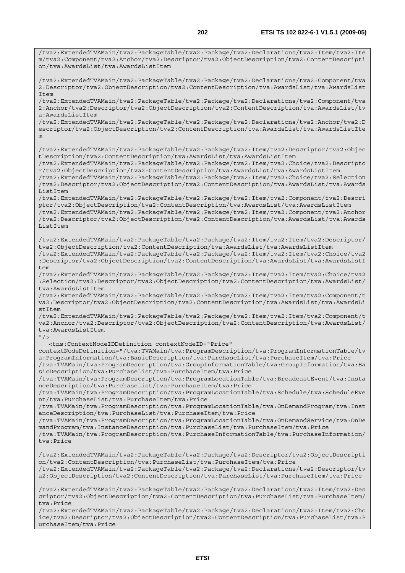/tva2:ExtendedTVAMain/tva2:PackageTable/tva2:Package/tva2:Declarations/tva2:Item/tva2:Ite m/tva2:Component/tva2:Anchor/tva2:Descriptor/tva2:ObjectDescription/tva2:ContentDescripti on/tva:AwardsList/tva:AwardsListItem /tva2:ExtendedTVAMain/tva2:PackageTable/tva2:Package/tva2:Declarations/tva2:Component/tva 2:Descriptor/tva2:ObjectDescription/tva2:ContentDescription/tva:AwardsList/tva:AwardsList Item /tva2:ExtendedTVAMain/tva2:PackageTable/tva2:Package/tva2:Declarations/tva2:Component/tva 2:Anchor/tva2:Descriptor/tva2:ObjectDescription/tva2:ContentDescription/tva:AwardsList/tv a:AwardsListItem /tva2:ExtendedTVAMain/tva2:PackageTable/tva2:Package/tva2:Declarations/tva2:Anchor/tva2:D escriptor/tva2:ObjectDescription/tva2:ContentDescription/tva:AwardsList/tva:AwardsListIte m /tva2:ExtendedTVAMain/tva2:PackageTable/tva2:Package/tva2:Item/tva2:Descriptor/tva2:Objec tDescription/tva2:ContentDescription/tva:AwardsList/tva:AwardsListItem /tva2:ExtendedTVAMain/tva2:PackageTable/tva2:Package/tva2:Item/tva2:Choice/tva2:Descripto r/tva2:ObjectDescription/tva2:ContentDescription/tva:AwardsList/tva:AwardsListItem /tva2:ExtendedTVAMain/tva2:PackageTable/tva2:Package/tva2:Item/tva2:Choice/tva2:Selection /tva2:Descriptor/tva2:ObjectDescription/tva2:ContentDescription/tva:AwardsList/tva:Awards ListItem /tva2:ExtendedTVAMain/tva2:PackageTable/tva2:Package/tva2:Item/tva2:Component/tva2:Descri ptor/tva2:ObjectDescription/tva2:ContentDescription/tva:AwardsList/tva:AwardsListItem /tva2:ExtendedTVAMain/tva2:PackageTable/tva2:Package/tva2:Item/tva2:Component/tva2:Anchor /tva2:Descriptor/tva2:ObjectDescription/tva2:ContentDescription/tva:AwardsList/tva:Awards ListItem /tva2:ExtendedTVAMain/tva2:PackageTable/tva2:Package/tva2:Item/tva2:Item/tva2:Descriptor/ tva2:ObjectDescription/tva2:ContentDescription/tva:AwardsList/tva:AwardsListItem /tva2:ExtendedTVAMain/tva2:PackageTable/tva2:Package/tva2:Item/tva2:Item/tva2:Choice/tva2 :Descriptor/tva2:ObjectDescription/tva2:ContentDescription/tva:AwardsList/tva:AwardsListI  $t$ em /tva2:ExtendedTVAMain/tva2:PackageTable/tva2:Package/tva2:Item/tva2:Item/tva2:Choice/tva2 :Selection/tva2:Descriptor/tva2:ObjectDescription/tva2:ContentDescription/tva:AwardsList/ tva:AwardsListItem /tva2:ExtendedTVAMain/tva2:PackageTable/tva2:Package/tva2:Item/tva2:Item/tva2:Component/t va2:Descriptor/tva2:ObjectDescription/tva2:ContentDescription/tva:AwardsList/tva:AwardsLi stItem /tva2:ExtendedTVAMain/tva2:PackageTable/tva2:Package/tva2:Item/tva2:Item/tva2:Component/t va2:Anchor/tva2:Descriptor/tva2:ObjectDescription/tva2:ContentDescription/tva:AwardsList/ tva:AwardsListItem  $''$  / > <tns:ContextNodeIDDefinition contextNodeID="Price" contextNodeDefinition="/tva:TVAMain/tva:ProgramDescription/tva:ProgramInformationTable/tv a:ProgramInformation/tva:BasicDescription/tva:PurchaseList/tva:PurchaseItem/tva:Price /tva:TVAMain/tva:ProgramDescription/tva:GroupInformationTable/tva:GroupInformation/tva:Ba sicDescription/tva:PurchaseList/tva:PurchaseItem/tva:Price /tva:TVAMain/tva:ProgramDescription/tva:ProgramLocationTable/tva:BroadcastEvent/tva:Insta nceDescription/tva:PurchaseList/tva:PurchaseItem/tva:Price /tva:TVAMain/tva:ProgramDescription/tva:ProgramLocationTable/tva:Schedule/tva:ScheduleEve nt/tva:PurchaseList/tva:PurchaseItem/tva:Price /tva:TVAMain/tva:ProgramDescription/tva:ProgramLocationTable/tva:OnDemandProgram/tva:Inst anceDescription/tva:PurchaseList/tva:PurchaseItem/tva:Price /tva:TVAMain/tva:ProgramDescription/tva:ProgramLocationTable/tva:OnDemandService/tva:OnDe mandProgram/tva:InstanceDescription/tva:PurchaseList/tva:PurchaseItem/tva:Price /tva:TVAMain/tva:ProgramDescription/tva:PurchaseInformationTable/tva:PurchaseInformation/ tva:Price /tva2:ExtendedTVAMain/tva2:PackageTable/tva2:Package/tva2:Descriptor/tva2:ObjectDescripti on/tva2:ContentDescription/tva:PurchaseList/tva:PurchaseItem/tva:Price /tva2:ExtendedTVAMain/tva2:PackageTable/tva2:Package/tva2:Declarations/tva2:Descriptor/tv a2:ObjectDescription/tva2:ContentDescription/tva:PurchaseList/tva:PurchaseItem/tva:Price /tva2:ExtendedTVAMain/tva2:PackageTable/tva2:Package/tva2:Declarations/tva2:Item/tva2:Des criptor/tva2:ObjectDescription/tva2:ContentDescription/tva:PurchaseList/tva:PurchaseItem/ tva:Price

/tva2:ExtendedTVAMain/tva2:PackageTable/tva2:Package/tva2:Declarations/tva2:Item/tva2:Cho ice/tva2:Descriptor/tva2:ObjectDescription/tva2:ContentDescription/tva:PurchaseList/tva:P urchaseItem/tva:Price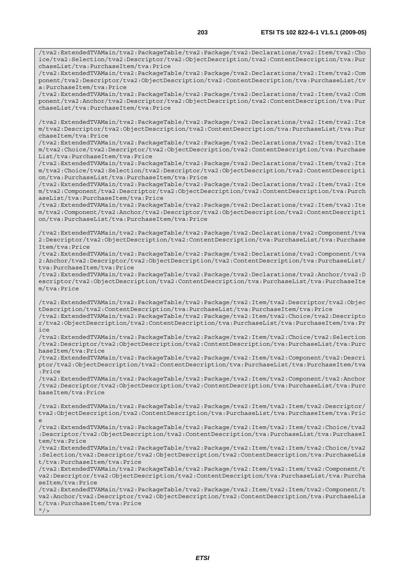/tva2:ExtendedTVAMain/tva2:PackageTable/tva2:Package/tva2:Declarations/tva2:Item/tva2:Cho ice/tva2:Selection/tva2:Descriptor/tva2:ObjectDescription/tva2:ContentDescription/tva:Pur chaseList/tva:PurchaseItem/tva:Price /tva2:ExtendedTVAMain/tva2:PackageTable/tva2:Package/tva2:Declarations/tva2:Item/tva2:Com ponent/tva2:Descriptor/tva2:ObjectDescription/tva2:ContentDescription/tva:PurchaseList/tv

a:PurchaseItem/tva:Price /tva2:ExtendedTVAMain/tva2:PackageTable/tva2:Package/tva2:Declarations/tva2:Item/tva2:Com ponent/tva2:Anchor/tva2:Descriptor/tva2:ObjectDescription/tva2:ContentDescription/tva:Pur chaseList/tva:PurchaseItem/tva:Price

/tva2:ExtendedTVAMain/tva2:PackageTable/tva2:Package/tva2:Declarations/tva2:Item/tva2:Ite m/tva2:Descriptor/tva2:ObjectDescription/tva2:ContentDescription/tva:PurchaseList/tva:Pur chaseItem/tva:Price

/tva2:ExtendedTVAMain/tva2:PackageTable/tva2:Package/tva2:Declarations/tva2:Item/tva2:Ite m/tva2:Choice/tva2:Descriptor/tva2:ObjectDescription/tva2:ContentDescription/tva:Purchase List/tva:PurchaseItem/tva:Price

/tva2:ExtendedTVAMain/tva2:PackageTable/tva2:Package/tva2:Declarations/tva2:Item/tva2:Ite m/tva2:Choice/tva2:Selection/tva2:Descriptor/tva2:ObjectDescription/tva2:ContentDescripti on/tva:PurchaseList/tva:PurchaseItem/tva:Price

/tva2:ExtendedTVAMain/tva2:PackageTable/tva2:Package/tva2:Declarations/tva2:Item/tva2:Ite m/tva2:Component/tva2:Descriptor/tva2:ObjectDescription/tva2:ContentDescription/tva:Purch aseList/tva:PurchaseItem/tva:Price

/tva2:ExtendedTVAMain/tva2:PackageTable/tva2:Package/tva2:Declarations/tva2:Item/tva2:Ite m/tva2:Component/tva2:Anchor/tva2:Descriptor/tva2:ObjectDescription/tva2:ContentDescripti on/tva:PurchaseList/tva:PurchaseItem/tva:Price

/tva2:ExtendedTVAMain/tva2:PackageTable/tva2:Package/tva2:Declarations/tva2:Component/tva 2:Descriptor/tva2:ObjectDescription/tva2:ContentDescription/tva:PurchaseList/tva:Purchase Item/tva:Price

/tva2:ExtendedTVAMain/tva2:PackageTable/tva2:Package/tva2:Declarations/tva2:Component/tva 2:Anchor/tva2:Descriptor/tva2:ObjectDescription/tva2:ContentDescription/tva:PurchaseList/ tva:PurchaseItem/tva:Price

/tva2:ExtendedTVAMain/tva2:PackageTable/tva2:Package/tva2:Declarations/tva2:Anchor/tva2:D escriptor/tva2:ObjectDescription/tva2:ContentDescription/tva:PurchaseList/tva:PurchaseIte m/tva:Price

/tva2:ExtendedTVAMain/tva2:PackageTable/tva2:Package/tva2:Item/tva2:Descriptor/tva2:Objec tDescription/tva2:ContentDescription/tva:PurchaseList/tva:PurchaseItem/tva:Price

/tva2:ExtendedTVAMain/tva2:PackageTable/tva2:Package/tva2:Item/tva2:Choice/tva2:Descripto r/tva2:ObjectDescription/tva2:ContentDescription/tva:PurchaseList/tva:PurchaseItem/tva:Pr ice

/tva2:ExtendedTVAMain/tva2:PackageTable/tva2:Package/tva2:Item/tva2:Choice/tva2:Selection /tva2:Descriptor/tva2:ObjectDescription/tva2:ContentDescription/tva:PurchaseList/tva:Purc haseItem/tva:Price

/tva2:ExtendedTVAMain/tva2:PackageTable/tva2:Package/tva2:Item/tva2:Component/tva2:Descri ptor/tva2:ObjectDescription/tva2:ContentDescription/tva:PurchaseList/tva:PurchaseItem/tva :Price

/tva2:ExtendedTVAMain/tva2:PackageTable/tva2:Package/tva2:Item/tva2:Component/tva2:Anchor /tva2:Descriptor/tva2:ObjectDescription/tva2:ContentDescription/tva:PurchaseList/tva:Purc haseItem/tva:Price

/tva2:ExtendedTVAMain/tva2:PackageTable/tva2:Package/tva2:Item/tva2:Item/tva2:Descriptor/ tva2:ObjectDescription/tva2:ContentDescription/tva:PurchaseList/tva:PurchaseItem/tva:Pric e

/tva2:ExtendedTVAMain/tva2:PackageTable/tva2:Package/tva2:Item/tva2:Item/tva2:Choice/tva2 :Descriptor/tva2:ObjectDescription/tva2:ContentDescription/tva:PurchaseList/tva:PurchaseI tem/tva:Price

/tva2:ExtendedTVAMain/tva2:PackageTable/tva2:Package/tva2:Item/tva2:Item/tva2:Choice/tva2 :Selection/tva2:Descriptor/tva2:ObjectDescription/tva2:ContentDescription/tva:PurchaseLis t/tva:PurchaseItem/tva:Price

/tva2:ExtendedTVAMain/tva2:PackageTable/tva2:Package/tva2:Item/tva2:Item/tva2:Component/t va2:Descriptor/tva2:ObjectDescription/tva2:ContentDescription/tva:PurchaseList/tva:Purcha seItem/tva:Price

/tva2:ExtendedTVAMain/tva2:PackageTable/tva2:Package/tva2:Item/tva2:Item/tva2:Component/t va2:Anchor/tva2:Descriptor/tva2:ObjectDescription/tva2:ContentDescription/tva:PurchaseLis t/tva:PurchaseItem/tva:Price

 $''$  /  $>$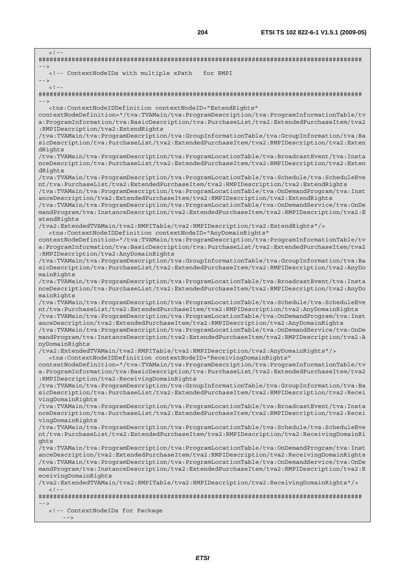$\leq$   $1 - \frac{1}{2}$ ######################################################################################## --> <!-- ContextNodeIDs with multiple xPath for RMPI -->  $<$ ! --######################################################################################## --> <tns:ContextNodeIDDefinition contextNodeID="ExtendRights" contextNodeDefinition="/tva:TVAMain/tva:ProgramDescription/tva:ProgramInformationTable/tv a:ProgramInformation/tva:BasicDescription/tva:PurchaseList/tva2:ExtendedPurchaseItem/tva2 :RMPIDescription/tva2:ExtendRights /tva:TVAMain/tva:ProgramDescription/tva:GroupInformationTable/tva:GroupInformation/tva:Ba sicDescription/tva:PurchaseList/tva2:ExtendedPurchaseItem/tva2:RMPIDescription/tva2:Exten dRights /tva:TVAMain/tva:ProgramDescription/tva:ProgramLocationTable/tva:BroadcastEvent/tva:Insta nceDescription/tva:PurchaseList/tva2:ExtendedPurchaseItem/tva2:RMPIDescription/tva2:Exten dRights /tva:TVAMain/tva:ProgramDescription/tva:ProgramLocationTable/tva:Schedule/tva:ScheduleEve nt/tva:PurchaseList/tva2:ExtendedPurchaseItem/tva2:RMPIDescription/tva2:ExtendRights /tva:TVAMain/tva:ProgramDescription/tva:ProgramLocationTable/tva:OnDemandProgram/tva:Inst anceDescription/tva2:ExtendedPurchaseItem/tva2:RMPIDescription/tva2:ExtendRights /tva:TVAMain/tva:ProgramDescription/tva:ProgramLocationTable/tva:OnDemandService/tva:OnDe mandProgram/tva:InstanceDescription/tva2:ExtendedPurchaseItem/tva2:RMPIDescription/tva2:E xtendRights /tva2:ExtendedTVAMain/tva2:RMPITable/tva2:RMPIDescription/tva2:ExtendRights"/> <tns:ContextNodeIDDefinition contextNodeID="AnyDomainRights" contextNodeDefinition="/tva:TVAMain/tva:ProgramDescription/tva:ProgramInformationTable/tv a:ProgramInformation/tva:BasicDescription/tva:PurchaseList/tva2:ExtendedPurchaseItem/tva2 :RMPIDescription/tva2:AnyDomainRights /tva:TVAMain/tva:ProgramDescription/tva:GroupInformationTable/tva:GroupInformation/tva:Ba sicDescription/tva:PurchaseList/tva2:ExtendedPurchaseItem/tva2:RMPIDescription/tva2:AnyDo mainRights /tva:TVAMain/tva:ProgramDescription/tva:ProgramLocationTable/tva:BroadcastEvent/tva:Insta nceDescription/tva:PurchaseList/tva2:ExtendedPurchaseItem/tva2:RMPIDescription/tva2:AnyDo mainRights /tva:TVAMain/tva:ProgramDescription/tva:ProgramLocationTable/tva:Schedule/tva:ScheduleEve nt/tva:PurchaseList/tva2:ExtendedPurchaseItem/tva2:RMPIDescription/tva2:AnyDomainRights /tva:TVAMain/tva:ProgramDescription/tva:ProgramLocationTable/tva:OnDemandProgram/tva:Inst anceDescription/tva2:ExtendedPurchaseItem/tva2:RMPIDescription/tva2:AnyDomainRights /tva:TVAMain/tva:ProgramDescription/tva:ProgramLocationTable/tva:OnDemandService/tva:OnDe mandProgram/tva:InstanceDescription/tva2:ExtendedPurchaseItem/tva2:RMPIDescription/tva2:A nyDomainRights /tva2:ExtendedTVAMain/tva2:RMPITable/tva2:RMPIDescription/tva2:AnyDomainRights"/> <tns:ContextNodeIDDefinition contextNodeID="ReceivingDomainRights" contextNodeDefinition="/tva:TVAMain/tva:ProgramDescription/tva:ProgramInformationTable/tv a:ProgramInformation/tva:BasicDescription/tva:PurchaseList/tva2:ExtendedPurchaseItem/tva2 :RMPIDescription/tva2:ReceivingDomainRights /tva:TVAMain/tva:ProgramDescription/tva:GroupInformationTable/tva:GroupInformation/tva:Ba sicDescription/tva:PurchaseList/tva2:ExtendedPurchaseItem/tva2:RMPIDescription/tva2:Recei vingDomainRights /tva:TVAMain/tva:ProgramDescription/tva:ProgramLocationTable/tva:BroadcastEvent/tva:Insta nceDescription/tva:PurchaseList/tva2:ExtendedPurchaseItem/tva2:RMPIDescription/tva2:Recei vingDomainRights /tva:TVAMain/tva:ProgramDescription/tva:ProgramLocationTable/tva:Schedule/tva:ScheduleEve nt/tva:PurchaseList/tva2:ExtendedPurchaseItem/tva2:RMPIDescription/tva2:ReceivingDomainRi ghts /tva:TVAMain/tva:ProgramDescription/tva:ProgramLocationTable/tva:OnDemandProgram/tva:Inst anceDescription/tva2:ExtendedPurchaseItem/tva2:RMPIDescription/tva2:ReceivingDomainRights /tva:TVAMain/tva:ProgramDescription/tva:ProgramLocationTable/tva:OnDemandService/tva:OnDe mandProgram/tva:InstanceDescription/tva2:ExtendedPurchaseItem/tva2:RMPIDescription/tva2:R eceivingDomainRights /tva2:ExtendedTVAMain/tva2:RMPITable/tva2:RMPIDescription/tva2:ReceivingDomainRights"/>  $\geq$   $\perp$   $\perp$ ######################################################################################## --> <!-- ContextNodeIDs for Package  $-$  -  $>$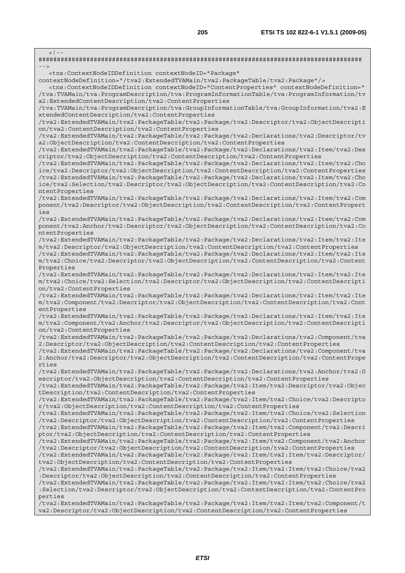$\lt$  !  $-$ ######################################################################################## --> <tns:ContextNodeIDDefinition contextNodeID="Package" contextNodeDefinition="/tva2:ExtendedTVAMain/tva2:PackageTable/tva2:Package"/> <tns:ContextNodeIDDefinition contextNodeID="ContentProperties" contextNodeDefinition=" /tva:TVAMain/tva:ProgramDescription/tva:ProgramInformationTable/tva:ProgramInformation/tv a2:ExtendedContentDescription/tva2:ContentProperties /tva:TVAMain/tva:ProgramDescription/tva:GroupInformationTable/tva:GroupInformation/tva2:E xtendedContentDescription/tva2:ContentProperties /tva2:ExtendedTVAMain/tva2:PackageTable/tva2:Package/tva2:Descriptor/tva2:ObjectDescripti on/tva2:ContentDescription/tva2:ContentProperties /tva2:ExtendedTVAMain/tva2:PackageTable/tva2:Package/tva2:Declarations/tva2:Descriptor/tv a2:ObjectDescription/tva2:ContentDescription/tva2:ContentProperties /tva2:ExtendedTVAMain/tva2:PackageTable/tva2:Package/tva2:Declarations/tva2:Item/tva2:Des criptor/tva2:ObjectDescription/tva2:ContentDescription/tva2:ContentProperties /tva2:ExtendedTVAMain/tva2:PackageTable/tva2:Package/tva2:Declarations/tva2:Item/tva2:Cho ice/tva2:Descriptor/tva2:ObjectDescription/tva2:ContentDescription/tva2:ContentProperties /tva2:ExtendedTVAMain/tva2:PackageTable/tva2:Package/tva2:Declarations/tva2:Item/tva2:Cho ice/tva2:Selection/tva2:Descriptor/tva2:ObjectDescription/tva2:ContentDescription/tva2:Co ntentProperties /tva2:ExtendedTVAMain/tva2:PackageTable/tva2:Package/tva2:Declarations/tva2:Item/tva2:Com ponent/tva2:Descriptor/tva2:ObjectDescription/tva2:ContentDescription/tva2:ContentPropert ies /tva2:ExtendedTVAMain/tva2:PackageTable/tva2:Package/tva2:Declarations/tva2:Item/tva2:Com ponent/tva2:Anchor/tva2:Descriptor/tva2:ObjectDescription/tva2:ContentDescription/tva2:Co ntentProperties /tva2:ExtendedTVAMain/tva2:PackageTable/tva2:Package/tva2:Declarations/tva2:Item/tva2:Ite m/tva2:Descriptor/tva2:ObjectDescription/tva2:ContentDescription/tva2:ContentProperties /tva2:ExtendedTVAMain/tva2:PackageTable/tva2:Package/tva2:Declarations/tva2:Item/tva2:Ite m/tva2:Choice/tva2:Descriptor/tva2:ObjectDescription/tva2:ContentDescription/tva2:Content Properties /tva2:ExtendedTVAMain/tva2:PackageTable/tva2:Package/tva2:Declarations/tva2:Item/tva2:Ite m/tva2:Choice/tva2:Selection/tva2:Descriptor/tva2:ObjectDescription/tva2:ContentDescripti on/tva2:ContentProperties /tva2:ExtendedTVAMain/tva2:PackageTable/tva2:Package/tva2:Declarations/tva2:Item/tva2:Ite m/tva2:Component/tva2:Descriptor/tva2:ObjectDescription/tva2:ContentDescription/tva2:Cont entProperties /tva2:ExtendedTVAMain/tva2:PackageTable/tva2:Package/tva2:Declarations/tva2:Item/tva2:Ite m/tva2:Component/tva2:Anchor/tva2:Descriptor/tva2:ObjectDescription/tva2:ContentDescripti on/tva2:ContentProperties /tva2:ExtendedTVAMain/tva2:PackageTable/tva2:Package/tva2:Declarations/tva2:Component/tva 2:Descriptor/tva2:ObjectDescription/tva2:ContentDescription/tva2:ContentProperties /tva2:ExtendedTVAMain/tva2:PackageTable/tva2:Package/tva2:Declarations/tva2:Component/tva 2:Anchor/tva2:Descriptor/tva2:ObjectDescription/tva2:ContentDescription/tva2:ContentPrope rties /tva2:ExtendedTVAMain/tva2:PackageTable/tva2:Package/tva2:Declarations/tva2:Anchor/tva2:D escriptor/tva2:ObjectDescription/tva2:ContentDescription/tva2:ContentProperties /tva2:ExtendedTVAMain/tva2:PackageTable/tva2:Package/tva2:Item/tva2:Descriptor/tva2:Objec tDescription/tva2:ContentDescription/tva2:ContentProperties /tva2:ExtendedTVAMain/tva2:PackageTable/tva2:Package/tva2:Item/tva2:Choice/tva2:Descripto r/tva2:ObjectDescription/tva2:ContentDescription/tva2:ContentProperties /tva2:ExtendedTVAMain/tva2:PackageTable/tva2:Package/tva2:Item/tva2:Choice/tva2:Selection /tva2:Descriptor/tva2:ObjectDescription/tva2:ContentDescription/tva2:ContentProperties /tva2:ExtendedTVAMain/tva2:PackageTable/tva2:Package/tva2:Item/tva2:Component/tva2:Descri ptor/tva2:ObjectDescription/tva2:ContentDescription/tva2:ContentProperties /tva2:ExtendedTVAMain/tva2:PackageTable/tva2:Package/tva2:Item/tva2:Component/tva2:Anchor /tva2:Descriptor/tva2:ObjectDescription/tva2:ContentDescription/tva2:ContentProperties /tva2:ExtendedTVAMain/tva2:PackageTable/tva2:Package/tva2:Item/tva2:Item/tva2:Descriptor/ tva2:ObjectDescription/tva2:ContentDescription/tva2:ContentProperties /tva2:ExtendedTVAMain/tva2:PackageTable/tva2:Package/tva2:Item/tva2:Item/tva2:Choice/tva2 :Descriptor/tva2:ObjectDescription/tva2:ContentDescription/tva2:ContentProperties /tva2:ExtendedTVAMain/tva2:PackageTable/tva2:Package/tva2:Item/tva2:Item/tva2:Choice/tva2 :Selection/tva2:Descriptor/tva2:ObjectDescription/tva2:ContentDescription/tva2:ContentPro perties /tva2:ExtendedTVAMain/tva2:PackageTable/tva2:Package/tva2:Item/tva2:Item/tva2:Component/t va2:Descriptor/tva2:ObjectDescription/tva2:ContentDescription/tva2:ContentProperties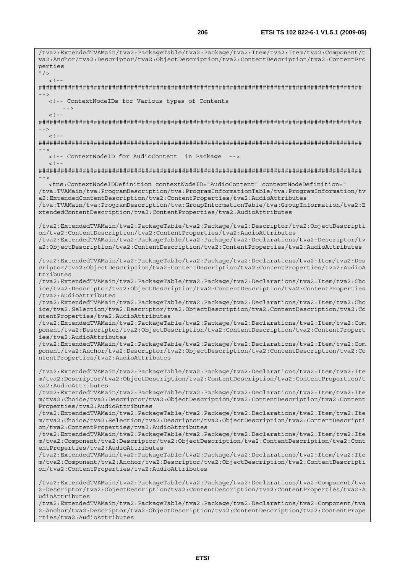/tva2:ExtendedTVAMain/tva2:PackageTable/tva2:Package/tva2:Item/tva2:Item/tva2:Component/t va2:Anchor/tva2:Descriptor/tva2:ObjectDescription/tva2:ContentDescription/tva2:ContentPro perties  $\mathsf{H}/\mathsf{S}$  $\geq$  1  $-$ ######################################################################################## --> <!-- ContextNodeIDs for Various types of Contents -->  $<$ ! - -######################################################################################## -->  $\langle$ ! -######################################################################################## --> <!-- ContextNodeID for AudioContent in Package -->  $<$ ! --######################################################################################## --> <tns:ContextNodeIDDefinition contextNodeID="AudioContent" contextNodeDefinition=" /tva:TVAMain/tva:ProgramDescription/tva:ProgramInformationTable/tva:ProgramInformation/tv a2:ExtendedContentDescription/tva2:ContentProperties/tva2:AudioAttributes /tva:TVAMain/tva:ProgramDescription/tva:GroupInformationTable/tva:GroupInformation/tva2:E xtendedContentDescription/tva2:ContentProperties/tva2:AudioAttributes /tva2:ExtendedTVAMain/tva2:PackageTable/tva2:Package/tva2:Descriptor/tva2:ObjectDescripti on/tva2:ContentDescription/tva2:ContentProperties/tva2:AudioAttributes /tva2:ExtendedTVAMain/tva2:PackageTable/tva2:Package/tva2:Declarations/tva2:Descriptor/tv a2:ObjectDescription/tva2:ContentDescription/tva2:ContentProperties/tva2:AudioAttributes /tva2:ExtendedTVAMain/tva2:PackageTable/tva2:Package/tva2:Declarations/tva2:Item/tva2:Des criptor/tva2:ObjectDescription/tva2:ContentDescription/tva2:ContentProperties/tva2:AudioA ttributes /tva2:ExtendedTVAMain/tva2:PackageTable/tva2:Package/tva2:Declarations/tva2:Item/tva2:Cho ice/tva2:Descriptor/tva2:ObjectDescription/tva2:ContentDescription/tva2:ContentProperties /tva2:AudioAttributes /tva2:ExtendedTVAMain/tva2:PackageTable/tva2:Package/tva2:Declarations/tva2:Item/tva2:Cho ice/tva2:Selection/tva2:Descriptor/tva2:ObjectDescription/tva2:ContentDescription/tva2:Co ntentProperties/tva2:AudioAttributes /tva2:ExtendedTVAMain/tva2:PackageTable/tva2:Package/tva2:Declarations/tva2:Item/tva2:Com ponent/tva2:Descriptor/tva2:ObjectDescription/tva2:ContentDescription/tva2:ContentPropert ies/tva2:AudioAttributes /tva2:ExtendedTVAMain/tva2:PackageTable/tva2:Package/tva2:Declarations/tva2:Item/tva2:Com ponent/tva2:Anchor/tva2:Descriptor/tva2:ObjectDescription/tva2:ContentDescription/tva2:Co ntentProperties/tva2:AudioAttributes /tva2:ExtendedTVAMain/tva2:PackageTable/tva2:Package/tva2:Declarations/tva2:Item/tva2:Ite m/tva2:Descriptor/tva2:ObjectDescription/tva2:ContentDescription/tva2:ContentProperties/t va2:AudioAttributes /tva2:ExtendedTVAMain/tva2:PackageTable/tva2:Package/tva2:Declarations/tva2:Item/tva2:Ite m/tva2:Choice/tva2:Descriptor/tva2:ObjectDescription/tva2:ContentDescription/tva2:Content Properties/tva2:AudioAttributes /tva2:ExtendedTVAMain/tva2:PackageTable/tva2:Package/tva2:Declarations/tva2:Item/tva2:Ite m/tva2:Choice/tva2:Selection/tva2:Descriptor/tva2:ObjectDescription/tva2:ContentDescripti on/tva2:ContentProperties/tva2:AudioAttributes /tva2:ExtendedTVAMain/tva2:PackageTable/tva2:Package/tva2:Declarations/tva2:Item/tva2:Ite m/tva2:Component/tva2:Descriptor/tva2:ObjectDescription/tva2:ContentDescription/tva2:Cont entProperties/tva2:AudioAttributes /tva2:ExtendedTVAMain/tva2:PackageTable/tva2:Package/tva2:Declarations/tva2:Item/tva2:Ite m/tva2:Component/tva2:Anchor/tva2:Descriptor/tva2:ObjectDescription/tva2:ContentDescripti on/tva2:ContentProperties/tva2:AudioAttributes /tva2:ExtendedTVAMain/tva2:PackageTable/tva2:Package/tva2:Declarations/tva2:Component/tva 2:Descriptor/tva2:ObjectDescription/tva2:ContentDescription/tva2:ContentProperties/tva2:A udioAttributes /tva2:ExtendedTVAMain/tva2:PackageTable/tva2:Package/tva2:Declarations/tva2:Component/tva 2:Anchor/tva2:Descriptor/tva2:ObjectDescription/tva2:ContentDescription/tva2:ContentPrope rties/tva2:AudioAttributes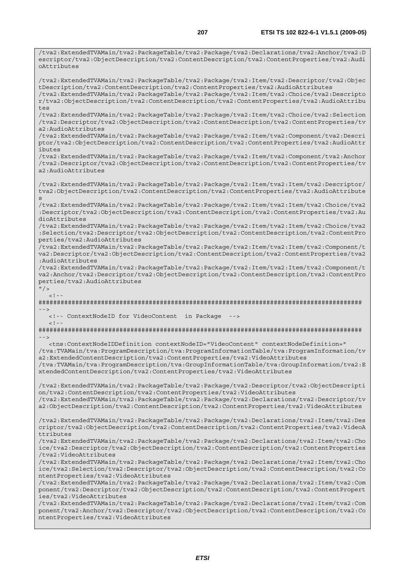/tva2:ExtendedTVAMain/tva2:PackageTable/tva2:Package/tva2:Declarations/tva2:Anchor/tva2:D

escriptor/tva2:ObjectDescription/tva2:ContentDescription/tva2:ContentProperties/tva2:Audi oAttributes /tva2:ExtendedTVAMain/tva2:PackageTable/tva2:Package/tva2:Item/tva2:Descriptor/tva2:Objec tDescription/tva2:ContentDescription/tva2:ContentProperties/tva2:AudioAttributes /tva2:ExtendedTVAMain/tva2:PackageTable/tva2:Package/tva2:Item/tva2:Choice/tva2:Descripto r/tva2:ObjectDescription/tva2:ContentDescription/tva2:ContentProperties/tva2:AudioAttribu  $t \geq t$ /tva2:ExtendedTVAMain/tva2:PackageTable/tva2:Package/tva2:Item/tva2:Choice/tva2:Selection /tva2:Descriptor/tva2:ObjectDescription/tva2:ContentDescription/tva2:ContentProperties/tv a2:AudioAttributes /tva2:ExtendedTVAMain/tva2:PackageTable/tva2:Package/tva2:Item/tva2:Component/tva2:Descri ptor/tva2:ObjectDescription/tva2:ContentDescription/tva2:ContentProperties/tva2:AudioAttr ibutes /tva2:ExtendedTVAMain/tva2:PackageTable/tva2:Package/tva2:Item/tva2:Component/tva2:Anchor /tva2:Descriptor/tva2:ObjectDescription/tva2:ContentDescription/tva2:ContentProperties/tv a2:AudioAttributes /tva2:ExtendedTVAMain/tva2:PackageTable/tva2:Package/tva2:Item/tva2:Item/tva2:Descriptor/ tva2:ObjectDescription/tva2:ContentDescription/tva2:ContentProperties/tva2:AudioAttribute s /tva2:ExtendedTVAMain/tva2:PackageTable/tva2:Package/tva2:Item/tva2:Item/tva2:Choice/tva2 :Descriptor/tva2:ObjectDescription/tva2:ContentDescription/tva2:ContentProperties/tva2:Au dioAttributes /tva2:ExtendedTVAMain/tva2:PackageTable/tva2:Package/tva2:Item/tva2:Item/tva2:Choice/tva2 :Selection/tva2:Descriptor/tva2:ObjectDescription/tva2:ContentDescription/tva2:ContentPro perties/tva2:AudioAttributes /tva2:ExtendedTVAMain/tva2:PackageTable/tva2:Package/tva2:Item/tva2:Item/tva2:Component/t va2:Descriptor/tva2:ObjectDescription/tva2:ContentDescription/tva2:ContentProperties/tva2 :AudioAttributes /tva2:ExtendedTVAMain/tva2:PackageTable/tva2:Package/tva2:Item/tva2:Item/tva2:Component/t va2:Anchor/tva2:Descriptor/tva2:ObjectDescription/tva2:ContentDescription/tva2:ContentPro perties/tva2:AudioAttributes  $"$  / >  $\langle$ ! --######################################################################################## --> <!-- ContextNodeID for VideoContent in Package -->  $<$ ! - -######################################################################################## --> <tns:ContextNodeIDDefinition contextNodeID="VideoContent" contextNodeDefinition=" /tva:TVAMain/tva:ProgramDescription/tva:ProgramInformationTable/tva:ProgramInformation/tv a2:ExtendedContentDescription/tva2:ContentProperties/tva2:VideoAttributes /tva:TVAMain/tva:ProgramDescription/tva:GroupInformationTable/tva:GroupInformation/tva2:E xtendedContentDescription/tva2:ContentProperties/tva2:VideoAttributes /tva2:ExtendedTVAMain/tva2:PackageTable/tva2:Package/tva2:Descriptor/tva2:ObjectDescripti on/tva2:ContentDescription/tva2:ContentProperties/tva2:VideoAttributes /tva2:ExtendedTVAMain/tva2:PackageTable/tva2:Package/tva2:Declarations/tva2:Descriptor/tv a2:ObjectDescription/tva2:ContentDescription/tva2:ContentProperties/tva2:VideoAttributes /tva2:ExtendedTVAMain/tva2:PackageTable/tva2:Package/tva2:Declarations/tva2:Item/tva2:Des criptor/tva2:ObjectDescription/tva2:ContentDescription/tva2:ContentProperties/tva2:VideoA ttributes /tva2:ExtendedTVAMain/tva2:PackageTable/tva2:Package/tva2:Declarations/tva2:Item/tva2:Cho ice/tva2:Descriptor/tva2:ObjectDescription/tva2:ContentDescription/tva2:ContentProperties /tva2:VideoAttributes /tva2:ExtendedTVAMain/tva2:PackageTable/tva2:Package/tva2:Declarations/tva2:Item/tva2:Cho ice/tva2:Selection/tva2:Descriptor/tva2:ObjectDescription/tva2:ContentDescription/tva2:Co ntentProperties/tva2:VideoAttributes /tva2:ExtendedTVAMain/tva2:PackageTable/tva2:Package/tva2:Declarations/tva2:Item/tva2:Com ponent/tva2:Descriptor/tva2:ObjectDescription/tva2:ContentDescription/tva2:ContentPropert ies/tva2:VideoAttributes /tva2:ExtendedTVAMain/tva2:PackageTable/tva2:Package/tva2:Declarations/tva2:Item/tva2:Com ponent/tva2:Anchor/tva2:Descriptor/tva2:ObjectDescription/tva2:ContentDescription/tva2:Co ntentProperties/tva2:VideoAttributes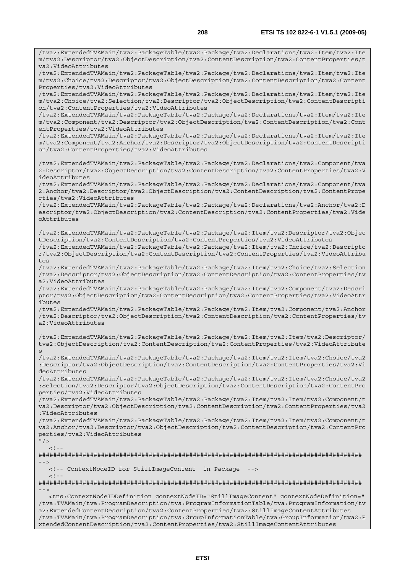/tva2:ExtendedTVAMain/tva2:PackageTable/tva2:Package/tva2:Declarations/tva2:Item/tva2:Ite

m/tva2:Descriptor/tva2:ObjectDescription/tva2:ContentDescription/tva2:ContentProperties/t va2:VideoAttributes /tva2:ExtendedTVAMain/tva2:PackageTable/tva2:Package/tva2:Declarations/tva2:Item/tva2:Ite m/tva2:Choice/tva2:Descriptor/tva2:ObjectDescription/tva2:ContentDescription/tva2:Content Properties/tva2:VideoAttributes /tva2:ExtendedTVAMain/tva2:PackageTable/tva2:Package/tva2:Declarations/tva2:Item/tva2:Ite m/tva2:Choice/tva2:Selection/tva2:Descriptor/tva2:ObjectDescription/tva2:ContentDescripti on/tva2:ContentProperties/tva2:VideoAttributes /tva2:ExtendedTVAMain/tva2:PackageTable/tva2:Package/tva2:Declarations/tva2:Item/tva2:Ite m/tva2:Component/tva2:Descriptor/tva2:ObjectDescription/tva2:ContentDescription/tva2:Cont entProperties/tva2:VideoAttributes /tva2:ExtendedTVAMain/tva2:PackageTable/tva2:Package/tva2:Declarations/tva2:Item/tva2:Ite m/tva2:Component/tva2:Anchor/tva2:Descriptor/tva2:ObjectDescription/tva2:ContentDescripti on/tva2:ContentProperties/tva2:VideoAttributes /tva2:ExtendedTVAMain/tva2:PackageTable/tva2:Package/tva2:Declarations/tva2:Component/tva 2:Descriptor/tva2:ObjectDescription/tva2:ContentDescription/tva2:ContentProperties/tva2:V ideoAttributes /tva2:ExtendedTVAMain/tva2:PackageTable/tva2:Package/tva2:Declarations/tva2:Component/tva 2:Anchor/tva2:Descriptor/tva2:ObjectDescription/tva2:ContentDescription/tva2:ContentPrope rties/tva2:VideoAttributes /tva2:ExtendedTVAMain/tva2:PackageTable/tva2:Package/tva2:Declarations/tva2:Anchor/tva2:D escriptor/tva2:ObjectDescription/tva2:ContentDescription/tva2:ContentProperties/tva2:Vide oAttributes /tva2:ExtendedTVAMain/tva2:PackageTable/tva2:Package/tva2:Item/tva2:Descriptor/tva2:Objec tDescription/tva2:ContentDescription/tva2:ContentProperties/tva2:VideoAttributes /tva2:ExtendedTVAMain/tva2:PackageTable/tva2:Package/tva2:Item/tva2:Choice/tva2:Descripto r/tva2:ObjectDescription/tva2:ContentDescription/tva2:ContentProperties/tva2:VideoAttribu tes /tva2:ExtendedTVAMain/tva2:PackageTable/tva2:Package/tva2:Item/tva2:Choice/tva2:Selection /tva2:Descriptor/tva2:ObjectDescription/tva2:ContentDescription/tva2:ContentProperties/tv a2:VideoAttributes /tva2:ExtendedTVAMain/tva2:PackageTable/tva2:Package/tva2:Item/tva2:Component/tva2:Descri ptor/tva2:ObjectDescription/tva2:ContentDescription/tva2:ContentProperties/tva2:VideoAttr ibutes /tva2:ExtendedTVAMain/tva2:PackageTable/tva2:Package/tva2:Item/tva2:Component/tva2:Anchor /tva2:Descriptor/tva2:ObjectDescription/tva2:ContentDescription/tva2:ContentProperties/tv a2:VideoAttributes /tva2:ExtendedTVAMain/tva2:PackageTable/tva2:Package/tva2:Item/tva2:Item/tva2:Descriptor/ tva2:ObjectDescription/tva2:ContentDescription/tva2:ContentProperties/tva2:VideoAttribute /tva2:ExtendedTVAMain/tva2:PackageTable/tva2:Package/tva2:Item/tva2:Item/tva2:Choice/tva2 :Descriptor/tva2:ObjectDescription/tva2:ContentDescription/tva2:ContentProperties/tva2:Vi deoAttributes /tva2:ExtendedTVAMain/tva2:PackageTable/tva2:Package/tva2:Item/tva2:Item/tva2:Choice/tva2 :Selection/tva2:Descriptor/tva2:ObjectDescription/tva2:ContentDescription/tva2:ContentPro perties/tva2:VideoAttributes /tva2:ExtendedTVAMain/tva2:PackageTable/tva2:Package/tva2:Item/tva2:Item/tva2:Component/t va2:Descriptor/tva2:ObjectDescription/tva2:ContentDescription/tva2:ContentProperties/tva2 :VideoAttributes /tva2:ExtendedTVAMain/tva2:PackageTable/tva2:Package/tva2:Item/tva2:Item/tva2:Component/t va2:Anchor/tva2:Descriptor/tva2:ObjectDescription/tva2:ContentDescription/tva2:ContentPro perties/tva2:VideoAttributes  $"$  / >  $\geq$   $\frac{1}{2}$ . ######################################################################################## --> <!-- ContextNodeID for StillImageContent in Package -->  $\lt$  ! - -######################################################################################## -->

s

 <tns:ContextNodeIDDefinition contextNodeID="StillImageContent" contextNodeDefinition=" /tva:TVAMain/tva:ProgramDescription/tva:ProgramInformationTable/tva:ProgramInformation/tv a2:ExtendedContentDescription/tva2:ContentProperties/tva2:StillImageContentAttributes /tva:TVAMain/tva:ProgramDescription/tva:GroupInformationTable/tva:GroupInformation/tva2:E xtendedContentDescription/tva2:ContentProperties/tva2:StillImageContentAttributes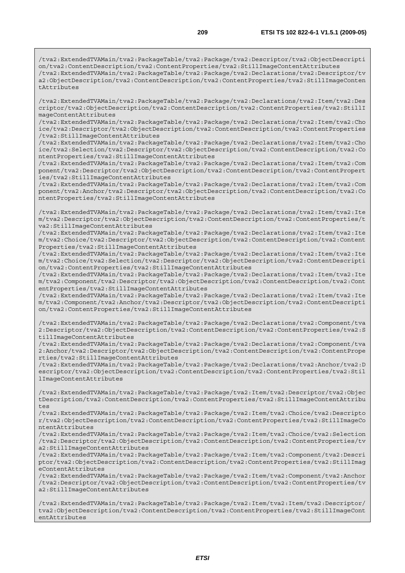/tva2:ExtendedTVAMain/tva2:PackageTable/tva2:Package/tva2:Descriptor/tva2:ObjectDescripti on/tva2:ContentDescription/tva2:ContentProperties/tva2:StillImageContentAttributes /tva2:ExtendedTVAMain/tva2:PackageTable/tva2:Package/tva2:Declarations/tva2:Descriptor/tv a2:ObjectDescription/tva2:ContentDescription/tva2:ContentProperties/tva2:StillImageConten tAttributes

/tva2:ExtendedTVAMain/tva2:PackageTable/tva2:Package/tva2:Declarations/tva2:Item/tva2:Des criptor/tva2:ObjectDescription/tva2:ContentDescription/tva2:ContentProperties/tva2:StillI mageContentAttributes

/tva2:ExtendedTVAMain/tva2:PackageTable/tva2:Package/tva2:Declarations/tva2:Item/tva2:Cho ice/tva2:Descriptor/tva2:ObjectDescription/tva2:ContentDescription/tva2:ContentProperties /tva2:StillImageContentAttributes

/tva2:ExtendedTVAMain/tva2:PackageTable/tva2:Package/tva2:Declarations/tva2:Item/tva2:Cho ice/tva2:Selection/tva2:Descriptor/tva2:ObjectDescription/tva2:ContentDescription/tva2:Co ntentProperties/tva2:StillImageContentAttributes

/tva2:ExtendedTVAMain/tva2:PackageTable/tva2:Package/tva2:Declarations/tva2:Item/tva2:Com ponent/tva2:Descriptor/tva2:ObjectDescription/tva2:ContentDescription/tva2:ContentPropert ies/tva2:StillImageContentAttributes

/tva2:ExtendedTVAMain/tva2:PackageTable/tva2:Package/tva2:Declarations/tva2:Item/tva2:Com ponent/tva2:Anchor/tva2:Descriptor/tva2:ObjectDescription/tva2:ContentDescription/tva2:Co ntentProperties/tva2:StillImageContentAttributes

/tva2:ExtendedTVAMain/tva2:PackageTable/tva2:Package/tva2:Declarations/tva2:Item/tva2:Ite m/tva2:Descriptor/tva2:ObjectDescription/tva2:ContentDescription/tva2:ContentProperties/t va2:StillImageContentAttributes

/tva2:ExtendedTVAMain/tva2:PackageTable/tva2:Package/tva2:Declarations/tva2:Item/tva2:Ite m/tva2:Choice/tva2:Descriptor/tva2:ObjectDescription/tva2:ContentDescription/tva2:Content Properties/tva2:StillImageContentAttributes

/tva2:ExtendedTVAMain/tva2:PackageTable/tva2:Package/tva2:Declarations/tva2:Item/tva2:Ite m/tva2:Choice/tva2:Selection/tva2:Descriptor/tva2:ObjectDescription/tva2:ContentDescripti on/tva2:ContentProperties/tva2:StillImageContentAttributes

/tva2:ExtendedTVAMain/tva2:PackageTable/tva2:Package/tva2:Declarations/tva2:Item/tva2:Ite m/tva2:Component/tva2:Descriptor/tva2:ObjectDescription/tva2:ContentDescription/tva2:Cont entProperties/tva2:StillImageContentAttributes

/tva2:ExtendedTVAMain/tva2:PackageTable/tva2:Package/tva2:Declarations/tva2:Item/tva2:Ite m/tva2:Component/tva2:Anchor/tva2:Descriptor/tva2:ObjectDescription/tva2:ContentDescripti on/tva2:ContentProperties/tva2:StillImageContentAttributes

/tva2:ExtendedTVAMain/tva2:PackageTable/tva2:Package/tva2:Declarations/tva2:Component/tva 2:Descriptor/tva2:ObjectDescription/tva2:ContentDescription/tva2:ContentProperties/tva2:S tillImageContentAttributes

/tva2:ExtendedTVAMain/tva2:PackageTable/tva2:Package/tva2:Declarations/tva2:Component/tva 2:Anchor/tva2:Descriptor/tva2:ObjectDescription/tva2:ContentDescription/tva2:ContentPrope rties/tva2:StillImageContentAttributes

/tva2:ExtendedTVAMain/tva2:PackageTable/tva2:Package/tva2:Declarations/tva2:Anchor/tva2:D escriptor/tva2:ObjectDescription/tva2:ContentDescription/tva2:ContentProperties/tva2:Stil lImageContentAttributes

/tva2:ExtendedTVAMain/tva2:PackageTable/tva2:Package/tva2:Item/tva2:Descriptor/tva2:Objec tDescription/tva2:ContentDescription/tva2:ContentProperties/tva2:StillImageContentAttribu tes

/tva2:ExtendedTVAMain/tva2:PackageTable/tva2:Package/tva2:Item/tva2:Choice/tva2:Descripto r/tva2:ObjectDescription/tva2:ContentDescription/tva2:ContentProperties/tva2:StillImageCo ntentAttributes

/tva2:ExtendedTVAMain/tva2:PackageTable/tva2:Package/tva2:Item/tva2:Choice/tva2:Selection /tva2:Descriptor/tva2:ObjectDescription/tva2:ContentDescription/tva2:ContentProperties/tv a2:StillImageContentAttributes

/tva2:ExtendedTVAMain/tva2:PackageTable/tva2:Package/tva2:Item/tva2:Component/tva2:Descri ptor/tva2:ObjectDescription/tva2:ContentDescription/tva2:ContentProperties/tva2:StillImag eContentAttributes

/tva2:ExtendedTVAMain/tva2:PackageTable/tva2:Package/tva2:Item/tva2:Component/tva2:Anchor /tva2:Descriptor/tva2:ObjectDescription/tva2:ContentDescription/tva2:ContentProperties/tv a2:StillImageContentAttributes

/tva2:ExtendedTVAMain/tva2:PackageTable/tva2:Package/tva2:Item/tva2:Item/tva2:Descriptor/ tva2:ObjectDescription/tva2:ContentDescription/tva2:ContentProperties/tva2:StillImageCont entAttributes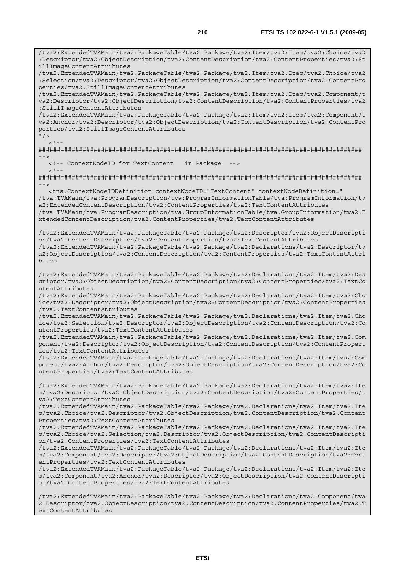/tva2:ExtendedTVAMain/tva2:PackageTable/tva2:Package/tva2:Item/tva2:Item/tva2:Choice/tva2 :Descriptor/tva2:ObjectDescription/tva2:ContentDescription/tva2:ContentProperties/tva2:St illImageContentAttributes /tva2:ExtendedTVAMain/tva2:PackageTable/tva2:Package/tva2:Item/tva2:Item/tva2:Choice/tva2 :Selection/tva2:Descriptor/tva2:ObjectDescription/tva2:ContentDescription/tva2:ContentPro perties/tva2:StillImageContentAttributes /tva2:ExtendedTVAMain/tva2:PackageTable/tva2:Package/tva2:Item/tva2:Item/tva2:Component/t va2:Descriptor/tva2:ObjectDescription/tva2:ContentDescription/tva2:ContentProperties/tva2 :StillImageContentAttributes /tva2:ExtendedTVAMain/tva2:PackageTable/tva2:Package/tva2:Item/tva2:Item/tva2:Component/t va2:Anchor/tva2:Descriptor/tva2:ObjectDescription/tva2:ContentDescription/tva2:ContentPro perties/tva2:StillImageContentAttributes  $\frac{1}{2}$  $\geq$  1 ######################################################################################## --> <!-- ContextNodeID for TextContent in Package -->  $<$ ! --######################################################################################## --> <tns:ContextNodeIDDefinition contextNodeID="TextContent" contextNodeDefinition=" /tva:TVAMain/tva:ProgramDescription/tva:ProgramInformationTable/tva:ProgramInformation/tv a2:ExtendedContentDescription/tva2:ContentProperties/tva2:TextContentAttributes /tva:TVAMain/tva:ProgramDescription/tva:GroupInformationTable/tva:GroupInformation/tva2:E xtendedContentDescription/tva2:ContentProperties/tva2:TextContentAttributes /tva2:ExtendedTVAMain/tva2:PackageTable/tva2:Package/tva2:Descriptor/tva2:ObjectDescripti on/tva2:ContentDescription/tva2:ContentProperties/tva2:TextContentAttributes /tva2:ExtendedTVAMain/tva2:PackageTable/tva2:Package/tva2:Declarations/tva2:Descriptor/tv a2:ObjectDescription/tva2:ContentDescription/tva2:ContentProperties/tva2:TextContentAttri butes /tva2:ExtendedTVAMain/tva2:PackageTable/tva2:Package/tva2:Declarations/tva2:Item/tva2:Des criptor/tva2:ObjectDescription/tva2:ContentDescription/tva2:ContentProperties/tva2:TextCo ntentAttributes /tva2:ExtendedTVAMain/tva2:PackageTable/tva2:Package/tva2:Declarations/tva2:Item/tva2:Cho ice/tva2:Descriptor/tva2:ObjectDescription/tva2:ContentDescription/tva2:ContentProperties /tva2:TextContentAttributes /tva2:ExtendedTVAMain/tva2:PackageTable/tva2:Package/tva2:Declarations/tva2:Item/tva2:Cho ice/tva2:Selection/tva2:Descriptor/tva2:ObjectDescription/tva2:ContentDescription/tva2:Co ntentProperties/tva2:TextContentAttributes /tva2:ExtendedTVAMain/tva2:PackageTable/tva2:Package/tva2:Declarations/tva2:Item/tva2:Com ponent/tva2:Descriptor/tva2:ObjectDescription/tva2:ContentDescription/tva2:ContentPropert ies/tva2:TextContentAttributes /tva2:ExtendedTVAMain/tva2:PackageTable/tva2:Package/tva2:Declarations/tva2:Item/tva2:Com ponent/tva2:Anchor/tva2:Descriptor/tva2:ObjectDescription/tva2:ContentDescription/tva2:Co ntentProperties/tva2:TextContentAttributes /tva2:ExtendedTVAMain/tva2:PackageTable/tva2:Package/tva2:Declarations/tva2:Item/tva2:Ite m/tva2:Descriptor/tva2:ObjectDescription/tva2:ContentDescription/tva2:ContentProperties/t va2:TextContentAttributes /tva2:ExtendedTVAMain/tva2:PackageTable/tva2:Package/tva2:Declarations/tva2:Item/tva2:Ite m/tva2:Choice/tva2:Descriptor/tva2:ObjectDescription/tva2:ContentDescription/tva2:Content Properties/tva2:TextContentAttributes /tva2:ExtendedTVAMain/tva2:PackageTable/tva2:Package/tva2:Declarations/tva2:Item/tva2:Ite m/tva2:Choice/tva2:Selection/tva2:Descriptor/tva2:ObjectDescription/tva2:ContentDescripti on/tva2:ContentProperties/tva2:TextContentAttributes /tva2:ExtendedTVAMain/tva2:PackageTable/tva2:Package/tva2:Declarations/tva2:Item/tva2:Ite m/tva2:Component/tva2:Descriptor/tva2:ObjectDescription/tva2:ContentDescription/tva2:Cont entProperties/tva2:TextContentAttributes /tva2:ExtendedTVAMain/tva2:PackageTable/tva2:Package/tva2:Declarations/tva2:Item/tva2:Ite m/tva2:Component/tva2:Anchor/tva2:Descriptor/tva2:ObjectDescription/tva2:ContentDescripti on/tva2:ContentProperties/tva2:TextContentAttributes

/tva2:ExtendedTVAMain/tva2:PackageTable/tva2:Package/tva2:Declarations/tva2:Component/tva 2:Descriptor/tva2:ObjectDescription/tva2:ContentDescription/tva2:ContentProperties/tva2:T extContentAttributes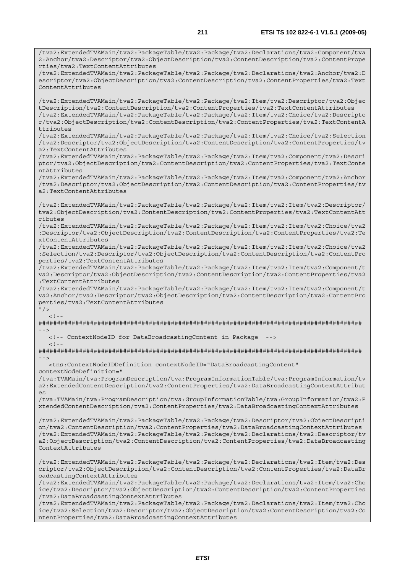/tva2:ExtendedTVAMain/tva2:PackageTable/tva2:Package/tva2:Declarations/tva2:Component/tva 2:Anchor/tva2:Descriptor/tva2:ObjectDescription/tva2:ContentDescription/tva2:ContentPrope rties/tva2:TextContentAttributes /tva2:ExtendedTVAMain/tva2:PackageTable/tva2:Package/tva2:Declarations/tva2:Anchor/tva2:D escriptor/tva2:ObjectDescription/tva2:ContentDescription/tva2:ContentProperties/tva2:Text ContentAttributes /tva2:ExtendedTVAMain/tva2:PackageTable/tva2:Package/tva2:Item/tva2:Descriptor/tva2:Objec tDescription/tva2:ContentDescription/tva2:ContentProperties/tva2:TextContentAttributes /tva2:ExtendedTVAMain/tva2:PackageTable/tva2:Package/tva2:Item/tva2:Choice/tva2:Descripto r/tva2:ObjectDescription/tva2:ContentDescription/tva2:ContentProperties/tva2:TextContentA ttributes /tva2:ExtendedTVAMain/tva2:PackageTable/tva2:Package/tva2:Item/tva2:Choice/tva2:Selection /tva2:Descriptor/tva2:ObjectDescription/tva2:ContentDescription/tva2:ContentProperties/tv a2:TextContentAttributes /tva2:ExtendedTVAMain/tva2:PackageTable/tva2:Package/tva2:Item/tva2:Component/tva2:Descri ptor/tva2:ObjectDescription/tva2:ContentDescription/tva2:ContentProperties/tva2:TextConte ntAttributes /tva2:ExtendedTVAMain/tva2:PackageTable/tva2:Package/tva2:Item/tva2:Component/tva2:Anchor /tva2:Descriptor/tva2:ObjectDescription/tva2:ContentDescription/tva2:ContentProperties/tv a2:TextContentAttributes /tva2:ExtendedTVAMain/tva2:PackageTable/tva2:Package/tva2:Item/tva2:Item/tva2:Descriptor/ tva2:ObjectDescription/tva2:ContentDescription/tva2:ContentProperties/tva2:TextContentAtt ributes /tva2:ExtendedTVAMain/tva2:PackageTable/tva2:Package/tva2:Item/tva2:Item/tva2:Choice/tva2 :Descriptor/tva2:ObjectDescription/tva2:ContentDescription/tva2:ContentProperties/tva2:Te xtContentAttributes /tva2:ExtendedTVAMain/tva2:PackageTable/tva2:Package/tva2:Item/tva2:Item/tva2:Choice/tva2 :Selection/tva2:Descriptor/tva2:ObjectDescription/tva2:ContentDescription/tva2:ContentPro perties/tva2:TextContentAttributes /tva2:ExtendedTVAMain/tva2:PackageTable/tva2:Package/tva2:Item/tva2:Item/tva2:Component/t va2:Descriptor/tva2:ObjectDescription/tva2:ContentDescription/tva2:ContentProperties/tva2 :TextContentAttributes /tva2:ExtendedTVAMain/tva2:PackageTable/tva2:Package/tva2:Item/tva2:Item/tva2:Component/t va2:Anchor/tva2:Descriptor/tva2:ObjectDescription/tva2:ContentDescription/tva2:ContentPro perties/tva2:TextContentAttributes  $"$  / >  $\leq 1$ ######################################################################################## --> <!-- ContextNodeID for DataBroadcastingContent in Package -->  $<$ ! --######################################################################################## --> <tns:ContextNodeIDDefinition contextNodeID="DataBroadcastingContent" contextNodeDefinition=" /tva:TVAMain/tva:ProgramDescription/tva:ProgramInformationTable/tva:ProgramInformation/tv a2:ExtendedContentDescription/tva2:ContentProperties/tva2:DataBroadcastingContextAttribut es /tva:TVAMain/tva:ProgramDescription/tva:GroupInformationTable/tva:GroupInformation/tva2:E xtendedContentDescription/tva2:ContentProperties/tva2:DataBroadcastingContextAttributes /tva2:ExtendedTVAMain/tva2:PackageTable/tva2:Package/tva2:Descriptor/tva2:ObjectDescripti on/tva2:ContentDescription/tva2:ContentProperties/tva2:DataBroadcastingContextAttributes /tva2:ExtendedTVAMain/tva2:PackageTable/tva2:Package/tva2:Declarations/tva2:Descriptor/tv a2:ObjectDescription/tva2:ContentDescription/tva2:ContentProperties/tva2:DataBroadcasting ContextAttributes /tva2:ExtendedTVAMain/tva2:PackageTable/tva2:Package/tva2:Declarations/tva2:Item/tva2:Des criptor/tva2:ObjectDescription/tva2:ContentDescription/tva2:ContentProperties/tva2:DataBr oadcastingContextAttributes /tva2:ExtendedTVAMain/tva2:PackageTable/tva2:Package/tva2:Declarations/tva2:Item/tva2:Cho ice/tva2:Descriptor/tva2:ObjectDescription/tva2:ContentDescription/tva2:ContentProperties /tva2:DataBroadcastingContextAttributes /tva2:ExtendedTVAMain/tva2:PackageTable/tva2:Package/tva2:Declarations/tva2:Item/tva2:Cho ice/tva2:Selection/tva2:Descriptor/tva2:ObjectDescription/tva2:ContentDescription/tva2:Co

*ETSI* 

ntentProperties/tva2:DataBroadcastingContextAttributes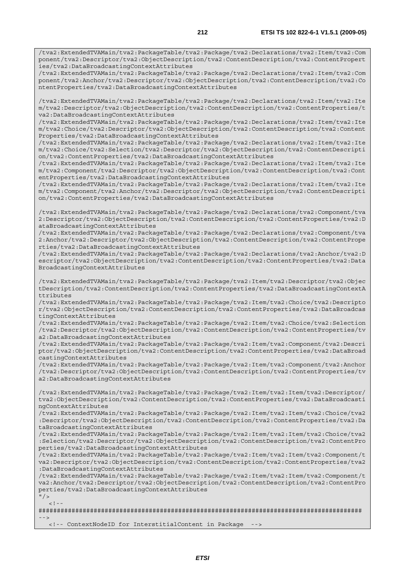/tva2:ExtendedTVAMain/tva2:PackageTable/tva2:Package/tva2:Declarations/tva2:Item/tva2:Com ponent/tva2:Descriptor/tva2:ObjectDescription/tva2:ContentDescription/tva2:ContentPropert ies/tva2:DataBroadcastingContextAttributes

/tva2:ExtendedTVAMain/tva2:PackageTable/tva2:Package/tva2:Declarations/tva2:Item/tva2:Com ponent/tva2:Anchor/tva2:Descriptor/tva2:ObjectDescription/tva2:ContentDescription/tva2:Co ntentProperties/tva2:DataBroadcastingContextAttributes

/tva2:ExtendedTVAMain/tva2:PackageTable/tva2:Package/tva2:Declarations/tva2:Item/tva2:Ite m/tva2:Descriptor/tva2:ObjectDescription/tva2:ContentDescription/tva2:ContentProperties/t va2:DataBroadcastingContextAttributes

/tva2:ExtendedTVAMain/tva2:PackageTable/tva2:Package/tva2:Declarations/tva2:Item/tva2:Ite m/tva2:Choice/tva2:Descriptor/tva2:ObjectDescription/tva2:ContentDescription/tva2:Content Properties/tva2:DataBroadcastingContextAttributes

/tva2:ExtendedTVAMain/tva2:PackageTable/tva2:Package/tva2:Declarations/tva2:Item/tva2:Ite m/tva2:Choice/tva2:Selection/tva2:Descriptor/tva2:ObjectDescription/tva2:ContentDescripti on/tva2:ContentProperties/tva2:DataBroadcastingContextAttributes

/tva2:ExtendedTVAMain/tva2:PackageTable/tva2:Package/tva2:Declarations/tva2:Item/tva2:Ite m/tva2:Component/tva2:Descriptor/tva2:ObjectDescription/tva2:ContentDescription/tva2:Cont entProperties/tva2:DataBroadcastingContextAttributes

/tva2:ExtendedTVAMain/tva2:PackageTable/tva2:Package/tva2:Declarations/tva2:Item/tva2:Ite m/tva2:Component/tva2:Anchor/tva2:Descriptor/tva2:ObjectDescription/tva2:ContentDescripti on/tva2:ContentProperties/tva2:DataBroadcastingContextAttributes

/tva2:ExtendedTVAMain/tva2:PackageTable/tva2:Package/tva2:Declarations/tva2:Component/tva 2:Descriptor/tva2:ObjectDescription/tva2:ContentDescription/tva2:ContentProperties/tva2:D ataBroadcastingContextAttributes

/tva2:ExtendedTVAMain/tva2:PackageTable/tva2:Package/tva2:Declarations/tva2:Component/tva 2:Anchor/tva2:Descriptor/tva2:ObjectDescription/tva2:ContentDescription/tva2:ContentPrope rties/tva2:DataBroadcastingContextAttributes

/tva2:ExtendedTVAMain/tva2:PackageTable/tva2:Package/tva2:Declarations/tva2:Anchor/tva2:D escriptor/tva2:ObjectDescription/tva2:ContentDescription/tva2:ContentProperties/tva2:Data BroadcastingContextAttributes

/tva2:ExtendedTVAMain/tva2:PackageTable/tva2:Package/tva2:Item/tva2:Descriptor/tva2:Objec tDescription/tva2:ContentDescription/tva2:ContentProperties/tva2:DataBroadcastingContextA ttributes

/tva2:ExtendedTVAMain/tva2:PackageTable/tva2:Package/tva2:Item/tva2:Choice/tva2:Descripto r/tva2:ObjectDescription/tva2:ContentDescription/tva2:ContentProperties/tva2:DataBroadcas tingContextAttributes

/tva2:ExtendedTVAMain/tva2:PackageTable/tva2:Package/tva2:Item/tva2:Choice/tva2:Selection /tva2:Descriptor/tva2:ObjectDescription/tva2:ContentDescription/tva2:ContentProperties/tv a2:DataBroadcastingContextAttributes

/tva2:ExtendedTVAMain/tva2:PackageTable/tva2:Package/tva2:Item/tva2:Component/tva2:Descri ptor/tva2:ObjectDescription/tva2:ContentDescription/tva2:ContentProperties/tva2:DataBroad castingContextAttributes

/tva2:ExtendedTVAMain/tva2:PackageTable/tva2:Package/tva2:Item/tva2:Component/tva2:Anchor /tva2:Descriptor/tva2:ObjectDescription/tva2:ContentDescription/tva2:ContentProperties/tv a2:DataBroadcastingContextAttributes

/tva2:ExtendedTVAMain/tva2:PackageTable/tva2:Package/tva2:Item/tva2:Item/tva2:Descriptor/ tva2:ObjectDescription/tva2:ContentDescription/tva2:ContentProperties/tva2:DataBroadcasti ngContextAttributes

/tva2:ExtendedTVAMain/tva2:PackageTable/tva2:Package/tva2:Item/tva2:Item/tva2:Choice/tva2 :Descriptor/tva2:ObjectDescription/tva2:ContentDescription/tva2:ContentProperties/tva2:Da taBroadcastingContextAttributes

/tva2:ExtendedTVAMain/tva2:PackageTable/tva2:Package/tva2:Item/tva2:Item/tva2:Choice/tva2 :Selection/tva2:Descriptor/tva2:ObjectDescription/tva2:ContentDescription/tva2:ContentPro perties/tva2:DataBroadcastingContextAttributes

/tva2:ExtendedTVAMain/tva2:PackageTable/tva2:Package/tva2:Item/tva2:Item/tva2:Component/t va2:Descriptor/tva2:ObjectDescription/tva2:ContentDescription/tva2:ContentProperties/tva2 :DataBroadcastingContextAttributes

/tva2:ExtendedTVAMain/tva2:PackageTable/tva2:Package/tva2:Item/tva2:Item/tva2:Component/t va2:Anchor/tva2:Descriptor/tva2:ObjectDescription/tva2:ContentDescription/tva2:ContentPro perties/tva2:DataBroadcastingContextAttributes

 $''$  / >  $\geq$  1

######################################################################################## -->

<!-- ContextNodeID for InterstitialContent in Package -->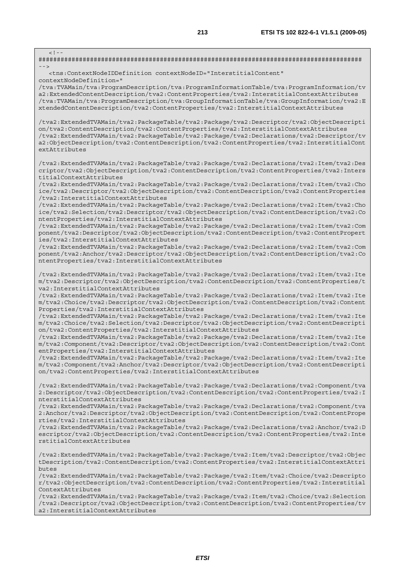| $<$ ! --                                                                                                                                                                                                                                                                                                                                                                                                                                                                                                                                                                                                                                                                                                                                                                                                                      |
|-------------------------------------------------------------------------------------------------------------------------------------------------------------------------------------------------------------------------------------------------------------------------------------------------------------------------------------------------------------------------------------------------------------------------------------------------------------------------------------------------------------------------------------------------------------------------------------------------------------------------------------------------------------------------------------------------------------------------------------------------------------------------------------------------------------------------------|
| $--$<br><tns:contextnodeiddefinition <br="" contextnodeid="InterstitialContent">contextNodeDefinition="<br/>/tva:TVAMain/tva:ProgramDescription/tva:ProgramInformationTable/tva:ProgramInformation/tv<br/>a2:ExtendedContentDescription/tva2:ContentProperties/tva2:InterstitialContextAttributes<br/>/tva:TVAMain/tva:ProgramDescription/tva:GroupInformationTable/tva:GroupInformation/tva2:E<br/>xtendedContentDescription/tva2:ContentProperties/tva2:InterstitialContextAttributes</tns:contextnodeiddefinition>                                                                                                                                                                                                                                                                                                         |
| /tva2:ExtendedTVAMain/tva2:PackageTable/tva2:Package/tva2:Descriptor/tva2:ObjectDescripti<br>on/tva2:ContentDescription/tva2:ContentProperties/tva2:InterstitialContextAttributes<br>/tva2:ExtendedTVAMain/tva2:PackageTable/tva2:Package/tva2:Declarations/tva2:Descriptor/tv<br>a2:ObjectDescription/tva2:ContentDescription/tva2:ContentProperties/tva2:InterstitialCont<br>extAttributes                                                                                                                                                                                                                                                                                                                                                                                                                                  |
| /tva2:ExtendedTVAMain/tva2:PackageTable/tva2:Package/tva2:Declarations/tva2:Item/tva2:Des<br>criptor/tva2:ObjectDescription/tva2:ContentDescription/tva2:ContentProperties/tva2:Inters<br>titialContextAttributes<br>/tva2:ExtendedTVAMain/tva2:PackageTable/tva2:Package/tva2:Declarations/tva2:Item/tva2:Cho<br>ice/tva2:Descriptor/tva2:ObjectDescription/tva2:ContentDescription/tva2:ContentProperties                                                                                                                                                                                                                                                                                                                                                                                                                   |
| /tva2:InterstitialContextAttributes<br>tva2:ExtendedTVAMain/tva2:PackageTable/tva2:Package/tva2:Declarations/tva2:Item/tva2:Cho/<br>ice/tva2:Selection/tva2:Descriptor/tva2:ObjectDescription/tva2:ContentDescription/tva2:Co<br>ntentProperties/tva2:InterstitialContextAttributes<br>/tva2:ExtendedTVAMain/tva2:PackageTable/tva2:Package/tva2:Declarations/tva2:Item/tva2:Com<br>ponent/tva2:Descriptor/tva2:ObjectDescription/tva2:ContentDescription/tva2:ContentPropert                                                                                                                                                                                                                                                                                                                                                 |
| ies/tva2:InterstitialContextAttributes<br>/tva2:ExtendedTVAMain/tva2:PackageTable/tva2:Package/tva2:Declarations/tva2:Item/tva2:Com<br>ponent/tva2:Anchor/tva2:Descriptor/tva2:ObjectDescription/tva2:ContentDescription/tva2:Co<br>ntentProperties/tva2:InterstitialContextAttributes                                                                                                                                                                                                                                                                                                                                                                                                                                                                                                                                        |
| /tva2:ExtendedTVAMain/tva2:PackageTable/tva2:Package/tva2:Declarations/tva2:Item/tva2:Ite<br>m/tva2:Descriptor/tva2:ObjectDescription/tva2:ContentDescription/tva2:ContentProperties/t<br>va2:InterstitialContextAttributes<br>tva2:ExtendedTVAMain/tva2:PackageTable/tva2:Package/tva2:Declarations/tva2:Item/tva2:Ite/<br>m/tva2:Choice/tva2:Descriptor/tva2:ObjectDescription/tva2:ContentDescription/tva2:Content<br>Properties/tva2:InterstitialContextAttributes<br>/tva2:ExtendedTVAMain/tva2:PackageTable/tva2:Package/tva2:Declarations/tva2:Item/tva2:Ite<br>m/tva2:Choice/tva2:Selection/tva2:Descriptor/tva2:ObjectDescription/tva2:ContentDescripti<br>on/tva2:ContentProperties/tva2:InterstitialContextAttributes<br>/tva2:ExtendedTVAMain/tva2:PackageTable/tva2:Package/tva2:Declarations/tva2:Item/tva2:Ite |
| m/tva2:Component/tva2:Descriptor/tva2:ObjectDescription/tva2:ContentDescription/tva2:Cont<br>entProperties/tva2:InterstitialContextAttributes<br>/tva2:ExtendedTVAMain/tva2:PackageTable/tva2:Package/tva2:Declarations/tva2:Item/tva2:Ite<br>m/tva2:Component/tva2:Anchor/tva2:Descriptor/tva2:ObjectDescription/tva2:ContentDescripti<br>on/tva2:ContentProperties/tva2:InterstitialContextAttributes                                                                                                                                                                                                                                                                                                                                                                                                                       |
| /tva2:ExtendedTVAMain/tva2:PackageTable/tva2:Package/tva2:Declarations/tva2:Component/tva<br>2:Descriptor/tva2:ObjectDescription/tva2:ContentDescription/tva2:ContentProperties/tva2:I<br>nterstitialContextAttributes                                                                                                                                                                                                                                                                                                                                                                                                                                                                                                                                                                                                        |
| /tva2:ExtendedTVAMain/tva2:PackageTable/tva2:Package/tva2:Declarations/tva2:Component/tva<br>2:Anchor/tva2:Descriptor/tva2:ObjectDescription/tva2:ContentDescription/tva2:ContentPrope<br>rties/tva2:InterstitialContextAttributes<br>/tva2:ExtendedTVAMain/tva2:PackageTable/tva2:Package/tva2:Declarations/tva2:Anchor/tva2:D                                                                                                                                                                                                                                                                                                                                                                                                                                                                                               |
| escriptor/tva2:ObjectDescription/tva2:ContentDescription/tva2:ContentProperties/tva2:Inte<br>rstitialContextAttributes                                                                                                                                                                                                                                                                                                                                                                                                                                                                                                                                                                                                                                                                                                        |
| /tva2:ExtendedTVAMain/tva2:PackageTable/tva2:Package/tva2:Item/tva2:Descriptor/tva2:Objec<br>tDescription/tva2:ContentDescription/tva2:ContentProperties/tva2:InterstitialContextAttri<br>butes<br>tva2:ExtendedTVAMain/tva2:PackageTable/tva2:Package/tva2:Item/tva2:Choice/tva2:Descripto/                                                                                                                                                                                                                                                                                                                                                                                                                                                                                                                                  |
| r/tva2:ObjectDescription/tva2:ContentDescription/tva2:ContentProperties/tva2:Interstitial<br>ContextAttributes<br>(tya?·ExtendedTWAMain(tya?·PackagaTable(tya?·Package(tya?·Ttem(tya?·Choice(tya?·Selection                                                                                                                                                                                                                                                                                                                                                                                                                                                                                                                                                                                                                   |

/tva2:ExtendedTVAMain/tva2:PackageTable/tva2:Package/tva2:Item/tva2:Choice/tva2:Selection /tva2:Descriptor/tva2:ObjectDescription/tva2:ContentDescription/tva2:ContentProperties/tv a2:InterstitialContextAttributes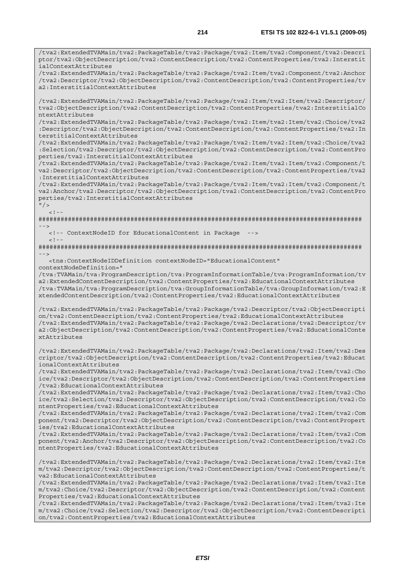/tva2:ExtendedTVAMain/tva2:PackageTable/tva2:Package/tva2:Item/tva2:Component/tva2:Descri ptor/tva2:ObjectDescription/tva2:ContentDescription/tva2:ContentProperties/tva2:Interstit ialContextAttributes

/tva2:ExtendedTVAMain/tva2:PackageTable/tva2:Package/tva2:Item/tva2:Component/tva2:Anchor /tva2:Descriptor/tva2:ObjectDescription/tva2:ContentDescription/tva2:ContentProperties/tv a2:InterstitialContextAttributes

/tva2:ExtendedTVAMain/tva2:PackageTable/tva2:Package/tva2:Item/tva2:Item/tva2:Descriptor/ tva2:ObjectDescription/tva2:ContentDescription/tva2:ContentProperties/tva2:InterstitialCo ntextAttributes

/tva2:ExtendedTVAMain/tva2:PackageTable/tva2:Package/tva2:Item/tva2:Item/tva2:Choice/tva2 :Descriptor/tva2:ObjectDescription/tva2:ContentDescription/tva2:ContentProperties/tva2:In terstitialContextAttributes

/tva2:ExtendedTVAMain/tva2:PackageTable/tva2:Package/tva2:Item/tva2:Item/tva2:Choice/tva2 :Selection/tva2:Descriptor/tva2:ObjectDescription/tva2:ContentDescription/tva2:ContentPro perties/tva2:InterstitialContextAttributes

/tva2:ExtendedTVAMain/tva2:PackageTable/tva2:Package/tva2:Item/tva2:Item/tva2:Component/t va2:Descriptor/tva2:ObjectDescription/tva2:ContentDescription/tva2:ContentProperties/tva2 :InterstitialContextAttributes

/tva2:ExtendedTVAMain/tva2:PackageTable/tva2:Package/tva2:Item/tva2:Item/tva2:Component/t va2:Anchor/tva2:Descriptor/tva2:ObjectDescription/tva2:ContentDescription/tva2:ContentPro perties/tva2:InterstitialContextAttributes

 $"$  />  $\langle$ !--

 $<$ ! --

######################################################################################## -->

<!-- ContextNodeID for EducationalContent in Package -->

######################################################################################## -->

 <tns:ContextNodeIDDefinition contextNodeID="EducationalContent" contextNodeDefinition="

/tva:TVAMain/tva:ProgramDescription/tva:ProgramInformationTable/tva:ProgramInformation/tv a2:ExtendedContentDescription/tva2:ContentProperties/tva2:EducationalContextAttributes /tva:TVAMain/tva:ProgramDescription/tva:GroupInformationTable/tva:GroupInformation/tva2:E xtendedContentDescription/tva2:ContentProperties/tva2:EducationalContextAttributes

/tva2:ExtendedTVAMain/tva2:PackageTable/tva2:Package/tva2:Descriptor/tva2:ObjectDescripti on/tva2:ContentDescription/tva2:ContentProperties/tva2:EducationalContextAttributes /tva2:ExtendedTVAMain/tva2:PackageTable/tva2:Package/tva2:Declarations/tva2:Descriptor/tv a2:ObjectDescription/tva2:ContentDescription/tva2:ContentProperties/tva2:EducationalConte xtAttributes

/tva2:ExtendedTVAMain/tva2:PackageTable/tva2:Package/tva2:Declarations/tva2:Item/tva2:Des criptor/tva2:ObjectDescription/tva2:ContentDescription/tva2:ContentProperties/tva2:Educat ionalContextAttributes

/tva2:ExtendedTVAMain/tva2:PackageTable/tva2:Package/tva2:Declarations/tva2:Item/tva2:Cho ice/tva2:Descriptor/tva2:ObjectDescription/tva2:ContentDescription/tva2:ContentProperties /tva2:EducationalContextAttributes

/tva2:ExtendedTVAMain/tva2:PackageTable/tva2:Package/tva2:Declarations/tva2:Item/tva2:Cho ice/tva2:Selection/tva2:Descriptor/tva2:ObjectDescription/tva2:ContentDescription/tva2:Co ntentProperties/tva2:EducationalContextAttributes

/tva2:ExtendedTVAMain/tva2:PackageTable/tva2:Package/tva2:Declarations/tva2:Item/tva2:Com ponent/tva2:Descriptor/tva2:ObjectDescription/tva2:ContentDescription/tva2:ContentPropert ies/tva2:EducationalContextAttributes

/tva2:ExtendedTVAMain/tva2:PackageTable/tva2:Package/tva2:Declarations/tva2:Item/tva2:Com ponent/tva2:Anchor/tva2:Descriptor/tva2:ObjectDescription/tva2:ContentDescription/tva2:Co ntentProperties/tva2:EducationalContextAttributes

/tva2:ExtendedTVAMain/tva2:PackageTable/tva2:Package/tva2:Declarations/tva2:Item/tva2:Ite m/tva2:Descriptor/tva2:ObjectDescription/tva2:ContentDescription/tva2:ContentProperties/t va2:EducationalContextAttributes

/tva2:ExtendedTVAMain/tva2:PackageTable/tva2:Package/tva2:Declarations/tva2:Item/tva2:Ite m/tva2:Choice/tva2:Descriptor/tva2:ObjectDescription/tva2:ContentDescription/tva2:Content Properties/tva2:EducationalContextAttributes

/tva2:ExtendedTVAMain/tva2:PackageTable/tva2:Package/tva2:Declarations/tva2:Item/tva2:Ite m/tva2:Choice/tva2:Selection/tva2:Descriptor/tva2:ObjectDescription/tva2:ContentDescripti on/tva2:ContentProperties/tva2:EducationalContextAttributes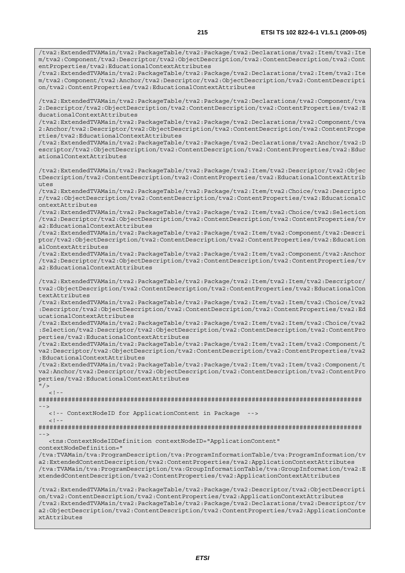/tva2:ExtendedTVAMain/tva2:PackageTable/tva2:Package/tva2:Declarations/tva2:Item/tva2:Ite m/tva2:Component/tva2:Descriptor/tva2:ObjectDescription/tva2:ContentDescription/tva2:Cont entProperties/tva2:EducationalContextAttributes

/tva2:ExtendedTVAMain/tva2:PackageTable/tva2:Package/tva2:Declarations/tva2:Item/tva2:Ite m/tva2:Component/tva2:Anchor/tva2:Descriptor/tva2:ObjectDescription/tva2:ContentDescripti on/tva2:ContentProperties/tva2:EducationalContextAttributes

/tva2:ExtendedTVAMain/tva2:PackageTable/tva2:Package/tva2:Declarations/tva2:Component/tva 2:Descriptor/tva2:ObjectDescription/tva2:ContentDescription/tva2:ContentProperties/tva2:E ducationalContextAttributes

/tva2:ExtendedTVAMain/tva2:PackageTable/tva2:Package/tva2:Declarations/tva2:Component/tva 2:Anchor/tva2:Descriptor/tva2:ObjectDescription/tva2:ContentDescription/tva2:ContentPrope rties/tva2:EducationalContextAttributes

/tva2:ExtendedTVAMain/tva2:PackageTable/tva2:Package/tva2:Declarations/tva2:Anchor/tva2:D escriptor/tva2:ObjectDescription/tva2:ContentDescription/tva2:ContentProperties/tva2:Educ ationalContextAttributes

/tva2:ExtendedTVAMain/tva2:PackageTable/tva2:Package/tva2:Item/tva2:Descriptor/tva2:Objec tDescription/tva2:ContentDescription/tva2:ContentProperties/tva2:EducationalContextAttrib  $u$ tes

/tva2:ExtendedTVAMain/tva2:PackageTable/tva2:Package/tva2:Item/tva2:Choice/tva2:Descripto r/tva2:ObjectDescription/tva2:ContentDescription/tva2:ContentProperties/tva2:EducationalC ontextAttributes

/tva2:ExtendedTVAMain/tva2:PackageTable/tva2:Package/tva2:Item/tva2:Choice/tva2:Selection /tva2:Descriptor/tva2:ObjectDescription/tva2:ContentDescription/tva2:ContentProperties/tv a2:EducationalContextAttributes

/tva2:ExtendedTVAMain/tva2:PackageTable/tva2:Package/tva2:Item/tva2:Component/tva2:Descri ptor/tva2:ObjectDescription/tva2:ContentDescription/tva2:ContentProperties/tva2:Education alContextAttributes

/tva2:ExtendedTVAMain/tva2:PackageTable/tva2:Package/tva2:Item/tva2:Component/tva2:Anchor /tva2:Descriptor/tva2:ObjectDescription/tva2:ContentDescription/tva2:ContentProperties/tv a2:EducationalContextAttributes

/tva2:ExtendedTVAMain/tva2:PackageTable/tva2:Package/tva2:Item/tva2:Item/tva2:Descriptor/ tva2:ObjectDescription/tva2:ContentDescription/tva2:ContentProperties/tva2:EducationalCon textAttributes

/tva2:ExtendedTVAMain/tva2:PackageTable/tva2:Package/tva2:Item/tva2:Item/tva2:Choice/tva2 :Descriptor/tva2:ObjectDescription/tva2:ContentDescription/tva2:ContentProperties/tva2:Ed ucationalContextAttributes

/tva2:ExtendedTVAMain/tva2:PackageTable/tva2:Package/tva2:Item/tva2:Item/tva2:Choice/tva2 :Selection/tva2:Descriptor/tva2:ObjectDescription/tva2:ContentDescription/tva2:ContentPro perties/tva2:EducationalContextAttributes

/tva2:ExtendedTVAMain/tva2:PackageTable/tva2:Package/tva2:Item/tva2:Item/tva2:Component/t va2:Descriptor/tva2:ObjectDescription/tva2:ContentDescription/tva2:ContentProperties/tva2 :EducationalContextAttributes

/tva2:ExtendedTVAMain/tva2:PackageTable/tva2:Package/tva2:Item/tva2:Item/tva2:Component/t va2:Anchor/tva2:Descriptor/tva2:ObjectDescription/tva2:ContentDescription/tva2:ContentPro perties/tva2:EducationalContextAttributes

 $''$ />  $\leq$  !  $-$ 

######################################################################################## -->

<!-- ContextNodeID for ApplicationContent in Package -->

 $\leq$  !  $-$ ######################################################################################## -->

<tns:ContextNodeIDDefinition contextNodeID="ApplicationContent"

contextNodeDefinition="

/tva:TVAMain/tva:ProgramDescription/tva:ProgramInformationTable/tva:ProgramInformation/tv a2:ExtendedContentDescription/tva2:ContentProperties/tva2:ApplicationContextAttributes /tva:TVAMain/tva:ProgramDescription/tva:GroupInformationTable/tva:GroupInformation/tva2:E xtendedContentDescription/tva2:ContentProperties/tva2:ApplicationContextAttributes

/tva2:ExtendedTVAMain/tva2:PackageTable/tva2:Package/tva2:Descriptor/tva2:ObjectDescripti on/tva2:ContentDescription/tva2:ContentProperties/tva2:ApplicationContextAttributes /tva2:ExtendedTVAMain/tva2:PackageTable/tva2:Package/tva2:Declarations/tva2:Descriptor/tv a2:ObjectDescription/tva2:ContentDescription/tva2:ContentProperties/tva2:ApplicationConte xtAttributes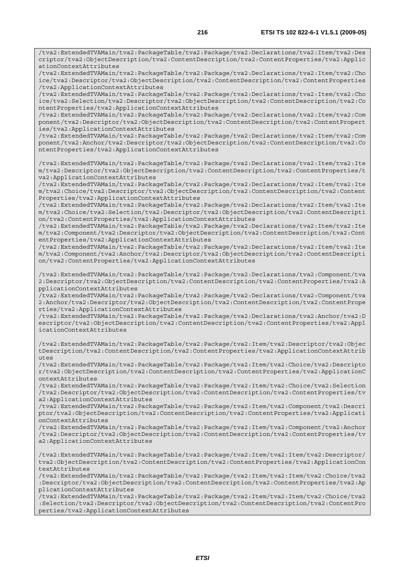/tva2:ExtendedTVAMain/tva2:PackageTable/tva2:Package/tva2:Declarations/tva2:Item/tva2:Des criptor/tva2:ObjectDescription/tva2:ContentDescription/tva2:ContentProperties/tva2:Applic ationContextAttributes

/tva2:ExtendedTVAMain/tva2:PackageTable/tva2:Package/tva2:Declarations/tva2:Item/tva2:Cho ice/tva2:Descriptor/tva2:ObjectDescription/tva2:ContentDescription/tva2:ContentProperties /tva2:ApplicationContextAttributes

/tva2:ExtendedTVAMain/tva2:PackageTable/tva2:Package/tva2:Declarations/tva2:Item/tva2:Cho ice/tva2:Selection/tva2:Descriptor/tva2:ObjectDescription/tva2:ContentDescription/tva2:Co ntentProperties/tva2:ApplicationContextAttributes

/tva2:ExtendedTVAMain/tva2:PackageTable/tva2:Package/tva2:Declarations/tva2:Item/tva2:Com ponent/tva2:Descriptor/tva2:ObjectDescription/tva2:ContentDescription/tva2:ContentPropert ies/tva2:ApplicationContextAttributes

/tva2:ExtendedTVAMain/tva2:PackageTable/tva2:Package/tva2:Declarations/tva2:Item/tva2:Com ponent/tva2:Anchor/tva2:Descriptor/tva2:ObjectDescription/tva2:ContentDescription/tva2:Co ntentProperties/tva2:ApplicationContextAttributes

/tva2:ExtendedTVAMain/tva2:PackageTable/tva2:Package/tva2:Declarations/tva2:Item/tva2:Ite m/tva2:Descriptor/tva2:ObjectDescription/tva2:ContentDescription/tva2:ContentProperties/t va2:ApplicationContextAttributes

/tva2:ExtendedTVAMain/tva2:PackageTable/tva2:Package/tva2:Declarations/tva2:Item/tva2:Ite m/tva2:Choice/tva2:Descriptor/tva2:ObjectDescription/tva2:ContentDescription/tva2:Content Properties/tva2:ApplicationContextAttributes

/tva2:ExtendedTVAMain/tva2:PackageTable/tva2:Package/tva2:Declarations/tva2:Item/tva2:Ite m/tva2:Choice/tva2:Selection/tva2:Descriptor/tva2:ObjectDescription/tva2:ContentDescripti on/tva2:ContentProperties/tva2:ApplicationContextAttributes

/tva2:ExtendedTVAMain/tva2:PackageTable/tva2:Package/tva2:Declarations/tva2:Item/tva2:Ite m/tva2:Component/tva2:Descriptor/tva2:ObjectDescription/tva2:ContentDescription/tva2:Cont entProperties/tva2:ApplicationContextAttributes

/tva2:ExtendedTVAMain/tva2:PackageTable/tva2:Package/tva2:Declarations/tva2:Item/tva2:Ite m/tva2:Component/tva2:Anchor/tva2:Descriptor/tva2:ObjectDescription/tva2:ContentDescripti on/tva2:ContentProperties/tva2:ApplicationContextAttributes

/tva2:ExtendedTVAMain/tva2:PackageTable/tva2:Package/tva2:Declarations/tva2:Component/tva 2:Descriptor/tva2:ObjectDescription/tva2:ContentDescription/tva2:ContentProperties/tva2:A pplicationContextAttributes

/tva2:ExtendedTVAMain/tva2:PackageTable/tva2:Package/tva2:Declarations/tva2:Component/tva 2:Anchor/tva2:Descriptor/tva2:ObjectDescription/tva2:ContentDescription/tva2:ContentPrope rties/tva2:ApplicationContextAttributes

/tva2:ExtendedTVAMain/tva2:PackageTable/tva2:Package/tva2:Declarations/tva2:Anchor/tva2:D escriptor/tva2:ObjectDescription/tva2:ContentDescription/tva2:ContentProperties/tva2:Appl icationContextAttributes

/tva2:ExtendedTVAMain/tva2:PackageTable/tva2:Package/tva2:Item/tva2:Descriptor/tva2:Objec tDescription/tva2:ContentDescription/tva2:ContentProperties/tva2:ApplicationContextAttrib utes

/tva2:ExtendedTVAMain/tva2:PackageTable/tva2:Package/tva2:Item/tva2:Choice/tva2:Descripto r/tva2:ObjectDescription/tva2:ContentDescription/tva2:ContentProperties/tva2:ApplicationC ontextAttributes

/tva2:ExtendedTVAMain/tva2:PackageTable/tva2:Package/tva2:Item/tva2:Choice/tva2:Selection /tva2:Descriptor/tva2:ObjectDescription/tva2:ContentDescription/tva2:ContentProperties/tv a2:ApplicationContextAttributes

/tva2:ExtendedTVAMain/tva2:PackageTable/tva2:Package/tva2:Item/tva2:Component/tva2:Descri ptor/tva2:ObjectDescription/tva2:ContentDescription/tva2:ContentProperties/tva2:Applicati onContextAttributes

/tva2:ExtendedTVAMain/tva2:PackageTable/tva2:Package/tva2:Item/tva2:Component/tva2:Anchor /tva2:Descriptor/tva2:ObjectDescription/tva2:ContentDescription/tva2:ContentProperties/tv a2:ApplicationContextAttributes

/tva2:ExtendedTVAMain/tva2:PackageTable/tva2:Package/tva2:Item/tva2:Item/tva2:Descriptor/ tva2:ObjectDescription/tva2:ContentDescription/tva2:ContentProperties/tva2:ApplicationCon textAttributes

/tva2:ExtendedTVAMain/tva2:PackageTable/tva2:Package/tva2:Item/tva2:Item/tva2:Choice/tva2 :Descriptor/tva2:ObjectDescription/tva2:ContentDescription/tva2:ContentProperties/tva2:Ap plicationContextAttributes

/tva2:ExtendedTVAMain/tva2:PackageTable/tva2:Package/tva2:Item/tva2:Item/tva2:Choice/tva2 :Selection/tva2:Descriptor/tva2:ObjectDescription/tva2:ContentDescription/tva2:ContentPro perties/tva2:ApplicationContextAttributes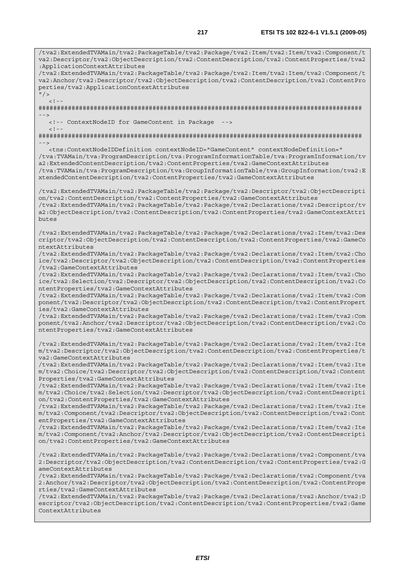/tva2:ExtendedTVAMain/tva2:PackageTable/tva2:Package/tva2:Item/tva2:Item/tva2:Component/t va2:Descriptor/tva2:ObjectDescription/tva2:ContentDescription/tva2:ContentProperties/tva2 :ApplicationContextAttributes /tva2:ExtendedTVAMain/tva2:PackageTable/tva2:Package/tva2:Item/tva2:Item/tva2:Component/t va2:Anchor/tva2:Descriptor/tva2:ObjectDescription/tva2:ContentDescription/tva2:ContentPro perties/tva2:ApplicationContextAttributes  $''$  /  $>$  $\lt$  ! -######################################################################################## --> <!-- ContextNodeID for GameContent in Package -->  $< ! - -$ ######################################################################################## --> <tns:ContextNodeIDDefinition contextNodeID="GameContent" contextNodeDefinition=" /tva:TVAMain/tva:ProgramDescription/tva:ProgramInformationTable/tva:ProgramInformation/tv a2:ExtendedContentDescription/tva2:ContentProperties/tva2:GameContextAttributes /tva:TVAMain/tva:ProgramDescription/tva:GroupInformationTable/tva:GroupInformation/tva2:E xtendedContentDescription/tva2:ContentProperties/tva2:GameContextAttributes /tva2:ExtendedTVAMain/tva2:PackageTable/tva2:Package/tva2:Descriptor/tva2:ObjectDescripti on/tva2:ContentDescription/tva2:ContentProperties/tva2:GameContextAttributes /tva2:ExtendedTVAMain/tva2:PackageTable/tva2:Package/tva2:Declarations/tva2:Descriptor/tv a2:ObjectDescription/tva2:ContentDescription/tva2:ContentProperties/tva2:GameContextAttri butes /tva2:ExtendedTVAMain/tva2:PackageTable/tva2:Package/tva2:Declarations/tva2:Item/tva2:Des criptor/tva2:ObjectDescription/tva2:ContentDescription/tva2:ContentProperties/tva2:GameCo ntextAttributes /tva2:ExtendedTVAMain/tva2:PackageTable/tva2:Package/tva2:Declarations/tva2:Item/tva2:Cho ice/tva2:Descriptor/tva2:ObjectDescription/tva2:ContentDescription/tva2:ContentProperties /tva2:GameContextAttributes /tva2:ExtendedTVAMain/tva2:PackageTable/tva2:Package/tva2:Declarations/tva2:Item/tva2:Cho ice/tva2:Selection/tva2:Descriptor/tva2:ObjectDescription/tva2:ContentDescription/tva2:Co ntentProperties/tva2:GameContextAttributes /tva2:ExtendedTVAMain/tva2:PackageTable/tva2:Package/tva2:Declarations/tva2:Item/tva2:Com ponent/tva2:Descriptor/tva2:ObjectDescription/tva2:ContentDescription/tva2:ContentPropert ies/tva2:GameContextAttributes /tva2:ExtendedTVAMain/tva2:PackageTable/tva2:Package/tva2:Declarations/tva2:Item/tva2:Com ponent/tva2:Anchor/tva2:Descriptor/tva2:ObjectDescription/tva2:ContentDescription/tva2:Co ntentProperties/tva2:GameContextAttributes /tva2:ExtendedTVAMain/tva2:PackageTable/tva2:Package/tva2:Declarations/tva2:Item/tva2:Ite m/tva2:Descriptor/tva2:ObjectDescription/tva2:ContentDescription/tva2:ContentProperties/t va2:GameContextAttributes /tva2:ExtendedTVAMain/tva2:PackageTable/tva2:Package/tva2:Declarations/tva2:Item/tva2:Ite m/tva2:Choice/tva2:Descriptor/tva2:ObjectDescription/tva2:ContentDescription/tva2:Content Properties/tva2:GameContextAttributes /tva2:ExtendedTVAMain/tva2:PackageTable/tva2:Package/tva2:Declarations/tva2:Item/tva2:Ite m/tva2:Choice/tva2:Selection/tva2:Descriptor/tva2:ObjectDescription/tva2:ContentDescripti on/tva2:ContentProperties/tva2:GameContextAttributes /tva2:ExtendedTVAMain/tva2:PackageTable/tva2:Package/tva2:Declarations/tva2:Item/tva2:Ite m/tva2:Component/tva2:Descriptor/tva2:ObjectDescription/tva2:ContentDescription/tva2:Cont entProperties/tva2:GameContextAttributes /tva2:ExtendedTVAMain/tva2:PackageTable/tva2:Package/tva2:Declarations/tva2:Item/tva2:Ite m/tva2:Component/tva2:Anchor/tva2:Descriptor/tva2:ObjectDescription/tva2:ContentDescripti on/tva2:ContentProperties/tva2:GameContextAttributes /tva2:ExtendedTVAMain/tva2:PackageTable/tva2:Package/tva2:Declarations/tva2:Component/tva 2:Descriptor/tva2:ObjectDescription/tva2:ContentDescription/tva2:ContentProperties/tva2:G ameContextAttributes /tva2:ExtendedTVAMain/tva2:PackageTable/tva2:Package/tva2:Declarations/tva2:Component/tva 2:Anchor/tva2:Descriptor/tva2:ObjectDescription/tva2:ContentDescription/tva2:ContentPrope rties/tva2:GameContextAttributes /tva2:ExtendedTVAMain/tva2:PackageTable/tva2:Package/tva2:Declarations/tva2:Anchor/tva2:D escriptor/tva2:ObjectDescription/tva2:ContentDescription/tva2:ContentProperties/tva2:Game ContextAttributes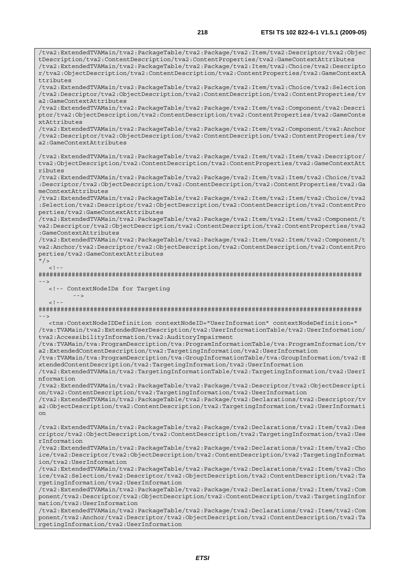/tva2:ExtendedTVAMain/tva2:PackageTable/tva2:Package/tva2:Item/tva2:Descriptor/tva2:Objec tDescription/tva2:ContentDescription/tva2:ContentProperties/tva2:GameContextAttributes /tva2:ExtendedTVAMain/tva2:PackageTable/tva2:Package/tva2:Item/tva2:Choice/tva2:Descripto r/tva2:ObjectDescription/tva2:ContentDescription/tva2:ContentProperties/tva2:GameContextA ttributes /tva2:ExtendedTVAMain/tva2:PackageTable/tva2:Package/tva2:Item/tva2:Choice/tva2:Selection /tva2:Descriptor/tva2:ObjectDescription/tva2:ContentDescription/tva2:ContentProperties/tv a2:GameContextAttributes /tva2:ExtendedTVAMain/tva2:PackageTable/tva2:Package/tva2:Item/tva2:Component/tva2:Descri ptor/tva2:ObjectDescription/tva2:ContentDescription/tva2:ContentProperties/tva2:GameConte xtAttributes /tva2:ExtendedTVAMain/tva2:PackageTable/tva2:Package/tva2:Item/tva2:Component/tva2:Anchor /tva2:Descriptor/tva2:ObjectDescription/tva2:ContentDescription/tva2:ContentProperties/tv a2:GameContextAttributes /tva2:ExtendedTVAMain/tva2:PackageTable/tva2:Package/tva2:Item/tva2:Item/tva2:Descriptor/ tva2:ObjectDescription/tva2:ContentDescription/tva2:ContentProperties/tva2:GameContextAtt ributes /tva2:ExtendedTVAMain/tva2:PackageTable/tva2:Package/tva2:Item/tva2:Item/tva2:Choice/tva2 :Descriptor/tva2:ObjectDescription/tva2:ContentDescription/tva2:ContentProperties/tva2:Ga meContextAttributes /tva2:ExtendedTVAMain/tva2:PackageTable/tva2:Package/tva2:Item/tva2:Item/tva2:Choice/tva2 :Selection/tva2:Descriptor/tva2:ObjectDescription/tva2:ContentDescription/tva2:ContentPro perties/tva2:GameContextAttributes /tva2:ExtendedTVAMain/tva2:PackageTable/tva2:Package/tva2:Item/tva2:Item/tva2:Component/t va2:Descriptor/tva2:ObjectDescription/tva2:ContentDescription/tva2:ContentProperties/tva2 :GameContextAttributes /tva2:ExtendedTVAMain/tva2:PackageTable/tva2:Package/tva2:Item/tva2:Item/tva2:Component/t va2:Anchor/tva2:Descriptor/tva2:ObjectDescription/tva2:ContentDescription/tva2:ContentPro perties/tva2:GameContextAttributes  $"$  / >  $\leq$ ######################################################################################## --> <!-- ContextNodeIDs for Targeting  $--&>$  $< ! - -$ ######################################################################################## --> <tns:ContextNodeIDDefinition contextNodeID="UserInformation" contextNodeDefinition=" /tva:TVAMain/tva2:ExtendedUserDescription/tva2:UserInformationTable/tva2:UserInformation/ tva2:AccessibilityInformation/tva2:AuditoryImpairment /tva:TVAMain/tva:ProgramDescription/tva:ProgramInformationTable/tva:ProgramInformation/tv a2:ExtendedContentDescription/tva2:TargetingInformation/tva2:UserInformation /tva:TVAMain/tva:ProgramDescription/tva:GroupInformationTable/tva:GroupInformation/tva2:E xtendedContentDescription/tva2:TargetingInformation/tva2:UserInformation /tva2:ExtendedTVAMain/tva2:TargetingInformationTable/tva2:TargetingInformation/tva2:UserI nformation /tva2:ExtendedTVAMain/tva2:PackageTable/tva2:Package/tva2:Descriptor/tva2:ObjectDescripti on/tva2:ContentDescription/tva2:TargetingInformation/tva2:UserInformation /tva2:ExtendedTVAMain/tva2:PackageTable/tva2:Package/tva2:Declarations/tva2:Descriptor/tv a2:ObjectDescription/tva2:ContentDescription/tva2:TargetingInformation/tva2:UserInformati on /tva2:ExtendedTVAMain/tva2:PackageTable/tva2:Package/tva2:Declarations/tva2:Item/tva2:Des criptor/tva2:ObjectDescription/tva2:ContentDescription/tva2:TargetingInformation/tva2:Use rInformation /tva2:ExtendedTVAMain/tva2:PackageTable/tva2:Package/tva2:Declarations/tva2:Item/tva2:Cho ice/tva2:Descriptor/tva2:ObjectDescription/tva2:ContentDescription/tva2:TargetingInformat ion/tva2:UserInformation /tva2:ExtendedTVAMain/tva2:PackageTable/tva2:Package/tva2:Declarations/tva2:Item/tva2:Cho ice/tva2:Selection/tva2:Descriptor/tva2:ObjectDescription/tva2:ContentDescription/tva2:Ta rgetingInformation/tva2:UserInformation /tva2:ExtendedTVAMain/tva2:PackageTable/tva2:Package/tva2:Declarations/tva2:Item/tva2:Com ponent/tva2:Descriptor/tva2:ObjectDescription/tva2:ContentDescription/tva2:TargetingInfor mation/tva2:UserInformation /tva2:ExtendedTVAMain/tva2:PackageTable/tva2:Package/tva2:Declarations/tva2:Item/tva2:Com ponent/tva2:Anchor/tva2:Descriptor/tva2:ObjectDescription/tva2:ContentDescription/tva2:Ta rgetingInformation/tva2:UserInformation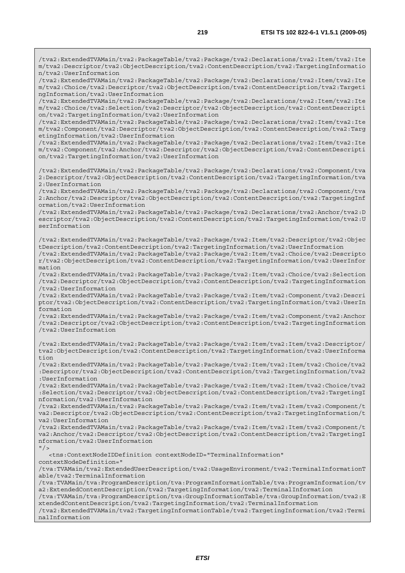/tva2:ExtendedTVAMain/tva2:PackageTable/tva2:Package/tva2:Declarations/tva2:Item/tva2:Ite m/tva2:Descriptor/tva2:ObjectDescription/tva2:ContentDescription/tva2:TargetingInformatio n/tva2:UserInformation /tva2:ExtendedTVAMain/tva2:PackageTable/tva2:Package/tva2:Declarations/tva2:Item/tva2:Ite m/tva2:Choice/tva2:Descriptor/tva2:ObjectDescription/tva2:ContentDescription/tva2:Targeti ngInformation/tva2:UserInformation /tva2:ExtendedTVAMain/tva2:PackageTable/tva2:Package/tva2:Declarations/tva2:Item/tva2:Ite m/tva2:Choice/tva2:Selection/tva2:Descriptor/tva2:ObjectDescription/tva2:ContentDescripti on/tva2:TargetingInformation/tva2:UserInformation /tva2:ExtendedTVAMain/tva2:PackageTable/tva2:Package/tva2:Declarations/tva2:Item/tva2:Ite m/tva2:Component/tva2:Descriptor/tva2:ObjectDescription/tva2:ContentDescription/tva2:Targ etingInformation/tva2:UserInformation /tva2:ExtendedTVAMain/tva2:PackageTable/tva2:Package/tva2:Declarations/tva2:Item/tva2:Ite m/tva2:Component/tva2:Anchor/tva2:Descriptor/tva2:ObjectDescription/tva2:ContentDescripti on/tva2:TargetingInformation/tva2:UserInformation /tva2:ExtendedTVAMain/tva2:PackageTable/tva2:Package/tva2:Declarations/tva2:Component/tva 2:Descriptor/tva2:ObjectDescription/tva2:ContentDescription/tva2:TargetingInformation/tva 2:UserInformation /tva2:ExtendedTVAMain/tva2:PackageTable/tva2:Package/tva2:Declarations/tva2:Component/tva 2:Anchor/tva2:Descriptor/tva2:ObjectDescription/tva2:ContentDescription/tva2:TargetingInf ormation/tva2:UserInformation /tva2:ExtendedTVAMain/tva2:PackageTable/tva2:Package/tva2:Declarations/tva2:Anchor/tva2:D escriptor/tva2:ObjectDescription/tva2:ContentDescription/tva2:TargetingInformation/tva2:U serInformation /tva2:ExtendedTVAMain/tva2:PackageTable/tva2:Package/tva2:Item/tva2:Descriptor/tva2:Objec tDescription/tva2:ContentDescription/tva2:TargetingInformation/tva2:UserInformation /tva2:ExtendedTVAMain/tva2:PackageTable/tva2:Package/tva2:Item/tva2:Choice/tva2:Descripto r/tva2:ObjectDescription/tva2:ContentDescription/tva2:TargetingInformation/tva2:UserInfor mation /tva2:ExtendedTVAMain/tva2:PackageTable/tva2:Package/tva2:Item/tva2:Choice/tva2:Selection /tva2:Descriptor/tva2:ObjectDescription/tva2:ContentDescription/tva2:TargetingInformation /tva2:UserInformation /tva2:ExtendedTVAMain/tva2:PackageTable/tva2:Package/tva2:Item/tva2:Component/tva2:Descri ptor/tva2:ObjectDescription/tva2:ContentDescription/tva2:TargetingInformation/tva2:UserIn formation /tva2:ExtendedTVAMain/tva2:PackageTable/tva2:Package/tva2:Item/tva2:Component/tva2:Anchor /tva2:Descriptor/tva2:ObjectDescription/tva2:ContentDescription/tva2:TargetingInformation /tva2:UserInformation /tva2:ExtendedTVAMain/tva2:PackageTable/tva2:Package/tva2:Item/tva2:Item/tva2:Descriptor/ tva2:ObjectDescription/tva2:ContentDescription/tva2:TargetingInformation/tva2:UserInforma tion /tva2:ExtendedTVAMain/tva2:PackageTable/tva2:Package/tva2:Item/tva2:Item/tva2:Choice/tva2 :Descriptor/tva2:ObjectDescription/tva2:ContentDescription/tva2:TargetingInformation/tva2 :UserInformation /tva2:ExtendedTVAMain/tva2:PackageTable/tva2:Package/tva2:Item/tva2:Item/tva2:Choice/tva2 :Selection/tva2:Descriptor/tva2:ObjectDescription/tva2:ContentDescription/tva2:TargetingI nformation/tva2:UserInformation /tva2:ExtendedTVAMain/tva2:PackageTable/tva2:Package/tva2:Item/tva2:Item/tva2:Component/t va2:Descriptor/tva2:ObjectDescription/tva2:ContentDescription/tva2:TargetingInformation/t va2:UserInformation /tva2:ExtendedTVAMain/tva2:PackageTable/tva2:Package/tva2:Item/tva2:Item/tva2:Component/t va2:Anchor/tva2:Descriptor/tva2:ObjectDescription/tva2:ContentDescription/tva2:TargetingI nformation/tva2:UserInformation  $"$  /> <tns:ContextNodeIDDefinition contextNodeID="TerminalInformation" contextNodeDefinition=" /tva:TVAMain/tva2:ExtendedUserDescription/tva2:UsageEnvironment/tva2:TerminalInformationT able/tva2:TerminalInformation /tva:TVAMain/tva:ProgramDescription/tva:ProgramInformationTable/tva:ProgramInformation/tv a2:ExtendedContentDescription/tva2:TargetingInformation/tva2:TerminalInformation /tva:TVAMain/tva:ProgramDescription/tva:GroupInformationTable/tva:GroupInformation/tva2:E xtendedContentDescription/tva2:TargetingInformation/tva2:TerminalInformation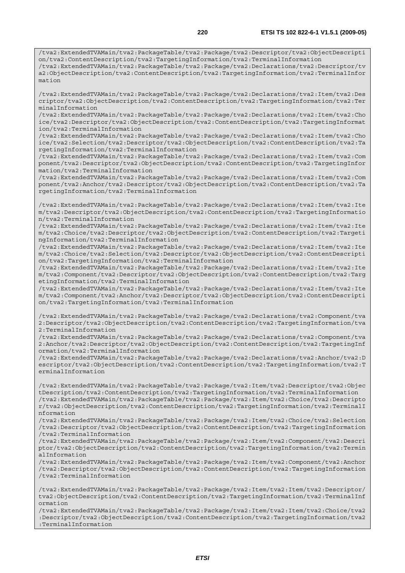/tva2:ExtendedTVAMain/tva2:PackageTable/tva2:Package/tva2:Descriptor/tva2:ObjectDescripti on/tva2:ContentDescription/tva2:TargetingInformation/tva2:TerminalInformation /tva2:ExtendedTVAMain/tva2:PackageTable/tva2:Package/tva2:Declarations/tva2:Descriptor/tv a2:ObjectDescription/tva2:ContentDescription/tva2:TargetingInformation/tva2:TerminalInfor mation

/tva2:ExtendedTVAMain/tva2:PackageTable/tva2:Package/tva2:Declarations/tva2:Item/tva2:Des criptor/tva2:ObjectDescription/tva2:ContentDescription/tva2:TargetingInformation/tva2:Ter minalInformation

/tva2:ExtendedTVAMain/tva2:PackageTable/tva2:Package/tva2:Declarations/tva2:Item/tva2:Cho ice/tva2:Descriptor/tva2:ObjectDescription/tva2:ContentDescription/tva2:TargetingInformat ion/tva2:TerminalInformation

/tva2:ExtendedTVAMain/tva2:PackageTable/tva2:Package/tva2:Declarations/tva2:Item/tva2:Cho ice/tva2:Selection/tva2:Descriptor/tva2:ObjectDescription/tva2:ContentDescription/tva2:Ta rgetingInformation/tva2:TerminalInformation

/tva2:ExtendedTVAMain/tva2:PackageTable/tva2:Package/tva2:Declarations/tva2:Item/tva2:Com ponent/tva2:Descriptor/tva2:ObjectDescription/tva2:ContentDescription/tva2:TargetingInfor mation/tva2:TerminalInformation

/tva2:ExtendedTVAMain/tva2:PackageTable/tva2:Package/tva2:Declarations/tva2:Item/tva2:Com ponent/tva2:Anchor/tva2:Descriptor/tva2:ObjectDescription/tva2:ContentDescription/tva2:Ta rgetingInformation/tva2:TerminalInformation

/tva2:ExtendedTVAMain/tva2:PackageTable/tva2:Package/tva2:Declarations/tva2:Item/tva2:Ite m/tva2:Descriptor/tva2:ObjectDescription/tva2:ContentDescription/tva2:TargetingInformatio n/tva2:TerminalInformation

/tva2:ExtendedTVAMain/tva2:PackageTable/tva2:Package/tva2:Declarations/tva2:Item/tva2:Ite m/tva2:Choice/tva2:Descriptor/tva2:ObjectDescription/tva2:ContentDescription/tva2:Targeti ngInformation/tva2:TerminalInformation

/tva2:ExtendedTVAMain/tva2:PackageTable/tva2:Package/tva2:Declarations/tva2:Item/tva2:Ite m/tva2:Choice/tva2:Selection/tva2:Descriptor/tva2:ObjectDescription/tva2:ContentDescripti on/tva2:TargetingInformation/tva2:TerminalInformation

/tva2:ExtendedTVAMain/tva2:PackageTable/tva2:Package/tva2:Declarations/tva2:Item/tva2:Ite m/tva2:Component/tva2:Descriptor/tva2:ObjectDescription/tva2:ContentDescription/tva2:Targ etingInformation/tva2:TerminalInformation

/tva2:ExtendedTVAMain/tva2:PackageTable/tva2:Package/tva2:Declarations/tva2:Item/tva2:Ite m/tva2:Component/tva2:Anchor/tva2:Descriptor/tva2:ObjectDescription/tva2:ContentDescripti on/tva2:TargetingInformation/tva2:TerminalInformation

/tva2:ExtendedTVAMain/tva2:PackageTable/tva2:Package/tva2:Declarations/tva2:Component/tva 2:Descriptor/tva2:ObjectDescription/tva2:ContentDescription/tva2:TargetingInformation/tva 2:TerminalInformation

/tva2:ExtendedTVAMain/tva2:PackageTable/tva2:Package/tva2:Declarations/tva2:Component/tva 2:Anchor/tva2:Descriptor/tva2:ObjectDescription/tva2:ContentDescription/tva2:TargetingInf ormation/tva2:TerminalInformation

/tva2:ExtendedTVAMain/tva2:PackageTable/tva2:Package/tva2:Declarations/tva2:Anchor/tva2:D escriptor/tva2:ObjectDescription/tva2:ContentDescription/tva2:TargetingInformation/tva2:T erminalInformation

/tva2:ExtendedTVAMain/tva2:PackageTable/tva2:Package/tva2:Item/tva2:Descriptor/tva2:Objec tDescription/tva2:ContentDescription/tva2:TargetingInformation/tva2:TerminalInformation /tva2:ExtendedTVAMain/tva2:PackageTable/tva2:Package/tva2:Item/tva2:Choice/tva2:Descripto r/tva2:ObjectDescription/tva2:ContentDescription/tva2:TargetingInformation/tva2:TerminalI nformation

/tva2:ExtendedTVAMain/tva2:PackageTable/tva2:Package/tva2:Item/tva2:Choice/tva2:Selection /tva2:Descriptor/tva2:ObjectDescription/tva2:ContentDescription/tva2:TargetingInformation /tva2:TerminalInformation

/tva2:ExtendedTVAMain/tva2:PackageTable/tva2:Package/tva2:Item/tva2:Component/tva2:Descri ptor/tva2:ObjectDescription/tva2:ContentDescription/tva2:TargetingInformation/tva2:Termin alInformation

/tva2:ExtendedTVAMain/tva2:PackageTable/tva2:Package/tva2:Item/tva2:Component/tva2:Anchor /tva2:Descriptor/tva2:ObjectDescription/tva2:ContentDescription/tva2:TargetingInformation /tva2:TerminalInformation

/tva2:ExtendedTVAMain/tva2:PackageTable/tva2:Package/tva2:Item/tva2:Item/tva2:Descriptor/ tva2:ObjectDescription/tva2:ContentDescription/tva2:TargetingInformation/tva2:TerminalInf ormation

/tva2:ExtendedTVAMain/tva2:PackageTable/tva2:Package/tva2:Item/tva2:Item/tva2:Choice/tva2 :Descriptor/tva2:ObjectDescription/tva2:ContentDescription/tva2:TargetingInformation/tva2 :TerminalInformation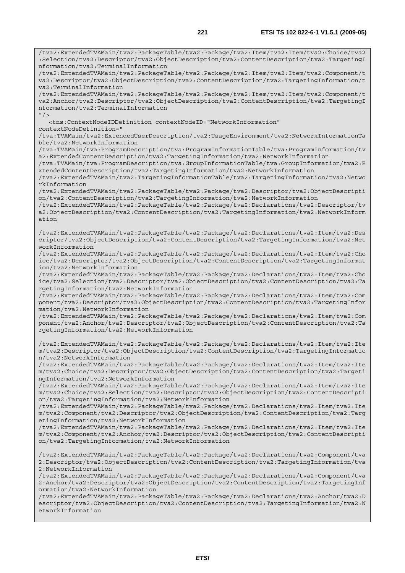/tva2:ExtendedTVAMain/tva2:PackageTable/tva2:Package/tva2:Item/tva2:Item/tva2:Choice/tva2 :Selection/tva2:Descriptor/tva2:ObjectDescription/tva2:ContentDescription/tva2:TargetingI nformation/tva2:TerminalInformation /tva2:ExtendedTVAMain/tva2:PackageTable/tva2:Package/tva2:Item/tva2:Item/tva2:Component/t va2:Descriptor/tva2:ObjectDescription/tva2:ContentDescription/tva2:TargetingInformation/t va2:TerminalInformation /tva2:ExtendedTVAMain/tva2:PackageTable/tva2:Package/tva2:Item/tva2:Item/tva2:Component/t va2:Anchor/tva2:Descriptor/tva2:ObjectDescription/tva2:ContentDescription/tva2:TargetingI nformation/tva2:TerminalInformation  $''$  / > <tns:ContextNodeIDDefinition contextNodeID="NetworkInformation" contextNodeDefinition=" /tva:TVAMain/tva2:ExtendedUserDescription/tva2:UsageEnvironment/tva2:NetworkInformationTa ble/tva2:NetworkInformation /tva:TVAMain/tva:ProgramDescription/tva:ProgramInformationTable/tva:ProgramInformation/tv a2:ExtendedContentDescription/tva2:TargetingInformation/tva2:NetworkInformation /tva:TVAMain/tva:ProgramDescription/tva:GroupInformationTable/tva:GroupInformation/tva2:E xtendedContentDescription/tva2:TargetingInformation/tva2:NetworkInformation /tva2:ExtendedTVAMain/tva2:TargetingInformationTable/tva2:TargetingInformation/tva2:Netwo rkInformation /tva2:ExtendedTVAMain/tva2:PackageTable/tva2:Package/tva2:Descriptor/tva2:ObjectDescripti on/tva2:ContentDescription/tva2:TargetingInformation/tva2:NetworkInformation /tva2:ExtendedTVAMain/tva2:PackageTable/tva2:Package/tva2:Declarations/tva2:Descriptor/tv a2:ObjectDescription/tva2:ContentDescription/tva2:TargetingInformation/tva2:NetworkInform ation /tva2:ExtendedTVAMain/tva2:PackageTable/tva2:Package/tva2:Declarations/tva2:Item/tva2:Des criptor/tva2:ObjectDescription/tva2:ContentDescription/tva2:TargetingInformation/tva2:Net workInformation /tva2:ExtendedTVAMain/tva2:PackageTable/tva2:Package/tva2:Declarations/tva2:Item/tva2:Cho ice/tva2:Descriptor/tva2:ObjectDescription/tva2:ContentDescription/tva2:TargetingInformat ion/tva2:NetworkInformation /tva2:ExtendedTVAMain/tva2:PackageTable/tva2:Package/tva2:Declarations/tva2:Item/tva2:Cho ice/tva2:Selection/tva2:Descriptor/tva2:ObjectDescription/tva2:ContentDescription/tva2:Ta rgetingInformation/tva2:NetworkInformation /tva2:ExtendedTVAMain/tva2:PackageTable/tva2:Package/tva2:Declarations/tva2:Item/tva2:Com ponent/tva2:Descriptor/tva2:ObjectDescription/tva2:ContentDescription/tva2:TargetingInfor mation/tva2:NetworkInformation /tva2:ExtendedTVAMain/tva2:PackageTable/tva2:Package/tva2:Declarations/tva2:Item/tva2:Com ponent/tva2:Anchor/tva2:Descriptor/tva2:ObjectDescription/tva2:ContentDescription/tva2:Ta rgetingInformation/tva2:NetworkInformation /tva2:ExtendedTVAMain/tva2:PackageTable/tva2:Package/tva2:Declarations/tva2:Item/tva2:Ite m/tva2:Descriptor/tva2:ObjectDescription/tva2:ContentDescription/tva2:TargetingInformatio n/tva2:NetworkInformation /tva2:ExtendedTVAMain/tva2:PackageTable/tva2:Package/tva2:Declarations/tva2:Item/tva2:Ite m/tva2:Choice/tva2:Descriptor/tva2:ObjectDescription/tva2:ContentDescription/tva2:Targeti ngInformation/tva2:NetworkInformation /tva2:ExtendedTVAMain/tva2:PackageTable/tva2:Package/tva2:Declarations/tva2:Item/tva2:Ite m/tva2:Choice/tva2:Selection/tva2:Descriptor/tva2:ObjectDescription/tva2:ContentDescripti on/tva2:TargetingInformation/tva2:NetworkInformation /tva2:ExtendedTVAMain/tva2:PackageTable/tva2:Package/tva2:Declarations/tva2:Item/tva2:Ite m/tva2:Component/tva2:Descriptor/tva2:ObjectDescription/tva2:ContentDescription/tva2:Targ etingInformation/tva2:NetworkInformation /tva2:ExtendedTVAMain/tva2:PackageTable/tva2:Package/tva2:Declarations/tva2:Item/tva2:Ite m/tva2:Component/tva2:Anchor/tva2:Descriptor/tva2:ObjectDescription/tva2:ContentDescripti on/tva2:TargetingInformation/tva2:NetworkInformation /tva2:ExtendedTVAMain/tva2:PackageTable/tva2:Package/tva2:Declarations/tva2:Component/tva 2:Descriptor/tva2:ObjectDescription/tva2:ContentDescription/tva2:TargetingInformation/tva 2:NetworkInformation /tva2:ExtendedTVAMain/tva2:PackageTable/tva2:Package/tva2:Declarations/tva2:Component/tva 2:Anchor/tva2:Descriptor/tva2:ObjectDescription/tva2:ContentDescription/tva2:TargetingInf ormation/tva2:NetworkInformation /tva2:ExtendedTVAMain/tva2:PackageTable/tva2:Package/tva2:Declarations/tva2:Anchor/tva2:D escriptor/tva2:ObjectDescription/tva2:ContentDescription/tva2:TargetingInformation/tva2:N etworkInformation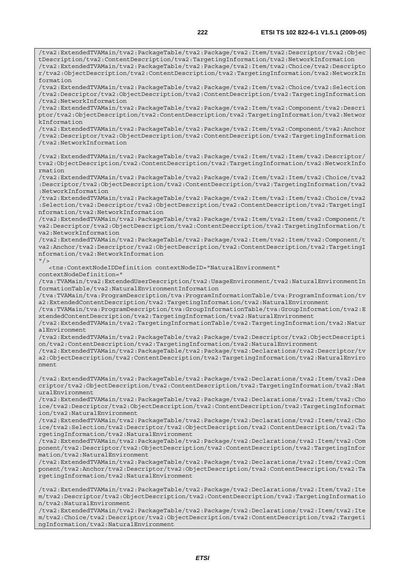/tva2:ExtendedTVAMain/tva2:PackageTable/tva2:Package/tva2:Item/tva2:Descriptor/tva2:Objec

tDescription/tva2:ContentDescription/tva2:TargetingInformation/tva2:NetworkInformation /tva2:ExtendedTVAMain/tva2:PackageTable/tva2:Package/tva2:Item/tva2:Choice/tva2:Descripto r/tva2:ObjectDescription/tva2:ContentDescription/tva2:TargetingInformation/tva2:NetworkIn formation

/tva2:ExtendedTVAMain/tva2:PackageTable/tva2:Package/tva2:Item/tva2:Choice/tva2:Selection /tva2:Descriptor/tva2:ObjectDescription/tva2:ContentDescription/tva2:TargetingInformation /tva2:NetworkInformation

/tva2:ExtendedTVAMain/tva2:PackageTable/tva2:Package/tva2:Item/tva2:Component/tva2:Descri ptor/tva2:ObjectDescription/tva2:ContentDescription/tva2:TargetingInformation/tva2:Networ kInformation

/tva2:ExtendedTVAMain/tva2:PackageTable/tva2:Package/tva2:Item/tva2:Component/tva2:Anchor /tva2:Descriptor/tva2:ObjectDescription/tva2:ContentDescription/tva2:TargetingInformation /tva2:NetworkInformation

/tva2:ExtendedTVAMain/tva2:PackageTable/tva2:Package/tva2:Item/tva2:Item/tva2:Descriptor/ tva2:ObjectDescription/tva2:ContentDescription/tva2:TargetingInformation/tva2:NetworkInfo rmation

/tva2:ExtendedTVAMain/tva2:PackageTable/tva2:Package/tva2:Item/tva2:Item/tva2:Choice/tva2 :Descriptor/tva2:ObjectDescription/tva2:ContentDescription/tva2:TargetingInformation/tva2 :NetworkInformation

/tva2:ExtendedTVAMain/tva2:PackageTable/tva2:Package/tva2:Item/tva2:Item/tva2:Choice/tva2 :Selection/tva2:Descriptor/tva2:ObjectDescription/tva2:ContentDescription/tva2:TargetingI nformation/tva2:NetworkInformation

/tva2:ExtendedTVAMain/tva2:PackageTable/tva2:Package/tva2:Item/tva2:Item/tva2:Component/t va2:Descriptor/tva2:ObjectDescription/tva2:ContentDescription/tva2:TargetingInformation/t va2:NetworkInformation

/tva2:ExtendedTVAMain/tva2:PackageTable/tva2:Package/tva2:Item/tva2:Item/tva2:Component/t va2:Anchor/tva2:Descriptor/tva2:ObjectDescription/tva2:ContentDescription/tva2:TargetingI nformation/tva2:NetworkInformation

 $''$  />

<tns:ContextNodeIDDefinition contextNodeID="NaturalEnvironment"

contextNodeDefinition="

/tva:TVAMain/tva2:ExtendedUserDescription/tva2:UsageEnvironment/tva2:NaturalEnvironmentIn formationTable/tva2:NaturalEnvironmentInformation

/tva:TVAMain/tva:ProgramDescription/tva:ProgramInformationTable/tva:ProgramInformation/tv a2:ExtendedContentDescription/tva2:TargetingInformation/tva2:NaturalEnvironment

/tva:TVAMain/tva:ProgramDescription/tva:GroupInformationTable/tva:GroupInformation/tva2:E xtendedContentDescription/tva2:TargetingInformation/tva2:NaturalEnvironment

/tva2:ExtendedTVAMain/tva2:TargetingInformationTable/tva2:TargetingInformation/tva2:Natur alEnvironment

/tva2:ExtendedTVAMain/tva2:PackageTable/tva2:Package/tva2:Descriptor/tva2:ObjectDescripti on/tva2:ContentDescription/tva2:TargetingInformation/tva2:NaturalEnvironment

/tva2:ExtendedTVAMain/tva2:PackageTable/tva2:Package/tva2:Declarations/tva2:Descriptor/tv a2:ObjectDescription/tva2:ContentDescription/tva2:TargetingInformation/tva2:NaturalEnviro nment

/tva2:ExtendedTVAMain/tva2:PackageTable/tva2:Package/tva2:Declarations/tva2:Item/tva2:Des criptor/tva2:ObjectDescription/tva2:ContentDescription/tva2:TargetingInformation/tva2:Nat uralEnvironment

/tva2:ExtendedTVAMain/tva2:PackageTable/tva2:Package/tva2:Declarations/tva2:Item/tva2:Cho ice/tva2:Descriptor/tva2:ObjectDescription/tva2:ContentDescription/tva2:TargetingInformat ion/tva2:NaturalEnvironment

/tva2:ExtendedTVAMain/tva2:PackageTable/tva2:Package/tva2:Declarations/tva2:Item/tva2:Cho ice/tva2:Selection/tva2:Descriptor/tva2:ObjectDescription/tva2:ContentDescription/tva2:Ta rgetingInformation/tva2:NaturalEnvironment

/tva2:ExtendedTVAMain/tva2:PackageTable/tva2:Package/tva2:Declarations/tva2:Item/tva2:Com ponent/tva2:Descriptor/tva2:ObjectDescription/tva2:ContentDescription/tva2:TargetingInfor mation/tva2:NaturalEnvironment

/tva2:ExtendedTVAMain/tva2:PackageTable/tva2:Package/tva2:Declarations/tva2:Item/tva2:Com ponent/tva2:Anchor/tva2:Descriptor/tva2:ObjectDescription/tva2:ContentDescription/tva2:Ta rgetingInformation/tva2:NaturalEnvironment

/tva2:ExtendedTVAMain/tva2:PackageTable/tva2:Package/tva2:Declarations/tva2:Item/tva2:Ite m/tva2:Descriptor/tva2:ObjectDescription/tva2:ContentDescription/tva2:TargetingInformatio n/tva2:NaturalEnvironment

/tva2:ExtendedTVAMain/tva2:PackageTable/tva2:Package/tva2:Declarations/tva2:Item/tva2:Ite m/tva2:Choice/tva2:Descriptor/tva2:ObjectDescription/tva2:ContentDescription/tva2:Targeti ngInformation/tva2:NaturalEnvironment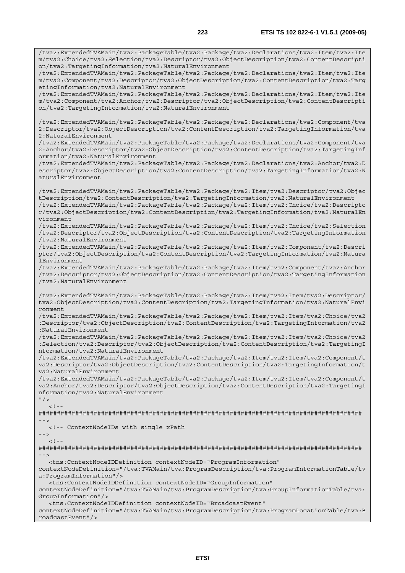/tva2:ExtendedTVAMain/tva2:PackageTable/tva2:Package/tva2:Declarations/tva2:Item/tva2:Ite

m/tva2:Choice/tva2:Selection/tva2:Descriptor/tva2:ObjectDescription/tva2:ContentDescripti on/tva2:TargetingInformation/tva2:NaturalEnvironment /tva2:ExtendedTVAMain/tva2:PackageTable/tva2:Package/tva2:Declarations/tva2:Item/tva2:Ite m/tva2:Component/tva2:Descriptor/tva2:ObjectDescription/tva2:ContentDescription/tva2:Targ etingInformation/tva2:NaturalEnvironment /tva2:ExtendedTVAMain/tva2:PackageTable/tva2:Package/tva2:Declarations/tva2:Item/tva2:Ite m/tva2:Component/tva2:Anchor/tva2:Descriptor/tva2:ObjectDescription/tva2:ContentDescripti on/tva2:TargetingInformation/tva2:NaturalEnvironment /tva2:ExtendedTVAMain/tva2:PackageTable/tva2:Package/tva2:Declarations/tva2:Component/tva 2:Descriptor/tva2:ObjectDescription/tva2:ContentDescription/tva2:TargetingInformation/tva 2:NaturalEnvironment /tva2:ExtendedTVAMain/tva2:PackageTable/tva2:Package/tva2:Declarations/tva2:Component/tva 2:Anchor/tva2:Descriptor/tva2:ObjectDescription/tva2:ContentDescription/tva2:TargetingInf ormation/tva2:NaturalEnvironment /tva2:ExtendedTVAMain/tva2:PackageTable/tva2:Package/tva2:Declarations/tva2:Anchor/tva2:D escriptor/tva2:ObjectDescription/tva2:ContentDescription/tva2:TargetingInformation/tva2:N aturalEnvironment /tva2:ExtendedTVAMain/tva2:PackageTable/tva2:Package/tva2:Item/tva2:Descriptor/tva2:Objec tDescription/tva2:ContentDescription/tva2:TargetingInformation/tva2:NaturalEnvironment /tva2:ExtendedTVAMain/tva2:PackageTable/tva2:Package/tva2:Item/tva2:Choice/tva2:Descripto r/tva2:ObjectDescription/tva2:ContentDescription/tva2:TargetingInformation/tva2:NaturalEn vironment /tva2:ExtendedTVAMain/tva2:PackageTable/tva2:Package/tva2:Item/tva2:Choice/tva2:Selection /tva2:Descriptor/tva2:ObjectDescription/tva2:ContentDescription/tva2:TargetingInformation /tva2:NaturalEnvironment /tva2:ExtendedTVAMain/tva2:PackageTable/tva2:Package/tva2:Item/tva2:Component/tva2:Descri ptor/tva2:ObjectDescription/tva2:ContentDescription/tva2:TargetingInformation/tva2:Natura lEnvironment /tva2:ExtendedTVAMain/tva2:PackageTable/tva2:Package/tva2:Item/tva2:Component/tva2:Anchor /tva2:Descriptor/tva2:ObjectDescription/tva2:ContentDescription/tva2:TargetingInformation /tva2:NaturalEnvironment /tva2:ExtendedTVAMain/tva2:PackageTable/tva2:Package/tva2:Item/tva2:Item/tva2:Descriptor/ tva2:ObjectDescription/tva2:ContentDescription/tva2:TargetingInformation/tva2:NaturalEnvi ronment /tva2:ExtendedTVAMain/tva2:PackageTable/tva2:Package/tva2:Item/tva2:Item/tva2:Choice/tva2 :Descriptor/tva2:ObjectDescription/tva2:ContentDescription/tva2:TargetingInformation/tva2 :NaturalEnvironment /tva2:ExtendedTVAMain/tva2:PackageTable/tva2:Package/tva2:Item/tva2:Item/tva2:Choice/tva2 :Selection/tva2:Descriptor/tva2:ObjectDescription/tva2:ContentDescription/tva2:TargetingI nformation/tva2:NaturalEnvironment /tva2:ExtendedTVAMain/tva2:PackageTable/tva2:Package/tva2:Item/tva2:Item/tva2:Component/t va2:Descriptor/tva2:ObjectDescription/tva2:ContentDescription/tva2:TargetingInformation/t va2:NaturalEnvironment /tva2:ExtendedTVAMain/tva2:PackageTable/tva2:Package/tva2:Item/tva2:Item/tva2:Component/t va2:Anchor/tva2:Descriptor/tva2:ObjectDescription/tva2:ContentDescription/tva2:TargetingI nformation/tva2:NaturalEnvironment  $"$  />  $\langle$ ! --######################################################################################## --> <!-- ContextNodeIDs with single xPath -->  $\lt$  !  $-$ ######################################################################################## --> <tns:ContextNodeIDDefinition contextNodeID="ProgramInformation" contextNodeDefinition="/tva:TVAMain/tva:ProgramDescription/tva:ProgramInformationTable/tv a:ProgramInformation"/> <tns:ContextNodeIDDefinition contextNodeID="GroupInformation" contextNodeDefinition="/tva:TVAMain/tva:ProgramDescription/tva:GroupInformationTable/tva: GroupInformation"/> <tns:ContextNodeIDDefinition contextNodeID="BroadcastEvent" contextNodeDefinition="/tva:TVAMain/tva:ProgramDescription/tva:ProgramLocationTable/tva:B

roadcastEvent"/>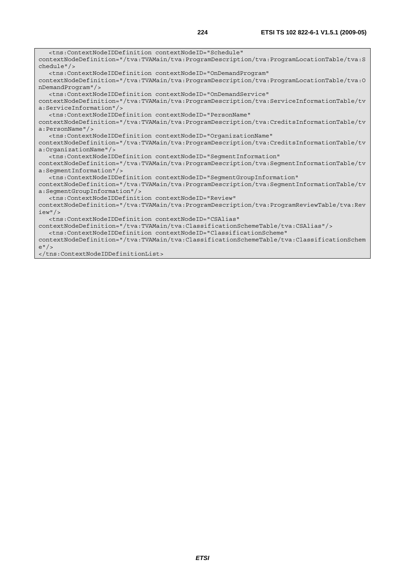<tns:ContextNodeIDDefinition contextNodeID="Schedule" contextNodeDefinition="/tva:TVAMain/tva:ProgramDescription/tva:ProgramLocationTable/tva:S chedule"/> <tns:ContextNodeIDDefinition contextNodeID="OnDemandProgram" contextNodeDefinition="/tva:TVAMain/tva:ProgramDescription/tva:ProgramLocationTable/tva:O nDemandProgram"/> <tns:ContextNodeIDDefinition contextNodeID="OnDemandService" contextNodeDefinition="/tva:TVAMain/tva:ProgramDescription/tva:ServiceInformationTable/tv a:ServiceInformation"/> <tns:ContextNodeIDDefinition contextNodeID="PersonName" contextNodeDefinition="/tva:TVAMain/tva:ProgramDescription/tva:CreditsInformationTable/tv a:PersonName"/> <tns:ContextNodeIDDefinition contextNodeID="OrganizationName" contextNodeDefinition="/tva:TVAMain/tva:ProgramDescription/tva:CreditsInformationTable/tv a:OrganizationName"/> <tns:ContextNodeIDDefinition contextNodeID="SegmentInformation" contextNodeDefinition="/tva:TVAMain/tva:ProgramDescription/tva:SegmentInformationTable/tv a:SegmentInformation"/> <tns:ContextNodeIDDefinition contextNodeID="SegmentGroupInformation" contextNodeDefinition="/tva:TVAMain/tva:ProgramDescription/tva:SegmentInformationTable/tv a:SegmentGroupInformation"/> <tns:ContextNodeIDDefinition contextNodeID="Review" contextNodeDefinition="/tva:TVAMain/tva:ProgramDescription/tva:ProgramReviewTable/tva:Rev iew"/> <tns:ContextNodeIDDefinition contextNodeID="CSAlias" contextNodeDefinition="/tva:TVAMain/tva:ClassificationSchemeTable/tva:CSAlias"/> <tns:ContextNodeIDDefinition contextNodeID="ClassificationScheme" contextNodeDefinition="/tva:TVAMain/tva:ClassificationSchemeTable/tva:ClassificationSchem e"/>

</tns:ContextNodeIDDefinitionList>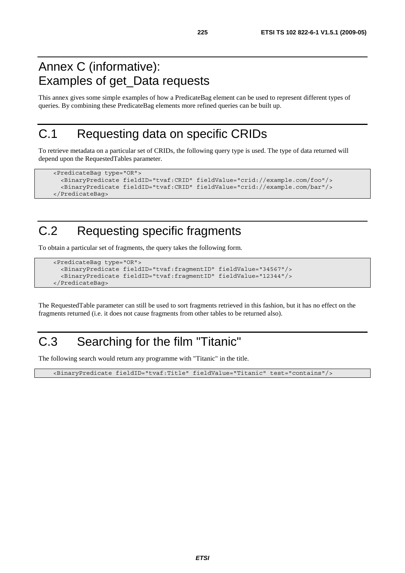#### Annex C (informative): Examples of get\_Data requests

This annex gives some simple examples of how a PredicateBag element can be used to represent different types of queries. By combining these PredicateBag elements more refined queries can be built up.

#### C.1 Requesting data on specific CRIDs

To retrieve metadata on a particular set of CRIDs, the following query type is used. The type of data returned will depend upon the RequestedTables parameter.

```
 <PredicateBag type="OR"> 
   <BinaryPredicate fieldID="tvaf:CRID" fieldValue="crid://example.com/foo"/> 
   <BinaryPredicate fieldID="tvaf:CRID" fieldValue="crid://example.com/bar"/> 
 </PredicateBag>
```
# C.2 Requesting specific fragments

To obtain a particular set of fragments, the query takes the following form.

```
 <PredicateBag type="OR"> 
   <BinaryPredicate fieldID="tvaf:fragmentID" fieldValue="34567"/> 
   <BinaryPredicate fieldID="tvaf:fragmentID" fieldValue="12344"/> 
 </PredicateBag>
```
The RequestedTable parameter can still be used to sort fragments retrieved in this fashion, but it has no effect on the fragments returned (i.e. it does not cause fragments from other tables to be returned also).

# C.3 Searching for the film "Titanic"

The following search would return any programme with "Titanic" in the title.

<BinaryPredicate fieldID="tvaf:Title" fieldValue="Titanic" test="contains"/>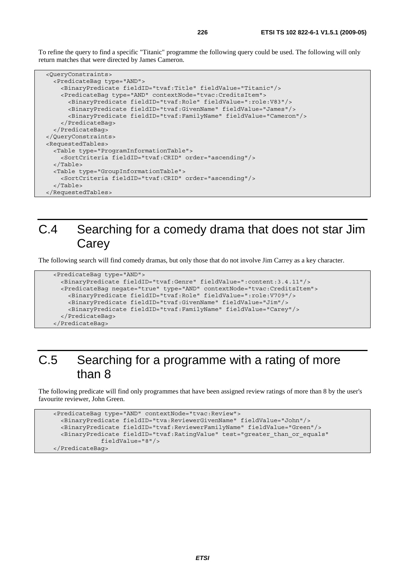To refine the query to find a specific "Titanic" programme the following query could be used. The following will only return matches that were directed by James Cameron.

```
 <QueryConstraints> 
   <PredicateBag type="AND"> 
     <BinaryPredicate fieldID="tvaf:Title" fieldValue="Titanic"/> 
     <PredicateBag type="AND" contextNode="tvac:CreditsItem"> 
       <BinaryPredicate fieldID="tvaf:Role" fieldValue=":role:V83"/> 
       <BinaryPredicate fieldID="tvaf:GivenName" fieldValue="James"/> 
       <BinaryPredicate fieldID="tvaf:FamilyName" fieldValue="Cameron"/> 
     </PredicateBag> 
   </PredicateBag> 
 </QueryConstraints> 
 <RequestedTables> 
   <Table type="ProgramInformationTable"> 
     <SortCriteria fieldID="tvaf:CRID" order="ascending"/> 
   </Table> 
   <Table type="GroupInformationTable"> 
     <SortCriteria fieldID="tvaf:CRID" order="ascending"/> 
   </Table> 
 </RequestedTables>
```
#### C.4 Searching for a comedy drama that does not star Jim **Carey**

The following search will find comedy dramas, but only those that do not involve Jim Carrey as a key character.

```
 <PredicateBag type="AND"> 
   <BinaryPredicate fieldID="tvaf:Genre" fieldValue=":content:3.4.11"/> 
   <PredicateBag negate="true" type="AND" contextNode="tvac:CreditsItem"> 
     <BinaryPredicate fieldID="tvaf:Role" fieldValue=":role:V709"/> 
     <BinaryPredicate fieldID="tvaf:GivenName" fieldValue="Jim"/> 
     <BinaryPredicate fieldID="tvaf:FamilyName" fieldValue="Carey"/> 
   </PredicateBag> 
 </PredicateBag>
```
#### C.5 Searching for a programme with a rating of more than 8

The following predicate will find only programmes that have been assigned review ratings of more than 8 by the user's favourite reviewer, John Green.

```
 <PredicateBag type="AND" contextNode="tvac:Review"> 
   <BinaryPredicate fieldID="tva:ReviewerGivenName" fieldValue="John"/> 
   <BinaryPredicate fieldID="tvaf:ReviewerFamilyName" fieldValue="Green"/> 
   <BinaryPredicate fieldID="tvaf:RatingValue" test="greater_than_or_equals" 
              fieldValue="8"/> 
 </PredicateBag>
```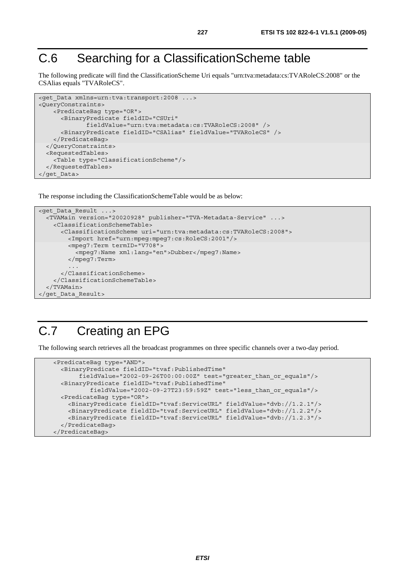# C.6 Searching for a ClassificationScheme table

The following predicate will find the ClassificationScheme Uri equals "urn:tva:metadata:cs:TVARoleCS:2008" or the CSAlias equals "TVARoleCS".

```
<get Data xmlns=urn:tva:transport:2008 ...>
<QueryConstraints> 
     <PredicateBag type="OR"> 
       <BinaryPredicate fieldID="CSUri" 
               fieldValue="urn:tva:metadata:cs:TVARoleCS:2008" /> 
       <BinaryPredicate fieldID="CSAlias" fieldValue="TVARoleCS" /> 
     </PredicateBag> 
   </QueryConstraints> 
   <RequestedTables> 
     <Table type="ClassificationScheme"/> 
   </RequestedTables> 
</get_Data>
```
The response including the ClassificationSchemeTable would be as below:

```
<get_Data_Result ...> 
   <TVAMain version="20020928" publisher="TVA-Metadata-Service" ...> 
     <ClassificationSchemeTable> 
       <ClassificationScheme uri="urn:tva:metadata:cs:TVARoleCS:2008"> 
         <Import href="urn:mpeg:mpeg7:cs:RoleCS:2001"/> 
         <mpeg7:Term termID="V708"> 
           <mpeg7:Name xml:lang="en">Dubber</mpeg7:Name> 
         </mpeg7:Term> 
 ... 
       </ClassificationScheme> 
     </ClassificationSchemeTable> 
   </TVAMain> 
</get_Data_Result>
```
#### C.7 Creating an EPG

The following search retrieves all the broadcast programmes on three specific channels over a two-day period.

```
 <PredicateBag type="AND"> 
   <BinaryPredicate fieldID="tvaf:PublishedTime" 
        fieldValue="2002-09-26T00:00:00Z" test="greater_than_or_equals"/> 
   <BinaryPredicate fieldID="tvaf:PublishedTime" 
           fieldValue="2002-09-27T23:59:59Z" test="less_than_or_equals"/> 
   <PredicateBag type="OR"> 
     <BinaryPredicate fieldID="tvaf:ServiceURL" fieldValue="dvb://1.2.1"/> 
     <BinaryPredicate fieldID="tvaf:ServiceURL" fieldValue="dvb://1.2.2"/> 
     <BinaryPredicate fieldID="tvaf:ServiceURL" fieldValue="dvb://1.2.3"/> 
   </PredicateBag> 
 </PredicateBag>
```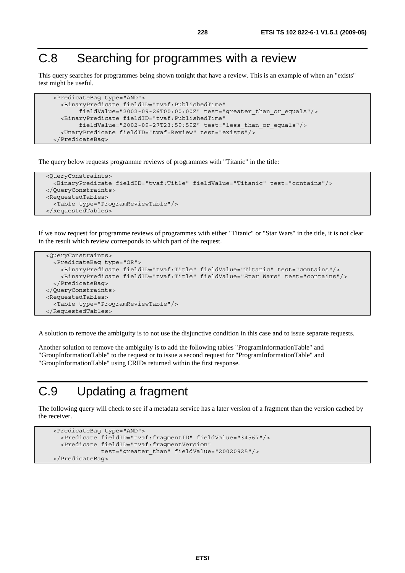# C.8 Searching for programmes with a review

This query searches for programmes being shown tonight that have a review. This is an example of when an "exists" test might be useful.

```
 <PredicateBag type="AND"> 
   <BinaryPredicate fieldID="tvaf:PublishedTime" 
        fieldValue="2002-09-26T00:00:00Z" test="greater_than_or_equals"/> 
   <BinaryPredicate fieldID="tvaf:PublishedTime" 
        fieldValue="2002-09-27T23:59:59Z" test="less_than_or_equals"/> 
   <UnaryPredicate fieldID="tvaf:Review" test="exists"/> 
 </PredicateBag>
```
The query below requests programme reviews of programmes with "Titanic" in the title:

```
 <QueryConstraints> 
   <BinaryPredicate fieldID="tvaf:Title" fieldValue="Titanic" test="contains"/> 
 </QueryConstraints> 
 <RequestedTables> 
   <Table type="ProgramReviewTable"/> 
 </RequestedTables>
```
If we now request for programme reviews of programmes with either "Titanic" or "Star Wars" in the title, it is not clear in the result which review corresponds to which part of the request.

```
 <QueryConstraints> 
   <PredicateBag type="OR"> 
     <BinaryPredicate fieldID="tvaf:Title" fieldValue="Titanic" test="contains"/> 
     <BinaryPredicate fieldID="tvaf:Title" fieldValue="Star Wars" test="contains"/> 
   </PredicateBag> 
 </QueryConstraints> 
 <RequestedTables> 
   <Table type="ProgramReviewTable"/> 
 </RequestedTables>
```
A solution to remove the ambiguity is to not use the disjunctive condition in this case and to issue separate requests.

Another solution to remove the ambiguity is to add the following tables "ProgramInformationTable" and "GroupInformationTable" to the request or to issue a second request for "ProgramInformationTable" and "GroupInformationTable" using CRIDs returned within the first response.

#### C.9 Updating a fragment

The following query will check to see if a metadata service has a later version of a fragment than the version cached by the receiver.

```
 <PredicateBag type="AND"> 
   <Predicate fieldID="tvaf:fragmentID" fieldValue="34567"/> 
   <Predicate fieldID="tvaf:fragmentVersion" 
              test="greater_than" fieldValue="20020925"/> 
 </PredicateBag>
```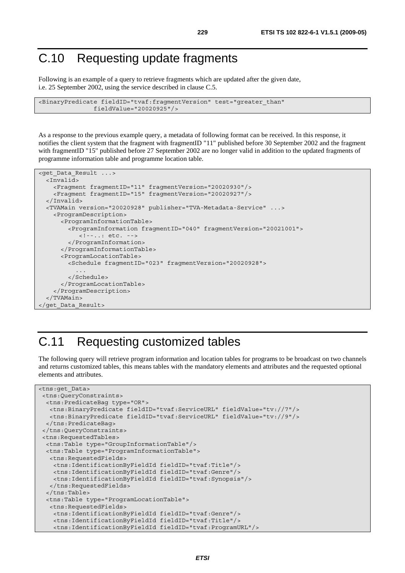### C.10 Requesting update fragments

Following is an example of a query to retrieve fragments which are updated after the given date, i.e. 25 September 2002, using the service described in clause C.5.

```
<BinaryPredicate fieldID="tvaf:fragmentVersion" test="greater_than" 
                fieldValue="20020925"/>
```
As a response to the previous example query, a metadata of following format can be received. In this response, it notifies the client system that the fragment with fragmentID "11" published before 30 September 2002 and the fragment with fragmentID "15" published before 27 September 2002 are no longer valid in addition to the updated fragments of programme information table and programme location table.

```
<get_Data_Result ...> 
   <Invalid> 
     <Fragment fragmentID="11" fragmentVersion="20020930"/> 
     <Fragment fragmentID="15" fragmentVersion="20020927"/> 
   </Invalid> 
   <TVAMain version="20020928" publisher="TVA-Metadata-Service" ...> 
     <ProgramDescription> 
       <ProgramInformationTable> 
         <ProgramInformation fragmentID="040" fragmentVersion="20021001"> 
            <!--..: etc. --> 
         </ProgramInformation> 
       </ProgramInformationTable> 
       <ProgramLocationTable> 
         <Schedule fragmentID="023" fragmentVersion="20020928"> 
 ... 
         </Schedule> 
       </ProgramLocationTable> 
     </ProgramDescription> 
   </TVAMain> 
</get_Data_Result>
```
# C.11 Requesting customized tables

The following query will retrieve program information and location tables for programs to be broadcast on two channels and returns customized tables, this means tables with the mandatory elements and attributes and the requested optional elements and attributes.

```
<tns:get_Data> 
 <tns:QueryConstraints> 
  <tns:PredicateBag type="OR"> 
   <tns:BinaryPredicate fieldID="tvaf:ServiceURL" fieldValue="tv://7"/> 
   <tns:BinaryPredicate fieldID="tvaf:ServiceURL" fieldValue="tv://9"/> 
   </tns:PredicateBag> 
 </tns:QueryConstraints> 
  <tns:RequestedTables> 
  <tns:Table type="GroupInformationTable"/> 
  <tns:Table type="ProgramInformationTable"> 
   <tns:RequestedFields> 
     <tns:IdentificationByFieldId fieldID="tvaf:Title"/> 
     <tns:IdentificationByFieldId fieldID="tvaf:Genre"/> 
     <tns:IdentificationByFieldId fieldID="tvaf:Synopsis"/> 
   </tns:RequestedFields> 
   </tns:Table> 
   <tns:Table type="ProgramLocationTable"> 
    <tns:RequestedFields> 
     <tns:IdentificationByFieldId fieldID="tvaf:Genre"/> 
     <tns:IdentificationByFieldId fieldID="tvaf:Title"/> 
     <tns:IdentificationByFieldId fieldID="tvaf:ProgramURL"/>
```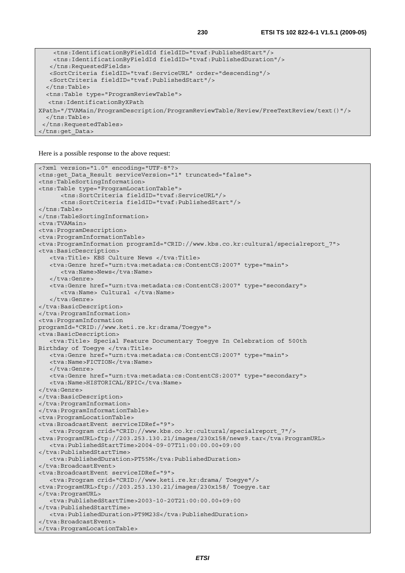```
 <tns:IdentificationByFieldId fieldID="tvaf:PublishedStart"/> 
    <tns:IdentificationByFieldId fieldID="tvaf:PublishedDuration"/> 
    </tns:RequestedFields> 
   <SortCriteria fieldID="tvaf:ServiceURL" order="descending"/> 
   <SortCriteria fieldID="tvaf:PublishedStart"/> 
   </tns:Table> 
   <tns:Table type="ProgramReviewTable"> 
   <tns:IdentificationByXPath 
XPath="/TVAMain/ProgramDescription/ProgramReviewTable/Review/FreeTextReview/text()"/> 
   </tns:Table> 
  </tns:RequestedTables> 
</tns:get_Data>
```
Here is a possible response to the above request:

```
<?xml version="1.0" encoding="UTF-8"?> 
<tns:get_Data_Result serviceVersion="1" truncated="false"> 
<tns:TableSortingInformation> 
<tns:Table type="ProgramLocationTable"> 
       <tns:SortCriteria fieldID="tvaf:ServiceURL"/> 
       <tns:SortCriteria fieldID="tvaf:PublishedStart"/> 
</tns:Table> 
</tns:TableSortingInformation> 
<tva:TVAMain> 
<tva:ProgramDescription> 
<tva:ProgramInformationTable> 
<tva:ProgramInformation programId="CRID://www.kbs.co.kr:cultural/specialreport_7"> 
<tva:BasicDescription> 
    <tva:Title> KBS Culture News </tva:Title> 
    <tva:Genre href="urn:tva:metadata:cs:ContentCS:2007" type="main"> 
      <tva:Name>News</tva:Name>
    </tva:Genre> 
    <tva:Genre href="urn:tva:metadata:cs:ContentCS:2007" type="secondary"> 
       <tva:Name> Cultural </tva:Name> 
    </tva:Genre> 
</tva:BasicDescription> 
</tva:ProgramInformation> 
<tva:ProgramInformation 
programId="CRID://www.keti.re.kr:drama/Toegye"> 
<tva:BasicDescription> 
    <tva:Title> Special Feature Documentary Toegye In Celebration of 500th 
Birthday of Toegye </tva:Title>
   <tva:Genre href="urn:tva:metadata:cs:ContentCS:2007" type="main"> 
   <tva:Name>FICTION</tva:Name>
    </tva:Genre> 
    <tva:Genre href="urn:tva:metadata:cs:ContentCS:2007" type="secondary"> 
   <tva:Name>HISTORICAL/EPIC</tva:Name>
</tva:Genre> 
</tva:BasicDescription> 
</tva:ProgramInformation> 
</tva:ProgramInformationTable> 
<tva:ProgramLocationTable> 
<tva:BroadcastEvent serviceIDRef="9"> 
    <tva:Program crid="CRID://www.kbs.co.kr:cultural/specialreport_7"/> 
<tva:ProgramURL>ftp://203.253.130.21/images/230x158/news9.tar</tva:ProgramURL> 
    <tva:PublishedStartTime>2004-09-07T11:00:00.00+09:00 
</tva:PublishedStartTime> 
    <tva:PublishedDuration>PT55M</tva:PublishedDuration> 
</tva:BroadcastEvent> 
<tva:BroadcastEvent serviceIDRef="9"> 
    <tva:Program crid="CRID://www.keti.re.kr:drama/ Toegye"/> 
<tva:ProgramURL>ftp://203.253.130.21/images/230x158/ Toegye.tar 
</tva:ProgramURL> 
    <tva:PublishedStartTime>2003-10-20T21:00:00.00+09:00 
</tva:PublishedStartTime> 
    <tva:PublishedDuration>PT9M23S</tva:PublishedDuration> 
</tva:BroadcastEvent> 
</tva:ProgramLocationTable>
```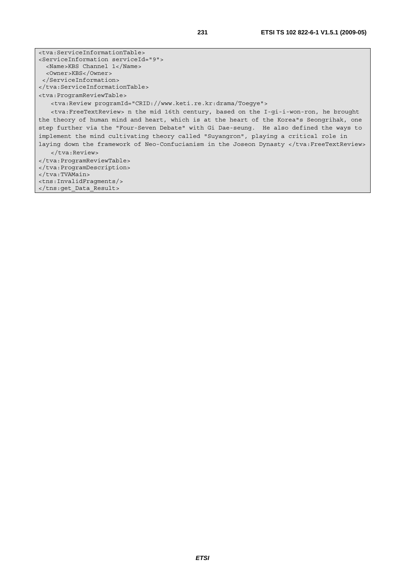<tva:ServiceInformationTable> <ServiceInformation serviceId="9"> <Name>KBS Channel 1</Name> <Owner>KBS</Owner> </ServiceInformation> </tva:ServiceInformationTable> <tva:ProgramReviewTable> <tva:Review programId="CRID://www.keti.re.kr:drama/Toegye"> <tva:FreeTextReview> n the mid 16th century, based on the I-gi-i-won-ron, he brought the theory of human mind and heart, which is at the heart of the Korea"s Seongrihak, one step further via the "Four-Seven Debate" with Gi Dae-seung. He also defined the ways to implement the mind cultivating theory called "Suyangron", playing a critical role in laying down the framework of Neo-Confucianism in the Joseon Dynasty </tva:FreeTextReview> </tva:Review> </tva:ProgramReviewTable> </tva:ProgramDescription> </tva:TVAMain> <tns:InvalidFragments/>

</tns:get\_Data\_Result>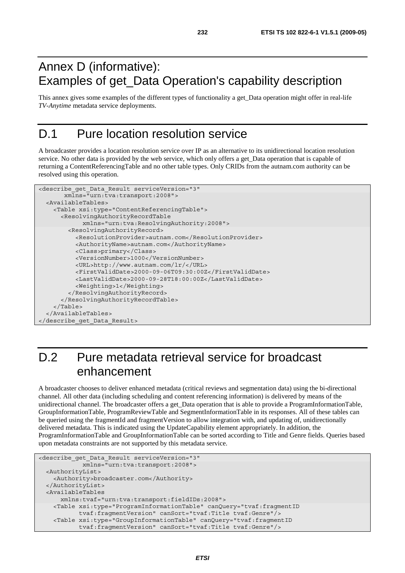### Annex D (informative): Examples of get\_Data Operation's capability description

This annex gives some examples of the different types of functionality a get\_Data operation might offer in real-life *TV-Anytime* metadata service deployments.

#### D.1 Pure location resolution service

A broadcaster provides a location resolution service over IP as an alternative to its unidirectional location resolution service. No other data is provided by the web service, which only offers a get Data operation that is capable of returning a ContentReferencingTable and no other table types. Only CRIDs from the autnam.com authority can be resolved using this operation.

```
<describe_get_Data_Result serviceVersion="3" 
        xmlns="urn:tva:transport:2008"> 
   <AvailableTables> 
     <Table xsi:type="ContentReferencingTable"> 
       <ResolvingAuthorityRecordTable 
             xmlns="urn:tva:ResolvingAuthority:2008"> 
         <ResolvingAuthorityRecord> 
           <ResolutionProvider>autnam.com</ResolutionProvider> 
           <AuthorityName>autnam.com</AuthorityName> 
           <Class>primary</Class> 
           <VersionNumber>1000</VersionNumber> 
           <URL>http://www.autnam.com/lr/</URL> 
           <FirstValidDate>2000-09-06T09:30:00Z</FirstValidDate> 
           <LastValidDate>2000-09-28T18:00:00Z</LastValidDate> 
           <Weighting>1</Weighting> 
         </ResolvingAuthorityRecord> 
       </ResolvingAuthorityRecordTable> 
     </Table> 
   </AvailableTables> 
</describe_get_Data_Result>
```
# D.2 Pure metadata retrieval service for broadcast enhancement

A broadcaster chooses to deliver enhanced metadata (critical reviews and segmentation data) using the bi-directional channel. All other data (including scheduling and content referencing information) is delivered by means of the unidirectional channel. The broadcaster offers a get\_Data operation that is able to provide a ProgramInformationTable, GroupInformationTable, ProgramReviewTable and SegmentInformationTable in its responses. All of these tables can be queried using the fragmentId and fragmentVersion to allow integration with, and updating of, unidirectionally delivered metadata. This is indicated using the UpdateCapability element appropriately. In addition, the ProgramInformationTable and GroupInformationTable can be sorted according to Title and Genre fields. Queries based upon metadata constraints are not supported by this metadata service.

```
<describe_get_Data_Result serviceVersion="3" 
             xmlns="urn:tva:transport:2008"> 
  <AuthorityList> 
    <Authority>broadcaster.com</Authority> 
  </AuthorityList> 
  <AvailableTables 
      xmlns:tvaf="urn:tva:transport:fieldIDs:2008"> 
    <Table xsi:type="ProgramInformationTable" canQuery="tvaf:fragmentID 
            tvaf:fragmentVersion" canSort="tvaf:Title tvaf:Genre"/> 
    <Table xsi:type="GroupInformationTable" canQuery="tvaf:fragmentID 
            tvaf:fragmentVersion" canSort="tvaf:Title tvaf:Genre"/>
```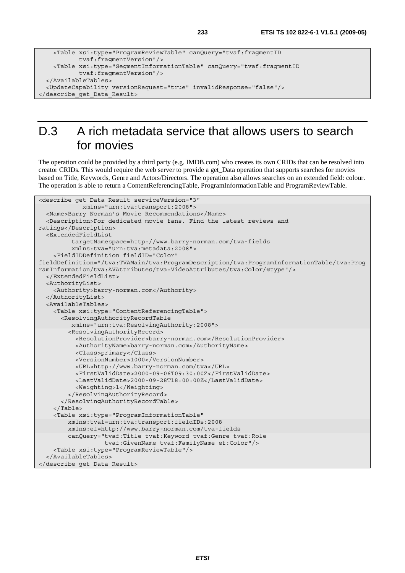```
 <Table xsi:type="ProgramReviewTable" canQuery="tvaf:fragmentID 
            tvaf:fragmentVersion"/> 
    <Table xsi:type="SegmentInformationTable" canQuery="tvaf:fragmentID 
            tvaf:fragmentVersion"/> 
  </AvailableTables> 
  <UpdateCapability versionRequest="true" invalidResponse="false"/> 
</describe_get_Data_Result>
```
# D.3 A rich metadata service that allows users to search for movies

The operation could be provided by a third party (e.g. IMDB.com) who creates its own CRIDs that can be resolved into creator CRIDs. This would require the web server to provide a get\_Data operation that supports searches for movies based on Title, Keywords, Genre and Actors/Directors. The operation also allows searches on an extended field: colour. The operation is able to return a ContentReferencingTable, ProgramInformationTable and ProgramReviewTable.

```
<describe_get_Data_Result serviceVersion="3" 
             xmlns="urn:tva:transport:2008"> 
   <Name>Barry Norman's Movie Recommendations</Name> 
   <Description>For dedicated movie fans. Find the latest reviews and 
ratings</Description> 
   <ExtendedFieldList 
          targetNamespace=http://www.barry-norman.com/tva-fields 
          xmlns:tva="urn:tva:metadata:2008"> 
     <FieldIDDefinition fieldID="Color" 
fieldDefinition="/tva:TVAMain/tva:ProgramDescription/tva:ProgramInformationTable/tva:Prog
ramInformation/tva:AVAttributes/tva:VideoAttributes/tva:Color/@type"/> 
   </ExtendedFieldList> 
   <AuthorityList> 
     <Authority>barry-norman.com</Authority> 
   </AuthorityList> 
   <AvailableTables> 
     <Table xsi:type="ContentReferencingTable"> 
       <ResolvingAuthorityRecordTable 
          xmlns="urn:tva:ResolvingAuthority:2008"> 
         <ResolvingAuthorityRecord> 
           <ResolutionProvider>barry-norman.com</ResolutionProvider> 
           <AuthorityName>barry-norman.com</AuthorityName> 
           <Class>primary</Class> 
           <VersionNumber>1000</VersionNumber> 
           <URL>http://www.barry-norman.com/tva</URL> 
           <FirstValidDate>2000-09-06T09:30:00Z</FirstValidDate> 
           <LastValidDate>2000-09-28T18:00:00Z</LastValidDate> 
           <Weighting>1</Weighting> 
         </ResolvingAuthorityRecord> 
       </ResolvingAuthorityRecordTable> 
     </Table> 
     <Table xsi:type="ProgramInformationTable" 
         xmlns:tvaf=urn:tva:transport:fieldIDs:2008 
         xmlns:ef=http://www.barry-norman.com/tva-fields 
         canQuery="tvaf:Title tvaf:Keyword tvaf:Genre tvaf:Role 
                    tvaf:GivenName tvaf:FamilyName ef:Color"/> 
     <Table xsi:type="ProgramReviewTable"/> 
   </AvailableTables> 
</describe_get_Data_Result>
```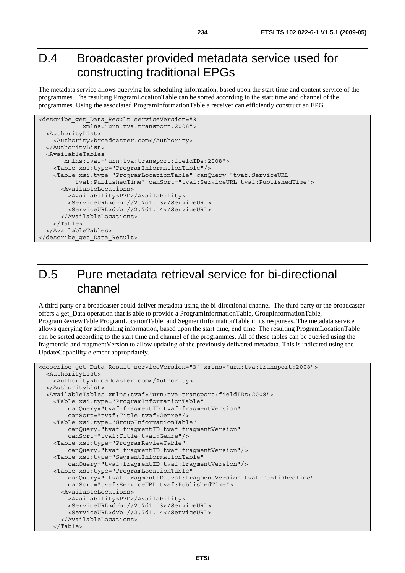#### D.4 Broadcaster provided metadata service used for constructing traditional EPGs

The metadata service allows querying for scheduling information, based upon the start time and content service of the programmes. The resulting ProgramLocationTable can be sorted according to the start time and channel of the programmes. Using the associated ProgramInformationTable a receiver can efficiently construct an EPG.

```
<describe_get_Data_Result serviceVersion="3" 
             xmlns="urn:tva:transport:2008"> 
   <AuthorityList> 
     <Authority>broadcaster.com</Authority> 
   </AuthorityList> 
   <AvailableTables 
        xmlns:tvaf="urn:tva:transport:fieldIDs:2008"> 
     <Table xsi:type="ProgramInformationTable"/> 
     <Table xsi:type="ProgramLocationTable" canQuery="tvaf:ServiceURL 
           tvaf:PublishedTime" canSort="tvaf:ServiceURL tvaf:PublishedTime"> 
       <AvailableLocations> 
         <Availability>P7D</Availability> 
         <ServiceURL>dvb://2.7d1.13</ServiceURL> 
         <ServiceURL>dvb://2.7d1.14</ServiceURL> 
       </AvailableLocations> 
     </Table> 
   </AvailableTables> 
</describe_get_Data_Result>
```
### D.5 Pure metadata retrieval service for bi-directional channel

A third party or a broadcaster could deliver metadata using the bi-directional channel. The third party or the broadcaster offers a get\_Data operation that is able to provide a ProgramInformationTable, GroupInformationTable, ProgramReviewTable ProgramLocationTable, and SegmentInformationTable in its responses. The metadata service allows querying for scheduling information, based upon the start time, end time. The resulting ProgramLocationTable can be sorted according to the start time and channel of the programmes. All of these tables can be queried using the fragmentId and fragmentVersion to allow updating of the previously delivered metadata. This is indicated using the UpdateCapability element appropriately.

```
<describe get Data Result serviceVersion="3" xmlns="urn:tva:transport:2008">
   <AuthorityList> 
     <Authority>broadcaster.com</Authority> 
   </AuthorityList> 
   <AvailableTables xmlns:tvaf="urn:tva:transport:fieldIDs:2008"> 
     <Table xsi:type="ProgramInformationTable" 
         canQuery="tvaf:fragmentID tvaf:fragmentVersion" 
         canSort="tvaf:Title tvaf:Genre"/> 
     <Table xsi:type="GroupInformationTable" 
         canQuery="tvaf:fragmentID tvaf:fragmentVersion" 
         canSort="tvaf:Title tvaf:Genre"/> 
     <Table xsi:type="ProgramReviewTable" 
         canQuery="tvaf:fragmentID tvaf:fragmentVersion"/> 
     <Table xsi:type="SegmentInformationTable" 
         canQuery="tvaf:fragmentID tvaf:fragmentVersion"/> 
     <Table xsi:type="ProgramLocationTable" 
         canQuery=" tvaf:fragmentID tvaf:fragmentVersion tvaf:PublishedTime" 
         canSort="tvaf:ServiceURL tvaf:PublishedTime"> 
       <AvailableLocations> 
         <Availability>P7D</Availability> 
         <ServiceURL>dvb://2.7d1.13</ServiceURL> 
         <ServiceURL>dvb://2.7d1.14</ServiceURL> 
       </AvailableLocations> 
     </Table>
```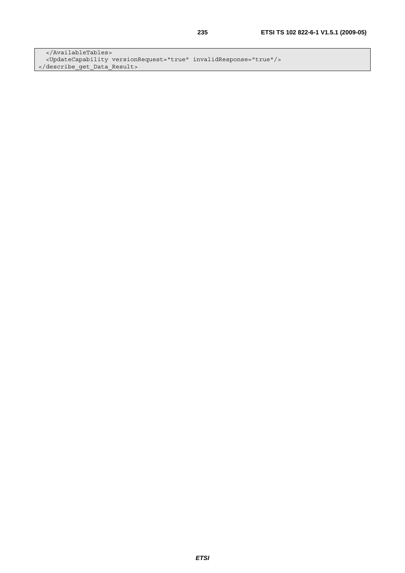</AvailableTables> <UpdateCapability versionRequest="true" invalidResponse="true"/> </describe\_get\_Data\_Result>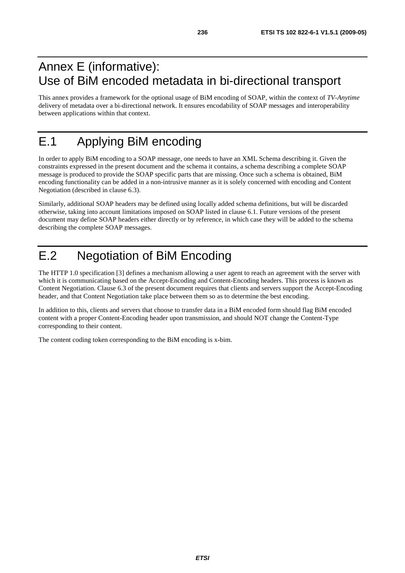#### Annex E (informative): Use of BiM encoded metadata in bi-directional transport

This annex provides a framework for the optional usage of BiM encoding of SOAP, within the context of *TV-Anytime* delivery of metadata over a bi-directional network. It ensures encodability of SOAP messages and interoperability between applications within that context.

# E.1 Applying BiM encoding

In order to apply BiM encoding to a SOAP message, one needs to have an XML Schema describing it. Given the constraints expressed in the present document and the schema it contains, a schema describing a complete SOAP message is produced to provide the SOAP specific parts that are missing. Once such a schema is obtained, BiM encoding functionality can be added in a non-intrusive manner as it is solely concerned with encoding and Content Negotiation (described in clause 6.3).

Similarly, additional SOAP headers may be defined using locally added schema definitions, but will be discarded otherwise, taking into account limitations imposed on SOAP listed in clause 6.1. Future versions of the present document may define SOAP headers either directly or by reference, in which case they will be added to the schema describing the complete SOAP messages.

# E.2 Negotiation of BiM Encoding

The HTTP 1.0 specification [3] defines a mechanism allowing a user agent to reach an agreement with the server with which it is communicating based on the Accept-Encoding and Content-Encoding headers. This process is known as Content Negotiation. Clause 6.3 of the present document requires that clients and servers support the Accept-Encoding header, and that Content Negotiation take place between them so as to determine the best encoding.

In addition to this, clients and servers that choose to transfer data in a BiM encoded form should flag BiM encoded content with a proper Content-Encoding header upon transmission, and should NOT change the Content-Type corresponding to their content.

The content coding token corresponding to the BiM encoding is x-bim.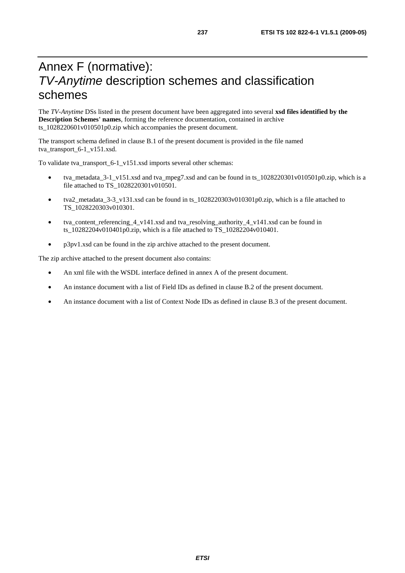## Annex F (normative): *TV-Anytime* description schemes and classification schemes

The *TV-Anytime* DSs listed in the present document have been aggregated into several **xsd files identified by the Description Schemes' names**, forming the reference documentation, contained in archive ts\_1028220601v010501p0.zip which accompanies the present document.

The transport schema defined in clause B.1 of the present document is provided in the file named tva\_transport\_6-1\_v151.xsd.

To validate tva\_transport\_6-1\_v151.xsd imports several other schemas:

- tva\_metadata\_3-1\_v151.xsd and tva\_mpeg7.xsd and can be found in ts\_1028220301v010501p0.zip, which is a file attached to TS\_1028220301v010501.
- tva2\_metadata\_3-3\_v131.xsd can be found in ts\_1028220303v010301p0.zip, which is a file attached to TS\_1028220303v010301.
- tva\_content\_referencing\_4\_v141.xsd and tva\_resolving\_authority\_4\_v141.xsd can be found in ts\_10282204v010401p0.zip, which is a file attached to TS\_10282204v010401.
- p3pv1.xsd can be found in the zip archive attached to the present document.

The zip archive attached to the present document also contains:

- An xml file with the WSDL interface defined in annex A of the present document.
- An instance document with a list of Field IDs as defined in clause B.2 of the present document.
- An instance document with a list of Context Node IDs as defined in clause B.3 of the present document.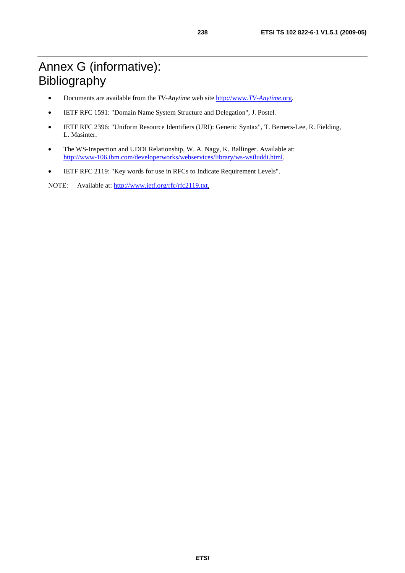# Annex G (informative): Bibliography

- Documents are available from the *TV-Anytime* [web site http://www.](http://www.tv-anytime.org/)*TV-Anytime*.org.
- IETF RFC 1591: "Domain Name System Structure and Delegation", J. Postel.
- IETF RFC 2396: "Uniform Resource Identifiers (URI): Generic Syntax", T. Berners-Lee, R. Fielding, L. Masinter.
- The WS-Inspection and UDDI Relationship, W. A. Nagy, K. Ballinger. Available at: http://www-106.ibm.com/developerworks/webservices/library/ws-wsiluddi.html.
- [IETF RFC 2119: "Key words for use in RFCs to Indicate Requireme](http://www-106.ibm.com/developerworks/webservices/library/ws-wsiluddi.html)nt Levels".

NOTE: Available at: http://www.ietf.org/rfc/rfc2119.txt.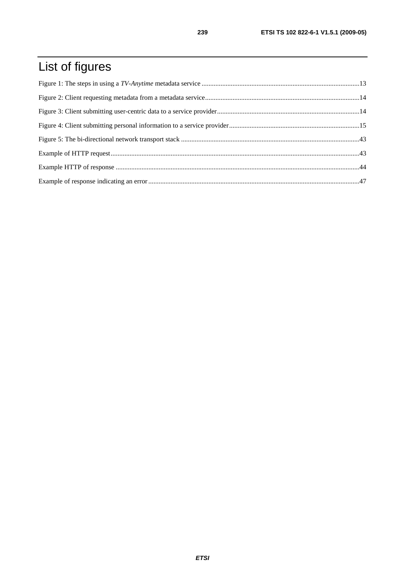# List of figures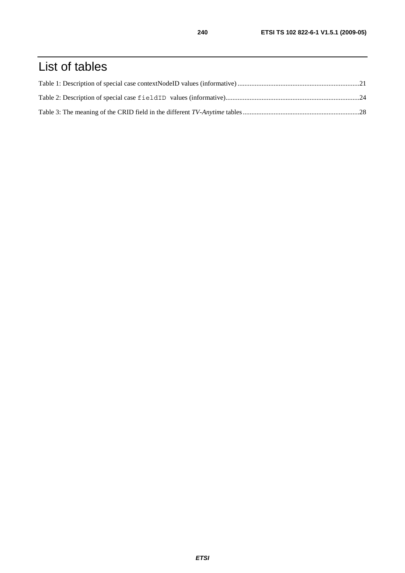# List of tables